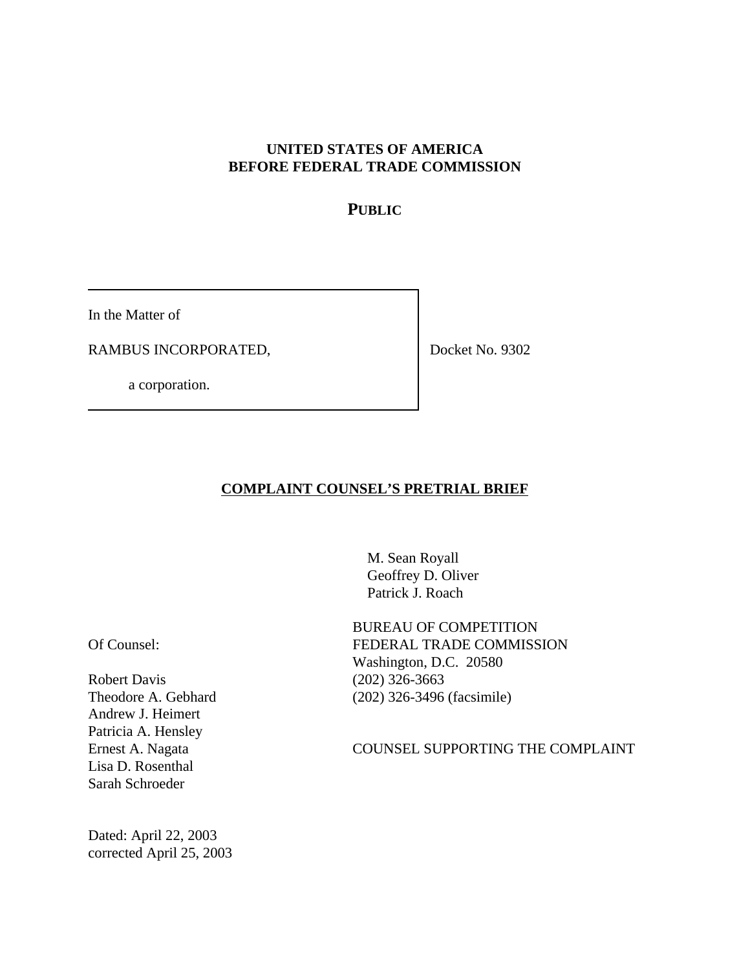### **UNITED STATES OF AMERICA BEFORE FEDERAL TRADE COMMISSION**

## **PUBLIC**

In the Matter of

RAMBUS INCORPORATED,

a corporation.

Docket No. 9302

#### **COMPLAINT COUNSEL'S PRETRIAL BRIEF**

 M. Sean Royall Geoffrey D. Oliver Patrick J. Roach

Of Counsel:

Robert Davis Theodore A. Gebhard Andrew J. Heimert Patricia A. Hensley Ernest A. Nagata Lisa D. Rosenthal Sarah Schroeder

Dated: April 22, 2003 corrected April 25, 2003 BUREAU OF COMPETITION FEDERAL TRADE COMMISSION Washington, D.C. 20580 (202) 326-3663 (202) 326-3496 (facsimile)

COUNSEL SUPPORTING THE COMPLAINT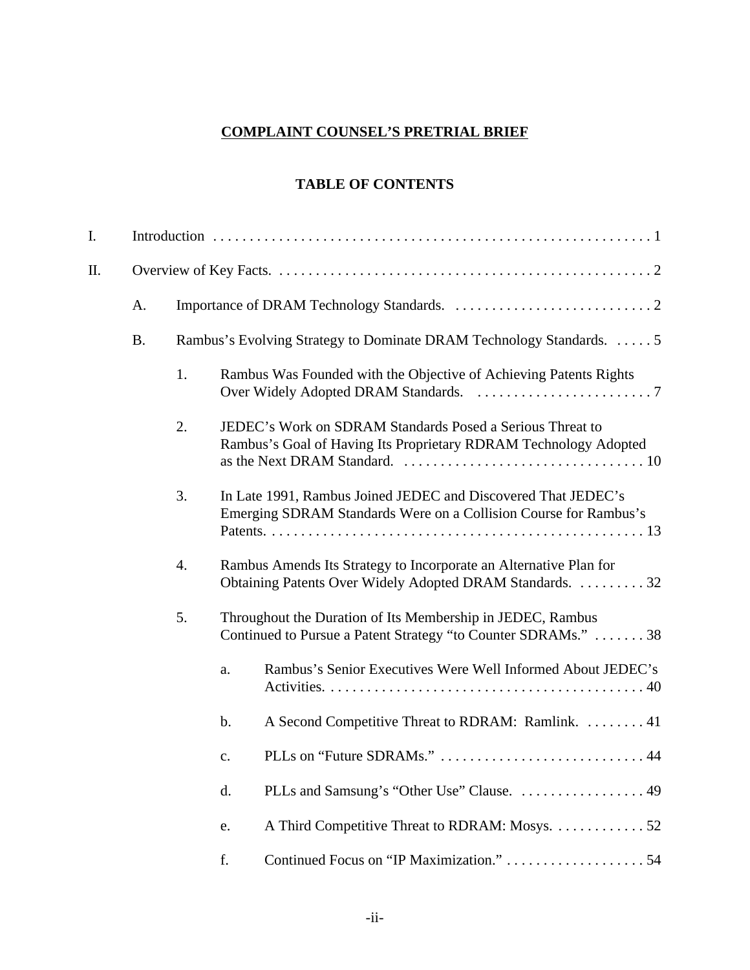# **COMPLAINT COUNSEL'S PRETRIAL BRIEF**

## **TABLE OF CONTENTS**

| I. |           |    |                |                                                                                                                                   |  |  |  |
|----|-----------|----|----------------|-----------------------------------------------------------------------------------------------------------------------------------|--|--|--|
| Π. |           |    |                |                                                                                                                                   |  |  |  |
|    | A.        |    |                |                                                                                                                                   |  |  |  |
|    | <b>B.</b> |    |                | Rambus's Evolving Strategy to Dominate DRAM Technology Standards. 5                                                               |  |  |  |
|    |           | 1. |                | Rambus Was Founded with the Objective of Achieving Patents Rights                                                                 |  |  |  |
|    |           | 2. |                | JEDEC's Work on SDRAM Standards Posed a Serious Threat to<br>Rambus's Goal of Having Its Proprietary RDRAM Technology Adopted     |  |  |  |
|    |           | 3. |                | In Late 1991, Rambus Joined JEDEC and Discovered That JEDEC's<br>Emerging SDRAM Standards Were on a Collision Course for Rambus's |  |  |  |
|    |           | 4. |                | Rambus Amends Its Strategy to Incorporate an Alternative Plan for<br>Obtaining Patents Over Widely Adopted DRAM Standards. 32     |  |  |  |
|    |           | 5. |                | Throughout the Duration of Its Membership in JEDEC, Rambus<br>Continued to Pursue a Patent Strategy "to Counter SDRAMs."  38      |  |  |  |
|    |           |    | a.             | Rambus's Senior Executives Were Well Informed About JEDEC's                                                                       |  |  |  |
|    |           |    | b.             | A Second Competitive Threat to RDRAM: Ramlink.  41                                                                                |  |  |  |
|    |           |    | $\mathbf{c}$ . |                                                                                                                                   |  |  |  |
|    |           |    | d.             | PLLs and Samsung's "Other Use" Clause.  49                                                                                        |  |  |  |
|    |           |    | e.             | A Third Competitive Threat to RDRAM: Mosys. 52                                                                                    |  |  |  |
|    |           |    | f.             |                                                                                                                                   |  |  |  |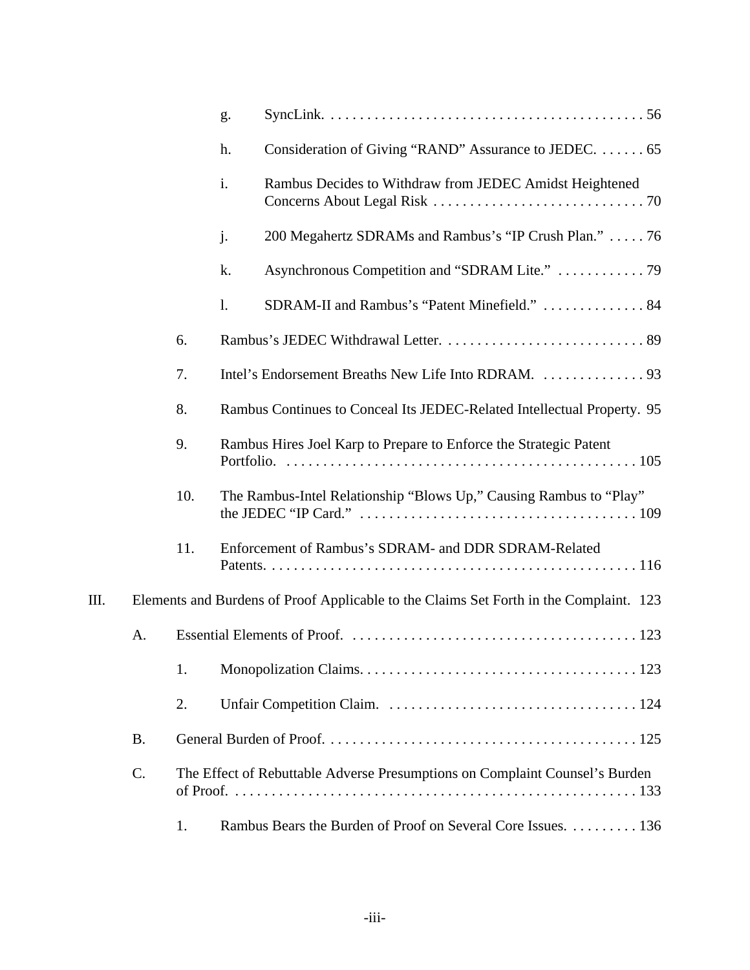|    |           |     | g.             |                                                                                        |
|----|-----------|-----|----------------|----------------------------------------------------------------------------------------|
|    |           |     | h.             | Consideration of Giving "RAND" Assurance to JEDEC.  65                                 |
|    |           |     | $\mathbf{i}$ . | Rambus Decides to Withdraw from JEDEC Amidst Heightened                                |
|    |           |     | j.             | 200 Megahertz SDRAMs and Rambus's "IP Crush Plan."  76                                 |
|    |           |     | k.             | Asynchronous Competition and "SDRAM Lite."  79                                         |
|    |           |     | $\mathbf{1}$ . | SDRAM-II and Rambus's "Patent Minefield."  84                                          |
|    |           | 6.  |                |                                                                                        |
|    |           | 7.  |                |                                                                                        |
|    |           | 8.  |                | Rambus Continues to Conceal Its JEDEC-Related Intellectual Property. 95                |
|    |           | 9.  |                | Rambus Hires Joel Karp to Prepare to Enforce the Strategic Patent                      |
|    |           | 10. |                | The Rambus-Intel Relationship "Blows Up," Causing Rambus to "Play"                     |
|    |           | 11. |                | Enforcement of Rambus's SDRAM- and DDR SDRAM-Related                                   |
| Ш. |           |     |                | Elements and Burdens of Proof Applicable to the Claims Set Forth in the Complaint. 123 |
|    | A.        |     |                |                                                                                        |
|    |           | 1.  |                |                                                                                        |
|    |           | 2.  |                |                                                                                        |
|    | <b>B.</b> |     |                |                                                                                        |
|    | C.        |     |                | The Effect of Rebuttable Adverse Presumptions on Complaint Counsel's Burden            |
|    |           | 1.  |                | Rambus Bears the Burden of Proof on Several Core Issues. 136                           |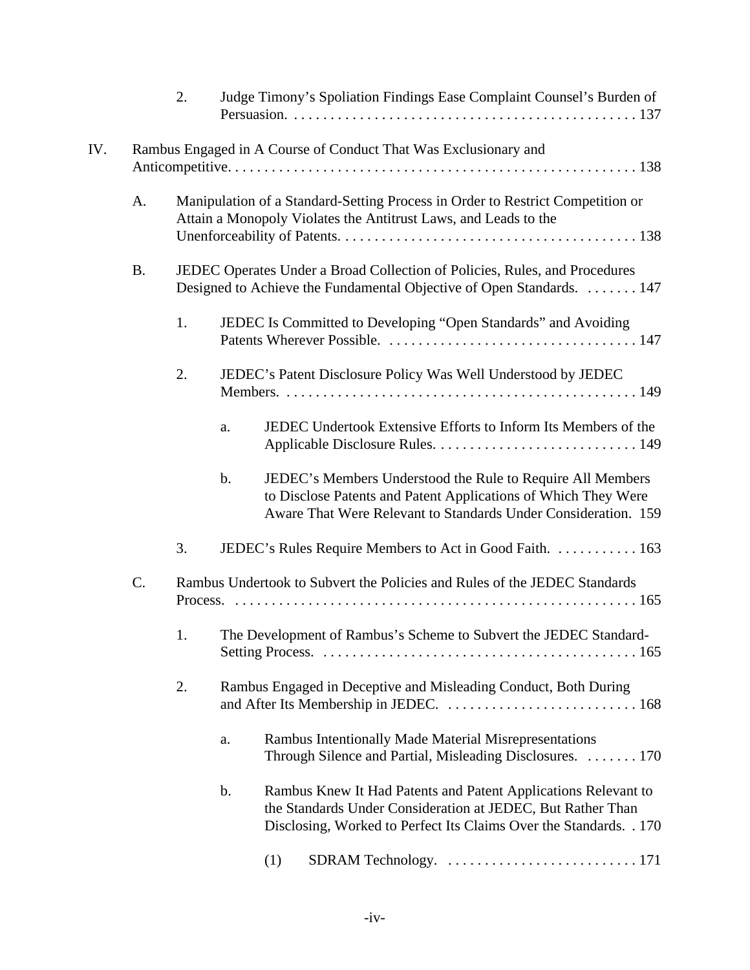|     |                                                                 | 2. |               | Judge Timony's Spoliation Findings Ease Complaint Counsel's Burden of                                                                                                                               |  |  |  |
|-----|-----------------------------------------------------------------|----|---------------|-----------------------------------------------------------------------------------------------------------------------------------------------------------------------------------------------------|--|--|--|
| IV. | Rambus Engaged in A Course of Conduct That Was Exclusionary and |    |               |                                                                                                                                                                                                     |  |  |  |
|     | A.                                                              |    |               | Manipulation of a Standard-Setting Process in Order to Restrict Competition or<br>Attain a Monopoly Violates the Antitrust Laws, and Leads to the                                                   |  |  |  |
|     | <b>B.</b>                                                       |    |               | JEDEC Operates Under a Broad Collection of Policies, Rules, and Procedures<br>Designed to Achieve the Fundamental Objective of Open Standards. 147                                                  |  |  |  |
|     |                                                                 | 1. |               | JEDEC Is Committed to Developing "Open Standards" and Avoiding                                                                                                                                      |  |  |  |
|     |                                                                 | 2. |               | JEDEC's Patent Disclosure Policy Was Well Understood by JEDEC                                                                                                                                       |  |  |  |
|     |                                                                 |    | a.            | JEDEC Undertook Extensive Efforts to Inform Its Members of the                                                                                                                                      |  |  |  |
|     |                                                                 |    | $\mathbf b$ . | JEDEC's Members Understood the Rule to Require All Members<br>to Disclose Patents and Patent Applications of Which They Were<br>Aware That Were Relevant to Standards Under Consideration. 159      |  |  |  |
|     |                                                                 | 3. |               | JEDEC's Rules Require Members to Act in Good Faith.  163                                                                                                                                            |  |  |  |
|     | C.                                                              |    |               | Rambus Undertook to Subvert the Policies and Rules of the JEDEC Standards                                                                                                                           |  |  |  |
|     |                                                                 |    |               | The Development of Rambus's Scheme to Subvert the JEDEC Standard-                                                                                                                                   |  |  |  |
|     |                                                                 | 2. |               | Rambus Engaged in Deceptive and Misleading Conduct, Both During                                                                                                                                     |  |  |  |
|     |                                                                 |    | a.            | Rambus Intentionally Made Material Misrepresentations<br>Through Silence and Partial, Misleading Disclosures.  170                                                                                  |  |  |  |
|     |                                                                 |    | b.            | Rambus Knew It Had Patents and Patent Applications Relevant to<br>the Standards Under Consideration at JEDEC, But Rather Than<br>Disclosing, Worked to Perfect Its Claims Over the Standards. . 170 |  |  |  |
|     |                                                                 |    |               | (1)                                                                                                                                                                                                 |  |  |  |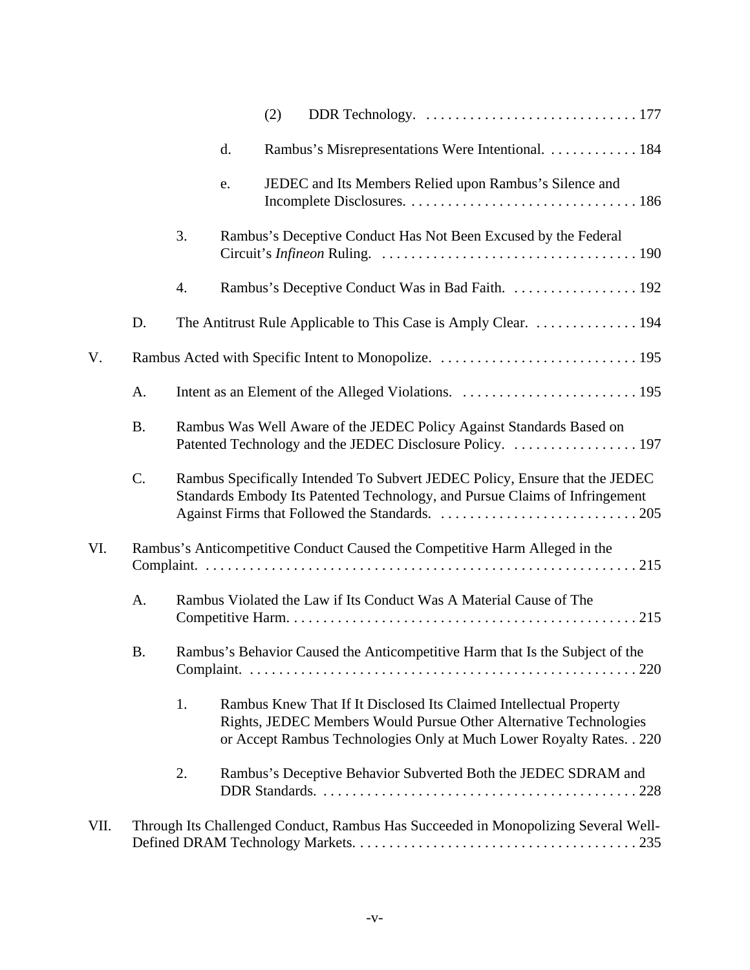|      |           |    |    | (2) |                                                                                                                                                                                                                  |
|------|-----------|----|----|-----|------------------------------------------------------------------------------------------------------------------------------------------------------------------------------------------------------------------|
|      |           |    | d. |     | Rambus's Misrepresentations Were Intentional. 184                                                                                                                                                                |
|      |           |    | e. |     | JEDEC and Its Members Relied upon Rambus's Silence and                                                                                                                                                           |
|      |           | 3. |    |     | Rambus's Deceptive Conduct Has Not Been Excused by the Federal                                                                                                                                                   |
|      |           | 4. |    |     | Rambus's Deceptive Conduct Was in Bad Faith. 192                                                                                                                                                                 |
|      | D.        |    |    |     | The Antitrust Rule Applicable to This Case is Amply Clear. 194                                                                                                                                                   |
| V.   |           |    |    |     |                                                                                                                                                                                                                  |
|      | A.        |    |    |     |                                                                                                                                                                                                                  |
|      | <b>B.</b> |    |    |     | Rambus Was Well Aware of the JEDEC Policy Against Standards Based on                                                                                                                                             |
|      | C.        |    |    |     | Rambus Specifically Intended To Subvert JEDEC Policy, Ensure that the JEDEC<br>Standards Embody Its Patented Technology, and Pursue Claims of Infringement                                                       |
| VI.  |           |    |    |     | Rambus's Anticompetitive Conduct Caused the Competitive Harm Alleged in the                                                                                                                                      |
|      | A.        |    |    |     | Rambus Violated the Law if Its Conduct Was A Material Cause of The                                                                                                                                               |
|      | B.        |    |    |     | Rambus's Behavior Caused the Anticompetitive Harm that Is the Subject of the                                                                                                                                     |
|      |           | 1. |    |     | Rambus Knew That If It Disclosed Its Claimed Intellectual Property<br>Rights, JEDEC Members Would Pursue Other Alternative Technologies<br>or Accept Rambus Technologies Only at Much Lower Royalty Rates. . 220 |
|      |           | 2. |    |     | Rambus's Deceptive Behavior Subverted Both the JEDEC SDRAM and                                                                                                                                                   |
| VII. |           |    |    |     | Through Its Challenged Conduct, Rambus Has Succeeded in Monopolizing Several Well-                                                                                                                               |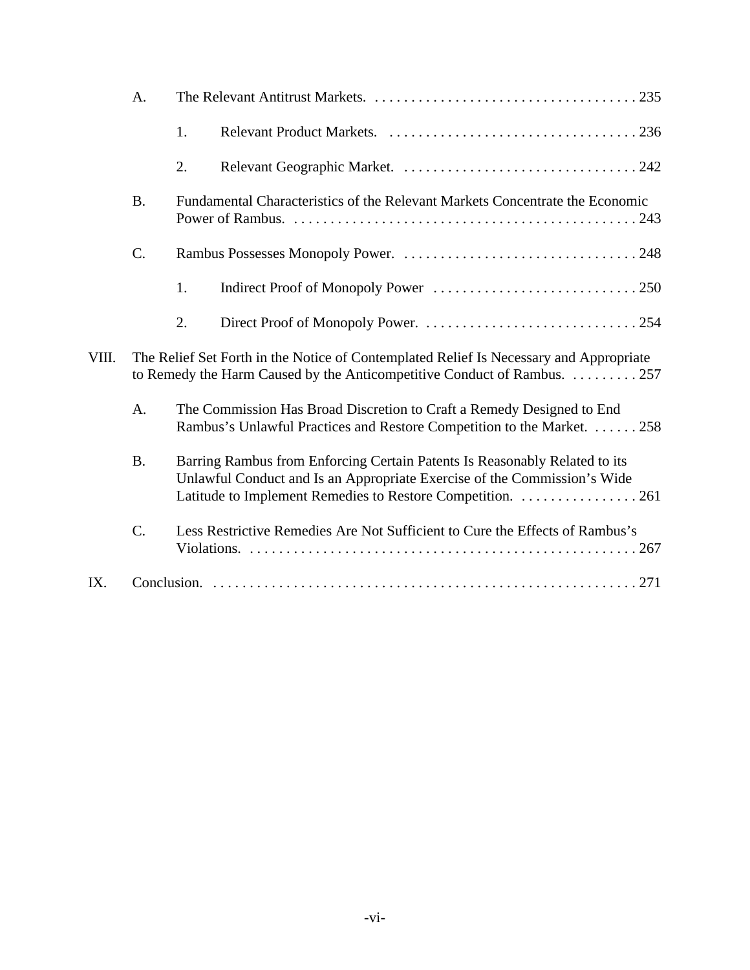|       | A.        |    |                                                                                                                                                                                                                      |
|-------|-----------|----|----------------------------------------------------------------------------------------------------------------------------------------------------------------------------------------------------------------------|
|       |           | 1. |                                                                                                                                                                                                                      |
|       |           | 2. |                                                                                                                                                                                                                      |
|       | <b>B.</b> |    | Fundamental Characteristics of the Relevant Markets Concentrate the Economic                                                                                                                                         |
|       | C.        |    |                                                                                                                                                                                                                      |
|       |           | 1. |                                                                                                                                                                                                                      |
|       |           | 2. |                                                                                                                                                                                                                      |
| VIII. |           |    | The Relief Set Forth in the Notice of Contemplated Relief Is Necessary and Appropriate<br>to Remedy the Harm Caused by the Anticompetitive Conduct of Rambus. 257                                                    |
|       | A.        |    | The Commission Has Broad Discretion to Craft a Remedy Designed to End<br>Rambus's Unlawful Practices and Restore Competition to the Market. 258                                                                      |
|       | <b>B.</b> |    | Barring Rambus from Enforcing Certain Patents Is Reasonably Related to its<br>Unlawful Conduct and Is an Appropriate Exercise of the Commission's Wide<br>Latitude to Implement Remedies to Restore Competition. 261 |
|       | C.        |    | Less Restrictive Remedies Are Not Sufficient to Cure the Effects of Rambus's                                                                                                                                         |
| IX.   |           |    |                                                                                                                                                                                                                      |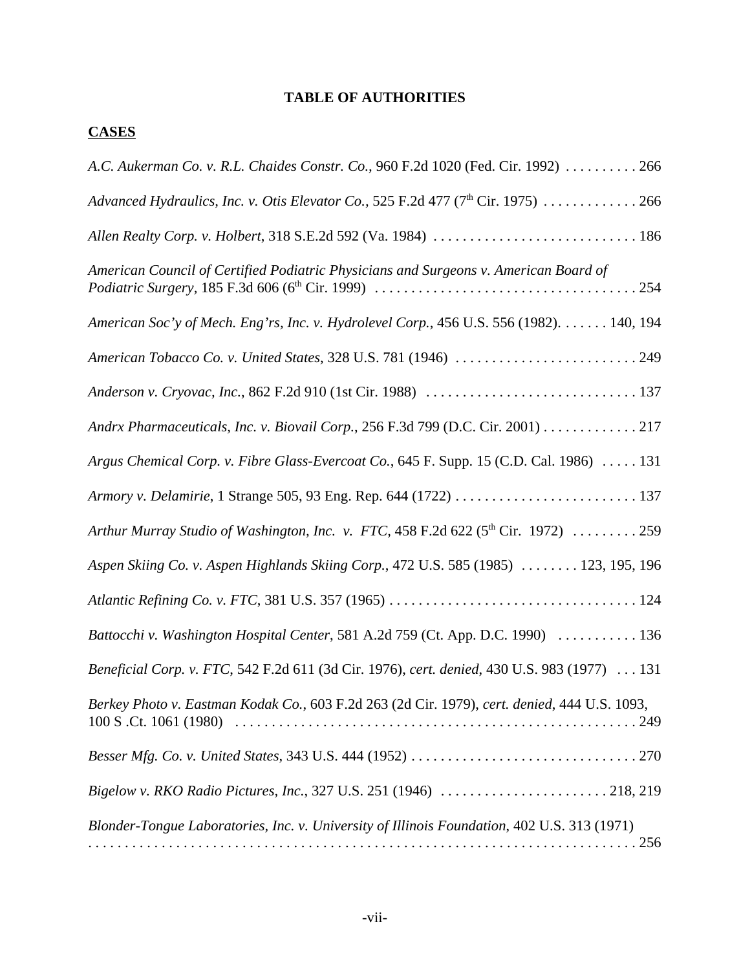## **TABLE OF AUTHORITIES**

# **CASES**

| A.C. Aukerman Co. v. R.L. Chaides Constr. Co., 960 F.2d 1020 (Fed. Cir. 1992)  266            |
|-----------------------------------------------------------------------------------------------|
| Advanced Hydraulics, Inc. v. Otis Elevator Co., 525 F.2d 477 (7 <sup>th</sup> Cir. 1975)  266 |
| Allen Realty Corp. v. Holbert, 318 S.E.2d 592 (Va. 1984)  186                                 |
| American Council of Certified Podiatric Physicians and Surgeons v. American Board of          |
| American Soc'y of Mech. Eng'rs, Inc. v. Hydrolevel Corp., 456 U.S. 556 (1982). 140, 194       |
| American Tobacco Co. v. United States, 328 U.S. 781 (1946) 249                                |
|                                                                                               |
| Andrx Pharmaceuticals, Inc. v. Biovail Corp., 256 F.3d 799 (D.C. Cir. 2001) 217               |
| Argus Chemical Corp. v. Fibre Glass-Evercoat Co., 645 F. Supp. 15 (C.D. Cal. 1986)  131       |
|                                                                                               |
| Arthur Murray Studio of Washington, Inc. v. FTC, 458 F.2d 622 ( $5th$ Cir. 1972) 259          |
| Aspen Skiing Co. v. Aspen Highlands Skiing Corp., 472 U.S. 585 (1985)  123, 195, 196          |
|                                                                                               |
| Battocchi v. Washington Hospital Center, 581 A.2d 759 (Ct. App. D.C. 1990)  136               |
| Beneficial Corp. v. FTC, 542 F.2d 611 (3d Cir. 1976), cert. denied, 430 U.S. 983 (1977)  131  |
| Berkey Photo v. Eastman Kodak Co., 603 F.2d 263 (2d Cir. 1979), cert. denied, 444 U.S. 1093,  |
|                                                                                               |
|                                                                                               |
| Blonder-Tongue Laboratories, Inc. v. University of Illinois Foundation, 402 U.S. 313 (1971)   |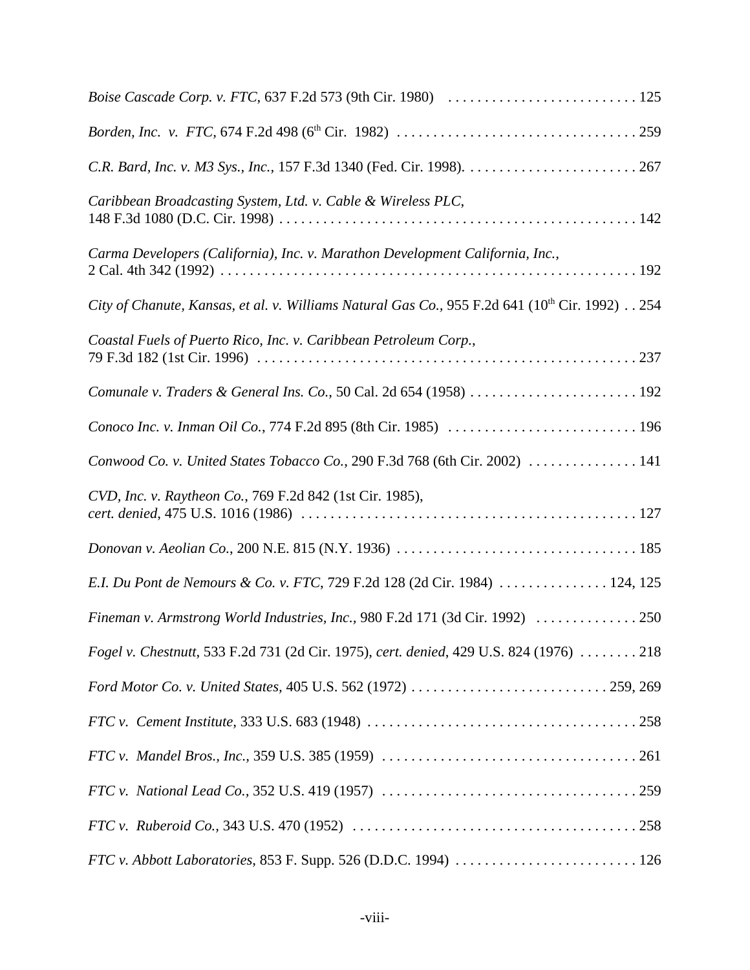| Caribbean Broadcasting System, Ltd. v. Cable & Wireless PLC,                                               |
|------------------------------------------------------------------------------------------------------------|
| Carma Developers (California), Inc. v. Marathon Development California, Inc.,                              |
| City of Chanute, Kansas, et al. v. Williams Natural Gas Co., 955 F.2d 641 (10 <sup>th</sup> Cir. 1992) 254 |
| Coastal Fuels of Puerto Rico, Inc. v. Caribbean Petroleum Corp.,                                           |
| Comunale v. Traders & General Ins. Co., 50 Cal. 2d 654 (1958)  192                                         |
|                                                                                                            |
| Conwood Co. v. United States Tobacco Co., 290 F.3d 768 (6th Cir. 2002)  141                                |
| CVD, Inc. v. Raytheon Co., 769 F.2d 842 (1st Cir. 1985),                                                   |
|                                                                                                            |
| E.I. Du Pont de Nemours & Co. v. FTC, 729 F.2d 128 (2d Cir. 1984)  124, 125                                |
| Fineman v. Armstrong World Industries, Inc., 980 F.2d 171 (3d Cir. 1992)  250                              |
| Fogel v. Chestnutt, 533 F.2d 731 (2d Cir. 1975), cert. denied, 429 U.S. 824 (1976) 218                     |
|                                                                                                            |
|                                                                                                            |
|                                                                                                            |
|                                                                                                            |
|                                                                                                            |
|                                                                                                            |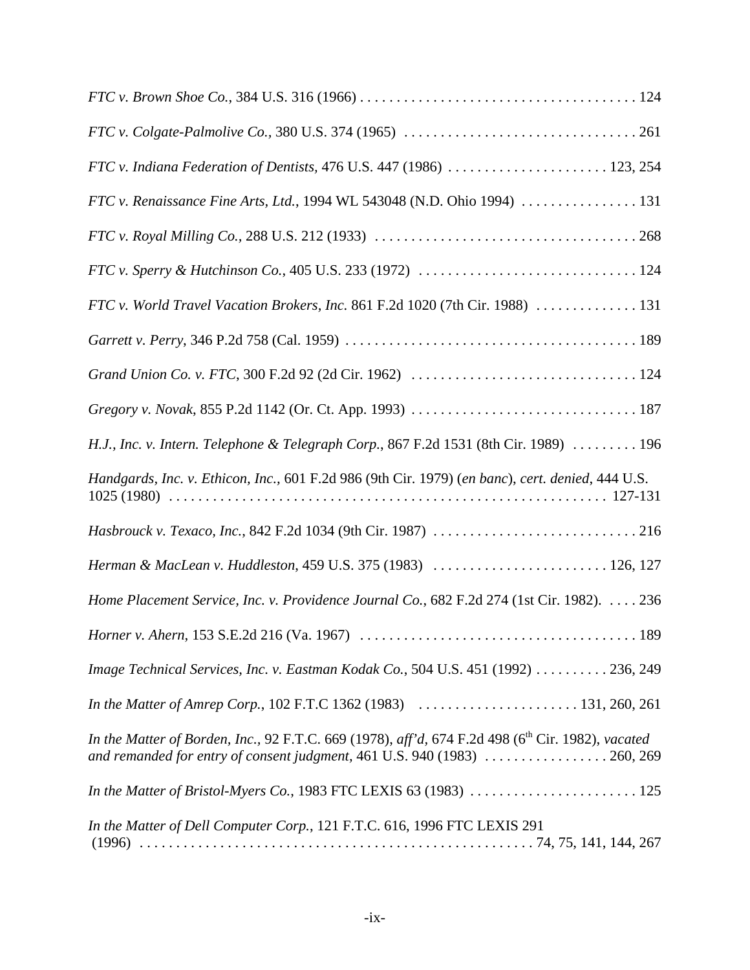| FTC v. Indiana Federation of Dentists, 476 U.S. 447 (1986)  123, 254                                                                                                                       |
|--------------------------------------------------------------------------------------------------------------------------------------------------------------------------------------------|
|                                                                                                                                                                                            |
|                                                                                                                                                                                            |
|                                                                                                                                                                                            |
| FTC v. World Travel Vacation Brokers, Inc. 861 F.2d 1020 (7th Cir. 1988) 131                                                                                                               |
|                                                                                                                                                                                            |
|                                                                                                                                                                                            |
|                                                                                                                                                                                            |
| H.J., Inc. v. Intern. Telephone & Telegraph Corp., 867 F.2d 1531 (8th Cir. 1989)  196                                                                                                      |
| Handgards, Inc. v. Ethicon, Inc., 601 F.2d 986 (9th Cir. 1979) (en banc), cert. denied, 444 U.S.                                                                                           |
|                                                                                                                                                                                            |
| Herman & MacLean v. Huddleston, 459 U.S. 375 (1983)  126, 127                                                                                                                              |
| Home Placement Service, Inc. v. Providence Journal Co., 682 F.2d 274 (1st Cir. 1982). 236                                                                                                  |
|                                                                                                                                                                                            |
| Image Technical Services, Inc. v. Eastman Kodak Co., 504 U.S. 451 (1992) 236, 249                                                                                                          |
|                                                                                                                                                                                            |
| In the Matter of Borden, Inc., 92 F.T.C. 669 (1978), aff'd, 674 F.2d 498 (6 <sup>th</sup> Cir. 1982), vacated<br>and remanded for entry of consent judgment, 461 U.S. 940 (1983)  260, 269 |
|                                                                                                                                                                                            |
| In the Matter of Dell Computer Corp., 121 F.T.C. 616, 1996 FTC LEXIS 291                                                                                                                   |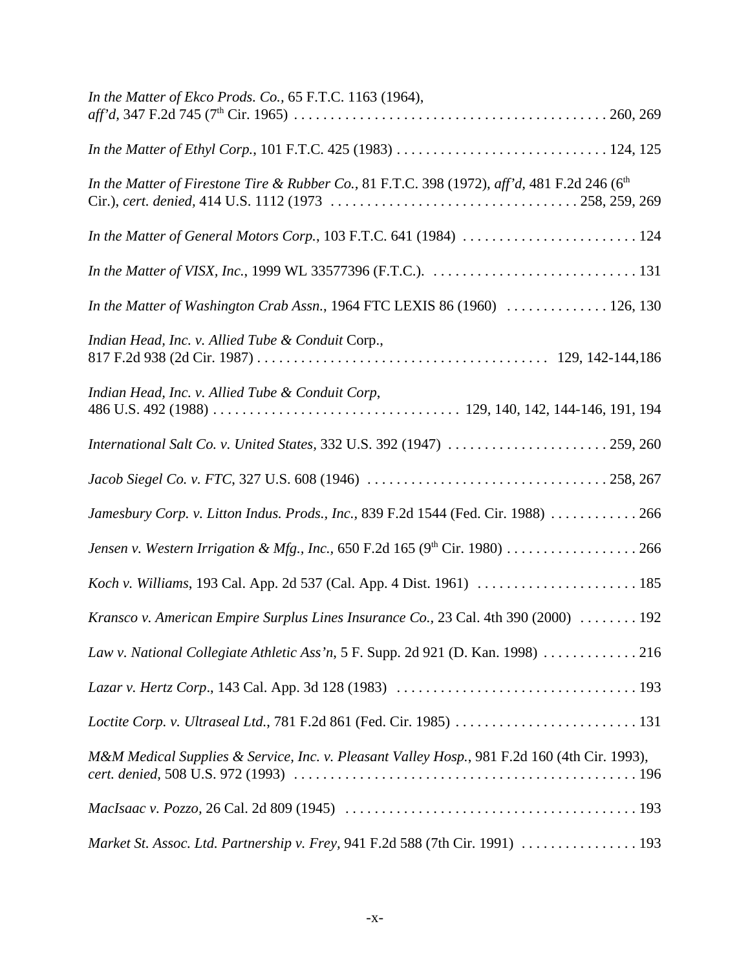| In the Matter of Ekco Prods. Co., 65 F.T.C. 1163 (1964),                                                                             |
|--------------------------------------------------------------------------------------------------------------------------------------|
| In the Matter of Ethyl Corp., 101 F.T.C. 425 (1983) $\ldots \ldots \ldots \ldots \ldots \ldots \ldots \ldots \ldots \ldots 124, 125$ |
| In the Matter of Firestone Tire & Rubber Co., 81 F.T.C. 398 (1972), aff'd, 481 F.2d 246 ( $6th$                                      |
| In the Matter of General Motors Corp., 103 F.T.C. 641 (1984)  124                                                                    |
|                                                                                                                                      |
| In the Matter of Washington Crab Assn., 1964 FTC LEXIS 86 (1960)  126, 130                                                           |
| Indian Head, Inc. v. Allied Tube & Conduit Corp.,                                                                                    |
| Indian Head, Inc. v. Allied Tube & Conduit Corp,                                                                                     |
| International Salt Co. v. United States, 332 U.S. 392 (1947)  259, 260                                                               |
|                                                                                                                                      |
| Jamesbury Corp. v. Litton Indus. Prods., Inc., 839 F.2d 1544 (Fed. Cir. 1988) 266                                                    |
| Jensen v. Western Irrigation & Mfg., Inc., 650 F.2d 165 (9 <sup>th</sup> Cir. 1980) 266                                              |
|                                                                                                                                      |
| Kransco v. American Empire Surplus Lines Insurance Co., 23 Cal. 4th 390 (2000)  192                                                  |
| Law v. National Collegiate Athletic Ass'n, 5 F. Supp. 2d 921 (D. Kan. 1998) 216                                                      |
|                                                                                                                                      |
|                                                                                                                                      |
| M&M Medical Supplies & Service, Inc. v. Pleasant Valley Hosp., 981 F.2d 160 (4th Cir. 1993),                                         |
|                                                                                                                                      |
| Market St. Assoc. Ltd. Partnership v. Frey, 941 F.2d 588 (7th Cir. 1991)  193                                                        |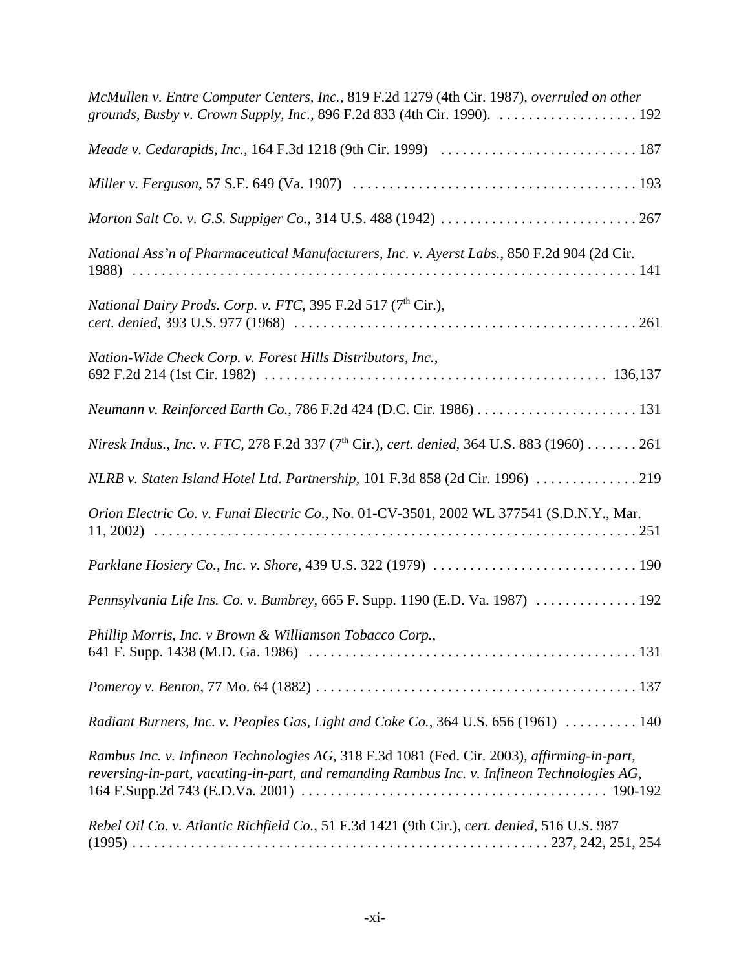| McMullen v. Entre Computer Centers, Inc., 819 F.2d 1279 (4th Cir. 1987), overruled on other                                                                                                |
|--------------------------------------------------------------------------------------------------------------------------------------------------------------------------------------------|
|                                                                                                                                                                                            |
|                                                                                                                                                                                            |
|                                                                                                                                                                                            |
| National Ass'n of Pharmaceutical Manufacturers, Inc. v. Ayerst Labs., 850 F.2d 904 (2d Cir.                                                                                                |
| <i>National Dairy Prods. Corp. v. FTC, 395 F.2d 517 (7th Cir.),</i>                                                                                                                        |
| Nation-Wide Check Corp. v. Forest Hills Distributors, Inc.,                                                                                                                                |
|                                                                                                                                                                                            |
| Niresk Indus., Inc. v. FTC, 278 F.2d 337 (7 <sup>th</sup> Cir.), cert. denied, 364 U.S. 883 (1960) 261                                                                                     |
| NLRB v. Staten Island Hotel Ltd. Partnership, 101 F.3d 858 (2d Cir. 1996) 219                                                                                                              |
| Orion Electric Co. v. Funai Electric Co., No. 01-CV-3501, 2002 WL 377541 (S.D.N.Y., Mar.                                                                                                   |
|                                                                                                                                                                                            |
| Pennsylvania Life Ins. Co. v. Bumbrey, 665 F. Supp. 1190 (E.D. Va. 1987)  192                                                                                                              |
| Phillip Morris, Inc. v Brown & Williamson Tobacco Corp.,                                                                                                                                   |
|                                                                                                                                                                                            |
| Radiant Burners, Inc. v. Peoples Gas, Light and Coke Co., 364 U.S. 656 (1961)  140                                                                                                         |
| Rambus Inc. v. Infineon Technologies AG, 318 F.3d 1081 (Fed. Cir. 2003), affirming-in-part,<br>reversing-in-part, vacating-in-part, and remanding Rambus Inc. v. Infineon Technologies AG, |
| Rebel Oil Co. v. Atlantic Richfield Co., 51 F.3d 1421 (9th Cir.), cert. denied, 516 U.S. 987                                                                                               |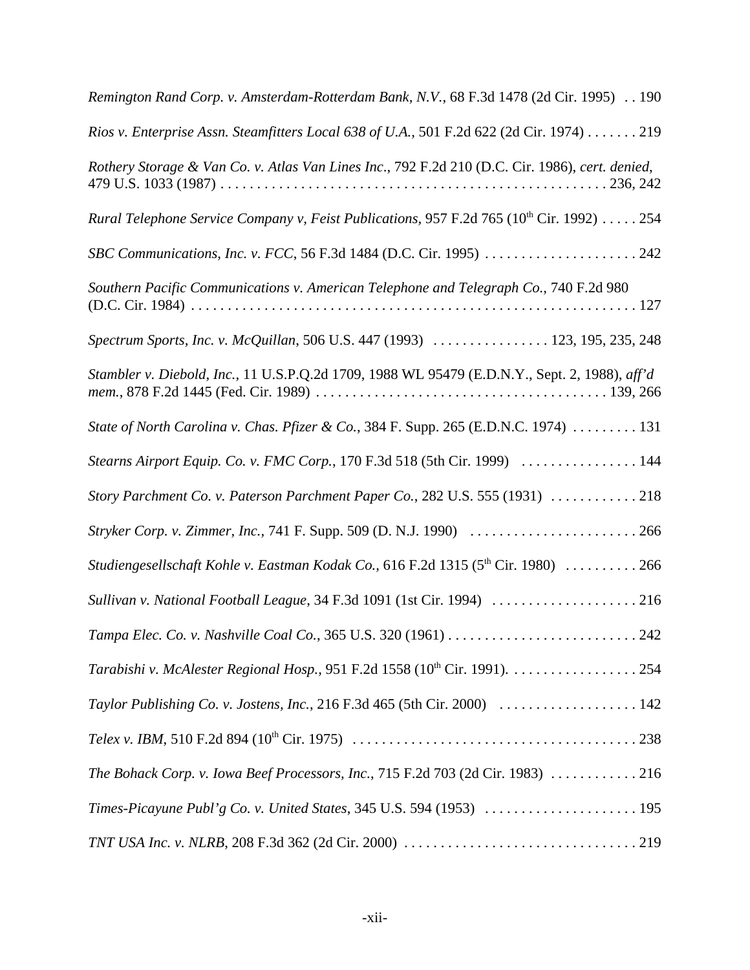| Remington Rand Corp. v. Amsterdam-Rotterdam Bank, N.V., 68 F.3d 1478 (2d Cir. 1995) 190         |
|-------------------------------------------------------------------------------------------------|
| Rios v. Enterprise Assn. Steamfitters Local 638 of U.A., 501 F.2d 622 (2d Cir. 1974) 219        |
| Rothery Storage & Van Co. v. Atlas Van Lines Inc., 792 F.2d 210 (D.C. Cir. 1986), cert. denied, |
| Rural Telephone Service Company v, Feist Publications, 957 F.2d 765 ( $10^{th}$ Cir. 1992)  254 |
|                                                                                                 |
| Southern Pacific Communications v. American Telephone and Telegraph Co., 740 F.2d 980           |
| Spectrum Sports, Inc. v. McQuillan, 506 U.S. 447 (1993)  123, 195, 235, 248                     |
| Stambler v. Diebold, Inc., 11 U.S.P.Q.2d 1709, 1988 WL 95479 (E.D.N.Y., Sept. 2, 1988), aff'd   |
| State of North Carolina v. Chas. Pfizer & Co., 384 F. Supp. 265 (E.D.N.C. 1974)  131            |
| Stearns Airport Equip. Co. v. FMC Corp., 170 F.3d 518 (5th Cir. 1999)  144                      |
| Story Parchment Co. v. Paterson Parchment Paper Co., 282 U.S. 555 (1931) 218                    |
| Stryker Corp. v. Zimmer, Inc., 741 F. Supp. 509 (D. N.J. 1990)  266                             |
| Studiengesellschaft Kohle v. Eastman Kodak Co., 616 F.2d 1315 (5 <sup>th</sup> Cir. 1980)  266  |
| Sullivan v. National Football League, 34 F.3d 1091 (1st Cir. 1994) 216                          |
|                                                                                                 |
| Tarabishi v. McAlester Regional Hosp., 951 F.2d 1558 (10 <sup>th</sup> Cir. 1991). 254          |
|                                                                                                 |
|                                                                                                 |
| The Bohack Corp. v. Iowa Beef Processors, Inc., 715 F.2d 703 (2d Cir. 1983) 216                 |
| Times-Picayune Publ'g Co. v. United States, 345 U.S. 594 (1953)  195                            |
|                                                                                                 |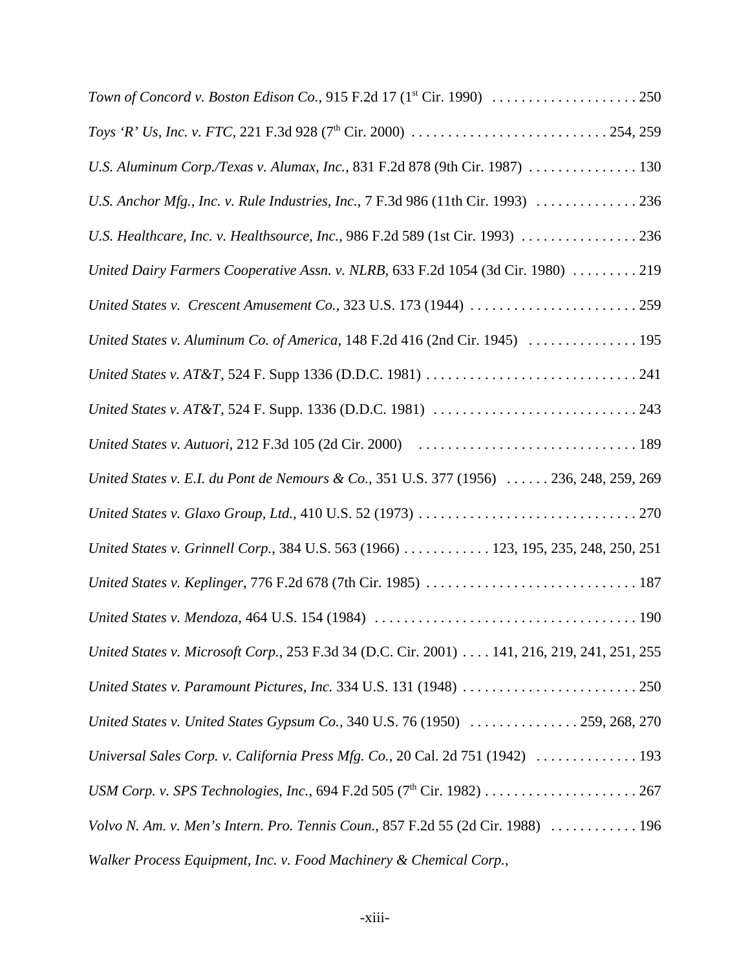| U.S. Aluminum Corp./Texas v. Alumax, Inc., 831 F.2d 878 (9th Cir. 1987)  130                |
|---------------------------------------------------------------------------------------------|
| U.S. Anchor Mfg., Inc. v. Rule Industries, Inc., 7 F.3d 986 (11th Cir. 1993)  236           |
| U.S. Healthcare, Inc. v. Healthsource, Inc., 986 F.2d 589 (1st Cir. 1993) 236               |
| United Dairy Farmers Cooperative Assn. v. NLRB, 633 F.2d 1054 (3d Cir. 1980)  219           |
|                                                                                             |
| United States v. Aluminum Co. of America, 148 F.2d 416 (2nd Cir. 1945)  195                 |
|                                                                                             |
|                                                                                             |
|                                                                                             |
| United States v. E.I. du Pont de Nemours & Co., 351 U.S. 377 (1956)  236, 248, 259, 269     |
|                                                                                             |
| United States v. Grinnell Corp., 384 U.S. 563 (1966)  123, 195, 235, 248, 250, 251          |
|                                                                                             |
|                                                                                             |
| United States v. Microsoft Corp., 253 F.3d 34 (D.C. Cir. 2001) 141, 216, 219, 241, 251, 255 |
|                                                                                             |
| United States v. United States Gypsum Co., 340 U.S. 76 (1950)  259, 268, 270                |
| Universal Sales Corp. v. California Press Mfg. Co., 20 Cal. 2d 751 (1942)  193              |
|                                                                                             |
| Volvo N. Am. v. Men's Intern. Pro. Tennis Coun., 857 F.2d 55 (2d Cir. 1988)  196            |
| Walker Process Equipment, Inc. v. Food Machinery & Chemical Corp.,                          |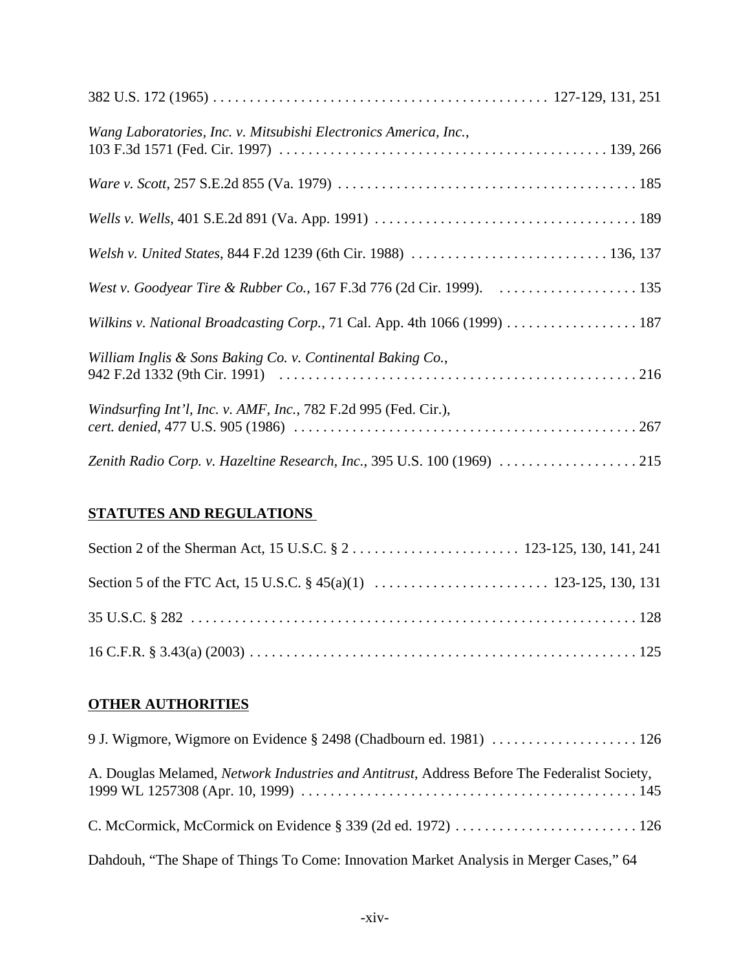| Wang Laboratories, Inc. v. Mitsubishi Electronics America, Inc.,          |
|---------------------------------------------------------------------------|
|                                                                           |
|                                                                           |
|                                                                           |
|                                                                           |
| Wilkins v. National Broadcasting Corp., 71 Cal. App. 4th 1066 (1999)  187 |
| William Inglis & Sons Baking Co. v. Continental Baking Co.,               |
| <i>Windsurfing Int'l, Inc. v. AMF, Inc., 782 F.2d 995 (Fed. Cir.),</i>    |
| Zenith Radio Corp. v. Hazeltine Research, Inc., 395 U.S. 100 (1969) 215   |

## **STATUTES AND REGULATIONS**

## **OTHER AUTHORITIES**

| A. Douglas Melamed, Network Industries and Antitrust, Address Before The Federalist Society, |
|----------------------------------------------------------------------------------------------|
|                                                                                              |
| Dahdouh, "The Shape of Things To Come: Innovation Market Analysis in Merger Cases," 64       |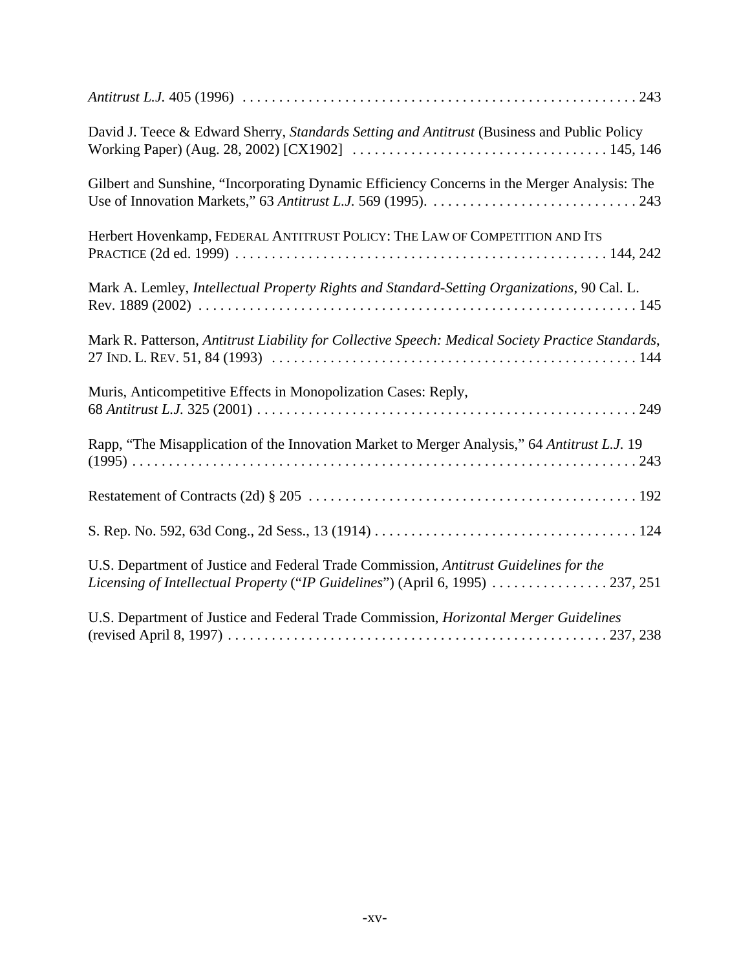| David J. Teece & Edward Sherry, Standards Setting and Antitrust (Business and Public Policy                                                                             |
|-------------------------------------------------------------------------------------------------------------------------------------------------------------------------|
| Gilbert and Sunshine, "Incorporating Dynamic Efficiency Concerns in the Merger Analysis: The                                                                            |
| Herbert Hovenkamp, FEDERAL ANTITRUST POLICY: THE LAW OF COMPETITION AND ITS                                                                                             |
| Mark A. Lemley, Intellectual Property Rights and Standard-Setting Organizations, 90 Cal. L.                                                                             |
| Mark R. Patterson, Antitrust Liability for Collective Speech: Medical Society Practice Standards,                                                                       |
| Muris, Anticompetitive Effects in Monopolization Cases: Reply,                                                                                                          |
| Rapp, "The Misapplication of the Innovation Market to Merger Analysis," 64 Antitrust L.J. 19                                                                            |
|                                                                                                                                                                         |
|                                                                                                                                                                         |
| U.S. Department of Justice and Federal Trade Commission, Antitrust Guidelines for the<br>Licensing of Intellectual Property ("IP Guidelines") (April 6, 1995)  237, 251 |
| U.S. Department of Justice and Federal Trade Commission, Horizontal Merger Guidelines                                                                                   |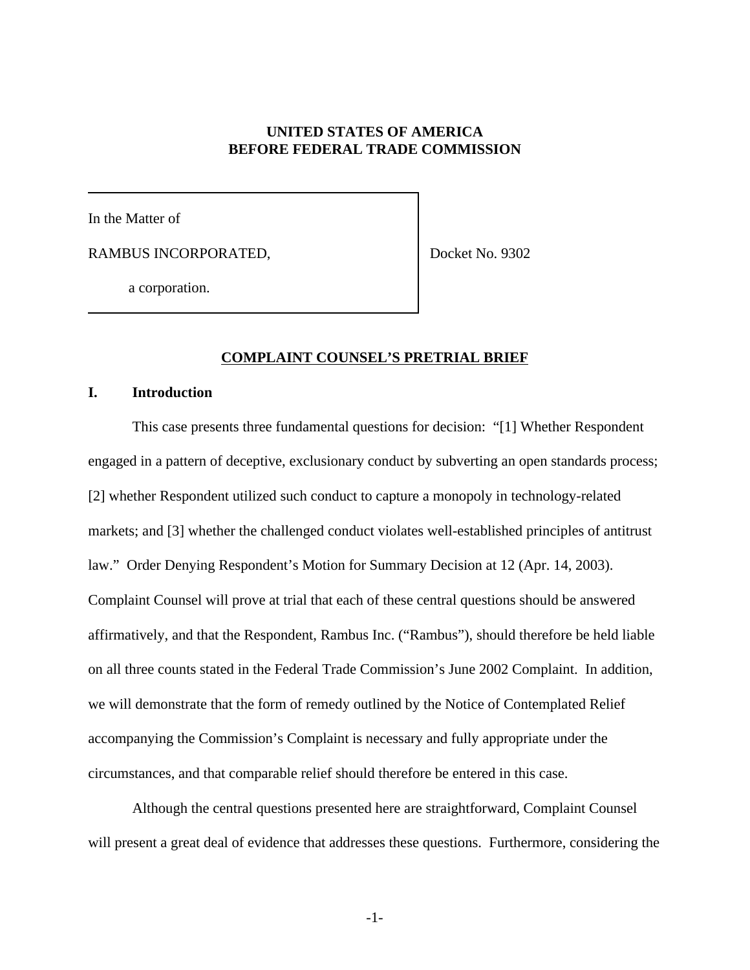### **UNITED STATES OF AMERICA BEFORE FEDERAL TRADE COMMISSION**

In the Matter of

RAMBUS INCORPORATED,

Docket No. 9302

a corporation.

#### **COMPLAINT COUNSEL'S PRETRIAL BRIEF**

#### **I. Introduction**

This case presents three fundamental questions for decision: "[1] Whether Respondent engaged in a pattern of deceptive, exclusionary conduct by subverting an open standards process; [2] whether Respondent utilized such conduct to capture a monopoly in technology-related markets; and [3] whether the challenged conduct violates well-established principles of antitrust law." Order Denying Respondent's Motion for Summary Decision at 12 (Apr. 14, 2003). Complaint Counsel will prove at trial that each of these central questions should be answered affirmatively, and that the Respondent, Rambus Inc. ("Rambus"), should therefore be held liable on all three counts stated in the Federal Trade Commission's June 2002 Complaint. In addition, we will demonstrate that the form of remedy outlined by the Notice of Contemplated Relief accompanying the Commission's Complaint is necessary and fully appropriate under the circumstances, and that comparable relief should therefore be entered in this case.

Although the central questions presented here are straightforward, Complaint Counsel will present a great deal of evidence that addresses these questions. Furthermore, considering the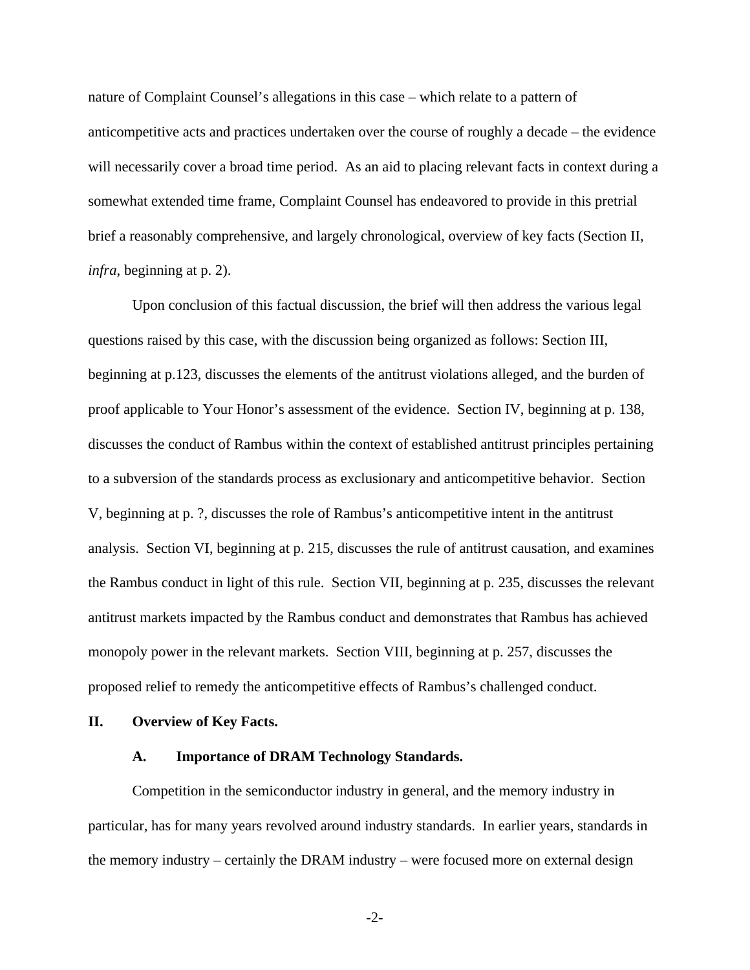nature of Complaint Counsel's allegations in this case – which relate to a pattern of anticompetitive acts and practices undertaken over the course of roughly a decade – the evidence will necessarily cover a broad time period. As an aid to placing relevant facts in context during a somewhat extended time frame, Complaint Counsel has endeavored to provide in this pretrial brief a reasonably comprehensive, and largely chronological, overview of key facts (Section II, *infra*, beginning at p. 2).

Upon conclusion of this factual discussion, the brief will then address the various legal questions raised by this case, with the discussion being organized as follows: Section III, beginning at p.123, discusses the elements of the antitrust violations alleged, and the burden of proof applicable to Your Honor's assessment of the evidence. Section IV, beginning at p. 138, discusses the conduct of Rambus within the context of established antitrust principles pertaining to a subversion of the standards process as exclusionary and anticompetitive behavior. Section V, beginning at p. ?, discusses the role of Rambus's anticompetitive intent in the antitrust analysis. Section VI, beginning at p. 215, discusses the rule of antitrust causation, and examines the Rambus conduct in light of this rule. Section VII, beginning at p. 235, discusses the relevant antitrust markets impacted by the Rambus conduct and demonstrates that Rambus has achieved monopoly power in the relevant markets. Section VIII, beginning at p. 257, discusses the proposed relief to remedy the anticompetitive effects of Rambus's challenged conduct.

#### **II. Overview of Key Facts.**

#### **A. Importance of DRAM Technology Standards.**

Competition in the semiconductor industry in general, and the memory industry in particular, has for many years revolved around industry standards. In earlier years, standards in the memory industry – certainly the DRAM industry – were focused more on external design

-2-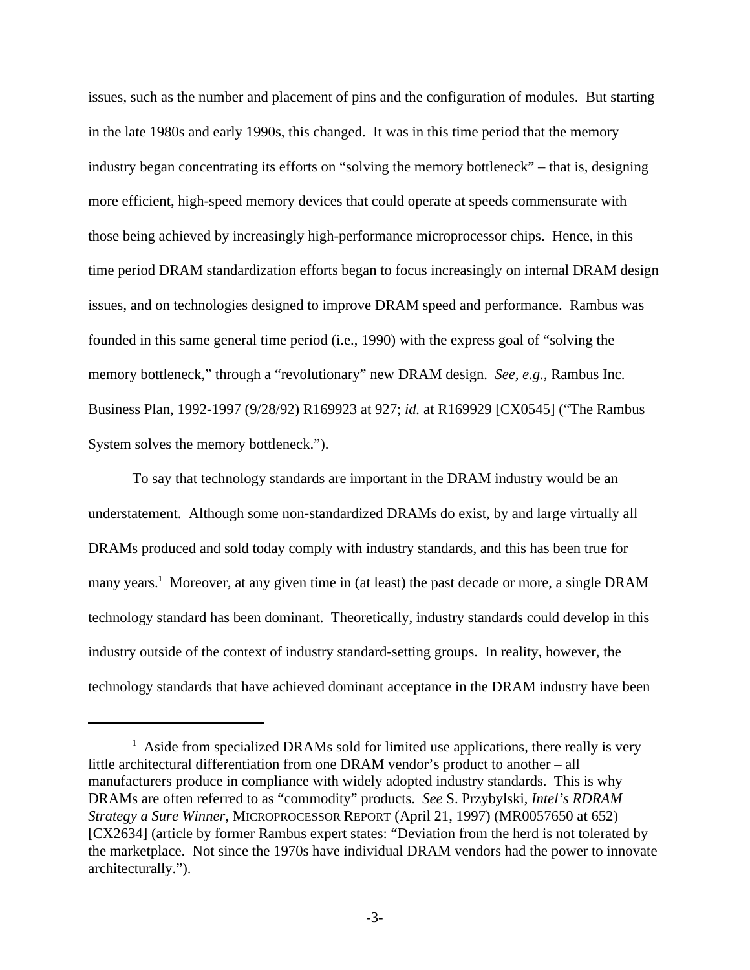issues, such as the number and placement of pins and the configuration of modules. But starting in the late 1980s and early 1990s, this changed. It was in this time period that the memory industry began concentrating its efforts on "solving the memory bottleneck" – that is, designing more efficient, high-speed memory devices that could operate at speeds commensurate with those being achieved by increasingly high-performance microprocessor chips. Hence, in this time period DRAM standardization efforts began to focus increasingly on internal DRAM design issues, and on technologies designed to improve DRAM speed and performance. Rambus was founded in this same general time period (i.e., 1990) with the express goal of "solving the memory bottleneck," through a "revolutionary" new DRAM design. *See, e.g.,* Rambus Inc. Business Plan, 1992-1997 (9/28/92) R169923 at 927; *id.* at R169929 [CX0545] ("The Rambus System solves the memory bottleneck.").

To say that technology standards are important in the DRAM industry would be an understatement. Although some non-standardized DRAMs do exist, by and large virtually all DRAMs produced and sold today comply with industry standards, and this has been true for many years.<sup>1</sup> Moreover, at any given time in (at least) the past decade or more, a single DRAM technology standard has been dominant. Theoretically, industry standards could develop in this industry outside of the context of industry standard-setting groups. In reality, however, the technology standards that have achieved dominant acceptance in the DRAM industry have been

<sup>&</sup>lt;sup>1</sup> Aside from specialized DRAMs sold for limited use applications, there really is very little architectural differentiation from one DRAM vendor's product to another – all manufacturers produce in compliance with widely adopted industry standards. This is why DRAMs are often referred to as "commodity" products. *See* S. Przybylski, *Intel's RDRAM Strategy a Sure Winner,* MICROPROCESSOR REPORT (April 21, 1997) (MR0057650 at 652) [CX2634] (article by former Rambus expert states: "Deviation from the herd is not tolerated by the marketplace. Not since the 1970s have individual DRAM vendors had the power to innovate architecturally.").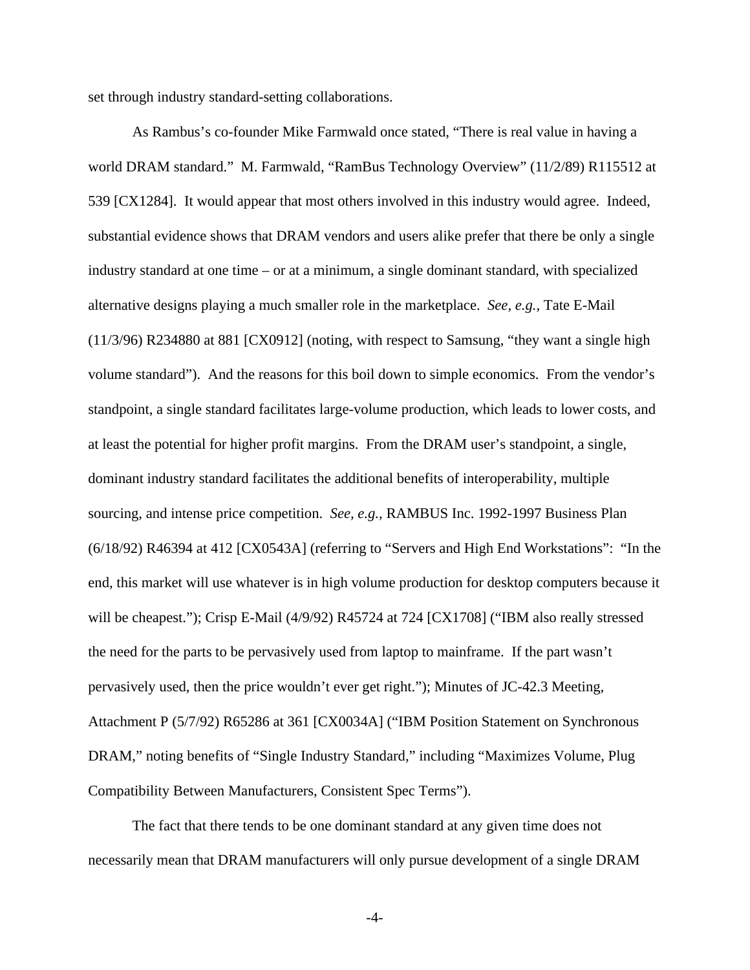set through industry standard-setting collaborations.

As Rambus's co-founder Mike Farmwald once stated, "There is real value in having a world DRAM standard." M. Farmwald, "RamBus Technology Overview" (11/2/89) R115512 at 539 [CX1284]. It would appear that most others involved in this industry would agree. Indeed, substantial evidence shows that DRAM vendors and users alike prefer that there be only a single industry standard at one time – or at a minimum, a single dominant standard, with specialized alternative designs playing a much smaller role in the marketplace. *See, e.g.,* Tate E-Mail (11/3/96) R234880 at 881 [CX0912] (noting, with respect to Samsung, "they want a single high volume standard"). And the reasons for this boil down to simple economics. From the vendor's standpoint, a single standard facilitates large-volume production, which leads to lower costs, and at least the potential for higher profit margins. From the DRAM user's standpoint, a single, dominant industry standard facilitates the additional benefits of interoperability, multiple sourcing, and intense price competition. *See, e.g.,* RAMBUS Inc. 1992-1997 Business Plan (6/18/92) R46394 at 412 [CX0543A] (referring to "Servers and High End Workstations": "In the end, this market will use whatever is in high volume production for desktop computers because it will be cheapest."); Crisp E-Mail (4/9/92) R45724 at 724 [CX1708] ("IBM also really stressed the need for the parts to be pervasively used from laptop to mainframe. If the part wasn't pervasively used, then the price wouldn't ever get right."); Minutes of JC-42.3 Meeting, Attachment P (5/7/92) R65286 at 361 [CX0034A] ("IBM Position Statement on Synchronous DRAM," noting benefits of "Single Industry Standard," including "Maximizes Volume, Plug Compatibility Between Manufacturers, Consistent Spec Terms").

The fact that there tends to be one dominant standard at any given time does not necessarily mean that DRAM manufacturers will only pursue development of a single DRAM

-4-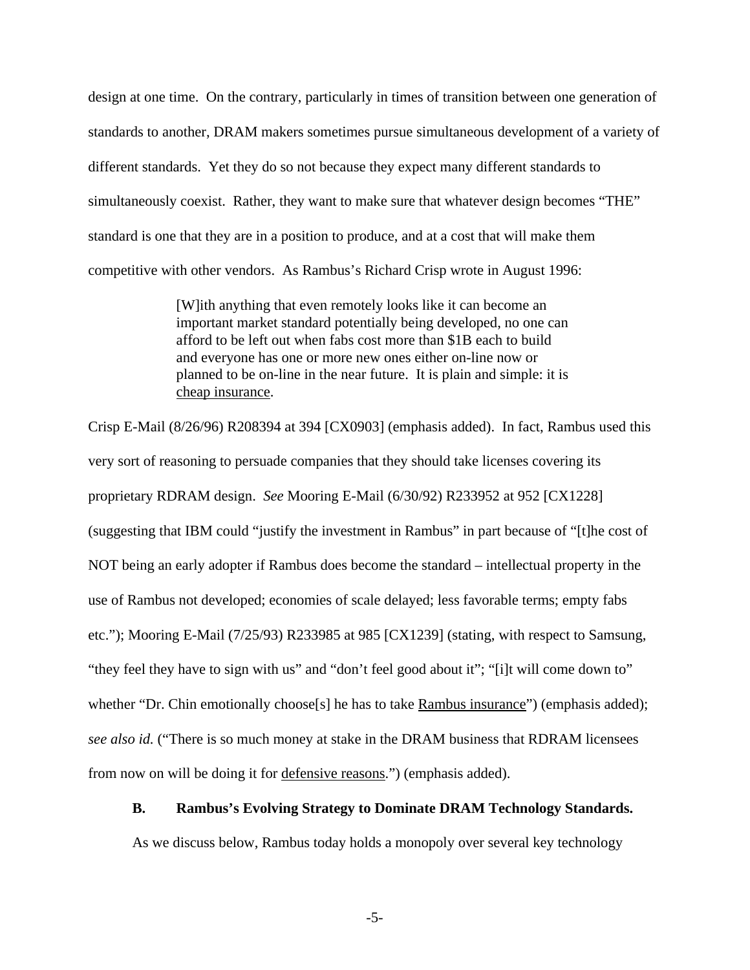design at one time. On the contrary, particularly in times of transition between one generation of standards to another, DRAM makers sometimes pursue simultaneous development of a variety of different standards. Yet they do so not because they expect many different standards to simultaneously coexist. Rather, they want to make sure that whatever design becomes "THE" standard is one that they are in a position to produce, and at a cost that will make them competitive with other vendors. As Rambus's Richard Crisp wrote in August 1996:

> [W]ith anything that even remotely looks like it can become an important market standard potentially being developed, no one can afford to be left out when fabs cost more than \$1B each to build and everyone has one or more new ones either on-line now or planned to be on-line in the near future. It is plain and simple: it is cheap insurance.

Crisp E-Mail (8/26/96) R208394 at 394 [CX0903] (emphasis added). In fact, Rambus used this very sort of reasoning to persuade companies that they should take licenses covering its proprietary RDRAM design. *See* Mooring E-Mail (6/30/92) R233952 at 952 [CX1228] (suggesting that IBM could "justify the investment in Rambus" in part because of "[t]he cost of NOT being an early adopter if Rambus does become the standard – intellectual property in the use of Rambus not developed; economies of scale delayed; less favorable terms; empty fabs etc."); Mooring E-Mail (7/25/93) R233985 at 985 [CX1239] (stating, with respect to Samsung, "they feel they have to sign with us" and "don't feel good about it"; "[i]t will come down to" whether "Dr. Chin emotionally choose<sup>[5]</sup> he has to take Rambus insurance" (emphasis added); *see also id.* ("There is so much money at stake in the DRAM business that RDRAM licensees from now on will be doing it for defensive reasons.") (emphasis added).

#### **B. Rambus's Evolving Strategy to Dominate DRAM Technology Standards.**

As we discuss below, Rambus today holds a monopoly over several key technology

-5-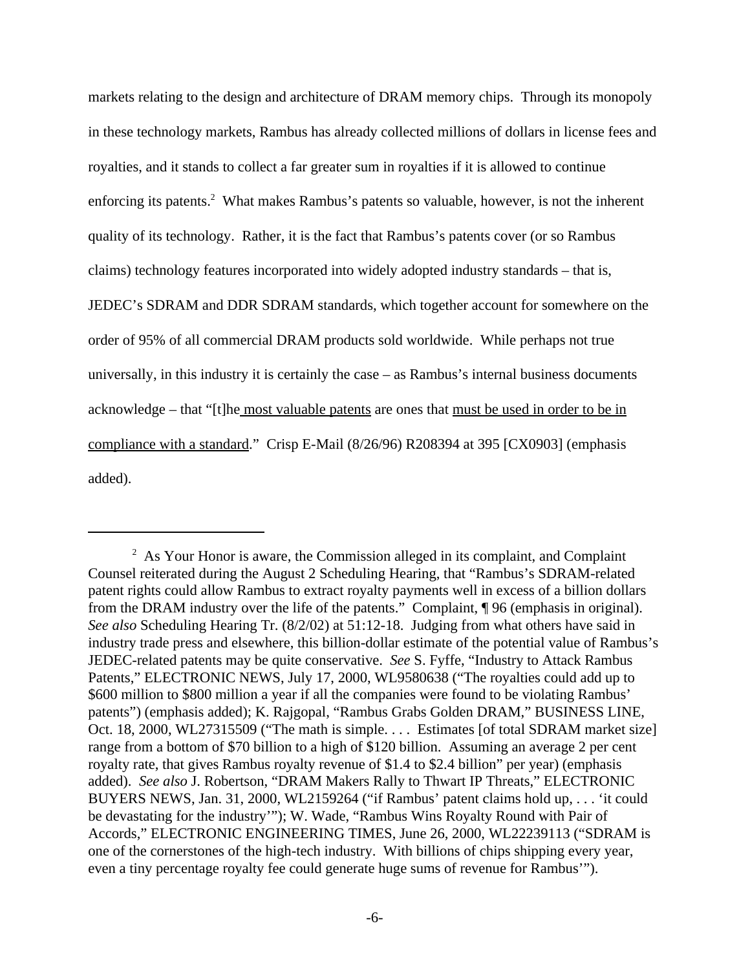markets relating to the design and architecture of DRAM memory chips. Through its monopoly in these technology markets, Rambus has already collected millions of dollars in license fees and royalties, and it stands to collect a far greater sum in royalties if it is allowed to continue enforcing its patents.<sup>2</sup> What makes Rambus's patents so valuable, however, is not the inherent quality of its technology. Rather, it is the fact that Rambus's patents cover (or so Rambus claims) technology features incorporated into widely adopted industry standards – that is, JEDEC's SDRAM and DDR SDRAM standards, which together account for somewhere on the order of 95% of all commercial DRAM products sold worldwide. While perhaps not true universally, in this industry it is certainly the case – as Rambus's internal business documents acknowledge – that "[t]he most valuable patents are ones that must be used in order to be in compliance with a standard." Crisp E-Mail (8/26/96) R208394 at 395 [CX0903] (emphasis added).

 $2$  As Your Honor is aware, the Commission alleged in its complaint, and Complaint Counsel reiterated during the August 2 Scheduling Hearing, that "Rambus's SDRAM-related patent rights could allow Rambus to extract royalty payments well in excess of a billion dollars from the DRAM industry over the life of the patents." Complaint, ¶ 96 (emphasis in original). *See also* Scheduling Hearing Tr. (8/2/02) at 51:12-18. Judging from what others have said in industry trade press and elsewhere, this billion-dollar estimate of the potential value of Rambus's JEDEC-related patents may be quite conservative. *See* S. Fyffe, "Industry to Attack Rambus Patents," ELECTRONIC NEWS, July 17, 2000, WL9580638 ("The royalties could add up to \$600 million to \$800 million a year if all the companies were found to be violating Rambus' patents") (emphasis added); K. Rajgopal, "Rambus Grabs Golden DRAM," BUSINESS LINE, Oct. 18, 2000, WL27315509 ("The math is simple. . . . Estimates [of total SDRAM market size] range from a bottom of \$70 billion to a high of \$120 billion. Assuming an average 2 per cent royalty rate, that gives Rambus royalty revenue of \$1.4 to \$2.4 billion" per year) (emphasis added). *See also* J. Robertson, "DRAM Makers Rally to Thwart IP Threats," ELECTRONIC BUYERS NEWS, Jan. 31, 2000, WL2159264 ("if Rambus' patent claims hold up, . . . 'it could be devastating for the industry'"); W. Wade, "Rambus Wins Royalty Round with Pair of Accords," ELECTRONIC ENGINEERING TIMES, June 26, 2000, WL22239113 ("SDRAM is one of the cornerstones of the high-tech industry. With billions of chips shipping every year, even a tiny percentage royalty fee could generate huge sums of revenue for Rambus'").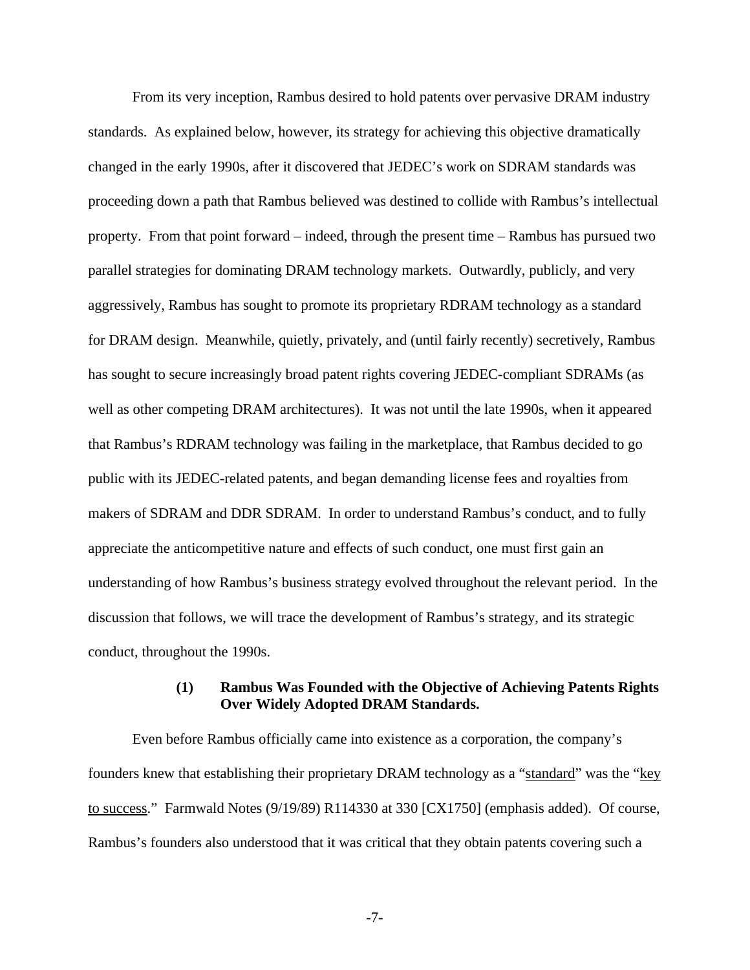From its very inception, Rambus desired to hold patents over pervasive DRAM industry standards. As explained below, however, its strategy for achieving this objective dramatically changed in the early 1990s, after it discovered that JEDEC's work on SDRAM standards was proceeding down a path that Rambus believed was destined to collide with Rambus's intellectual property. From that point forward – indeed, through the present time – Rambus has pursued two parallel strategies for dominating DRAM technology markets. Outwardly, publicly, and very aggressively, Rambus has sought to promote its proprietary RDRAM technology as a standard for DRAM design. Meanwhile, quietly, privately, and (until fairly recently) secretively, Rambus has sought to secure increasingly broad patent rights covering JEDEC-compliant SDRAMs (as well as other competing DRAM architectures). It was not until the late 1990s, when it appeared that Rambus's RDRAM technology was failing in the marketplace, that Rambus decided to go public with its JEDEC-related patents, and began demanding license fees and royalties from makers of SDRAM and DDR SDRAM. In order to understand Rambus's conduct, and to fully appreciate the anticompetitive nature and effects of such conduct, one must first gain an understanding of how Rambus's business strategy evolved throughout the relevant period. In the discussion that follows, we will trace the development of Rambus's strategy, and its strategic conduct, throughout the 1990s.

### **(1) Rambus Was Founded with the Objective of Achieving Patents Rights Over Widely Adopted DRAM Standards.**

Even before Rambus officially came into existence as a corporation, the company's founders knew that establishing their proprietary DRAM technology as a "standard" was the "key to success." Farmwald Notes (9/19/89) R114330 at 330 [CX1750] (emphasis added). Of course, Rambus's founders also understood that it was critical that they obtain patents covering such a

-7-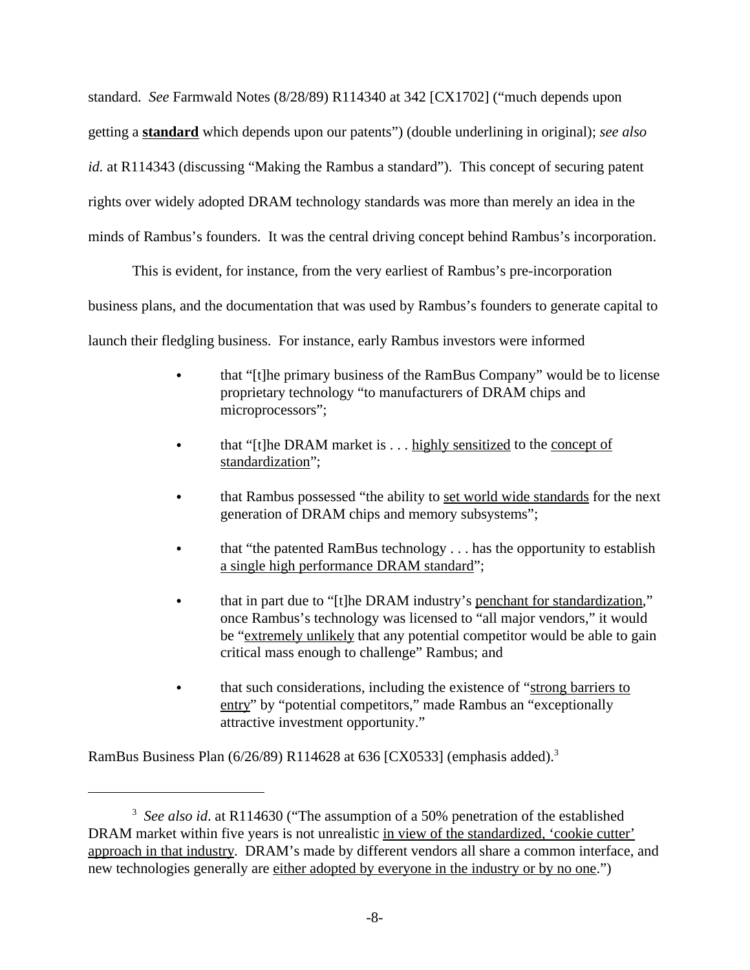standard. *See* Farmwald Notes (8/28/89) R114340 at 342 [CX1702] ("much depends upon getting a **standard** which depends upon our patents") (double underlining in original); *see also id.* at R114343 (discussing "Making the Rambus a standard"). This concept of securing patent rights over widely adopted DRAM technology standards was more than merely an idea in the minds of Rambus's founders. It was the central driving concept behind Rambus's incorporation.

This is evident, for instance, from the very earliest of Rambus's pre-incorporation business plans, and the documentation that was used by Rambus's founders to generate capital to launch their fledgling business. For instance, early Rambus investors were informed

- that "[t]he primary business of the RamBus Company" would be to license proprietary technology "to manufacturers of DRAM chips and microprocessors";
- that " $[t]$ he DRAM market is . . . highly sensitized to the concept of standardization";
- that Rambus possessed "the ability to set world wide standards for the next generation of DRAM chips and memory subsystems";
- that "the patented RamBus technology . . . has the opportunity to establish a single high performance DRAM standard";
- that in part due to "[t]he DRAM industry's penchant for standardization," once Rambus's technology was licensed to "all major vendors," it would be "extremely unlikely that any potential competitor would be able to gain critical mass enough to challenge" Rambus; and
- that such considerations, including the existence of "strong barriers to entry" by "potential competitors," made Rambus an "exceptionally attractive investment opportunity."

RamBus Business Plan (6/26/89) R114628 at 636 [CX0533] (emphasis added).3

<sup>&</sup>lt;sup>3</sup> See also id. at R114630 ("The assumption of a 50% penetration of the established DRAM market within five years is not unrealistic in view of the standardized, 'cookie cutter' approach in that industry. DRAM's made by different vendors all share a common interface, and new technologies generally are either adopted by everyone in the industry or by no one.")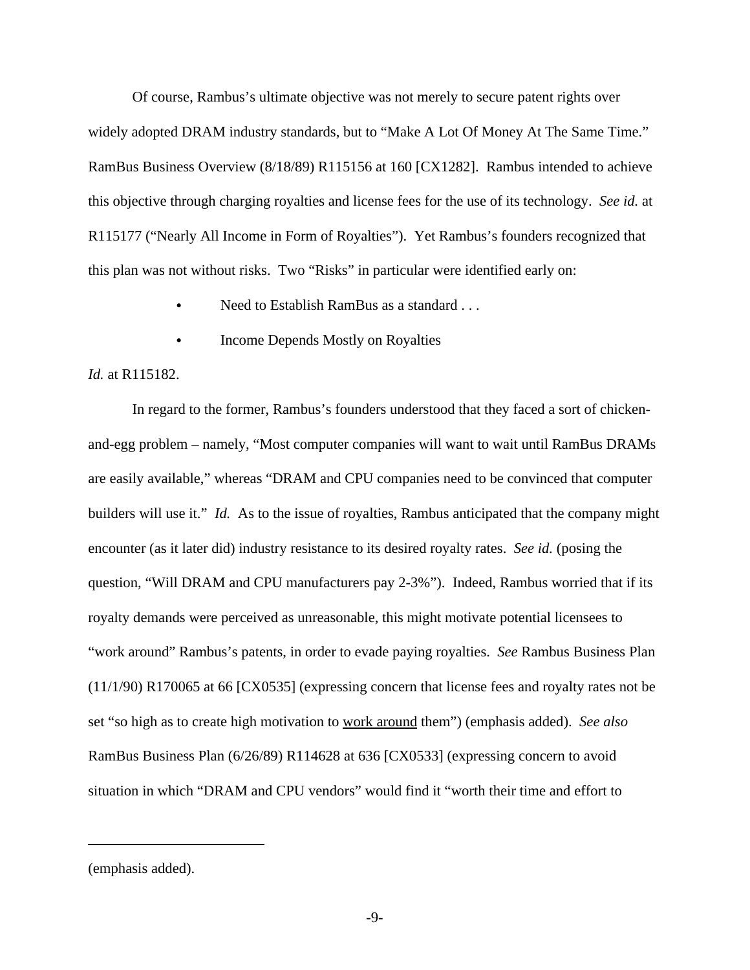Of course, Rambus's ultimate objective was not merely to secure patent rights over widely adopted DRAM industry standards, but to "Make A Lot Of Money At The Same Time." RamBus Business Overview (8/18/89) R115156 at 160 [CX1282]. Rambus intended to achieve this objective through charging royalties and license fees for the use of its technology. *See id.* at R115177 ("Nearly All Income in Form of Royalties"). Yet Rambus's founders recognized that this plan was not without risks. Two "Risks" in particular were identified early on:

- Need to Establish RamBus as a standard . . .
- Income Depends Mostly on Royalties

#### *Id.* at R115182.

In regard to the former, Rambus's founders understood that they faced a sort of chickenand-egg problem – namely, "Most computer companies will want to wait until RamBus DRAMs are easily available," whereas "DRAM and CPU companies need to be convinced that computer builders will use it." *Id.* As to the issue of royalties, Rambus anticipated that the company might encounter (as it later did) industry resistance to its desired royalty rates. *See id.* (posing the question, "Will DRAM and CPU manufacturers pay 2-3%"). Indeed, Rambus worried that if its royalty demands were perceived as unreasonable, this might motivate potential licensees to "work around" Rambus's patents, in order to evade paying royalties. *See* Rambus Business Plan (11/1/90) R170065 at 66 [CX0535] (expressing concern that license fees and royalty rates not be set "so high as to create high motivation to work around them") (emphasis added). *See also* RamBus Business Plan (6/26/89) R114628 at 636 [CX0533] (expressing concern to avoid situation in which "DRAM and CPU vendors" would find it "worth their time and effort to

<sup>(</sup>emphasis added).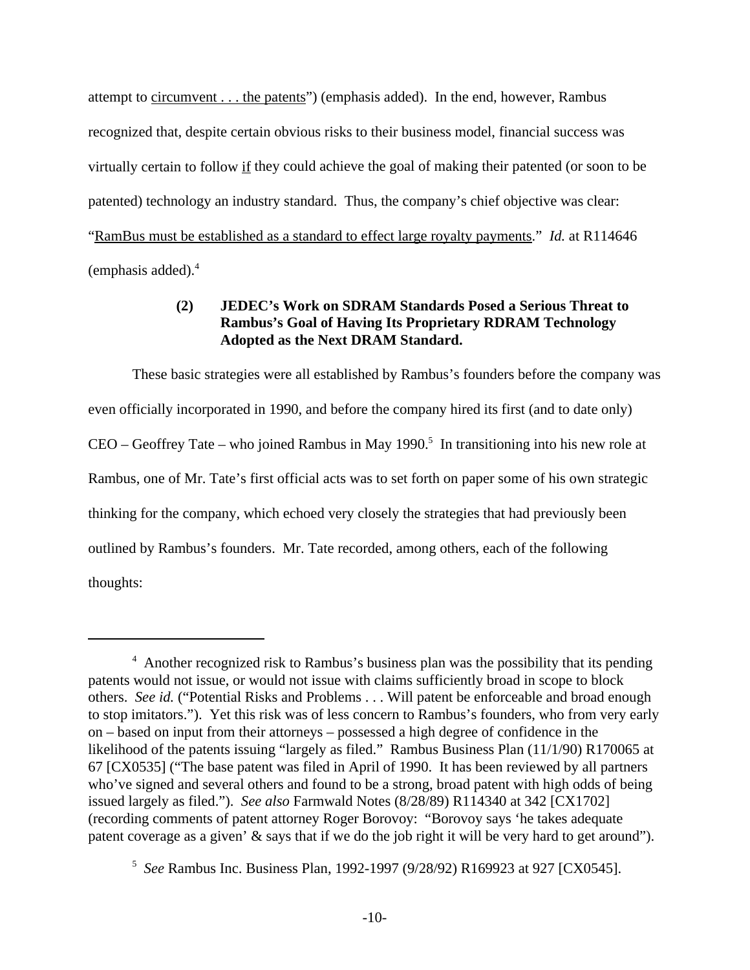attempt to <u>circumvent . . . the patents</u>") (emphasis added). In the end, however, Rambus recognized that, despite certain obvious risks to their business model, financial success was virtually certain to follow if they could achieve the goal of making their patented (or soon to be patented) technology an industry standard. Thus, the company's chief objective was clear: "RamBus must be established as a standard to effect large royalty payments." *Id.* at R114646  $(emphasis added).<sup>4</sup>$ 

### **(2) JEDEC's Work on SDRAM Standards Posed a Serious Threat to Rambus's Goal of Having Its Proprietary RDRAM Technology Adopted as the Next DRAM Standard.**

These basic strategies were all established by Rambus's founders before the company was even officially incorporated in 1990, and before the company hired its first (and to date only)  $CEO - Geoffrey$  Tate – who joined Rambus in May 1990.<sup>5</sup> In transitioning into his new role at Rambus, one of Mr. Tate's first official acts was to set forth on paper some of his own strategic thinking for the company, which echoed very closely the strategies that had previously been outlined by Rambus's founders. Mr. Tate recorded, among others, each of the following thoughts:

<sup>&</sup>lt;sup>4</sup> Another recognized risk to Rambus's business plan was the possibility that its pending patents would not issue, or would not issue with claims sufficiently broad in scope to block others. *See id.* ("Potential Risks and Problems . . . Will patent be enforceable and broad enough to stop imitators."). Yet this risk was of less concern to Rambus's founders, who from very early on – based on input from their attorneys – possessed a high degree of confidence in the likelihood of the patents issuing "largely as filed." Rambus Business Plan (11/1/90) R170065 at 67 [CX0535] ("The base patent was filed in April of 1990. It has been reviewed by all partners who've signed and several others and found to be a strong, broad patent with high odds of being issued largely as filed."). *See also* Farmwald Notes (8/28/89) R114340 at 342 [CX1702] (recording comments of patent attorney Roger Borovoy: "Borovoy says 'he takes adequate patent coverage as a given' & says that if we do the job right it will be very hard to get around").

<sup>5</sup> *See* Rambus Inc. Business Plan, 1992-1997 (9/28/92) R169923 at 927 [CX0545].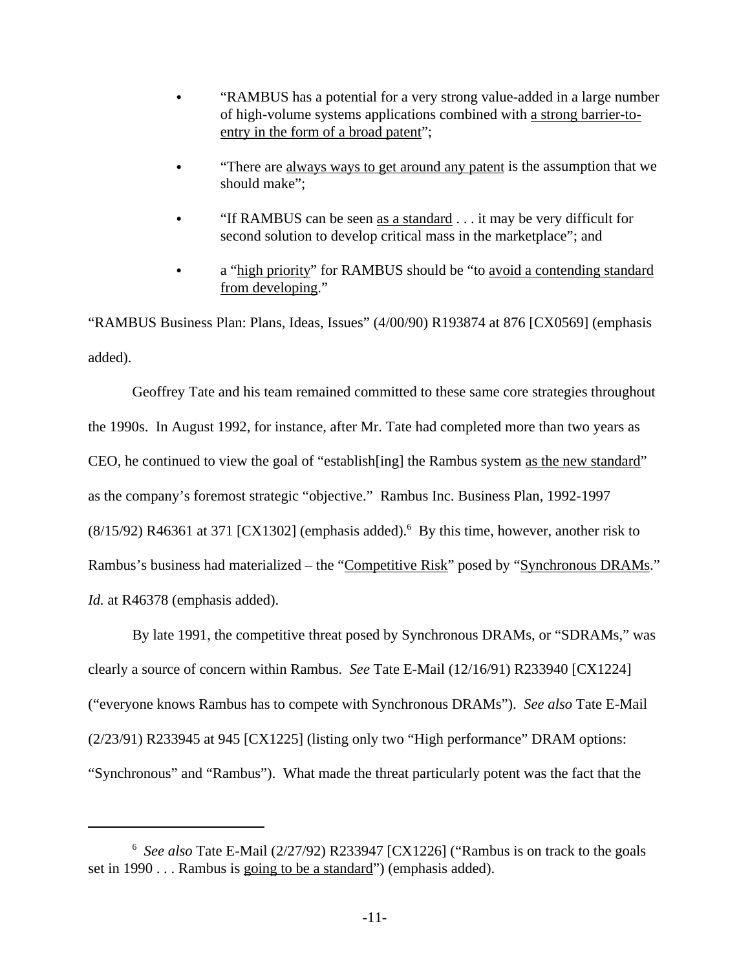- "RAMBUS has a potential for a very strong value-added in a large number of high-volume systems applications combined with a strong barrier-toentry in the form of a broad patent";
- "There are always ways to get around any patent is the assumption that we should make";
- "If RAMBUS can be seen as a standard  $\ldots$  it may be very difficult for second solution to develop critical mass in the marketplace"; and
- a "high priority" for RAMBUS should be "to avoid a contending standard from developing."

"RAMBUS Business Plan: Plans, Ideas, Issues" (4/00/90) R193874 at 876 [CX0569] (emphasis added).

Geoffrey Tate and his team remained committed to these same core strategies throughout the 1990s. In August 1992, for instance, after Mr. Tate had completed more than two years as CEO, he continued to view the goal of "establish[ing] the Rambus system as the new standard" as the company's foremost strategic "objective." Rambus Inc. Business Plan, 1992-1997  $(8/15/92)$  R46361 at 371 [CX1302] (emphasis added).<sup>6</sup> By this time, however, another risk to Rambus's business had materialized – the "Competitive Risk" posed by "Synchronous DRAMs." *Id.* at R46378 (emphasis added).

By late 1991, the competitive threat posed by Synchronous DRAMs, or "SDRAMs," was clearly a source of concern within Rambus. *See* Tate E-Mail (12/16/91) R233940 [CX1224] ("everyone knows Rambus has to compete with Synchronous DRAMs"). *See also* Tate E-Mail (2/23/91) R233945 at 945 [CX1225] (listing only two "High performance" DRAM options: "Synchronous" and "Rambus"). What made the threat particularly potent was the fact that the

<sup>&</sup>lt;sup>6</sup> See also Tate E-Mail (2/27/92) R233947 [CX1226] ("Rambus is on track to the goals set in 1990 . . . Rambus is going to be a standard") (emphasis added).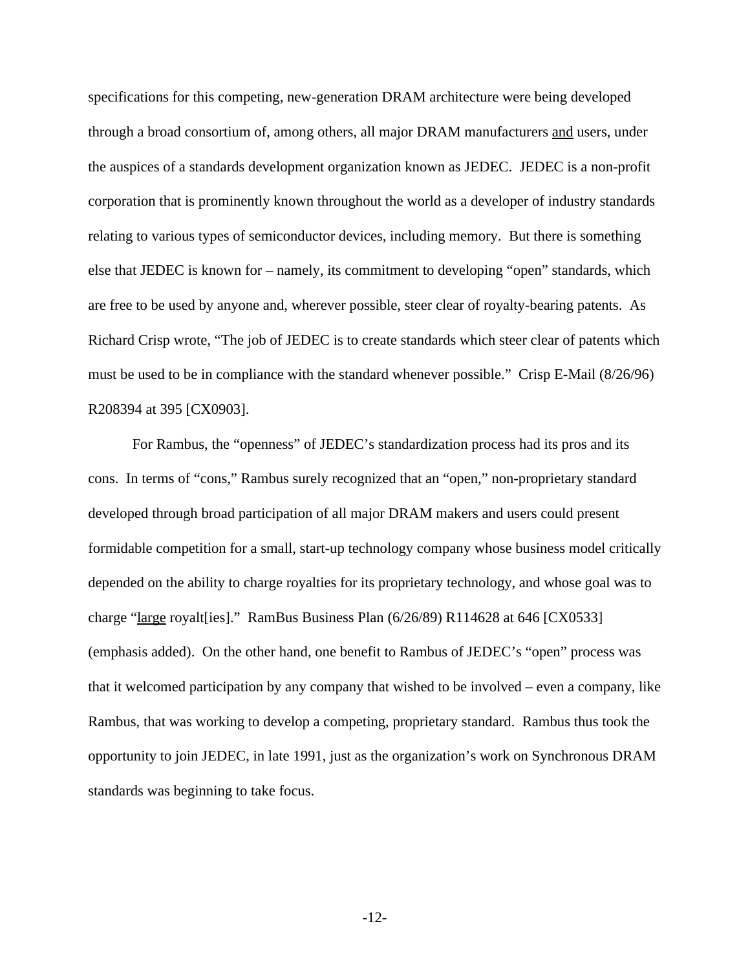specifications for this competing, new-generation DRAM architecture were being developed through a broad consortium of, among others, all major DRAM manufacturers and users, under the auspices of a standards development organization known as JEDEC. JEDEC is a non-profit corporation that is prominently known throughout the world as a developer of industry standards relating to various types of semiconductor devices, including memory. But there is something else that JEDEC is known for – namely, its commitment to developing "open" standards, which are free to be used by anyone and, wherever possible, steer clear of royalty-bearing patents. As Richard Crisp wrote, "The job of JEDEC is to create standards which steer clear of patents which must be used to be in compliance with the standard whenever possible." Crisp E-Mail (8/26/96) R208394 at 395 [CX0903].

For Rambus, the "openness" of JEDEC's standardization process had its pros and its cons. In terms of "cons," Rambus surely recognized that an "open," non-proprietary standard developed through broad participation of all major DRAM makers and users could present formidable competition for a small, start-up technology company whose business model critically depended on the ability to charge royalties for its proprietary technology, and whose goal was to charge "large royalt[ies]." RamBus Business Plan (6/26/89) R114628 at 646 [CX0533] (emphasis added). On the other hand, one benefit to Rambus of JEDEC's "open" process was that it welcomed participation by any company that wished to be involved – even a company, like Rambus, that was working to develop a competing, proprietary standard. Rambus thus took the opportunity to join JEDEC, in late 1991, just as the organization's work on Synchronous DRAM standards was beginning to take focus.

-12-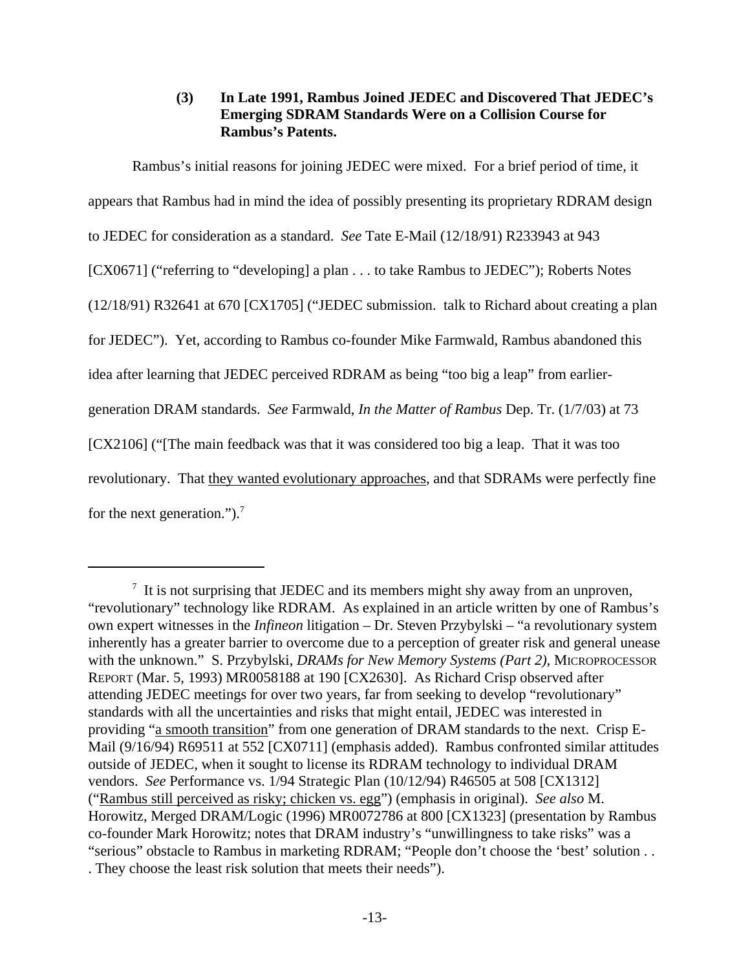### **(3) In Late 1991, Rambus Joined JEDEC and Discovered That JEDEC's Emerging SDRAM Standards Were on a Collision Course for Rambus's Patents.**

Rambus's initial reasons for joining JEDEC were mixed. For a brief period of time, it appears that Rambus had in mind the idea of possibly presenting its proprietary RDRAM design to JEDEC for consideration as a standard. *See* Tate E-Mail (12/18/91) R233943 at 943 [CX0671] ("referring to "developing] a plan . . . to take Rambus to JEDEC"); Roberts Notes (12/18/91) R32641 at 670 [CX1705] ("JEDEC submission. talk to Richard about creating a plan for JEDEC"). Yet, according to Rambus co-founder Mike Farmwald, Rambus abandoned this idea after learning that JEDEC perceived RDRAM as being "too big a leap" from earliergeneration DRAM standards. *See* Farmwald, *In the Matter of Rambus* Dep. Tr. (1/7/03) at 73 [CX2106] ("[The main feedback was that it was considered too big a leap. That it was too revolutionary. That they wanted evolutionary approaches, and that SDRAMs were perfectly fine for the next generation.").<sup>7</sup>

 $\frac{7}{1}$  It is not surprising that JEDEC and its members might shy away from an unproven, "revolutionary" technology like RDRAM. As explained in an article written by one of Rambus's own expert witnesses in the *Infineon* litigation – Dr. Steven Przybylski – "a revolutionary system inherently has a greater barrier to overcome due to a perception of greater risk and general unease with the unknown." S. Przybylski, *DRAMs for New Memory Systems (Part 2)*, MICROPROCESSOR REPORT (Mar. 5, 1993) MR0058188 at 190 [CX2630]. As Richard Crisp observed after attending JEDEC meetings for over two years, far from seeking to develop "revolutionary" standards with all the uncertainties and risks that might entail, JEDEC was interested in providing "a smooth transition" from one generation of DRAM standards to the next. Crisp E-Mail (9/16/94) R69511 at 552 [CX0711] (emphasis added). Rambus confronted similar attitudes outside of JEDEC, when it sought to license its RDRAM technology to individual DRAM vendors. *See* Performance vs. 1/94 Strategic Plan (10/12/94) R46505 at 508 [CX1312] ("Rambus still perceived as risky; chicken vs. egg") (emphasis in original). *See also* M. Horowitz, Merged DRAM/Logic (1996) MR0072786 at 800 [CX1323] (presentation by Rambus co-founder Mark Horowitz; notes that DRAM industry's "unwillingness to take risks" was a "serious" obstacle to Rambus in marketing RDRAM; "People don't choose the 'best' solution . . . They choose the least risk solution that meets their needs").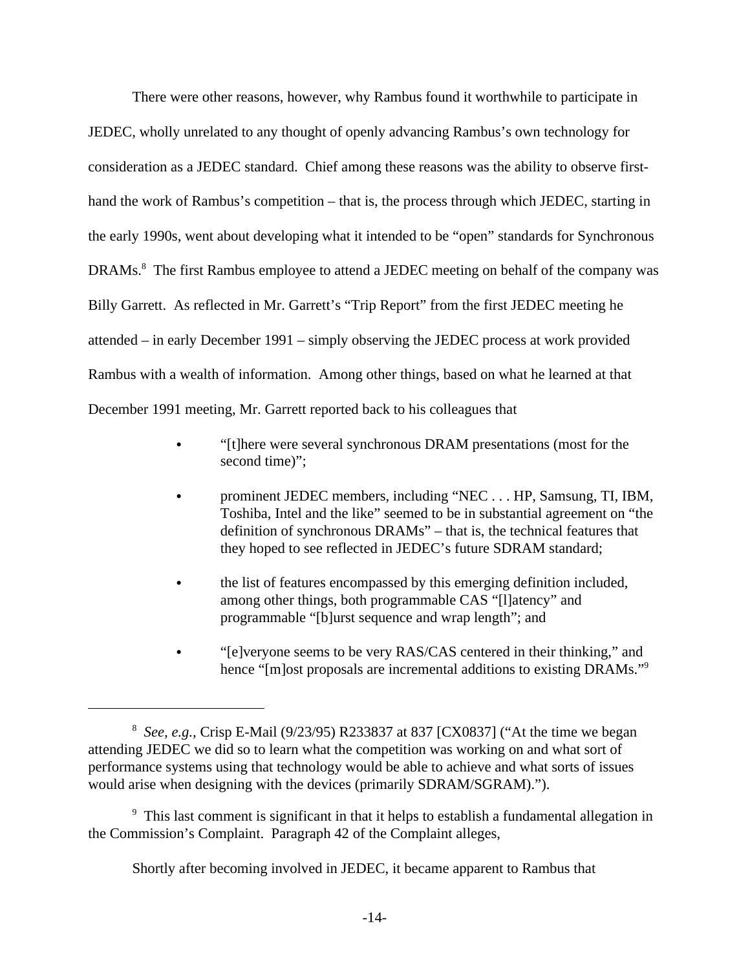There were other reasons, however, why Rambus found it worthwhile to participate in JEDEC, wholly unrelated to any thought of openly advancing Rambus's own technology for consideration as a JEDEC standard. Chief among these reasons was the ability to observe firsthand the work of Rambus's competition – that is, the process through which JEDEC, starting in the early 1990s, went about developing what it intended to be "open" standards for Synchronous DRAMs.<sup>8</sup> The first Rambus employee to attend a JEDEC meeting on behalf of the company was Billy Garrett. As reflected in Mr. Garrett's "Trip Report" from the first JEDEC meeting he attended – in early December 1991 – simply observing the JEDEC process at work provided Rambus with a wealth of information. Among other things, based on what he learned at that December 1991 meeting, Mr. Garrett reported back to his colleagues that

- "[t]here were several synchronous DRAM presentations (most for the second time)";
- prominent JEDEC members, including "NEC . . . HP, Samsung, TI, IBM, Toshiba, Intel and the like" seemed to be in substantial agreement on "the definition of synchronous DRAMs" – that is, the technical features that they hoped to see reflected in JEDEC's future SDRAM standard;
- the list of features encompassed by this emerging definition included, among other things, both programmable CAS "[l]atency" and programmable "[b]urst sequence and wrap length"; and
- "[e]veryone seems to be very RAS/CAS centered in their thinking," and hence "[m]ost proposals are incremental additions to existing DRAMs."<sup>9</sup>

Shortly after becoming involved in JEDEC, it became apparent to Rambus that

<sup>8</sup> *See, e.g.,* Crisp E-Mail (9/23/95) R233837 at 837 [CX0837] ("At the time we began attending JEDEC we did so to learn what the competition was working on and what sort of performance systems using that technology would be able to achieve and what sorts of issues would arise when designing with the devices (primarily SDRAM/SGRAM).").

<sup>&</sup>lt;sup>9</sup> This last comment is significant in that it helps to establish a fundamental allegation in the Commission's Complaint. Paragraph 42 of the Complaint alleges,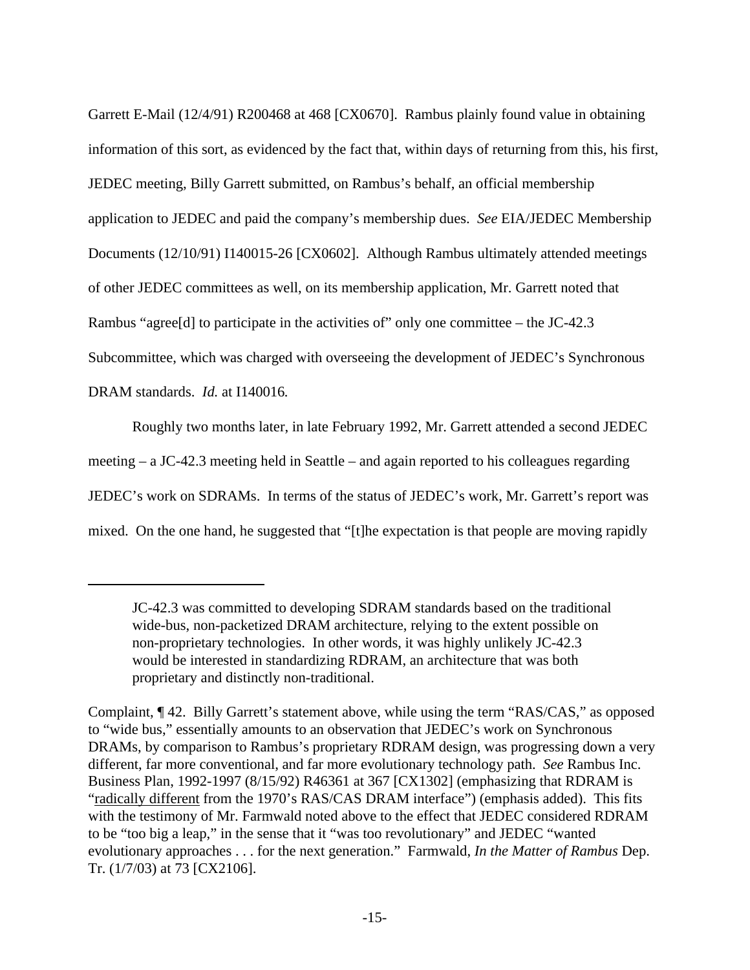Garrett E-Mail (12/4/91) R200468 at 468 [CX0670]. Rambus plainly found value in obtaining information of this sort, as evidenced by the fact that, within days of returning from this, his first, JEDEC meeting, Billy Garrett submitted, on Rambus's behalf, an official membership application to JEDEC and paid the company's membership dues. *See* EIA/JEDEC Membership Documents (12/10/91) I140015-26 [CX0602]. Although Rambus ultimately attended meetings of other JEDEC committees as well, on its membership application, Mr. Garrett noted that Rambus "agree<sup>[d]</sup> to participate in the activities of" only one committee – the JC-42.3 Subcommittee, which was charged with overseeing the development of JEDEC's Synchronous DRAM standards. *Id.* at I140016*.*

Roughly two months later, in late February 1992, Mr. Garrett attended a second JEDEC meeting – a JC-42.3 meeting held in Seattle – and again reported to his colleagues regarding JEDEC's work on SDRAMs. In terms of the status of JEDEC's work, Mr. Garrett's report was mixed. On the one hand, he suggested that "[t]he expectation is that people are moving rapidly

JC-42.3 was committed to developing SDRAM standards based on the traditional wide-bus, non-packetized DRAM architecture, relying to the extent possible on non-proprietary technologies. In other words, it was highly unlikely JC-42.3 would be interested in standardizing RDRAM, an architecture that was both proprietary and distinctly non-traditional.

Complaint, ¶ 42. Billy Garrett's statement above, while using the term "RAS/CAS," as opposed to "wide bus," essentially amounts to an observation that JEDEC's work on Synchronous DRAMs, by comparison to Rambus's proprietary RDRAM design, was progressing down a very different, far more conventional, and far more evolutionary technology path. *See* Rambus Inc. Business Plan, 1992-1997 (8/15/92) R46361 at 367 [CX1302] (emphasizing that RDRAM is "radically different from the 1970's RAS/CAS DRAM interface") (emphasis added). This fits with the testimony of Mr. Farmwald noted above to the effect that JEDEC considered RDRAM to be "too big a leap," in the sense that it "was too revolutionary" and JEDEC "wanted evolutionary approaches . . . for the next generation." Farmwald, *In the Matter of Rambus* Dep. Tr. (1/7/03) at 73 [CX2106].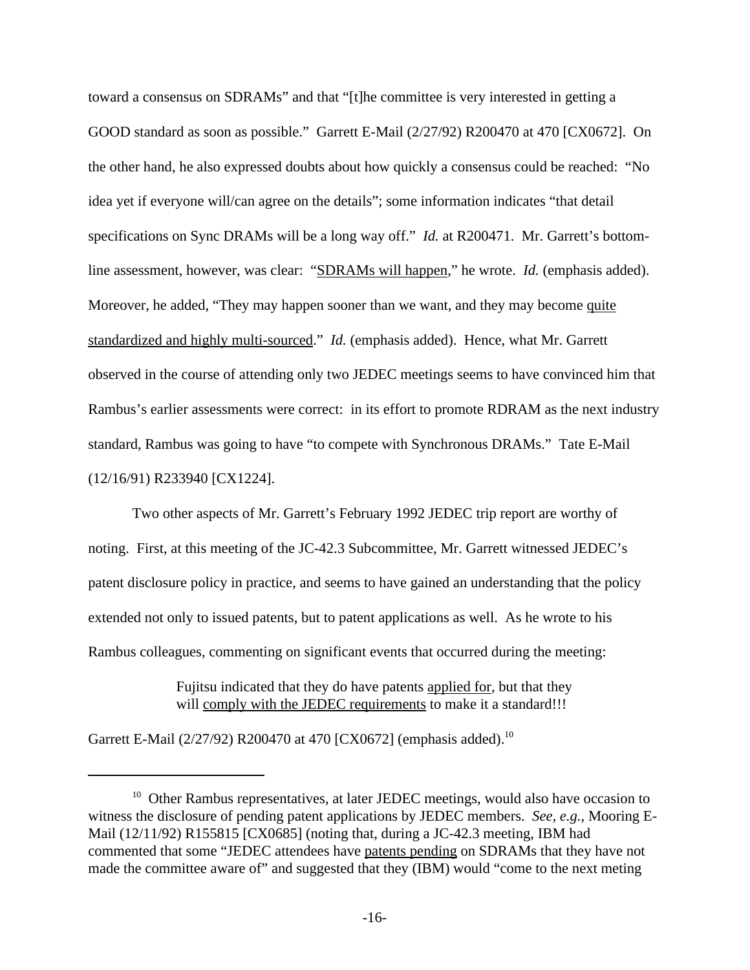toward a consensus on SDRAMs" and that "[t]he committee is very interested in getting a GOOD standard as soon as possible." Garrett E-Mail (2/27/92) R200470 at 470 [CX0672]. On the other hand, he also expressed doubts about how quickly a consensus could be reached: "No idea yet if everyone will/can agree on the details"; some information indicates "that detail specifications on Sync DRAMs will be a long way off." *Id.* at R200471. Mr. Garrett's bottomline assessment, however, was clear: "SDRAMs will happen," he wrote. *Id.* (emphasis added). Moreover, he added, "They may happen sooner than we want, and they may become quite standardized and highly multi-sourced." *Id.* (emphasis added). Hence, what Mr. Garrett observed in the course of attending only two JEDEC meetings seems to have convinced him that Rambus's earlier assessments were correct: in its effort to promote RDRAM as the next industry standard, Rambus was going to have "to compete with Synchronous DRAMs." Tate E-Mail (12/16/91) R233940 [CX1224].

Two other aspects of Mr. Garrett's February 1992 JEDEC trip report are worthy of noting. First, at this meeting of the JC-42.3 Subcommittee, Mr. Garrett witnessed JEDEC's patent disclosure policy in practice, and seems to have gained an understanding that the policy extended not only to issued patents, but to patent applications as well. As he wrote to his Rambus colleagues, commenting on significant events that occurred during the meeting:

> Fujitsu indicated that they do have patents applied for, but that they will comply with the JEDEC requirements to make it a standard!!!

Garrett E-Mail (2/27/92) R200470 at 470 [CX0672] (emphasis added).<sup>10</sup>

<sup>&</sup>lt;sup>10</sup> Other Rambus representatives, at later JEDEC meetings, would also have occasion to witness the disclosure of pending patent applications by JEDEC members. *See, e.g.,* Mooring E-Mail (12/11/92) R155815 [CX0685] (noting that, during a JC-42.3 meeting, IBM had commented that some "JEDEC attendees have patents pending on SDRAMs that they have not made the committee aware of" and suggested that they (IBM) would "come to the next meting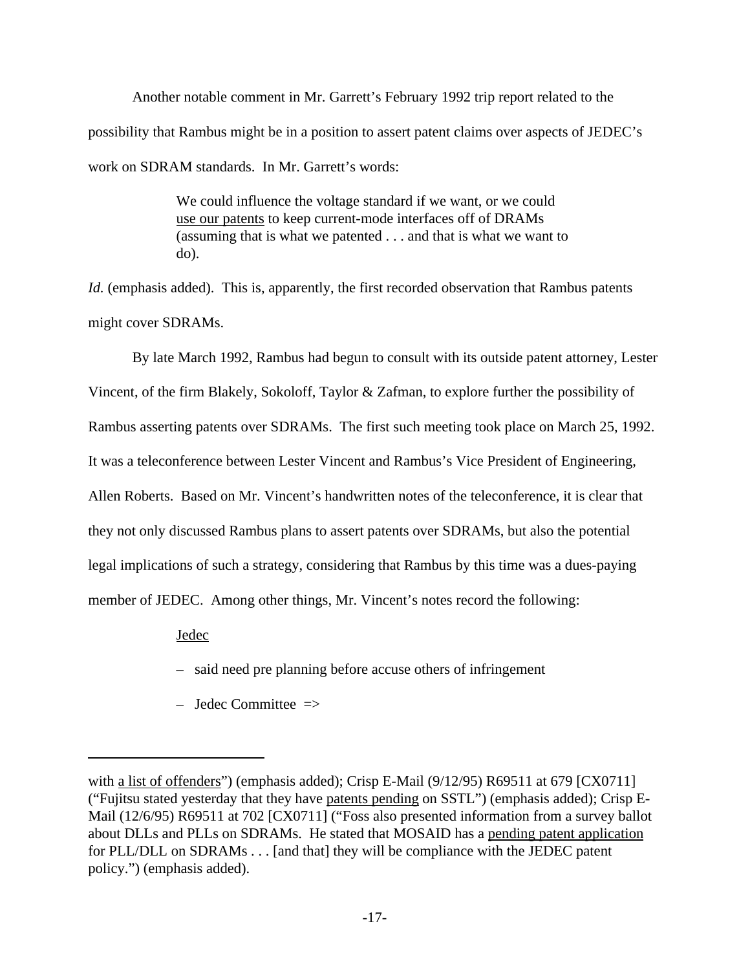Another notable comment in Mr. Garrett's February 1992 trip report related to the possibility that Rambus might be in a position to assert patent claims over aspects of JEDEC's work on SDRAM standards. In Mr. Garrett's words:

> We could influence the voltage standard if we want, or we could use our patents to keep current-mode interfaces off of DRAMs (assuming that is what we patented . . . and that is what we want to do).

*Id.* (emphasis added). This is, apparently, the first recorded observation that Rambus patents might cover SDRAMs.

By late March 1992, Rambus had begun to consult with its outside patent attorney, Lester Vincent, of the firm Blakely, Sokoloff, Taylor & Zafman, to explore further the possibility of Rambus asserting patents over SDRAMs. The first such meeting took place on March 25, 1992. It was a teleconference between Lester Vincent and Rambus's Vice President of Engineering, Allen Roberts. Based on Mr. Vincent's handwritten notes of the teleconference, it is clear that they not only discussed Rambus plans to assert patents over SDRAMs, but also the potential legal implications of such a strategy, considering that Rambus by this time was a dues-paying member of JEDEC. Among other things, Mr. Vincent's notes record the following:

Jedec

– said need pre planning before accuse others of infringement

– Jedec Committee  $\Rightarrow$ 

with a list of offenders") (emphasis added); Crisp E-Mail (9/12/95) R69511 at 679 [CX0711] ("Fujitsu stated yesterday that they have patents pending on SSTL") (emphasis added); Crisp E-Mail (12/6/95) R69511 at 702 [CX0711] ("Foss also presented information from a survey ballot about DLLs and PLLs on SDRAMs. He stated that MOSAID has a pending patent application for PLL/DLL on SDRAMs . . . [and that] they will be compliance with the JEDEC patent policy.") (emphasis added).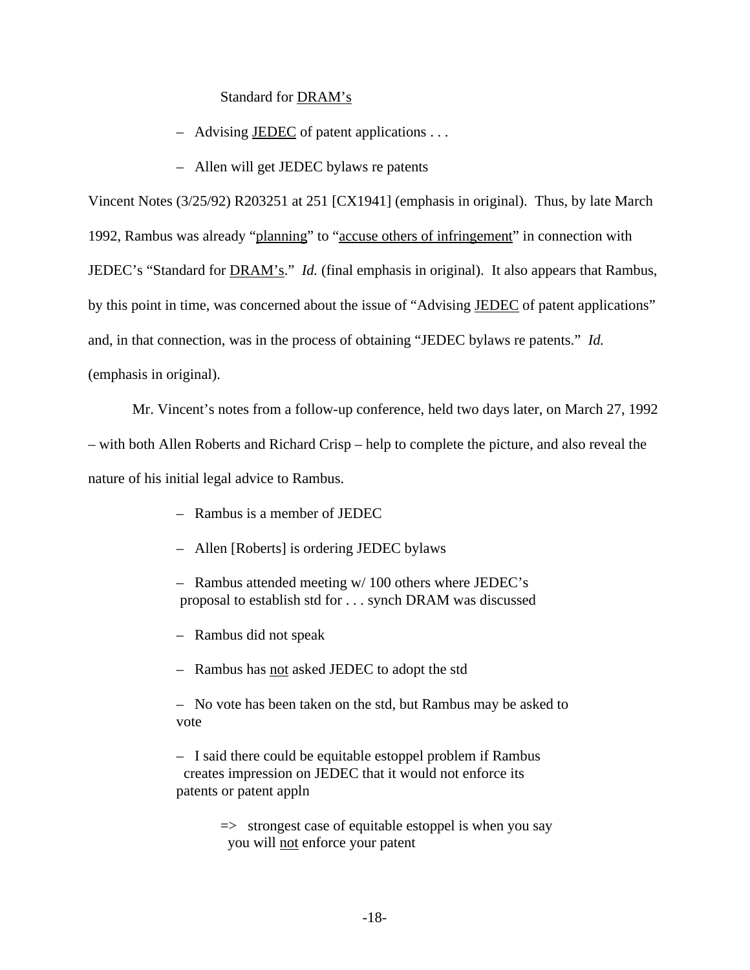#### Standard for DRAM's

- Advising JEDEC of patent applications . . .
- Allen will get JEDEC bylaws re patents

Vincent Notes (3/25/92) R203251 at 251 [CX1941] (emphasis in original). Thus, by late March 1992, Rambus was already "planning" to "accuse others of infringement" in connection with JEDEC's "Standard for DRAM's." *Id.* (final emphasis in original). It also appears that Rambus, by this point in time, was concerned about the issue of "Advising JEDEC of patent applications" and, in that connection, was in the process of obtaining "JEDEC bylaws re patents." *Id.* (emphasis in original).

Mr. Vincent's notes from a follow-up conference, held two days later, on March 27, 1992

– with both Allen Roberts and Richard Crisp – help to complete the picture, and also reveal the nature of his initial legal advice to Rambus.

- Rambus is a member of JEDEC
- Allen [Roberts] is ordering JEDEC bylaws
- Rambus attended meeting w/ 100 others where JEDEC's proposal to establish std for . . . synch DRAM was discussed
- Rambus did not speak
- Rambus has not asked JEDEC to adopt the std

– No vote has been taken on the std, but Rambus may be asked to vote

– I said there could be equitable estoppel problem if Rambus creates impression on JEDEC that it would not enforce its patents or patent appln

> $\Rightarrow$  strongest case of equitable estoppel is when you say you will not enforce your patent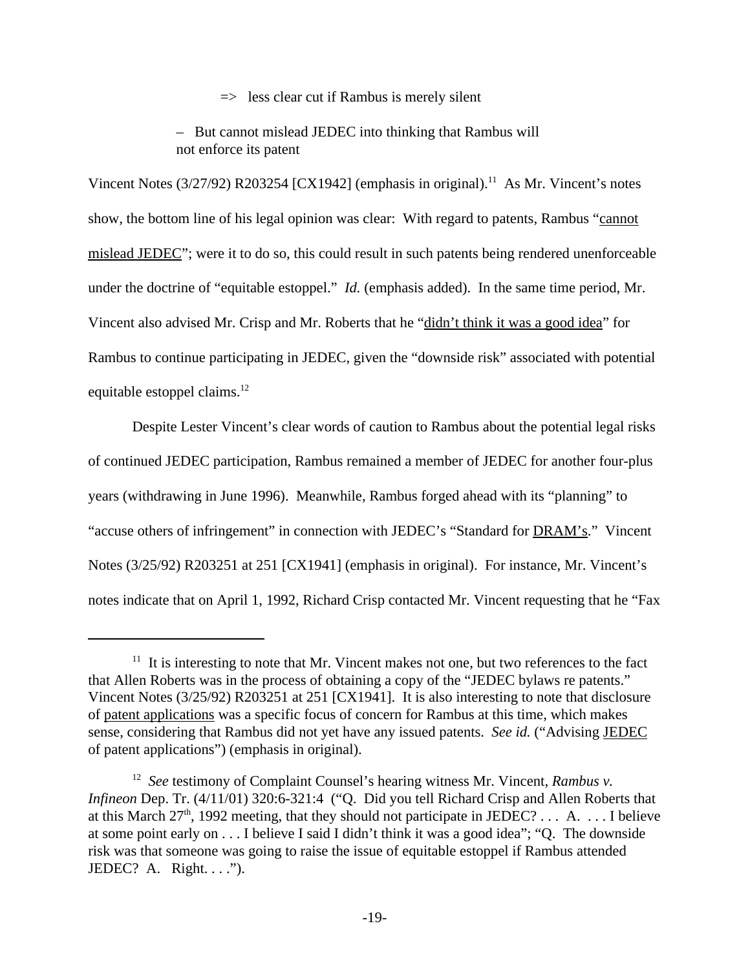$\Rightarrow$  less clear cut if Rambus is merely silent

– But cannot mislead JEDEC into thinking that Rambus will not enforce its patent

Vincent Notes  $(3/27/92)$  R203254 [CX1942] (emphasis in original).<sup>11</sup> As Mr. Vincent's notes show, the bottom line of his legal opinion was clear: With regard to patents, Rambus "cannot" mislead JEDEC"; were it to do so, this could result in such patents being rendered unenforceable under the doctrine of "equitable estoppel." *Id.* (emphasis added). In the same time period, Mr. Vincent also advised Mr. Crisp and Mr. Roberts that he "didn't think it was a good idea" for Rambus to continue participating in JEDEC, given the "downside risk" associated with potential equitable estoppel claims. $^{12}$ 

Despite Lester Vincent's clear words of caution to Rambus about the potential legal risks of continued JEDEC participation, Rambus remained a member of JEDEC for another four-plus years (withdrawing in June 1996). Meanwhile, Rambus forged ahead with its "planning" to "accuse others of infringement" in connection with JEDEC's "Standard for **DRAM's.**" Vincent Notes (3/25/92) R203251 at 251 [CX1941] (emphasis in original). For instance, Mr. Vincent's notes indicate that on April 1, 1992, Richard Crisp contacted Mr. Vincent requesting that he "Fax

 $11$  It is interesting to note that Mr. Vincent makes not one, but two references to the fact that Allen Roberts was in the process of obtaining a copy of the "JEDEC bylaws re patents." Vincent Notes (3/25/92) R203251 at 251 [CX1941]. It is also interesting to note that disclosure of patent applications was a specific focus of concern for Rambus at this time, which makes sense, considering that Rambus did not yet have any issued patents. *See id.* ("Advising JEDEC of patent applications") (emphasis in original).

<sup>&</sup>lt;sup>12</sup> See testimony of Complaint Counsel's hearing witness Mr. Vincent, *Rambus v*. *Infineon* Dep. Tr. (4/11/01) 320:6-321:4 ("Q. Did you tell Richard Crisp and Allen Roberts that at this March  $27<sup>th</sup>$ , 1992 meeting, that they should not participate in JEDEC? ... A. ... I believe at some point early on . . . I believe I said I didn't think it was a good idea"; "Q. The downside risk was that someone was going to raise the issue of equitable estoppel if Rambus attended JEDEC? A. Right....").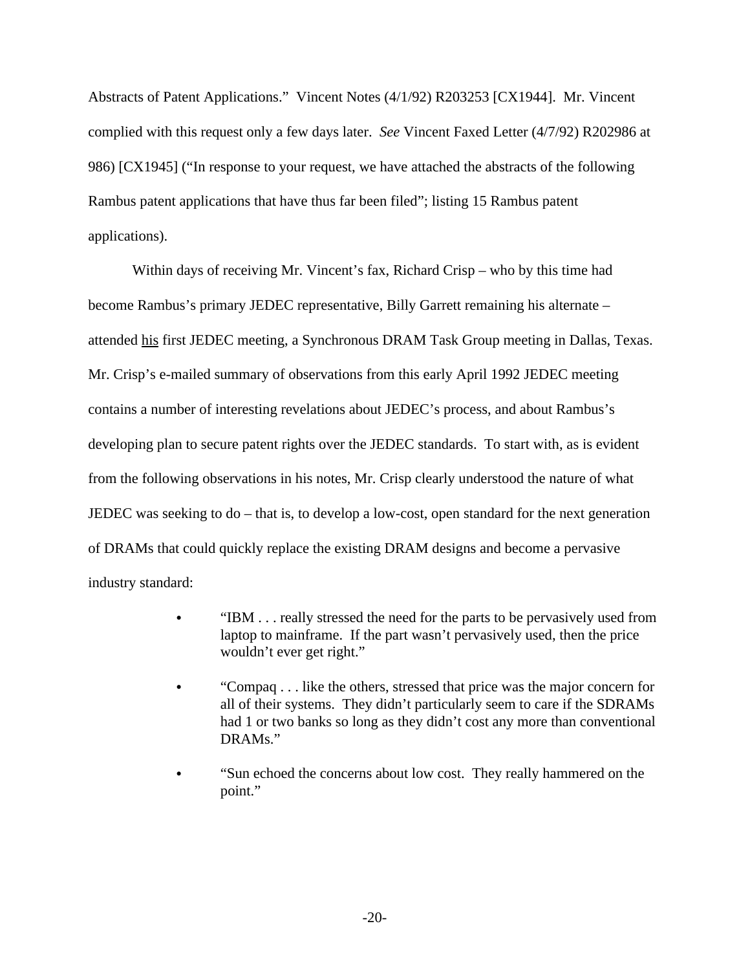Abstracts of Patent Applications." Vincent Notes (4/1/92) R203253 [CX1944]. Mr. Vincent complied with this request only a few days later. *See* Vincent Faxed Letter (4/7/92) R202986 at 986) [CX1945] ("In response to your request, we have attached the abstracts of the following Rambus patent applications that have thus far been filed"; listing 15 Rambus patent applications).

Within days of receiving Mr. Vincent's fax, Richard Crisp – who by this time had become Rambus's primary JEDEC representative, Billy Garrett remaining his alternate – attended his first JEDEC meeting, a Synchronous DRAM Task Group meeting in Dallas, Texas. Mr. Crisp's e-mailed summary of observations from this early April 1992 JEDEC meeting contains a number of interesting revelations about JEDEC's process, and about Rambus's developing plan to secure patent rights over the JEDEC standards. To start with, as is evident from the following observations in his notes, Mr. Crisp clearly understood the nature of what JEDEC was seeking to do – that is, to develop a low-cost, open standard for the next generation of DRAMs that could quickly replace the existing DRAM designs and become a pervasive industry standard:

- "IBM  $\ldots$  really stressed the need for the parts to be pervasively used from laptop to mainframe. If the part wasn't pervasively used, then the price wouldn't ever get right."
- "Compaq . . . like the others, stressed that price was the major concern for all of their systems. They didn't particularly seem to care if the SDRAMs had 1 or two banks so long as they didn't cost any more than conventional DRAMs."
- "Sun echoed the concerns about low cost. They really hammered on the point."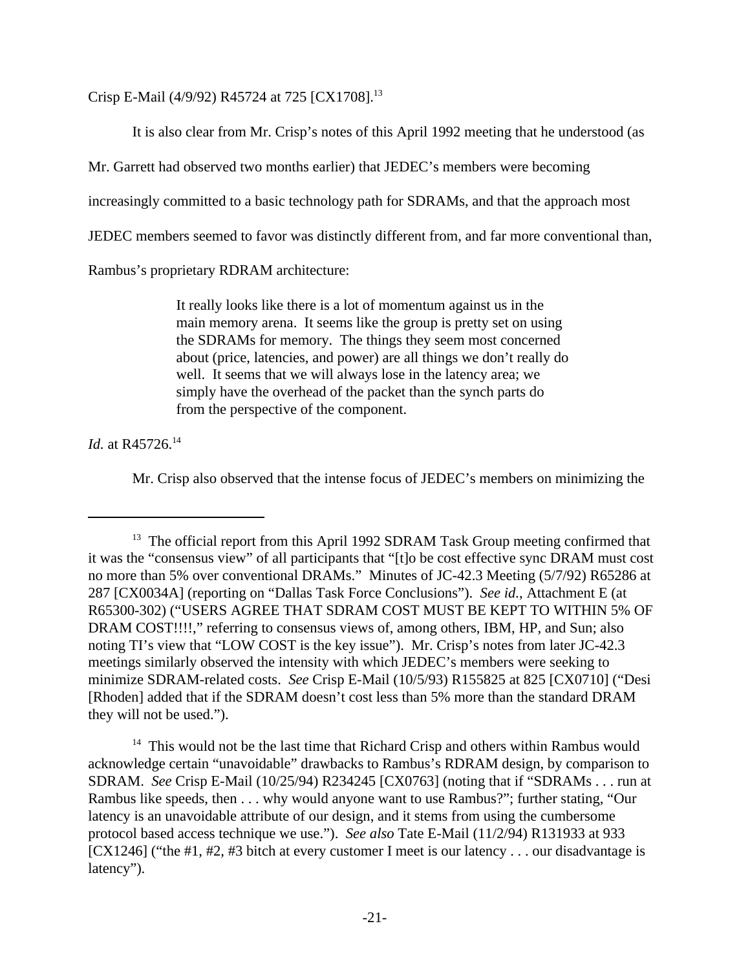Crisp E-Mail (4/9/92) R45724 at 725 [CX1708].<sup>13</sup>

It is also clear from Mr. Crisp's notes of this April 1992 meeting that he understood (as

Mr. Garrett had observed two months earlier) that JEDEC's members were becoming

increasingly committed to a basic technology path for SDRAMs, and that the approach most

JEDEC members seemed to favor was distinctly different from, and far more conventional than,

Rambus's proprietary RDRAM architecture:

It really looks like there is a lot of momentum against us in the main memory arena. It seems like the group is pretty set on using the SDRAMs for memory. The things they seem most concerned about (price, latencies, and power) are all things we don't really do well. It seems that we will always lose in the latency area; we simply have the overhead of the packet than the synch parts do from the perspective of the component.

*Id.* at R45726.<sup>14</sup>

Mr. Crisp also observed that the intense focus of JEDEC's members on minimizing the

 $14$  This would not be the last time that Richard Crisp and others within Rambus would acknowledge certain "unavoidable" drawbacks to Rambus's RDRAM design, by comparison to SDRAM. *See* Crisp E-Mail (10/25/94) R234245 [CX0763] (noting that if "SDRAMs . . . run at Rambus like speeds, then . . . why would anyone want to use Rambus?"; further stating, "Our latency is an unavoidable attribute of our design, and it stems from using the cumbersome protocol based access technique we use."). *See also* Tate E-Mail (11/2/94) R131933 at 933 [CX1246] ("the #1, #2, #3 bitch at every customer I meet is our latency . . . our disadvantage is latency").

<sup>&</sup>lt;sup>13</sup> The official report from this April 1992 SDRAM Task Group meeting confirmed that it was the "consensus view" of all participants that "[t]o be cost effective sync DRAM must cost no more than 5% over conventional DRAMs." Minutes of JC-42.3 Meeting (5/7/92) R65286 at 287 [CX0034A] (reporting on "Dallas Task Force Conclusions"). *See id.*, Attachment E (at R65300-302) ("USERS AGREE THAT SDRAM COST MUST BE KEPT TO WITHIN 5% OF DRAM COST!!!!," referring to consensus views of, among others, IBM, HP, and Sun; also noting TI's view that "LOW COST is the key issue"). Mr. Crisp's notes from later JC-42.3 meetings similarly observed the intensity with which JEDEC's members were seeking to minimize SDRAM-related costs. *See* Crisp E-Mail (10/5/93) R155825 at 825 [CX0710] ("Desi [Rhoden] added that if the SDRAM doesn't cost less than 5% more than the standard DRAM they will not be used.").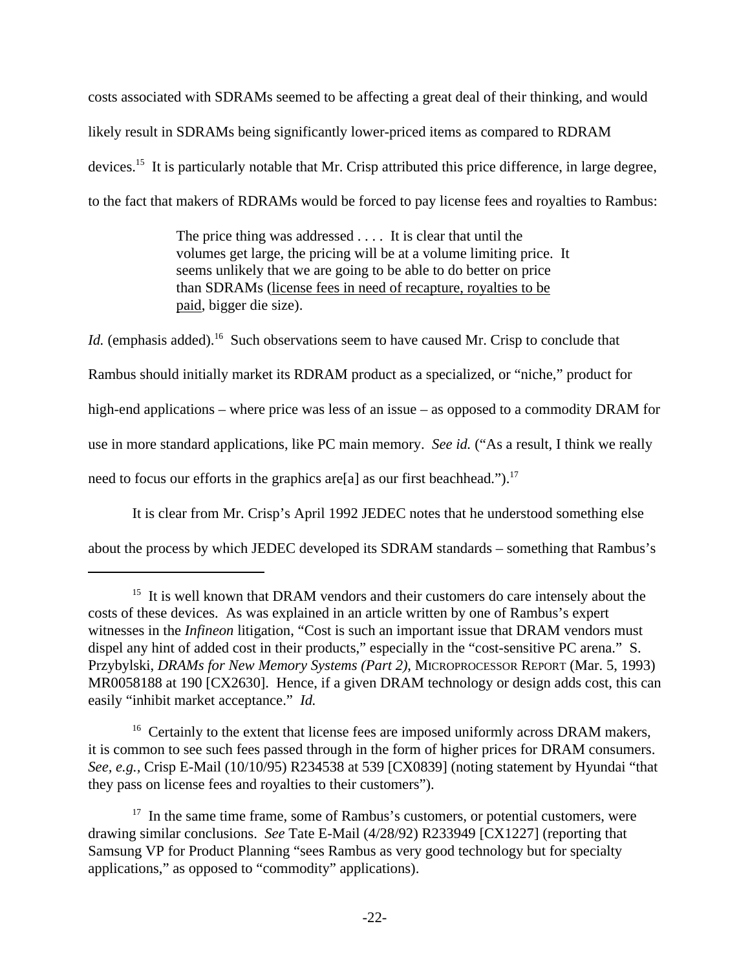costs associated with SDRAMs seemed to be affecting a great deal of their thinking, and would likely result in SDRAMs being significantly lower-priced items as compared to RDRAM devices.<sup>15</sup> It is particularly notable that Mr. Crisp attributed this price difference, in large degree, to the fact that makers of RDRAMs would be forced to pay license fees and royalties to Rambus:

> The price thing was addressed . . . . It is clear that until the volumes get large, the pricing will be at a volume limiting price. It seems unlikely that we are going to be able to do better on price than SDRAMs (license fees in need of recapture, royalties to be paid, bigger die size).

*Id.* (emphasis added).<sup>16</sup> Such observations seem to have caused Mr. Crisp to conclude that Rambus should initially market its RDRAM product as a specialized, or "niche," product for high-end applications – where price was less of an issue – as opposed to a commodity DRAM for use in more standard applications, like PC main memory. *See id.* ("As a result, I think we really need to focus our efforts in the graphics are [a] as our first beachhead.").<sup>17</sup>

It is clear from Mr. Crisp's April 1992 JEDEC notes that he understood something else

about the process by which JEDEC developed its SDRAM standards – something that Rambus's

<sup>&</sup>lt;sup>15</sup> It is well known that DRAM vendors and their customers do care intensely about the costs of these devices. As was explained in an article written by one of Rambus's expert witnesses in the *Infineon* litigation, "Cost is such an important issue that DRAM vendors must dispel any hint of added cost in their products," especially in the "cost-sensitive PC arena." S. Przybylski, *DRAMs for New Memory Systems (Part 2)*, MICROPROCESSOR REPORT (Mar. 5, 1993) MR0058188 at 190 [CX2630]. Hence, if a given DRAM technology or design adds cost, this can easily "inhibit market acceptance." *Id.*

<sup>&</sup>lt;sup>16</sup> Certainly to the extent that license fees are imposed uniformly across DRAM makers, it is common to see such fees passed through in the form of higher prices for DRAM consumers. *See, e.g.,* Crisp E-Mail (10/10/95) R234538 at 539 [CX0839] (noting statement by Hyundai "that they pass on license fees and royalties to their customers").

 $17$  In the same time frame, some of Rambus's customers, or potential customers, were drawing similar conclusions. *See* Tate E-Mail (4/28/92) R233949 [CX1227] (reporting that Samsung VP for Product Planning "sees Rambus as very good technology but for specialty applications," as opposed to "commodity" applications).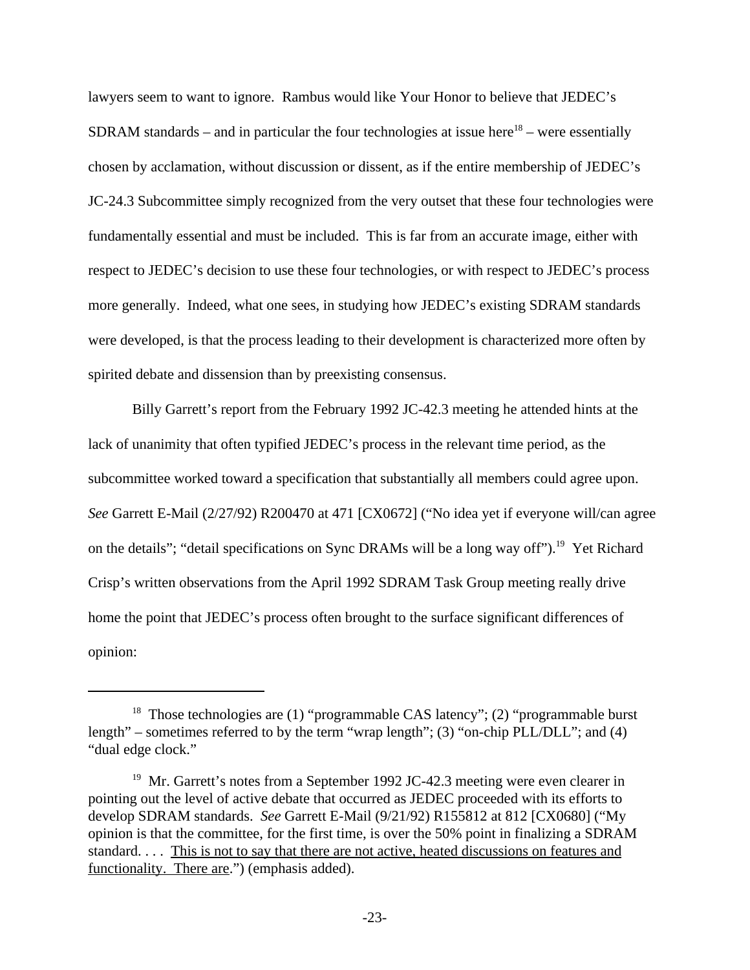lawyers seem to want to ignore. Rambus would like Your Honor to believe that JEDEC's SDRAM standards – and in particular the four technologies at issue here<sup>18</sup> – were essentially chosen by acclamation, without discussion or dissent, as if the entire membership of JEDEC's JC-24.3 Subcommittee simply recognized from the very outset that these four technologies were fundamentally essential and must be included. This is far from an accurate image, either with respect to JEDEC's decision to use these four technologies, or with respect to JEDEC's process more generally. Indeed, what one sees, in studying how JEDEC's existing SDRAM standards were developed, is that the process leading to their development is characterized more often by spirited debate and dissension than by preexisting consensus.

Billy Garrett's report from the February 1992 JC-42.3 meeting he attended hints at the lack of unanimity that often typified JEDEC's process in the relevant time period, as the subcommittee worked toward a specification that substantially all members could agree upon. *See* Garrett E-Mail (2/27/92) R200470 at 471 [CX0672] ("No idea yet if everyone will/can agree on the details"; "detail specifications on Sync DRAMs will be a long way off").<sup>19</sup> Yet Richard Crisp's written observations from the April 1992 SDRAM Task Group meeting really drive home the point that JEDEC's process often brought to the surface significant differences of opinion:

<sup>&</sup>lt;sup>18</sup> Those technologies are (1) "programmable CAS latency"; (2) "programmable burst length" – sometimes referred to by the term "wrap length"; (3) "on-chip PLL/DLL"; and (4) "dual edge clock."

<sup>&</sup>lt;sup>19</sup> Mr. Garrett's notes from a September 1992 JC-42.3 meeting were even clearer in pointing out the level of active debate that occurred as JEDEC proceeded with its efforts to develop SDRAM standards. *See* Garrett E-Mail (9/21/92) R155812 at 812 [CX0680] ("My opinion is that the committee, for the first time, is over the 50% point in finalizing a SDRAM standard. . . . This is not to say that there are not active, heated discussions on features and functionality. There are.") (emphasis added).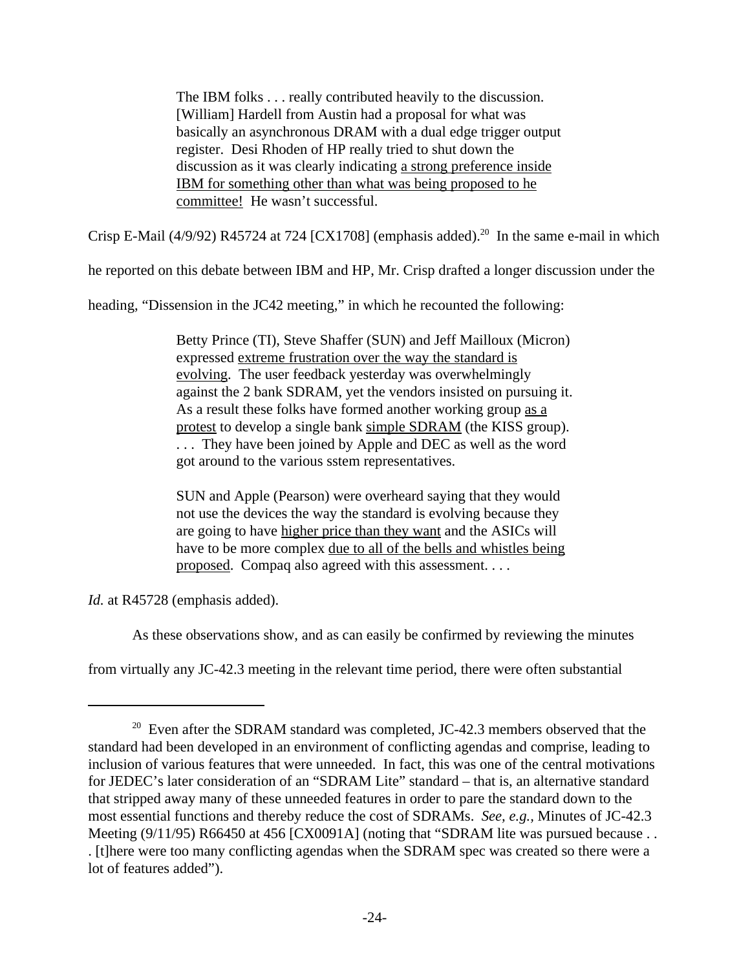The IBM folks . . . really contributed heavily to the discussion. [William] Hardell from Austin had a proposal for what was basically an asynchronous DRAM with a dual edge trigger output register. Desi Rhoden of HP really tried to shut down the discussion as it was clearly indicating a strong preference inside IBM for something other than what was being proposed to he committee! He wasn't successful.

Crisp E-Mail (4/9/92) R45724 at 724 [CX1708] (emphasis added).<sup>20</sup> In the same e-mail in which

he reported on this debate between IBM and HP, Mr. Crisp drafted a longer discussion under the

heading, "Dissension in the JC42 meeting," in which he recounted the following:

Betty Prince (TI), Steve Shaffer (SUN) and Jeff Mailloux (Micron) expressed extreme frustration over the way the standard is evolving. The user feedback yesterday was overwhelmingly against the 2 bank SDRAM, yet the vendors insisted on pursuing it. As a result these folks have formed another working group as a protest to develop a single bank simple SDRAM (the KISS group). . . . They have been joined by Apple and DEC as well as the word got around to the various sstem representatives.

SUN and Apple (Pearson) were overheard saying that they would not use the devices the way the standard is evolving because they are going to have higher price than they want and the ASICs will have to be more complex due to all of the bells and whistles being proposed. Compaq also agreed with this assessment. . . .

*Id.* at R45728 (emphasis added).

As these observations show, and as can easily be confirmed by reviewing the minutes

from virtually any JC-42.3 meeting in the relevant time period, there were often substantial

 $20$  Even after the SDRAM standard was completed, JC-42.3 members observed that the standard had been developed in an environment of conflicting agendas and comprise, leading to inclusion of various features that were unneeded. In fact, this was one of the central motivations for JEDEC's later consideration of an "SDRAM Lite" standard – that is, an alternative standard that stripped away many of these unneeded features in order to pare the standard down to the most essential functions and thereby reduce the cost of SDRAMs. *See, e.g.,* Minutes of JC-42.3 Meeting (9/11/95) R66450 at 456 [CX0091A] (noting that "SDRAM lite was pursued because . . . [t]here were too many conflicting agendas when the SDRAM spec was created so there were a lot of features added").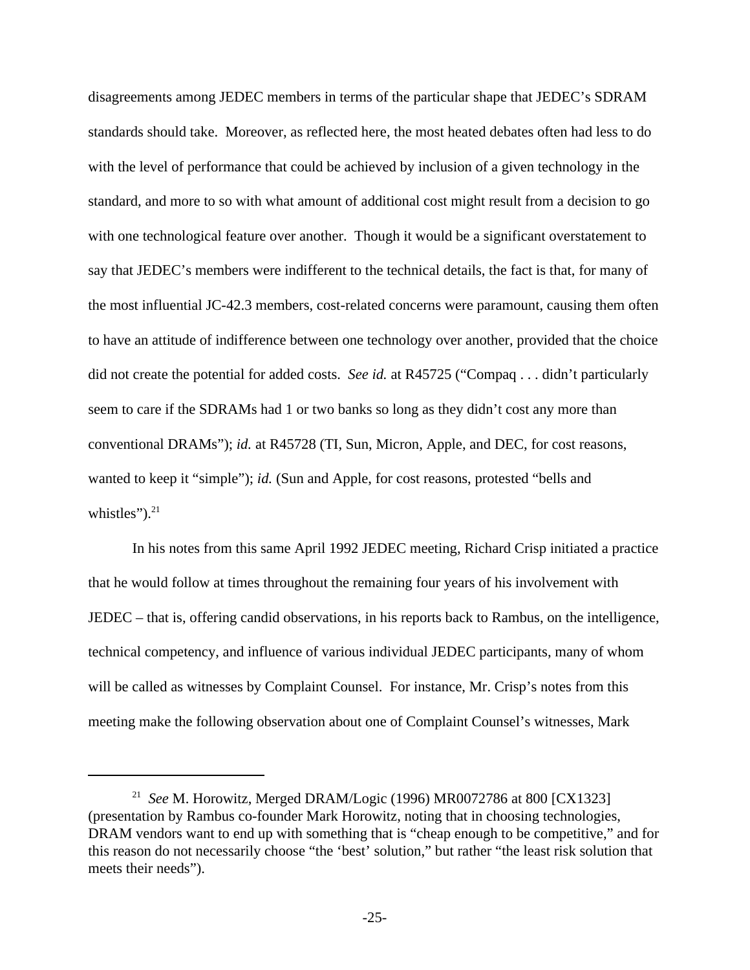disagreements among JEDEC members in terms of the particular shape that JEDEC's SDRAM standards should take. Moreover, as reflected here, the most heated debates often had less to do with the level of performance that could be achieved by inclusion of a given technology in the standard, and more to so with what amount of additional cost might result from a decision to go with one technological feature over another. Though it would be a significant overstatement to say that JEDEC's members were indifferent to the technical details, the fact is that, for many of the most influential JC-42.3 members, cost-related concerns were paramount, causing them often to have an attitude of indifference between one technology over another, provided that the choice did not create the potential for added costs. *See id.* at R45725 ("Compaq . . . didn't particularly seem to care if the SDRAMs had 1 or two banks so long as they didn't cost any more than conventional DRAMs"); *id.* at R45728 (TI, Sun, Micron, Apple, and DEC, for cost reasons, wanted to keep it "simple"); *id.* (Sun and Apple, for cost reasons, protested "bells and whistles" $)^{21}$ 

In his notes from this same April 1992 JEDEC meeting, Richard Crisp initiated a practice that he would follow at times throughout the remaining four years of his involvement with JEDEC – that is, offering candid observations, in his reports back to Rambus, on the intelligence, technical competency, and influence of various individual JEDEC participants, many of whom will be called as witnesses by Complaint Counsel. For instance, Mr. Crisp's notes from this meeting make the following observation about one of Complaint Counsel's witnesses, Mark

<sup>21</sup> *See* M. Horowitz, Merged DRAM/Logic (1996) MR0072786 at 800 [CX1323] (presentation by Rambus co-founder Mark Horowitz, noting that in choosing technologies, DRAM vendors want to end up with something that is "cheap enough to be competitive," and for this reason do not necessarily choose "the 'best' solution," but rather "the least risk solution that meets their needs").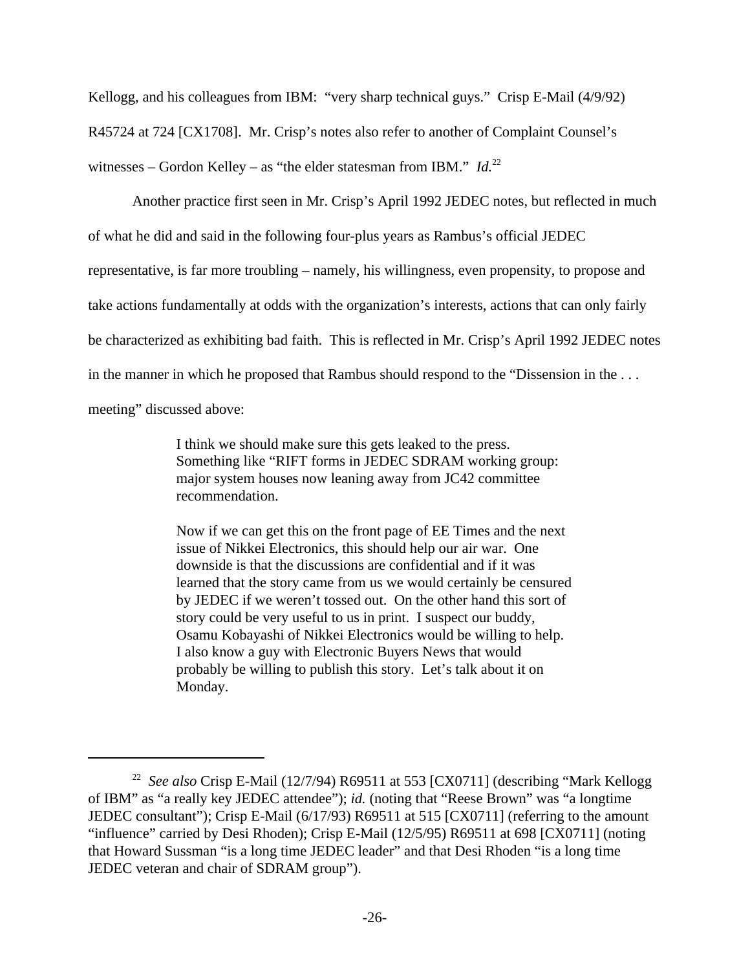Kellogg, and his colleagues from IBM: "very sharp technical guys." Crisp E-Mail (4/9/92) R45724 at 724 [CX1708]. Mr. Crisp's notes also refer to another of Complaint Counsel's witnesses – Gordon Kelley – as "the elder statesman from IBM." *Id.*<sup>22</sup>

Another practice first seen in Mr. Crisp's April 1992 JEDEC notes, but reflected in much of what he did and said in the following four-plus years as Rambus's official JEDEC representative, is far more troubling – namely, his willingness, even propensity, to propose and take actions fundamentally at odds with the organization's interests, actions that can only fairly be characterized as exhibiting bad faith. This is reflected in Mr. Crisp's April 1992 JEDEC notes in the manner in which he proposed that Rambus should respond to the "Dissension in the . . . meeting" discussed above:

> I think we should make sure this gets leaked to the press. Something like "RIFT forms in JEDEC SDRAM working group: major system houses now leaning away from JC42 committee recommendation.

Now if we can get this on the front page of EE Times and the next issue of Nikkei Electronics, this should help our air war. One downside is that the discussions are confidential and if it was learned that the story came from us we would certainly be censured by JEDEC if we weren't tossed out. On the other hand this sort of story could be very useful to us in print. I suspect our buddy, Osamu Kobayashi of Nikkei Electronics would be willing to help. I also know a guy with Electronic Buyers News that would probably be willing to publish this story. Let's talk about it on Monday.

<sup>22</sup> *See also* Crisp E-Mail (12/7/94) R69511 at 553 [CX0711] (describing "Mark Kellogg of IBM" as "a really key JEDEC attendee"); *id.* (noting that "Reese Brown" was "a longtime JEDEC consultant"); Crisp E-Mail (6/17/93) R69511 at 515 [CX0711] (referring to the amount "influence" carried by Desi Rhoden); Crisp E-Mail (12/5/95) R69511 at 698 [CX0711] (noting that Howard Sussman "is a long time JEDEC leader" and that Desi Rhoden "is a long time JEDEC veteran and chair of SDRAM group").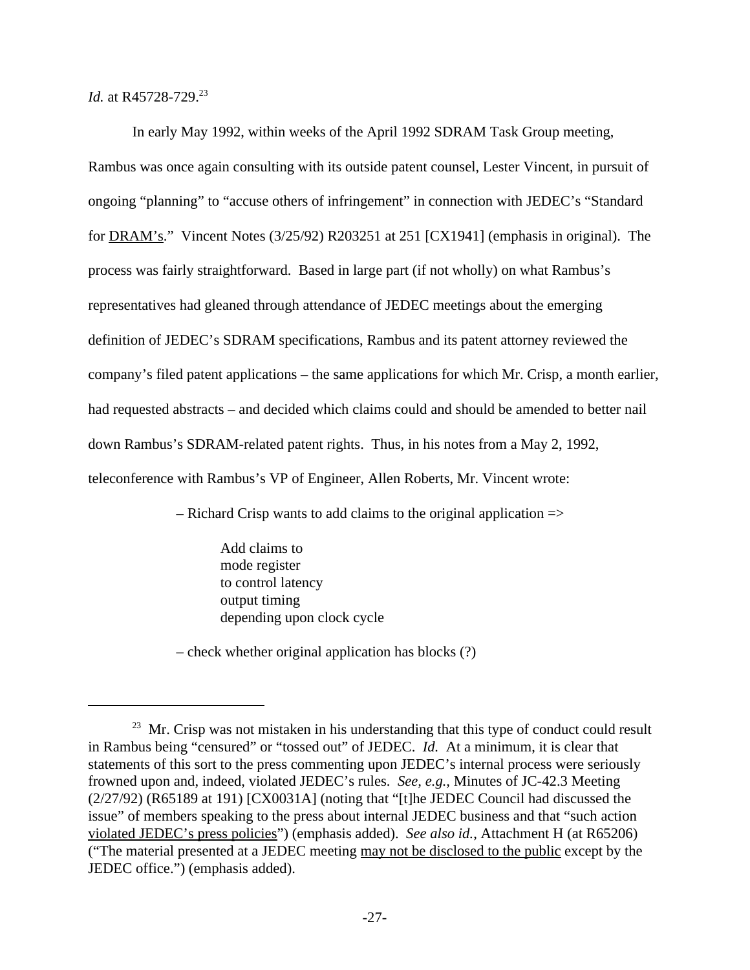*Id.* at R45728-729.<sup>23</sup>

In early May 1992, within weeks of the April 1992 SDRAM Task Group meeting, Rambus was once again consulting with its outside patent counsel, Lester Vincent, in pursuit of ongoing "planning" to "accuse others of infringement" in connection with JEDEC's "Standard for DRAM's." Vincent Notes (3/25/92) R203251 at 251 [CX1941] (emphasis in original). The process was fairly straightforward. Based in large part (if not wholly) on what Rambus's representatives had gleaned through attendance of JEDEC meetings about the emerging definition of JEDEC's SDRAM specifications, Rambus and its patent attorney reviewed the company's filed patent applications – the same applications for which Mr. Crisp, a month earlier, had requested abstracts – and decided which claims could and should be amended to better nail down Rambus's SDRAM-related patent rights. Thus, in his notes from a May 2, 1992, teleconference with Rambus's VP of Engineer, Allen Roberts, Mr. Vincent wrote:

 $-$  Richard Crisp wants to add claims to the original application  $\Rightarrow$ 

Add claims to mode register to control latency output timing depending upon clock cycle

– check whether original application has blocks (?)

 $23$  Mr. Crisp was not mistaken in his understanding that this type of conduct could result in Rambus being "censured" or "tossed out" of JEDEC. *Id.* At a minimum, it is clear that statements of this sort to the press commenting upon JEDEC's internal process were seriously frowned upon and, indeed, violated JEDEC's rules. *See, e.g.,* Minutes of JC-42.3 Meeting (2/27/92) (R65189 at 191) [CX0031A] (noting that "[t]he JEDEC Council had discussed the issue" of members speaking to the press about internal JEDEC business and that "such action violated JEDEC's press policies") (emphasis added). *See also id.*, Attachment H (at R65206) ("The material presented at a JEDEC meeting may not be disclosed to the public except by the JEDEC office.") (emphasis added).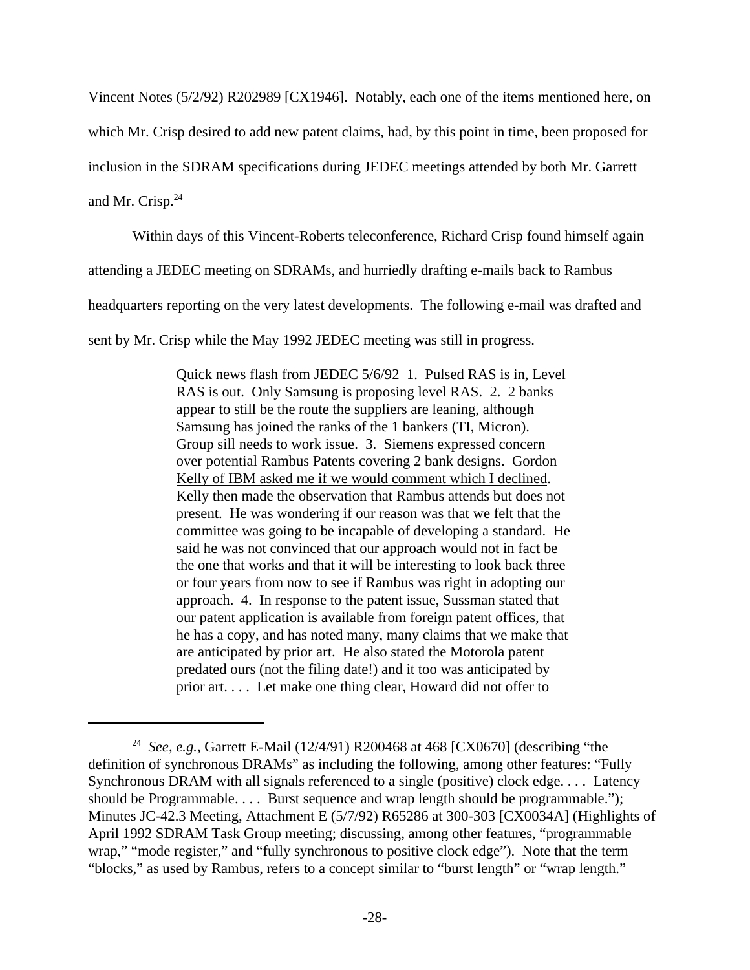Vincent Notes (5/2/92) R202989 [CX1946]. Notably, each one of the items mentioned here, on which Mr. Crisp desired to add new patent claims, had, by this point in time, been proposed for inclusion in the SDRAM specifications during JEDEC meetings attended by both Mr. Garrett and Mr. Crisp.<sup>24</sup>

Within days of this Vincent-Roberts teleconference, Richard Crisp found himself again

attending a JEDEC meeting on SDRAMs, and hurriedly drafting e-mails back to Rambus

headquarters reporting on the very latest developments. The following e-mail was drafted and

sent by Mr. Crisp while the May 1992 JEDEC meeting was still in progress.

Quick news flash from JEDEC 5/6/92 1. Pulsed RAS is in, Level RAS is out. Only Samsung is proposing level RAS. 2. 2 banks appear to still be the route the suppliers are leaning, although Samsung has joined the ranks of the 1 bankers (TI, Micron). Group sill needs to work issue. 3. Siemens expressed concern over potential Rambus Patents covering 2 bank designs. Gordon Kelly of IBM asked me if we would comment which I declined. Kelly then made the observation that Rambus attends but does not present. He was wondering if our reason was that we felt that the committee was going to be incapable of developing a standard. He said he was not convinced that our approach would not in fact be the one that works and that it will be interesting to look back three or four years from now to see if Rambus was right in adopting our approach. 4. In response to the patent issue, Sussman stated that our patent application is available from foreign patent offices, that he has a copy, and has noted many, many claims that we make that are anticipated by prior art. He also stated the Motorola patent predated ours (not the filing date!) and it too was anticipated by prior art. . . . Let make one thing clear, Howard did not offer to

<sup>24</sup> *See, e.g.,* Garrett E-Mail (12/4/91) R200468 at 468 [CX0670] (describing "the definition of synchronous DRAMs" as including the following, among other features: "Fully Synchronous DRAM with all signals referenced to a single (positive) clock edge. . . . Latency should be Programmable. . . . Burst sequence and wrap length should be programmable."); Minutes JC-42.3 Meeting, Attachment E (5/7/92) R65286 at 300-303 [CX0034A] (Highlights of April 1992 SDRAM Task Group meeting; discussing, among other features, "programmable wrap," "mode register," and "fully synchronous to positive clock edge"). Note that the term "blocks," as used by Rambus, refers to a concept similar to "burst length" or "wrap length."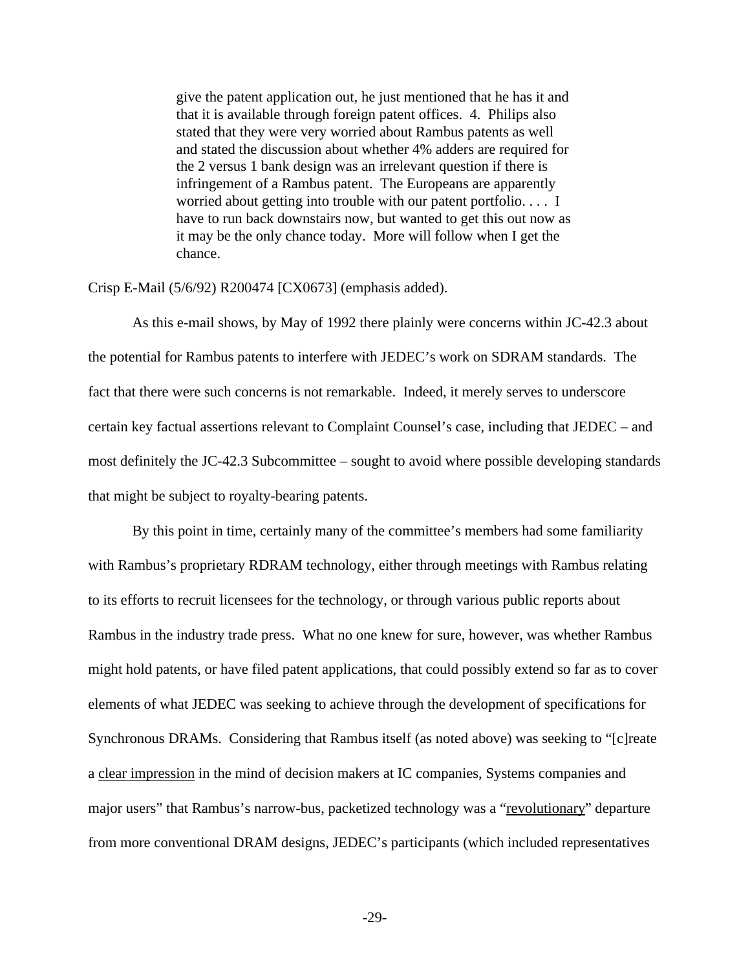give the patent application out, he just mentioned that he has it and that it is available through foreign patent offices. 4. Philips also stated that they were very worried about Rambus patents as well and stated the discussion about whether 4% adders are required for the 2 versus 1 bank design was an irrelevant question if there is infringement of a Rambus patent. The Europeans are apparently worried about getting into trouble with our patent portfolio. . . . I have to run back downstairs now, but wanted to get this out now as it may be the only chance today. More will follow when I get the chance.

Crisp E-Mail (5/6/92) R200474 [CX0673] (emphasis added).

As this e-mail shows, by May of 1992 there plainly were concerns within JC-42.3 about the potential for Rambus patents to interfere with JEDEC's work on SDRAM standards. The fact that there were such concerns is not remarkable. Indeed, it merely serves to underscore certain key factual assertions relevant to Complaint Counsel's case, including that JEDEC – and most definitely the JC-42.3 Subcommittee – sought to avoid where possible developing standards that might be subject to royalty-bearing patents.

By this point in time, certainly many of the committee's members had some familiarity with Rambus's proprietary RDRAM technology, either through meetings with Rambus relating to its efforts to recruit licensees for the technology, or through various public reports about Rambus in the industry trade press. What no one knew for sure, however, was whether Rambus might hold patents, or have filed patent applications, that could possibly extend so far as to cover elements of what JEDEC was seeking to achieve through the development of specifications for Synchronous DRAMs. Considering that Rambus itself (as noted above) was seeking to "[c]reate a clear impression in the mind of decision makers at IC companies, Systems companies and major users" that Rambus's narrow-bus, packetized technology was a "revolutionary" departure from more conventional DRAM designs, JEDEC's participants (which included representatives

-29-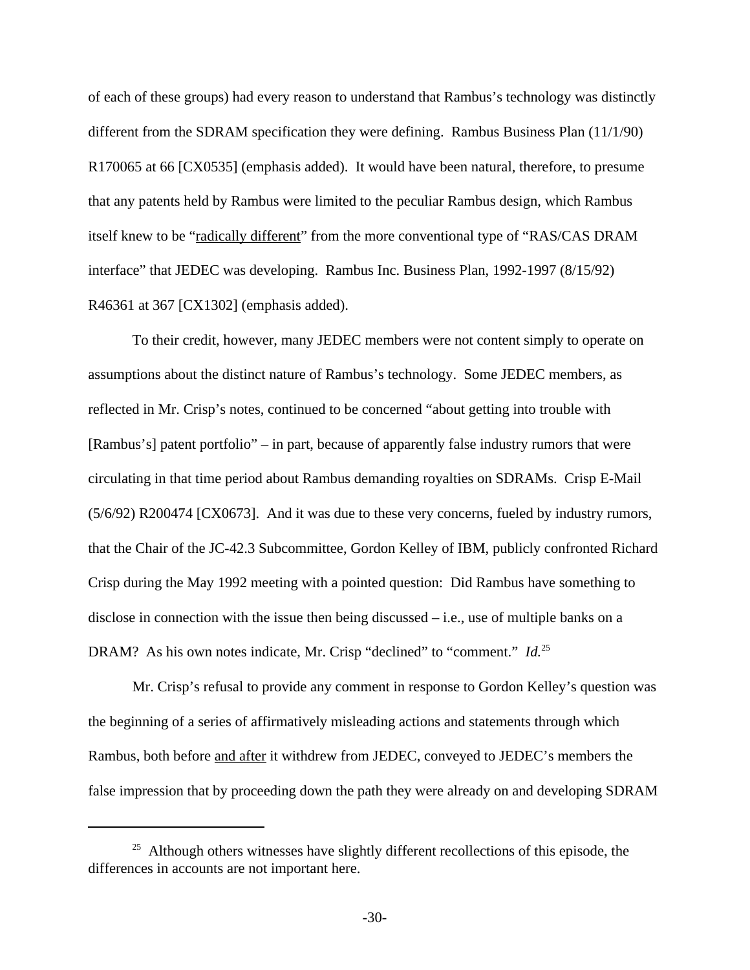of each of these groups) had every reason to understand that Rambus's technology was distinctly different from the SDRAM specification they were defining. Rambus Business Plan  $(11/1/90)$ R170065 at 66 [CX0535] (emphasis added). It would have been natural, therefore, to presume that any patents held by Rambus were limited to the peculiar Rambus design, which Rambus itself knew to be "radically different" from the more conventional type of "RAS/CAS DRAM interface" that JEDEC was developing. Rambus Inc. Business Plan, 1992-1997 (8/15/92) R46361 at 367 [CX1302] (emphasis added).

To their credit, however, many JEDEC members were not content simply to operate on assumptions about the distinct nature of Rambus's technology. Some JEDEC members, as reflected in Mr. Crisp's notes, continued to be concerned "about getting into trouble with [Rambus's] patent portfolio" – in part, because of apparently false industry rumors that were circulating in that time period about Rambus demanding royalties on SDRAMs. Crisp E-Mail (5/6/92) R200474 [CX0673]. And it was due to these very concerns, fueled by industry rumors, that the Chair of the JC-42.3 Subcommittee, Gordon Kelley of IBM, publicly confronted Richard Crisp during the May 1992 meeting with a pointed question: Did Rambus have something to disclose in connection with the issue then being discussed – i.e., use of multiple banks on a DRAM? As his own notes indicate, Mr. Crisp "declined" to "comment." *Id.*<sup>25</sup>

Mr. Crisp's refusal to provide any comment in response to Gordon Kelley's question was the beginning of a series of affirmatively misleading actions and statements through which Rambus, both before and after it withdrew from JEDEC, conveyed to JEDEC's members the false impression that by proceeding down the path they were already on and developing SDRAM

 $25$  Although others witnesses have slightly different recollections of this episode, the differences in accounts are not important here.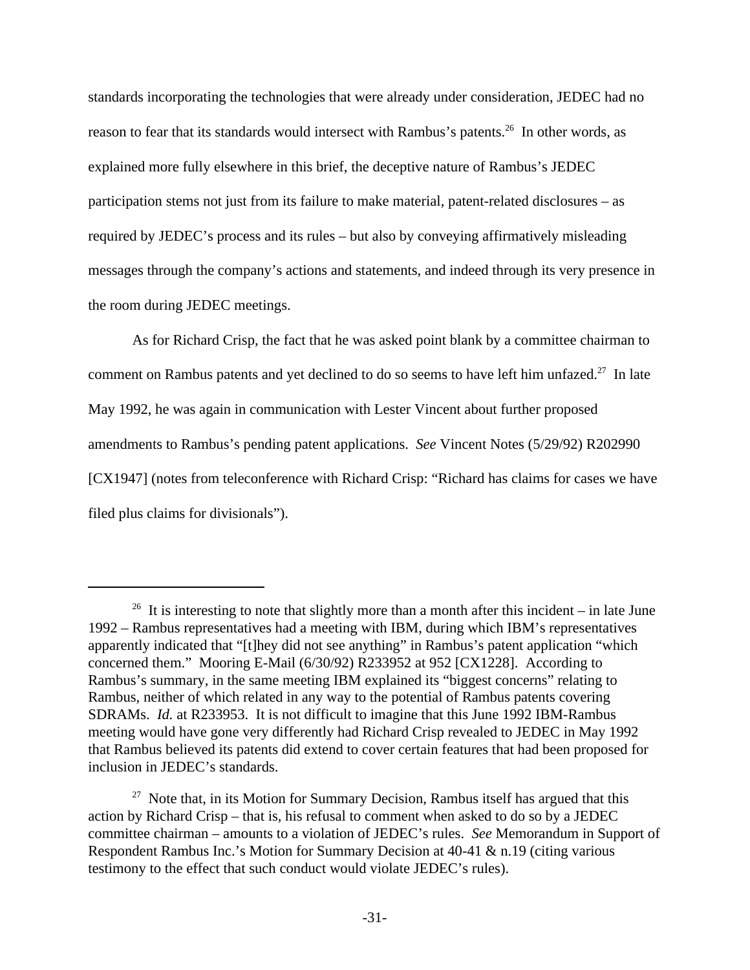standards incorporating the technologies that were already under consideration, JEDEC had no reason to fear that its standards would intersect with Rambus's patents.<sup>26</sup> In other words, as explained more fully elsewhere in this brief, the deceptive nature of Rambus's JEDEC participation stems not just from its failure to make material, patent-related disclosures – as required by JEDEC's process and its rules – but also by conveying affirmatively misleading messages through the company's actions and statements, and indeed through its very presence in the room during JEDEC meetings.

As for Richard Crisp, the fact that he was asked point blank by a committee chairman to comment on Rambus patents and yet declined to do so seems to have left him unfazed.<sup>27</sup> In late May 1992, he was again in communication with Lester Vincent about further proposed amendments to Rambus's pending patent applications. *See* Vincent Notes (5/29/92) R202990 [CX1947] (notes from teleconference with Richard Crisp: "Richard has claims for cases we have filed plus claims for divisionals").

<sup>&</sup>lt;sup>26</sup> It is interesting to note that slightly more than a month after this incident – in late June 1992 – Rambus representatives had a meeting with IBM, during which IBM's representatives apparently indicated that "[t]hey did not see anything" in Rambus's patent application "which concerned them." Mooring E-Mail (6/30/92) R233952 at 952 [CX1228]. According to Rambus's summary, in the same meeting IBM explained its "biggest concerns" relating to Rambus, neither of which related in any way to the potential of Rambus patents covering SDRAMs. *Id.* at R233953. It is not difficult to imagine that this June 1992 IBM-Rambus meeting would have gone very differently had Richard Crisp revealed to JEDEC in May 1992 that Rambus believed its patents did extend to cover certain features that had been proposed for inclusion in JEDEC's standards.

 $27$  Note that, in its Motion for Summary Decision, Rambus itself has argued that this action by Richard Crisp – that is, his refusal to comment when asked to do so by a JEDEC committee chairman – amounts to a violation of JEDEC's rules. *See* Memorandum in Support of Respondent Rambus Inc.'s Motion for Summary Decision at 40-41 & n.19 (citing various testimony to the effect that such conduct would violate JEDEC's rules).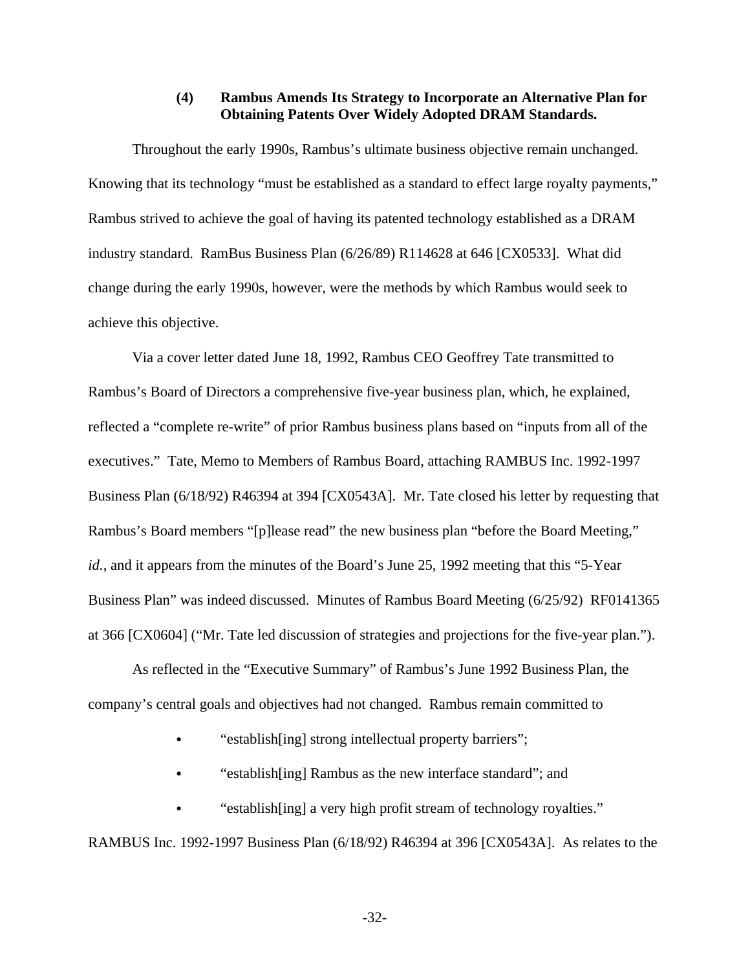### **(4) Rambus Amends Its Strategy to Incorporate an Alternative Plan for Obtaining Patents Over Widely Adopted DRAM Standards.**

Throughout the early 1990s, Rambus's ultimate business objective remain unchanged. Knowing that its technology "must be established as a standard to effect large royalty payments," Rambus strived to achieve the goal of having its patented technology established as a DRAM industry standard. RamBus Business Plan (6/26/89) R114628 at 646 [CX0533]. What did change during the early 1990s, however, were the methods by which Rambus would seek to achieve this objective.

Via a cover letter dated June 18, 1992, Rambus CEO Geoffrey Tate transmitted to Rambus's Board of Directors a comprehensive five-year business plan, which, he explained, reflected a "complete re-write" of prior Rambus business plans based on "inputs from all of the executives." Tate, Memo to Members of Rambus Board, attaching RAMBUS Inc. 1992-1997 Business Plan (6/18/92) R46394 at 394 [CX0543A]. Mr. Tate closed his letter by requesting that Rambus's Board members "[p]lease read" the new business plan "before the Board Meeting," *id.*, and it appears from the minutes of the Board's June 25, 1992 meeting that this "5-Year Business Plan" was indeed discussed. Minutes of Rambus Board Meeting (6/25/92) RF0141365 at 366 [CX0604] ("Mr. Tate led discussion of strategies and projections for the five-year plan.").

As reflected in the "Executive Summary" of Rambus's June 1992 Business Plan, the company's central goals and objectives had not changed. Rambus remain committed to

"establish[ing] strong intellectual property barriers";

"establish[ing] Rambus as the new interface standard"; and

"establish[ing] a very high profit stream of technology royalties."

RAMBUS Inc. 1992-1997 Business Plan (6/18/92) R46394 at 396 [CX0543A]. As relates to the

-32-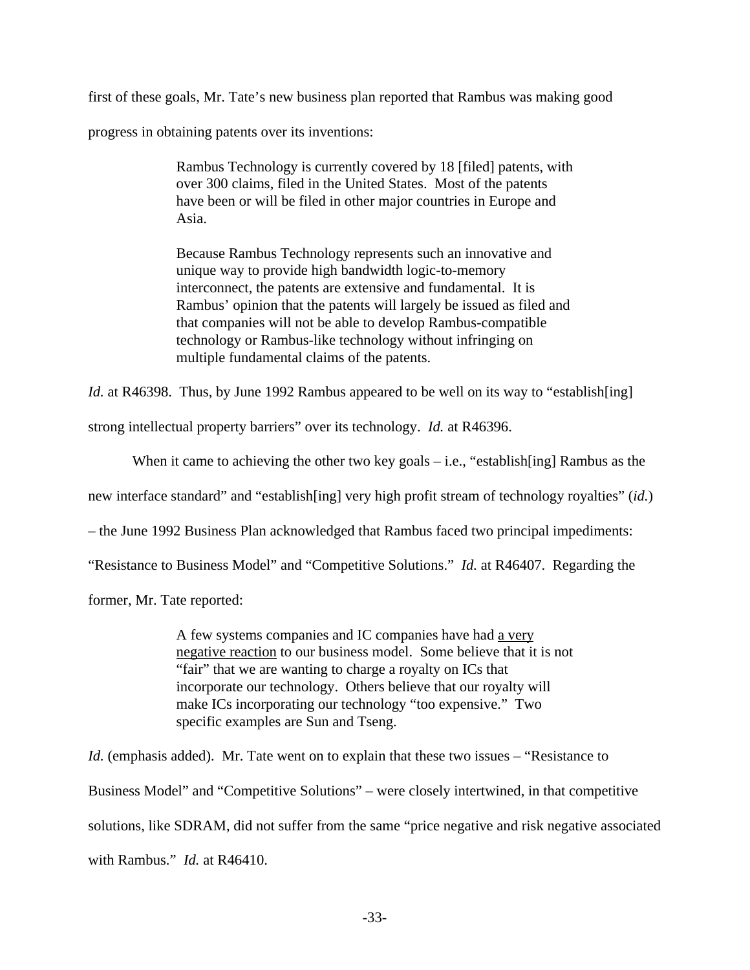first of these goals, Mr. Tate's new business plan reported that Rambus was making good

progress in obtaining patents over its inventions:

Rambus Technology is currently covered by 18 [filed] patents, with over 300 claims, filed in the United States. Most of the patents have been or will be filed in other major countries in Europe and Asia.

Because Rambus Technology represents such an innovative and unique way to provide high bandwidth logic-to-memory interconnect, the patents are extensive and fundamental. It is Rambus' opinion that the patents will largely be issued as filed and that companies will not be able to develop Rambus-compatible technology or Rambus-like technology without infringing on multiple fundamental claims of the patents.

*Id.* at R46398. Thus, by June 1992 Rambus appeared to be well on its way to "establish[ing]

strong intellectual property barriers" over its technology. *Id.* at R46396.

When it came to achieving the other two key goals – i.e., "establish[ing] Rambus as the

new interface standard" and "establish[ing] very high profit stream of technology royalties" (*id.*)

– the June 1992 Business Plan acknowledged that Rambus faced two principal impediments:

"Resistance to Business Model" and "Competitive Solutions." *Id.* at R46407. Regarding the

former, Mr. Tate reported:

A few systems companies and IC companies have had a very negative reaction to our business model. Some believe that it is not "fair" that we are wanting to charge a royalty on ICs that incorporate our technology. Others believe that our royalty will make ICs incorporating our technology "too expensive." Two specific examples are Sun and Tseng.

*Id.* (emphasis added). Mr. Tate went on to explain that these two issues – "Resistance to Business Model" and "Competitive Solutions" – were closely intertwined, in that competitive solutions, like SDRAM, did not suffer from the same "price negative and risk negative associated with Rambus." *Id.* at R46410.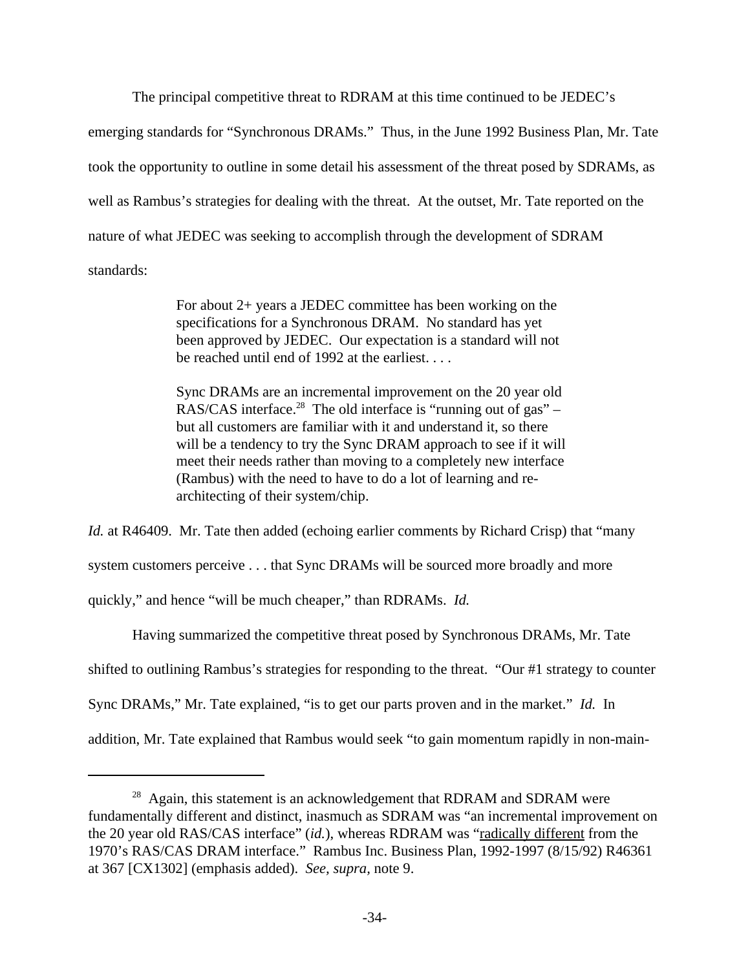The principal competitive threat to RDRAM at this time continued to be JEDEC's emerging standards for "Synchronous DRAMs." Thus, in the June 1992 Business Plan, Mr. Tate took the opportunity to outline in some detail his assessment of the threat posed by SDRAMs, as well as Rambus's strategies for dealing with the threat. At the outset, Mr. Tate reported on the nature of what JEDEC was seeking to accomplish through the development of SDRAM standards:

> For about 2+ years a JEDEC committee has been working on the specifications for a Synchronous DRAM. No standard has yet been approved by JEDEC. Our expectation is a standard will not be reached until end of 1992 at the earliest. . . .

Sync DRAMs are an incremental improvement on the 20 year old RAS/CAS interface.<sup>28</sup> The old interface is "running out of gas" – but all customers are familiar with it and understand it, so there will be a tendency to try the Sync DRAM approach to see if it will meet their needs rather than moving to a completely new interface (Rambus) with the need to have to do a lot of learning and rearchitecting of their system/chip.

*Id.* at R46409. Mr. Tate then added (echoing earlier comments by Richard Crisp) that "many system customers perceive . . . that Sync DRAMs will be sourced more broadly and more quickly," and hence "will be much cheaper," than RDRAMs. *Id.*

Having summarized the competitive threat posed by Synchronous DRAMs, Mr. Tate shifted to outlining Rambus's strategies for responding to the threat. "Our #1 strategy to counter Sync DRAMs," Mr. Tate explained, "is to get our parts proven and in the market." *Id.* In addition, Mr. Tate explained that Rambus would seek "to gain momentum rapidly in non-main-

<sup>&</sup>lt;sup>28</sup> Again, this statement is an acknowledgement that RDRAM and SDRAM were fundamentally different and distinct, inasmuch as SDRAM was "an incremental improvement on the 20 year old RAS/CAS interface" (id.), whereas RDRAM was "radically different from the 1970's RAS/CAS DRAM interface." Rambus Inc. Business Plan, 1992-1997 (8/15/92) R46361 at 367 [CX1302] (emphasis added). *See, supra,* note 9.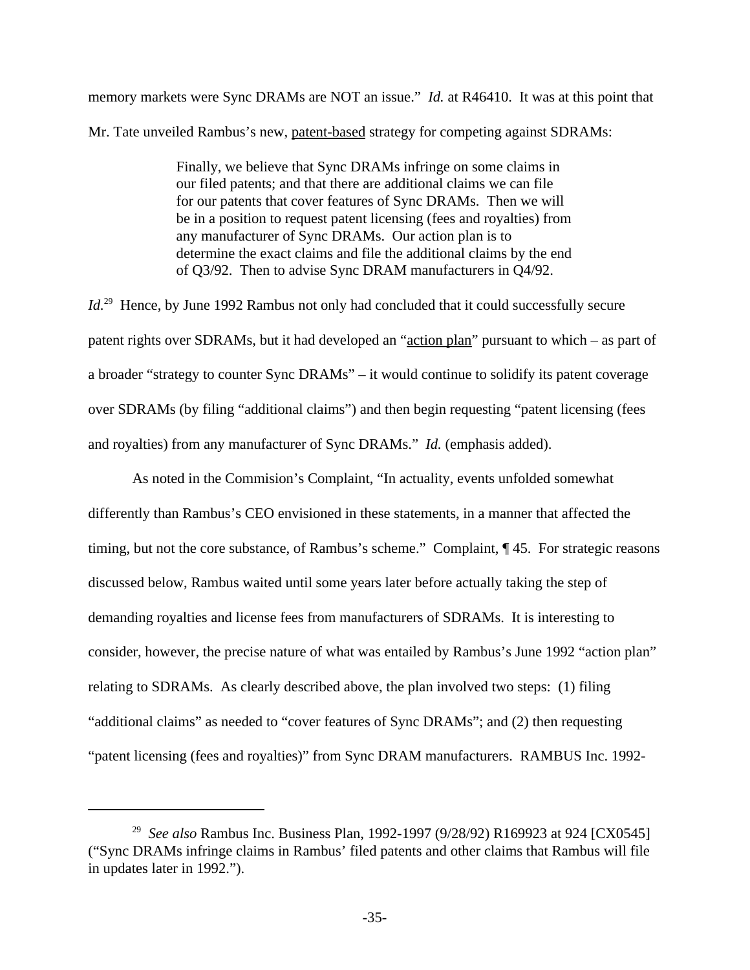memory markets were Sync DRAMs are NOT an issue." *Id.* at R46410. It was at this point that Mr. Tate unveiled Rambus's new, patent-based strategy for competing against SDRAMs:

> Finally, we believe that Sync DRAMs infringe on some claims in our filed patents; and that there are additional claims we can file for our patents that cover features of Sync DRAMs. Then we will be in a position to request patent licensing (fees and royalties) from any manufacturer of Sync DRAMs. Our action plan is to determine the exact claims and file the additional claims by the end of Q3/92. Then to advise Sync DRAM manufacturers in Q4/92.

Id.<sup>29</sup> Hence, by June 1992 Rambus not only had concluded that it could successfully secure patent rights over SDRAMs, but it had developed an "action plan" pursuant to which – as part of a broader "strategy to counter Sync DRAMs" – it would continue to solidify its patent coverage over SDRAMs (by filing "additional claims") and then begin requesting "patent licensing (fees and royalties) from any manufacturer of Sync DRAMs." *Id.* (emphasis added).

As noted in the Commision's Complaint, "In actuality, events unfolded somewhat differently than Rambus's CEO envisioned in these statements, in a manner that affected the timing, but not the core substance, of Rambus's scheme." Complaint, ¶ 45. For strategic reasons discussed below, Rambus waited until some years later before actually taking the step of demanding royalties and license fees from manufacturers of SDRAMs. It is interesting to consider, however, the precise nature of what was entailed by Rambus's June 1992 "action plan" relating to SDRAMs. As clearly described above, the plan involved two steps: (1) filing "additional claims" as needed to "cover features of Sync DRAMs"; and (2) then requesting "patent licensing (fees and royalties)" from Sync DRAM manufacturers. RAMBUS Inc. 1992-

<sup>29</sup> *See also* Rambus Inc. Business Plan, 1992-1997 (9/28/92) R169923 at 924 [CX0545] ("Sync DRAMs infringe claims in Rambus' filed patents and other claims that Rambus will file in updates later in 1992.").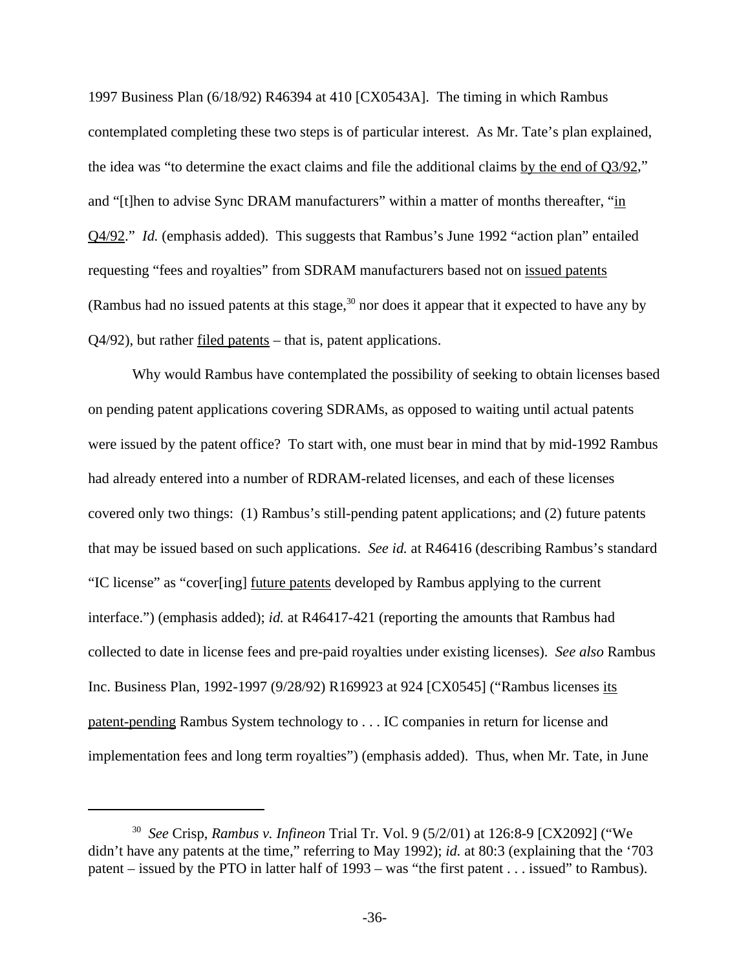1997 Business Plan (6/18/92) R46394 at 410 [CX0543A]. The timing in which Rambus contemplated completing these two steps is of particular interest. As Mr. Tate's plan explained, the idea was "to determine the exact claims and file the additional claims by the end of Q3/92," and "[t]hen to advise Sync DRAM manufacturers" within a matter of months thereafter, "in Q4/92." *Id.* (emphasis added). This suggests that Rambus's June 1992 "action plan" entailed requesting "fees and royalties" from SDRAM manufacturers based not on issued patents (Rambus had no issued patents at this stage,  $30$  nor does it appear that it expected to have any by Q4/92), but rather filed patents – that is, patent applications.

Why would Rambus have contemplated the possibility of seeking to obtain licenses based on pending patent applications covering SDRAMs, as opposed to waiting until actual patents were issued by the patent office? To start with, one must bear in mind that by mid-1992 Rambus had already entered into a number of RDRAM-related licenses, and each of these licenses covered only two things: (1) Rambus's still-pending patent applications; and (2) future patents that may be issued based on such applications. *See id.* at R46416 (describing Rambus's standard "IC license" as "cover[ing] future patents developed by Rambus applying to the current interface.") (emphasis added); *id.* at R46417-421 (reporting the amounts that Rambus had collected to date in license fees and pre-paid royalties under existing licenses). *See also* Rambus Inc. Business Plan, 1992-1997 (9/28/92) R169923 at 924 [CX0545] ("Rambus licenses its patent-pending Rambus System technology to . . . IC companies in return for license and implementation fees and long term royalties") (emphasis added). Thus, when Mr. Tate, in June

<sup>30</sup> *See* Crisp, *Rambus v. Infineon* Trial Tr. Vol. 9 (5/2/01) at 126:8-9 [CX2092] ("We didn't have any patents at the time," referring to May 1992); *id.* at 80:3 (explaining that the '703 patent – issued by the PTO in latter half of 1993 – was "the first patent . . . issued" to Rambus).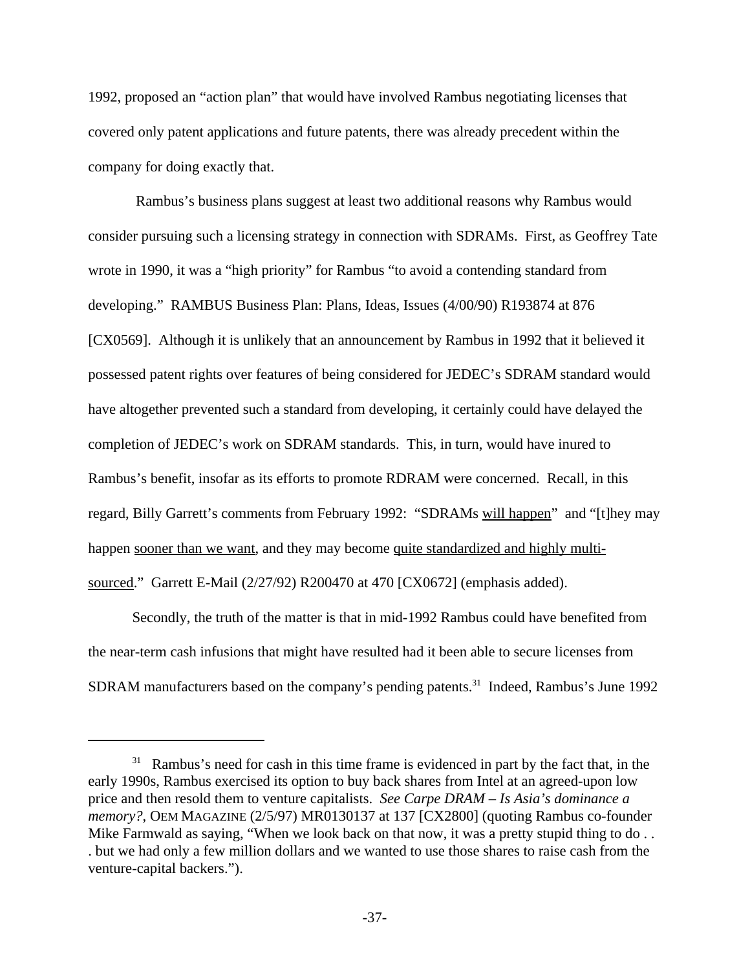1992, proposed an "action plan" that would have involved Rambus negotiating licenses that covered only patent applications and future patents, there was already precedent within the company for doing exactly that.

 Rambus's business plans suggest at least two additional reasons why Rambus would consider pursuing such a licensing strategy in connection with SDRAMs. First, as Geoffrey Tate wrote in 1990, it was a "high priority" for Rambus "to avoid a contending standard from developing." RAMBUS Business Plan: Plans, Ideas, Issues (4/00/90) R193874 at 876 [CX0569]. Although it is unlikely that an announcement by Rambus in 1992 that it believed it possessed patent rights over features of being considered for JEDEC's SDRAM standard would have altogether prevented such a standard from developing, it certainly could have delayed the completion of JEDEC's work on SDRAM standards. This, in turn, would have inured to Rambus's benefit, insofar as its efforts to promote RDRAM were concerned. Recall, in this regard, Billy Garrett's comments from February 1992: "SDRAMs will happen" and "[t]hey may happen sooner than we want, and they may become quite standardized and highly multisourced." Garrett E-Mail (2/27/92) R200470 at 470 [CX0672] (emphasis added).

Secondly, the truth of the matter is that in mid-1992 Rambus could have benefited from the near-term cash infusions that might have resulted had it been able to secure licenses from SDRAM manufacturers based on the company's pending patents.<sup>31</sup> Indeed, Rambus's June 1992

 $31$  Rambus's need for cash in this time frame is evidenced in part by the fact that, in the early 1990s, Rambus exercised its option to buy back shares from Intel at an agreed-upon low price and then resold them to venture capitalists. *See Carpe DRAM – Is Asia's dominance a memory?*, OEM MAGAZINE (2/5/97) MR0130137 at 137 [CX2800] (quoting Rambus co-founder Mike Farmwald as saying, "When we look back on that now, it was a pretty stupid thing to do... . but we had only a few million dollars and we wanted to use those shares to raise cash from the venture-capital backers.").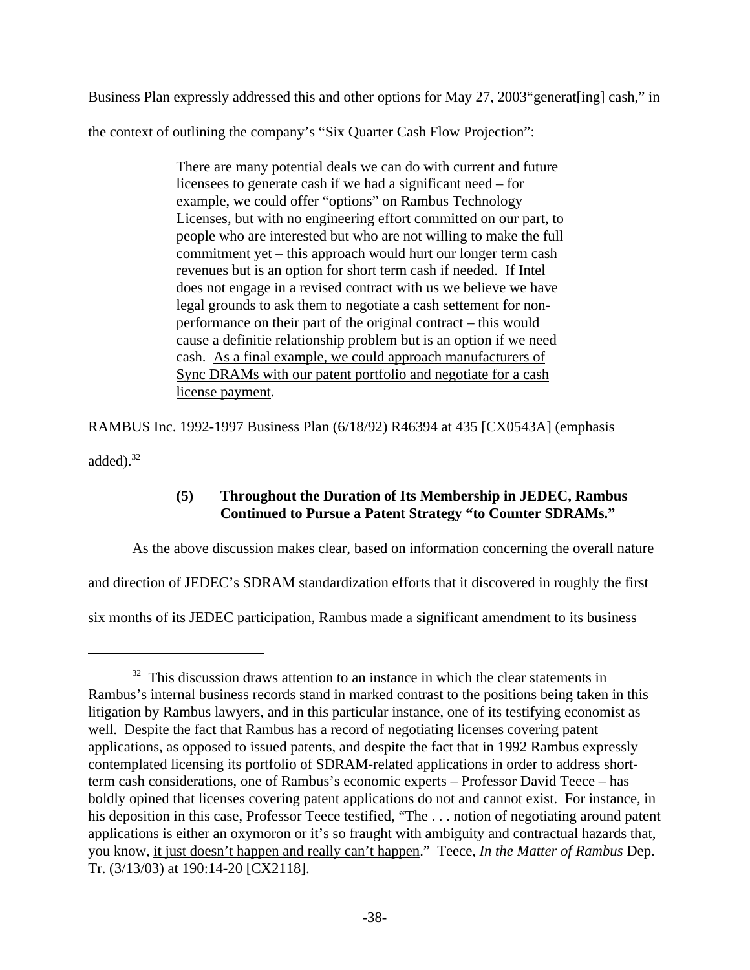Business Plan expressly addressed this and other options for May 27, 2003"generat[ing] cash," in the context of outlining the company's "Six Quarter Cash Flow Projection":

> There are many potential deals we can do with current and future licensees to generate cash if we had a significant need – for example, we could offer "options" on Rambus Technology Licenses, but with no engineering effort committed on our part, to people who are interested but who are not willing to make the full commitment yet – this approach would hurt our longer term cash revenues but is an option for short term cash if needed. If Intel does not engage in a revised contract with us we believe we have legal grounds to ask them to negotiate a cash settement for nonperformance on their part of the original contract – this would cause a definitie relationship problem but is an option if we need cash. As a final example, we could approach manufacturers of Sync DRAMs with our patent portfolio and negotiate for a cash license payment.

RAMBUS Inc. 1992-1997 Business Plan (6/18/92) R46394 at 435 [CX0543A] (emphasis

added). $32$ 

# **(5) Throughout the Duration of Its Membership in JEDEC, Rambus Continued to Pursue a Patent Strategy "to Counter SDRAMs."**

As the above discussion makes clear, based on information concerning the overall nature

and direction of JEDEC's SDRAM standardization efforts that it discovered in roughly the first

six months of its JEDEC participation, Rambus made a significant amendment to its business

 $32$  This discussion draws attention to an instance in which the clear statements in Rambus's internal business records stand in marked contrast to the positions being taken in this litigation by Rambus lawyers, and in this particular instance, one of its testifying economist as well. Despite the fact that Rambus has a record of negotiating licenses covering patent applications, as opposed to issued patents, and despite the fact that in 1992 Rambus expressly contemplated licensing its portfolio of SDRAM-related applications in order to address shortterm cash considerations, one of Rambus's economic experts – Professor David Teece – has boldly opined that licenses covering patent applications do not and cannot exist. For instance, in his deposition in this case, Professor Teece testified, "The ... notion of negotiating around patent applications is either an oxymoron or it's so fraught with ambiguity and contractual hazards that, you know, it just doesn't happen and really can't happen." Teece, *In the Matter of Rambus* Dep. Tr. (3/13/03) at 190:14-20 [CX2118].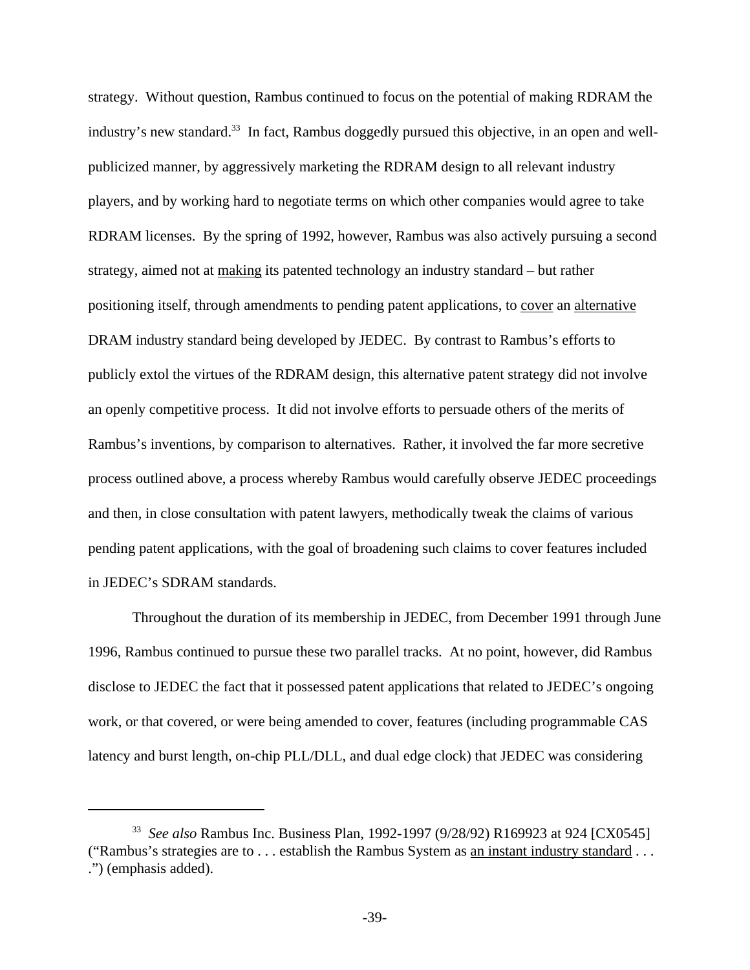strategy. Without question, Rambus continued to focus on the potential of making RDRAM the industry's new standard.<sup>33</sup> In fact, Rambus doggedly pursued this objective, in an open and wellpublicized manner, by aggressively marketing the RDRAM design to all relevant industry players, and by working hard to negotiate terms on which other companies would agree to take RDRAM licenses. By the spring of 1992, however, Rambus was also actively pursuing a second strategy, aimed not at making its patented technology an industry standard – but rather positioning itself, through amendments to pending patent applications, to cover an alternative DRAM industry standard being developed by JEDEC. By contrast to Rambus's efforts to publicly extol the virtues of the RDRAM design, this alternative patent strategy did not involve an openly competitive process. It did not involve efforts to persuade others of the merits of Rambus's inventions, by comparison to alternatives. Rather, it involved the far more secretive process outlined above, a process whereby Rambus would carefully observe JEDEC proceedings and then, in close consultation with patent lawyers, methodically tweak the claims of various pending patent applications, with the goal of broadening such claims to cover features included in JEDEC's SDRAM standards.

Throughout the duration of its membership in JEDEC, from December 1991 through June 1996, Rambus continued to pursue these two parallel tracks. At no point, however, did Rambus disclose to JEDEC the fact that it possessed patent applications that related to JEDEC's ongoing work, or that covered, or were being amended to cover, features (including programmable CAS latency and burst length, on-chip PLL/DLL, and dual edge clock) that JEDEC was considering

<sup>33</sup> *See also* Rambus Inc. Business Plan, 1992-1997 (9/28/92) R169923 at 924 [CX0545] ("Rambus's strategies are to . . . establish the Rambus System as an instant industry standard . . . .") (emphasis added).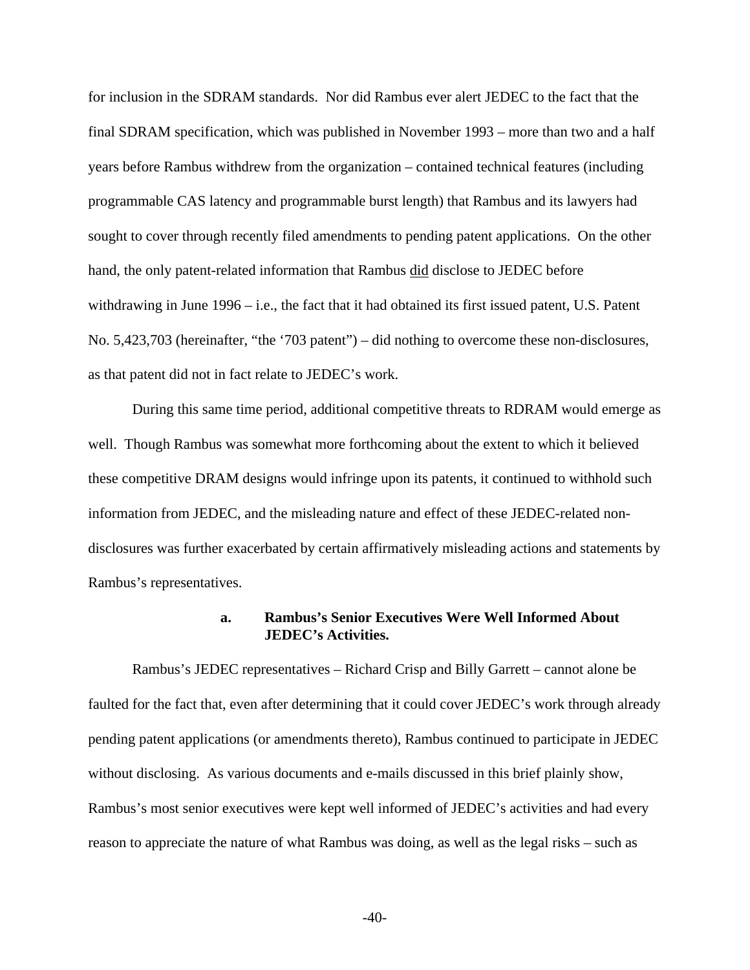for inclusion in the SDRAM standards. Nor did Rambus ever alert JEDEC to the fact that the final SDRAM specification, which was published in November 1993 – more than two and a half years before Rambus withdrew from the organization – contained technical features (including programmable CAS latency and programmable burst length) that Rambus and its lawyers had sought to cover through recently filed amendments to pending patent applications. On the other hand, the only patent-related information that Rambus did disclose to JEDEC before withdrawing in June 1996 – i.e., the fact that it had obtained its first issued patent, U.S. Patent No. 5,423,703 (hereinafter, "the '703 patent") – did nothing to overcome these non-disclosures, as that patent did not in fact relate to JEDEC's work.

During this same time period, additional competitive threats to RDRAM would emerge as well. Though Rambus was somewhat more forthcoming about the extent to which it believed these competitive DRAM designs would infringe upon its patents, it continued to withhold such information from JEDEC, and the misleading nature and effect of these JEDEC-related nondisclosures was further exacerbated by certain affirmatively misleading actions and statements by Rambus's representatives.

### **a. Rambus's Senior Executives Were Well Informed About JEDEC's Activities.**

Rambus's JEDEC representatives – Richard Crisp and Billy Garrett – cannot alone be faulted for the fact that, even after determining that it could cover JEDEC's work through already pending patent applications (or amendments thereto), Rambus continued to participate in JEDEC without disclosing. As various documents and e-mails discussed in this brief plainly show, Rambus's most senior executives were kept well informed of JEDEC's activities and had every reason to appreciate the nature of what Rambus was doing, as well as the legal risks – such as

-40-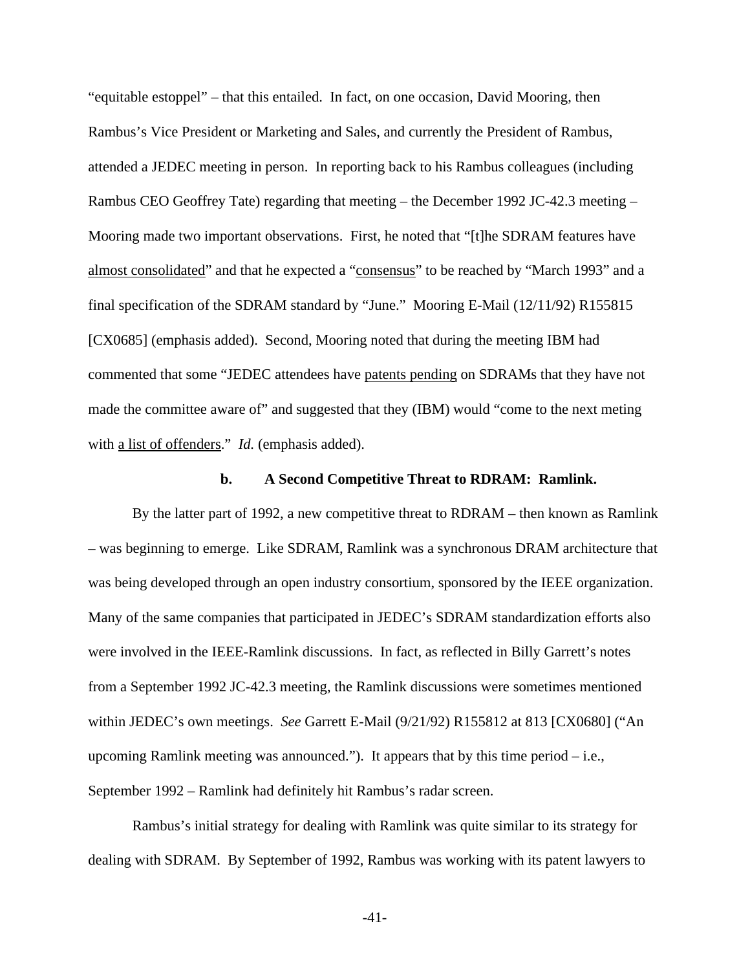"equitable estoppel" – that this entailed. In fact, on one occasion, David Mooring, then Rambus's Vice President or Marketing and Sales, and currently the President of Rambus, attended a JEDEC meeting in person. In reporting back to his Rambus colleagues (including Rambus CEO Geoffrey Tate) regarding that meeting – the December 1992 JC-42.3 meeting – Mooring made two important observations. First, he noted that "[t]he SDRAM features have almost consolidated" and that he expected a "consensus" to be reached by "March 1993" and a final specification of the SDRAM standard by "June." Mooring E-Mail (12/11/92) R155815 [CX0685] (emphasis added). Second, Mooring noted that during the meeting IBM had commented that some "JEDEC attendees have patents pending on SDRAMs that they have not made the committee aware of" and suggested that they (IBM) would "come to the next meting with <u>a list of offenders</u>." *Id.* (emphasis added).

#### **b. A Second Competitive Threat to RDRAM: Ramlink.**

By the latter part of 1992, a new competitive threat to RDRAM – then known as Ramlink – was beginning to emerge. Like SDRAM, Ramlink was a synchronous DRAM architecture that was being developed through an open industry consortium, sponsored by the IEEE organization. Many of the same companies that participated in JEDEC's SDRAM standardization efforts also were involved in the IEEE-Ramlink discussions. In fact, as reflected in Billy Garrett's notes from a September 1992 JC-42.3 meeting, the Ramlink discussions were sometimes mentioned within JEDEC's own meetings. *See* Garrett E-Mail (9/21/92) R155812 at 813 [CX0680] ("An upcoming Ramlink meeting was announced."). It appears that by this time period  $-$  i.e., September 1992 – Ramlink had definitely hit Rambus's radar screen.

Rambus's initial strategy for dealing with Ramlink was quite similar to its strategy for dealing with SDRAM. By September of 1992, Rambus was working with its patent lawyers to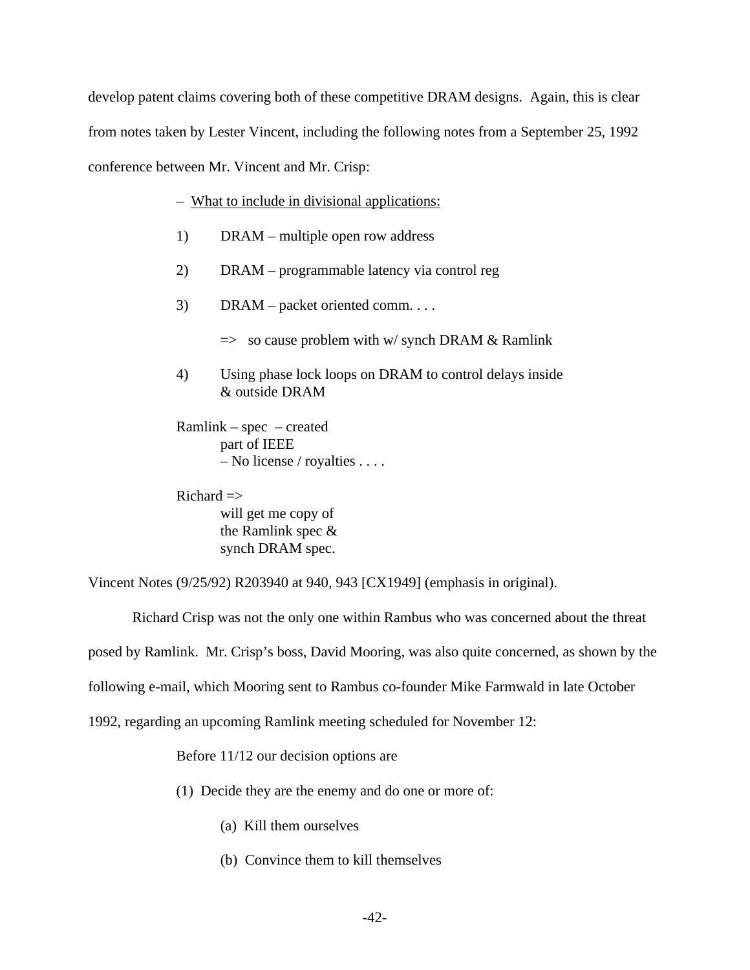develop patent claims covering both of these competitive DRAM designs. Again, this is clear from notes taken by Lester Vincent, including the following notes from a September 25, 1992 conference between Mr. Vincent and Mr. Crisp:

### – What to include in divisional applications:

- 1) DRAM multiple open row address
- 2) DRAM programmable latency via control reg
- 3) DRAM packet oriented comm. . . .
	- $\Rightarrow$  so cause problem with w/ synch DRAM & Ramlink
- 4) Using phase lock loops on DRAM to control delays inside & outside DRAM

Ramlink – spec – created part of IEEE – No license / royalties . . . .

 $Richard \equiv >$ will get me copy of the Ramlink spec & synch DRAM spec.

Vincent Notes (9/25/92) R203940 at 940, 943 [CX1949] (emphasis in original).

Richard Crisp was not the only one within Rambus who was concerned about the threat

posed by Ramlink. Mr. Crisp's boss, David Mooring, was also quite concerned, as shown by the

following e-mail, which Mooring sent to Rambus co-founder Mike Farmwald in late October

1992, regarding an upcoming Ramlink meeting scheduled for November 12:

Before 11/12 our decision options are

(1) Decide they are the enemy and do one or more of:

- (a) Kill them ourselves
- (b) Convince them to kill themselves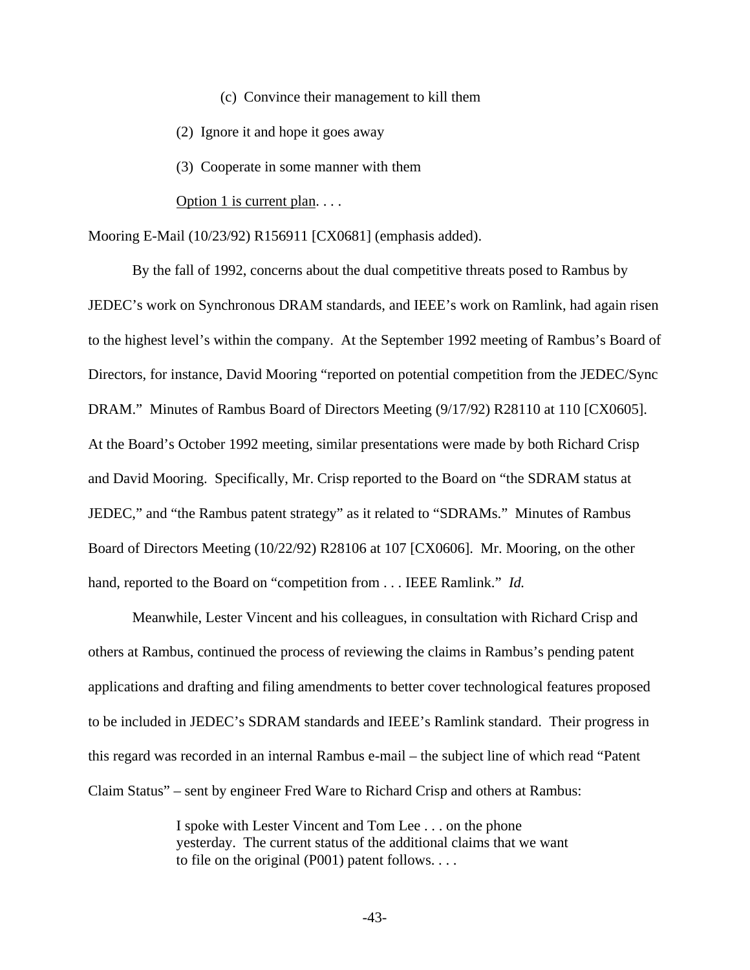(c) Convince their management to kill them

(2) Ignore it and hope it goes away

(3) Cooperate in some manner with them

Option 1 is current plan. . . .

Mooring E-Mail (10/23/92) R156911 [CX0681] (emphasis added).

By the fall of 1992, concerns about the dual competitive threats posed to Rambus by JEDEC's work on Synchronous DRAM standards, and IEEE's work on Ramlink, had again risen to the highest level's within the company. At the September 1992 meeting of Rambus's Board of Directors, for instance, David Mooring "reported on potential competition from the JEDEC/Sync DRAM." Minutes of Rambus Board of Directors Meeting (9/17/92) R28110 at 110 [CX0605]. At the Board's October 1992 meeting, similar presentations were made by both Richard Crisp and David Mooring. Specifically, Mr. Crisp reported to the Board on "the SDRAM status at JEDEC," and "the Rambus patent strategy" as it related to "SDRAMs." Minutes of Rambus Board of Directors Meeting (10/22/92) R28106 at 107 [CX0606]. Mr. Mooring, on the other hand, reported to the Board on "competition from . . . IEEE Ramlink." *Id.* 

Meanwhile, Lester Vincent and his colleagues, in consultation with Richard Crisp and others at Rambus, continued the process of reviewing the claims in Rambus's pending patent applications and drafting and filing amendments to better cover technological features proposed to be included in JEDEC's SDRAM standards and IEEE's Ramlink standard. Their progress in this regard was recorded in an internal Rambus e-mail – the subject line of which read "Patent Claim Status" – sent by engineer Fred Ware to Richard Crisp and others at Rambus:

> I spoke with Lester Vincent and Tom Lee . . . on the phone yesterday. The current status of the additional claims that we want to file on the original (P001) patent follows. . . .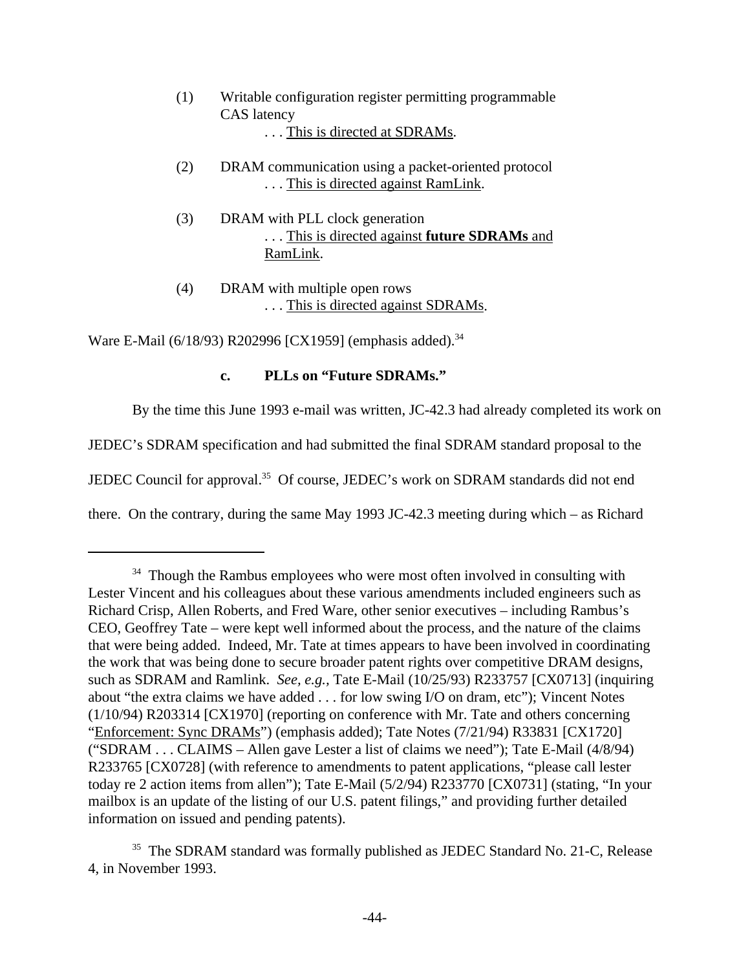- (1) Writable configuration register permitting programmable CAS latency . . . This is directed at SDRAMs.
- (2) DRAM communication using a packet-oriented protocol . . . This is directed against RamLink.
- (3) DRAM with PLL clock generation . . . This is directed against **future SDRAMs** and RamLink.
- (4) DRAM with multiple open rows . . . This is directed against SDRAMs.

Ware E-Mail (6/18/93) R202996 [CX1959] (emphasis added).<sup>34</sup>

## **c. PLLs on "Future SDRAMs."**

By the time this June 1993 e-mail was written, JC-42.3 had already completed its work on

JEDEC's SDRAM specification and had submitted the final SDRAM standard proposal to the

JEDEC Council for approval.<sup>35</sup> Of course, JEDEC's work on SDRAM standards did not end

there. On the contrary, during the same May 1993 JC-42.3 meeting during which – as Richard

<sup>&</sup>lt;sup>34</sup> Though the Rambus employees who were most often involved in consulting with Lester Vincent and his colleagues about these various amendments included engineers such as Richard Crisp, Allen Roberts, and Fred Ware, other senior executives – including Rambus's CEO, Geoffrey Tate – were kept well informed about the process, and the nature of the claims that were being added. Indeed, Mr. Tate at times appears to have been involved in coordinating the work that was being done to secure broader patent rights over competitive DRAM designs, such as SDRAM and Ramlink. *See, e.g.,* Tate E-Mail (10/25/93) R233757 [CX0713] (inquiring about "the extra claims we have added . . . for low swing I/O on dram, etc"); Vincent Notes (1/10/94) R203314 [CX1970] (reporting on conference with Mr. Tate and others concerning "Enforcement: Sync DRAMs") (emphasis added); Tate Notes (7/21/94) R33831 [CX1720] ("SDRAM . . . CLAIMS – Allen gave Lester a list of claims we need"); Tate E-Mail (4/8/94) R233765 [CX0728] (with reference to amendments to patent applications, "please call lester today re 2 action items from allen"); Tate E-Mail (5/2/94) R233770 [CX0731] (stating, "In your mailbox is an update of the listing of our U.S. patent filings," and providing further detailed information on issued and pending patents).

<sup>&</sup>lt;sup>35</sup> The SDRAM standard was formally published as JEDEC Standard No. 21-C, Release 4, in November 1993.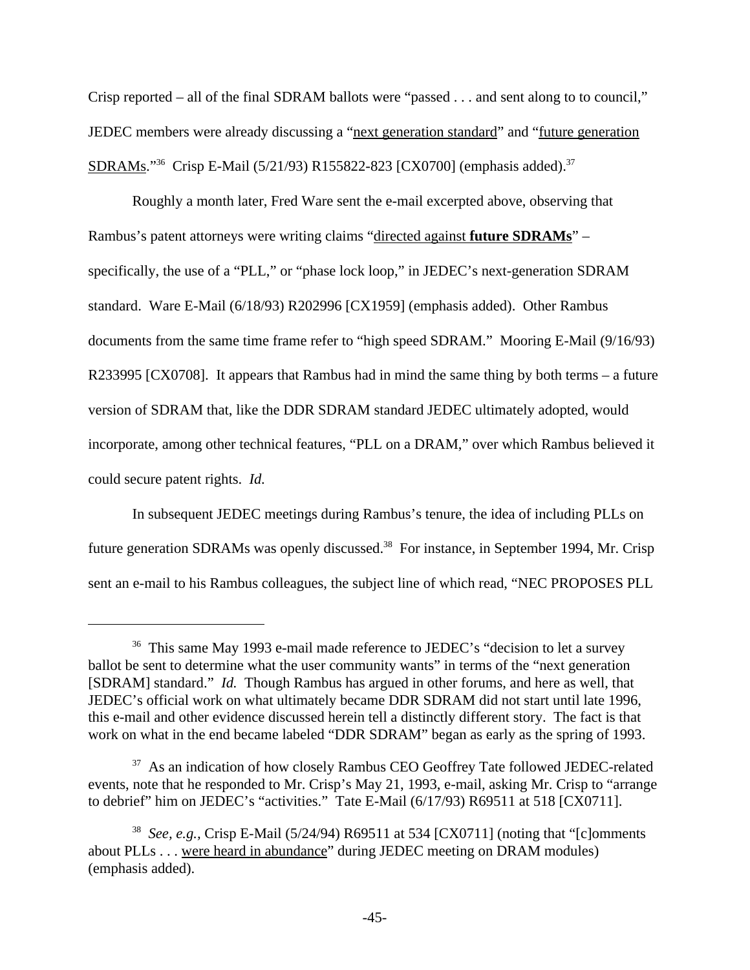Crisp reported – all of the final SDRAM ballots were "passed . . . and sent along to to council," JEDEC members were already discussing a "next generation standard" and "future generation SDRAMs."<sup>36</sup> Crisp E-Mail (5/21/93) R155822-823 [CX0700] (emphasis added).<sup>37</sup>

Roughly a month later, Fred Ware sent the e-mail excerpted above, observing that Rambus's patent attorneys were writing claims "directed against **future SDRAMs**" – specifically, the use of a "PLL," or "phase lock loop," in JEDEC's next-generation SDRAM standard. Ware E-Mail (6/18/93) R202996 [CX1959] (emphasis added). Other Rambus documents from the same time frame refer to "high speed SDRAM." Mooring E-Mail (9/16/93) R233995 [CX0708]. It appears that Rambus had in mind the same thing by both terms – a future version of SDRAM that, like the DDR SDRAM standard JEDEC ultimately adopted, would incorporate, among other technical features, "PLL on a DRAM," over which Rambus believed it could secure patent rights. *Id.*

In subsequent JEDEC meetings during Rambus's tenure, the idea of including PLLs on future generation SDRAMs was openly discussed.<sup>38</sup> For instance, in September 1994, Mr. Crisp sent an e-mail to his Rambus colleagues, the subject line of which read, "NEC PROPOSES PLL

<sup>&</sup>lt;sup>36</sup> This same May 1993 e-mail made reference to JEDEC's "decision to let a survey ballot be sent to determine what the user community wants" in terms of the "next generation [SDRAM] standard." *Id.* Though Rambus has argued in other forums, and here as well, that JEDEC's official work on what ultimately became DDR SDRAM did not start until late 1996, this e-mail and other evidence discussed herein tell a distinctly different story. The fact is that work on what in the end became labeled "DDR SDRAM" began as early as the spring of 1993.

<sup>&</sup>lt;sup>37</sup> As an indication of how closely Rambus CEO Geoffrey Tate followed JEDEC-related events, note that he responded to Mr. Crisp's May 21, 1993, e-mail, asking Mr. Crisp to "arrange to debrief" him on JEDEC's "activities." Tate E-Mail (6/17/93) R69511 at 518 [CX0711].

<sup>38</sup> *See, e.g.,* Crisp E-Mail (5/24/94) R69511 at 534 [CX0711] (noting that "[c]omments about PLLs . . . were heard in abundance" during JEDEC meeting on DRAM modules) (emphasis added).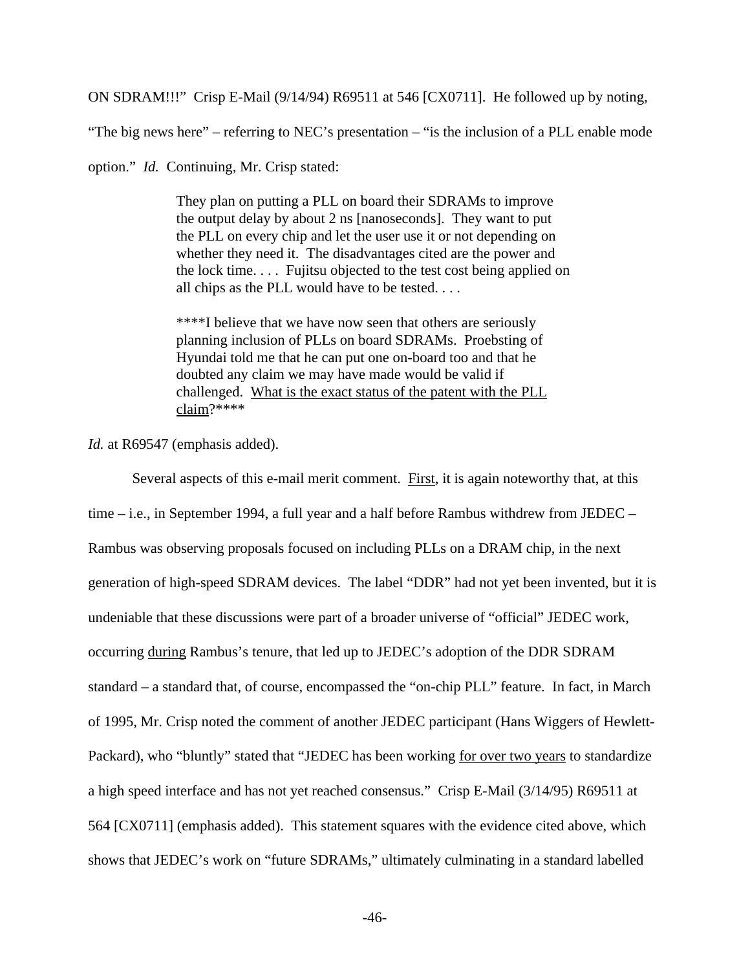ON SDRAM!!!" Crisp E-Mail (9/14/94) R69511 at 546 [CX0711]. He followed up by noting,

"The big news here" – referring to NEC's presentation – "is the inclusion of a PLL enable mode

option." *Id.* Continuing, Mr. Crisp stated:

They plan on putting a PLL on board their SDRAMs to improve the output delay by about 2 ns [nanoseconds]. They want to put the PLL on every chip and let the user use it or not depending on whether they need it. The disadvantages cited are the power and the lock time. . . . Fujitsu objected to the test cost being applied on all chips as the PLL would have to be tested. . . .

\*\*\*\*I believe that we have now seen that others are seriously planning inclusion of PLLs on board SDRAMs. Proebsting of Hyundai told me that he can put one on-board too and that he doubted any claim we may have made would be valid if challenged. What is the exact status of the patent with the PLL claim?\*\*\*\*

*Id.* at R69547 (emphasis added).

Several aspects of this e-mail merit comment. First, it is again noteworthy that, at this time – i.e., in September 1994, a full year and a half before Rambus withdrew from JEDEC – Rambus was observing proposals focused on including PLLs on a DRAM chip, in the next generation of high-speed SDRAM devices. The label "DDR" had not yet been invented, but it is undeniable that these discussions were part of a broader universe of "official" JEDEC work, occurring during Rambus's tenure, that led up to JEDEC's adoption of the DDR SDRAM standard – a standard that, of course, encompassed the "on-chip PLL" feature. In fact, in March of 1995, Mr. Crisp noted the comment of another JEDEC participant (Hans Wiggers of Hewlett-Packard), who "bluntly" stated that "JEDEC has been working for over two years to standardize a high speed interface and has not yet reached consensus." Crisp E-Mail (3/14/95) R69511 at 564 [CX0711] (emphasis added). This statement squares with the evidence cited above, which shows that JEDEC's work on "future SDRAMs," ultimately culminating in a standard labelled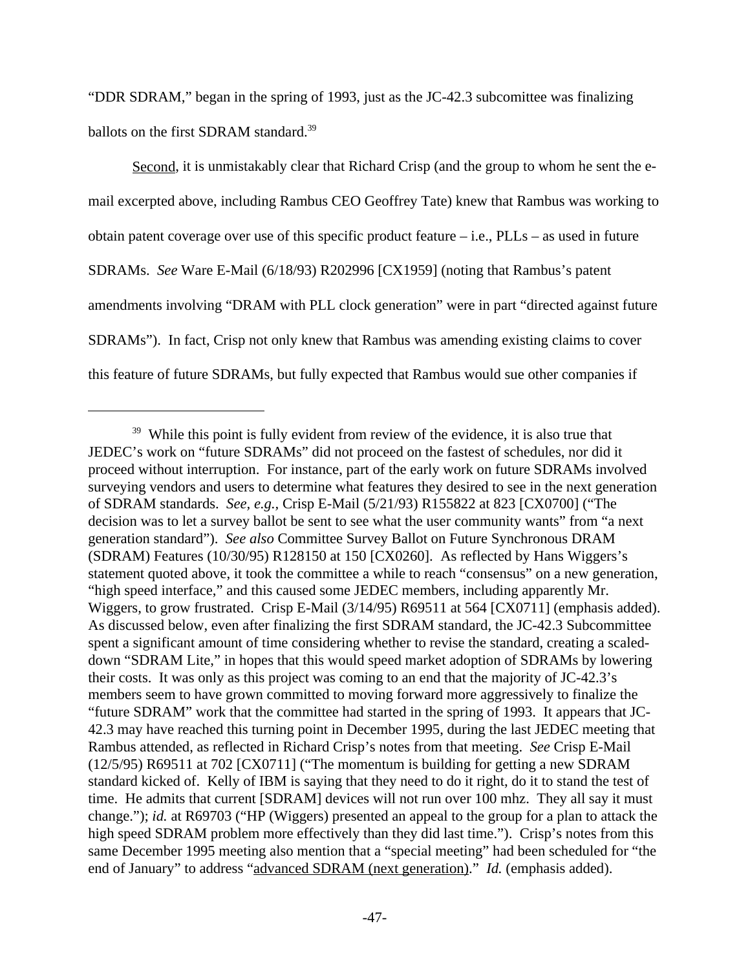"DDR SDRAM," began in the spring of 1993, just as the JC-42.3 subcomittee was finalizing ballots on the first SDRAM standard.<sup>39</sup>

Second, it is unmistakably clear that Richard Crisp (and the group to whom he sent the email excerpted above, including Rambus CEO Geoffrey Tate) knew that Rambus was working to obtain patent coverage over use of this specific product feature  $-$  i.e., PLLs  $-$  as used in future SDRAMs. *See* Ware E-Mail (6/18/93) R202996 [CX1959] (noting that Rambus's patent amendments involving "DRAM with PLL clock generation" were in part "directed against future SDRAMs"). In fact, Crisp not only knew that Rambus was amending existing claims to cover this feature of future SDRAMs, but fully expected that Rambus would sue other companies if

<sup>&</sup>lt;sup>39</sup> While this point is fully evident from review of the evidence, it is also true that JEDEC's work on "future SDRAMs" did not proceed on the fastest of schedules, nor did it proceed without interruption. For instance, part of the early work on future SDRAMs involved surveying vendors and users to determine what features they desired to see in the next generation of SDRAM standards. *See, e.g.,* Crisp E-Mail (5/21/93) R155822 at 823 [CX0700] ("The decision was to let a survey ballot be sent to see what the user community wants" from "a next generation standard"). *See also* Committee Survey Ballot on Future Synchronous DRAM (SDRAM) Features (10/30/95) R128150 at 150 [CX0260]. As reflected by Hans Wiggers's statement quoted above, it took the committee a while to reach "consensus" on a new generation, "high speed interface," and this caused some JEDEC members, including apparently Mr. Wiggers, to grow frustrated. Crisp E-Mail (3/14/95) R69511 at 564 [CX0711] (emphasis added). As discussed below, even after finalizing the first SDRAM standard, the JC-42.3 Subcommittee spent a significant amount of time considering whether to revise the standard, creating a scaleddown "SDRAM Lite," in hopes that this would speed market adoption of SDRAMs by lowering their costs. It was only as this project was coming to an end that the majority of JC-42.3's members seem to have grown committed to moving forward more aggressively to finalize the "future SDRAM" work that the committee had started in the spring of 1993. It appears that JC-42.3 may have reached this turning point in December 1995, during the last JEDEC meeting that Rambus attended, as reflected in Richard Crisp's notes from that meeting. *See* Crisp E-Mail (12/5/95) R69511 at 702 [CX0711] ("The momentum is building for getting a new SDRAM standard kicked of. Kelly of IBM is saying that they need to do it right, do it to stand the test of time. He admits that current [SDRAM] devices will not run over 100 mhz. They all say it must change."); *id.* at R69703 ("HP (Wiggers) presented an appeal to the group for a plan to attack the high speed SDRAM problem more effectively than they did last time."). Crisp's notes from this same December 1995 meeting also mention that a "special meeting" had been scheduled for "the end of January" to address "advanced SDRAM (next generation)." *Id.* (emphasis added).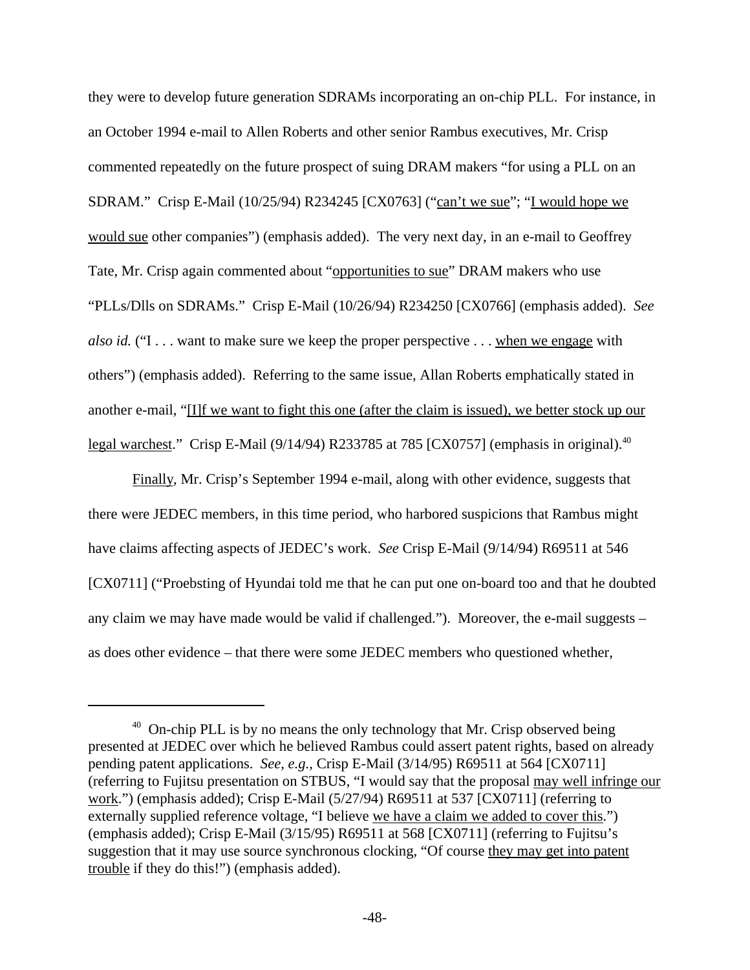they were to develop future generation SDRAMs incorporating an on-chip PLL. For instance, in an October 1994 e-mail to Allen Roberts and other senior Rambus executives, Mr. Crisp commented repeatedly on the future prospect of suing DRAM makers "for using a PLL on an SDRAM." Crisp E-Mail (10/25/94) R234245 [CX0763] ("can't we sue"; "I would hope we would sue other companies") (emphasis added). The very next day, in an e-mail to Geoffrey Tate, Mr. Crisp again commented about "opportunities to sue" DRAM makers who use "PLLs/Dlls on SDRAMs." Crisp E-Mail (10/26/94) R234250 [CX0766] (emphasis added). *See also id.* ("I . . . want to make sure we keep the proper perspective . . . when we engage with others") (emphasis added). Referring to the same issue, Allan Roberts emphatically stated in another e-mail, "[I]f we want to fight this one (after the claim is issued), we better stock up our legal warchest." Crisp E-Mail (9/14/94) R233785 at 785 [CX0757] (emphasis in original). $^{40}$ 

Finally, Mr. Crisp's September 1994 e-mail, along with other evidence, suggests that there were JEDEC members, in this time period, who harbored suspicions that Rambus might have claims affecting aspects of JEDEC's work. *See* Crisp E-Mail (9/14/94) R69511 at 546 [CX0711] ("Proebsting of Hyundai told me that he can put one on-board too and that he doubted any claim we may have made would be valid if challenged."). Moreover, the e-mail suggests – as does other evidence – that there were some JEDEC members who questioned whether,

 $40$  On-chip PLL is by no means the only technology that Mr. Crisp observed being presented at JEDEC over which he believed Rambus could assert patent rights, based on already pending patent applications. *See, e.g.,* Crisp E-Mail (3/14/95) R69511 at 564 [CX0711] (referring to Fujitsu presentation on STBUS, "I would say that the proposal may well infringe our work.") (emphasis added); Crisp E-Mail (5/27/94) R69511 at 537 [CX0711] (referring to externally supplied reference voltage, "I believe we have a claim we added to cover this.") (emphasis added); Crisp E-Mail (3/15/95) R69511 at 568 [CX0711] (referring to Fujitsu's suggestion that it may use source synchronous clocking, "Of course they may get into patent trouble if they do this!") (emphasis added).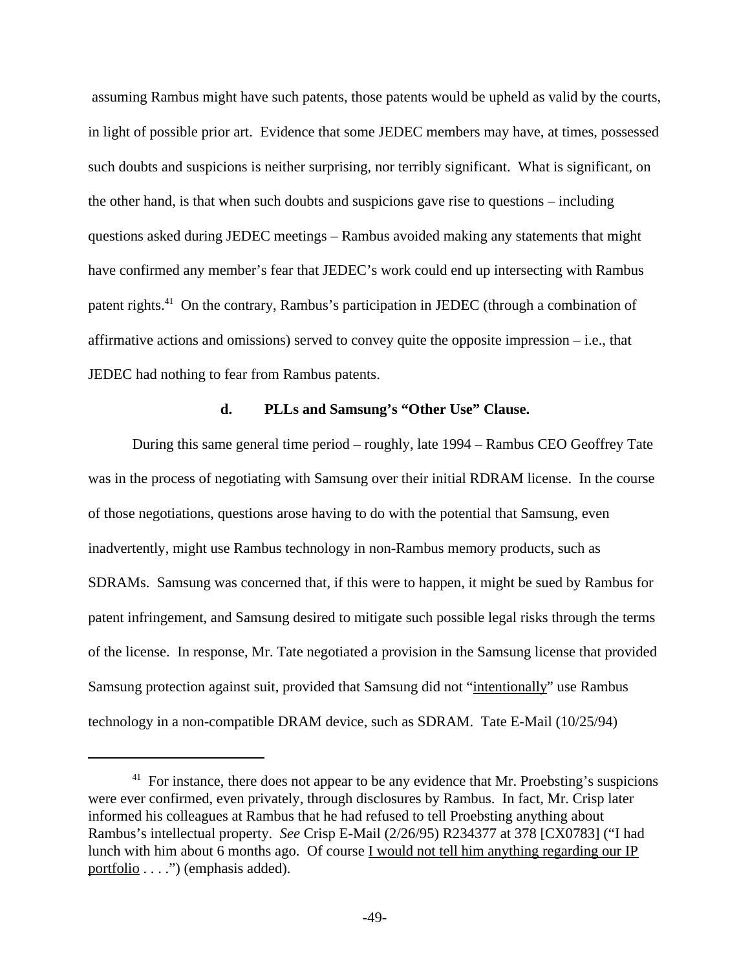assuming Rambus might have such patents, those patents would be upheld as valid by the courts, in light of possible prior art. Evidence that some JEDEC members may have, at times, possessed such doubts and suspicions is neither surprising, nor terribly significant. What is significant, on the other hand, is that when such doubts and suspicions gave rise to questions – including questions asked during JEDEC meetings – Rambus avoided making any statements that might have confirmed any member's fear that JEDEC's work could end up intersecting with Rambus patent rights.<sup>41</sup> On the contrary, Rambus's participation in JEDEC (through a combination of affirmative actions and omissions) served to convey quite the opposite impression – i.e., that JEDEC had nothing to fear from Rambus patents.

#### **d. PLLs and Samsung's "Other Use" Clause.**

During this same general time period – roughly, late 1994 – Rambus CEO Geoffrey Tate was in the process of negotiating with Samsung over their initial RDRAM license. In the course of those negotiations, questions arose having to do with the potential that Samsung, even inadvertently, might use Rambus technology in non-Rambus memory products, such as SDRAMs. Samsung was concerned that, if this were to happen, it might be sued by Rambus for patent infringement, and Samsung desired to mitigate such possible legal risks through the terms of the license. In response, Mr. Tate negotiated a provision in the Samsung license that provided Samsung protection against suit, provided that Samsung did not "intentionally" use Rambus technology in a non-compatible DRAM device, such as SDRAM. Tate E-Mail (10/25/94)

 $41$  For instance, there does not appear to be any evidence that Mr. Proebsting's suspicions were ever confirmed, even privately, through disclosures by Rambus. In fact, Mr. Crisp later informed his colleagues at Rambus that he had refused to tell Proebsting anything about Rambus's intellectual property. *See* Crisp E-Mail (2/26/95) R234377 at 378 [CX0783] ("I had lunch with him about 6 months ago. Of course I would not tell him anything regarding our IP portfolio . . . .") (emphasis added).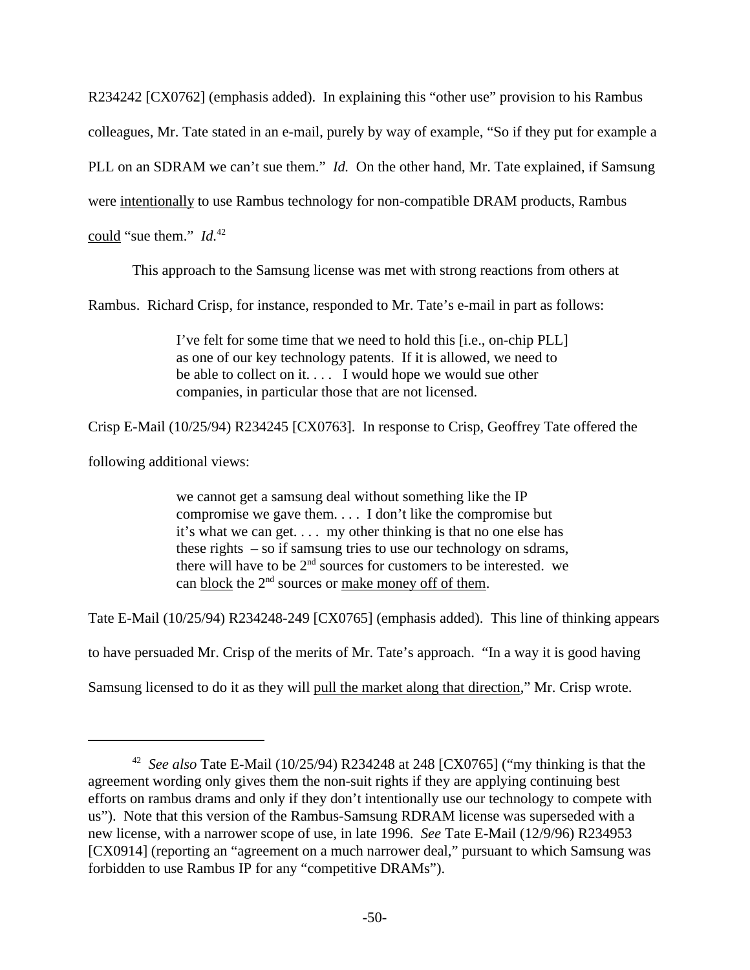R234242 [CX0762] (emphasis added). In explaining this "other use" provision to his Rambus colleagues, Mr. Tate stated in an e-mail, purely by way of example, "So if they put for example a PLL on an SDRAM we can't sue them." *Id.* On the other hand, Mr. Tate explained, if Samsung were intentionally to use Rambus technology for non-compatible DRAM products, Rambus could "sue them." *Id.*<sup>42</sup>

This approach to the Samsung license was met with strong reactions from others at

Rambus. Richard Crisp, for instance, responded to Mr. Tate's e-mail in part as follows:

I've felt for some time that we need to hold this [i.e., on-chip PLL] as one of our key technology patents. If it is allowed, we need to be able to collect on it.... I would hope we would sue other companies, in particular those that are not licensed.

Crisp E-Mail (10/25/94) R234245 [CX0763]. In response to Crisp, Geoffrey Tate offered the

following additional views:

we cannot get a samsung deal without something like the IP compromise we gave them. . . . I don't like the compromise but it's what we can get. . . . my other thinking is that no one else has these rights – so if samsung tries to use our technology on sdrams, there will have to be  $2<sup>nd</sup>$  sources for customers to be interested. we can block the  $2<sup>nd</sup>$  sources or make money off of them.

Tate E-Mail (10/25/94) R234248-249 [CX0765] (emphasis added). This line of thinking appears

to have persuaded Mr. Crisp of the merits of Mr. Tate's approach. "In a way it is good having

Samsung licensed to do it as they will pull the market along that direction," Mr. Crisp wrote.

<sup>42</sup> *See also* Tate E-Mail (10/25/94) R234248 at 248 [CX0765] ("my thinking is that the agreement wording only gives them the non-suit rights if they are applying continuing best efforts on rambus drams and only if they don't intentionally use our technology to compete with us"). Note that this version of the Rambus-Samsung RDRAM license was superseded with a new license, with a narrower scope of use, in late 1996. *See* Tate E-Mail (12/9/96) R234953 [CX0914] (reporting an "agreement on a much narrower deal," pursuant to which Samsung was forbidden to use Rambus IP for any "competitive DRAMs").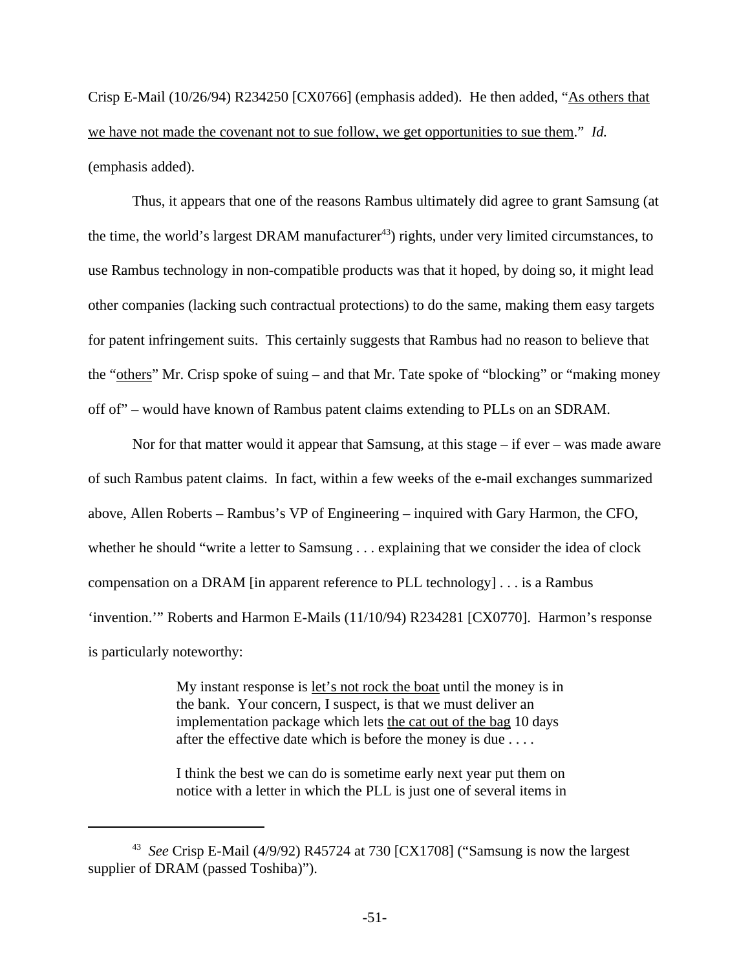Crisp E-Mail (10/26/94) R234250 [CX0766] (emphasis added). He then added, "As others that we have not made the covenant not to sue follow, we get opportunities to sue them." *Id.* (emphasis added).

Thus, it appears that one of the reasons Rambus ultimately did agree to grant Samsung (at the time, the world's largest DRAM manufacturer<sup>43</sup>) rights, under very limited circumstances, to use Rambus technology in non-compatible products was that it hoped, by doing so, it might lead other companies (lacking such contractual protections) to do the same, making them easy targets for patent infringement suits. This certainly suggests that Rambus had no reason to believe that the "others" Mr. Crisp spoke of suing – and that Mr. Tate spoke of "blocking" or "making money off of" – would have known of Rambus patent claims extending to PLLs on an SDRAM.

Nor for that matter would it appear that Samsung, at this stage – if ever – was made aware of such Rambus patent claims. In fact, within a few weeks of the e-mail exchanges summarized above, Allen Roberts – Rambus's VP of Engineering – inquired with Gary Harmon, the CFO, whether he should "write a letter to Samsung . . . explaining that we consider the idea of clock compensation on a DRAM [in apparent reference to PLL technology] . . . is a Rambus 'invention.'" Roberts and Harmon E-Mails (11/10/94) R234281 [CX0770]. Harmon's response is particularly noteworthy:

> My instant response is <u>let's not rock the boat</u> until the money is in the bank. Your concern, I suspect, is that we must deliver an implementation package which lets the cat out of the bag 10 days after the effective date which is before the money is due . . . .

> I think the best we can do is sometime early next year put them on notice with a letter in which the PLL is just one of several items in

<sup>43</sup> *See* Crisp E-Mail (4/9/92) R45724 at 730 [CX1708] ("Samsung is now the largest supplier of DRAM (passed Toshiba)").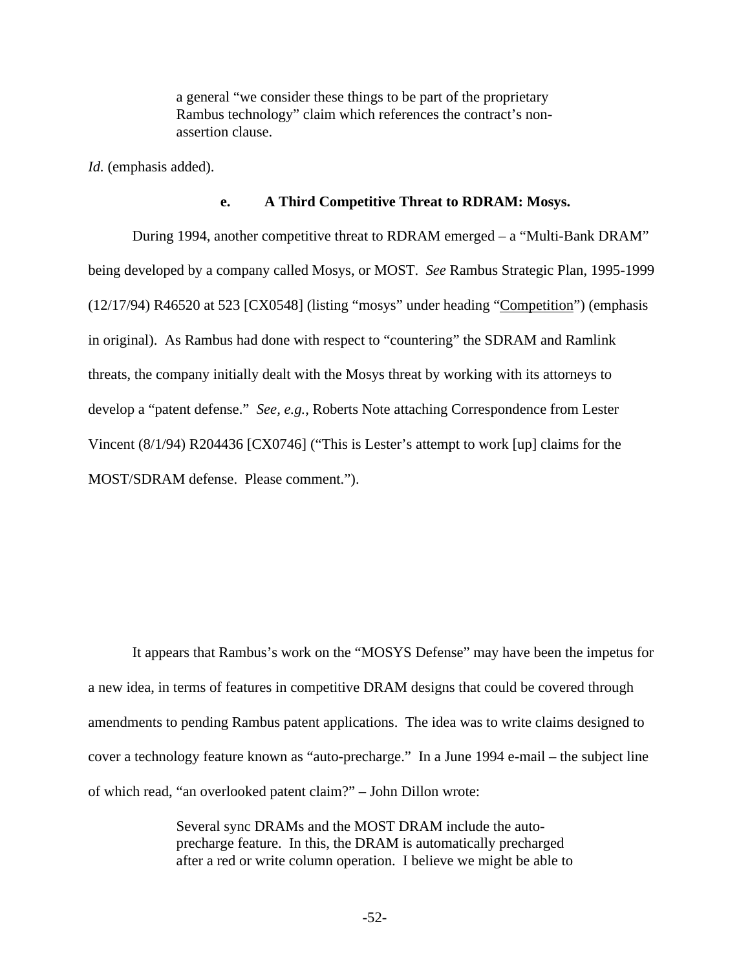a general "we consider these things to be part of the proprietary Rambus technology" claim which references the contract's nonassertion clause.

*Id.* (emphasis added).

### **e. A Third Competitive Threat to RDRAM: Mosys.**

During 1994, another competitive threat to RDRAM emerged – a "Multi-Bank DRAM" being developed by a company called Mosys, or MOST. *See* Rambus Strategic Plan, 1995-1999 (12/17/94) R46520 at 523 [CX0548] (listing "mosys" under heading "Competition") (emphasis in original). As Rambus had done with respect to "countering" the SDRAM and Ramlink threats, the company initially dealt with the Mosys threat by working with its attorneys to develop a "patent defense." *See, e.g.,* Roberts Note attaching Correspondence from Lester Vincent (8/1/94) R204436 [CX0746] ("This is Lester's attempt to work [up] claims for the MOST/SDRAM defense. Please comment.").

It appears that Rambus's work on the "MOSYS Defense" may have been the impetus for a new idea, in terms of features in competitive DRAM designs that could be covered through amendments to pending Rambus patent applications. The idea was to write claims designed to cover a technology feature known as "auto-precharge." In a June 1994 e-mail – the subject line of which read, "an overlooked patent claim?" – John Dillon wrote:

> Several sync DRAMs and the MOST DRAM include the autoprecharge feature. In this, the DRAM is automatically precharged after a red or write column operation. I believe we might be able to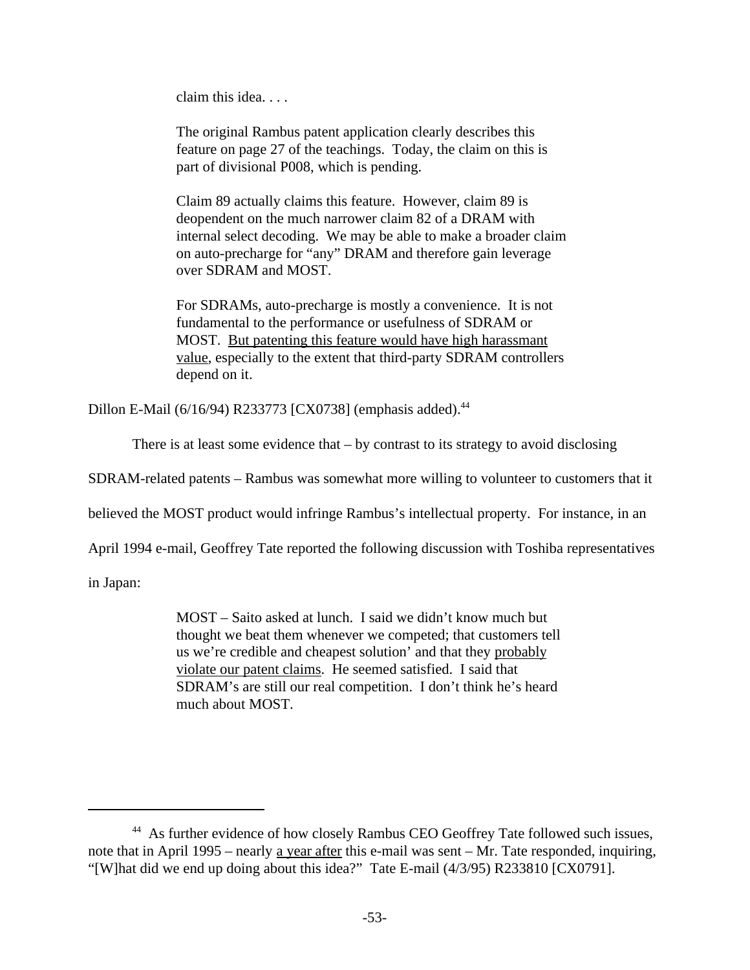claim this idea. . . .

The original Rambus patent application clearly describes this feature on page 27 of the teachings. Today, the claim on this is part of divisional P008, which is pending.

Claim 89 actually claims this feature. However, claim 89 is deopendent on the much narrower claim 82 of a DRAM with internal select decoding. We may be able to make a broader claim on auto-precharge for "any" DRAM and therefore gain leverage over SDRAM and MOST.

For SDRAMs, auto-precharge is mostly a convenience. It is not fundamental to the performance or usefulness of SDRAM or MOST. But patenting this feature would have high harassmant value, especially to the extent that third-party SDRAM controllers depend on it.

Dillon E-Mail (6/16/94) R233773 [CX0738] (emphasis added).<sup>44</sup>

There is at least some evidence that  $-$  by contrast to its strategy to avoid disclosing

SDRAM-related patents – Rambus was somewhat more willing to volunteer to customers that it

believed the MOST product would infringe Rambus's intellectual property. For instance, in an

April 1994 e-mail, Geoffrey Tate reported the following discussion with Toshiba representatives

in Japan:

MOST – Saito asked at lunch. I said we didn't know much but thought we beat them whenever we competed; that customers tell us we're credible and cheapest solution' and that they probably violate our patent claims. He seemed satisfied. I said that SDRAM's are still our real competition. I don't think he's heard much about MOST.

<sup>&</sup>lt;sup>44</sup> As further evidence of how closely Rambus CEO Geoffrey Tate followed such issues, note that in April 1995 – nearly a year after this e-mail was sent – Mr. Tate responded, inquiring, "[W]hat did we end up doing about this idea?" Tate E-mail (4/3/95) R233810 [CX0791].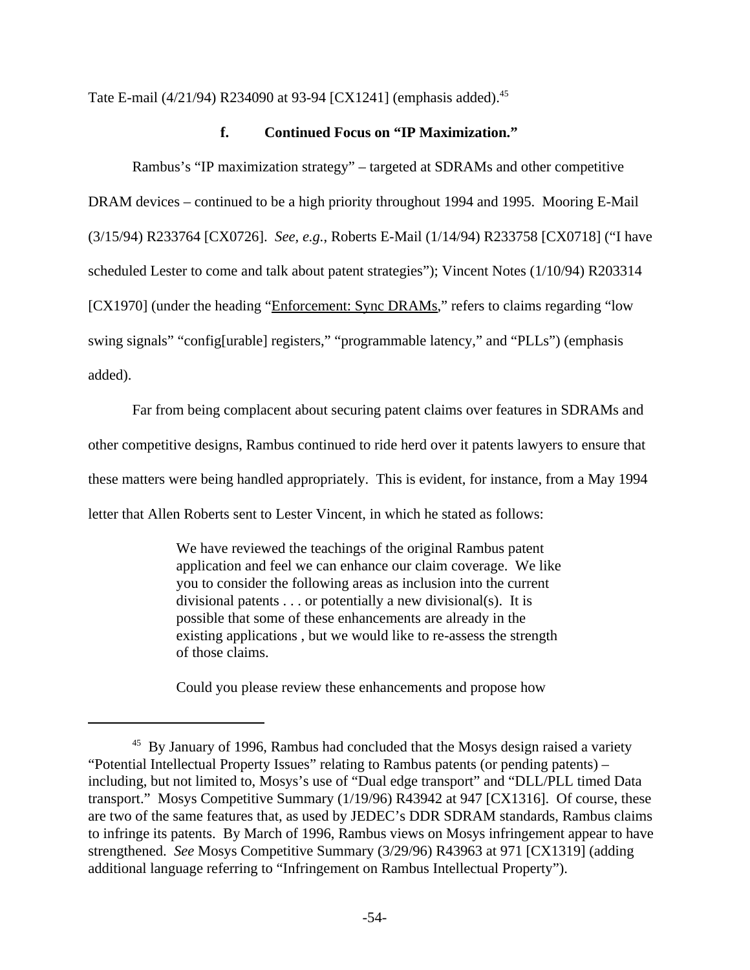Tate E-mail (4/21/94) R234090 at 93-94 [CX1241] (emphasis added).<sup>45</sup>

### **f. Continued Focus on "IP Maximization."**

Rambus's "IP maximization strategy" – targeted at SDRAMs and other competitive DRAM devices – continued to be a high priority throughout 1994 and 1995. Mooring E-Mail (3/15/94) R233764 [CX0726]. *See, e.g.*, Roberts E-Mail (1/14/94) R233758 [CX0718] ("I have scheduled Lester to come and talk about patent strategies"); Vincent Notes (1/10/94) R203314 [CX1970] (under the heading "Enforcement: Sync DRAMs," refers to claims regarding "low swing signals" "config[urable] registers," "programmable latency," and "PLLs") (emphasis added).

Far from being complacent about securing patent claims over features in SDRAMs and other competitive designs, Rambus continued to ride herd over it patents lawyers to ensure that these matters were being handled appropriately. This is evident, for instance, from a May 1994 letter that Allen Roberts sent to Lester Vincent, in which he stated as follows:

> We have reviewed the teachings of the original Rambus patent application and feel we can enhance our claim coverage. We like you to consider the following areas as inclusion into the current divisional patents . . . or potentially a new divisional(s). It is possible that some of these enhancements are already in the existing applications , but we would like to re-assess the strength of those claims.

Could you please review these enhancements and propose how

<sup>&</sup>lt;sup>45</sup> By January of 1996, Rambus had concluded that the Mosys design raised a variety "Potential Intellectual Property Issues" relating to Rambus patents (or pending patents) – including, but not limited to, Mosys's use of "Dual edge transport" and "DLL/PLL timed Data transport." Mosys Competitive Summary (1/19/96) R43942 at 947 [CX1316]. Of course, these are two of the same features that, as used by JEDEC's DDR SDRAM standards, Rambus claims to infringe its patents. By March of 1996, Rambus views on Mosys infringement appear to have strengthened. *See* Mosys Competitive Summary (3/29/96) R43963 at 971 [CX1319] (adding additional language referring to "Infringement on Rambus Intellectual Property").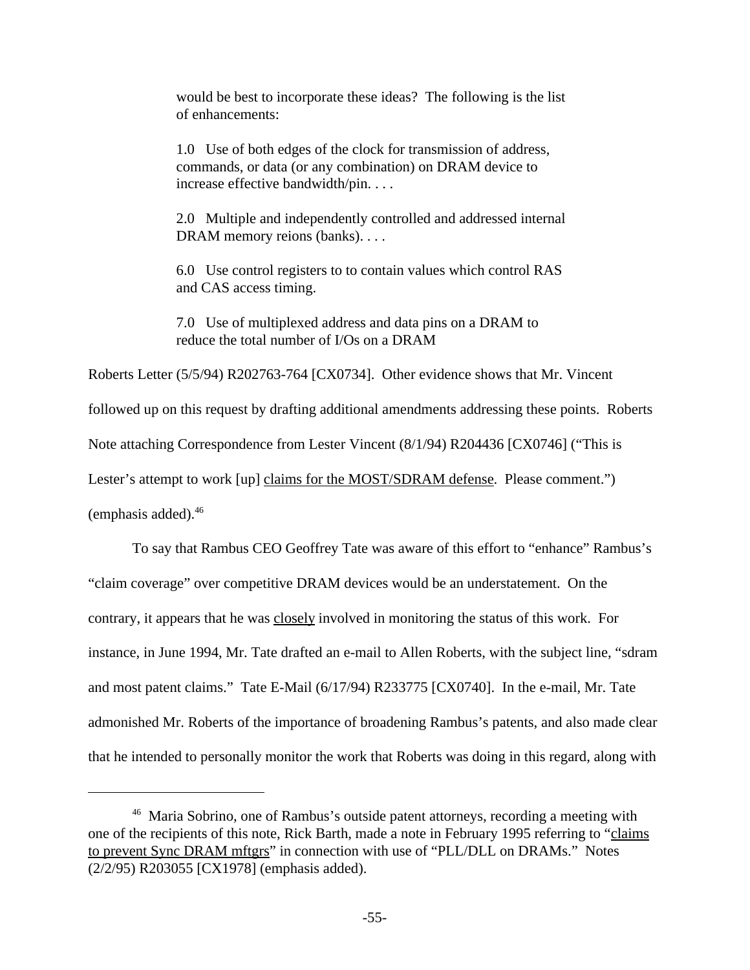would be best to incorporate these ideas? The following is the list of enhancements:

1.0 Use of both edges of the clock for transmission of address, commands, or data (or any combination) on DRAM device to increase effective bandwidth/pin. . . .

2.0 Multiple and independently controlled and addressed internal DRAM memory reions (banks). . . .

6.0 Use control registers to to contain values which control RAS and CAS access timing.

7.0 Use of multiplexed address and data pins on a DRAM to reduce the total number of I/Os on a DRAM

Roberts Letter (5/5/94) R202763-764 [CX0734]. Other evidence shows that Mr. Vincent followed up on this request by drafting additional amendments addressing these points. Roberts Note attaching Correspondence from Lester Vincent (8/1/94) R204436 [CX0746] ("This is Lester's attempt to work [up] claims for the MOST/SDRAM defense. Please comment.") (emphasis added). $46$ 

To say that Rambus CEO Geoffrey Tate was aware of this effort to "enhance" Rambus's "claim coverage" over competitive DRAM devices would be an understatement. On the contrary, it appears that he was closely involved in monitoring the status of this work. For instance, in June 1994, Mr. Tate drafted an e-mail to Allen Roberts, with the subject line, "sdram and most patent claims." Tate E-Mail (6/17/94) R233775 [CX0740]. In the e-mail, Mr. Tate admonished Mr. Roberts of the importance of broadening Rambus's patents, and also made clear that he intended to personally monitor the work that Roberts was doing in this regard, along with

<sup>&</sup>lt;sup>46</sup> Maria Sobrino, one of Rambus's outside patent attorneys, recording a meeting with one of the recipients of this note, Rick Barth, made a note in February 1995 referring to "claims to prevent Sync DRAM mftgrs" in connection with use of "PLL/DLL on DRAMs." Notes (2/2/95) R203055 [CX1978] (emphasis added).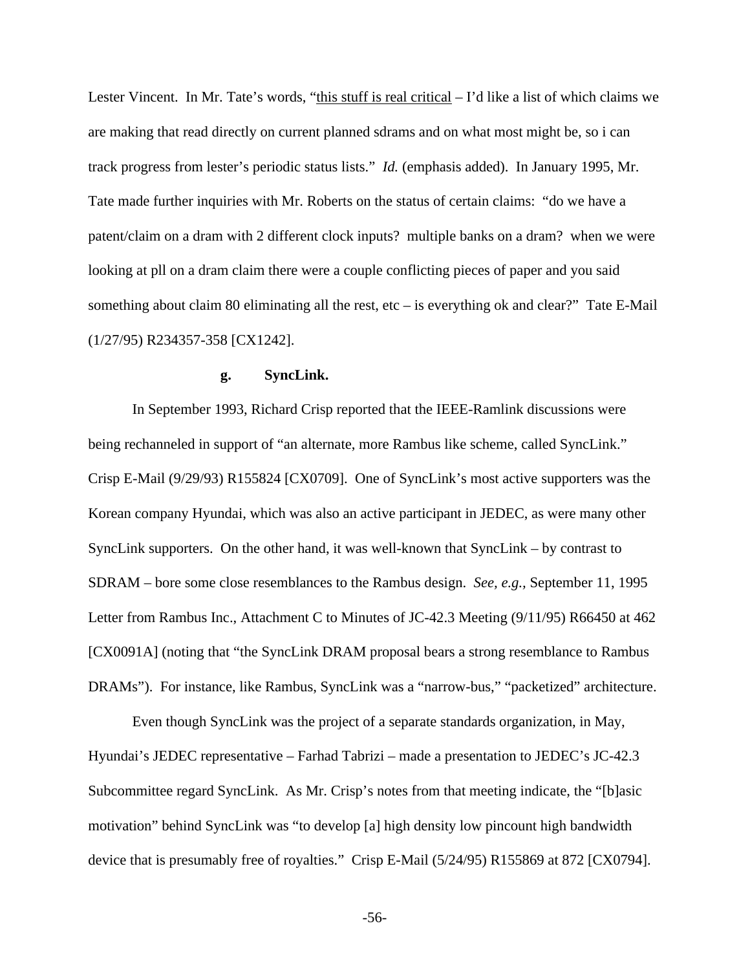Lester Vincent. In Mr. Tate's words, "this stuff is real critical – I'd like a list of which claims we are making that read directly on current planned sdrams and on what most might be, so i can track progress from lester's periodic status lists." *Id.* (emphasis added). In January 1995, Mr. Tate made further inquiries with Mr. Roberts on the status of certain claims: "do we have a patent/claim on a dram with 2 different clock inputs? multiple banks on a dram? when we were looking at pll on a dram claim there were a couple conflicting pieces of paper and you said something about claim 80 eliminating all the rest, etc – is everything ok and clear?" Tate E-Mail (1/27/95) R234357-358 [CX1242].

### **g. SyncLink.**

In September 1993, Richard Crisp reported that the IEEE-Ramlink discussions were being rechanneled in support of "an alternate, more Rambus like scheme, called SyncLink." Crisp E-Mail (9/29/93) R155824 [CX0709]. One of SyncLink's most active supporters was the Korean company Hyundai, which was also an active participant in JEDEC, as were many other SyncLink supporters. On the other hand, it was well-known that SyncLink – by contrast to SDRAM – bore some close resemblances to the Rambus design. *See, e.g.,* September 11, 1995 Letter from Rambus Inc., Attachment C to Minutes of JC-42.3 Meeting (9/11/95) R66450 at 462 [CX0091A] (noting that "the SyncLink DRAM proposal bears a strong resemblance to Rambus DRAMs"). For instance, like Rambus, SyncLink was a "narrow-bus," "packetized" architecture.

Even though SyncLink was the project of a separate standards organization, in May, Hyundai's JEDEC representative – Farhad Tabrizi – made a presentation to JEDEC's JC-42.3 Subcommittee regard SyncLink. As Mr. Crisp's notes from that meeting indicate, the "[b]asic motivation" behind SyncLink was "to develop [a] high density low pincount high bandwidth device that is presumably free of royalties." Crisp E-Mail (5/24/95) R155869 at 872 [CX0794].

-56-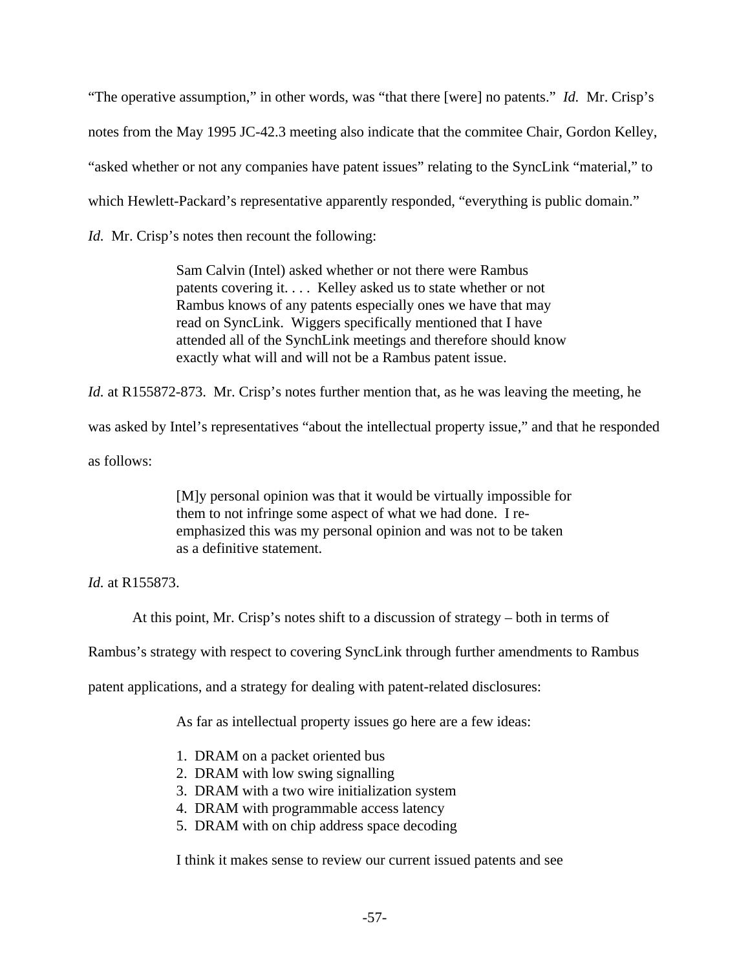"The operative assumption," in other words, was "that there [were] no patents." *Id.* Mr. Crisp's notes from the May 1995 JC-42.3 meeting also indicate that the commitee Chair, Gordon Kelley, "asked whether or not any companies have patent issues" relating to the SyncLink "material," to which Hewlett-Packard's representative apparently responded, "everything is public domain."

*Id.* Mr. Crisp's notes then recount the following:

Sam Calvin (Intel) asked whether or not there were Rambus patents covering it. . . . Kelley asked us to state whether or not Rambus knows of any patents especially ones we have that may read on SyncLink. Wiggers specifically mentioned that I have attended all of the SynchLink meetings and therefore should know exactly what will and will not be a Rambus patent issue.

*Id.* at R155872-873. Mr. Crisp's notes further mention that, as he was leaving the meeting, he

was asked by Intel's representatives "about the intellectual property issue," and that he responded

as follows:

[M]y personal opinion was that it would be virtually impossible for them to not infringe some aspect of what we had done. I reemphasized this was my personal opinion and was not to be taken as a definitive statement.

*Id.* at R155873.

At this point, Mr. Crisp's notes shift to a discussion of strategy – both in terms of

Rambus's strategy with respect to covering SyncLink through further amendments to Rambus

patent applications, and a strategy for dealing with patent-related disclosures:

As far as intellectual property issues go here are a few ideas:

- 1. DRAM on a packet oriented bus
- 2. DRAM with low swing signalling
- 3. DRAM with a two wire initialization system
- 4. DRAM with programmable access latency
- 5. DRAM with on chip address space decoding

I think it makes sense to review our current issued patents and see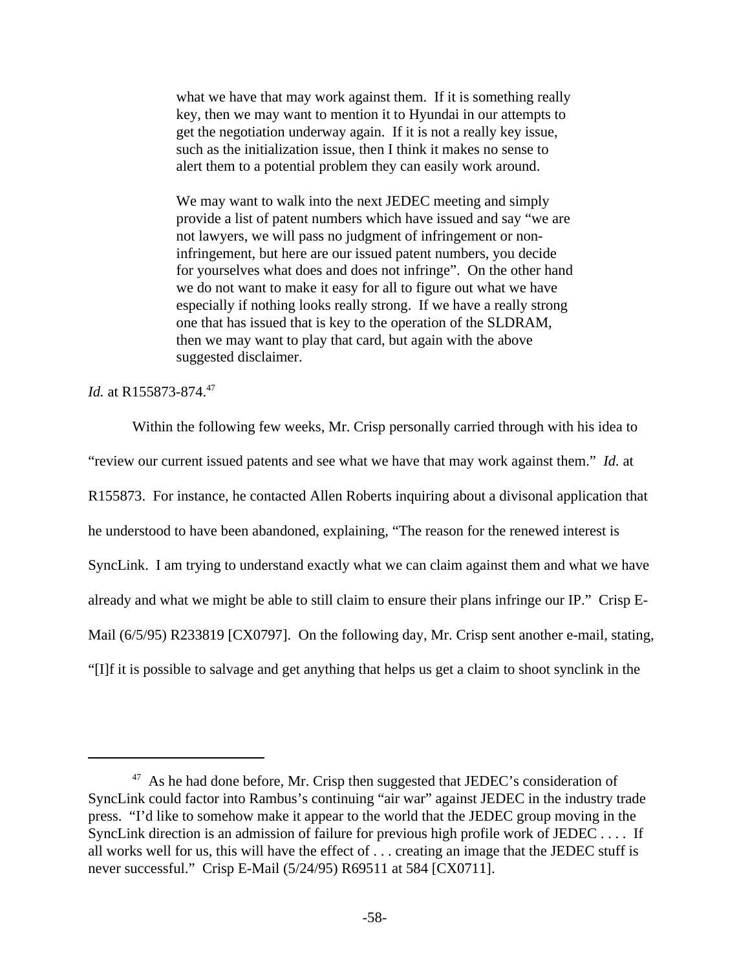what we have that may work against them. If it is something really key, then we may want to mention it to Hyundai in our attempts to get the negotiation underway again. If it is not a really key issue, such as the initialization issue, then I think it makes no sense to alert them to a potential problem they can easily work around.

We may want to walk into the next JEDEC meeting and simply provide a list of patent numbers which have issued and say "we are not lawyers, we will pass no judgment of infringement or noninfringement, but here are our issued patent numbers, you decide for yourselves what does and does not infringe". On the other hand we do not want to make it easy for all to figure out what we have especially if nothing looks really strong. If we have a really strong one that has issued that is key to the operation of the SLDRAM, then we may want to play that card, but again with the above suggested disclaimer.

### *Id.* at R155873-874.<sup>47</sup>

Within the following few weeks, Mr. Crisp personally carried through with his idea to "review our current issued patents and see what we have that may work against them." *Id.* at R155873. For instance, he contacted Allen Roberts inquiring about a divisonal application that he understood to have been abandoned, explaining, "The reason for the renewed interest is SyncLink. I am trying to understand exactly what we can claim against them and what we have already and what we might be able to still claim to ensure their plans infringe our IP." Crisp E-Mail (6/5/95) R233819 [CX0797]. On the following day, Mr. Crisp sent another e-mail, stating, "[I]f it is possible to salvage and get anything that helps us get a claim to shoot synclink in the

 $47$  As he had done before, Mr. Crisp then suggested that JEDEC's consideration of SyncLink could factor into Rambus's continuing "air war" against JEDEC in the industry trade press. "I'd like to somehow make it appear to the world that the JEDEC group moving in the SyncLink direction is an admission of failure for previous high profile work of JEDEC . . . . If all works well for us, this will have the effect of . . . creating an image that the JEDEC stuff is never successful." Crisp E-Mail (5/24/95) R69511 at 584 [CX0711].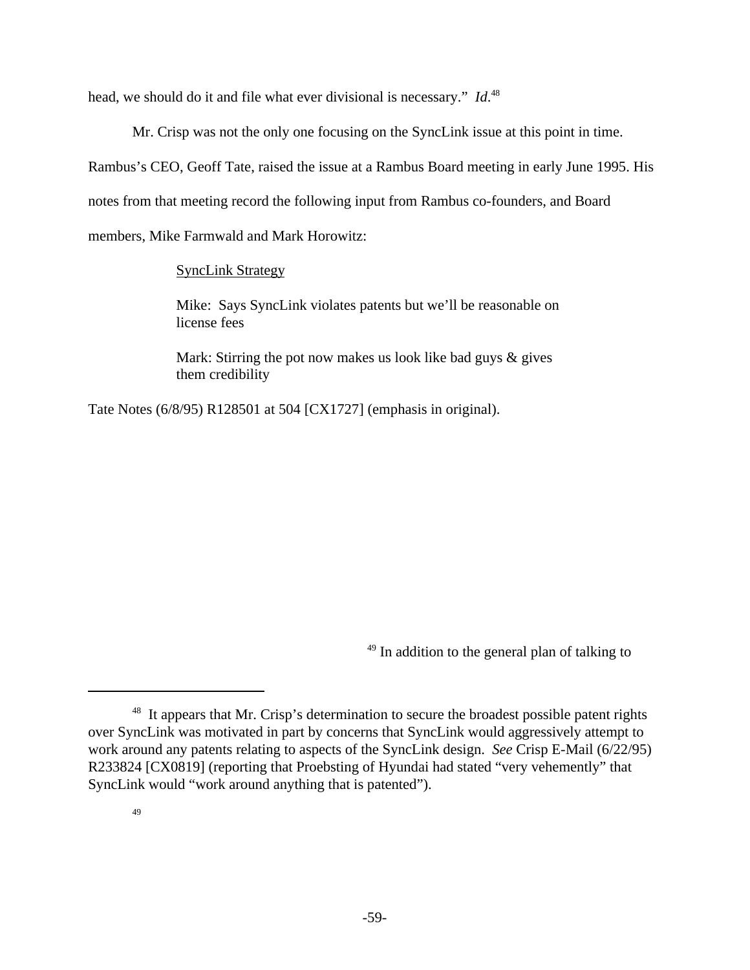head, we should do it and file what ever divisional is necessary." *Id*. 48

Mr. Crisp was not the only one focusing on the SyncLink issue at this point in time.

Rambus's CEO, Geoff Tate, raised the issue at a Rambus Board meeting in early June 1995. His

notes from that meeting record the following input from Rambus co-founders, and Board

members, Mike Farmwald and Mark Horowitz:

SyncLink Strategy

Mike: Says SyncLink violates patents but we'll be reasonable on license fees

Mark: Stirring the pot now makes us look like bad guys & gives them credibility

Tate Notes (6/8/95) R128501 at 504 [CX1727] (emphasis in original).

 $*<sup>49</sup>$  In addition to the general plan of talking to

<sup>&</sup>lt;sup>48</sup> It appears that Mr. Crisp's determination to secure the broadest possible patent rights over SyncLink was motivated in part by concerns that SyncLink would aggressively attempt to work around any patents relating to aspects of the SyncLink design. *See* Crisp E-Mail (6/22/95) R233824 [CX0819] (reporting that Proebsting of Hyundai had stated "very vehemently" that SyncLink would "work around anything that is patented").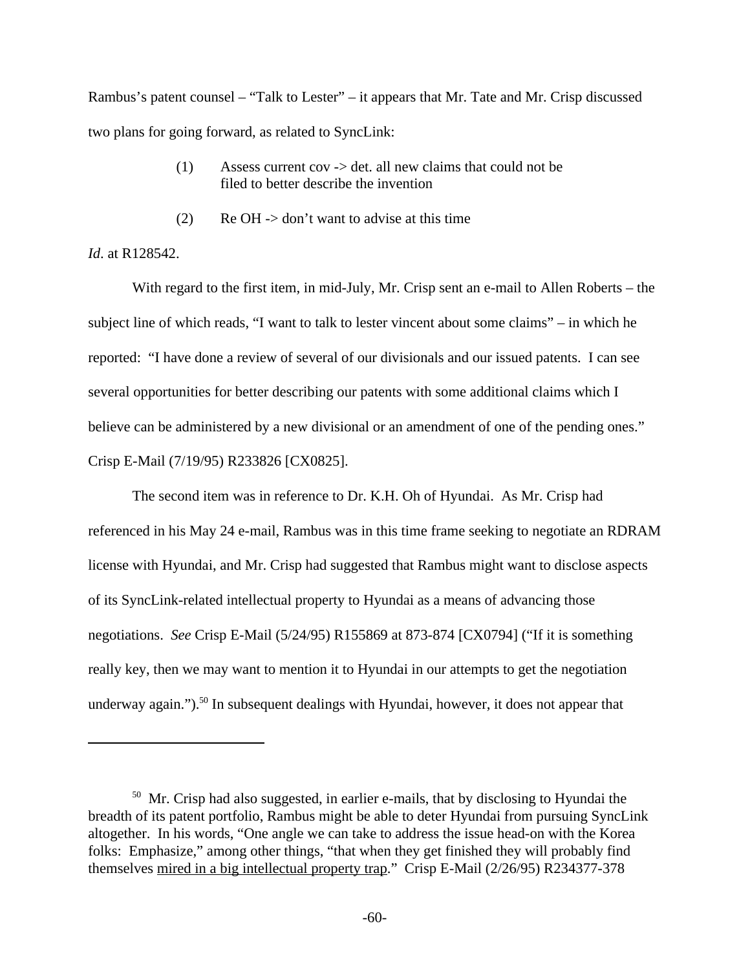Rambus's patent counsel – "Talk to Lester" – it appears that Mr. Tate and Mr. Crisp discussed two plans for going forward, as related to SyncLink:

- (1) Assess current cov -> det. all new claims that could not be filed to better describe the invention
- (2) Re OH -> don't want to advise at this time

## *Id*. at R128542.

With regard to the first item, in mid-July, Mr. Crisp sent an e-mail to Allen Roberts – the subject line of which reads, "I want to talk to lester vincent about some claims" – in which he reported: "I have done a review of several of our divisionals and our issued patents. I can see several opportunities for better describing our patents with some additional claims which I believe can be administered by a new divisional or an amendment of one of the pending ones." Crisp E-Mail (7/19/95) R233826 [CX0825].

The second item was in reference to Dr. K.H. Oh of Hyundai. As Mr. Crisp had referenced in his May 24 e-mail, Rambus was in this time frame seeking to negotiate an RDRAM license with Hyundai, and Mr. Crisp had suggested that Rambus might want to disclose aspects of its SyncLink-related intellectual property to Hyundai as a means of advancing those negotiations. *See* Crisp E-Mail (5/24/95) R155869 at 873-874 [CX0794] ("If it is something really key, then we may want to mention it to Hyundai in our attempts to get the negotiation underway again.").<sup>50</sup> In subsequent dealings with Hyundai, however, it does not appear that

<sup>&</sup>lt;sup>50</sup> Mr. Crisp had also suggested, in earlier e-mails, that by disclosing to Hyundai the breadth of its patent portfolio, Rambus might be able to deter Hyundai from pursuing SyncLink altogether. In his words, "One angle we can take to address the issue head-on with the Korea folks: Emphasize," among other things, "that when they get finished they will probably find themselves mired in a big intellectual property trap." Crisp E-Mail (2/26/95) R234377-378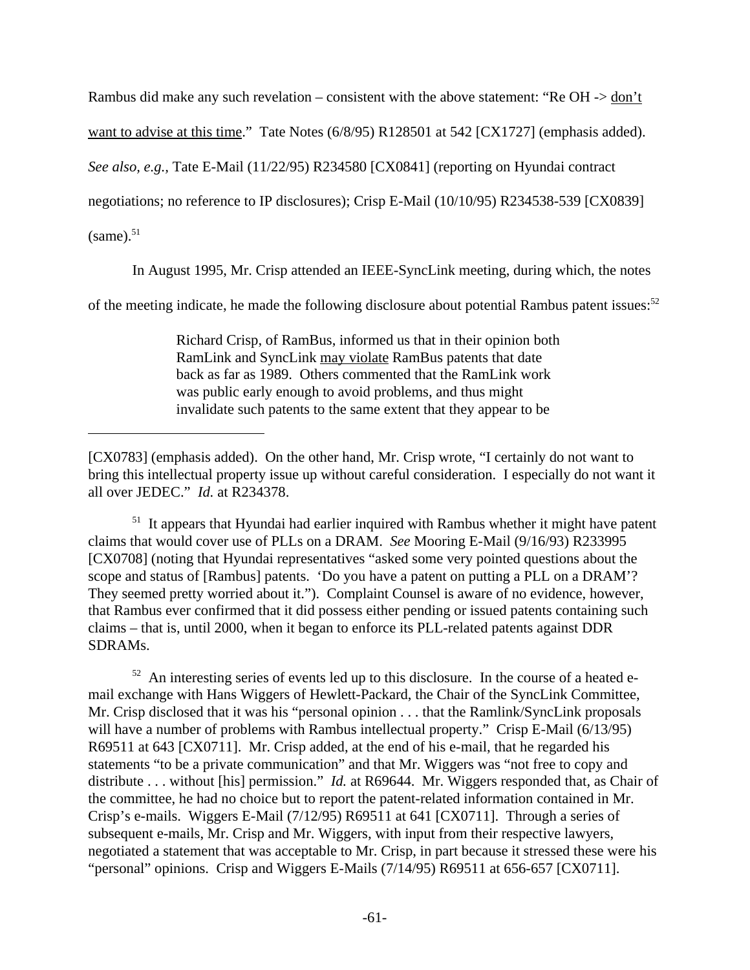Rambus did make any such revelation – consistent with the above statement: "Re OH -> don't

want to advise at this time." Tate Notes (6/8/95) R128501 at 542 [CX1727] (emphasis added).

*See also, e.g.,* Tate E-Mail (11/22/95) R234580 [CX0841] (reporting on Hyundai contract

negotiations; no reference to IP disclosures); Crisp E-Mail (10/10/95) R234538-539 [CX0839]

 $(same).$ <sup>51</sup>

In August 1995, Mr. Crisp attended an IEEE-SyncLink meeting, during which, the notes

of the meeting indicate, he made the following disclosure about potential Rambus patent issues:<sup>52</sup>

Richard Crisp, of RamBus, informed us that in their opinion both RamLink and SyncLink may violate RamBus patents that date back as far as 1989. Others commented that the RamLink work was public early enough to avoid problems, and thus might invalidate such patents to the same extent that they appear to be

<sup>51</sup> It appears that Hyundai had earlier inquired with Rambus whether it might have patent claims that would cover use of PLLs on a DRAM. *See* Mooring E-Mail (9/16/93) R233995 [CX0708] (noting that Hyundai representatives "asked some very pointed questions about the scope and status of [Rambus] patents. 'Do you have a patent on putting a PLL on a DRAM'? They seemed pretty worried about it."). Complaint Counsel is aware of no evidence, however, that Rambus ever confirmed that it did possess either pending or issued patents containing such claims – that is, until 2000, when it began to enforce its PLL-related patents against DDR SDRAMs.

 $52$  An interesting series of events led up to this disclosure. In the course of a heated email exchange with Hans Wiggers of Hewlett-Packard, the Chair of the SyncLink Committee, Mr. Crisp disclosed that it was his "personal opinion . . . that the Ramlink/SyncLink proposals will have a number of problems with Rambus intellectual property." Crisp E-Mail (6/13/95) R69511 at 643 [CX0711]. Mr. Crisp added, at the end of his e-mail, that he regarded his statements "to be a private communication" and that Mr. Wiggers was "not free to copy and distribute . . . without [his] permission." *Id.* at R69644. Mr. Wiggers responded that, as Chair of the committee, he had no choice but to report the patent-related information contained in Mr. Crisp's e-mails. Wiggers E-Mail (7/12/95) R69511 at 641 [CX0711]. Through a series of subsequent e-mails, Mr. Crisp and Mr. Wiggers, with input from their respective lawyers, negotiated a statement that was acceptable to Mr. Crisp, in part because it stressed these were his "personal" opinions. Crisp and Wiggers E-Mails (7/14/95) R69511 at 656-657 [CX0711].

<sup>[</sup>CX0783] (emphasis added). On the other hand, Mr. Crisp wrote, "I certainly do not want to bring this intellectual property issue up without careful consideration. I especially do not want it all over JEDEC." *Id.* at R234378.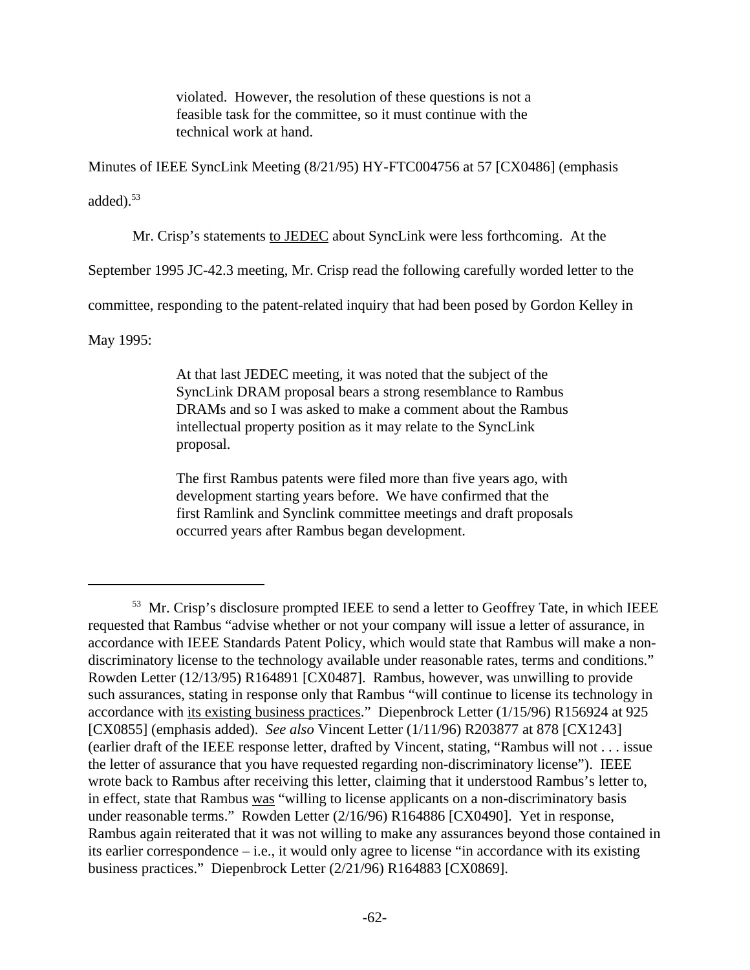violated. However, the resolution of these questions is not a feasible task for the committee, so it must continue with the technical work at hand.

Minutes of IEEE SyncLink Meeting (8/21/95) HY-FTC004756 at 57 [CX0486] (emphasis added $^{53}$ 

Mr. Crisp's statements to JEDEC about SyncLink were less forthcoming. At the

September 1995 JC-42.3 meeting, Mr. Crisp read the following carefully worded letter to the

committee, responding to the patent-related inquiry that had been posed by Gordon Kelley in

May 1995:

At that last JEDEC meeting, it was noted that the subject of the SyncLink DRAM proposal bears a strong resemblance to Rambus DRAMs and so I was asked to make a comment about the Rambus intellectual property position as it may relate to the SyncLink proposal.

The first Rambus patents were filed more than five years ago, with development starting years before. We have confirmed that the first Ramlink and Synclink committee meetings and draft proposals occurred years after Rambus began development.

<sup>&</sup>lt;sup>53</sup> Mr. Crisp's disclosure prompted IEEE to send a letter to Geoffrey Tate, in which IEEE requested that Rambus "advise whether or not your company will issue a letter of assurance, in accordance with IEEE Standards Patent Policy, which would state that Rambus will make a nondiscriminatory license to the technology available under reasonable rates, terms and conditions." Rowden Letter (12/13/95) R164891 [CX0487]. Rambus, however, was unwilling to provide such assurances, stating in response only that Rambus "will continue to license its technology in accordance with its existing business practices." Diepenbrock Letter (1/15/96) R156924 at 925 [CX0855] (emphasis added). *See also* Vincent Letter (1/11/96) R203877 at 878 [CX1243] (earlier draft of the IEEE response letter, drafted by Vincent, stating, "Rambus will not . . . issue the letter of assurance that you have requested regarding non-discriminatory license"). IEEE wrote back to Rambus after receiving this letter, claiming that it understood Rambus's letter to, in effect, state that Rambus was "willing to license applicants on a non-discriminatory basis under reasonable terms." Rowden Letter (2/16/96) R164886 [CX0490]. Yet in response, Rambus again reiterated that it was not willing to make any assurances beyond those contained in its earlier correspondence – i.e., it would only agree to license "in accordance with its existing business practices." Diepenbrock Letter (2/21/96) R164883 [CX0869].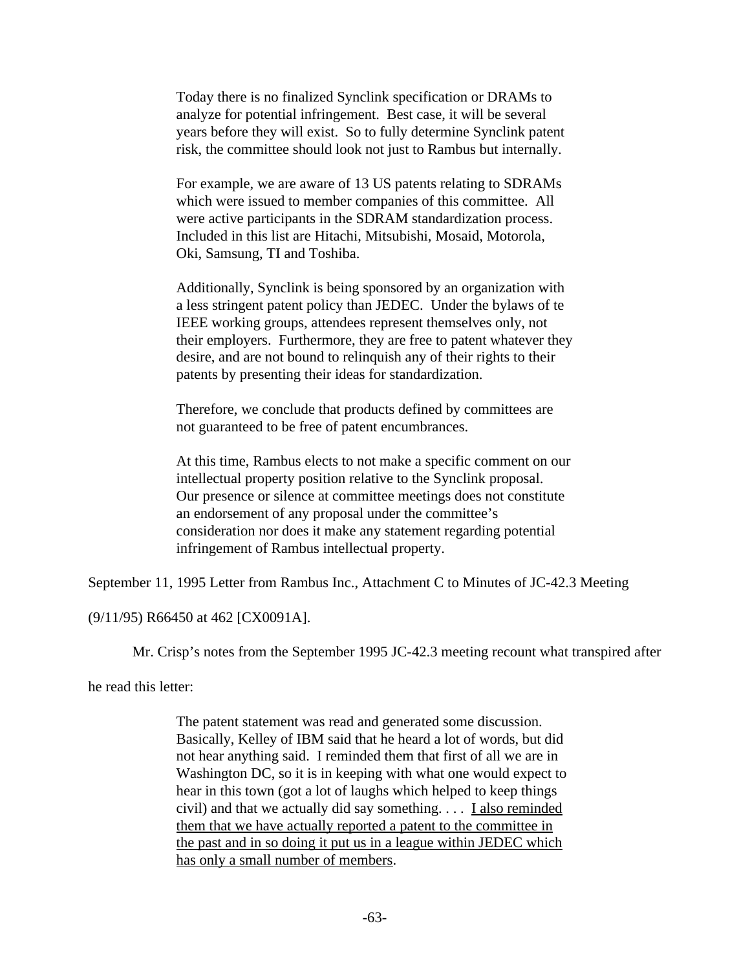Today there is no finalized Synclink specification or DRAMs to analyze for potential infringement. Best case, it will be several years before they will exist. So to fully determine Synclink patent risk, the committee should look not just to Rambus but internally.

For example, we are aware of 13 US patents relating to SDRAMs which were issued to member companies of this committee. All were active participants in the SDRAM standardization process. Included in this list are Hitachi, Mitsubishi, Mosaid, Motorola, Oki, Samsung, TI and Toshiba.

Additionally, Synclink is being sponsored by an organization with a less stringent patent policy than JEDEC. Under the bylaws of te IEEE working groups, attendees represent themselves only, not their employers. Furthermore, they are free to patent whatever they desire, and are not bound to relinquish any of their rights to their patents by presenting their ideas for standardization.

Therefore, we conclude that products defined by committees are not guaranteed to be free of patent encumbrances.

At this time, Rambus elects to not make a specific comment on our intellectual property position relative to the Synclink proposal. Our presence or silence at committee meetings does not constitute an endorsement of any proposal under the committee's consideration nor does it make any statement regarding potential infringement of Rambus intellectual property.

September 11, 1995 Letter from Rambus Inc., Attachment C to Minutes of JC-42.3 Meeting

(9/11/95) R66450 at 462 [CX0091A].

Mr. Crisp's notes from the September 1995 JC-42.3 meeting recount what transpired after

he read this letter:

The patent statement was read and generated some discussion. Basically, Kelley of IBM said that he heard a lot of words, but did not hear anything said. I reminded them that first of all we are in Washington DC, so it is in keeping with what one would expect to hear in this town (got a lot of laughs which helped to keep things civil) and that we actually did say something. . . . I also reminded them that we have actually reported a patent to the committee in the past and in so doing it put us in a league within JEDEC which has only a small number of members.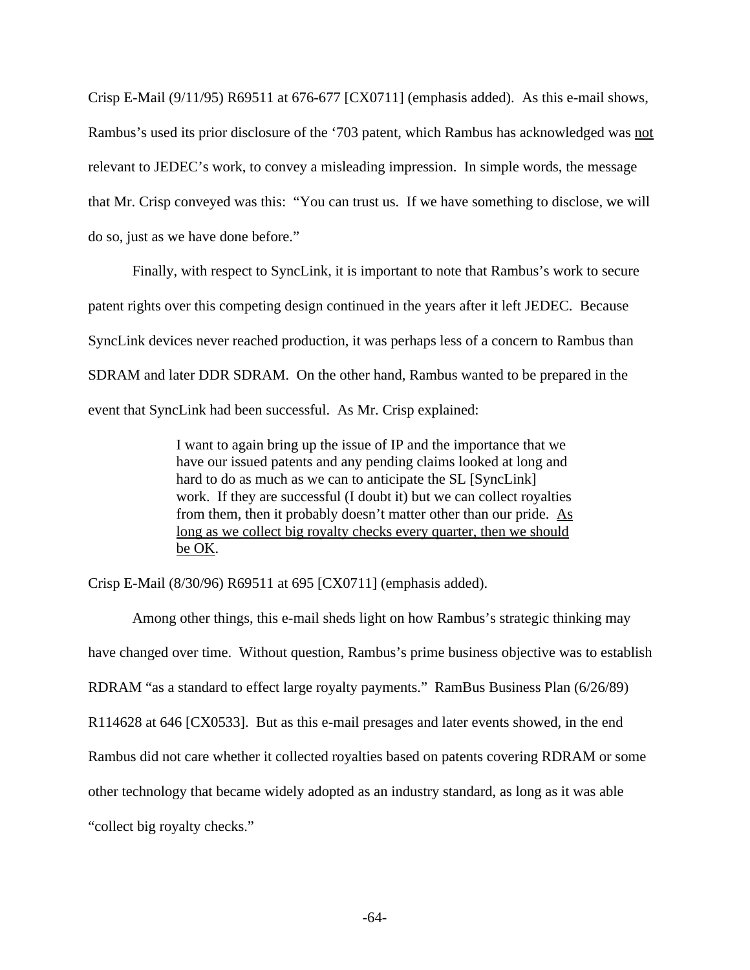Crisp E-Mail (9/11/95) R69511 at 676-677 [CX0711] (emphasis added). As this e-mail shows, Rambus's used its prior disclosure of the '703 patent, which Rambus has acknowledged was not relevant to JEDEC's work, to convey a misleading impression. In simple words, the message that Mr. Crisp conveyed was this: "You can trust us. If we have something to disclose, we will do so, just as we have done before."

Finally, with respect to SyncLink, it is important to note that Rambus's work to secure patent rights over this competing design continued in the years after it left JEDEC. Because SyncLink devices never reached production, it was perhaps less of a concern to Rambus than SDRAM and later DDR SDRAM. On the other hand, Rambus wanted to be prepared in the event that SyncLink had been successful. As Mr. Crisp explained:

> I want to again bring up the issue of IP and the importance that we have our issued patents and any pending claims looked at long and hard to do as much as we can to anticipate the SL [SyncLink] work. If they are successful (I doubt it) but we can collect royalties from them, then it probably doesn't matter other than our pride. As long as we collect big royalty checks every quarter, then we should be OK.

Crisp E-Mail (8/30/96) R69511 at 695 [CX0711] (emphasis added).

Among other things, this e-mail sheds light on how Rambus's strategic thinking may have changed over time. Without question, Rambus's prime business objective was to establish RDRAM "as a standard to effect large royalty payments." RamBus Business Plan (6/26/89) R114628 at 646 [CX0533]. But as this e-mail presages and later events showed, in the end Rambus did not care whether it collected royalties based on patents covering RDRAM or some other technology that became widely adopted as an industry standard, as long as it was able "collect big royalty checks."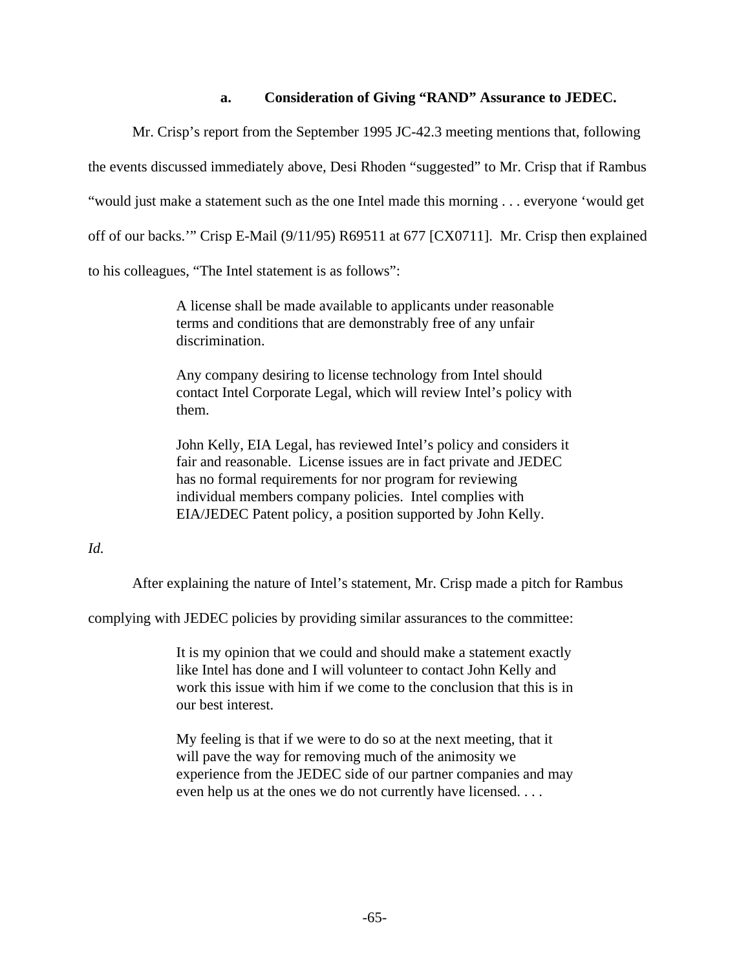### **a. Consideration of Giving "RAND" Assurance to JEDEC.**

Mr. Crisp's report from the September 1995 JC-42.3 meeting mentions that, following the events discussed immediately above, Desi Rhoden "suggested" to Mr. Crisp that if Rambus "would just make a statement such as the one Intel made this morning . . . everyone 'would get off of our backs.'" Crisp E-Mail (9/11/95) R69511 at 677 [CX0711]. Mr. Crisp then explained to his colleagues, "The Intel statement is as follows":

> A license shall be made available to applicants under reasonable terms and conditions that are demonstrably free of any unfair discrimination.

Any company desiring to license technology from Intel should contact Intel Corporate Legal, which will review Intel's policy with them.

John Kelly, EIA Legal, has reviewed Intel's policy and considers it fair and reasonable. License issues are in fact private and JEDEC has no formal requirements for nor program for reviewing individual members company policies. Intel complies with EIA/JEDEC Patent policy, a position supported by John Kelly.

### *Id.*

After explaining the nature of Intel's statement, Mr. Crisp made a pitch for Rambus

complying with JEDEC policies by providing similar assurances to the committee:

It is my opinion that we could and should make a statement exactly like Intel has done and I will volunteer to contact John Kelly and work this issue with him if we come to the conclusion that this is in our best interest.

My feeling is that if we were to do so at the next meeting, that it will pave the way for removing much of the animosity we experience from the JEDEC side of our partner companies and may even help us at the ones we do not currently have licensed. . . .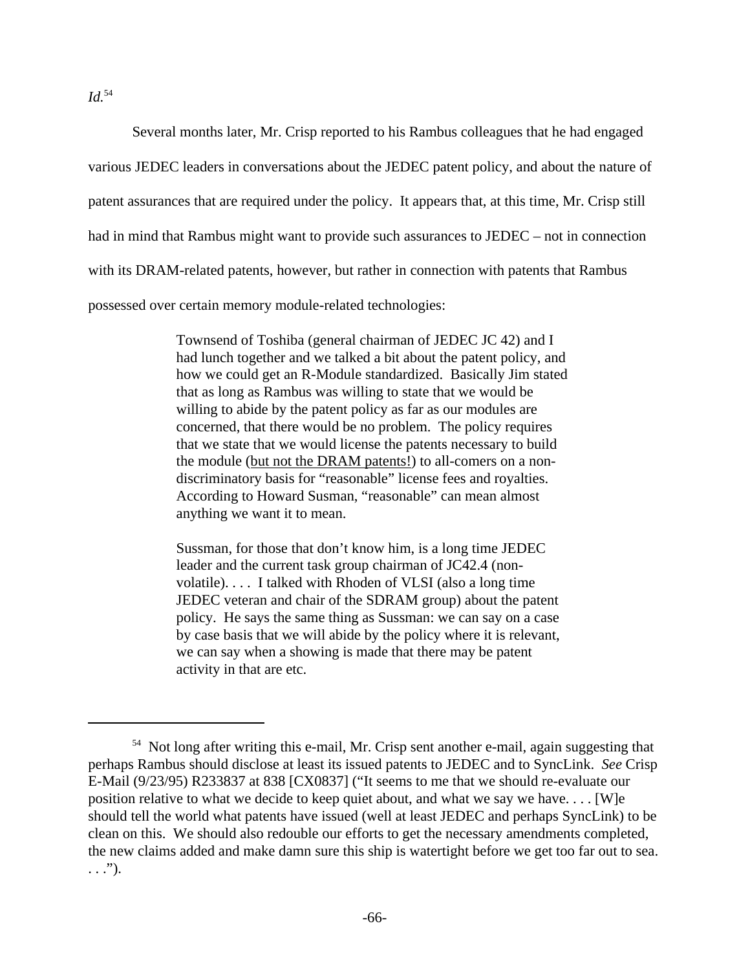*Id.*<sup>54</sup>

Several months later, Mr. Crisp reported to his Rambus colleagues that he had engaged various JEDEC leaders in conversations about the JEDEC patent policy, and about the nature of patent assurances that are required under the policy. It appears that, at this time, Mr. Crisp still had in mind that Rambus might want to provide such assurances to JEDEC – not in connection with its DRAM-related patents, however, but rather in connection with patents that Rambus possessed over certain memory module-related technologies:

> Townsend of Toshiba (general chairman of JEDEC JC 42) and I had lunch together and we talked a bit about the patent policy, and how we could get an R-Module standardized. Basically Jim stated that as long as Rambus was willing to state that we would be willing to abide by the patent policy as far as our modules are concerned, that there would be no problem. The policy requires that we state that we would license the patents necessary to build the module (but not the DRAM patents!) to all-comers on a nondiscriminatory basis for "reasonable" license fees and royalties. According to Howard Susman, "reasonable" can mean almost anything we want it to mean.

Sussman, for those that don't know him, is a long time JEDEC leader and the current task group chairman of JC42.4 (nonvolatile). . . . I talked with Rhoden of VLSI (also a long time JEDEC veteran and chair of the SDRAM group) about the patent policy. He says the same thing as Sussman: we can say on a case by case basis that we will abide by the policy where it is relevant, we can say when a showing is made that there may be patent activity in that are etc.

<sup>54</sup> Not long after writing this e-mail, Mr. Crisp sent another e-mail, again suggesting that perhaps Rambus should disclose at least its issued patents to JEDEC and to SyncLink. *See* Crisp E-Mail (9/23/95) R233837 at 838 [CX0837] ("It seems to me that we should re-evaluate our position relative to what we decide to keep quiet about, and what we say we have. . . . [W]e should tell the world what patents have issued (well at least JEDEC and perhaps SyncLink) to be clean on this. We should also redouble our efforts to get the necessary amendments completed, the new claims added and make damn sure this ship is watertight before we get too far out to sea.  $\ldots$ .").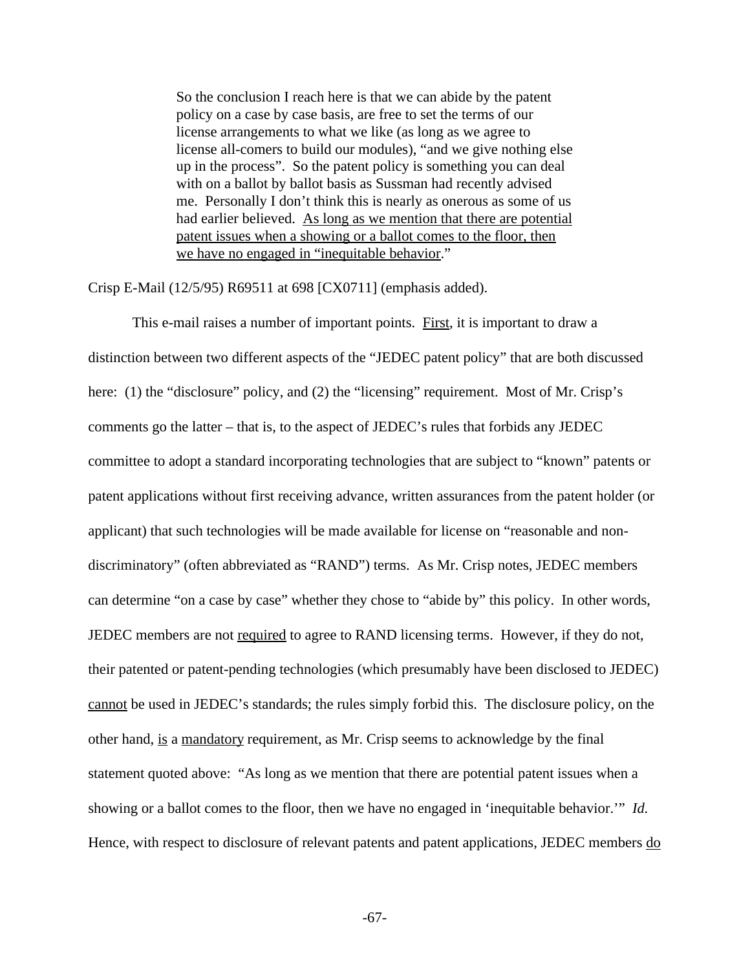So the conclusion I reach here is that we can abide by the patent policy on a case by case basis, are free to set the terms of our license arrangements to what we like (as long as we agree to license all-comers to build our modules), "and we give nothing else up in the process". So the patent policy is something you can deal with on a ballot by ballot basis as Sussman had recently advised me. Personally I don't think this is nearly as onerous as some of us had earlier believed. As long as we mention that there are potential patent issues when a showing or a ballot comes to the floor, then we have no engaged in "inequitable behavior."

Crisp E-Mail (12/5/95) R69511 at 698 [CX0711] (emphasis added).

This e-mail raises a number of important points. First, it is important to draw a distinction between two different aspects of the "JEDEC patent policy" that are both discussed here: (1) the "disclosure" policy, and (2) the "licensing" requirement. Most of Mr. Crisp's comments go the latter – that is, to the aspect of JEDEC's rules that forbids any JEDEC committee to adopt a standard incorporating technologies that are subject to "known" patents or patent applications without first receiving advance, written assurances from the patent holder (or applicant) that such technologies will be made available for license on "reasonable and nondiscriminatory" (often abbreviated as "RAND") terms. As Mr. Crisp notes, JEDEC members can determine "on a case by case" whether they chose to "abide by" this policy. In other words, JEDEC members are not required to agree to RAND licensing terms. However, if they do not, their patented or patent-pending technologies (which presumably have been disclosed to JEDEC) cannot be used in JEDEC's standards; the rules simply forbid this. The disclosure policy, on the other hand, is a mandatory requirement, as Mr. Crisp seems to acknowledge by the final statement quoted above: "As long as we mention that there are potential patent issues when a showing or a ballot comes to the floor, then we have no engaged in 'inequitable behavior.'" *Id.* Hence, with respect to disclosure of relevant patents and patent applications, JEDEC members do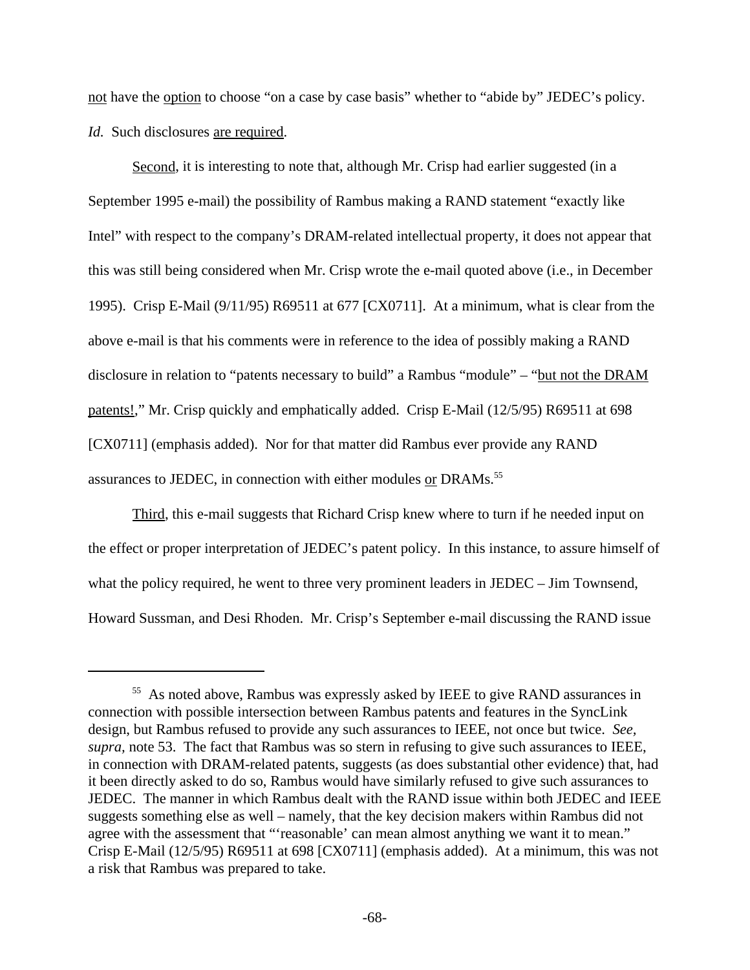not have the option to choose "on a case by case basis" whether to "abide by" JEDEC's policy. *Id.* Such disclosures are required.

Second, it is interesting to note that, although Mr. Crisp had earlier suggested (in a September 1995 e-mail) the possibility of Rambus making a RAND statement "exactly like Intel" with respect to the company's DRAM-related intellectual property, it does not appear that this was still being considered when Mr. Crisp wrote the e-mail quoted above (i.e., in December 1995). Crisp E-Mail (9/11/95) R69511 at 677 [CX0711]. At a minimum, what is clear from the above e-mail is that his comments were in reference to the idea of possibly making a RAND disclosure in relation to "patents necessary to build" a Rambus "module" – "but not the DRAM patents!," Mr. Crisp quickly and emphatically added. Crisp E-Mail (12/5/95) R69511 at 698 [CX0711] (emphasis added). Nor for that matter did Rambus ever provide any RAND assurances to JEDEC, in connection with either modules or DRAMs.<sup>55</sup>

Third, this e-mail suggests that Richard Crisp knew where to turn if he needed input on the effect or proper interpretation of JEDEC's patent policy. In this instance, to assure himself of what the policy required, he went to three very prominent leaders in JEDEC – Jim Townsend, Howard Sussman, and Desi Rhoden. Mr. Crisp's September e-mail discussing the RAND issue

<sup>&</sup>lt;sup>55</sup> As noted above, Rambus was expressly asked by IEEE to give RAND assurances in connection with possible intersection between Rambus patents and features in the SyncLink design, but Rambus refused to provide any such assurances to IEEE, not once but twice. *See, supra,* note 53. The fact that Rambus was so stern in refusing to give such assurances to IEEE, in connection with DRAM-related patents, suggests (as does substantial other evidence) that, had it been directly asked to do so, Rambus would have similarly refused to give such assurances to JEDEC. The manner in which Rambus dealt with the RAND issue within both JEDEC and IEEE suggests something else as well – namely, that the key decision makers within Rambus did not agree with the assessment that "'reasonable' can mean almost anything we want it to mean." Crisp E-Mail (12/5/95) R69511 at 698 [CX0711] (emphasis added). At a minimum, this was not a risk that Rambus was prepared to take.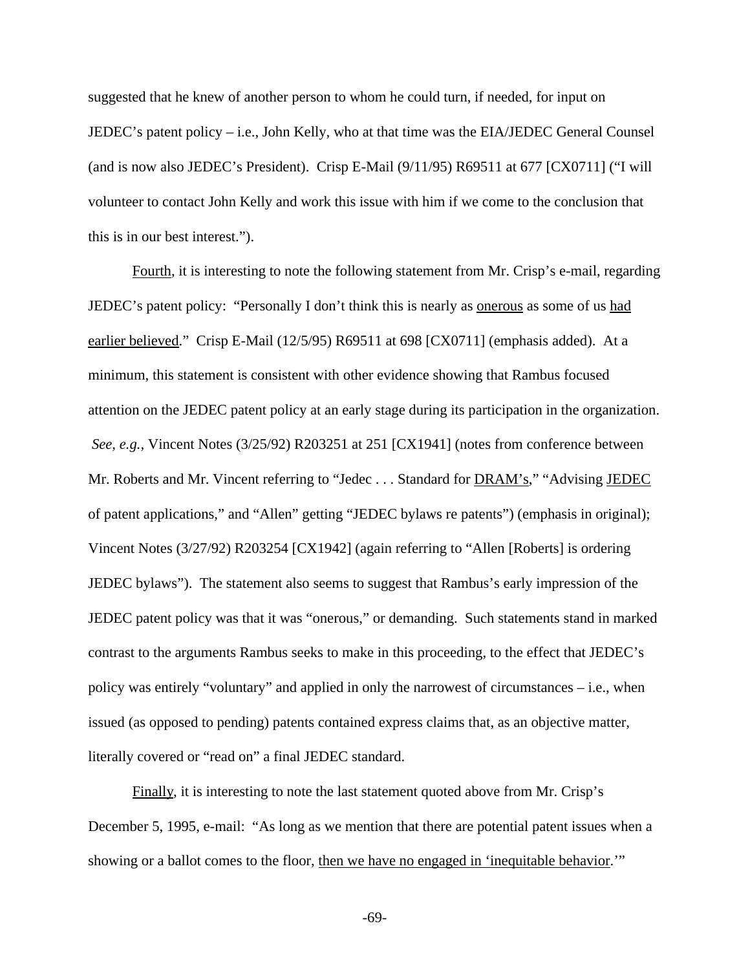suggested that he knew of another person to whom he could turn, if needed, for input on JEDEC's patent policy – i.e., John Kelly, who at that time was the EIA/JEDEC General Counsel (and is now also JEDEC's President). Crisp E-Mail (9/11/95) R69511 at 677 [CX0711] ("I will volunteer to contact John Kelly and work this issue with him if we come to the conclusion that this is in our best interest.").

Fourth, it is interesting to note the following statement from Mr. Crisp's e-mail, regarding JEDEC's patent policy: "Personally I don't think this is nearly as <u>onerous</u> as some of us had earlier believed." Crisp E-Mail (12/5/95) R69511 at 698 [CX0711] (emphasis added). At a minimum, this statement is consistent with other evidence showing that Rambus focused attention on the JEDEC patent policy at an early stage during its participation in the organization.  *See, e.g.,* Vincent Notes (3/25/92) R203251 at 251 [CX1941] (notes from conference between Mr. Roberts and Mr. Vincent referring to "Jedec . . . Standard for **DRAM's**," "Advising **JEDEC** of patent applications," and "Allen" getting "JEDEC bylaws re patents") (emphasis in original); Vincent Notes (3/27/92) R203254 [CX1942] (again referring to "Allen [Roberts] is ordering JEDEC bylaws"). The statement also seems to suggest that Rambus's early impression of the JEDEC patent policy was that it was "onerous," or demanding. Such statements stand in marked contrast to the arguments Rambus seeks to make in this proceeding, to the effect that JEDEC's policy was entirely "voluntary" and applied in only the narrowest of circumstances – i.e., when issued (as opposed to pending) patents contained express claims that, as an objective matter, literally covered or "read on" a final JEDEC standard.

Finally, it is interesting to note the last statement quoted above from Mr. Crisp's December 5, 1995, e-mail: "As long as we mention that there are potential patent issues when a showing or a ballot comes to the floor, then we have no engaged in 'inequitable behavior.'"

-69-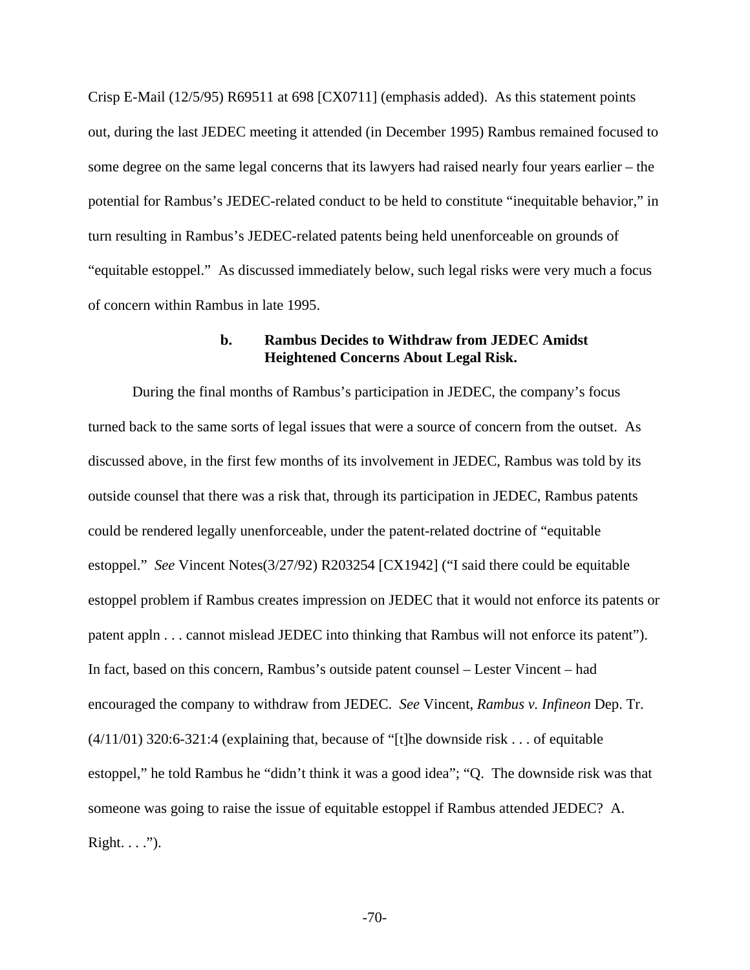Crisp E-Mail (12/5/95) R69511 at 698 [CX0711] (emphasis added). As this statement points out, during the last JEDEC meeting it attended (in December 1995) Rambus remained focused to some degree on the same legal concerns that its lawyers had raised nearly four years earlier – the potential for Rambus's JEDEC-related conduct to be held to constitute "inequitable behavior," in turn resulting in Rambus's JEDEC-related patents being held unenforceable on grounds of "equitable estoppel." As discussed immediately below, such legal risks were very much a focus of concern within Rambus in late 1995.

## **b. Rambus Decides to Withdraw from JEDEC Amidst Heightened Concerns About Legal Risk.**

During the final months of Rambus's participation in JEDEC, the company's focus turned back to the same sorts of legal issues that were a source of concern from the outset. As discussed above, in the first few months of its involvement in JEDEC, Rambus was told by its outside counsel that there was a risk that, through its participation in JEDEC, Rambus patents could be rendered legally unenforceable, under the patent-related doctrine of "equitable estoppel." *See* Vincent Notes(3/27/92) R203254 [CX1942] ("I said there could be equitable estoppel problem if Rambus creates impression on JEDEC that it would not enforce its patents or patent appln . . . cannot mislead JEDEC into thinking that Rambus will not enforce its patent"). In fact, based on this concern, Rambus's outside patent counsel – Lester Vincent – had encouraged the company to withdraw from JEDEC. *See* Vincent, *Rambus v. Infineon* Dep. Tr. (4/11/01) 320:6-321:4 (explaining that, because of "[t]he downside risk . . . of equitable estoppel," he told Rambus he "didn't think it was a good idea"; "Q. The downside risk was that someone was going to raise the issue of equitable estoppel if Rambus attended JEDEC? A. Right.  $\ldots$ ").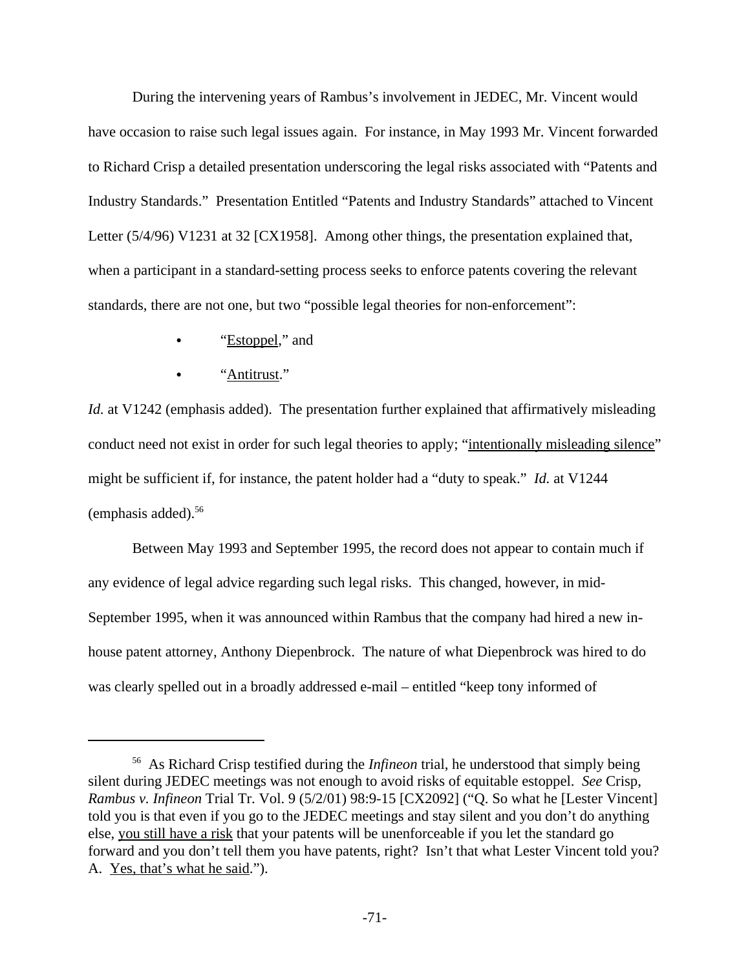During the intervening years of Rambus's involvement in JEDEC, Mr. Vincent would have occasion to raise such legal issues again. For instance, in May 1993 Mr. Vincent forwarded to Richard Crisp a detailed presentation underscoring the legal risks associated with "Patents and Industry Standards." Presentation Entitled "Patents and Industry Standards" attached to Vincent Letter (5/4/96) V1231 at 32 [CX1958]. Among other things, the presentation explained that, when a participant in a standard-setting process seeks to enforce patents covering the relevant standards, there are not one, but two "possible legal theories for non-enforcement":

- "Estoppel," and
- "Antitrust."

*Id.* at V1242 (emphasis added). The presentation further explained that affirmatively misleading conduct need not exist in order for such legal theories to apply; "intentionally misleading silence" might be sufficient if, for instance, the patent holder had a "duty to speak." *Id.* at V1244 (emphasis added).<sup>56</sup>

Between May 1993 and September 1995, the record does not appear to contain much if any evidence of legal advice regarding such legal risks. This changed, however, in mid-September 1995, when it was announced within Rambus that the company had hired a new inhouse patent attorney, Anthony Diepenbrock. The nature of what Diepenbrock was hired to do was clearly spelled out in a broadly addressed e-mail – entitled "keep tony informed of

<sup>56</sup> As Richard Crisp testified during the *Infineon* trial, he understood that simply being silent during JEDEC meetings was not enough to avoid risks of equitable estoppel. *See* Crisp, *Rambus v. Infineon* Trial Tr. Vol. 9 (5/2/01) 98:9-15 [CX2092] ("Q. So what he [Lester Vincent] told you is that even if you go to the JEDEC meetings and stay silent and you don't do anything else, you still have a risk that your patents will be unenforceable if you let the standard go forward and you don't tell them you have patents, right? Isn't that what Lester Vincent told you? A. Yes, that's what he said.").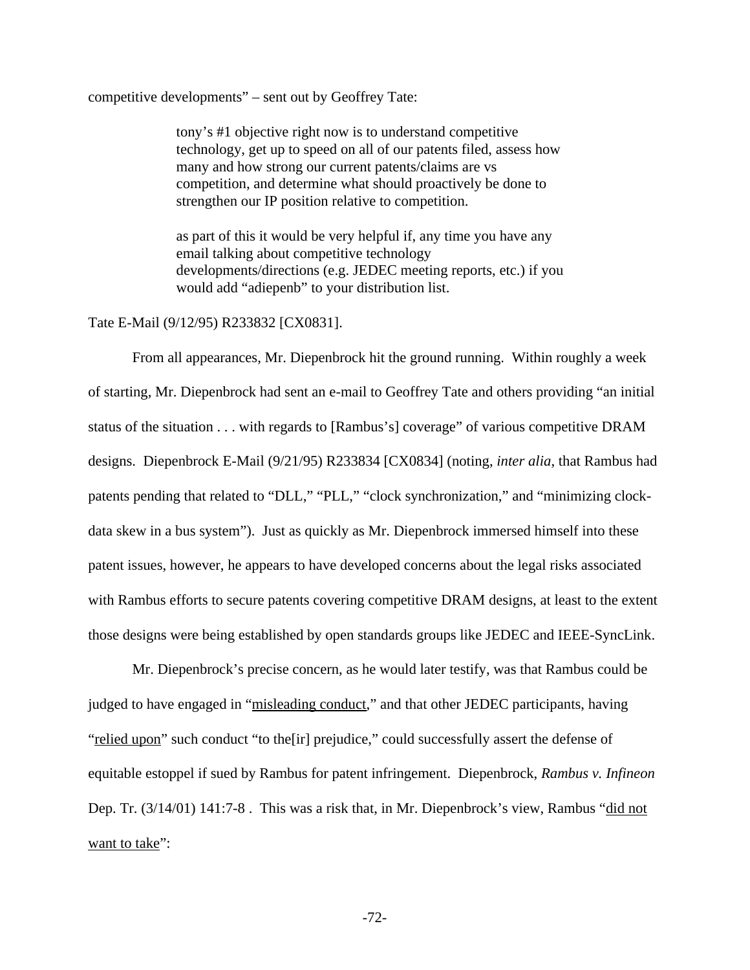competitive developments" – sent out by Geoffrey Tate:

tony's #1 objective right now is to understand competitive technology, get up to speed on all of our patents filed, assess how many and how strong our current patents/claims are vs competition, and determine what should proactively be done to strengthen our IP position relative to competition.

as part of this it would be very helpful if, any time you have any email talking about competitive technology developments/directions (e.g. JEDEC meeting reports, etc.) if you would add "adiepenb" to your distribution list.

### Tate E-Mail (9/12/95) R233832 [CX0831].

From all appearances, Mr. Diepenbrock hit the ground running. Within roughly a week of starting, Mr. Diepenbrock had sent an e-mail to Geoffrey Tate and others providing "an initial status of the situation . . . with regards to [Rambus's] coverage" of various competitive DRAM designs. Diepenbrock E-Mail (9/21/95) R233834 [CX0834] (noting, *inter alia*, that Rambus had patents pending that related to "DLL," "PLL," "clock synchronization," and "minimizing clockdata skew in a bus system"). Just as quickly as Mr. Diepenbrock immersed himself into these patent issues, however, he appears to have developed concerns about the legal risks associated with Rambus efforts to secure patents covering competitive DRAM designs, at least to the extent those designs were being established by open standards groups like JEDEC and IEEE-SyncLink.

Mr. Diepenbrock's precise concern, as he would later testify, was that Rambus could be judged to have engaged in "misleading conduct," and that other JEDEC participants, having "relied upon" such conduct "to the [ir] prejudice," could successfully assert the defense of equitable estoppel if sued by Rambus for patent infringement. Diepenbrock, *Rambus v. Infineon* Dep. Tr. (3/14/01) 141:7-8 . This was a risk that, in Mr. Diepenbrock's view, Rambus "did not want to take":

-72-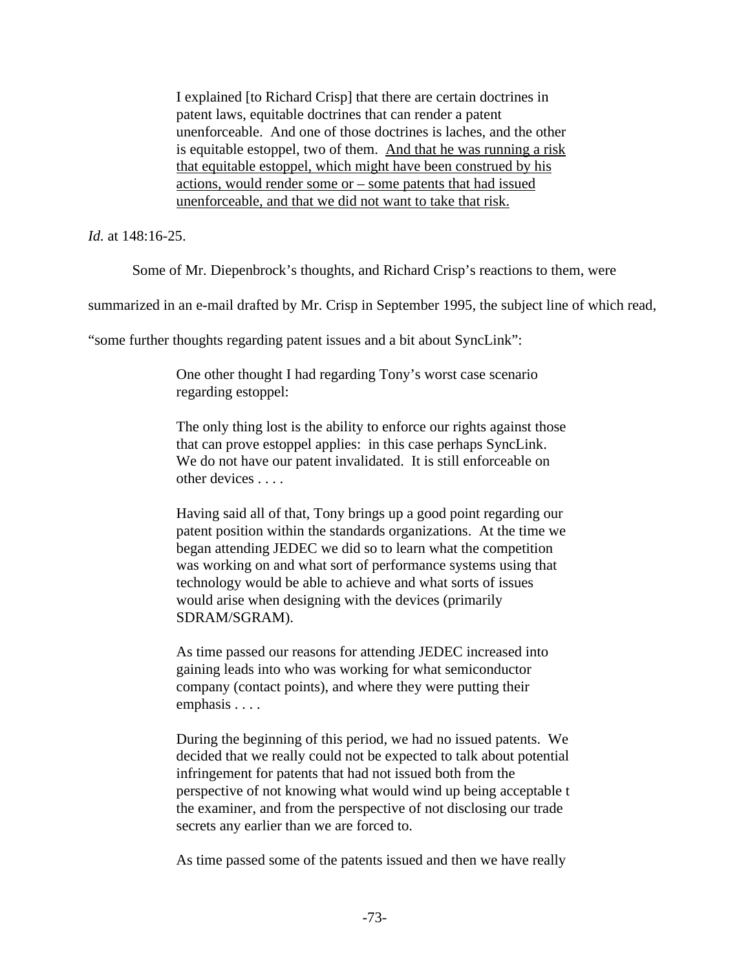I explained [to Richard Crisp] that there are certain doctrines in patent laws, equitable doctrines that can render a patent unenforceable. And one of those doctrines is laches, and the other is equitable estoppel, two of them. And that he was running a risk that equitable estoppel, which might have been construed by his actions, would render some or – some patents that had issued unenforceable, and that we did not want to take that risk.

*Id.* at 148:16-25.

Some of Mr. Diepenbrock's thoughts, and Richard Crisp's reactions to them, were

summarized in an e-mail drafted by Mr. Crisp in September 1995, the subject line of which read,

"some further thoughts regarding patent issues and a bit about SyncLink":

One other thought I had regarding Tony's worst case scenario regarding estoppel:

The only thing lost is the ability to enforce our rights against those that can prove estoppel applies: in this case perhaps SyncLink. We do not have our patent invalidated. It is still enforceable on other devices . . . .

Having said all of that, Tony brings up a good point regarding our patent position within the standards organizations. At the time we began attending JEDEC we did so to learn what the competition was working on and what sort of performance systems using that technology would be able to achieve and what sorts of issues would arise when designing with the devices (primarily SDRAM/SGRAM).

As time passed our reasons for attending JEDEC increased into gaining leads into who was working for what semiconductor company (contact points), and where they were putting their emphasis . . . .

During the beginning of this period, we had no issued patents. We decided that we really could not be expected to talk about potential infringement for patents that had not issued both from the perspective of not knowing what would wind up being acceptable t the examiner, and from the perspective of not disclosing our trade secrets any earlier than we are forced to.

As time passed some of the patents issued and then we have really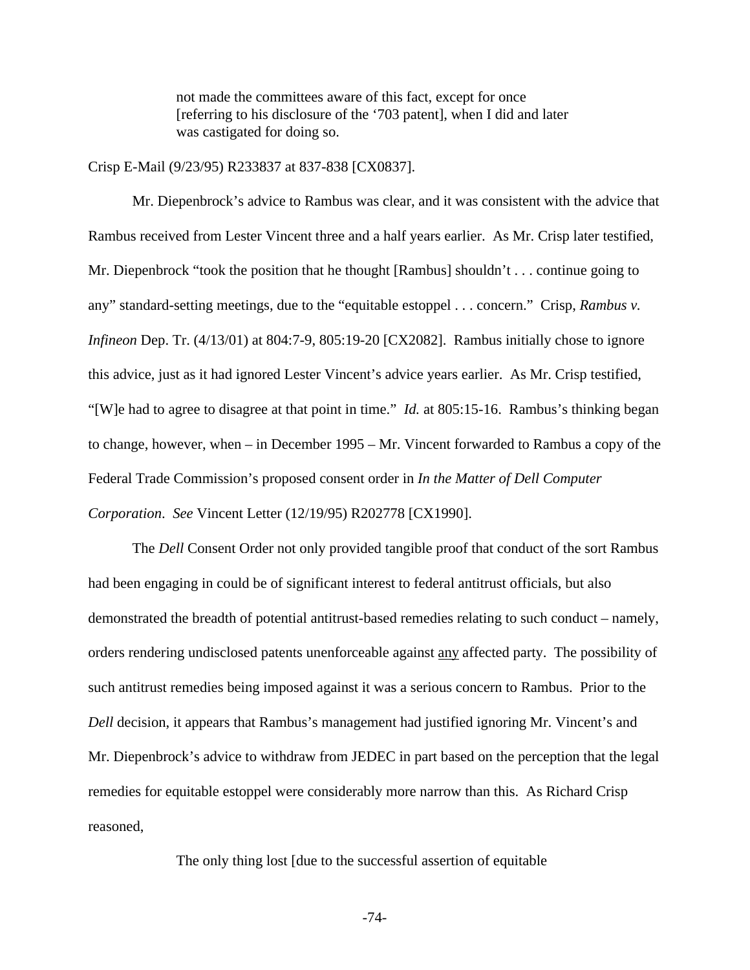not made the committees aware of this fact, except for once [referring to his disclosure of the '703 patent], when I did and later was castigated for doing so.

Crisp E-Mail (9/23/95) R233837 at 837-838 [CX0837].

Mr. Diepenbrock's advice to Rambus was clear, and it was consistent with the advice that Rambus received from Lester Vincent three and a half years earlier. As Mr. Crisp later testified, Mr. Diepenbrock "took the position that he thought [Rambus] shouldn't . . . continue going to any" standard-setting meetings, due to the "equitable estoppel . . . concern." Crisp, *Rambus v. Infineon* Dep. Tr. (4/13/01) at 804:7-9, 805:19-20 [CX2082]. Rambus initially chose to ignore this advice, just as it had ignored Lester Vincent's advice years earlier. As Mr. Crisp testified, "[W]e had to agree to disagree at that point in time." *Id.* at 805:15-16. Rambus's thinking began to change, however, when – in December 1995 – Mr. Vincent forwarded to Rambus a copy of the Federal Trade Commission's proposed consent order in *In the Matter of Dell Computer Corporation*. *See* Vincent Letter (12/19/95) R202778 [CX1990].

The *Dell* Consent Order not only provided tangible proof that conduct of the sort Rambus had been engaging in could be of significant interest to federal antitrust officials, but also demonstrated the breadth of potential antitrust-based remedies relating to such conduct – namely, orders rendering undisclosed patents unenforceable against any affected party. The possibility of such antitrust remedies being imposed against it was a serious concern to Rambus. Prior to the *Dell* decision, it appears that Rambus's management had justified ignoring Mr. Vincent's and Mr. Diepenbrock's advice to withdraw from JEDEC in part based on the perception that the legal remedies for equitable estoppel were considerably more narrow than this. As Richard Crisp reasoned,

The only thing lost [due to the successful assertion of equitable

-74-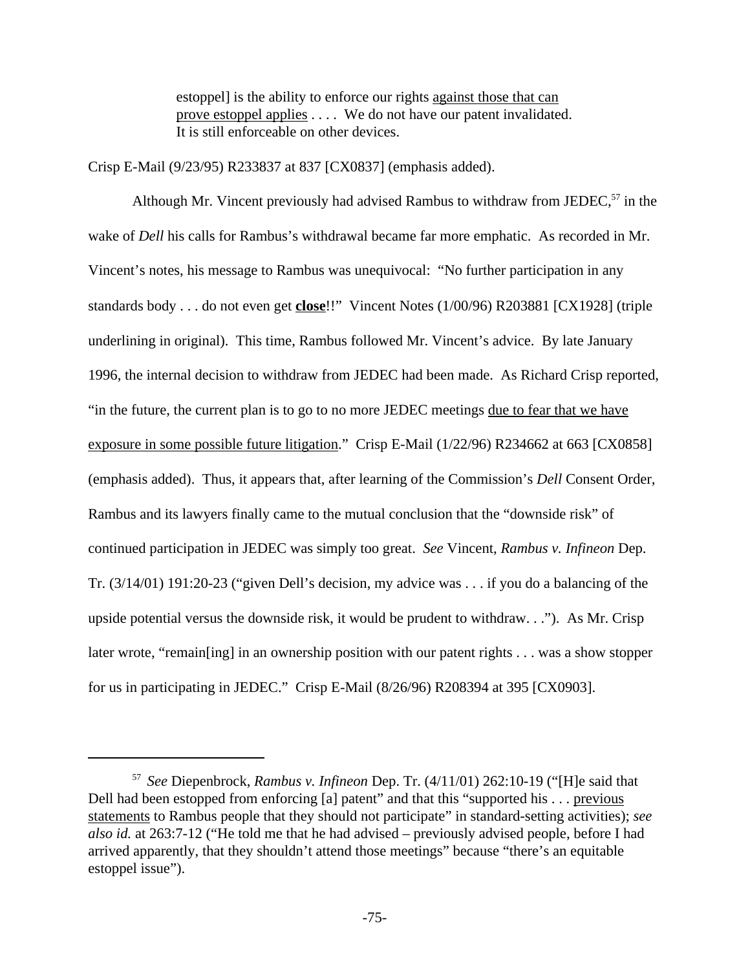estoppel] is the ability to enforce our rights against those that can prove estoppel applies . . . . We do not have our patent invalidated. It is still enforceable on other devices.

Crisp E-Mail (9/23/95) R233837 at 837 [CX0837] (emphasis added).

Although Mr. Vincent previously had advised Rambus to withdraw from JEDEC,<sup>57</sup> in the wake of *Dell* his calls for Rambus's withdrawal became far more emphatic. As recorded in Mr. Vincent's notes, his message to Rambus was unequivocal: "No further participation in any standards body . . . do not even get **close**!!" Vincent Notes (1/00/96) R203881 [CX1928] (triple underlining in original). This time, Rambus followed Mr. Vincent's advice. By late January 1996, the internal decision to withdraw from JEDEC had been made. As Richard Crisp reported, "in the future, the current plan is to go to no more JEDEC meetings due to fear that we have exposure in some possible future litigation." Crisp E-Mail (1/22/96) R234662 at 663 [CX0858] (emphasis added). Thus, it appears that, after learning of the Commission's *Dell* Consent Order, Rambus and its lawyers finally came to the mutual conclusion that the "downside risk" of continued participation in JEDEC was simply too great. *See* Vincent, *Rambus v. Infineon* Dep. Tr. (3/14/01) 191:20-23 ("given Dell's decision, my advice was . . . if you do a balancing of the upside potential versus the downside risk, it would be prudent to withdraw. . ."). As Mr. Crisp later wrote, "remain [ing] in an ownership position with our patent rights . . . was a show stopper for us in participating in JEDEC." Crisp E-Mail (8/26/96) R208394 at 395 [CX0903].

<sup>57</sup> *See* Diepenbrock, *Rambus v. Infineon* Dep. Tr. (4/11/01) 262:10-19 ("[H]e said that Dell had been estopped from enforcing [a] patent" and that this "supported his . . . previous statements to Rambus people that they should not participate" in standard-setting activities); *see also id.* at 263:7-12 ("He told me that he had advised – previously advised people, before I had arrived apparently, that they shouldn't attend those meetings" because "there's an equitable estoppel issue").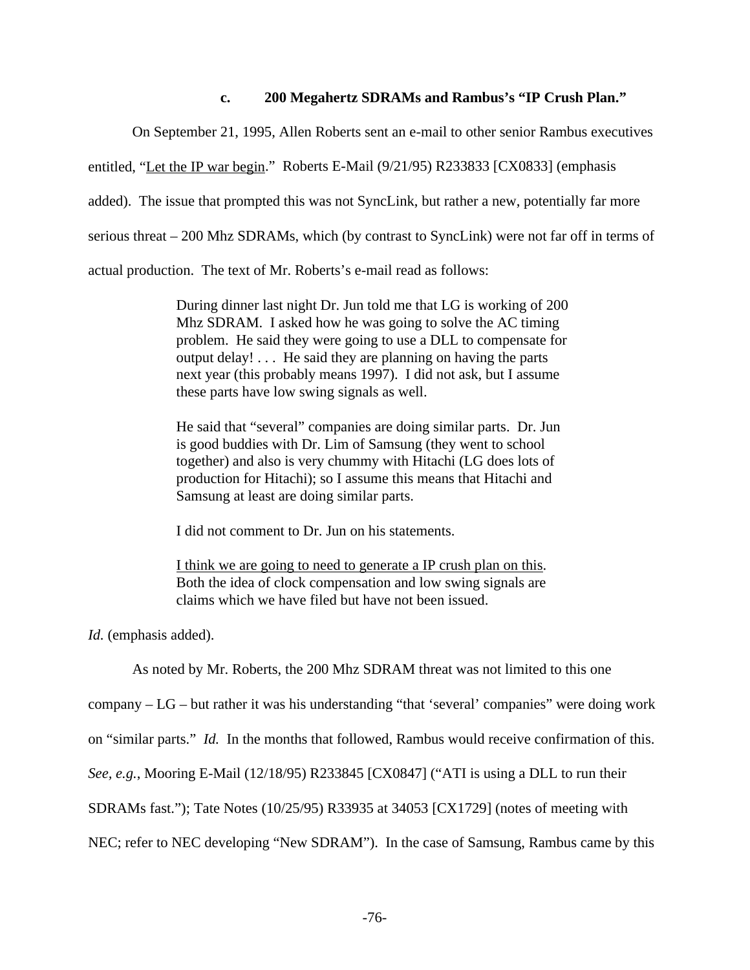#### **c. 200 Megahertz SDRAMs and Rambus's "IP Crush Plan."**

On September 21, 1995, Allen Roberts sent an e-mail to other senior Rambus executives

entitled, "Let the IP war begin." Roberts E-Mail (9/21/95) R233833 [CX0833] (emphasis

added). The issue that prompted this was not SyncLink, but rather a new, potentially far more

serious threat – 200 Mhz SDRAMs, which (by contrast to SyncLink) were not far off in terms of

actual production. The text of Mr. Roberts's e-mail read as follows:

During dinner last night Dr. Jun told me that LG is working of 200 Mhz SDRAM. I asked how he was going to solve the AC timing problem. He said they were going to use a DLL to compensate for output delay! . . . He said they are planning on having the parts next year (this probably means 1997). I did not ask, but I assume these parts have low swing signals as well.

He said that "several" companies are doing similar parts. Dr. Jun is good buddies with Dr. Lim of Samsung (they went to school together) and also is very chummy with Hitachi (LG does lots of production for Hitachi); so I assume this means that Hitachi and Samsung at least are doing similar parts.

I did not comment to Dr. Jun on his statements.

I think we are going to need to generate a IP crush plan on this. Both the idea of clock compensation and low swing signals are claims which we have filed but have not been issued.

*Id.* (emphasis added).

As noted by Mr. Roberts, the 200 Mhz SDRAM threat was not limited to this one

company – LG – but rather it was his understanding "that 'several' companies" were doing work

on "similar parts." *Id.* In the months that followed, Rambus would receive confirmation of this.

*See, e.g.*, Mooring E-Mail (12/18/95) R233845 [CX0847] ("ATI is using a DLL to run their

SDRAMs fast."); Tate Notes (10/25/95) R33935 at 34053 [CX1729] (notes of meeting with

NEC; refer to NEC developing "New SDRAM"). In the case of Samsung, Rambus came by this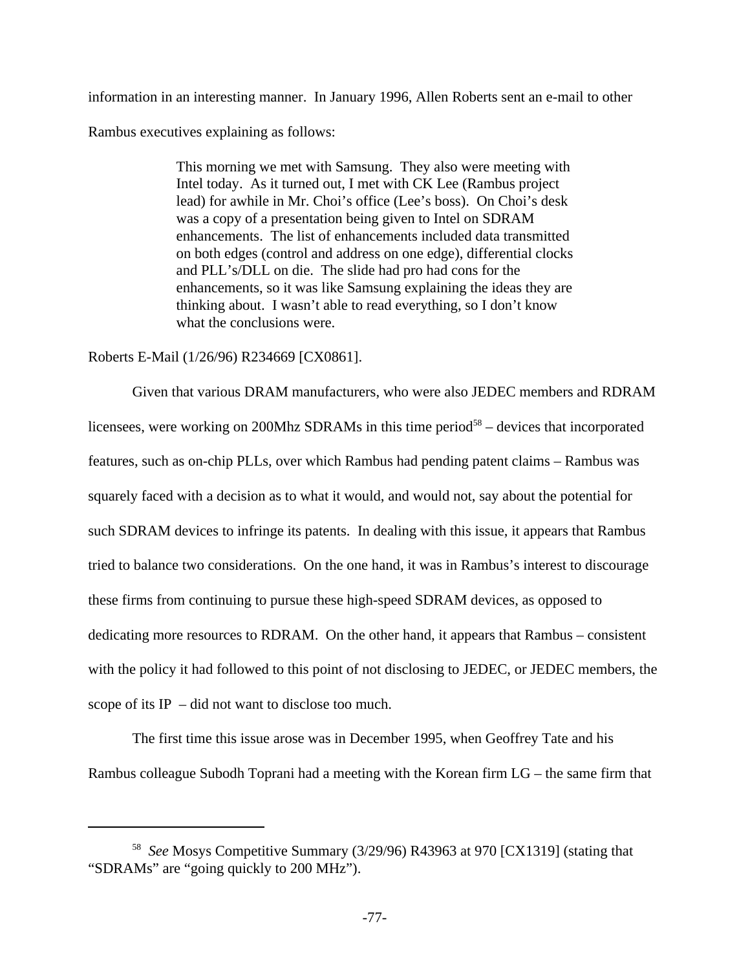information in an interesting manner. In January 1996, Allen Roberts sent an e-mail to other Rambus executives explaining as follows:

> This morning we met with Samsung. They also were meeting with Intel today. As it turned out, I met with CK Lee (Rambus project lead) for awhile in Mr. Choi's office (Lee's boss). On Choi's desk was a copy of a presentation being given to Intel on SDRAM enhancements. The list of enhancements included data transmitted on both edges (control and address on one edge), differential clocks and PLL's/DLL on die. The slide had pro had cons for the enhancements, so it was like Samsung explaining the ideas they are thinking about. I wasn't able to read everything, so I don't know what the conclusions were.

Roberts E-Mail (1/26/96) R234669 [CX0861].

Given that various DRAM manufacturers, who were also JEDEC members and RDRAM licensees, were working on 200Mhz SDRAMs in this time period<sup>58</sup> – devices that incorporated features, such as on-chip PLLs, over which Rambus had pending patent claims – Rambus was squarely faced with a decision as to what it would, and would not, say about the potential for such SDRAM devices to infringe its patents. In dealing with this issue, it appears that Rambus tried to balance two considerations. On the one hand, it was in Rambus's interest to discourage these firms from continuing to pursue these high-speed SDRAM devices, as opposed to dedicating more resources to RDRAM. On the other hand, it appears that Rambus – consistent with the policy it had followed to this point of not disclosing to JEDEC, or JEDEC members, the scope of its IP – did not want to disclose too much.

The first time this issue arose was in December 1995, when Geoffrey Tate and his Rambus colleague Subodh Toprani had a meeting with the Korean firm LG – the same firm that

<sup>58</sup> *See* Mosys Competitive Summary (3/29/96) R43963 at 970 [CX1319] (stating that "SDRAMs" are "going quickly to 200 MHz").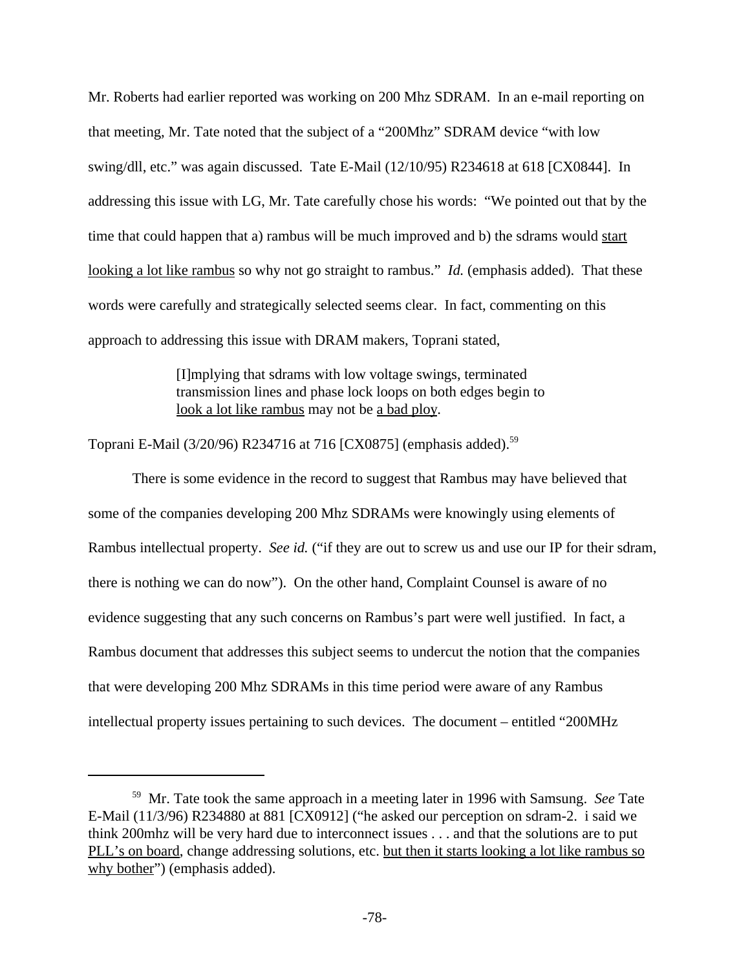Mr. Roberts had earlier reported was working on 200 Mhz SDRAM. In an e-mail reporting on that meeting, Mr. Tate noted that the subject of a "200Mhz" SDRAM device "with low swing/dll, etc." was again discussed. Tate E-Mail (12/10/95) R234618 at 618 [CX0844]. In addressing this issue with LG, Mr. Tate carefully chose his words: "We pointed out that by the time that could happen that a) rambus will be much improved and b) the sdrams would start looking a lot like rambus so why not go straight to rambus." *Id.* (emphasis added). That these words were carefully and strategically selected seems clear. In fact, commenting on this approach to addressing this issue with DRAM makers, Toprani stated,

> [I]mplying that sdrams with low voltage swings, terminated transmission lines and phase lock loops on both edges begin to look a lot like rambus may not be a bad ploy.

Toprani E-Mail (3/20/96) R234716 at 716 [CX0875] (emphasis added).<sup>59</sup>

There is some evidence in the record to suggest that Rambus may have believed that some of the companies developing 200 Mhz SDRAMs were knowingly using elements of Rambus intellectual property. *See id.* ("if they are out to screw us and use our IP for their sdram, there is nothing we can do now"). On the other hand, Complaint Counsel is aware of no evidence suggesting that any such concerns on Rambus's part were well justified. In fact, a Rambus document that addresses this subject seems to undercut the notion that the companies that were developing 200 Mhz SDRAMs in this time period were aware of any Rambus intellectual property issues pertaining to such devices. The document – entitled "200MHz

<sup>59</sup> Mr. Tate took the same approach in a meeting later in 1996 with Samsung. *See* Tate E-Mail (11/3/96) R234880 at 881 [CX0912] ("he asked our perception on sdram-2. i said we think 200mhz will be very hard due to interconnect issues . . . and that the solutions are to put PLL's on board, change addressing solutions, etc. but then it starts looking a lot like rambus so why bother") (emphasis added).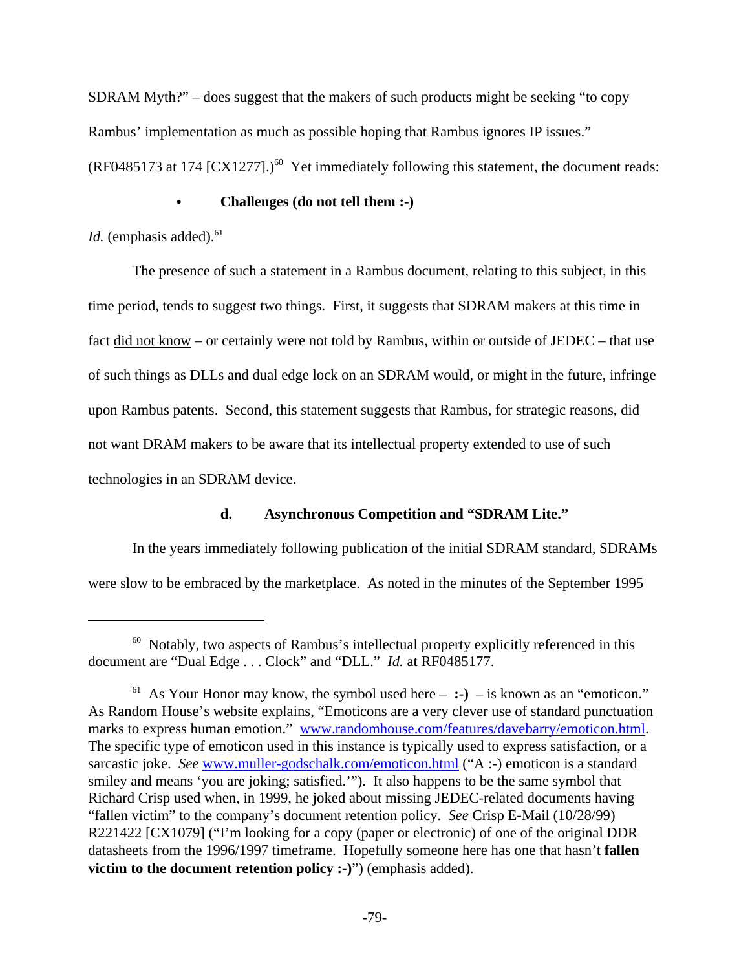SDRAM Myth?" – does suggest that the makers of such products might be seeking "to copy Rambus' implementation as much as possible hoping that Rambus ignores IP issues." (RF0485173 at 174 [CX1277].)<sup>60</sup> Yet immediately following this statement, the document reads:

# Challenges (do not tell them :-)

*Id.* (emphasis added).<sup>61</sup>

The presence of such a statement in a Rambus document, relating to this subject, in this time period, tends to suggest two things. First, it suggests that SDRAM makers at this time in fact did not know – or certainly were not told by Rambus, within or outside of JEDEC – that use of such things as DLLs and dual edge lock on an SDRAM would, or might in the future, infringe upon Rambus patents. Second, this statement suggests that Rambus, for strategic reasons, did not want DRAM makers to be aware that its intellectual property extended to use of such technologies in an SDRAM device.

# **d. Asynchronous Competition and "SDRAM Lite."**

In the years immediately following publication of the initial SDRAM standard, SDRAMs were slow to be embraced by the marketplace. As noted in the minutes of the September 1995

<sup>&</sup>lt;sup>60</sup> Notably, two aspects of Rambus's intellectual property explicitly referenced in this document are "Dual Edge . . . Clock" and "DLL." *Id.* at RF0485177.

<sup>&</sup>lt;sup>61</sup> As Your Honor may know, the symbol used here  $-$  :-)  $-$  is known as an "emoticon." As Random House's website explains, "Emoticons are a very clever use of standard punctuation marks to express human emotion." www.randomhouse.com/features/davebarry/emoticon.html. The specific type of emoticon used in this instance is typically used to express satisfaction, or a sarcastic joke. *See* www.muller-godschalk.com/emoticon.html ("A :-) emoticon is a standard smiley and means 'you are joking; satisfied.'"). It also happens to be the same symbol that Richard Crisp used when, in 1999, he joked about missing JEDEC-related documents having "fallen victim" to the company's document retention policy. *See* Crisp E-Mail (10/28/99) R221422 [CX1079] ("I'm looking for a copy (paper or electronic) of one of the original DDR datasheets from the 1996/1997 timeframe. Hopefully someone here has one that hasn't **fallen victim to the document retention policy :-)"** (emphasis added).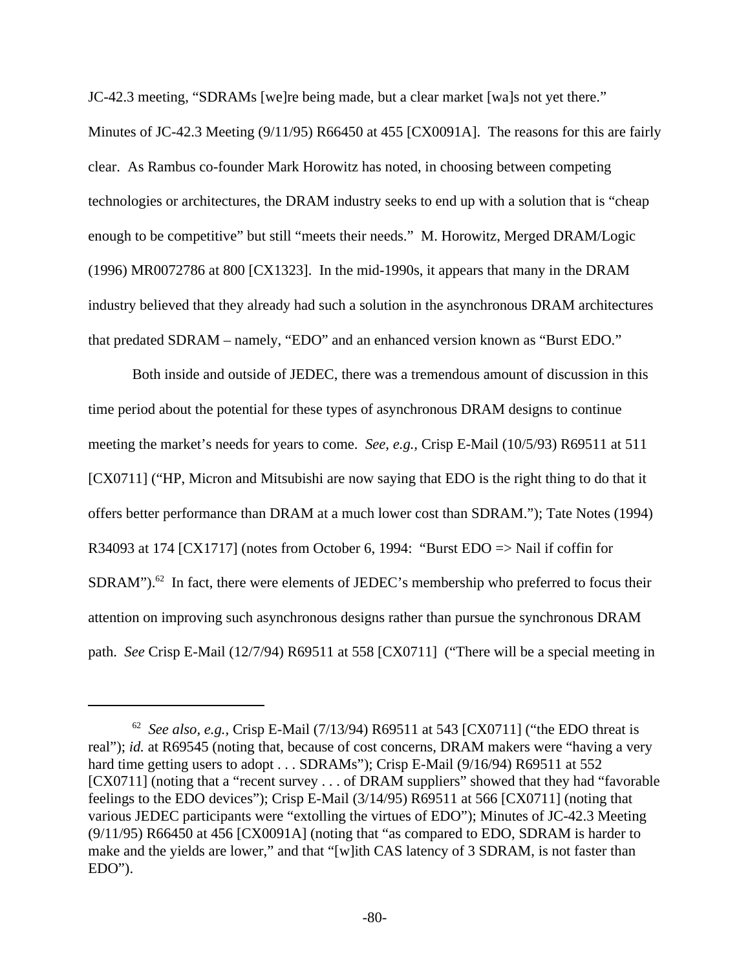JC-42.3 meeting, "SDRAMs [we]re being made, but a clear market [wa]s not yet there."

Minutes of JC-42.3 Meeting (9/11/95) R66450 at 455 [CX0091A]. The reasons for this are fairly clear. As Rambus co-founder Mark Horowitz has noted, in choosing between competing technologies or architectures, the DRAM industry seeks to end up with a solution that is "cheap enough to be competitive" but still "meets their needs." M. Horowitz, Merged DRAM/Logic (1996) MR0072786 at 800 [CX1323]. In the mid-1990s, it appears that many in the DRAM industry believed that they already had such a solution in the asynchronous DRAM architectures that predated SDRAM – namely, "EDO" and an enhanced version known as "Burst EDO."

Both inside and outside of JEDEC, there was a tremendous amount of discussion in this time period about the potential for these types of asynchronous DRAM designs to continue meeting the market's needs for years to come. *See, e.g.,* Crisp E-Mail (10/5/93) R69511 at 511 [CX0711] ("HP, Micron and Mitsubishi are now saying that EDO is the right thing to do that it offers better performance than DRAM at a much lower cost than SDRAM."); Tate Notes (1994) R34093 at 174 [CX1717] (notes from October 6, 1994: "Burst EDO => Nail if coffin for  $SDRAM$ ").<sup>62</sup> In fact, there were elements of JEDEC's membership who preferred to focus their attention on improving such asynchronous designs rather than pursue the synchronous DRAM path. *See* Crisp E-Mail (12/7/94) R69511 at 558 [CX0711] ("There will be a special meeting in

<sup>&</sup>lt;sup>62</sup> See also, e.g., Crisp E-Mail (7/13/94) R69511 at 543 [CX0711] ("the EDO threat is real"); *id.* at R69545 (noting that, because of cost concerns, DRAM makers were "having a very hard time getting users to adopt . . . SDRAMs"); Crisp E-Mail (9/16/94) R69511 at 552 [CX0711] (noting that a "recent survey . . . of DRAM suppliers" showed that they had "favorable" feelings to the EDO devices"); Crisp E-Mail (3/14/95) R69511 at 566 [CX0711] (noting that various JEDEC participants were "extolling the virtues of EDO"); Minutes of JC-42.3 Meeting (9/11/95) R66450 at 456 [CX0091A] (noting that "as compared to EDO, SDRAM is harder to make and the yields are lower," and that "[w]ith CAS latency of 3 SDRAM, is not faster than EDO").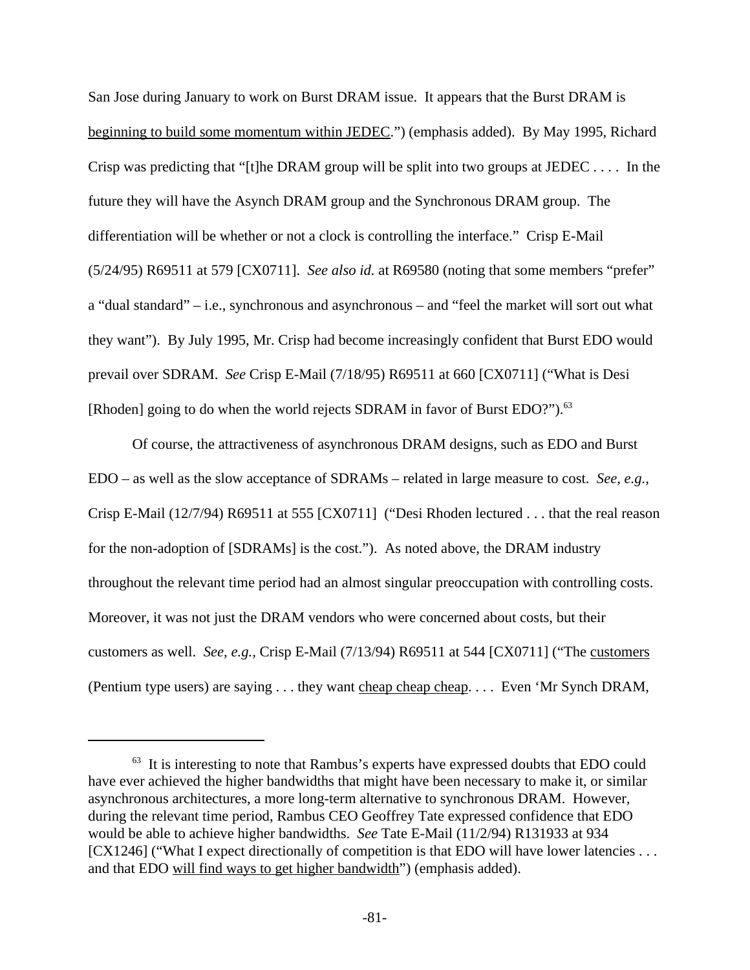San Jose during January to work on Burst DRAM issue. It appears that the Burst DRAM is beginning to build some momentum within JEDEC.") (emphasis added). By May 1995, Richard Crisp was predicting that "[t]he DRAM group will be split into two groups at JEDEC . . . . In the future they will have the Asynch DRAM group and the Synchronous DRAM group. The differentiation will be whether or not a clock is controlling the interface." Crisp E-Mail (5/24/95) R69511 at 579 [CX0711]. *See also id.* at R69580 (noting that some members "prefer" a "dual standard" – i.e., synchronous and asynchronous – and "feel the market will sort out what they want"). By July 1995, Mr. Crisp had become increasingly confident that Burst EDO would prevail over SDRAM. *See* Crisp E-Mail (7/18/95) R69511 at 660 [CX0711] ("What is Desi [Rhoden] going to do when the world rejects SDRAM in favor of Burst EDO?").<sup>63</sup>

Of course, the attractiveness of asynchronous DRAM designs, such as EDO and Burst EDO – as well as the slow acceptance of SDRAMs – related in large measure to cost. *See, e.g.,* Crisp E-Mail (12/7/94) R69511 at 555 [CX0711] ("Desi Rhoden lectured . . . that the real reason for the non-adoption of [SDRAMs] is the cost."). As noted above, the DRAM industry throughout the relevant time period had an almost singular preoccupation with controlling costs. Moreover, it was not just the DRAM vendors who were concerned about costs, but their customers as well. *See, e.g.,* Crisp E-Mail (7/13/94) R69511 at 544 [CX0711] ("The customers (Pentium type users) are saying . . . they want cheap cheap cheap. . . . Even 'Mr Synch DRAM,

 $63$  It is interesting to note that Rambus's experts have expressed doubts that EDO could have ever achieved the higher bandwidths that might have been necessary to make it, or similar asynchronous architectures, a more long-term alternative to synchronous DRAM. However, during the relevant time period, Rambus CEO Geoffrey Tate expressed confidence that EDO would be able to achieve higher bandwidths. *See* Tate E-Mail (11/2/94) R131933 at 934 [CX1246] ("What I expect directionally of competition is that EDO will have lower latencies . . . and that EDO will find ways to get higher bandwidth") (emphasis added).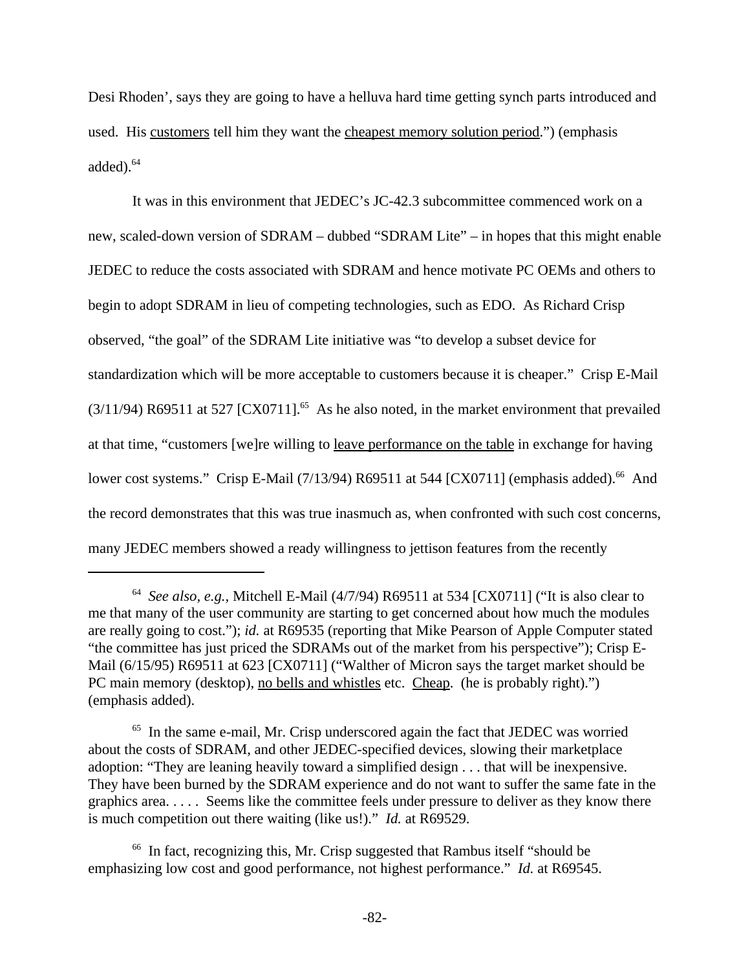Desi Rhoden', says they are going to have a helluva hard time getting synch parts introduced and used. His customers tell him they want the cheapest memory solution period.") (emphasis added).<sup>64</sup>

It was in this environment that JEDEC's JC-42.3 subcommittee commenced work on a new, scaled-down version of SDRAM – dubbed "SDRAM Lite" – in hopes that this might enable JEDEC to reduce the costs associated with SDRAM and hence motivate PC OEMs and others to begin to adopt SDRAM in lieu of competing technologies, such as EDO. As Richard Crisp observed, "the goal" of the SDRAM Lite initiative was "to develop a subset device for standardization which will be more acceptable to customers because it is cheaper." Crisp E-Mail  $(3/11/94)$  R69511 at 527 [CX0711].<sup>65</sup> As he also noted, in the market environment that prevailed at that time, "customers [we]re willing to leave performance on the table in exchange for having lower cost systems." Crisp E-Mail  $(7/13/94)$  R69511 at 544 [CX0711] (emphasis added).<sup>66</sup> And the record demonstrates that this was true inasmuch as, when confronted with such cost concerns, many JEDEC members showed a ready willingness to jettison features from the recently

<sup>64</sup> *See also, e.g.,* Mitchell E-Mail (4/7/94) R69511 at 534 [CX0711] ("It is also clear to me that many of the user community are starting to get concerned about how much the modules are really going to cost."); *id.* at R69535 (reporting that Mike Pearson of Apple Computer stated "the committee has just priced the SDRAMs out of the market from his perspective"); Crisp E-Mail (6/15/95) R69511 at 623 [CX0711] ("Walther of Micron says the target market should be PC main memory (desktop), no bells and whistles etc. Cheap. (he is probably right).") (emphasis added).

<sup>65</sup> In the same e-mail, Mr. Crisp underscored again the fact that JEDEC was worried about the costs of SDRAM, and other JEDEC-specified devices, slowing their marketplace adoption: "They are leaning heavily toward a simplified design . . . that will be inexpensive. They have been burned by the SDRAM experience and do not want to suffer the same fate in the graphics area. . . . . Seems like the committee feels under pressure to deliver as they know there is much competition out there waiting (like us!)." *Id.* at R69529.

<sup>66</sup> In fact, recognizing this, Mr. Crisp suggested that Rambus itself "should be emphasizing low cost and good performance, not highest performance." *Id.* at R69545.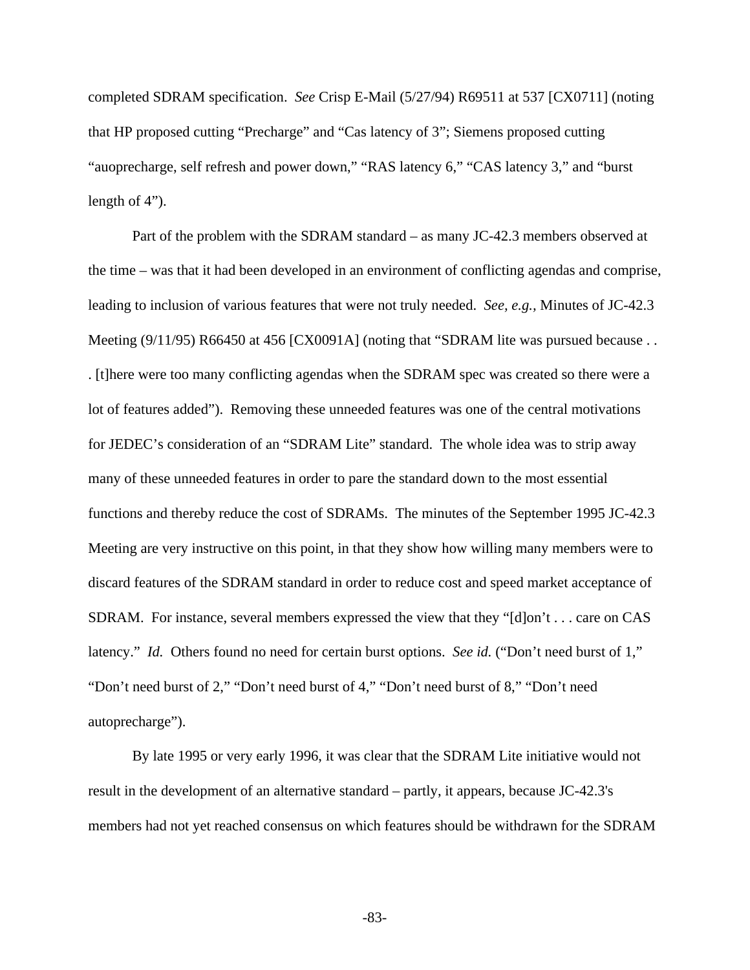completed SDRAM specification. *See* Crisp E-Mail (5/27/94) R69511 at 537 [CX0711] (noting that HP proposed cutting "Precharge" and "Cas latency of 3"; Siemens proposed cutting "auoprecharge, self refresh and power down," "RAS latency 6," "CAS latency 3," and "burst length of 4").

Part of the problem with the SDRAM standard – as many JC-42.3 members observed at the time – was that it had been developed in an environment of conflicting agendas and comprise, leading to inclusion of various features that were not truly needed. *See, e.g.,* Minutes of JC-42.3 Meeting (9/11/95) R66450 at 456 [CX0091A] (noting that "SDRAM lite was pursued because... . [t]here were too many conflicting agendas when the SDRAM spec was created so there were a lot of features added"). Removing these unneeded features was one of the central motivations for JEDEC's consideration of an "SDRAM Lite" standard. The whole idea was to strip away many of these unneeded features in order to pare the standard down to the most essential functions and thereby reduce the cost of SDRAMs. The minutes of the September 1995 JC-42.3 Meeting are very instructive on this point, in that they show how willing many members were to discard features of the SDRAM standard in order to reduce cost and speed market acceptance of SDRAM. For instance, several members expressed the view that they "[d]on't . . . care on CAS latency." *Id.* Others found no need for certain burst options. *See id.* ("Don't need burst of 1," "Don't need burst of 2," "Don't need burst of 4," "Don't need burst of 8," "Don't need autoprecharge").

By late 1995 or very early 1996, it was clear that the SDRAM Lite initiative would not result in the development of an alternative standard – partly, it appears, because JC-42.3's members had not yet reached consensus on which features should be withdrawn for the SDRAM

-83-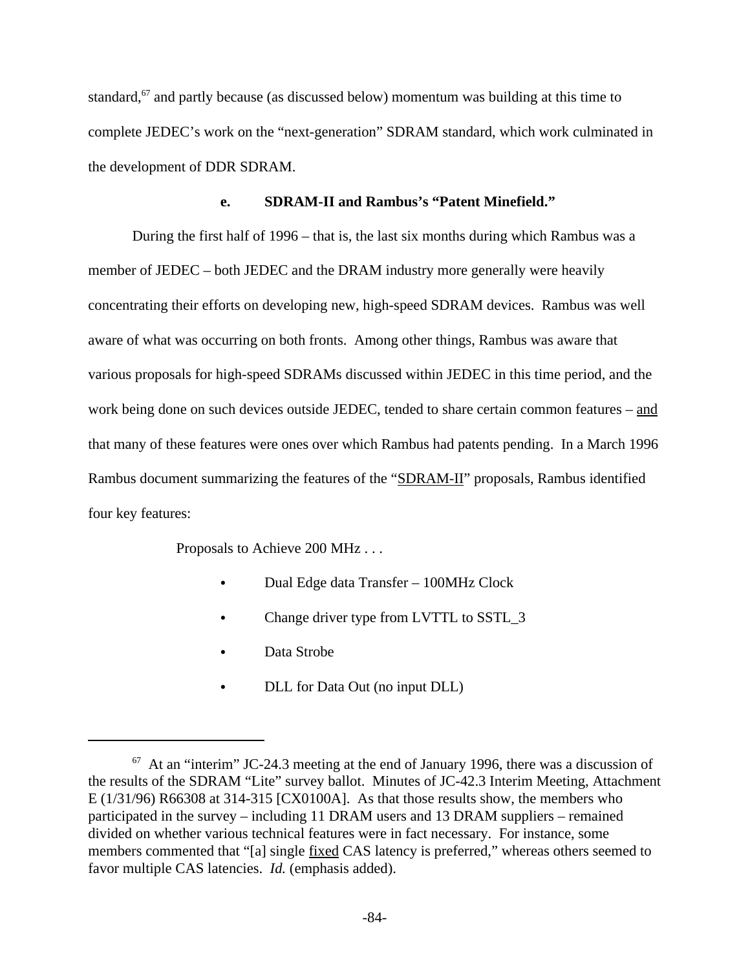standard,<sup>67</sup> and partly because (as discussed below) momentum was building at this time to complete JEDEC's work on the "next-generation" SDRAM standard, which work culminated in the development of DDR SDRAM.

### **e. SDRAM-II and Rambus's "Patent Minefield."**

During the first half of 1996 – that is, the last six months during which Rambus was a member of JEDEC – both JEDEC and the DRAM industry more generally were heavily concentrating their efforts on developing new, high-speed SDRAM devices. Rambus was well aware of what was occurring on both fronts. Among other things, Rambus was aware that various proposals for high-speed SDRAMs discussed within JEDEC in this time period, and the work being done on such devices outside JEDEC, tended to share certain common features – and that many of these features were ones over which Rambus had patents pending. In a March 1996 Rambus document summarizing the features of the "SDRAM-II" proposals, Rambus identified four key features:

Proposals to Achieve 200 MHz . . .

- Dual Edge data Transfer 100MHz Clock
- Change driver type from LVTTL to SSTL\_3
- Data Strobe
- DLL for Data Out (no input DLL)

 $67$  At an "interim" JC-24.3 meeting at the end of January 1996, there was a discussion of the results of the SDRAM "Lite" survey ballot. Minutes of JC-42.3 Interim Meeting, Attachment E (1/31/96) R66308 at 314-315 [CX0100A]. As that those results show, the members who participated in the survey – including 11 DRAM users and 13 DRAM suppliers – remained divided on whether various technical features were in fact necessary. For instance, some members commented that "[a] single fixed CAS latency is preferred," whereas others seemed to favor multiple CAS latencies. *Id.* (emphasis added).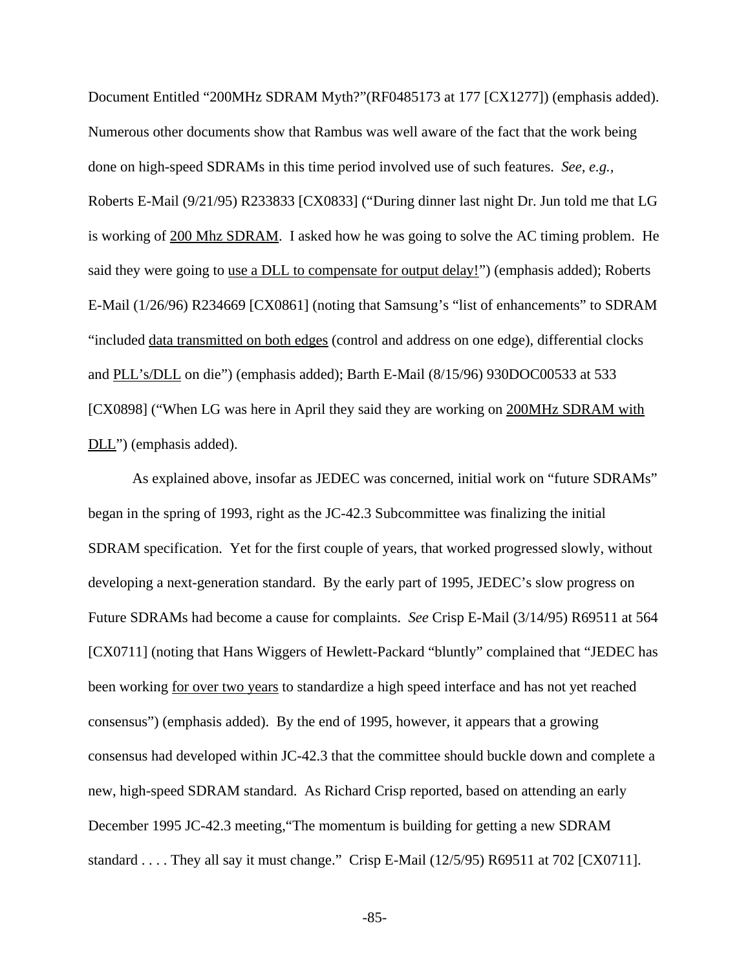Document Entitled "200MHz SDRAM Myth?"(RF0485173 at 177 [CX1277]) (emphasis added). Numerous other documents show that Rambus was well aware of the fact that the work being done on high-speed SDRAMs in this time period involved use of such features. *See, e.g.,* Roberts E-Mail (9/21/95) R233833 [CX0833] ("During dinner last night Dr. Jun told me that LG is working of 200 Mhz SDRAM. I asked how he was going to solve the AC timing problem. He said they were going to use a DLL to compensate for output delay!") (emphasis added); Roberts E-Mail (1/26/96) R234669 [CX0861] (noting that Samsung's "list of enhancements" to SDRAM "included data transmitted on both edges (control and address on one edge), differential clocks and PLL's/DLL on die") (emphasis added); Barth E-Mail (8/15/96) 930DOC00533 at 533 [CX0898] ("When LG was here in April they said they are working on 200MHz SDRAM with DLL") (emphasis added).

As explained above, insofar as JEDEC was concerned, initial work on "future SDRAMs" began in the spring of 1993, right as the JC-42.3 Subcommittee was finalizing the initial SDRAM specification. Yet for the first couple of years, that worked progressed slowly, without developing a next-generation standard. By the early part of 1995, JEDEC's slow progress on Future SDRAMs had become a cause for complaints. *See* Crisp E-Mail (3/14/95) R69511 at 564 [CX0711] (noting that Hans Wiggers of Hewlett-Packard "bluntly" complained that "JEDEC has been working for over two years to standardize a high speed interface and has not yet reached consensus") (emphasis added). By the end of 1995, however, it appears that a growing consensus had developed within JC-42.3 that the committee should buckle down and complete a new, high-speed SDRAM standard. As Richard Crisp reported, based on attending an early December 1995 JC-42.3 meeting,"The momentum is building for getting a new SDRAM standard . . . . They all say it must change." Crisp E-Mail (12/5/95) R69511 at 702 [CX0711].

-85-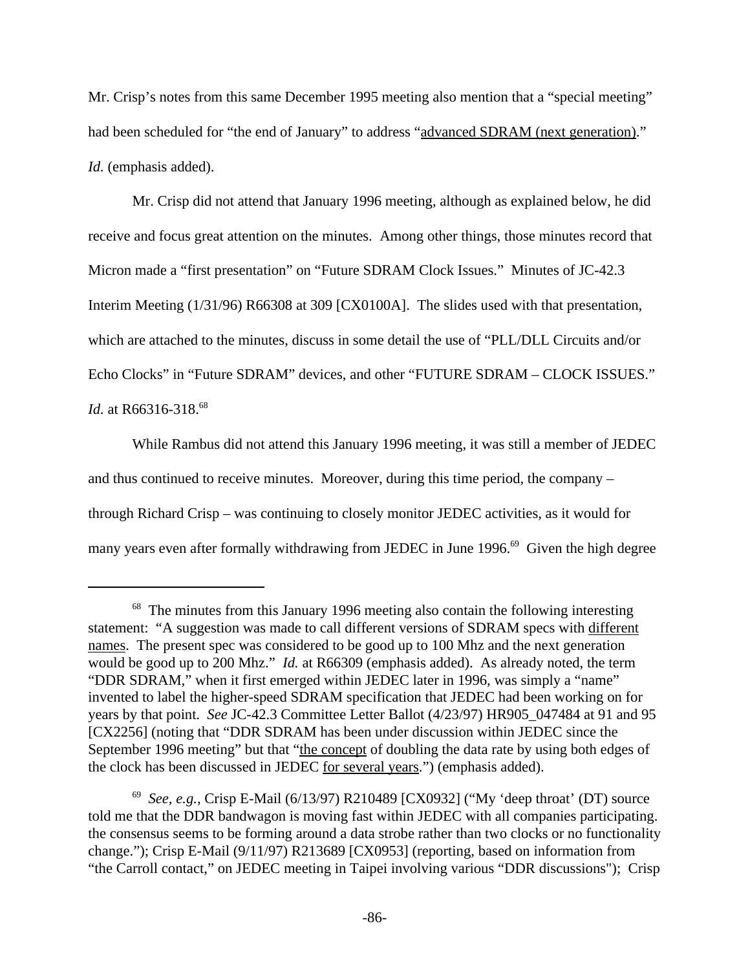Mr. Crisp's notes from this same December 1995 meeting also mention that a "special meeting" had been scheduled for "the end of January" to address "advanced SDRAM (next generation)." *Id.* (emphasis added).

Mr. Crisp did not attend that January 1996 meeting, although as explained below, he did receive and focus great attention on the minutes. Among other things, those minutes record that Micron made a "first presentation" on "Future SDRAM Clock Issues." Minutes of JC-42.3 Interim Meeting (1/31/96) R66308 at 309 [CX0100A]. The slides used with that presentation, which are attached to the minutes, discuss in some detail the use of "PLL/DLL Circuits and/or Echo Clocks" in "Future SDRAM" devices, and other "FUTURE SDRAM – CLOCK ISSUES." *Id.* at R66316-318.<sup>68</sup>

While Rambus did not attend this January 1996 meeting, it was still a member of JEDEC and thus continued to receive minutes. Moreover, during this time period, the company – through Richard Crisp – was continuing to closely monitor JEDEC activities, as it would for many years even after formally withdrawing from JEDEC in June 1996.<sup>69</sup> Given the high degree

<sup>&</sup>lt;sup>68</sup> The minutes from this January 1996 meeting also contain the following interesting statement: "A suggestion was made to call different versions of SDRAM specs with different names. The present spec was considered to be good up to 100 Mhz and the next generation would be good up to 200 Mhz." *Id.* at R66309 (emphasis added). As already noted, the term "DDR SDRAM," when it first emerged within JEDEC later in 1996, was simply a "name" invented to label the higher-speed SDRAM specification that JEDEC had been working on for years by that point. *See* JC-42.3 Committee Letter Ballot (4/23/97) HR905\_047484 at 91 and 95 [CX2256] (noting that "DDR SDRAM has been under discussion within JEDEC since the September 1996 meeting" but that "the concept of doubling the data rate by using both edges of the clock has been discussed in JEDEC for several years.") (emphasis added).

<sup>69</sup> *See, e.g.*, Crisp E-Mail (6/13/97) R210489 [CX0932] ("My 'deep throat' (DT) source told me that the DDR bandwagon is moving fast within JEDEC with all companies participating. the consensus seems to be forming around a data strobe rather than two clocks or no functionality change."); Crisp E-Mail (9/11/97) R213689 [CX0953] (reporting, based on information from "the Carroll contact," on JEDEC meeting in Taipei involving various "DDR discussions"); Crisp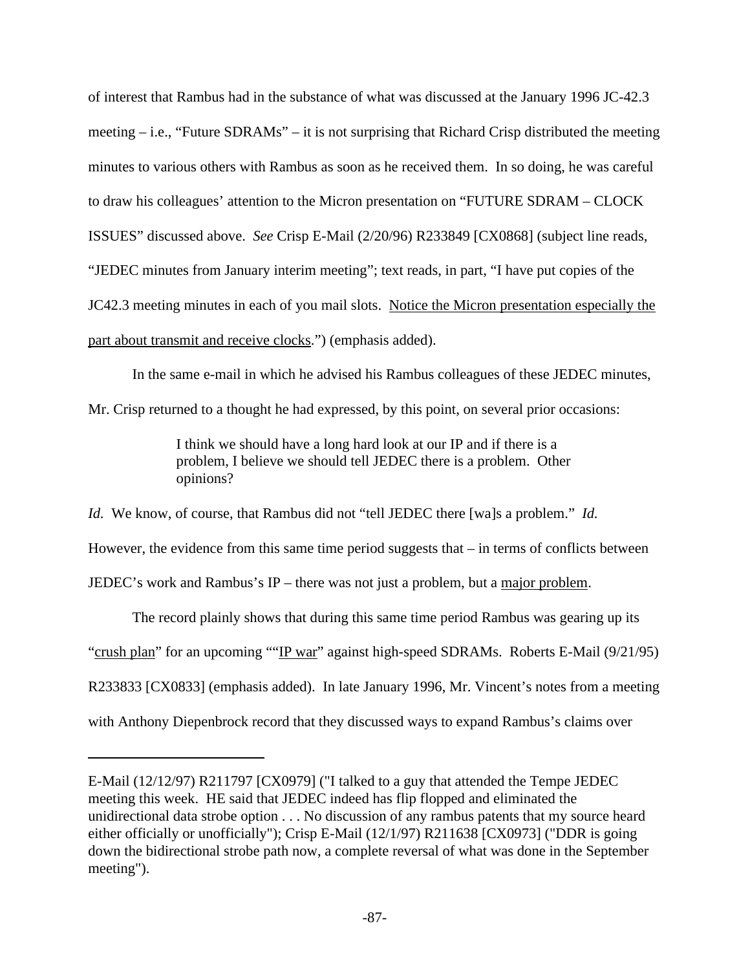of interest that Rambus had in the substance of what was discussed at the January 1996 JC-42.3 meeting – i.e., "Future SDRAMs" – it is not surprising that Richard Crisp distributed the meeting minutes to various others with Rambus as soon as he received them. In so doing, he was careful to draw his colleagues' attention to the Micron presentation on "FUTURE SDRAM – CLOCK ISSUES" discussed above. *See* Crisp E-Mail (2/20/96) R233849 [CX0868] (subject line reads, "JEDEC minutes from January interim meeting"; text reads, in part, "I have put copies of the JC42.3 meeting minutes in each of you mail slots. Notice the Micron presentation especially the part about transmit and receive clocks.") (emphasis added).

In the same e-mail in which he advised his Rambus colleagues of these JEDEC minutes,

Mr. Crisp returned to a thought he had expressed, by this point, on several prior occasions:

I think we should have a long hard look at our IP and if there is a problem, I believe we should tell JEDEC there is a problem. Other opinions?

*Id.* We know, of course, that Rambus did not "tell JEDEC there [wa]s a problem." *Id.*

However, the evidence from this same time period suggests that – in terms of conflicts between

JEDEC's work and Rambus's IP – there was not just a problem, but a major problem.

The record plainly shows that during this same time period Rambus was gearing up its "crush plan" for an upcoming ""IP war" against high-speed SDRAMs. Roberts E-Mail (9/21/95) R233833 [CX0833] (emphasis added). In late January 1996, Mr. Vincent's notes from a meeting with Anthony Diepenbrock record that they discussed ways to expand Rambus's claims over

E-Mail (12/12/97) R211797 [CX0979] ("I talked to a guy that attended the Tempe JEDEC meeting this week. HE said that JEDEC indeed has flip flopped and eliminated the unidirectional data strobe option . . . No discussion of any rambus patents that my source heard either officially or unofficially"); Crisp E-Mail (12/1/97) R211638 [CX0973] ("DDR is going down the bidirectional strobe path now, a complete reversal of what was done in the September meeting").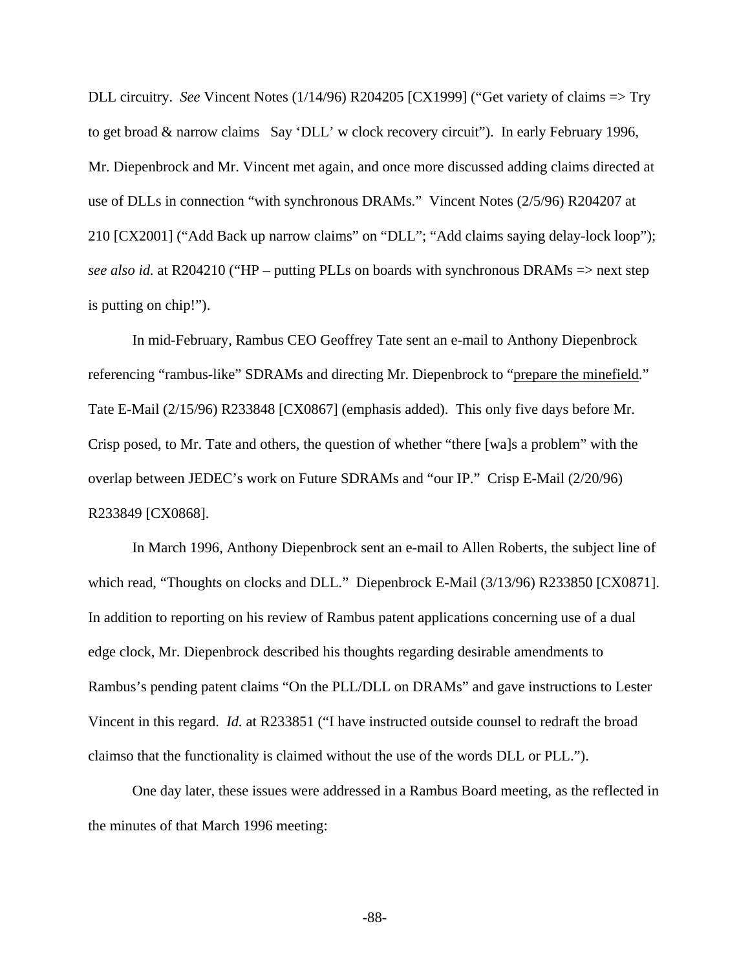DLL circuitry. *See* Vincent Notes (1/14/96) R204205 [CX1999] ("Get variety of claims => Try to get broad & narrow claims Say 'DLL' w clock recovery circuit"). In early February 1996, Mr. Diepenbrock and Mr. Vincent met again, and once more discussed adding claims directed at use of DLLs in connection "with synchronous DRAMs." Vincent Notes (2/5/96) R204207 at 210 [CX2001] ("Add Back up narrow claims" on "DLL"; "Add claims saying delay-lock loop"); *see also id.* at R204210 ("HP – putting PLLs on boards with synchronous DRAMs => next step is putting on chip!").

In mid-February, Rambus CEO Geoffrey Tate sent an e-mail to Anthony Diepenbrock referencing "rambus-like" SDRAMs and directing Mr. Diepenbrock to "prepare the minefield." Tate E-Mail (2/15/96) R233848 [CX0867] (emphasis added). This only five days before Mr. Crisp posed, to Mr. Tate and others, the question of whether "there [wa]s a problem" with the overlap between JEDEC's work on Future SDRAMs and "our IP." Crisp E-Mail (2/20/96) R233849 [CX0868].

In March 1996, Anthony Diepenbrock sent an e-mail to Allen Roberts, the subject line of which read, "Thoughts on clocks and DLL." Diepenbrock E-Mail (3/13/96) R233850 [CX0871]. In addition to reporting on his review of Rambus patent applications concerning use of a dual edge clock, Mr. Diepenbrock described his thoughts regarding desirable amendments to Rambus's pending patent claims "On the PLL/DLL on DRAMs" and gave instructions to Lester Vincent in this regard. *Id.* at R233851 ("I have instructed outside counsel to redraft the broad claimso that the functionality is claimed without the use of the words DLL or PLL.").

One day later, these issues were addressed in a Rambus Board meeting, as the reflected in the minutes of that March 1996 meeting:

-88-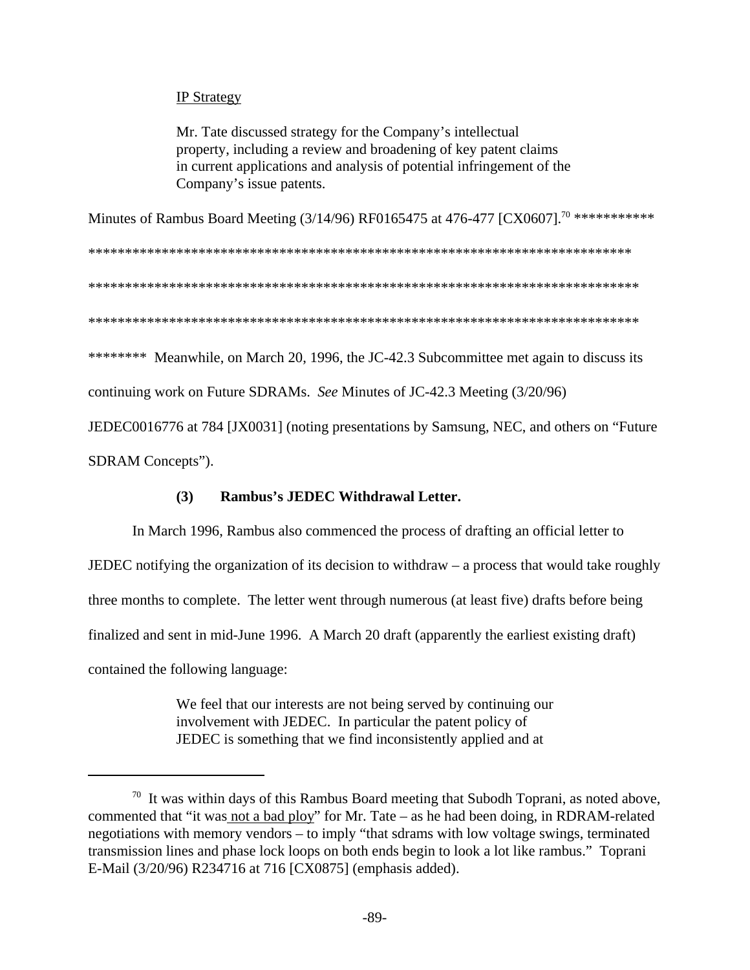# IP Strategy

Mr. Tate discussed strategy for the Company's intellectual property, including a review and broadening of key patent claims in current applications and analysis of potential infringement of the Company's issue patents.

Minutes of Rambus Board Meeting (3/14/96) RF0165475 at 476-477 [CX0607].<sup>70</sup> \*\*\*\*\*\*\*\*\*\*\*

\*\*\*\*\*\*\*\*\*\*\*\*\*\*\*\*\*\*\*\*\*\*\*\*\*\*\*\*\*\*\*\*\*\*\*\*\*\*\*\*\*\*\*\*\*\*\*\*\*\*\*\*\*\*\*\*\*\*\*\*\*\*\*\*\*\*\*\*\*\*\*\*\*\*

\*\*\*\*\*\*\*\*\*\*\*\*\*\*\*\*\*\*\*\*\*\*\*\*\*\*\*\*\*\*\*\*\*\*\*\*\*\*\*\*\*\*\*\*\*\*\*\*\*\*\*\*\*\*\*\*\*\*\*\*\*\*\*\*\*\*\*\*\*\*\*\*\*\*\*

\*\*\*\*\*\*\*\*\*\*\*\*\*\*\*\*\*\*\*\*\*\*\*\*\*\*\*\*\*\*\*\*\*\*\*\*\*\*\*\*\*\*\*\*\*\*\*\*\*\*\*\*\*\*\*\*\*\*\*\*\*\*\*\*\*\*\*\*\*\*\*\*\*\*\*

\*\*\*\*\*\*\*\* Meanwhile, on March 20, 1996, the JC-42.3 Subcommittee met again to discuss its

continuing work on Future SDRAMs. *See* Minutes of JC-42.3 Meeting (3/20/96)

JEDEC0016776 at 784 [JX0031] (noting presentations by Samsung, NEC, and others on "Future

SDRAM Concepts").

# **(3) Rambus's JEDEC Withdrawal Letter.**

In March 1996, Rambus also commenced the process of drafting an official letter to JEDEC notifying the organization of its decision to withdraw – a process that would take roughly three months to complete. The letter went through numerous (at least five) drafts before being finalized and sent in mid-June 1996. A March 20 draft (apparently the earliest existing draft) contained the following language:

> We feel that our interests are not being served by continuing our involvement with JEDEC. In particular the patent policy of JEDEC is something that we find inconsistently applied and at

 $70$  It was within days of this Rambus Board meeting that Subodh Toprani, as noted above, commented that "it was not a bad ploy" for Mr. Tate – as he had been doing, in RDRAM-related negotiations with memory vendors – to imply "that sdrams with low voltage swings, terminated transmission lines and phase lock loops on both ends begin to look a lot like rambus." Toprani E-Mail (3/20/96) R234716 at 716 [CX0875] (emphasis added).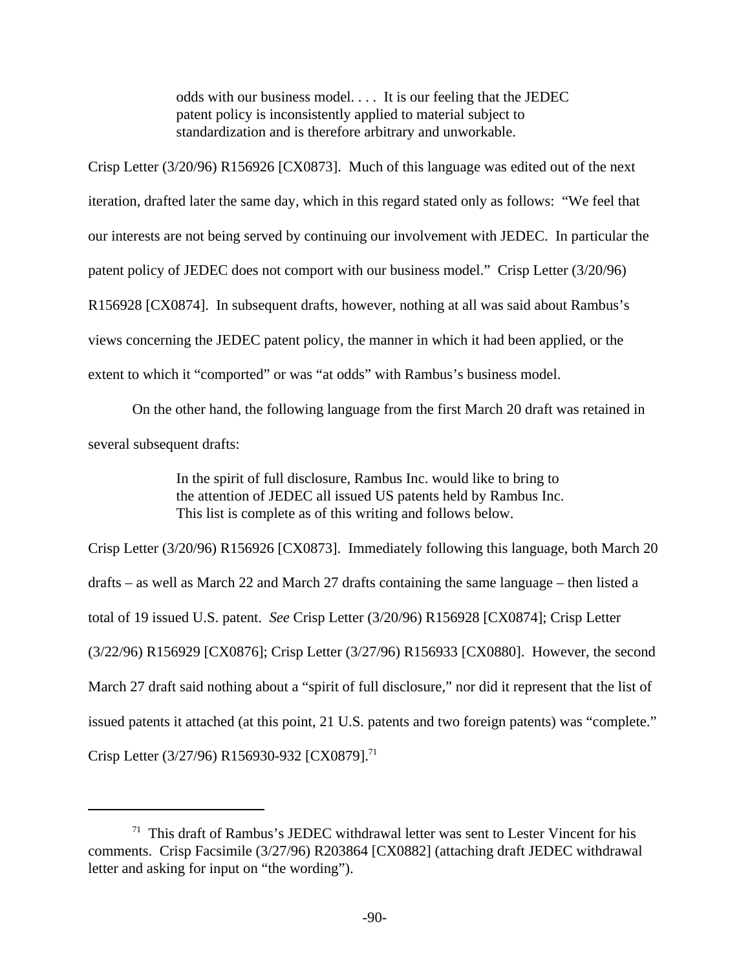odds with our business model. . . . It is our feeling that the JEDEC patent policy is inconsistently applied to material subject to standardization and is therefore arbitrary and unworkable.

Crisp Letter (3/20/96) R156926 [CX0873]. Much of this language was edited out of the next iteration, drafted later the same day, which in this regard stated only as follows: "We feel that our interests are not being served by continuing our involvement with JEDEC. In particular the patent policy of JEDEC does not comport with our business model." Crisp Letter (3/20/96) R156928 [CX0874]. In subsequent drafts, however, nothing at all was said about Rambus's views concerning the JEDEC patent policy, the manner in which it had been applied, or the extent to which it "comported" or was "at odds" with Rambus's business model.

On the other hand, the following language from the first March 20 draft was retained in several subsequent drafts:

> In the spirit of full disclosure, Rambus Inc. would like to bring to the attention of JEDEC all issued US patents held by Rambus Inc. This list is complete as of this writing and follows below.

Crisp Letter (3/20/96) R156926 [CX0873]. Immediately following this language, both March 20 drafts – as well as March 22 and March 27 drafts containing the same language – then listed a total of 19 issued U.S. patent. *See* Crisp Letter (3/20/96) R156928 [CX0874]; Crisp Letter (3/22/96) R156929 [CX0876]; Crisp Letter (3/27/96) R156933 [CX0880]. However, the second March 27 draft said nothing about a "spirit of full disclosure," nor did it represent that the list of issued patents it attached (at this point, 21 U.S. patents and two foreign patents) was "complete." Crisp Letter (3/27/96) R156930-932 [CX0879].<sup>71</sup>

 $71$  This draft of Rambus's JEDEC withdrawal letter was sent to Lester Vincent for his comments. Crisp Facsimile (3/27/96) R203864 [CX0882] (attaching draft JEDEC withdrawal letter and asking for input on "the wording").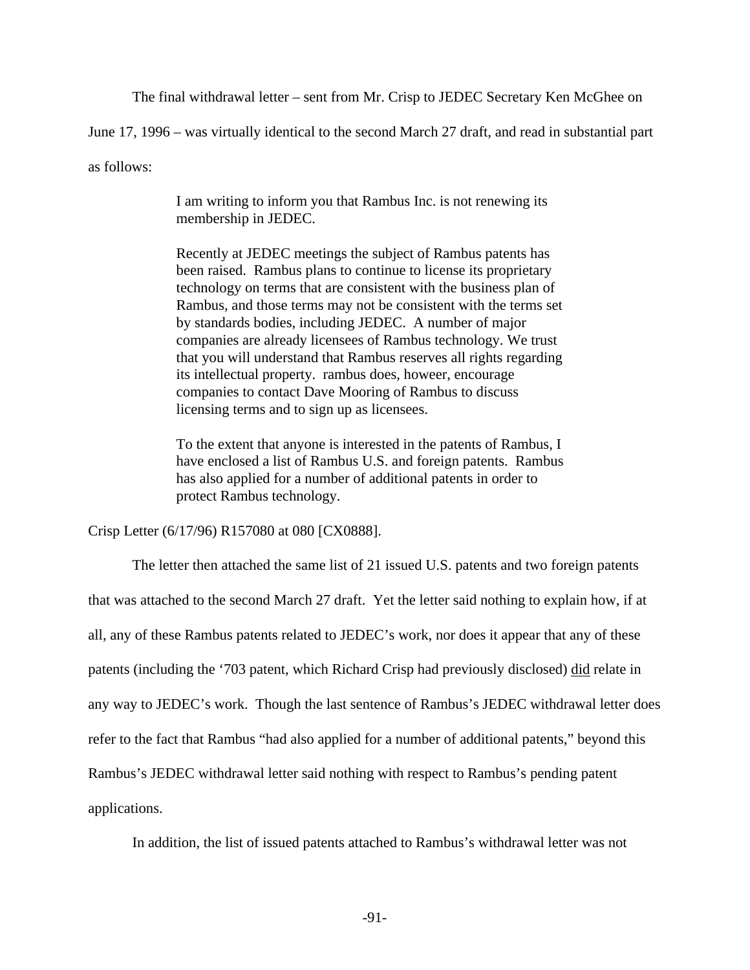The final withdrawal letter – sent from Mr. Crisp to JEDEC Secretary Ken McGhee on

June 17, 1996 – was virtually identical to the second March 27 draft, and read in substantial part

as follows:

I am writing to inform you that Rambus Inc. is not renewing its membership in JEDEC.

Recently at JEDEC meetings the subject of Rambus patents has been raised. Rambus plans to continue to license its proprietary technology on terms that are consistent with the business plan of Rambus, and those terms may not be consistent with the terms set by standards bodies, including JEDEC. A number of major companies are already licensees of Rambus technology. We trust that you will understand that Rambus reserves all rights regarding its intellectual property. rambus does, howeer, encourage companies to contact Dave Mooring of Rambus to discuss licensing terms and to sign up as licensees.

To the extent that anyone is interested in the patents of Rambus, I have enclosed a list of Rambus U.S. and foreign patents. Rambus has also applied for a number of additional patents in order to protect Rambus technology.

Crisp Letter (6/17/96) R157080 at 080 [CX0888].

The letter then attached the same list of 21 issued U.S. patents and two foreign patents that was attached to the second March 27 draft. Yet the letter said nothing to explain how, if at all, any of these Rambus patents related to JEDEC's work, nor does it appear that any of these patents (including the '703 patent, which Richard Crisp had previously disclosed) did relate in any way to JEDEC's work. Though the last sentence of Rambus's JEDEC withdrawal letter does refer to the fact that Rambus "had also applied for a number of additional patents," beyond this Rambus's JEDEC withdrawal letter said nothing with respect to Rambus's pending patent applications.

In addition, the list of issued patents attached to Rambus's withdrawal letter was not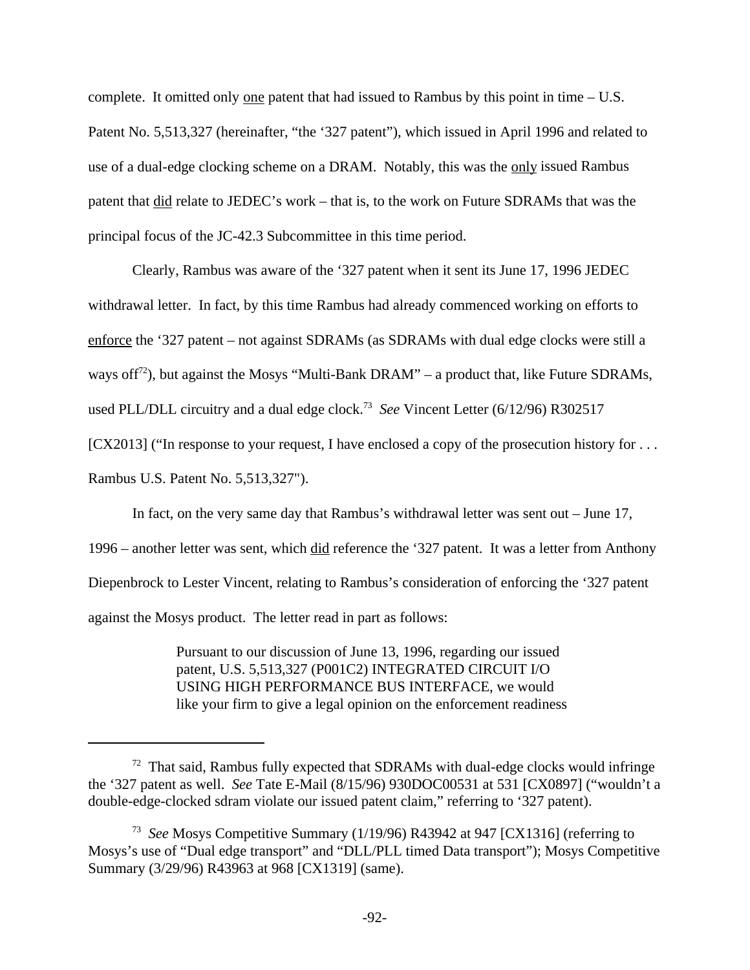complete. It omitted only one patent that had issued to Rambus by this point in time – U.S. Patent No. 5,513,327 (hereinafter, "the '327 patent"), which issued in April 1996 and related to use of a dual-edge clocking scheme on a DRAM. Notably, this was the only issued Rambus patent that did relate to JEDEC's work – that is, to the work on Future SDRAMs that was the principal focus of the JC-42.3 Subcommittee in this time period.

Clearly, Rambus was aware of the '327 patent when it sent its June 17, 1996 JEDEC withdrawal letter. In fact, by this time Rambus had already commenced working on efforts to enforce the '327 patent – not against SDRAMs (as SDRAMs with dual edge clocks were still a ways of  $f^{72}$ ), but against the Mosys "Multi-Bank DRAM" – a product that, like Future SDRAMs, used PLL/DLL circuitry and a dual edge clock.<sup>73</sup> See Vincent Letter (6/12/96) R302517 [CX2013] ("In response to your request, I have enclosed a copy of the prosecution history for . . . Rambus U.S. Patent No. 5,513,327").

In fact, on the very same day that Rambus's withdrawal letter was sent out – June 17, 1996 – another letter was sent, which did reference the '327 patent. It was a letter from Anthony Diepenbrock to Lester Vincent, relating to Rambus's consideration of enforcing the '327 patent against the Mosys product. The letter read in part as follows:

> Pursuant to our discussion of June 13, 1996, regarding our issued patent, U.S. 5,513,327 (P001C2) INTEGRATED CIRCUIT I/O USING HIGH PERFORMANCE BUS INTERFACE, we would like your firm to give a legal opinion on the enforcement readiness

 $72$  That said, Rambus fully expected that SDRAMs with dual-edge clocks would infringe the '327 patent as well. *See* Tate E-Mail (8/15/96) 930DOC00531 at 531 [CX0897] ("wouldn't a double-edge-clocked sdram violate our issued patent claim," referring to '327 patent).

<sup>73</sup> *See* Mosys Competitive Summary (1/19/96) R43942 at 947 [CX1316] (referring to Mosys's use of "Dual edge transport" and "DLL/PLL timed Data transport"); Mosys Competitive Summary (3/29/96) R43963 at 968 [CX1319] (same).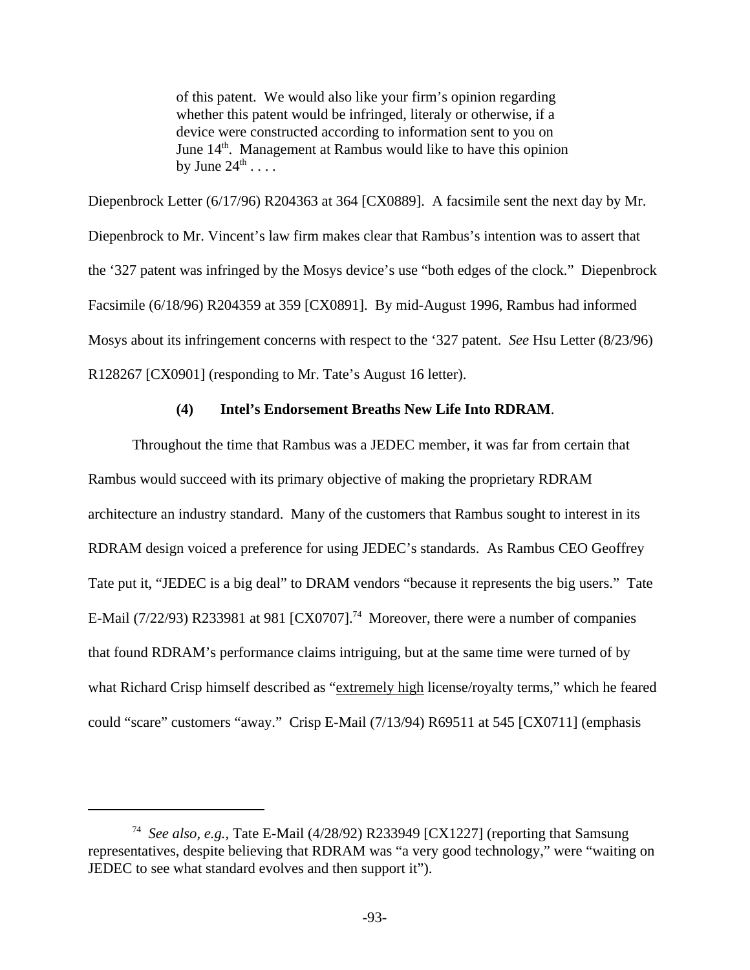of this patent. We would also like your firm's opinion regarding whether this patent would be infringed, literaly or otherwise, if a device were constructed according to information sent to you on June 14<sup>th</sup>. Management at Rambus would like to have this opinion by June  $24^{\text{th}}$  . . . .

Diepenbrock Letter (6/17/96) R204363 at 364 [CX0889]. A facsimile sent the next day by Mr. Diepenbrock to Mr. Vincent's law firm makes clear that Rambus's intention was to assert that the '327 patent was infringed by the Mosys device's use "both edges of the clock." Diepenbrock Facsimile (6/18/96) R204359 at 359 [CX0891]. By mid-August 1996, Rambus had informed Mosys about its infringement concerns with respect to the '327 patent. *See* Hsu Letter (8/23/96) R128267 [CX0901] (responding to Mr. Tate's August 16 letter).

#### **(4) Intel's Endorsement Breaths New Life Into RDRAM**.

Throughout the time that Rambus was a JEDEC member, it was far from certain that Rambus would succeed with its primary objective of making the proprietary RDRAM architecture an industry standard. Many of the customers that Rambus sought to interest in its RDRAM design voiced a preference for using JEDEC's standards. As Rambus CEO Geoffrey Tate put it, "JEDEC is a big deal" to DRAM vendors "because it represents the big users." Tate E-Mail (7/22/93) R233981 at 981 [CX0707].<sup>74</sup> Moreover, there were a number of companies that found RDRAM's performance claims intriguing, but at the same time were turned of by what Richard Crisp himself described as "extremely high license/royalty terms," which he feared could "scare" customers "away." Crisp E-Mail (7/13/94) R69511 at 545 [CX0711] (emphasis

<sup>74</sup> *See also, e.g.,* Tate E-Mail (4/28/92) R233949 [CX1227] (reporting that Samsung representatives, despite believing that RDRAM was "a very good technology," were "waiting on JEDEC to see what standard evolves and then support it").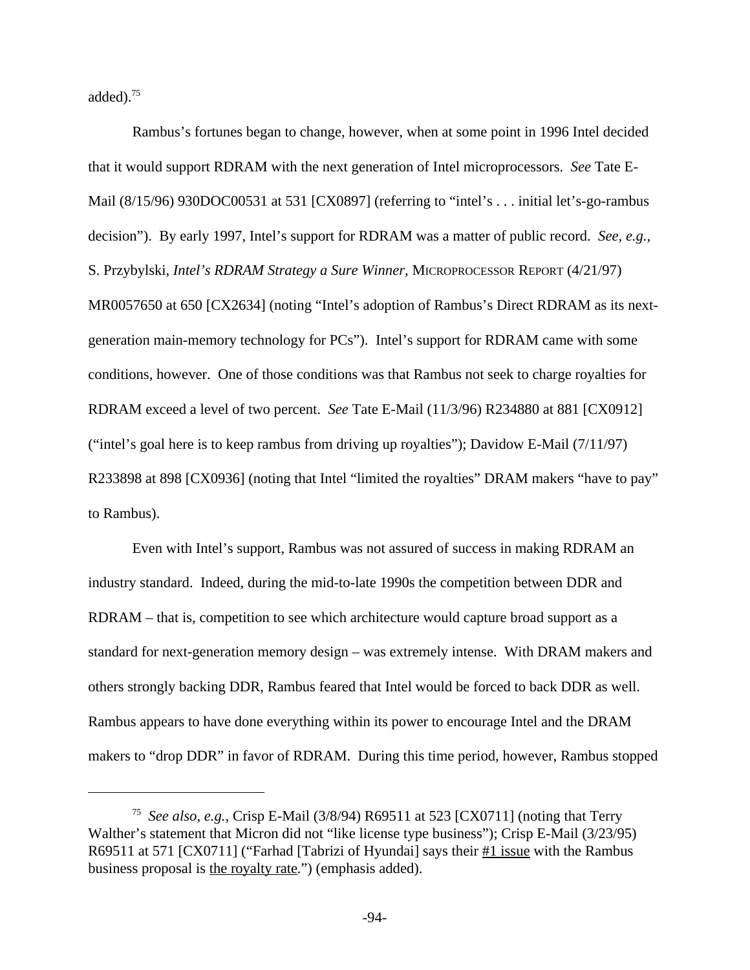added). $75$ 

Rambus's fortunes began to change, however, when at some point in 1996 Intel decided that it would support RDRAM with the next generation of Intel microprocessors. *See* Tate E-Mail (8/15/96) 930DOC00531 at 531 [CX0897] (referring to "intel's . . . initial let's-go-rambus decision"). By early 1997, Intel's support for RDRAM was a matter of public record. *See, e.g.,* S. Przybylski, *Intel's RDRAM Strategy a Sure Winner*, MICROPROCESSOR REPORT (4/21/97) MR0057650 at 650 [CX2634] (noting "Intel's adoption of Rambus's Direct RDRAM as its nextgeneration main-memory technology for PCs"). Intel's support for RDRAM came with some conditions, however. One of those conditions was that Rambus not seek to charge royalties for RDRAM exceed a level of two percent. *See* Tate E-Mail (11/3/96) R234880 at 881 [CX0912] ("intel's goal here is to keep rambus from driving up royalties"); Davidow E-Mail (7/11/97) R233898 at 898 [CX0936] (noting that Intel "limited the royalties" DRAM makers "have to pay" to Rambus).

Even with Intel's support, Rambus was not assured of success in making RDRAM an industry standard. Indeed, during the mid-to-late 1990s the competition between DDR and RDRAM – that is, competition to see which architecture would capture broad support as a standard for next-generation memory design – was extremely intense. With DRAM makers and others strongly backing DDR, Rambus feared that Intel would be forced to back DDR as well. Rambus appears to have done everything within its power to encourage Intel and the DRAM makers to "drop DDR" in favor of RDRAM. During this time period, however, Rambus stopped

<sup>75</sup> *See also, e.g.,* Crisp E-Mail (3/8/94) R69511 at 523 [CX0711] (noting that Terry Walther's statement that Micron did not "like license type business"); Crisp E-Mail (3/23/95) R69511 at 571 [CX0711] ("Farhad [Tabrizi of Hyundai] says their #1 issue with the Rambus business proposal is the royalty rate.") (emphasis added).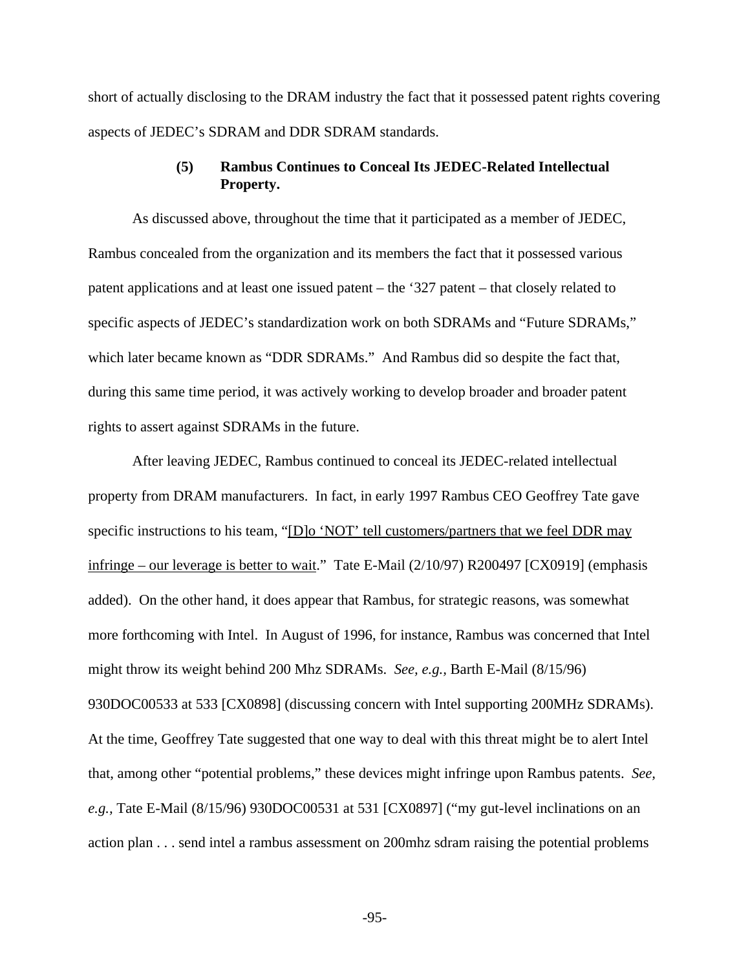short of actually disclosing to the DRAM industry the fact that it possessed patent rights covering aspects of JEDEC's SDRAM and DDR SDRAM standards.

## **(5) Rambus Continues to Conceal Its JEDEC-Related Intellectual Property.**

As discussed above, throughout the time that it participated as a member of JEDEC, Rambus concealed from the organization and its members the fact that it possessed various patent applications and at least one issued patent – the '327 patent – that closely related to specific aspects of JEDEC's standardization work on both SDRAMs and "Future SDRAMs," which later became known as "DDR SDRAMs." And Rambus did so despite the fact that, during this same time period, it was actively working to develop broader and broader patent rights to assert against SDRAMs in the future.

After leaving JEDEC, Rambus continued to conceal its JEDEC-related intellectual property from DRAM manufacturers. In fact, in early 1997 Rambus CEO Geoffrey Tate gave specific instructions to his team, "[D]o 'NOT' tell customers/partners that we feel DDR may infringe – our leverage is better to wait." Tate E-Mail (2/10/97) R200497 [CX0919] (emphasis added). On the other hand, it does appear that Rambus, for strategic reasons, was somewhat more forthcoming with Intel. In August of 1996, for instance, Rambus was concerned that Intel might throw its weight behind 200 Mhz SDRAMs. *See, e.g.,* Barth E-Mail (8/15/96) 930DOC00533 at 533 [CX0898] (discussing concern with Intel supporting 200MHz SDRAMs). At the time, Geoffrey Tate suggested that one way to deal with this threat might be to alert Intel that, among other "potential problems," these devices might infringe upon Rambus patents. *See, e.g.,* Tate E-Mail (8/15/96) 930DOC00531 at 531 [CX0897] ("my gut-level inclinations on an action plan . . . send intel a rambus assessment on 200mhz sdram raising the potential problems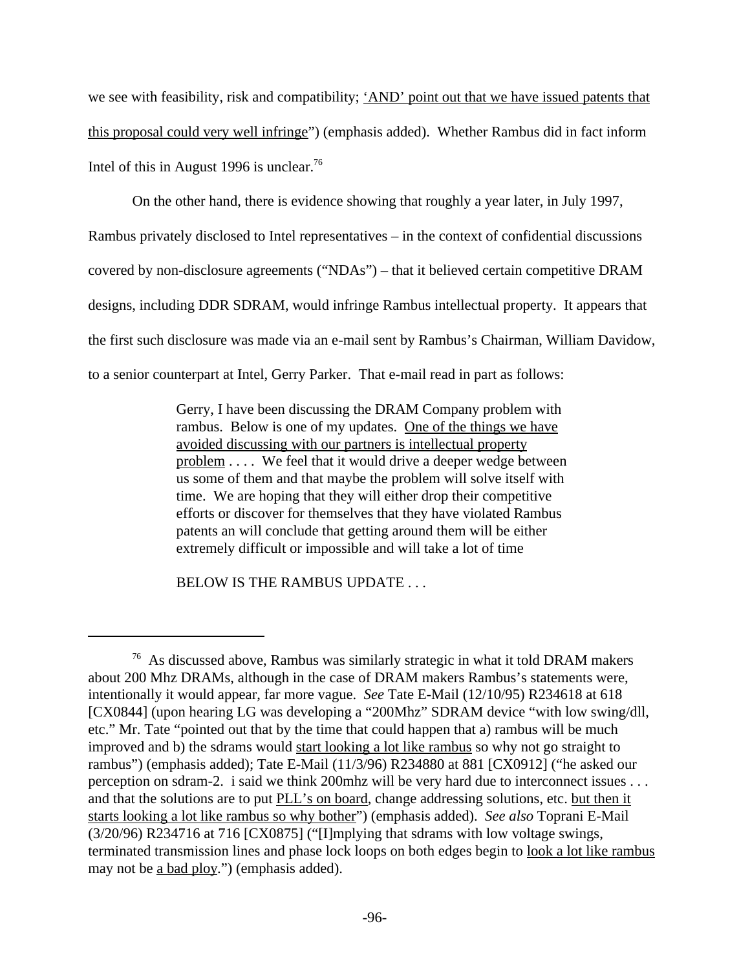we see with feasibility, risk and compatibility; 'AND' point out that we have issued patents that this proposal could very well infringe") (emphasis added). Whether Rambus did in fact inform Intel of this in August 1996 is unclear.<sup>76</sup>

On the other hand, there is evidence showing that roughly a year later, in July 1997,

Rambus privately disclosed to Intel representatives – in the context of confidential discussions

covered by non-disclosure agreements ("NDAs") – that it believed certain competitive DRAM

designs, including DDR SDRAM, would infringe Rambus intellectual property. It appears that

the first such disclosure was made via an e-mail sent by Rambus's Chairman, William Davidow,

to a senior counterpart at Intel, Gerry Parker. That e-mail read in part as follows:

Gerry, I have been discussing the DRAM Company problem with rambus. Below is one of my updates. One of the things we have avoided discussing with our partners is intellectual property problem . . . . We feel that it would drive a deeper wedge between us some of them and that maybe the problem will solve itself with time. We are hoping that they will either drop their competitive efforts or discover for themselves that they have violated Rambus patents an will conclude that getting around them will be either extremely difficult or impossible and will take a lot of time

BELOW IS THE RAMBUS UPDATE . . .

<sup>76</sup> As discussed above, Rambus was similarly strategic in what it told DRAM makers about 200 Mhz DRAMs, although in the case of DRAM makers Rambus's statements were, intentionally it would appear, far more vague. *See* Tate E-Mail (12/10/95) R234618 at 618 [CX0844] (upon hearing LG was developing a "200Mhz" SDRAM device "with low swing/dll, etc." Mr. Tate "pointed out that by the time that could happen that a) rambus will be much improved and b) the sdrams would start looking a lot like rambus so why not go straight to rambus") (emphasis added); Tate E-Mail (11/3/96) R234880 at 881 [CX0912] ("he asked our perception on sdram-2. i said we think 200mhz will be very hard due to interconnect issues . . . and that the solutions are to put PLL's on board, change addressing solutions, etc. but then it starts looking a lot like rambus so why bother") (emphasis added). *See also* Toprani E-Mail (3/20/96) R234716 at 716 [CX0875] ("[I]mplying that sdrams with low voltage swings, terminated transmission lines and phase lock loops on both edges begin to look a lot like rambus may not be a bad ploy.") (emphasis added).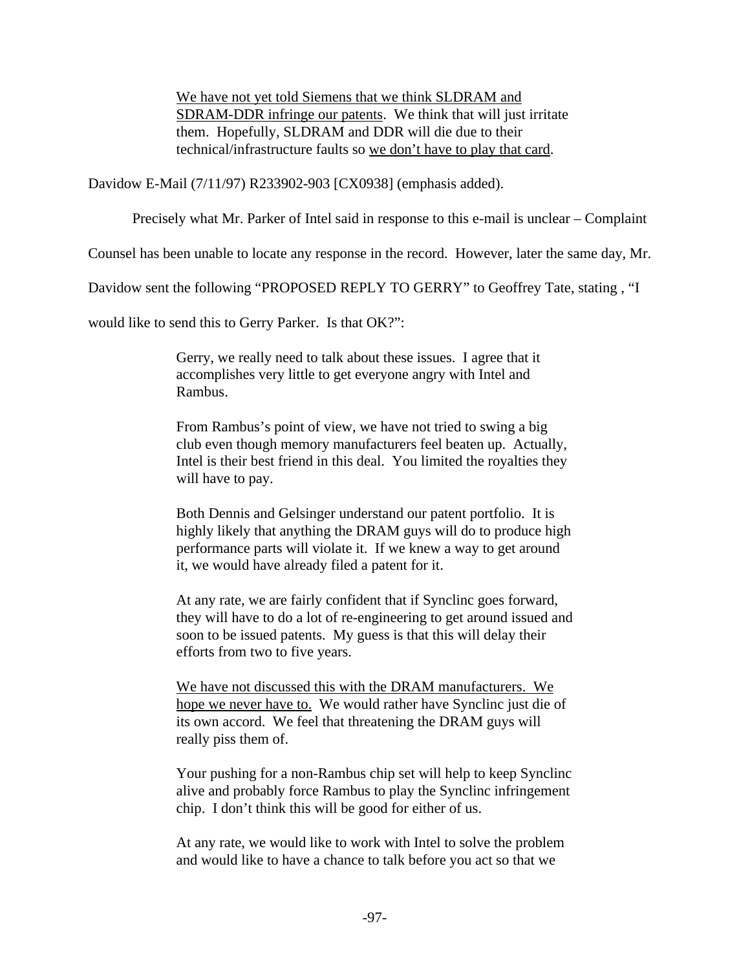We have not yet told Siemens that we think SLDRAM and SDRAM-DDR infringe our patents. We think that will just irritate them. Hopefully, SLDRAM and DDR will die due to their technical/infrastructure faults so we don't have to play that card.

Davidow E-Mail (7/11/97) R233902-903 [CX0938] (emphasis added).

Precisely what Mr. Parker of Intel said in response to this e-mail is unclear – Complaint

Counsel has been unable to locate any response in the record. However, later the same day, Mr.

Davidow sent the following "PROPOSED REPLY TO GERRY" to Geoffrey Tate, stating , "I

would like to send this to Gerry Parker. Is that OK?":

Gerry, we really need to talk about these issues. I agree that it accomplishes very little to get everyone angry with Intel and Rambus.

From Rambus's point of view, we have not tried to swing a big club even though memory manufacturers feel beaten up. Actually, Intel is their best friend in this deal. You limited the royalties they will have to pay.

Both Dennis and Gelsinger understand our patent portfolio. It is highly likely that anything the DRAM guys will do to produce high performance parts will violate it. If we knew a way to get around it, we would have already filed a patent for it.

At any rate, we are fairly confident that if Synclinc goes forward, they will have to do a lot of re-engineering to get around issued and soon to be issued patents. My guess is that this will delay their efforts from two to five years.

We have not discussed this with the DRAM manufacturers. We hope we never have to. We would rather have Synclinc just die of its own accord. We feel that threatening the DRAM guys will really piss them of.

Your pushing for a non-Rambus chip set will help to keep Synclinc alive and probably force Rambus to play the Synclinc infringement chip. I don't think this will be good for either of us.

At any rate, we would like to work with Intel to solve the problem and would like to have a chance to talk before you act so that we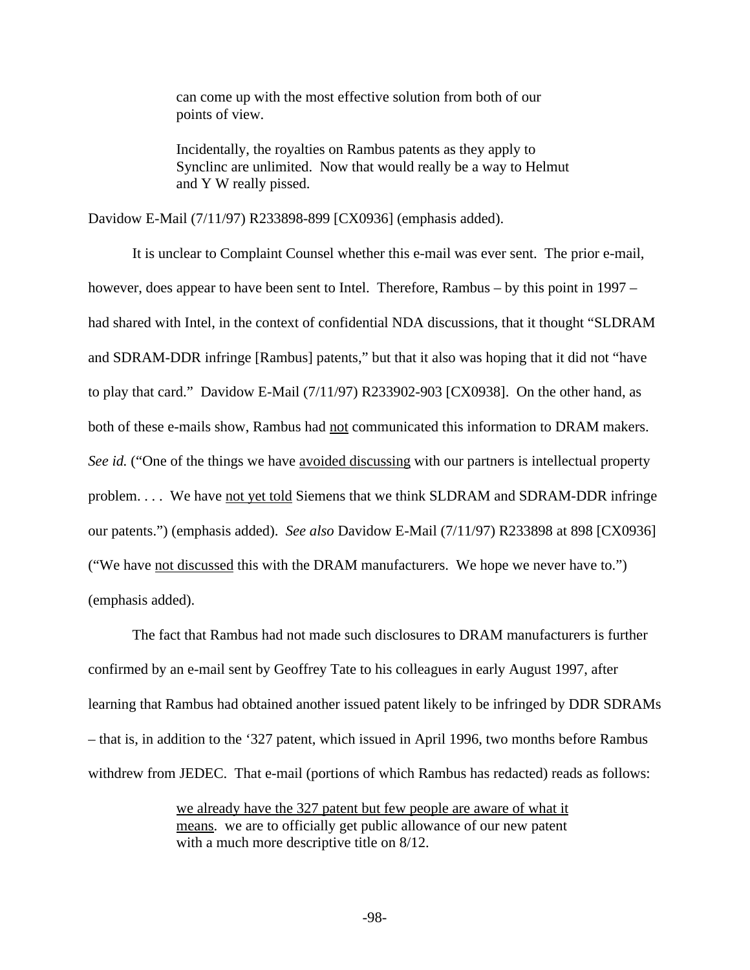can come up with the most effective solution from both of our points of view.

Incidentally, the royalties on Rambus patents as they apply to Synclinc are unlimited. Now that would really be a way to Helmut and Y W really pissed.

Davidow E-Mail (7/11/97) R233898-899 [CX0936] (emphasis added).

It is unclear to Complaint Counsel whether this e-mail was ever sent. The prior e-mail, however, does appear to have been sent to Intel. Therefore, Rambus – by this point in 1997 – had shared with Intel, in the context of confidential NDA discussions, that it thought "SLDRAM and SDRAM-DDR infringe [Rambus] patents," but that it also was hoping that it did not "have to play that card." Davidow E-Mail (7/11/97) R233902-903 [CX0938]. On the other hand, as both of these e-mails show, Rambus had not communicated this information to DRAM makers. *See id.* ("One of the things we have avoided discussing with our partners is intellectual property problem. . . . We have not yet told Siemens that we think SLDRAM and SDRAM-DDR infringe our patents.") (emphasis added). *See also* Davidow E-Mail (7/11/97) R233898 at 898 [CX0936] ("We have not discussed this with the DRAM manufacturers. We hope we never have to.") (emphasis added).

The fact that Rambus had not made such disclosures to DRAM manufacturers is further confirmed by an e-mail sent by Geoffrey Tate to his colleagues in early August 1997, after learning that Rambus had obtained another issued patent likely to be infringed by DDR SDRAMs – that is, in addition to the '327 patent, which issued in April 1996, two months before Rambus withdrew from JEDEC. That e-mail (portions of which Rambus has redacted) reads as follows:

> we already have the 327 patent but few people are aware of what it means. we are to officially get public allowance of our new patent with a much more descriptive title on  $8/12$ .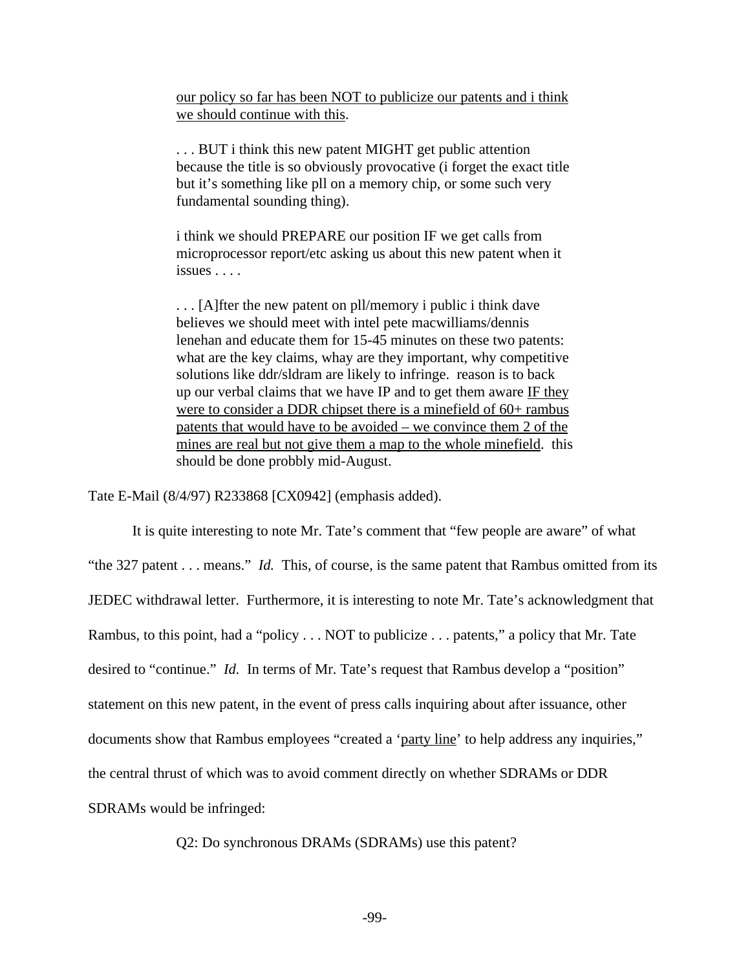our policy so far has been NOT to publicize our patents and i think we should continue with this.

. . . BUT i think this new patent MIGHT get public attention because the title is so obviously provocative (i forget the exact title but it's something like pll on a memory chip, or some such very fundamental sounding thing).

i think we should PREPARE our position IF we get calls from microprocessor report/etc asking us about this new patent when it issues . . . .

. . . [A]fter the new patent on pll/memory i public i think dave believes we should meet with intel pete macwilliams/dennis lenehan and educate them for 15-45 minutes on these two patents: what are the key claims, whay are they important, why competitive solutions like ddr/sldram are likely to infringe. reason is to back up our verbal claims that we have IP and to get them aware IF they were to consider a DDR chipset there is a minefield of 60+ rambus patents that would have to be avoided – we convince them 2 of the mines are real but not give them a map to the whole minefield. this should be done probbly mid-August.

Tate E-Mail (8/4/97) R233868 [CX0942] (emphasis added).

It is quite interesting to note Mr. Tate's comment that "few people are aware" of what "the 327 patent . . . means." *Id.* This, of course, is the same patent that Rambus omitted from its JEDEC withdrawal letter. Furthermore, it is interesting to note Mr. Tate's acknowledgment that Rambus, to this point, had a "policy . . . NOT to publicize . . . patents," a policy that Mr. Tate desired to "continue." *Id.* In terms of Mr. Tate's request that Rambus develop a "position" statement on this new patent, in the event of press calls inquiring about after issuance, other documents show that Rambus employees "created a 'party line' to help address any inquiries," the central thrust of which was to avoid comment directly on whether SDRAMs or DDR SDRAMs would be infringed:

Q2: Do synchronous DRAMs (SDRAMs) use this patent?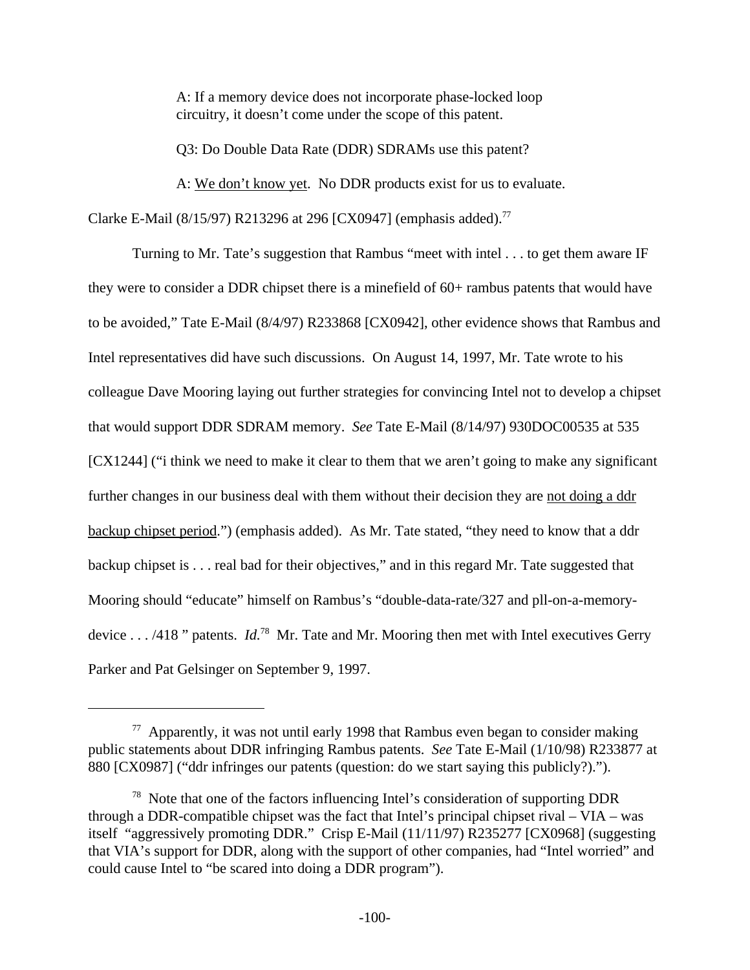A: If a memory device does not incorporate phase-locked loop circuitry, it doesn't come under the scope of this patent.

Q3: Do Double Data Rate (DDR) SDRAMs use this patent?

A: We don't know yet. No DDR products exist for us to evaluate.

Clarke E-Mail (8/15/97) R213296 at 296 [CX0947] (emphasis added).<sup>77</sup>

Turning to Mr. Tate's suggestion that Rambus "meet with intel . . . to get them aware IF they were to consider a DDR chipset there is a minefield of 60+ rambus patents that would have to be avoided," Tate E-Mail (8/4/97) R233868 [CX0942], other evidence shows that Rambus and Intel representatives did have such discussions. On August 14, 1997, Mr. Tate wrote to his colleague Dave Mooring laying out further strategies for convincing Intel not to develop a chipset that would support DDR SDRAM memory. *See* Tate E-Mail (8/14/97) 930DOC00535 at 535 [CX1244] ("i think we need to make it clear to them that we aren't going to make any significant further changes in our business deal with them without their decision they are not doing a ddr backup chipset period.") (emphasis added). As Mr. Tate stated, "they need to know that a ddr backup chipset is . . . real bad for their objectives," and in this regard Mr. Tate suggested that Mooring should "educate" himself on Rambus's "double-data-rate/327 and pll-on-a-memorydevice . . . /418 " patents. *Id.*<sup>78</sup> Mr. Tate and Mr. Mooring then met with Intel executives Gerry Parker and Pat Gelsinger on September 9, 1997.

 $77$  Apparently, it was not until early 1998 that Rambus even began to consider making public statements about DDR infringing Rambus patents. *See* Tate E-Mail (1/10/98) R233877 at 880 [CX0987] ("ddr infringes our patents (question: do we start saying this publicly?).").

<sup>78</sup> Note that one of the factors influencing Intel's consideration of supporting DDR through a DDR-compatible chipset was the fact that Intel's principal chipset rival – VIA – was itself "aggressively promoting DDR." Crisp E-Mail (11/11/97) R235277 [CX0968] (suggesting that VIA's support for DDR, along with the support of other companies, had "Intel worried" and could cause Intel to "be scared into doing a DDR program").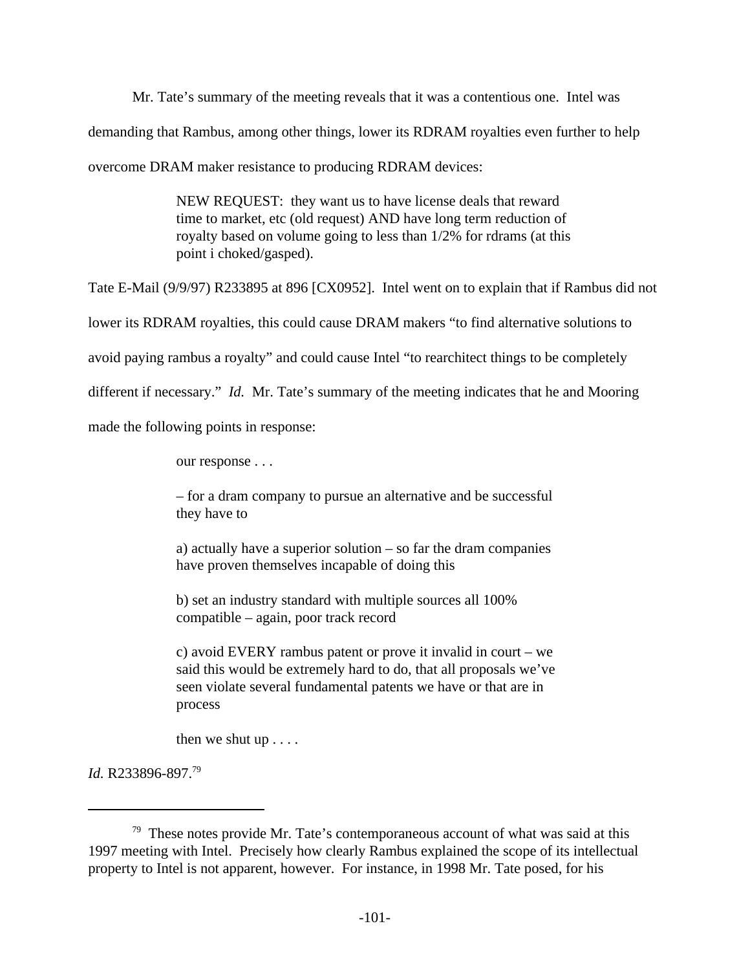Mr. Tate's summary of the meeting reveals that it was a contentious one. Intel was demanding that Rambus, among other things, lower its RDRAM royalties even further to help overcome DRAM maker resistance to producing RDRAM devices:

> NEW REQUEST: they want us to have license deals that reward time to market, etc (old request) AND have long term reduction of royalty based on volume going to less than 1/2% for rdrams (at this point i choked/gasped).

Tate E-Mail (9/9/97) R233895 at 896 [CX0952]. Intel went on to explain that if Rambus did not

lower its RDRAM royalties, this could cause DRAM makers "to find alternative solutions to

avoid paying rambus a royalty" and could cause Intel "to rearchitect things to be completely

different if necessary." *Id.* Mr. Tate's summary of the meeting indicates that he and Mooring

made the following points in response:

our response . . .

– for a dram company to pursue an alternative and be successful they have to

a) actually have a superior solution – so far the dram companies have proven themselves incapable of doing this

b) set an industry standard with multiple sources all 100% compatible – again, poor track record

c) avoid EVERY rambus patent or prove it invalid in court – we said this would be extremely hard to do, that all proposals we've seen violate several fundamental patents we have or that are in process

then we shut up . . . .

*Id.* R233896-897.79

 $79$  These notes provide Mr. Tate's contemporaneous account of what was said at this 1997 meeting with Intel. Precisely how clearly Rambus explained the scope of its intellectual property to Intel is not apparent, however. For instance, in 1998 Mr. Tate posed, for his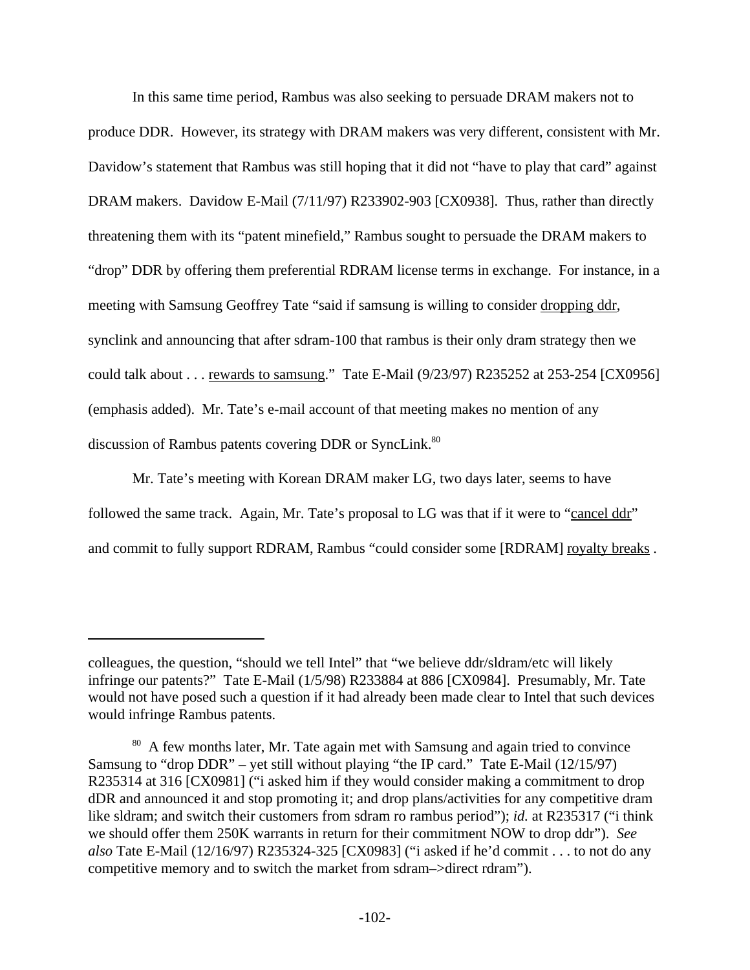In this same time period, Rambus was also seeking to persuade DRAM makers not to produce DDR. However, its strategy with DRAM makers was very different, consistent with Mr. Davidow's statement that Rambus was still hoping that it did not "have to play that card" against DRAM makers. Davidow E-Mail (7/11/97) R233902-903 [CX0938]. Thus, rather than directly threatening them with its "patent minefield," Rambus sought to persuade the DRAM makers to "drop" DDR by offering them preferential RDRAM license terms in exchange. For instance, in a meeting with Samsung Geoffrey Tate "said if samsung is willing to consider dropping ddr, synclink and announcing that after sdram-100 that rambus is their only dram strategy then we could talk about . . . rewards to samsung." Tate E-Mail (9/23/97) R235252 at 253-254 [CX0956] (emphasis added). Mr. Tate's e-mail account of that meeting makes no mention of any discussion of Rambus patents covering DDR or SyncLink.<sup>80</sup>

Mr. Tate's meeting with Korean DRAM maker LG, two days later, seems to have followed the same track. Again, Mr. Tate's proposal to LG was that if it were to "cancel ddr" and commit to fully support RDRAM, Rambus "could consider some [RDRAM] royalty breaks.

colleagues, the question, "should we tell Intel" that "we believe ddr/sldram/etc will likely infringe our patents?" Tate E-Mail (1/5/98) R233884 at 886 [CX0984]. Presumably, Mr. Tate would not have posed such a question if it had already been made clear to Intel that such devices would infringe Rambus patents.

<sup>&</sup>lt;sup>80</sup> A few months later, Mr. Tate again met with Samsung and again tried to convince Samsung to "drop DDR" – yet still without playing "the IP card." Tate E-Mail  $(12/15/97)$ R235314 at 316 [CX0981] ("i asked him if they would consider making a commitment to drop dDR and announced it and stop promoting it; and drop plans/activities for any competitive dram like sldram; and switch their customers from sdram ro rambus period"); *id.* at R235317 ("i think we should offer them 250K warrants in return for their commitment NOW to drop ddr"). *See also* Tate E-Mail (12/16/97) R235324-325 [CX0983] ("i asked if he'd commit . . . to not do any competitive memory and to switch the market from sdram–>direct rdram").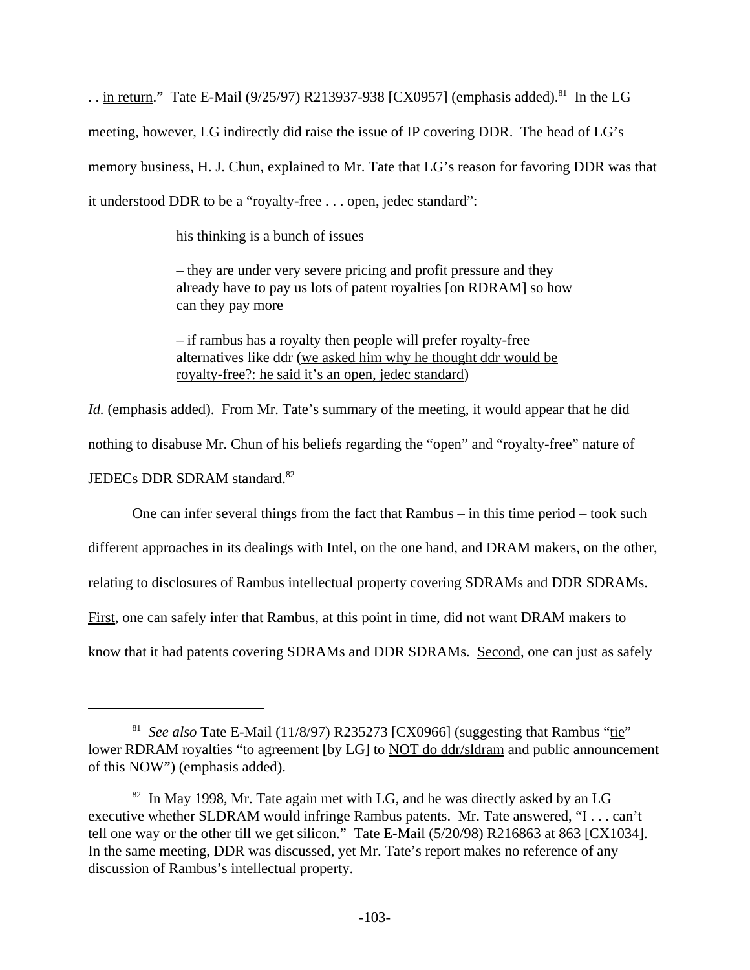. . in return." Tate E-Mail (9/25/97) R213937-938 [CX0957] (emphasis added).<sup>81</sup> In the LG meeting, however, LG indirectly did raise the issue of IP covering DDR. The head of LG's memory business, H. J. Chun, explained to Mr. Tate that LG's reason for favoring DDR was that it understood DDR to be a "royalty-free . . . open, jedec standard":

his thinking is a bunch of issues

– they are under very severe pricing and profit pressure and they already have to pay us lots of patent royalties [on RDRAM] so how can they pay more

– if rambus has a royalty then people will prefer royalty-free alternatives like ddr (we asked him why he thought ddr would be royalty-free?: he said it's an open, jedec standard)

*Id.* (emphasis added). From Mr. Tate's summary of the meeting, it would appear that he did nothing to disabuse Mr. Chun of his beliefs regarding the "open" and "royalty-free" nature of JEDECs DDR SDRAM standard.<sup>82</sup>

One can infer several things from the fact that Rambus – in this time period – took such

different approaches in its dealings with Intel, on the one hand, and DRAM makers, on the other,

relating to disclosures of Rambus intellectual property covering SDRAMs and DDR SDRAMs.

First, one can safely infer that Rambus, at this point in time, did not want DRAM makers to

know that it had patents covering SDRAMs and DDR SDRAMs. Second, one can just as safely

<sup>&</sup>lt;sup>81</sup> See also Tate E-Mail (11/8/97) R235273 [CX0966] (suggesting that Rambus "tie" lower RDRAM royalties "to agreement [by LG] to NOT do ddr/sldram and public announcement of this NOW") (emphasis added).

 $82$  In May 1998, Mr. Tate again met with LG, and he was directly asked by an LG executive whether SLDRAM would infringe Rambus patents. Mr. Tate answered, "I . . . can't tell one way or the other till we get silicon." Tate E-Mail (5/20/98) R216863 at 863 [CX1034]. In the same meeting, DDR was discussed, yet Mr. Tate's report makes no reference of any discussion of Rambus's intellectual property.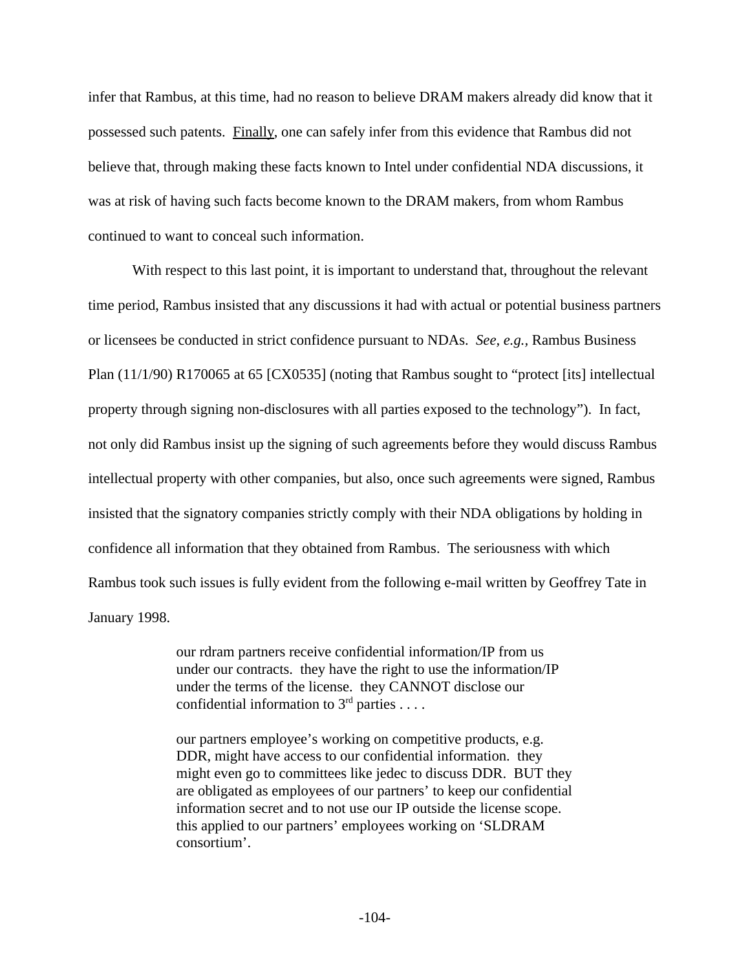infer that Rambus, at this time, had no reason to believe DRAM makers already did know that it possessed such patents. Finally, one can safely infer from this evidence that Rambus did not believe that, through making these facts known to Intel under confidential NDA discussions, it was at risk of having such facts become known to the DRAM makers, from whom Rambus continued to want to conceal such information.

With respect to this last point, it is important to understand that, throughout the relevant time period, Rambus insisted that any discussions it had with actual or potential business partners or licensees be conducted in strict confidence pursuant to NDAs. *See, e.g.,* Rambus Business Plan (11/1/90) R170065 at 65 [CX0535] (noting that Rambus sought to "protect [its] intellectual property through signing non-disclosures with all parties exposed to the technology"). In fact, not only did Rambus insist up the signing of such agreements before they would discuss Rambus intellectual property with other companies, but also, once such agreements were signed, Rambus insisted that the signatory companies strictly comply with their NDA obligations by holding in confidence all information that they obtained from Rambus. The seriousness with which Rambus took such issues is fully evident from the following e-mail written by Geoffrey Tate in January 1998.

> our rdram partners receive confidential information/IP from us under our contracts. they have the right to use the information/IP under the terms of the license. they CANNOT disclose our confidential information to  $3<sup>rd</sup>$  parties . . . .

our partners employee's working on competitive products, e.g. DDR, might have access to our confidential information. they might even go to committees like jedec to discuss DDR. BUT they are obligated as employees of our partners' to keep our confidential information secret and to not use our IP outside the license scope. this applied to our partners' employees working on 'SLDRAM consortium'.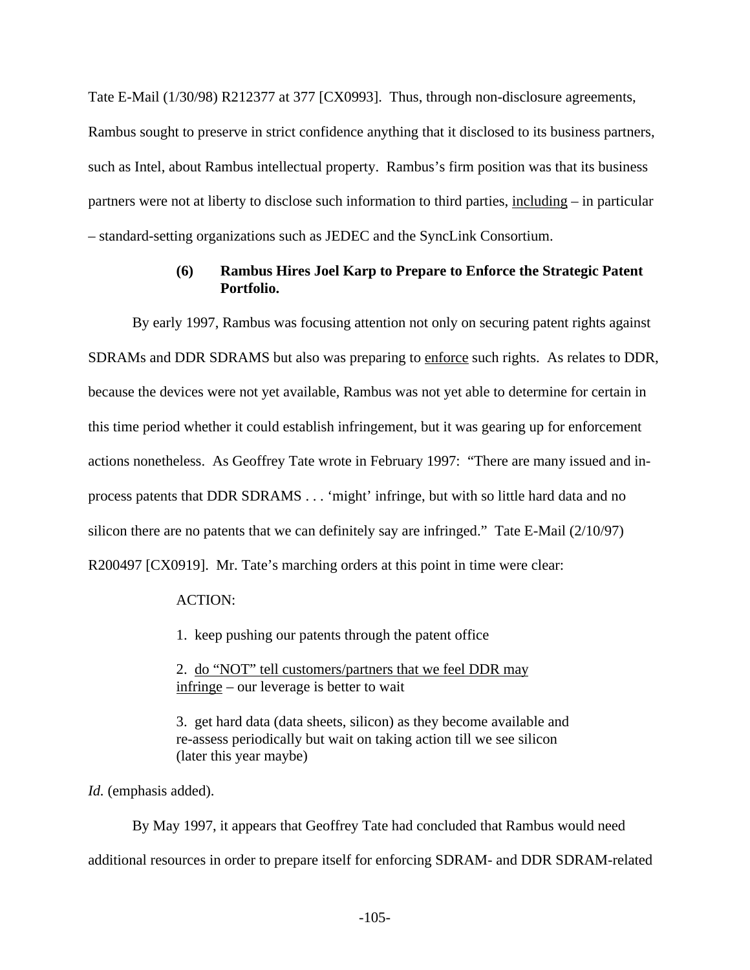Tate E-Mail (1/30/98) R212377 at 377 [CX0993]. Thus, through non-disclosure agreements, Rambus sought to preserve in strict confidence anything that it disclosed to its business partners, such as Intel, about Rambus intellectual property. Rambus's firm position was that its business partners were not at liberty to disclose such information to third parties, including – in particular – standard-setting organizations such as JEDEC and the SyncLink Consortium.

## **(6) Rambus Hires Joel Karp to Prepare to Enforce the Strategic Patent Portfolio.**

By early 1997, Rambus was focusing attention not only on securing patent rights against SDRAMs and DDR SDRAMS but also was preparing to enforce such rights. As relates to DDR, because the devices were not yet available, Rambus was not yet able to determine for certain in this time period whether it could establish infringement, but it was gearing up for enforcement actions nonetheless. As Geoffrey Tate wrote in February 1997: "There are many issued and inprocess patents that DDR SDRAMS . . . 'might' infringe, but with so little hard data and no silicon there are no patents that we can definitely say are infringed." Tate E-Mail (2/10/97) R200497 [CX0919]. Mr. Tate's marching orders at this point in time were clear:

ACTION:

1. keep pushing our patents through the patent office

2. do "NOT" tell customers/partners that we feel DDR may infringe – our leverage is better to wait

3. get hard data (data sheets, silicon) as they become available and re-assess periodically but wait on taking action till we see silicon (later this year maybe)

Id. (emphasis added).

By May 1997, it appears that Geoffrey Tate had concluded that Rambus would need additional resources in order to prepare itself for enforcing SDRAM- and DDR SDRAM-related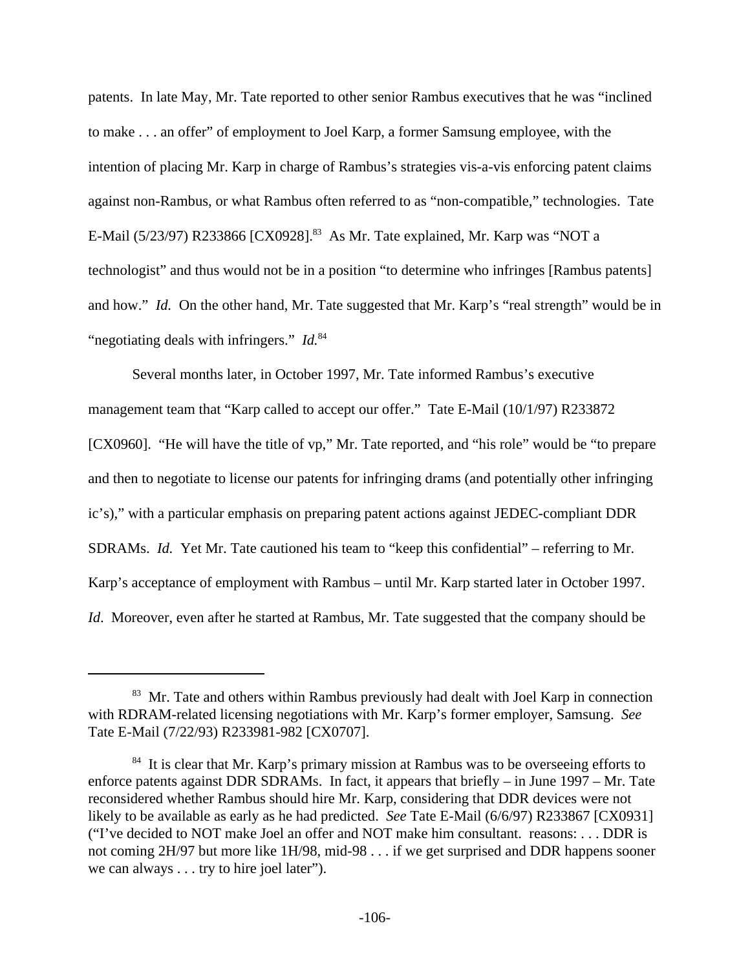patents. In late May, Mr. Tate reported to other senior Rambus executives that he was "inclined to make . . . an offer" of employment to Joel Karp, a former Samsung employee, with the intention of placing Mr. Karp in charge of Rambus's strategies vis-a-vis enforcing patent claims against non-Rambus, or what Rambus often referred to as "non-compatible," technologies. Tate E-Mail (5/23/97) R233866 [CX0928].<sup>83</sup> As Mr. Tate explained, Mr. Karp was "NOT a technologist" and thus would not be in a position "to determine who infringes [Rambus patents] and how." *Id.* On the other hand, Mr. Tate suggested that Mr. Karp's "real strength" would be in "negotiating deals with infringers." *Id.*<sup>84</sup>

Several months later, in October 1997, Mr. Tate informed Rambus's executive management team that "Karp called to accept our offer." Tate E-Mail (10/1/97) R233872 [CX0960]. "He will have the title of vp," Mr. Tate reported, and "his role" would be "to prepare and then to negotiate to license our patents for infringing drams (and potentially other infringing ic's)," with a particular emphasis on preparing patent actions against JEDEC-compliant DDR SDRAMs. *Id.* Yet Mr. Tate cautioned his team to "keep this confidential" – referring to Mr. Karp's acceptance of employment with Rambus – until Mr. Karp started later in October 1997. *Id.* Moreover, even after he started at Rambus, Mr. Tate suggested that the company should be

<sup>&</sup>lt;sup>83</sup> Mr. Tate and others within Rambus previously had dealt with Joel Karp in connection with RDRAM-related licensing negotiations with Mr. Karp's former employer, Samsung. *See* Tate E-Mail (7/22/93) R233981-982 [CX0707].

<sup>&</sup>lt;sup>84</sup> It is clear that Mr. Karp's primary mission at Rambus was to be overseeing efforts to enforce patents against DDR SDRAMs. In fact, it appears that briefly – in June 1997 – Mr. Tate reconsidered whether Rambus should hire Mr. Karp, considering that DDR devices were not likely to be available as early as he had predicted. *See* Tate E-Mail (6/6/97) R233867 [CX0931] ("I've decided to NOT make Joel an offer and NOT make him consultant. reasons: . . . DDR is not coming 2H/97 but more like 1H/98, mid-98 . . . if we get surprised and DDR happens sooner we can always . . . try to hire joel later").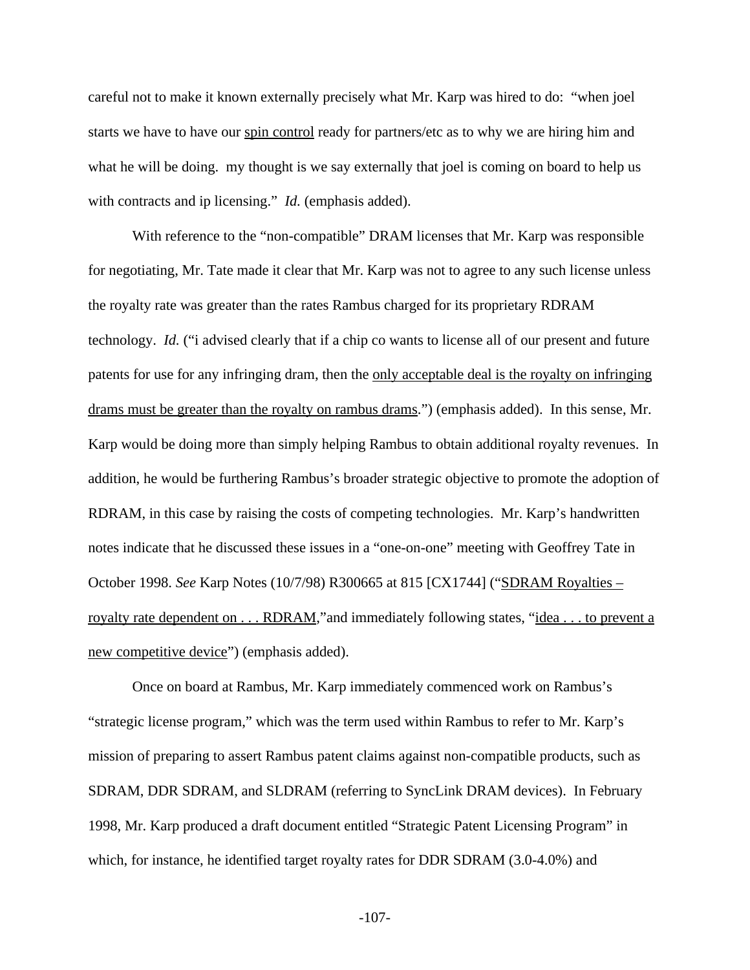careful not to make it known externally precisely what Mr. Karp was hired to do: "when joel starts we have to have our spin control ready for partners/etc as to why we are hiring him and what he will be doing. my thought is we say externally that joel is coming on board to help us with contracts and ip licensing." *Id.* (emphasis added).

With reference to the "non-compatible" DRAM licenses that Mr. Karp was responsible for negotiating, Mr. Tate made it clear that Mr. Karp was not to agree to any such license unless the royalty rate was greater than the rates Rambus charged for its proprietary RDRAM technology. *Id.* ("i advised clearly that if a chip co wants to license all of our present and future patents for use for any infringing dram, then the only acceptable deal is the royalty on infringing drams must be greater than the royalty on rambus drams.") (emphasis added). In this sense, Mr. Karp would be doing more than simply helping Rambus to obtain additional royalty revenues. In addition, he would be furthering Rambus's broader strategic objective to promote the adoption of RDRAM, in this case by raising the costs of competing technologies. Mr. Karp's handwritten notes indicate that he discussed these issues in a "one-on-one" meeting with Geoffrey Tate in October 1998. *See* Karp Notes (10/7/98) R300665 at 815 [CX1744] ("SDRAM Royalties – royalty rate dependent on . . . RDRAM,"and immediately following states, "idea . . . to prevent a new competitive device") (emphasis added).

Once on board at Rambus, Mr. Karp immediately commenced work on Rambus's "strategic license program," which was the term used within Rambus to refer to Mr. Karp's mission of preparing to assert Rambus patent claims against non-compatible products, such as SDRAM, DDR SDRAM, and SLDRAM (referring to SyncLink DRAM devices). In February 1998, Mr. Karp produced a draft document entitled "Strategic Patent Licensing Program" in which, for instance, he identified target royalty rates for DDR SDRAM (3.0-4.0%) and

-107-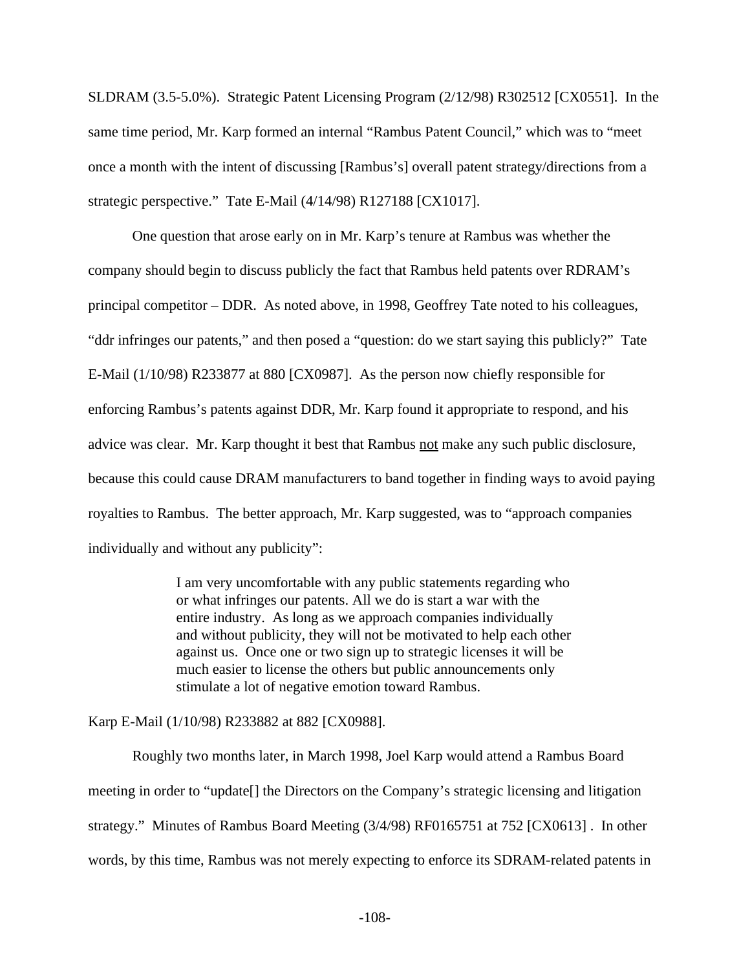SLDRAM (3.5-5.0%). Strategic Patent Licensing Program (2/12/98) R302512 [CX0551]. In the same time period, Mr. Karp formed an internal "Rambus Patent Council," which was to "meet once a month with the intent of discussing [Rambus's] overall patent strategy/directions from a strategic perspective." Tate E-Mail (4/14/98) R127188 [CX1017].

One question that arose early on in Mr. Karp's tenure at Rambus was whether the company should begin to discuss publicly the fact that Rambus held patents over RDRAM's principal competitor – DDR. As noted above, in 1998, Geoffrey Tate noted to his colleagues, "ddr infringes our patents," and then posed a "question: do we start saying this publicly?" Tate E-Mail (1/10/98) R233877 at 880 [CX0987]. As the person now chiefly responsible for enforcing Rambus's patents against DDR, Mr. Karp found it appropriate to respond, and his advice was clear. Mr. Karp thought it best that Rambus not make any such public disclosure, because this could cause DRAM manufacturers to band together in finding ways to avoid paying royalties to Rambus. The better approach, Mr. Karp suggested, was to "approach companies individually and without any publicity":

> I am very uncomfortable with any public statements regarding who or what infringes our patents. All we do is start a war with the entire industry. As long as we approach companies individually and without publicity, they will not be motivated to help each other against us. Once one or two sign up to strategic licenses it will be much easier to license the others but public announcements only stimulate a lot of negative emotion toward Rambus.

Karp E-Mail (1/10/98) R233882 at 882 [CX0988].

Roughly two months later, in March 1998, Joel Karp would attend a Rambus Board meeting in order to "update[] the Directors on the Company's strategic licensing and litigation strategy." Minutes of Rambus Board Meeting (3/4/98) RF0165751 at 752 [CX0613] . In other words, by this time, Rambus was not merely expecting to enforce its SDRAM-related patents in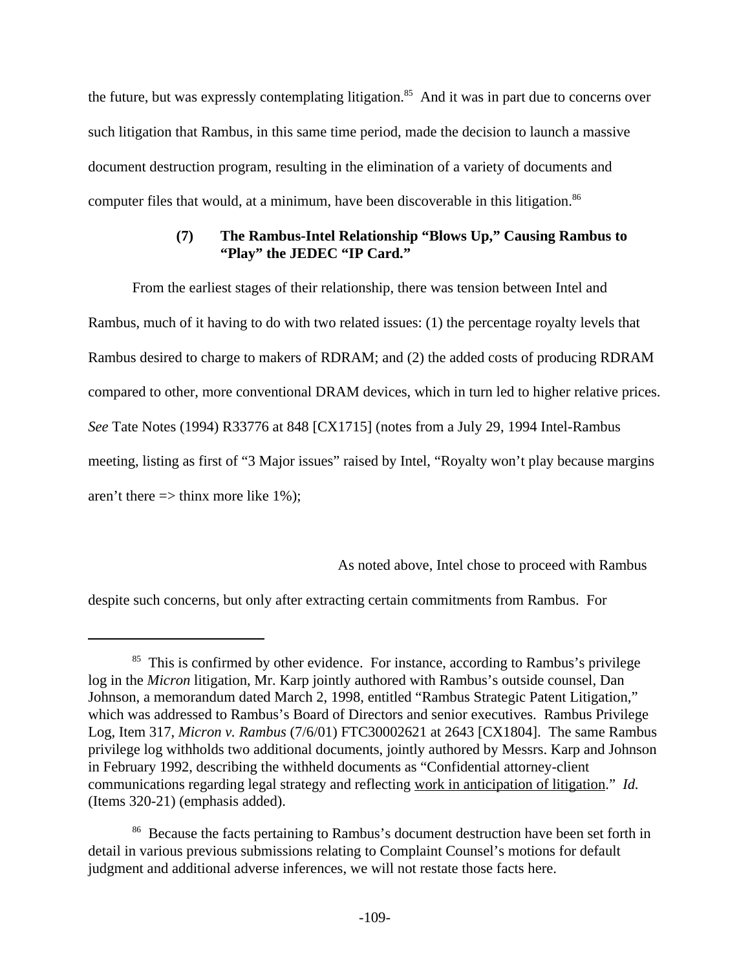the future, but was expressly contemplating litigation.<sup>85</sup> And it was in part due to concerns over such litigation that Rambus, in this same time period, made the decision to launch a massive document destruction program, resulting in the elimination of a variety of documents and computer files that would, at a minimum, have been discoverable in this litigation.<sup>86</sup>

## **(7) The Rambus-Intel Relationship "Blows Up," Causing Rambus to "Play" the JEDEC "IP Card."**

From the earliest stages of their relationship, there was tension between Intel and Rambus, much of it having to do with two related issues: (1) the percentage royalty levels that Rambus desired to charge to makers of RDRAM; and (2) the added costs of producing RDRAM compared to other, more conventional DRAM devices, which in turn led to higher relative prices. *See* Tate Notes (1994) R33776 at 848 [CX1715] (notes from a July 29, 1994 Intel-Rambus meeting, listing as first of "3 Major issues" raised by Intel, "Royalty won't play because margins aren't there  $\Rightarrow$  thinx more like 1%);

As noted above, Intel chose to proceed with Rambus

despite such concerns, but only after extracting certain commitments from Rambus. For

<sup>&</sup>lt;sup>85</sup> This is confirmed by other evidence. For instance, according to Rambus's privilege log in the *Micron* litigation, Mr. Karp jointly authored with Rambus's outside counsel, Dan Johnson, a memorandum dated March 2, 1998, entitled "Rambus Strategic Patent Litigation," which was addressed to Rambus's Board of Directors and senior executives. Rambus Privilege Log, Item 317, *Micron v. Rambus* (7/6/01) FTC30002621 at 2643 [CX1804]. The same Rambus privilege log withholds two additional documents, jointly authored by Messrs. Karp and Johnson in February 1992, describing the withheld documents as "Confidential attorney-client communications regarding legal strategy and reflecting work in anticipation of litigation." *Id.* (Items 320-21) (emphasis added).

<sup>&</sup>lt;sup>86</sup> Because the facts pertaining to Rambus's document destruction have been set forth in detail in various previous submissions relating to Complaint Counsel's motions for default judgment and additional adverse inferences, we will not restate those facts here.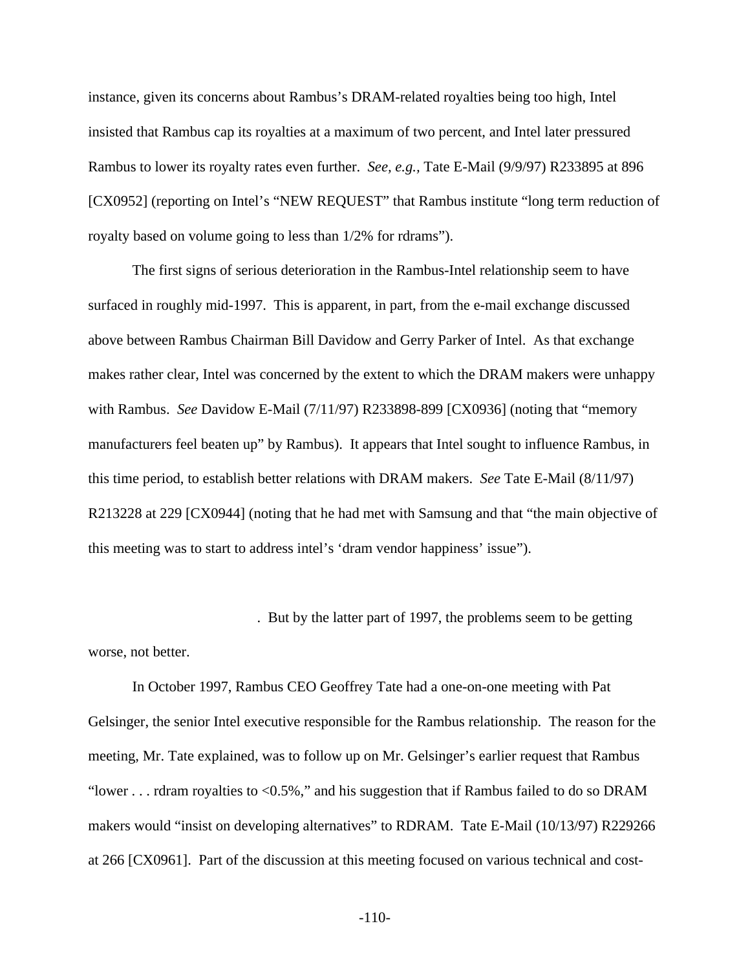instance, given its concerns about Rambus's DRAM-related royalties being too high, Intel insisted that Rambus cap its royalties at a maximum of two percent, and Intel later pressured Rambus to lower its royalty rates even further. *See, e.g.,* Tate E-Mail (9/9/97) R233895 at 896 [CX0952] (reporting on Intel's "NEW REQUEST" that Rambus institute "long term reduction of royalty based on volume going to less than 1/2% for rdrams").

The first signs of serious deterioration in the Rambus-Intel relationship seem to have surfaced in roughly mid-1997. This is apparent, in part, from the e-mail exchange discussed above between Rambus Chairman Bill Davidow and Gerry Parker of Intel. As that exchange makes rather clear, Intel was concerned by the extent to which the DRAM makers were unhappy with Rambus. *See* Davidow E-Mail (7/11/97) R233898-899 [CX0936] (noting that "memory manufacturers feel beaten up" by Rambus). It appears that Intel sought to influence Rambus, in this time period, to establish better relations with DRAM makers. *See* Tate E-Mail (8/11/97) R213228 at 229 [CX0944] (noting that he had met with Samsung and that "the main objective of this meeting was to start to address intel's 'dram vendor happiness' issue").

. But by the latter part of 1997, the problems seem to be getting

worse, not better.

In October 1997, Rambus CEO Geoffrey Tate had a one-on-one meeting with Pat Gelsinger, the senior Intel executive responsible for the Rambus relationship. The reason for the meeting, Mr. Tate explained, was to follow up on Mr. Gelsinger's earlier request that Rambus "lower . . . rdram royalties to  $\langle 0.5\% \rangle$ " and his suggestion that if Rambus failed to do so DRAM makers would "insist on developing alternatives" to RDRAM. Tate E-Mail (10/13/97) R229266 at 266 [CX0961]. Part of the discussion at this meeting focused on various technical and cost-

-110-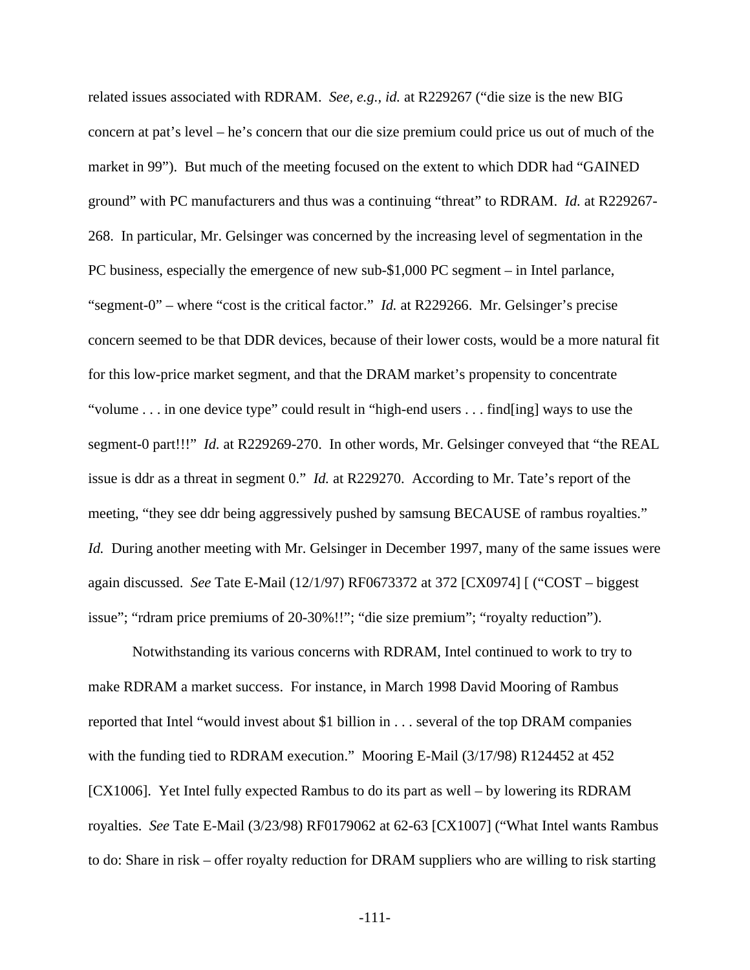related issues associated with RDRAM. *See, e.g., id.* at R229267 ("die size is the new BIG concern at pat's level – he's concern that our die size premium could price us out of much of the market in 99"). But much of the meeting focused on the extent to which DDR had "GAINED ground" with PC manufacturers and thus was a continuing "threat" to RDRAM. *Id.* at R229267- 268. In particular, Mr. Gelsinger was concerned by the increasing level of segmentation in the PC business, especially the emergence of new sub-\$1,000 PC segment – in Intel parlance, "segment-0" – where "cost is the critical factor." *Id.* at R229266. Mr. Gelsinger's precise concern seemed to be that DDR devices, because of their lower costs, would be a more natural fit for this low-price market segment, and that the DRAM market's propensity to concentrate "volume . . . in one device type" could result in "high-end users . . . find[ing] ways to use the segment-0 part!!!" *Id.* at R229269-270. In other words, Mr. Gelsinger conveyed that "the REAL issue is ddr as a threat in segment 0." *Id.* at R229270. According to Mr. Tate's report of the meeting, "they see ddr being aggressively pushed by samsung BECAUSE of rambus royalties." *Id.* During another meeting with Mr. Gelsinger in December 1997, many of the same issues were again discussed. *See* Tate E-Mail (12/1/97) RF0673372 at 372 [CX0974] [ ("COST – biggest issue"; "rdram price premiums of 20-30%!!"; "die size premium"; "royalty reduction").

Notwithstanding its various concerns with RDRAM, Intel continued to work to try to make RDRAM a market success. For instance, in March 1998 David Mooring of Rambus reported that Intel "would invest about \$1 billion in . . . several of the top DRAM companies with the funding tied to RDRAM execution." Mooring E-Mail (3/17/98) R124452 at 452 [CX1006]. Yet Intel fully expected Rambus to do its part as well – by lowering its RDRAM royalties. *See* Tate E-Mail (3/23/98) RF0179062 at 62-63 [CX1007] ("What Intel wants Rambus to do: Share in risk – offer royalty reduction for DRAM suppliers who are willing to risk starting

-111-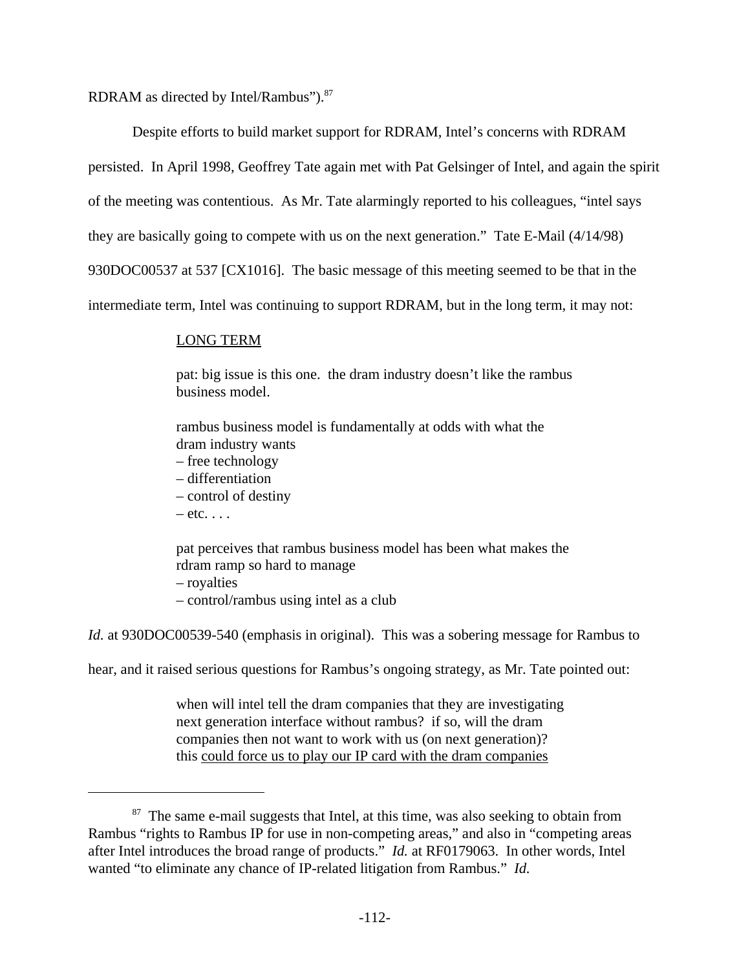RDRAM as directed by Intel/Rambus").<sup>87</sup>

Despite efforts to build market support for RDRAM, Intel's concerns with RDRAM persisted. In April 1998, Geoffrey Tate again met with Pat Gelsinger of Intel, and again the spirit of the meeting was contentious. As Mr. Tate alarmingly reported to his colleagues, "intel says they are basically going to compete with us on the next generation." Tate E-Mail (4/14/98) 930DOC00537 at 537 [CX1016]. The basic message of this meeting seemed to be that in the intermediate term, Intel was continuing to support RDRAM, but in the long term, it may not:

## LONG TERM

pat: big issue is this one. the dram industry doesn't like the rambus business model.

rambus business model is fundamentally at odds with what the dram industry wants

- free technology
- differentiation
- control of destiny
- $-$  etc.  $\ldots$

pat perceives that rambus business model has been what makes the rdram ramp so hard to manage – royalties

– control/rambus using intel as a club

*Id.* at 930DOC00539-540 (emphasis in original). This was a sobering message for Rambus to

hear, and it raised serious questions for Rambus's ongoing strategy, as Mr. Tate pointed out:

when will intel tell the dram companies that they are investigating next generation interface without rambus? if so, will the dram companies then not want to work with us (on next generation)? this could force us to play our IP card with the dram companies

<sup>&</sup>lt;sup>87</sup> The same e-mail suggests that Intel, at this time, was also seeking to obtain from Rambus "rights to Rambus IP for use in non-competing areas," and also in "competing areas after Intel introduces the broad range of products." *Id.* at RF0179063. In other words, Intel wanted "to eliminate any chance of IP-related litigation from Rambus." *Id.*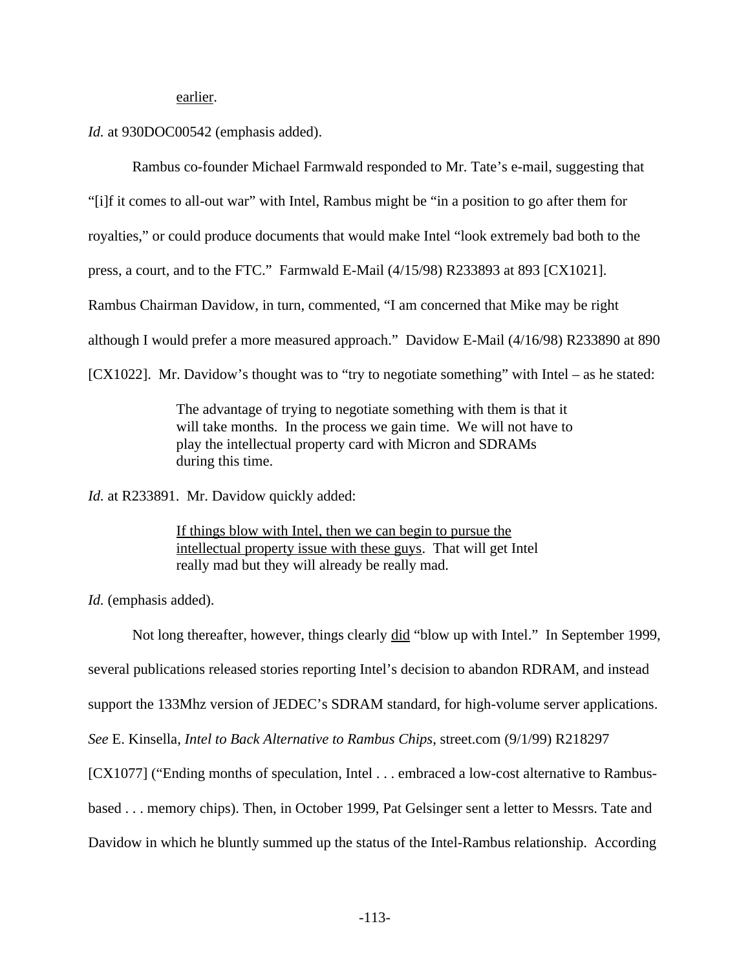earlier.

*Id.* at 930DOC00542 (emphasis added).

Rambus co-founder Michael Farmwald responded to Mr. Tate's e-mail, suggesting that

"[i]f it comes to all-out war" with Intel, Rambus might be "in a position to go after them for

royalties," or could produce documents that would make Intel "look extremely bad both to the

press, a court, and to the FTC." Farmwald E-Mail (4/15/98) R233893 at 893 [CX1021].

Rambus Chairman Davidow, in turn, commented, "I am concerned that Mike may be right

although I would prefer a more measured approach." Davidow E-Mail (4/16/98) R233890 at 890

[CX1022]. Mr. Davidow's thought was to "try to negotiate something" with Intel – as he stated:

The advantage of trying to negotiate something with them is that it will take months. In the process we gain time. We will not have to play the intellectual property card with Micron and SDRAMs during this time.

*Id.* at R233891. Mr. Davidow quickly added:

If things blow with Intel, then we can begin to pursue the intellectual property issue with these guys. That will get Intel really mad but they will already be really mad.

*Id.* (emphasis added).

Not long thereafter, however, things clearly did "blow up with Intel." In September 1999, several publications released stories reporting Intel's decision to abandon RDRAM, and instead support the 133Mhz version of JEDEC's SDRAM standard, for high-volume server applications. *See* E. Kinsella, *Intel to Back Alternative to Rambus Chips*, street.com (9/1/99) R218297 [CX1077] ("Ending months of speculation, Intel . . . embraced a low-cost alternative to Rambusbased . . . memory chips). Then, in October 1999, Pat Gelsinger sent a letter to Messrs. Tate and Davidow in which he bluntly summed up the status of the Intel-Rambus relationship. According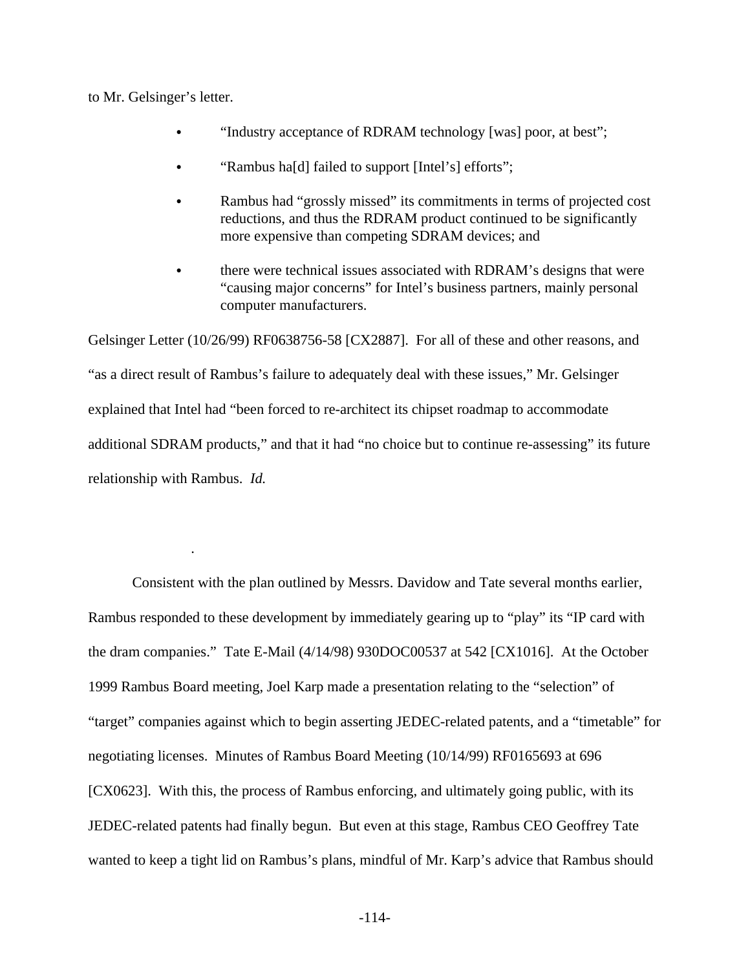to Mr. Gelsinger's letter.

- "Industry acceptance of RDRAM technology [was] poor, at best";
- "Rambus ha[d] failed to support [Intel's] efforts";
- Rambus had "grossly missed" its commitments in terms of projected cost reductions, and thus the RDRAM product continued to be significantly more expensive than competing SDRAM devices; and
- there were technical issues associated with RDRAM's designs that were "causing major concerns" for Intel's business partners, mainly personal computer manufacturers.

Gelsinger Letter (10/26/99) RF0638756-58 [CX2887]. For all of these and other reasons, and "as a direct result of Rambus's failure to adequately deal with these issues," Mr. Gelsinger explained that Intel had "been forced to re-architect its chipset roadmap to accommodate additional SDRAM products," and that it had "no choice but to continue re-assessing" its future relationship with Rambus. Id.

Consistent with the plan outlined by Messrs. Davidow and Tate several months earlier, Rambus responded to these development by immediately gearing up to "play" its "IP card with the dram companies." Tate E-Mail (4/14/98) 930DOC00537 at 542 [CX1016]. At the October 1999 Rambus Board meeting, Joel Karp made a presentation relating to the "selection" of "target" companies against which to begin asserting JEDEC-related patents, and a "timetable" for negotiating licenses. Minutes of Rambus Board Meeting (10/14/99) RF0165693 at 696 [CX0623]. With this, the process of Rambus enforcing, and ultimately going public, with its JEDEC-related patents had finally begun. But even at this stage, Rambus CEO Geoffrey Tate wanted to keep a tight lid on Rambus's plans, mindful of Mr. Karp's advice that Rambus should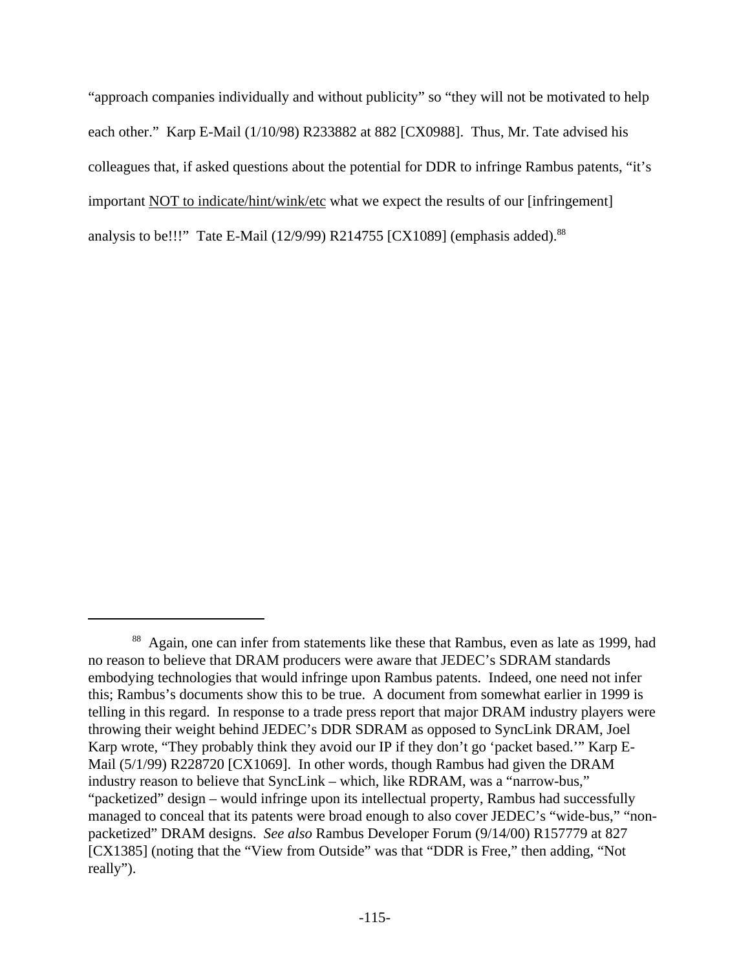"approach companies individually and without publicity" so "they will not be motivated to help each other." Karp E-Mail (1/10/98) R233882 at 882 [CX0988]. Thus, Mr. Tate advised his colleagues that, if asked questions about the potential for DDR to infringe Rambus patents, "it's important NOT to indicate/hint/wink/etc what we expect the results of our [infringement] analysis to be!!!" Tate E-Mail (12/9/99) R214755 [CX1089] (emphasis added).<sup>88</sup>

<sup>&</sup>lt;sup>88</sup> Again, one can infer from statements like these that Rambus, even as late as 1999, had no reason to believe that DRAM producers were aware that JEDEC's SDRAM standards embodying technologies that would infringe upon Rambus patents. Indeed, one need not infer this; Rambus's documents show this to be true. A document from somewhat earlier in 1999 is telling in this regard. In response to a trade press report that major DRAM industry players were throwing their weight behind JEDEC's DDR SDRAM as opposed to SyncLink DRAM, Joel Karp wrote, "They probably think they avoid our IP if they don't go 'packet based.'" Karp E-Mail (5/1/99) R228720 [CX1069]. In other words, though Rambus had given the DRAM industry reason to believe that SyncLink – which, like RDRAM, was a "narrow-bus," "packetized" design – would infringe upon its intellectual property, Rambus had successfully managed to conceal that its patents were broad enough to also cover JEDEC's "wide-bus," "nonpacketized" DRAM designs. *See also* Rambus Developer Forum (9/14/00) R157779 at 827 [CX1385] (noting that the "View from Outside" was that "DDR is Free," then adding, "Not really").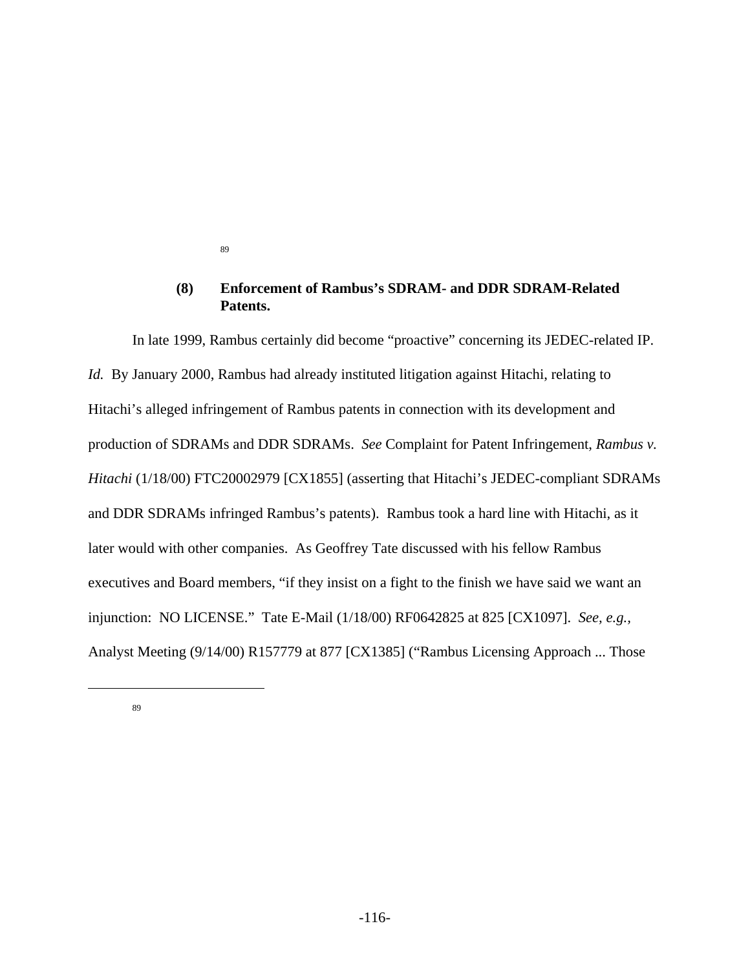89

#### $(8)$ **Enforcement of Rambus's SDRAM- and DDR SDRAM-Related** Patents.

In late 1999, Rambus certainly did become "proactive" concerning its JEDEC-related IP. Id. By January 2000, Rambus had already instituted litigation against Hitachi, relating to Hitachi's alleged infringement of Rambus patents in connection with its development and production of SDRAMs and DDR SDRAMs. See Complaint for Patent Infringement, Rambus v. Hitachi (1/18/00) FTC20002979 [CX1855] (asserting that Hitachi's JEDEC-compliant SDRAMs and DDR SDRAMs infringed Rambus's patents). Rambus took a hard line with Hitachi, as it later would with other companies. As Geoffrey Tate discussed with his fellow Rambus executives and Board members, "if they insist on a fight to the finish we have said we want an injunction: NO LICENSE." Tate E-Mail (1/18/00) RF0642825 at 825 [CX1097]. See, e.g., Analyst Meeting (9/14/00) R157779 at 877 [CX1385] ("Rambus Licensing Approach ... Those

89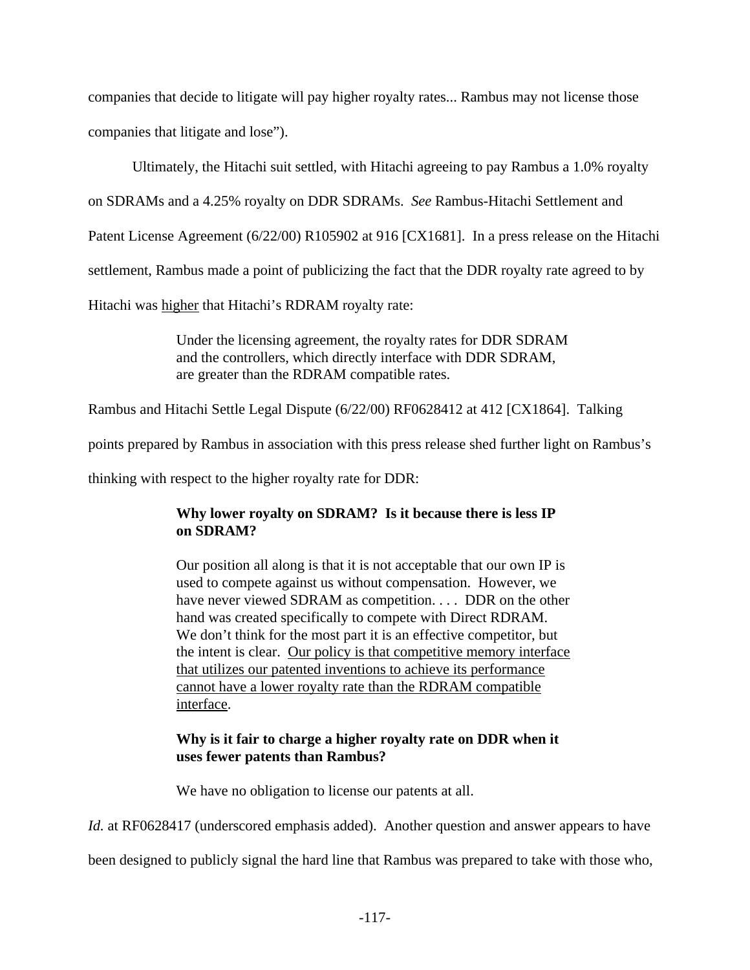companies that decide to litigate will pay higher royalty rates... Rambus may not license those companies that litigate and lose").

Ultimately, the Hitachi suit settled, with Hitachi agreeing to pay Rambus a 1.0% royalty

on SDRAMs and a 4.25% royalty on DDR SDRAMs. *See* Rambus-Hitachi Settlement and

Patent License Agreement (6/22/00) R105902 at 916 [CX1681]. In a press release on the Hitachi

settlement, Rambus made a point of publicizing the fact that the DDR royalty rate agreed to by

Hitachi was higher that Hitachi's RDRAM royalty rate:

Under the licensing agreement, the royalty rates for DDR SDRAM and the controllers, which directly interface with DDR SDRAM, are greater than the RDRAM compatible rates.

Rambus and Hitachi Settle Legal Dispute (6/22/00) RF0628412 at 412 [CX1864]. Talking

points prepared by Rambus in association with this press release shed further light on Rambus's

thinking with respect to the higher royalty rate for DDR:

# **Why lower royalty on SDRAM? Is it because there is less IP on SDRAM?**

Our position all along is that it is not acceptable that our own IP is used to compete against us without compensation. However, we have never viewed SDRAM as competition. . . . DDR on the other hand was created specifically to compete with Direct RDRAM. We don't think for the most part it is an effective competitor, but the intent is clear. Our policy is that competitive memory interface that utilizes our patented inventions to achieve its performance cannot have a lower royalty rate than the RDRAM compatible interface.

# **Why is it fair to charge a higher royalty rate on DDR when it uses fewer patents than Rambus?**

We have no obligation to license our patents at all.

*Id.* at RF0628417 (underscored emphasis added). Another question and answer appears to have

been designed to publicly signal the hard line that Rambus was prepared to take with those who,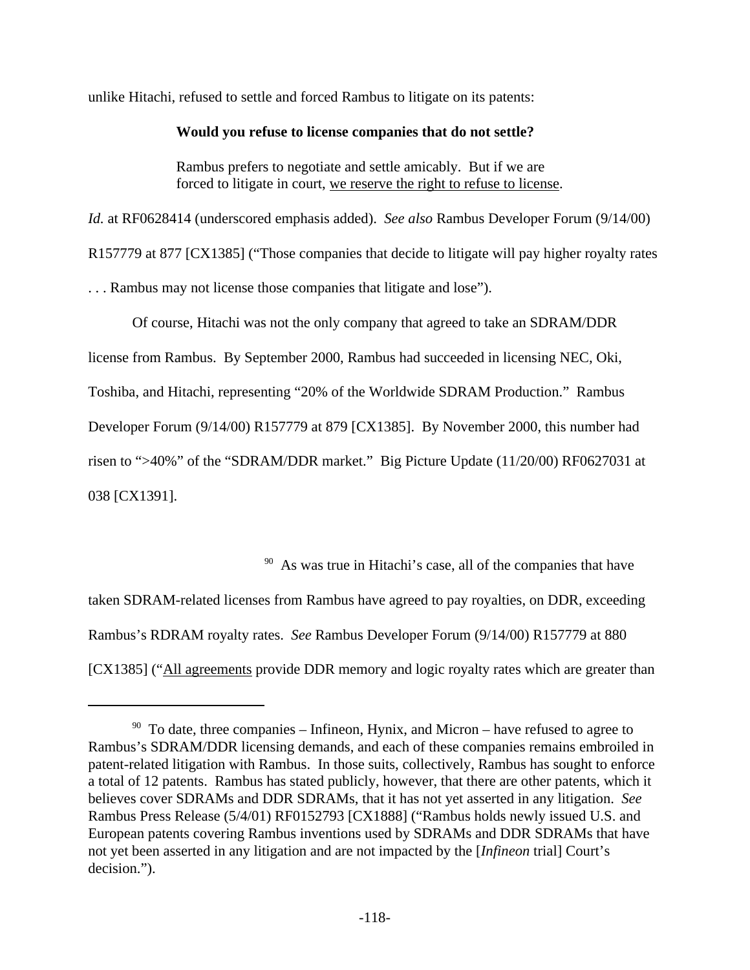unlike Hitachi, refused to settle and forced Rambus to litigate on its patents:

#### **Would you refuse to license companies that do not settle?**

Rambus prefers to negotiate and settle amicably. But if we are forced to litigate in court, we reserve the right to refuse to license.

*Id.* at RF0628414 (underscored emphasis added). *See also* Rambus Developer Forum (9/14/00) R157779 at 877 [CX1385] ("Those companies that decide to litigate will pay higher royalty rates . . . Rambus may not license those companies that litigate and lose").

Of course, Hitachi was not the only company that agreed to take an SDRAM/DDR license from Rambus. By September 2000, Rambus had succeeded in licensing NEC, Oki, Toshiba, and Hitachi, representing "20% of the Worldwide SDRAM Production." Rambus Developer Forum (9/14/00) R157779 at 879 [CX1385]. By November 2000, this number had risen to ">40%" of the "SDRAM/DDR market." Big Picture Update (11/20/00) RF0627031 at 038 [CX1391].

 $*^{90}$  As was true in Hitachi's case, all of the companies that have

taken SDRAM-related licenses from Rambus have agreed to pay royalties, on DDR, exceeding Rambus's RDRAM royalty rates. *See* Rambus Developer Forum (9/14/00) R157779 at 880 [CX1385] ("All agreements provide DDR memory and logic royalty rates which are greater than

 $90$  To date, three companies – Infineon, Hynix, and Micron – have refused to agree to Rambus's SDRAM/DDR licensing demands, and each of these companies remains embroiled in patent-related litigation with Rambus. In those suits, collectively, Rambus has sought to enforce a total of 12 patents. Rambus has stated publicly, however, that there are other patents, which it believes cover SDRAMs and DDR SDRAMs, that it has not yet asserted in any litigation. *See* Rambus Press Release (5/4/01) RF0152793 [CX1888] ("Rambus holds newly issued U.S. and European patents covering Rambus inventions used by SDRAMs and DDR SDRAMs that have not yet been asserted in any litigation and are not impacted by the [*Infineon* trial] Court's decision.").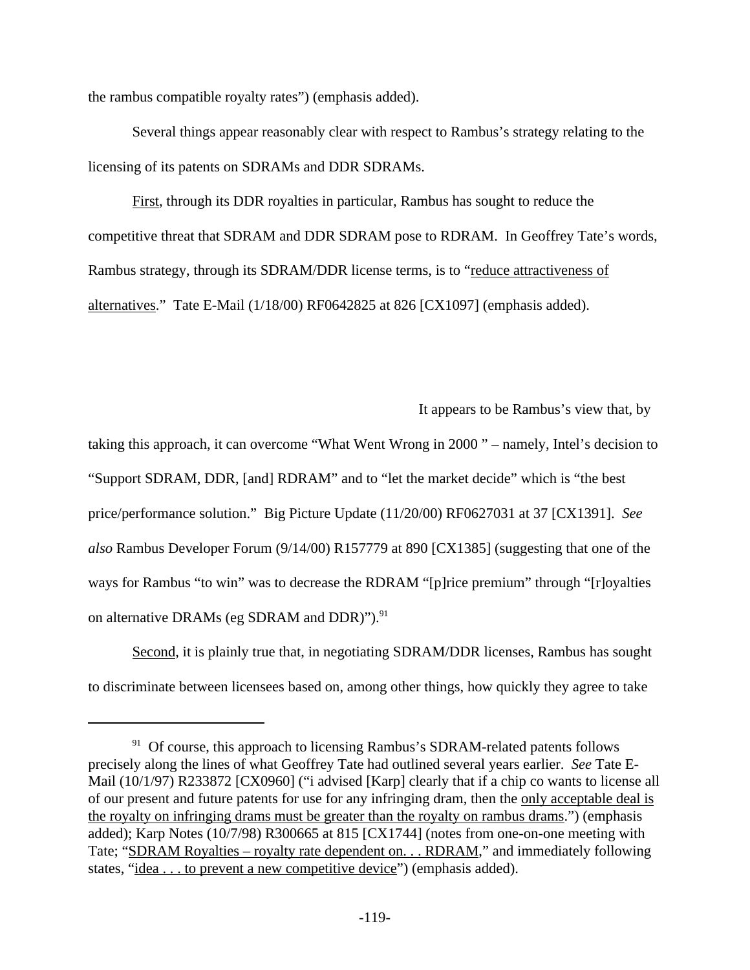the rambus compatible royalty rates") (emphasis added).

Several things appear reasonably clear with respect to Rambus's strategy relating to the licensing of its patents on SDRAMs and DDR SDRAMs.

First, through its DDR royalties in particular, Rambus has sought to reduce the competitive threat that SDRAM and DDR SDRAM pose to RDRAM. In Geoffrey Tate's words, Rambus strategy, through its SDRAM/DDR license terms, is to "reduce attractiveness of alternatives." Tate E-Mail (1/18/00) RF0642825 at 826 [CX1097] (emphasis added).

It appears to be Rambus's view that, by

taking this approach, it can overcome "What Went Wrong in 2000" – namely, Intel's decision to "Support SDRAM, DDR, [and] RDRAM" and to "let the market decide" which is "the best price/performance solution." Big Picture Update (11/20/00) RF0627031 at 37 [CX1391]. See also Rambus Developer Forum (9/14/00) R157779 at 890 [CX1385] (suggesting that one of the ways for Rambus "to win" was to decrease the RDRAM "[p]rice premium" through "[r]oyalties on alternative DRAMs (eg SDRAM and DDR)").<sup>91</sup>

Second, it is plainly true that, in negotiating SDRAM/DDR licenses, Rambus has sought to discriminate between licensees based on, among other things, how quickly they agree to take

<sup>&</sup>lt;sup>91</sup> Of course, this approach to licensing Rambus's SDRAM-related patents follows precisely along the lines of what Geoffrey Tate had outlined several years earlier. See Tate E-Mail (10/1/97) R233872 [CX0960] ("i advised [Karp] clearly that if a chip co wants to license all of our present and future patents for use for any infringing dram, then the only acceptable deal is the royalty on infringing drams must be greater than the royalty on rambus drams.") (emphasis added); Karp Notes (10/7/98) R300665 at 815 [CX1744] (notes from one-on-one meeting with Tate; "SDRAM Royalties – royalty rate dependent on. . . RDRAM," and immediately following states, "idea . . . to prevent a new competitive device" (emphasis added).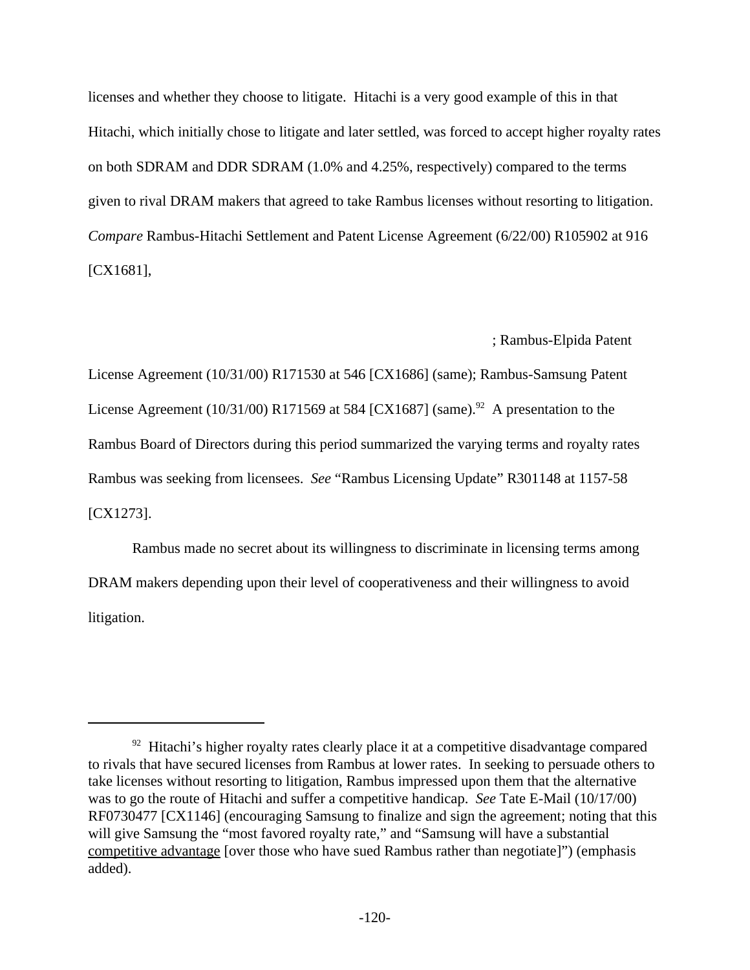licenses and whether they choose to litigate. Hitachi is a very good example of this in that Hitachi, which initially chose to litigate and later settled, was forced to accept higher royalty rates on both SDRAM and DDR SDRAM (1.0% and 4.25%, respectively) compared to the terms given to rival DRAM makers that agreed to take Rambus licenses without resorting to litigation. Compare Rambus-Hitachi Settlement and Patent License Agreement (6/22/00) R105902 at 916  $[CX1681]$ ,

; Rambus-Elpida Patent

License Agreement (10/31/00) R171530 at 546 [CX1686] (same); Rambus-Samsung Patent License Agreement (10/31/00) R171569 at 584 [CX1687] (same).<sup>92</sup> A presentation to the Rambus Board of Directors during this period summarized the varying terms and royalty rates Rambus was seeking from licensees. See "Rambus Licensing Update" R301148 at 1157-58  $[CX1273]$ .

Rambus made no secret about its willingness to discriminate in licensing terms among DRAM makers depending upon their level of cooperativeness and their willingness to avoid litigation.

<sup>&</sup>lt;sup>92</sup> Hitachi's higher royalty rates clearly place it at a competitive disadvantage compared to rivals that have secured licenses from Rambus at lower rates. In seeking to persuade others to take licenses without resorting to litigation, Rambus impressed upon them that the alternative was to go the route of Hitachi and suffer a competitive handicap. See Tate E-Mail (10/17/00) RF0730477 [CX1146] (encouraging Samsung to finalize and sign the agreement; noting that this will give Samsung the "most favored royalty rate," and "Samsung will have a substantial competitive advantage [over those who have sued Rambus rather than negotiate]") (emphasis added).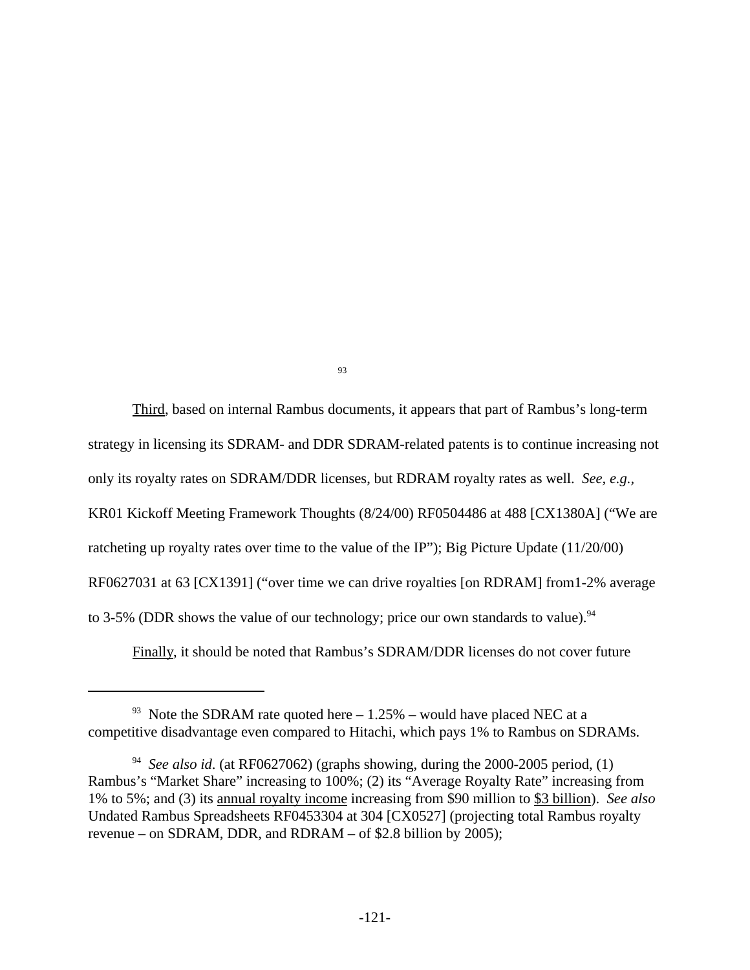93

Third, based on internal Rambus documents, it appears that part of Rambus's long-term strategy in licensing its SDRAM- and DDR SDRAM-related patents is to continue increasing not only its royalty rates on SDRAM/DDR licenses, but RDRAM royalty rates as well. See, e.g., KR01 Kickoff Meeting Framework Thoughts (8/24/00) RF0504486 at 488 [CX1380A] ("We are ratcheting up royalty rates over time to the value of the IP"); Big Picture Update (11/20/00) RF0627031 at 63 [CX1391] ("over time we can drive royalties [on RDRAM] from 1-2% average to 3-5% (DDR shows the value of our technology; price our own standards to value). <sup>94</sup>

Finally, it should be noted that Rambus's SDRAM/DDR licenses do not cover future

<sup>&</sup>lt;sup>93</sup> Note the SDRAM rate quoted here  $-1.25%$  – would have placed NEC at a competitive disadvantage even compared to Hitachi, which pays 1% to Rambus on SDRAMs.

<sup>&</sup>lt;sup>94</sup> See also id. (at RF0627062) (graphs showing, during the 2000-2005 period, (1) Rambus's "Market Share" increasing to 100%; (2) its "Average Royalty Rate" increasing from 1% to 5%; and (3) its annual royalty income increasing from \$90 million to \$3 billion). See also Undated Rambus Spreadsheets RF0453304 at 304 [CX0527] (projecting total Rambus royalty revenue – on SDRAM, DDR, and RDRAM – of \$2.8 billion by 2005);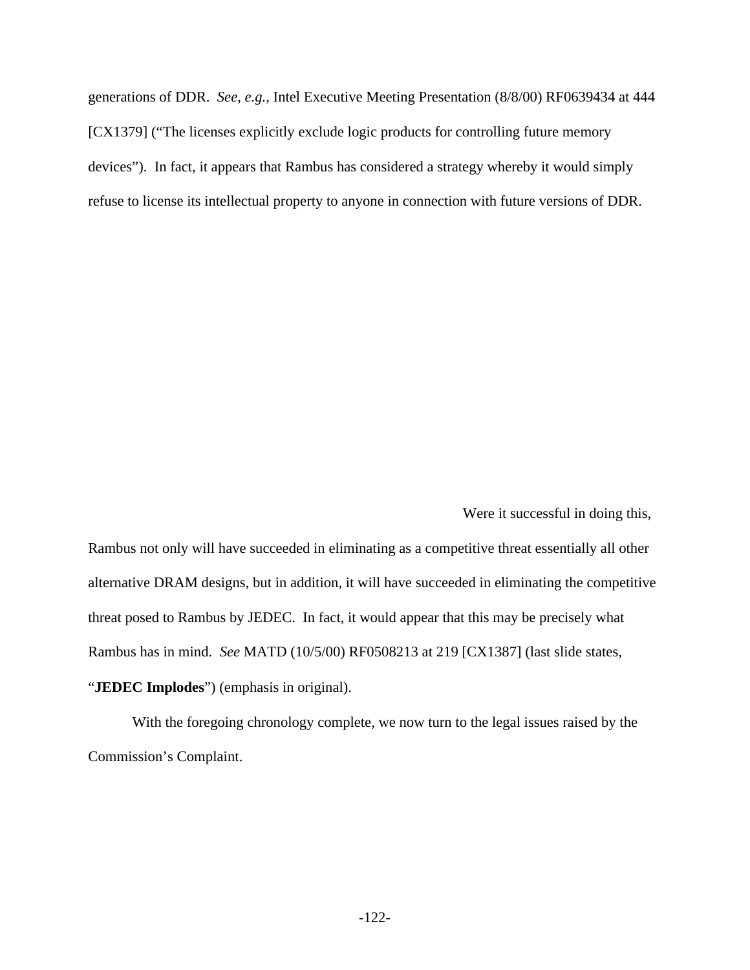generations of DDR. See, e.g., Intel Executive Meeting Presentation (8/8/00) RF0639434 at 444 [CX1379] ("The licenses explicitly exclude logic products for controlling future memory devices"). In fact, it appears that Rambus has considered a strategy whereby it would simply refuse to license its intellectual property to anyone in connection with future versions of DDR.

Were it successful in doing this,

Rambus not only will have succeeded in eliminating as a competitive threat essentially all other alternative DRAM designs, but in addition, it will have succeeded in eliminating the competitive threat posed to Rambus by JEDEC. In fact, it would appear that this may be precisely what Rambus has in mind. See MATD (10/5/00) RF0508213 at 219 [CX1387] (last slide states, "JEDEC Implodes") (emphasis in original).

With the foregoing chronology complete, we now turn to the legal issues raised by the Commission's Complaint.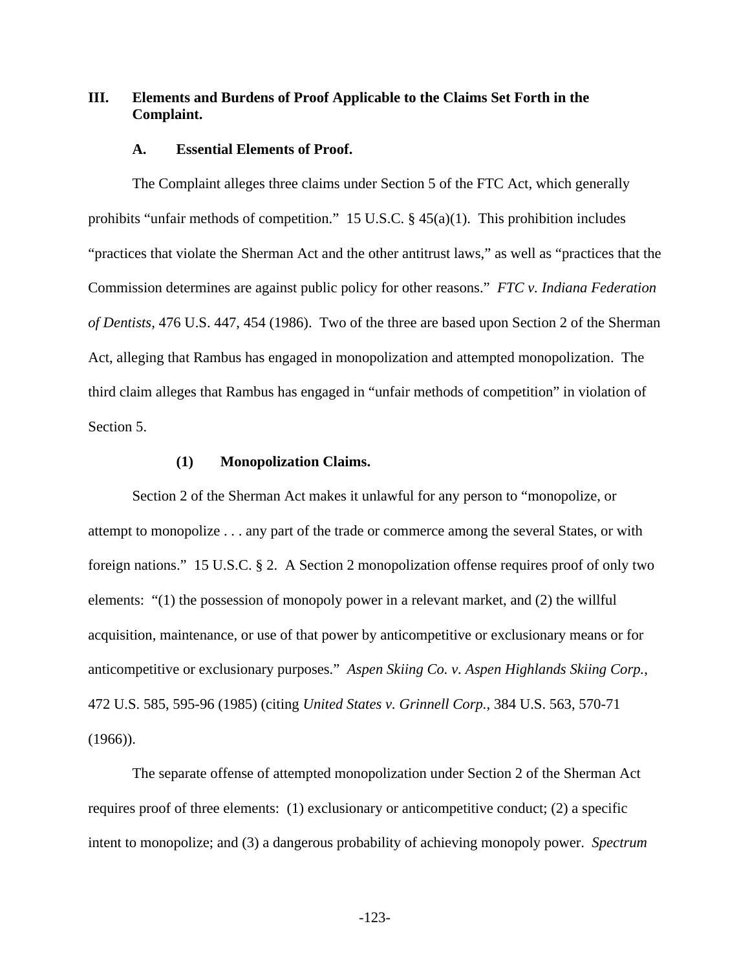## **III. Elements and Burdens of Proof Applicable to the Claims Set Forth in the Complaint.**

#### **A. Essential Elements of Proof.**

The Complaint alleges three claims under Section 5 of the FTC Act, which generally prohibits "unfair methods of competition." 15 U.S.C. § 45(a)(1). This prohibition includes "practices that violate the Sherman Act and the other antitrust laws," as well as "practices that the Commission determines are against public policy for other reasons." *FTC v. Indiana Federation of Dentists,* 476 U.S. 447, 454 (1986). Two of the three are based upon Section 2 of the Sherman Act, alleging that Rambus has engaged in monopolization and attempted monopolization. The third claim alleges that Rambus has engaged in "unfair methods of competition" in violation of Section 5.

#### **(1) Monopolization Claims.**

Section 2 of the Sherman Act makes it unlawful for any person to "monopolize, or attempt to monopolize . . . any part of the trade or commerce among the several States, or with foreign nations." 15 U.S.C. § 2. A Section 2 monopolization offense requires proof of only two elements: "(1) the possession of monopoly power in a relevant market, and (2) the willful acquisition, maintenance, or use of that power by anticompetitive or exclusionary means or for anticompetitive or exclusionary purposes." *Aspen Skiing Co. v. Aspen Highlands Skiing Corp.*, 472 U.S. 585, 595-96 (1985) (citing *United States v. Grinnell Corp.*, 384 U.S. 563, 570-71  $(1966)$ ).

The separate offense of attempted monopolization under Section 2 of the Sherman Act requires proof of three elements: (1) exclusionary or anticompetitive conduct; (2) a specific intent to monopolize; and (3) a dangerous probability of achieving monopoly power. *Spectrum*

-123-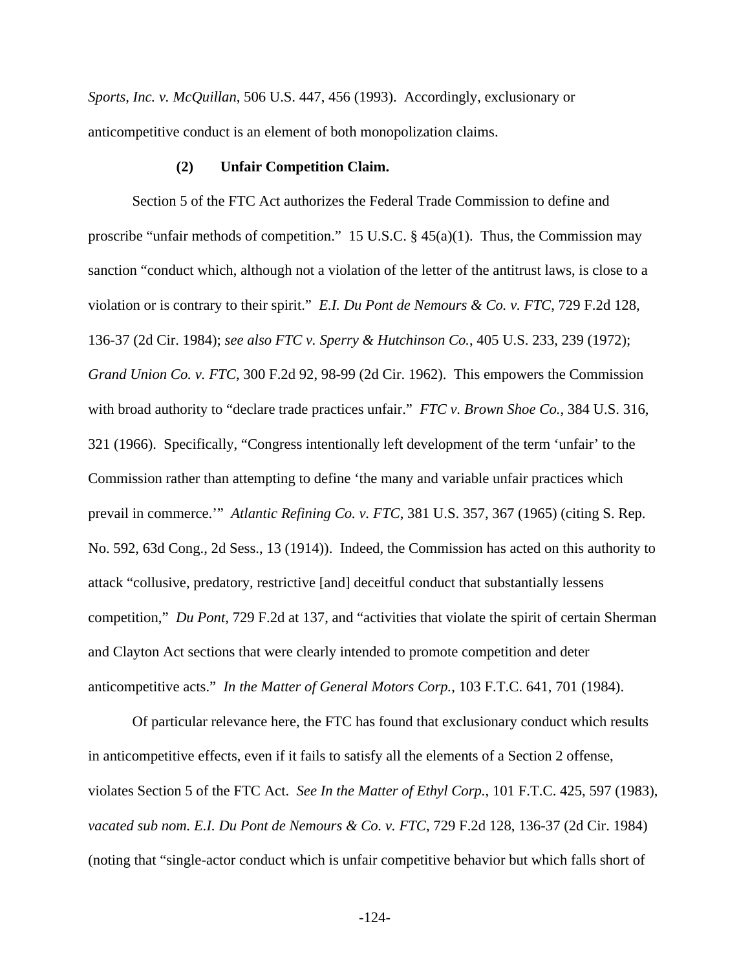*Sports, Inc. v. McQuillan*, 506 U.S. 447, 456 (1993). Accordingly, exclusionary or anticompetitive conduct is an element of both monopolization claims.

#### **(2) Unfair Competition Claim.**

Section 5 of the FTC Act authorizes the Federal Trade Commission to define and proscribe "unfair methods of competition." 15 U.S.C.  $\S$  45(a)(1). Thus, the Commission may sanction "conduct which, although not a violation of the letter of the antitrust laws, is close to a violation or is contrary to their spirit." *E.I. Du Pont de Nemours & Co. v. FTC*, 729 F.2d 128, 136-37 (2d Cir. 1984); *see also FTC v. Sperry & Hutchinson Co.*, 405 U.S. 233, 239 (1972); *Grand Union Co. v. FTC*, 300 F.2d 92, 98-99 (2d Cir. 1962). This empowers the Commission with broad authority to "declare trade practices unfair." *FTC v. Brown Shoe Co.*, 384 U.S. 316, 321 (1966). Specifically, "Congress intentionally left development of the term 'unfair' to the Commission rather than attempting to define 'the many and variable unfair practices which prevail in commerce.'" *Atlantic Refining Co. v. FTC*, 381 U.S. 357, 367 (1965) (citing S. Rep. No. 592, 63d Cong., 2d Sess., 13 (1914)). Indeed, the Commission has acted on this authority to attack "collusive, predatory, restrictive [and] deceitful conduct that substantially lessens competition," *Du Pont*, 729 F.2d at 137, and "activities that violate the spirit of certain Sherman and Clayton Act sections that were clearly intended to promote competition and deter anticompetitive acts." *In the Matter of General Motors Corp.*, 103 F.T.C. 641, 701 (1984).

Of particular relevance here, the FTC has found that exclusionary conduct which results in anticompetitive effects, even if it fails to satisfy all the elements of a Section 2 offense, violates Section 5 of the FTC Act. *See In the Matter of Ethyl Corp.*, 101 F.T.C. 425, 597 (1983), *vacated sub nom. E.I. Du Pont de Nemours & Co. v. FTC*, 729 F.2d 128, 136-37 (2d Cir. 1984) (noting that "single-actor conduct which is unfair competitive behavior but which falls short of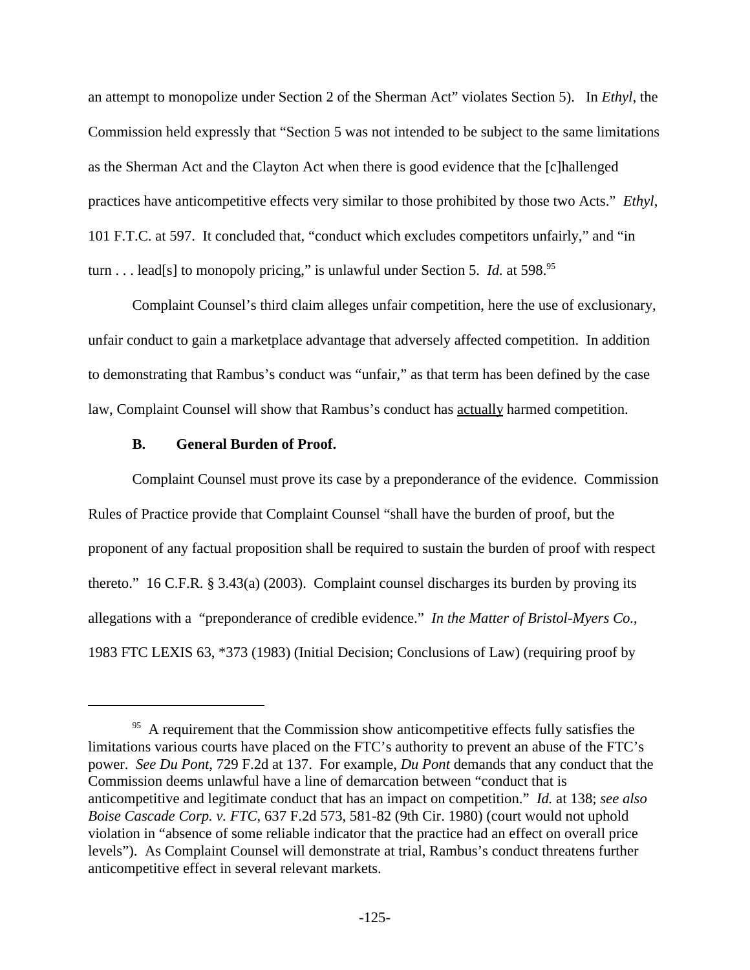an attempt to monopolize under Section 2 of the Sherman Act" violates Section 5). In *Ethyl*, the Commission held expressly that "Section 5 was not intended to be subject to the same limitations as the Sherman Act and the Clayton Act when there is good evidence that the [c]hallenged practices have anticompetitive effects very similar to those prohibited by those two Acts." *Ethyl*, 101 F.T.C. at 597. It concluded that, "conduct which excludes competitors unfairly," and "in turn . . . lead[s] to monopoly pricing," is unlawful under Section 5. *Id.* at 598.<sup>95</sup>

Complaint Counsel's third claim alleges unfair competition, here the use of exclusionary, unfair conduct to gain a marketplace advantage that adversely affected competition. In addition to demonstrating that Rambus's conduct was "unfair," as that term has been defined by the case law, Complaint Counsel will show that Rambus's conduct has actually harmed competition.

## **B. General Burden of Proof.**

Complaint Counsel must prove its case by a preponderance of the evidence. Commission Rules of Practice provide that Complaint Counsel "shall have the burden of proof, but the proponent of any factual proposition shall be required to sustain the burden of proof with respect thereto." 16 C.F.R. § 3.43(a) (2003). Complaint counsel discharges its burden by proving its allegations with a "preponderance of credible evidence." *In the Matter of Bristol-Myers Co.*, 1983 FTC LEXIS 63, \*373 (1983) (Initial Decision; Conclusions of Law) (requiring proof by

 $95$  A requirement that the Commission show anticompetitive effects fully satisfies the limitations various courts have placed on the FTC's authority to prevent an abuse of the FTC's power. *See Du Pont*, 729 F.2d at 137. For example, *Du Pont* demands that any conduct that the Commission deems unlawful have a line of demarcation between "conduct that is anticompetitive and legitimate conduct that has an impact on competition." *Id.* at 138; *see also Boise Cascade Corp. v. FTC*, 637 F.2d 573, 581-82 (9th Cir. 1980) (court would not uphold violation in "absence of some reliable indicator that the practice had an effect on overall price levels"). As Complaint Counsel will demonstrate at trial, Rambus's conduct threatens further anticompetitive effect in several relevant markets.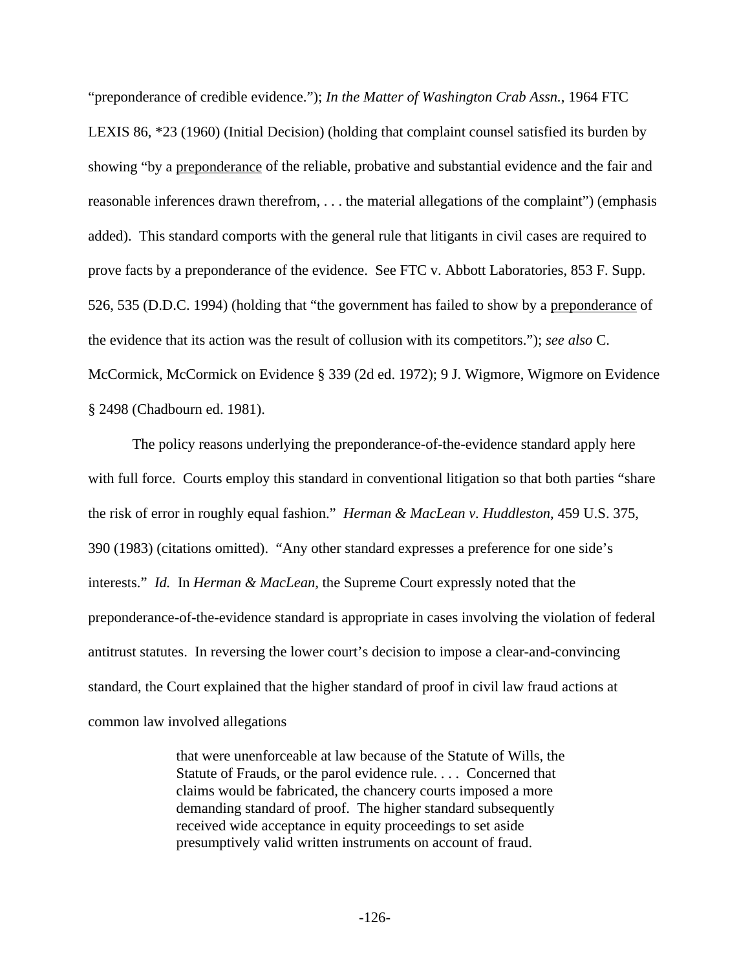"preponderance of credible evidence."); *In the Matter of Washington Crab Assn.*, 1964 FTC LEXIS 86, \*23 (1960) (Initial Decision) (holding that complaint counsel satisfied its burden by showing "by a preponderance of the reliable, probative and substantial evidence and the fair and reasonable inferences drawn therefrom, . . . the material allegations of the complaint") (emphasis added). This standard comports with the general rule that litigants in civil cases are required to prove facts by a preponderance of the evidence. See FTC v. Abbott Laboratories, 853 F. Supp. 526, 535 (D.D.C. 1994) (holding that "the government has failed to show by a preponderance of the evidence that its action was the result of collusion with its competitors."); *see also* C. McCormick, McCormick on Evidence § 339 (2d ed. 1972); 9 J. Wigmore, Wigmore on Evidence § 2498 (Chadbourn ed. 1981).

The policy reasons underlying the preponderance-of-the-evidence standard apply here with full force. Courts employ this standard in conventional litigation so that both parties "share" the risk of error in roughly equal fashion." *Herman & MacLean v. Huddleston*, 459 U.S. 375, 390 (1983) (citations omitted). "Any other standard expresses a preference for one side's interests." *Id.* In *Herman & MacLean,* the Supreme Court expressly noted that the preponderance-of-the-evidence standard is appropriate in cases involving the violation of federal antitrust statutes. In reversing the lower court's decision to impose a clear-and-convincing standard, the Court explained that the higher standard of proof in civil law fraud actions at common law involved allegations

> that were unenforceable at law because of the Statute of Wills, the Statute of Frauds, or the parol evidence rule. . . . Concerned that claims would be fabricated, the chancery courts imposed a more demanding standard of proof. The higher standard subsequently received wide acceptance in equity proceedings to set aside presumptively valid written instruments on account of fraud.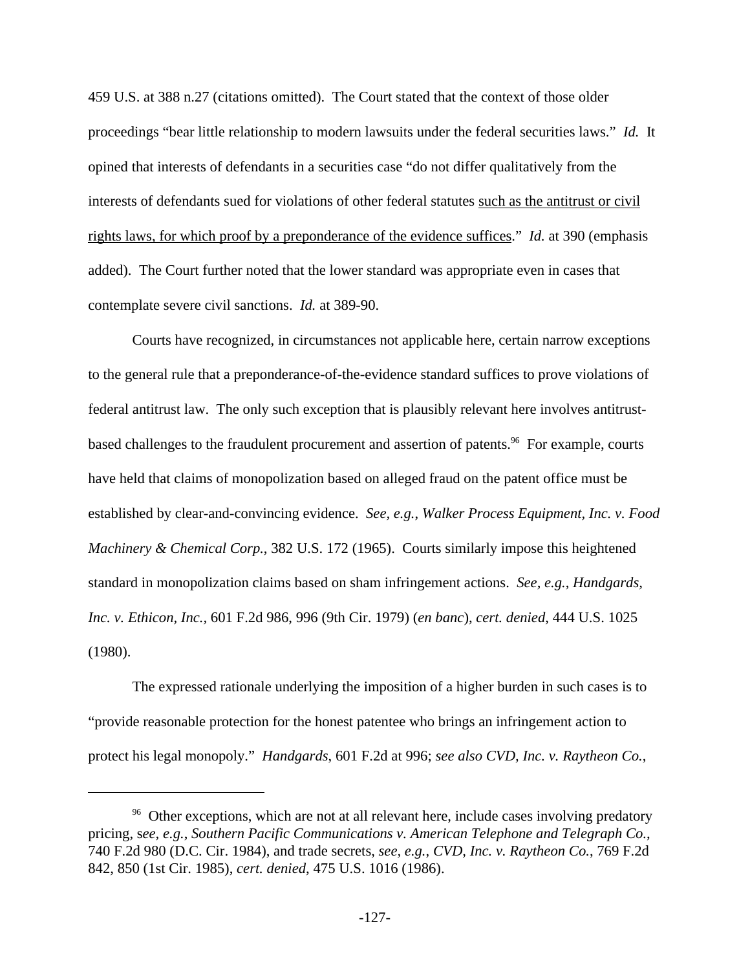459 U.S. at 388 n.27 (citations omitted). The Court stated that the context of those older proceedings "bear little relationship to modern lawsuits under the federal securities laws." *Id.* It opined that interests of defendants in a securities case "do not differ qualitatively from the interests of defendants sued for violations of other federal statutes such as the antitrust or civil rights laws, for which proof by a preponderance of the evidence suffices." *Id.* at 390 (emphasis added).The Court further noted that the lower standard was appropriate even in cases that contemplate severe civil sanctions. *Id.* at 389-90.

Courts have recognized, in circumstances not applicable here, certain narrow exceptions to the general rule that a preponderance-of-the-evidence standard suffices to prove violations of federal antitrust law. The only such exception that is plausibly relevant here involves antitrustbased challenges to the fraudulent procurement and assertion of patents.<sup>96</sup> For example, courts have held that claims of monopolization based on alleged fraud on the patent office must be established by clear-and-convincing evidence. *See, e.g.*, *Walker Process Equipment, Inc. v. Food Machinery & Chemical Corp.*, 382 U.S. 172 (1965). Courts similarly impose this heightened standard in monopolization claims based on sham infringement actions. *See, e.g.*, *Handgards, Inc. v. Ethicon, Inc.,* 601 F.2d 986, 996 (9th Cir. 1979) (*en banc*), *cert. denied*, 444 U.S. 1025 (1980).

The expressed rationale underlying the imposition of a higher burden in such cases is to "provide reasonable protection for the honest patentee who brings an infringement action to protect his legal monopoly." *Handgards*, 601 F.2d at 996; *see also CVD, Inc. v. Raytheon Co.*,

<sup>&</sup>lt;sup>96</sup> Other exceptions, which are not at all relevant here, include cases involving predatory pricing, s*ee, e.g.*, *Southern Pacific Communications v. American Telephone and Telegraph Co.*, 740 F.2d 980 (D.C. Cir. 1984), and trade secrets, *see, e.g.*, *CVD, Inc. v. Raytheon Co.*, 769 F.2d 842, 850 (1st Cir. 1985), *cert. denied*, 475 U.S. 1016 (1986).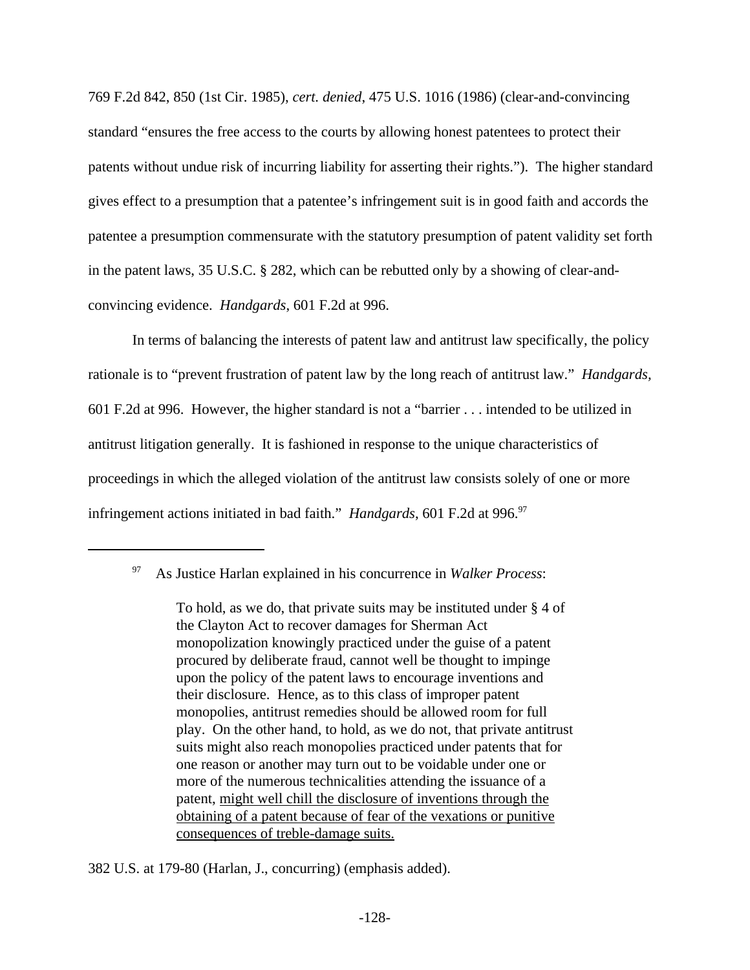769 F.2d 842, 850 (1st Cir. 1985), *cert. denied*, 475 U.S. 1016 (1986) (clear-and-convincing standard "ensures the free access to the courts by allowing honest patentees to protect their patents without undue risk of incurring liability for asserting their rights."). The higher standard gives effect to a presumption that a patentee's infringement suit is in good faith and accords the patentee a presumption commensurate with the statutory presumption of patent validity set forth in the patent laws, 35 U.S.C. § 282, which can be rebutted only by a showing of clear-andconvincing evidence. *Handgards*, 601 F.2d at 996.

In terms of balancing the interests of patent law and antitrust law specifically, the policy rationale is to "prevent frustration of patent law by the long reach of antitrust law." *Handgards,* 601 F.2d at 996. However, the higher standard is not a "barrier . . . intended to be utilized in antitrust litigation generally. It is fashioned in response to the unique characteristics of proceedings in which the alleged violation of the antitrust law consists solely of one or more infringement actions initiated in bad faith." *Handgards*, 601 F.2d at 996.<sup>97</sup>

382 U.S. at 179-80 (Harlan, J., concurring) (emphasis added).

<sup>97</sup> As Justice Harlan explained in his concurrence in *Walker Process*:

To hold, as we do, that private suits may be instituted under § 4 of the Clayton Act to recover damages for Sherman Act monopolization knowingly practiced under the guise of a patent procured by deliberate fraud, cannot well be thought to impinge upon the policy of the patent laws to encourage inventions and their disclosure. Hence, as to this class of improper patent monopolies, antitrust remedies should be allowed room for full play. On the other hand, to hold, as we do not, that private antitrust suits might also reach monopolies practiced under patents that for one reason or another may turn out to be voidable under one or more of the numerous technicalities attending the issuance of a patent, might well chill the disclosure of inventions through the obtaining of a patent because of fear of the vexations or punitive consequences of treble-damage suits.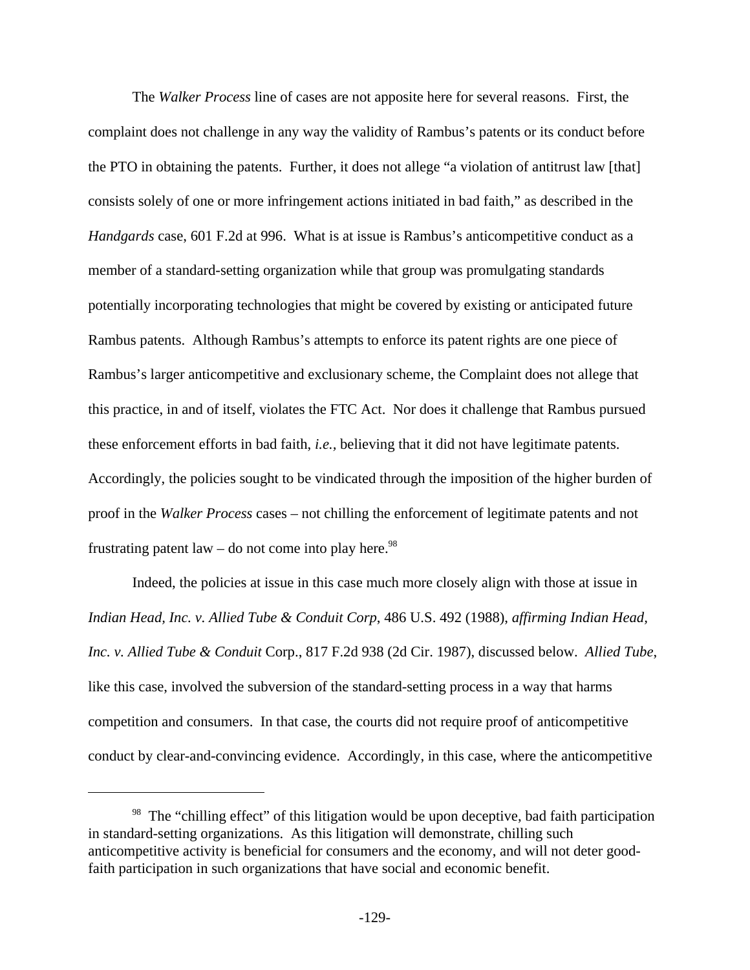The *Walker Process* line of cases are not apposite here for several reasons. First, the complaint does not challenge in any way the validity of Rambus's patents or its conduct before the PTO in obtaining the patents. Further, it does not allege "a violation of antitrust law [that] consists solely of one or more infringement actions initiated in bad faith," as described in the *Handgards* case, 601 F.2d at 996. What is at issue is Rambus's anticompetitive conduct as a member of a standard-setting organization while that group was promulgating standards potentially incorporating technologies that might be covered by existing or anticipated future Rambus patents. Although Rambus's attempts to enforce its patent rights are one piece of Rambus's larger anticompetitive and exclusionary scheme, the Complaint does not allege that this practice, in and of itself, violates the FTC Act. Nor does it challenge that Rambus pursued these enforcement efforts in bad faith, *i.e.,* believing that it did not have legitimate patents. Accordingly, the policies sought to be vindicated through the imposition of the higher burden of proof in the *Walker Process* cases – not chilling the enforcement of legitimate patents and not frustrating patent law – do not come into play here.<sup>98</sup>

Indeed, the policies at issue in this case much more closely align with those at issue in *Indian Head, Inc. v. Allied Tube & Conduit Corp*, 486 U.S. 492 (1988), *affirming Indian Head, Inc. v. Allied Tube & Conduit* Corp., 817 F.2d 938 (2d Cir. 1987), discussed below. *Allied Tube*, like this case, involved the subversion of the standard-setting process in a way that harms competition and consumers. In that case, the courts did not require proof of anticompetitive conduct by clear-and-convincing evidence. Accordingly, in this case, where the anticompetitive

 $98$  The "chilling effect" of this litigation would be upon deceptive, bad faith participation in standard-setting organizations. As this litigation will demonstrate, chilling such anticompetitive activity is beneficial for consumers and the economy, and will not deter goodfaith participation in such organizations that have social and economic benefit.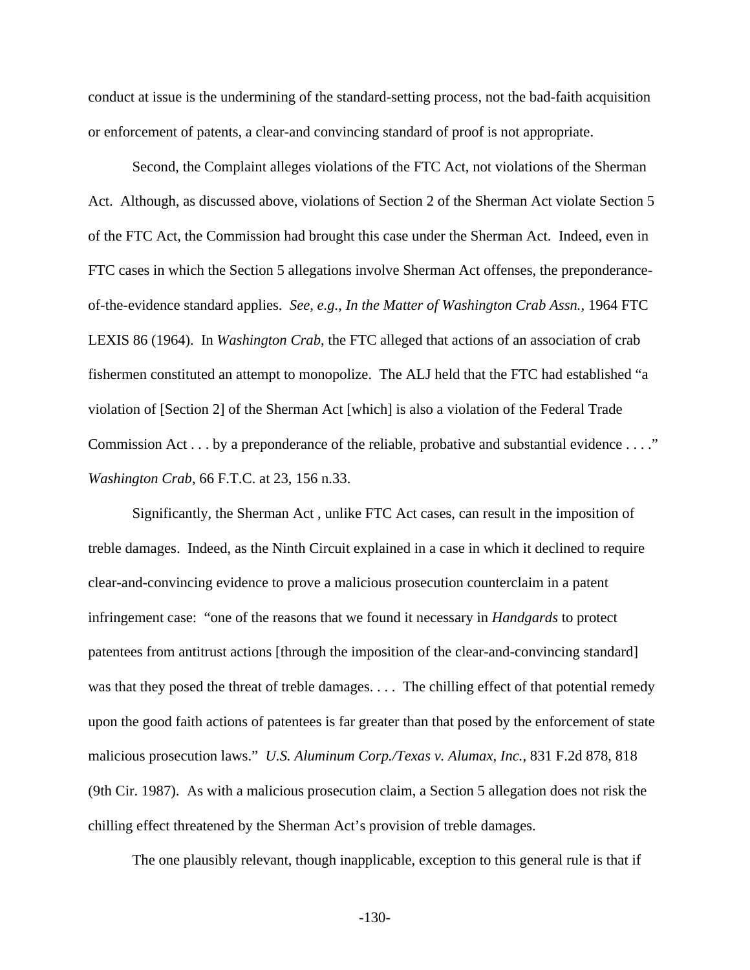conduct at issue is the undermining of the standard-setting process, not the bad-faith acquisition or enforcement of patents, a clear-and convincing standard of proof is not appropriate.

Second, the Complaint alleges violations of the FTC Act, not violations of the Sherman Act. Although, as discussed above, violations of Section 2 of the Sherman Act violate Section 5 of the FTC Act, the Commission had brought this case under the Sherman Act. Indeed, even in FTC cases in which the Section 5 allegations involve Sherman Act offenses, the preponderanceof-the-evidence standard applies. *See, e.g.*, *In the Matter of Washington Crab Assn.*, 1964 FTC LEXIS 86 (1964). In *Washington Crab*, the FTC alleged that actions of an association of crab fishermen constituted an attempt to monopolize. The ALJ held that the FTC had established "a violation of [Section 2] of the Sherman Act [which] is also a violation of the Federal Trade Commission Act . . . by a preponderance of the reliable, probative and substantial evidence . . . ." *Washington Crab*, 66 F.T.C. at 23, 156 n.33.

Significantly, the Sherman Act , unlike FTC Act cases, can result in the imposition of treble damages. Indeed, as the Ninth Circuit explained in a case in which it declined to require clear-and-convincing evidence to prove a malicious prosecution counterclaim in a patent infringement case: "one of the reasons that we found it necessary in *Handgards* to protect patentees from antitrust actions [through the imposition of the clear-and-convincing standard] was that they posed the threat of treble damages. . . . The chilling effect of that potential remedy upon the good faith actions of patentees is far greater than that posed by the enforcement of state malicious prosecution laws." *U.S. Aluminum Corp./Texas v. Alumax, Inc.*, 831 F.2d 878, 818 (9th Cir. 1987). As with a malicious prosecution claim, a Section 5 allegation does not risk the chilling effect threatened by the Sherman Act's provision of treble damages.

The one plausibly relevant, though inapplicable, exception to this general rule is that if

-130-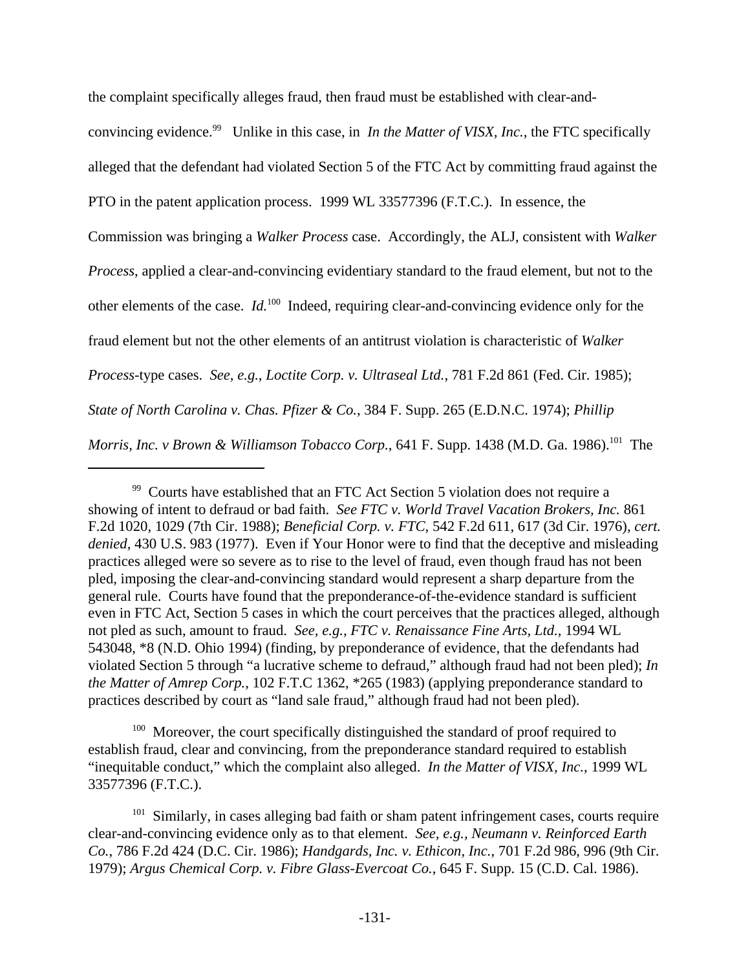the complaint specifically alleges fraud, then fraud must be established with clear-and-

convincing evidence.<sup>99</sup> Unlike in this case, in *In the Matter of VISX, Inc.*, the FTC specifically alleged that the defendant had violated Section 5 of the FTC Act by committing fraud against the PTO in the patent application process. 1999 WL 33577396 (F.T.C.). In essence, the Commission was bringing a *Walker Process* case. Accordingly, the ALJ, consistent with *Walker Process*, applied a clear-and-convincing evidentiary standard to the fraud element, but not to the other elements of the case. *Id.*<sup>100</sup> Indeed, requiring clear-and-convincing evidence only for the fraud element but not the other elements of an antitrust violation is characteristic of *Walker Process*-type cases. *See, e.g.*, *Loctite Corp. v. Ultraseal Ltd.*, 781 F.2d 861 (Fed. Cir. 1985); *State of North Carolina v. Chas. Pfizer & Co.*, 384 F. Supp. 265 (E.D.N.C. 1974); *Phillip Morris, Inc. v Brown & Williamson Tobacco Corp.*, 641 F. Supp. 1438 (M.D. Ga. 1986).<sup>101</sup> The

<sup>100</sup> Moreover, the court specifically distinguished the standard of proof required to establish fraud, clear and convincing, from the preponderance standard required to establish "inequitable conduct," which the complaint also alleged. *In the Matter of VISX, Inc.*, 1999 WL 33577396 (F.T.C.).

<sup>&</sup>lt;sup>99</sup> Courts have established that an FTC Act Section 5 violation does not require a showing of intent to defraud or bad faith. *See FTC v. World Travel Vacation Brokers, Inc.* 861 F.2d 1020, 1029 (7th Cir. 1988); *Beneficial Corp. v. FTC*, 542 F.2d 611, 617 (3d Cir. 1976), *cert. denied*, 430 U.S. 983 (1977). Even if Your Honor were to find that the deceptive and misleading practices alleged were so severe as to rise to the level of fraud, even though fraud has not been pled, imposing the clear-and-convincing standard would represent a sharp departure from the general rule. Courts have found that the preponderance-of-the-evidence standard is sufficient even in FTC Act, Section 5 cases in which the court perceives that the practices alleged, although not pled as such, amount to fraud. *See, e.g., FTC v. Renaissance Fine Arts, Ltd.*, 1994 WL 543048, \*8 (N.D. Ohio 1994) (finding, by preponderance of evidence, that the defendants had violated Section 5 through "a lucrative scheme to defraud," although fraud had not been pled); *In the Matter of Amrep Corp.*, 102 F.T.C 1362, \*265 (1983) (applying preponderance standard to practices described by court as "land sale fraud," although fraud had not been pled).

<sup>&</sup>lt;sup>101</sup> Similarly, in cases alleging bad faith or sham patent infringement cases, courts require clear-and-convincing evidence only as to that element. *See, e.g., Neumann v. Reinforced Earth Co.*, 786 F.2d 424 (D.C. Cir. 1986); *Handgards, Inc. v. Ethicon, Inc.*, 701 F.2d 986, 996 (9th Cir. 1979); *Argus Chemical Corp. v. Fibre Glass-Evercoat Co.*, 645 F. Supp. 15 (C.D. Cal. 1986).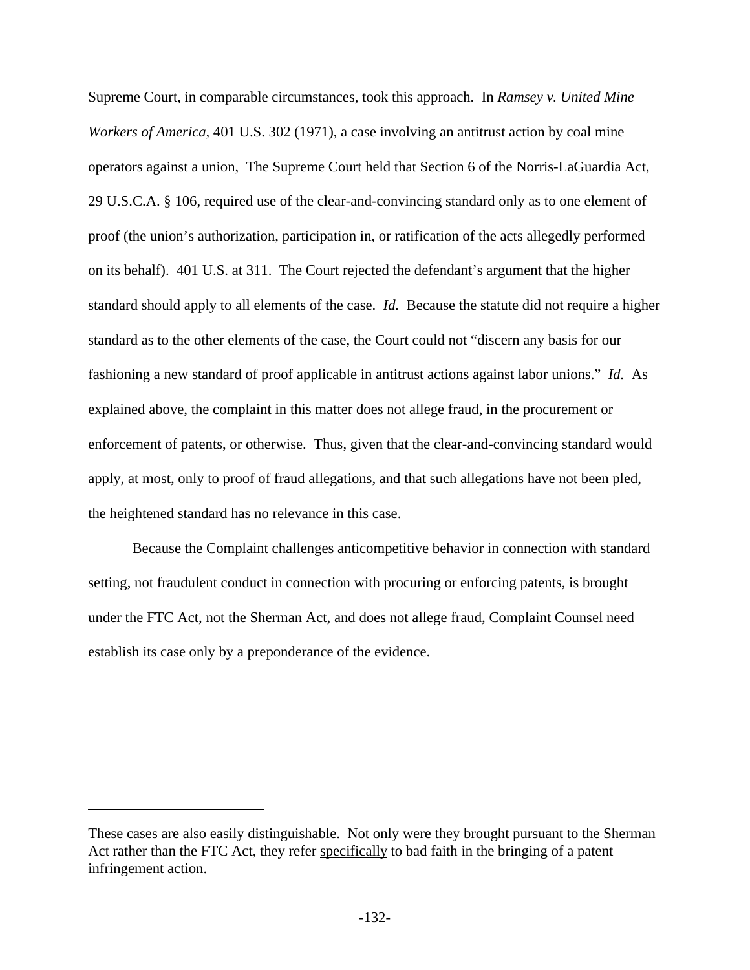Supreme Court, in comparable circumstances, took this approach. In *Ramsey v. United Mine Workers of America,* 401 U.S. 302 (1971), a case involving an antitrust action by coal mine operators against a union, The Supreme Court held that Section 6 of the Norris-LaGuardia Act, 29 U.S.C.A. § 106, required use of the clear-and-convincing standard only as to one element of proof (the union's authorization, participation in, or ratification of the acts allegedly performed on its behalf). 401 U.S. at 311. The Court rejected the defendant's argument that the higher standard should apply to all elements of the case. *Id.* Because the statute did not require a higher standard as to the other elements of the case, the Court could not "discern any basis for our fashioning a new standard of proof applicable in antitrust actions against labor unions." *Id.* As explained above, the complaint in this matter does not allege fraud, in the procurement or enforcement of patents, or otherwise. Thus, given that the clear-and-convincing standard would apply, at most, only to proof of fraud allegations, and that such allegations have not been pled, the heightened standard has no relevance in this case.

Because the Complaint challenges anticompetitive behavior in connection with standard setting, not fraudulent conduct in connection with procuring or enforcing patents, is brought under the FTC Act, not the Sherman Act, and does not allege fraud, Complaint Counsel need establish its case only by a preponderance of the evidence.

These cases are also easily distinguishable. Not only were they brought pursuant to the Sherman Act rather than the FTC Act, they refer specifically to bad faith in the bringing of a patent infringement action.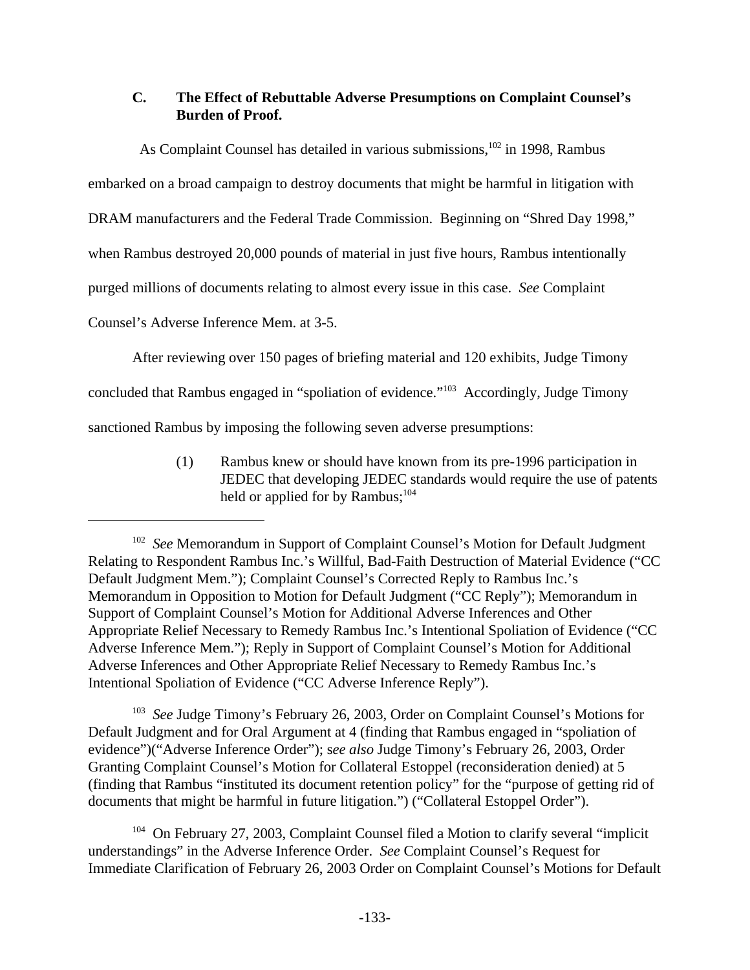# **C. The Effect of Rebuttable Adverse Presumptions on Complaint Counsel's Burden of Proof.**

As Complaint Counsel has detailed in various submissions,<sup>102</sup> in 1998, Rambus embarked on a broad campaign to destroy documents that might be harmful in litigation with DRAM manufacturers and the Federal Trade Commission. Beginning on "Shred Day 1998," when Rambus destroyed 20,000 pounds of material in just five hours, Rambus intentionally purged millions of documents relating to almost every issue in this case. *See* Complaint Counsel's Adverse Inference Mem. at 3-5.

After reviewing over 150 pages of briefing material and 120 exhibits, Judge Timony

concluded that Rambus engaged in "spoliation of evidence."<sup>103</sup> Accordingly, Judge Timony

sanctioned Rambus by imposing the following seven adverse presumptions:

(1) Rambus knew or should have known from its pre-1996 participation in JEDEC that developing JEDEC standards would require the use of patents held or applied for by Rambus; $^{104}$ 

<sup>103</sup> See Judge Timony's February 26, 2003, Order on Complaint Counsel's Motions for Default Judgment and for Oral Argument at 4 (finding that Rambus engaged in "spoliation of evidence")("Adverse Inference Order"); s*ee also* Judge Timony's February 26, 2003, Order Granting Complaint Counsel's Motion for Collateral Estoppel (reconsideration denied) at 5 (finding that Rambus "instituted its document retention policy" for the "purpose of getting rid of documents that might be harmful in future litigation.") ("Collateral Estoppel Order").

<sup>104</sup> On February 27, 2003, Complaint Counsel filed a Motion to clarify several "implicit understandings" in the Adverse Inference Order. *See* Complaint Counsel's Request for Immediate Clarification of February 26, 2003 Order on Complaint Counsel's Motions for Default

<sup>&</sup>lt;sup>102</sup> See Memorandum in Support of Complaint Counsel's Motion for Default Judgment Relating to Respondent Rambus Inc.'s Willful, Bad-Faith Destruction of Material Evidence ("CC Default Judgment Mem."); Complaint Counsel's Corrected Reply to Rambus Inc.'s Memorandum in Opposition to Motion for Default Judgment ("CC Reply"); Memorandum in Support of Complaint Counsel's Motion for Additional Adverse Inferences and Other Appropriate Relief Necessary to Remedy Rambus Inc.'s Intentional Spoliation of Evidence ("CC Adverse Inference Mem."); Reply in Support of Complaint Counsel's Motion for Additional Adverse Inferences and Other Appropriate Relief Necessary to Remedy Rambus Inc.'s Intentional Spoliation of Evidence ("CC Adverse Inference Reply").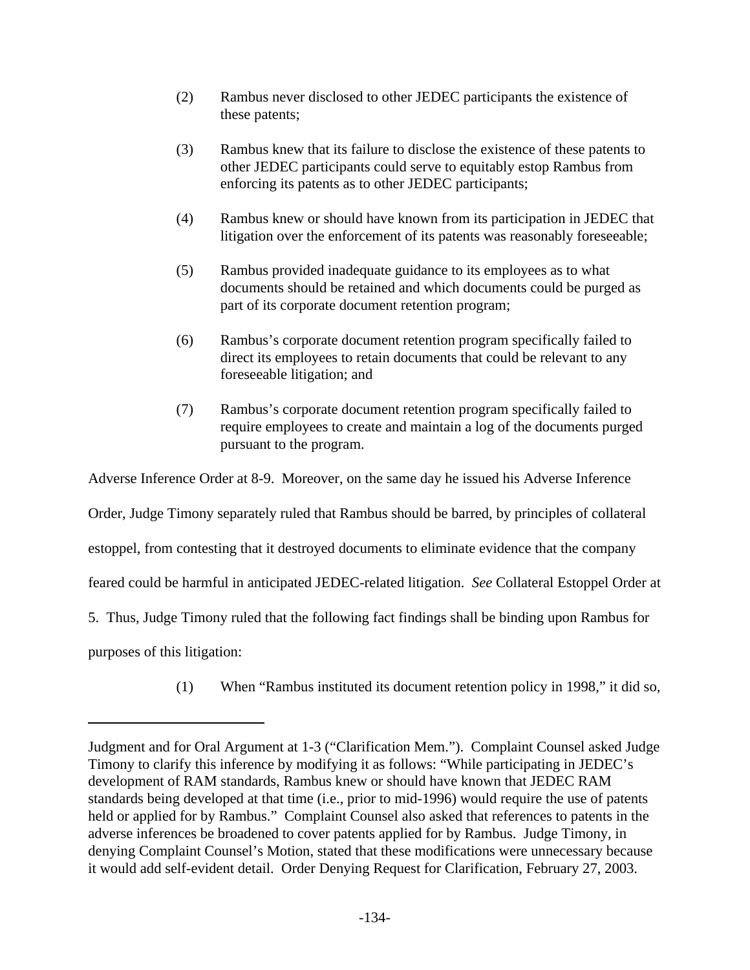- (2) Rambus never disclosed to other JEDEC participants the existence of these patents;
- (3) Rambus knew that its failure to disclose the existence of these patents to other JEDEC participants could serve to equitably estop Rambus from enforcing its patents as to other JEDEC participants;
- (4) Rambus knew or should have known from its participation in JEDEC that litigation over the enforcement of its patents was reasonably foreseeable;
- (5) Rambus provided inadequate guidance to its employees as to what documents should be retained and which documents could be purged as part of its corporate document retention program;
- (6) Rambus's corporate document retention program specifically failed to direct its employees to retain documents that could be relevant to any foreseeable litigation; and
- (7) Rambus's corporate document retention program specifically failed to require employees to create and maintain a log of the documents purged pursuant to the program.

Adverse Inference Order at 8-9. Moreover, on the same day he issued his Adverse Inference Order, Judge Timony separately ruled that Rambus should be barred, by principles of collateral estoppel, from contesting that it destroyed documents to eliminate evidence that the company feared could be harmful in anticipated JEDEC-related litigation. *See* Collateral Estoppel Order at 5. Thus, Judge Timony ruled that the following fact findings shall be binding upon Rambus for purposes of this litigation:

(1) When "Rambus instituted its document retention policy in 1998," it did so,

Judgment and for Oral Argument at 1-3 ("Clarification Mem."). Complaint Counsel asked Judge Timony to clarify this inference by modifying it as follows: "While participating in JEDEC's development of RAM standards, Rambus knew or should have known that JEDEC RAM standards being developed at that time (i.e., prior to mid-1996) would require the use of patents held or applied for by Rambus." Complaint Counsel also asked that references to patents in the adverse inferences be broadened to cover patents applied for by Rambus. Judge Timony, in denying Complaint Counsel's Motion, stated that these modifications were unnecessary because it would add self-evident detail. Order Denying Request for Clarification, February 27, 2003.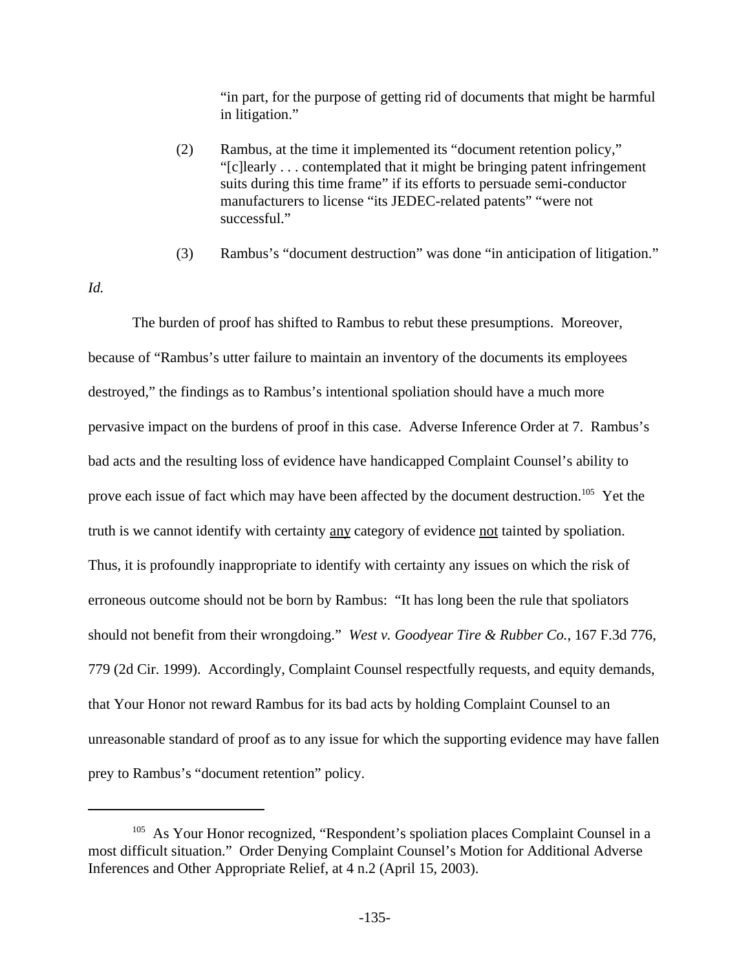"in part, for the purpose of getting rid of documents that might be harmful in litigation."

- (2) Rambus, at the time it implemented its "document retention policy," "[c]learly . . . contemplated that it might be bringing patent infringement suits during this time frame" if its efforts to persuade semi-conductor manufacturers to license "its JEDEC-related patents" "were not successful."
- (3) Rambus's "document destruction" was done "in anticipation of litigation."
- *Id.*

The burden of proof has shifted to Rambus to rebut these presumptions. Moreover, because of "Rambus's utter failure to maintain an inventory of the documents its employees destroyed," the findings as to Rambus's intentional spoliation should have a much more pervasive impact on the burdens of proof in this case. Adverse Inference Order at 7. Rambus's bad acts and the resulting loss of evidence have handicapped Complaint Counsel's ability to prove each issue of fact which may have been affected by the document destruction.<sup>105</sup> Yet the truth is we cannot identify with certainty any category of evidence not tainted by spoliation. Thus, it is profoundly inappropriate to identify with certainty any issues on which the risk of erroneous outcome should not be born by Rambus: "It has long been the rule that spoliators should not benefit from their wrongdoing." *West v. Goodyear Tire & Rubber Co.*, 167 F.3d 776, 779 (2d Cir. 1999). Accordingly, Complaint Counsel respectfully requests, and equity demands, that Your Honor not reward Rambus for its bad acts by holding Complaint Counsel to an unreasonable standard of proof as to any issue for which the supporting evidence may have fallen prey to Rambus's "document retention" policy.

<sup>&</sup>lt;sup>105</sup> As Your Honor recognized, "Respondent's spoliation places Complaint Counsel in a most difficult situation." Order Denying Complaint Counsel's Motion for Additional Adverse Inferences and Other Appropriate Relief, at 4 n.2 (April 15, 2003).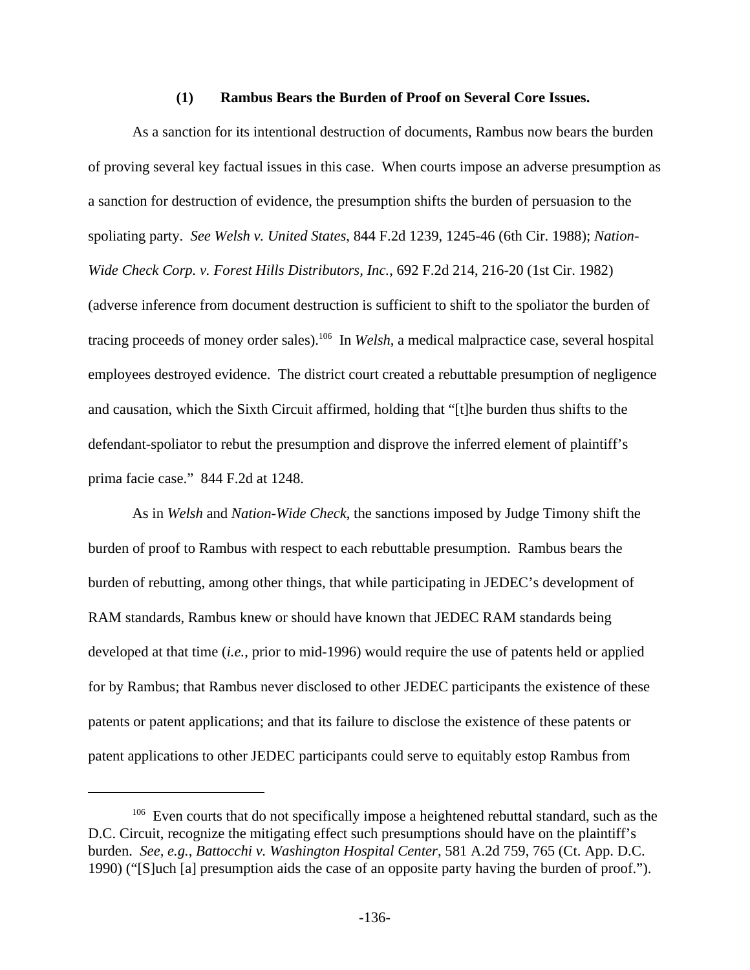#### **(1) Rambus Bears the Burden of Proof on Several Core Issues.**

As a sanction for its intentional destruction of documents, Rambus now bears the burden of proving several key factual issues in this case. When courts impose an adverse presumption as a sanction for destruction of evidence, the presumption shifts the burden of persuasion to the spoliating party. *See Welsh v. United States*, 844 F.2d 1239, 1245-46 (6th Cir. 1988); *Nation-Wide Check Corp. v. Forest Hills Distributors, Inc.*, 692 F.2d 214, 216-20 (1st Cir. 1982) (adverse inference from document destruction is sufficient to shift to the spoliator the burden of tracing proceeds of money order sales).<sup>106</sup> In *Welsh*, a medical malpractice case, several hospital employees destroyed evidence. The district court created a rebuttable presumption of negligence and causation, which the Sixth Circuit affirmed, holding that "[t]he burden thus shifts to the defendant-spoliator to rebut the presumption and disprove the inferred element of plaintiff's prima facie case." 844 F.2d at 1248.

As in *Welsh* and *Nation-Wide Check*, the sanctions imposed by Judge Timony shift the burden of proof to Rambus with respect to each rebuttable presumption. Rambus bears the burden of rebutting, among other things, that while participating in JEDEC's development of RAM standards, Rambus knew or should have known that JEDEC RAM standards being developed at that time (*i.e.*, prior to mid-1996) would require the use of patents held or applied for by Rambus; that Rambus never disclosed to other JEDEC participants the existence of these patents or patent applications; and that its failure to disclose the existence of these patents or patent applications to other JEDEC participants could serve to equitably estop Rambus from

<sup>&</sup>lt;sup>106</sup> Even courts that do not specifically impose a heightened rebuttal standard, such as the D.C. Circuit, recognize the mitigating effect such presumptions should have on the plaintiff's burden. *See, e.g.*, *Battocchi v. Washington Hospital Center*, 581 A.2d 759, 765 (Ct. App. D.C. 1990) ("[S]uch [a] presumption aids the case of an opposite party having the burden of proof.").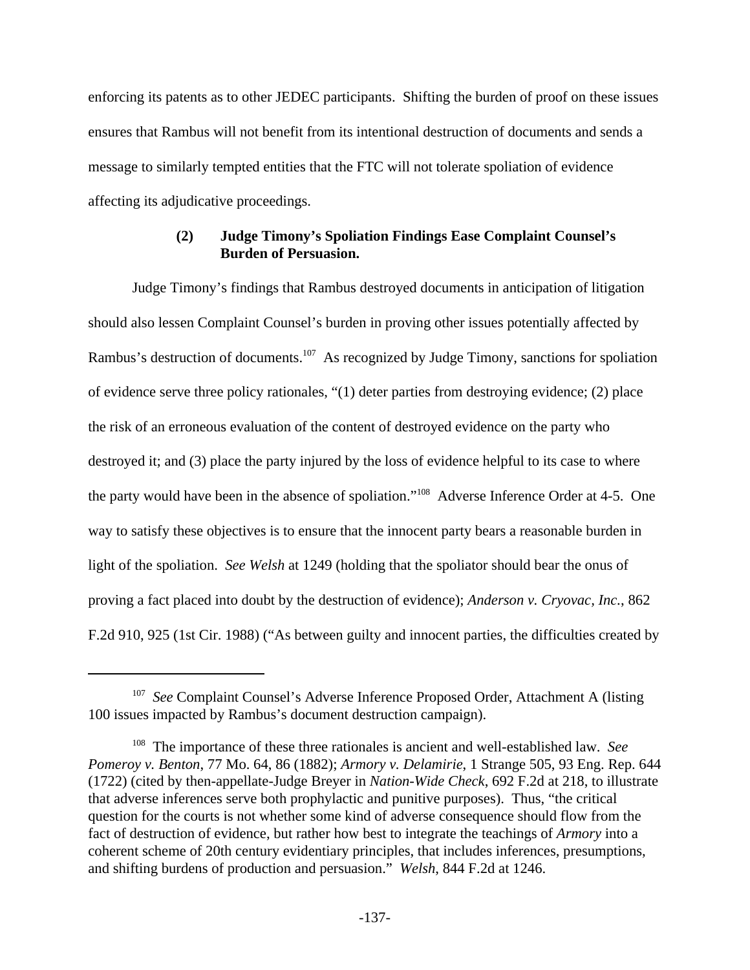enforcing its patents as to other JEDEC participants. Shifting the burden of proof on these issues ensures that Rambus will not benefit from its intentional destruction of documents and sends a message to similarly tempted entities that the FTC will not tolerate spoliation of evidence affecting its adjudicative proceedings.

## **(2) Judge Timony's Spoliation Findings Ease Complaint Counsel's Burden of Persuasion.**

Judge Timony's findings that Rambus destroyed documents in anticipation of litigation should also lessen Complaint Counsel's burden in proving other issues potentially affected by Rambus's destruction of documents.<sup>107</sup> As recognized by Judge Timony, sanctions for spoliation of evidence serve three policy rationales, "(1) deter parties from destroying evidence; (2) place the risk of an erroneous evaluation of the content of destroyed evidence on the party who destroyed it; and (3) place the party injured by the loss of evidence helpful to its case to where the party would have been in the absence of spoliation."<sup>108</sup> Adverse Inference Order at 4-5. One way to satisfy these objectives is to ensure that the innocent party bears a reasonable burden in light of the spoliation. *See Welsh* at 1249 (holding that the spoliator should bear the onus of proving a fact placed into doubt by the destruction of evidence); *Anderson v. Cryovac, Inc.*, 862 F.2d 910, 925 (1st Cir. 1988) ("As between guilty and innocent parties, the difficulties created by

<sup>&</sup>lt;sup>107</sup> See Complaint Counsel's Adverse Inference Proposed Order, Attachment A (listing 100 issues impacted by Rambus's document destruction campaign).

<sup>108</sup> The importance of these three rationales is ancient and well-established law. *See Pomeroy v. Benton*, 77 Mo. 64, 86 (1882); *Armory v. Delamirie*, 1 Strange 505, 93 Eng. Rep. 644 (1722) (cited by then-appellate-Judge Breyer in *Nation-Wide Check*, 692 F.2d at 218, to illustrate that adverse inferences serve both prophylactic and punitive purposes). Thus, "the critical question for the courts is not whether some kind of adverse consequence should flow from the fact of destruction of evidence, but rather how best to integrate the teachings of *Armory* into a coherent scheme of 20th century evidentiary principles, that includes inferences, presumptions, and shifting burdens of production and persuasion." *Welsh*, 844 F.2d at 1246.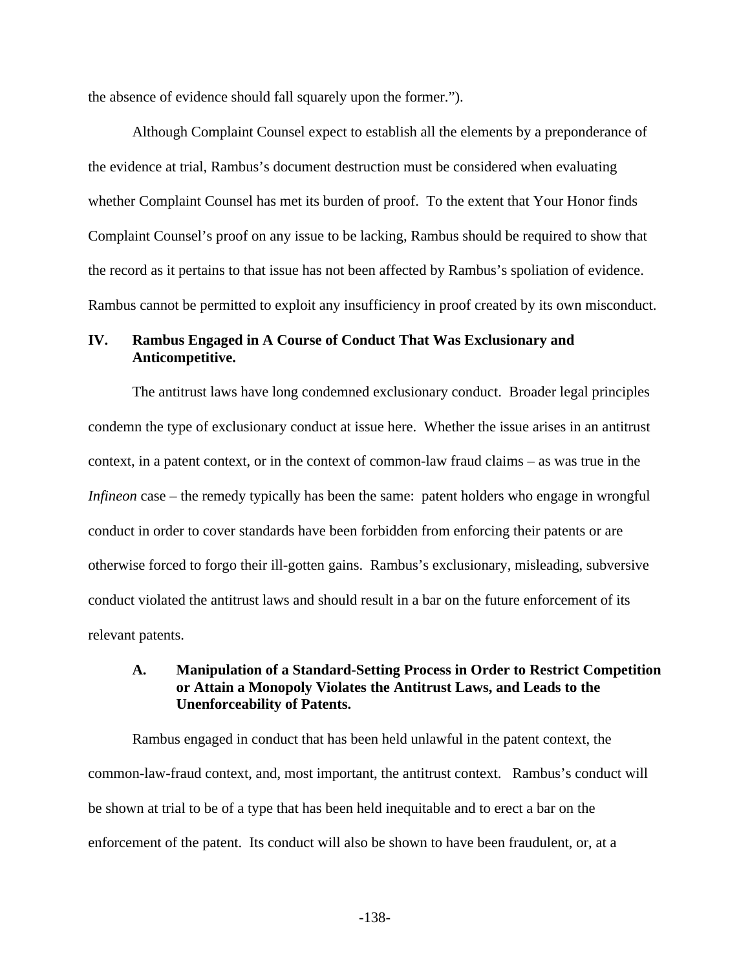the absence of evidence should fall squarely upon the former.").

Although Complaint Counsel expect to establish all the elements by a preponderance of the evidence at trial, Rambus's document destruction must be considered when evaluating whether Complaint Counsel has met its burden of proof. To the extent that Your Honor finds Complaint Counsel's proof on any issue to be lacking, Rambus should be required to show that the record as it pertains to that issue has not been affected by Rambus's spoliation of evidence. Rambus cannot be permitted to exploit any insufficiency in proof created by its own misconduct.

#### **IV. Rambus Engaged in A Course of Conduct That Was Exclusionary and Anticompetitive.**

The antitrust laws have long condemned exclusionary conduct. Broader legal principles condemn the type of exclusionary conduct at issue here. Whether the issue arises in an antitrust context, in a patent context, or in the context of common-law fraud claims – as was true in the *Infineon* case – the remedy typically has been the same: patent holders who engage in wrongful conduct in order to cover standards have been forbidden from enforcing their patents or are otherwise forced to forgo their ill-gotten gains. Rambus's exclusionary, misleading, subversive conduct violated the antitrust laws and should result in a bar on the future enforcement of its relevant patents.

## **A. Manipulation of a Standard-Setting Process in Order to Restrict Competition or Attain a Monopoly Violates the Antitrust Laws, and Leads to the Unenforceability of Patents.**

Rambus engaged in conduct that has been held unlawful in the patent context, the common-law-fraud context, and, most important, the antitrust context. Rambus's conduct will be shown at trial to be of a type that has been held inequitable and to erect a bar on the enforcement of the patent. Its conduct will also be shown to have been fraudulent, or, at a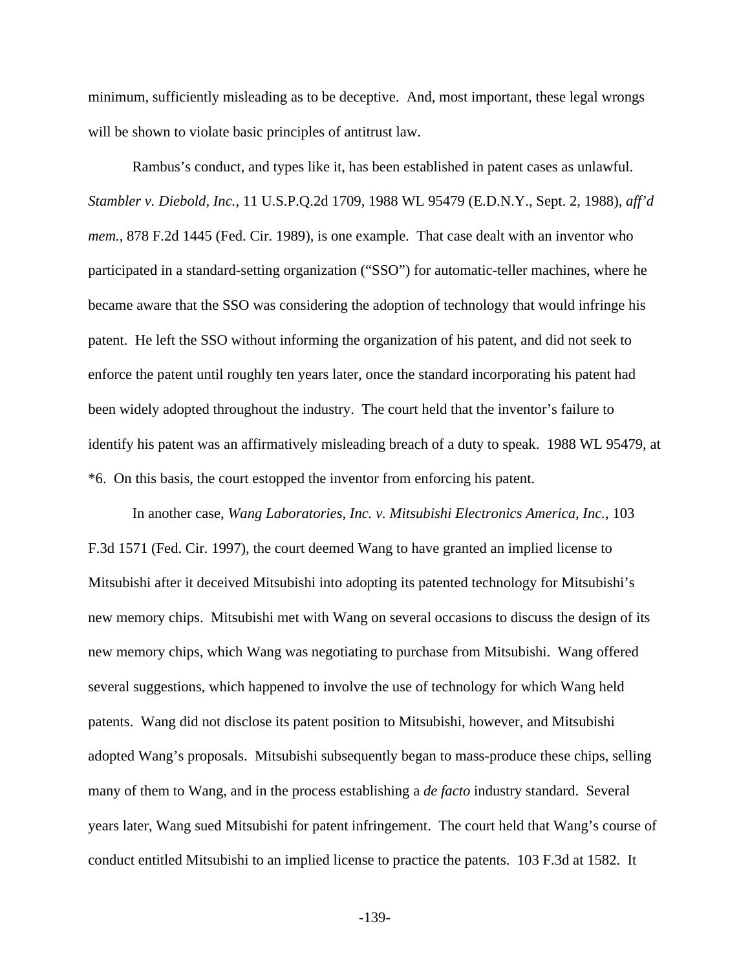minimum, sufficiently misleading as to be deceptive. And, most important, these legal wrongs will be shown to violate basic principles of antitrust law.

Rambus's conduct, and types like it, has been established in patent cases as unlawful. *Stambler v. Diebold, Inc.*, 11 U.S.P.Q.2d 1709, 1988 WL 95479 (E.D.N.Y., Sept. 2, 1988), *aff'd mem.*, 878 F.2d 1445 (Fed. Cir. 1989), is one example. That case dealt with an inventor who participated in a standard-setting organization ("SSO") for automatic-teller machines, where he became aware that the SSO was considering the adoption of technology that would infringe his patent. He left the SSO without informing the organization of his patent, and did not seek to enforce the patent until roughly ten years later, once the standard incorporating his patent had been widely adopted throughout the industry. The court held that the inventor's failure to identify his patent was an affirmatively misleading breach of a duty to speak. 1988 WL 95479, at \*6. On this basis, the court estopped the inventor from enforcing his patent.

In another case, *Wang Laboratories, Inc. v. Mitsubishi Electronics America, Inc.*, 103 F.3d 1571 (Fed. Cir. 1997), the court deemed Wang to have granted an implied license to Mitsubishi after it deceived Mitsubishi into adopting its patented technology for Mitsubishi's new memory chips. Mitsubishi met with Wang on several occasions to discuss the design of its new memory chips, which Wang was negotiating to purchase from Mitsubishi. Wang offered several suggestions, which happened to involve the use of technology for which Wang held patents. Wang did not disclose its patent position to Mitsubishi, however, and Mitsubishi adopted Wang's proposals. Mitsubishi subsequently began to mass-produce these chips, selling many of them to Wang, and in the process establishing a *de facto* industry standard. Several years later, Wang sued Mitsubishi for patent infringement. The court held that Wang's course of conduct entitled Mitsubishi to an implied license to practice the patents. 103 F.3d at 1582. It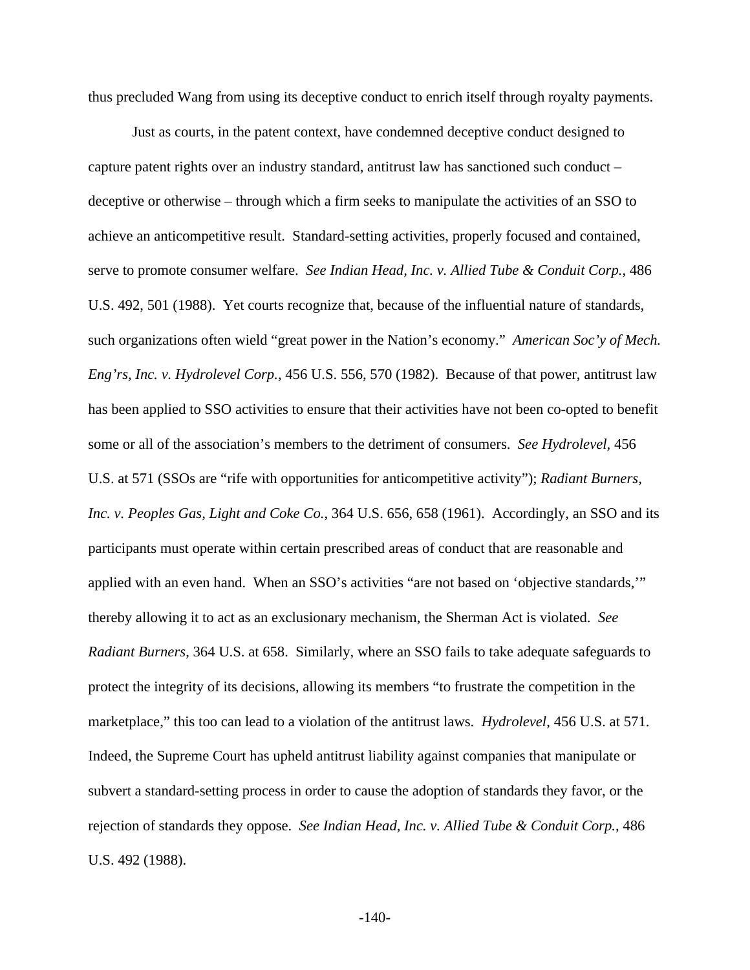thus precluded Wang from using its deceptive conduct to enrich itself through royalty payments.

Just as courts, in the patent context, have condemned deceptive conduct designed to capture patent rights over an industry standard, antitrust law has sanctioned such conduct – deceptive or otherwise – through which a firm seeks to manipulate the activities of an SSO to achieve an anticompetitive result. Standard-setting activities, properly focused and contained, serve to promote consumer welfare. *See Indian Head, Inc. v. Allied Tube & Conduit Corp.*, 486 U.S. 492, 501 (1988). Yet courts recognize that, because of the influential nature of standards, such organizations often wield "great power in the Nation's economy." *American Soc'y of Mech. Eng'rs, Inc. v. Hydrolevel Corp.*, 456 U.S. 556, 570 (1982). Because of that power, antitrust law has been applied to SSO activities to ensure that their activities have not been co-opted to benefit some or all of the association's members to the detriment of consumers. *See Hydrolevel,* 456 U.S. at 571 (SSOs are "rife with opportunities for anticompetitive activity"); *Radiant Burners, Inc. v. Peoples Gas, Light and Coke Co.*, 364 U.S. 656, 658 (1961). Accordingly, an SSO and its participants must operate within certain prescribed areas of conduct that are reasonable and applied with an even hand. When an SSO's activities "are not based on 'objective standards,'" thereby allowing it to act as an exclusionary mechanism, the Sherman Act is violated. *See Radiant Burners*, 364 U.S. at 658. Similarly, where an SSO fails to take adequate safeguards to protect the integrity of its decisions, allowing its members "to frustrate the competition in the marketplace," this too can lead to a violation of the antitrust laws. *Hydrolevel*, 456 U.S. at 571. Indeed, the Supreme Court has upheld antitrust liability against companies that manipulate or subvert a standard-setting process in order to cause the adoption of standards they favor, or the rejection of standards they oppose. *See Indian Head, Inc. v. Allied Tube & Conduit Corp.*, 486 U.S. 492 (1988).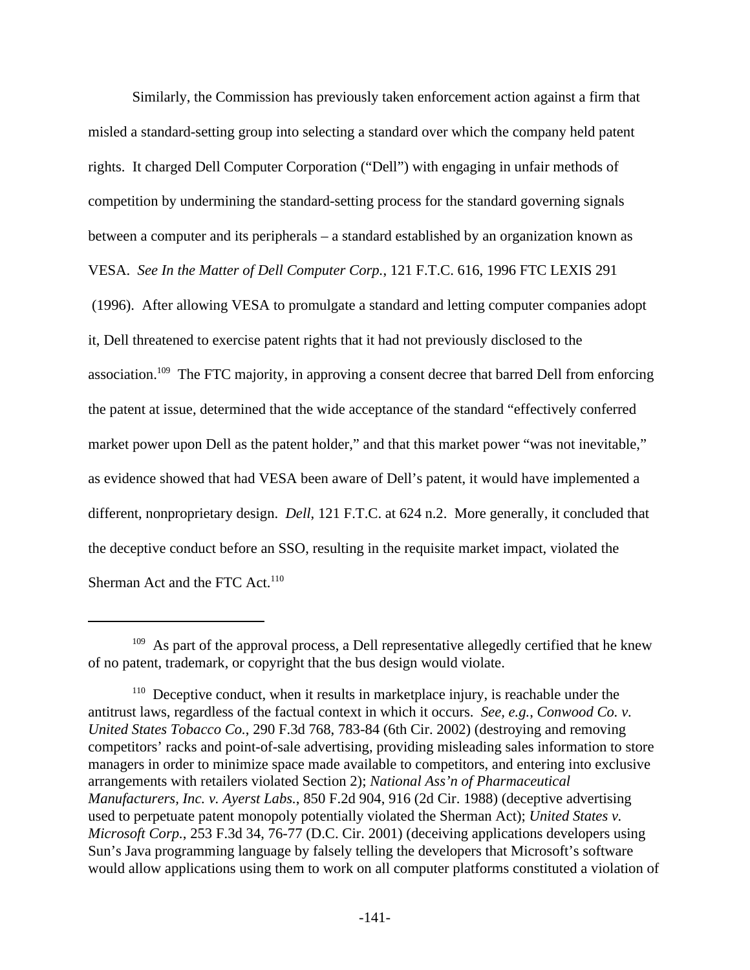Similarly, the Commission has previously taken enforcement action against a firm that misled a standard-setting group into selecting a standard over which the company held patent rights. It charged Dell Computer Corporation ("Dell") with engaging in unfair methods of competition by undermining the standard-setting process for the standard governing signals between a computer and its peripherals – a standard established by an organization known as VESA. *See In the Matter of Dell Computer Corp.*, 121 F.T.C. 616, 1996 FTC LEXIS 291 (1996). After allowing VESA to promulgate a standard and letting computer companies adopt it, Dell threatened to exercise patent rights that it had not previously disclosed to the association.<sup>109</sup> The FTC majority, in approving a consent decree that barred Dell from enforcing the patent at issue, determined that the wide acceptance of the standard "effectively conferred market power upon Dell as the patent holder," and that this market power "was not inevitable," as evidence showed that had VESA been aware of Dell's patent, it would have implemented a different, nonproprietary design. *Dell*, 121 F.T.C. at 624 n.2. More generally, it concluded that the deceptive conduct before an SSO, resulting in the requisite market impact, violated the Sherman Act and the FTC Act.<sup>110</sup>

 $109$  As part of the approval process, a Dell representative allegedly certified that he knew of no patent, trademark, or copyright that the bus design would violate.

<sup>&</sup>lt;sup>110</sup> Deceptive conduct, when it results in marketplace injury, is reachable under the antitrust laws, regardless of the factual context in which it occurs. *See, e.g.*, *Conwood Co. v. United States Tobacco Co.*, 290 F.3d 768, 783-84 (6th Cir. 2002) (destroying and removing competitors' racks and point-of-sale advertising, providing misleading sales information to store managers in order to minimize space made available to competitors, and entering into exclusive arrangements with retailers violated Section 2); *National Ass'n of Pharmaceutical Manufacturers, Inc. v. Ayerst Labs.*, 850 F.2d 904, 916 (2d Cir. 1988) (deceptive advertising used to perpetuate patent monopoly potentially violated the Sherman Act); *United States v. Microsoft Corp.*, 253 F.3d 34, 76-77 (D.C. Cir. 2001) (deceiving applications developers using Sun's Java programming language by falsely telling the developers that Microsoft's software would allow applications using them to work on all computer platforms constituted a violation of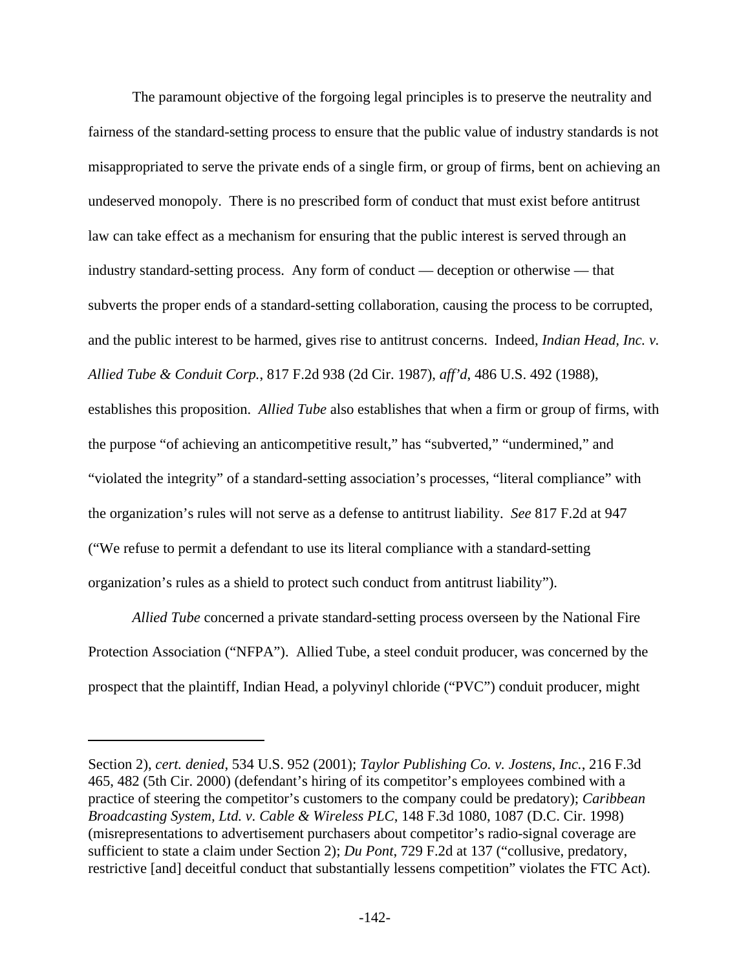The paramount objective of the forgoing legal principles is to preserve the neutrality and fairness of the standard-setting process to ensure that the public value of industry standards is not misappropriated to serve the private ends of a single firm, or group of firms, bent on achieving an undeserved monopoly. There is no prescribed form of conduct that must exist before antitrust law can take effect as a mechanism for ensuring that the public interest is served through an industry standard-setting process. Any form of conduct — deception or otherwise — that subverts the proper ends of a standard-setting collaboration, causing the process to be corrupted, and the public interest to be harmed, gives rise to antitrust concerns. Indeed, *Indian Head, Inc. v. Allied Tube & Conduit Corp.*, 817 F.2d 938 (2d Cir. 1987), *aff'd*, 486 U.S. 492 (1988), establishes this proposition. *Allied Tube* also establishes that when a firm or group of firms, with the purpose "of achieving an anticompetitive result," has "subverted," "undermined," and "violated the integrity" of a standard-setting association's processes, "literal compliance" with the organization's rules will not serve as a defense to antitrust liability. *See* 817 F.2d at 947 ("We refuse to permit a defendant to use its literal compliance with a standard-setting organization's rules as a shield to protect such conduct from antitrust liability").

*Allied Tube* concerned a private standard-setting process overseen by the National Fire Protection Association ("NFPA"). Allied Tube, a steel conduit producer, was concerned by the prospect that the plaintiff, Indian Head, a polyvinyl chloride ("PVC") conduit producer, might

Section 2), *cert. denied*, 534 U.S. 952 (2001); *Taylor Publishing Co. v. Jostens, Inc.*, 216 F.3d 465, 482 (5th Cir. 2000) (defendant's hiring of its competitor's employees combined with a practice of steering the competitor's customers to the company could be predatory); *Caribbean Broadcasting System, Ltd. v. Cable & Wireless PLC*, 148 F.3d 1080, 1087 (D.C. Cir. 1998) (misrepresentations to advertisement purchasers about competitor's radio-signal coverage are sufficient to state a claim under Section 2); *Du Pont*, 729 F.2d at 137 ("collusive, predatory, restrictive [and] deceitful conduct that substantially lessens competition" violates the FTC Act).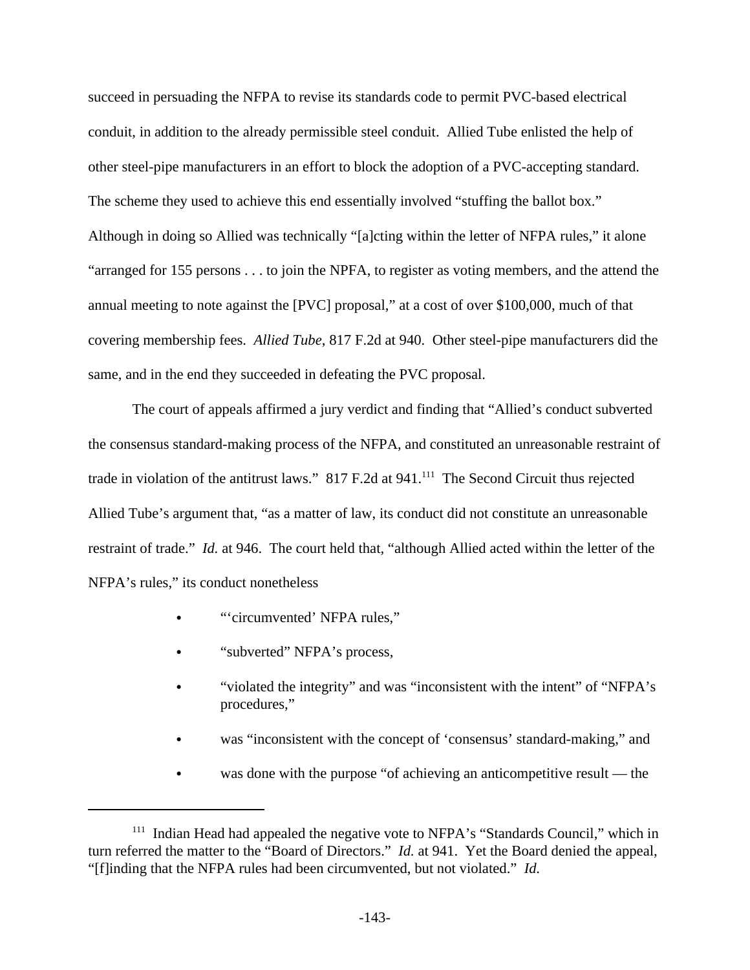succeed in persuading the NFPA to revise its standards code to permit PVC-based electrical conduit, in addition to the already permissible steel conduit. Allied Tube enlisted the help of other steel-pipe manufacturers in an effort to block the adoption of a PVC-accepting standard. The scheme they used to achieve this end essentially involved "stuffing the ballot box." Although in doing so Allied was technically "[a]cting within the letter of NFPA rules," it alone "arranged for 155 persons . . . to join the NPFA, to register as voting members, and the attend the annual meeting to note against the [PVC] proposal," at a cost of over \$100,000, much of that covering membership fees. *Allied Tube*, 817 F.2d at 940. Other steel-pipe manufacturers did the same, and in the end they succeeded in defeating the PVC proposal.

The court of appeals affirmed a jury verdict and finding that "Allied's conduct subverted the consensus standard-making process of the NFPA, and constituted an unreasonable restraint of trade in violation of the antitrust laws." 817 F.2d at 941.<sup>111</sup> The Second Circuit thus rejected Allied Tube's argument that, "as a matter of law, its conduct did not constitute an unreasonable restraint of trade." *Id.* at 946. The court held that, "although Allied acted within the letter of the NFPA's rules," its conduct nonetheless

- "circumvented' NFPA rules."
- "subverted" NFPA's process,
- "violated the integrity" and was "inconsistent with the intent" of "NFPA's procedures,"
- was "inconsistent with the concept of 'consensus' standard-making," and
- was done with the purpose "of achieving an anticompetitive result the

<sup>&</sup>lt;sup>111</sup> Indian Head had appealed the negative vote to NFPA's "Standards Council," which in turn referred the matter to the "Board of Directors." *Id.* at 941. Yet the Board denied the appeal, "[f]inding that the NFPA rules had been circumvented, but not violated." *Id.*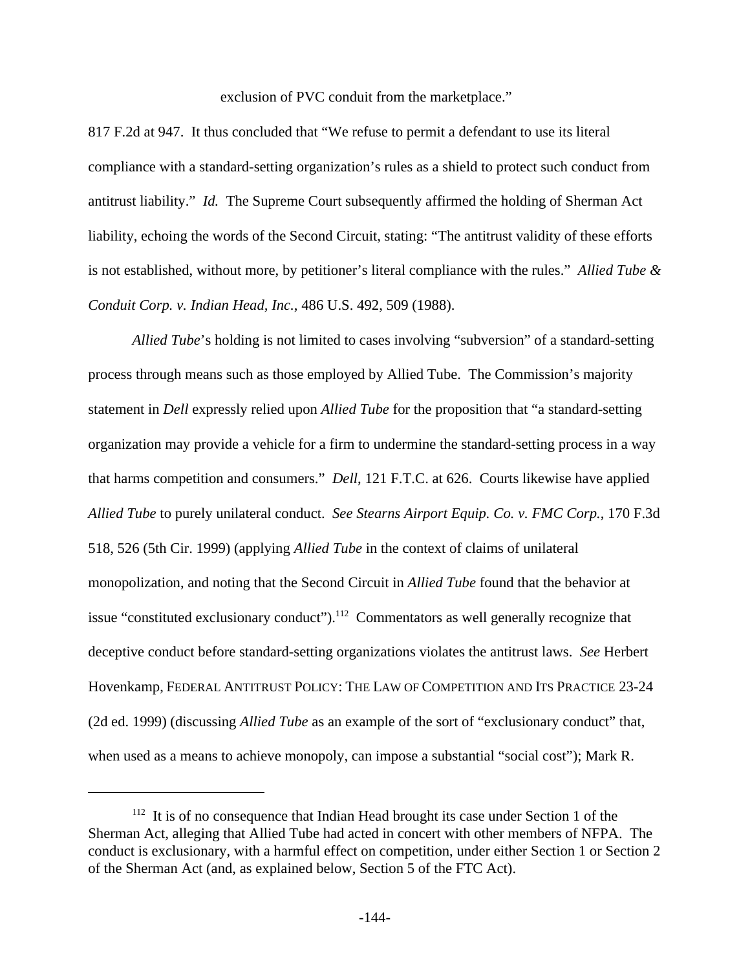exclusion of PVC conduit from the marketplace."

817 F.2d at 947. It thus concluded that "We refuse to permit a defendant to use its literal compliance with a standard-setting organization's rules as a shield to protect such conduct from antitrust liability." *Id.* The Supreme Court subsequently affirmed the holding of Sherman Act liability, echoing the words of the Second Circuit, stating: "The antitrust validity of these efforts is not established, without more, by petitioner's literal compliance with the rules." *Allied Tube & Conduit Corp. v. Indian Head, Inc.*, 486 U.S. 492, 509 (1988).

*Allied Tube*'s holding is not limited to cases involving "subversion" of a standard-setting process through means such as those employed by Allied Tube. The Commission's majority statement in *Dell* expressly relied upon *Allied Tube* for the proposition that "a standard-setting organization may provide a vehicle for a firm to undermine the standard-setting process in a way that harms competition and consumers." *Dell*, 121 F.T.C. at 626. Courts likewise have applied *Allied Tube* to purely unilateral conduct. *See Stearns Airport Equip. Co. v. FMC Corp.*, 170 F.3d 518, 526 (5th Cir. 1999) (applying *Allied Tube* in the context of claims of unilateral monopolization, and noting that the Second Circuit in *Allied Tube* found that the behavior at issue "constituted exclusionary conduct").<sup>112</sup> Commentators as well generally recognize that deceptive conduct before standard-setting organizations violates the antitrust laws. *See* Herbert Hovenkamp, FEDERAL ANTITRUST POLICY: THE LAW OF COMPETITION AND ITS PRACTICE 23-24 (2d ed. 1999) (discussing *Allied Tube* as an example of the sort of "exclusionary conduct" that, when used as a means to achieve monopoly, can impose a substantial "social cost"); Mark R.

<sup>&</sup>lt;sup>112</sup> It is of no consequence that Indian Head brought its case under Section 1 of the Sherman Act, alleging that Allied Tube had acted in concert with other members of NFPA. The conduct is exclusionary, with a harmful effect on competition, under either Section 1 or Section 2 of the Sherman Act (and, as explained below, Section 5 of the FTC Act).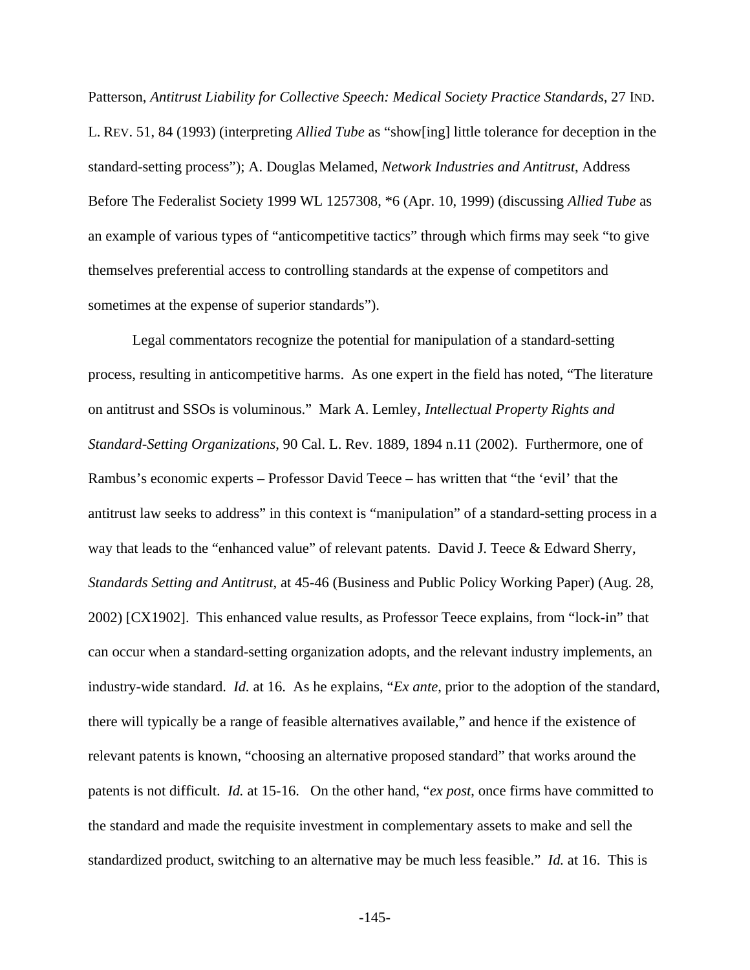Patterson, *Antitrust Liability for Collective Speech: Medical Society Practice Standards*, 27 IND. L. REV. 51, 84 (1993) (interpreting *Allied Tube* as "show[ing] little tolerance for deception in the standard-setting process"); A. Douglas Melamed, *Network Industries and Antitrust*, Address Before The Federalist Society 1999 WL 1257308, \*6 (Apr. 10, 1999) (discussing *Allied Tube* as an example of various types of "anticompetitive tactics" through which firms may seek "to give themselves preferential access to controlling standards at the expense of competitors and sometimes at the expense of superior standards").

Legal commentators recognize the potential for manipulation of a standard-setting process, resulting in anticompetitive harms. As one expert in the field has noted, "The literature on antitrust and SSOs is voluminous." Mark A. Lemley, *Intellectual Property Rights and Standard-Setting Organizations*, 90 Cal. L. Rev. 1889, 1894 n.11 (2002). Furthermore, one of Rambus's economic experts – Professor David Teece – has written that "the 'evil' that the antitrust law seeks to address" in this context is "manipulation" of a standard-setting process in a way that leads to the "enhanced value" of relevant patents. David J. Teece & Edward Sherry, *Standards Setting and Antitrust*, at 45-46 (Business and Public Policy Working Paper) (Aug. 28, 2002) [CX1902]. This enhanced value results, as Professor Teece explains, from "lock-in" that can occur when a standard-setting organization adopts, and the relevant industry implements, an industry-wide standard. *Id.* at 16. As he explains, "*Ex ante*, prior to the adoption of the standard, there will typically be a range of feasible alternatives available," and hence if the existence of relevant patents is known, "choosing an alternative proposed standard" that works around the patents is not difficult. *Id.* at 15-16. On the other hand, "*ex post*, once firms have committed to the standard and made the requisite investment in complementary assets to make and sell the standardized product, switching to an alternative may be much less feasible." *Id.* at 16. This is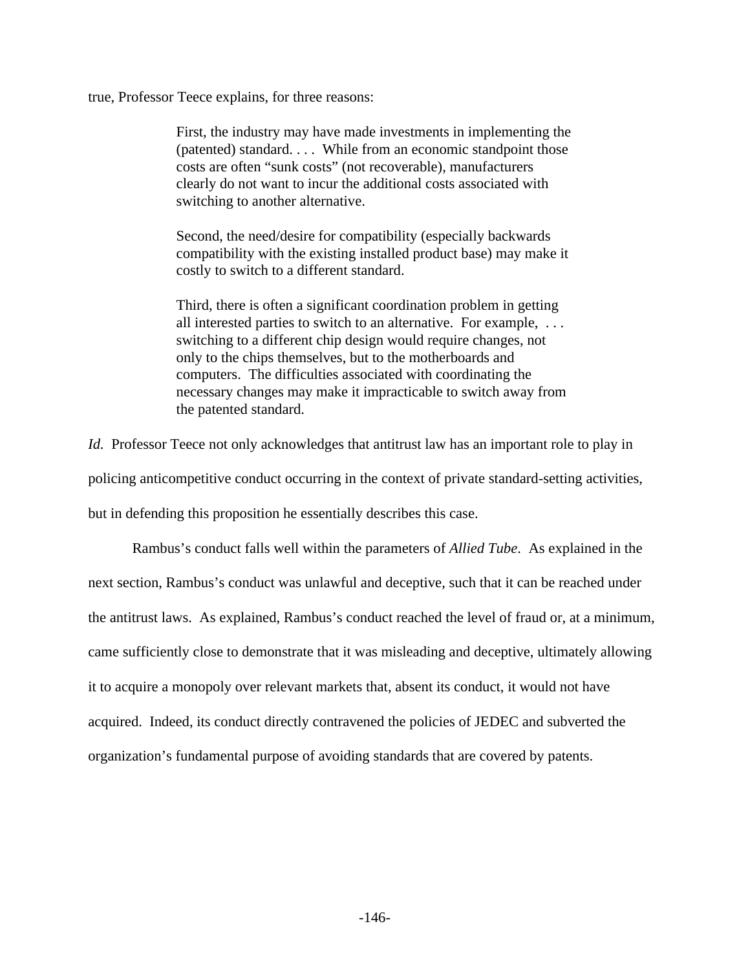true, Professor Teece explains, for three reasons:

First, the industry may have made investments in implementing the (patented) standard. . . . While from an economic standpoint those costs are often "sunk costs" (not recoverable), manufacturers clearly do not want to incur the additional costs associated with switching to another alternative.

Second, the need/desire for compatibility (especially backwards compatibility with the existing installed product base) may make it costly to switch to a different standard.

Third, there is often a significant coordination problem in getting all interested parties to switch to an alternative. For example, . . . switching to a different chip design would require changes, not only to the chips themselves, but to the motherboards and computers. The difficulties associated with coordinating the necessary changes may make it impracticable to switch away from the patented standard.

*Id.* Professor Teece not only acknowledges that antitrust law has an important role to play in policing anticompetitive conduct occurring in the context of private standard-setting activities, but in defending this proposition he essentially describes this case.

Rambus's conduct falls well within the parameters of *Allied Tube*. As explained in the next section, Rambus's conduct was unlawful and deceptive, such that it can be reached under the antitrust laws. As explained, Rambus's conduct reached the level of fraud or, at a minimum, came sufficiently close to demonstrate that it was misleading and deceptive, ultimately allowing it to acquire a monopoly over relevant markets that, absent its conduct, it would not have acquired. Indeed, its conduct directly contravened the policies of JEDEC and subverted the organization's fundamental purpose of avoiding standards that are covered by patents.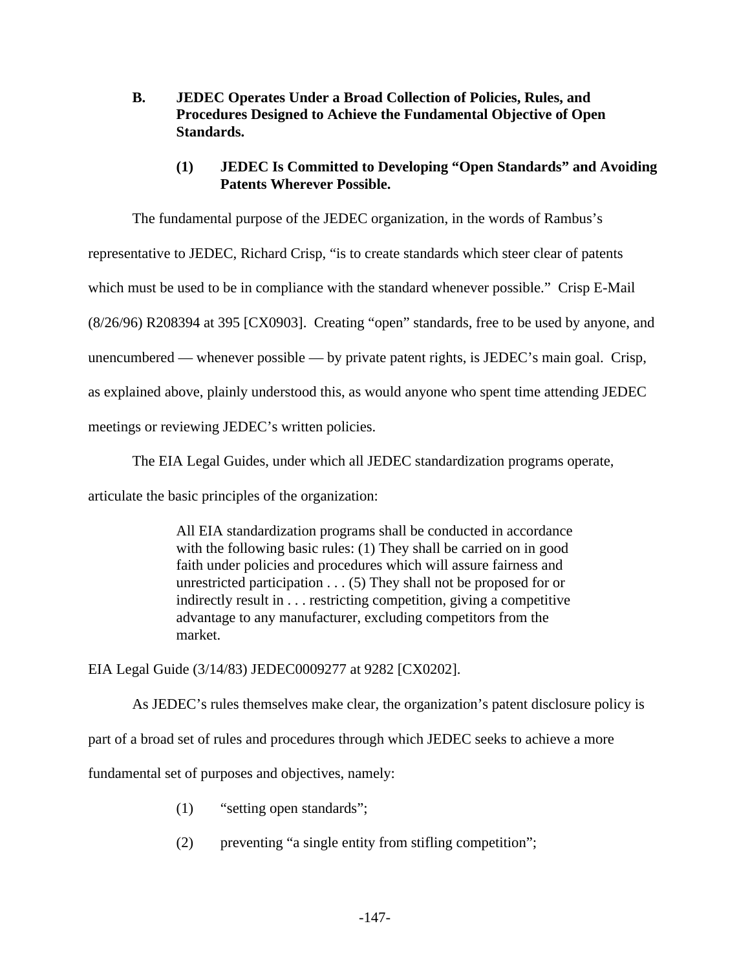- **B. JEDEC Operates Under a Broad Collection of Policies, Rules, and Procedures Designed to Achieve the Fundamental Objective of Open Standards.**
	- **(1) JEDEC Is Committed to Developing "Open Standards" and Avoiding Patents Wherever Possible.**

The fundamental purpose of the JEDEC organization, in the words of Rambus's representative to JEDEC, Richard Crisp, "is to create standards which steer clear of patents which must be used to be in compliance with the standard whenever possible." Crisp E-Mail (8/26/96) R208394 at 395 [CX0903]. Creating "open" standards, free to be used by anyone, and unencumbered — whenever possible — by private patent rights, is JEDEC's main goal. Crisp, as explained above, plainly understood this, as would anyone who spent time attending JEDEC meetings or reviewing JEDEC's written policies.

The EIA Legal Guides, under which all JEDEC standardization programs operate,

articulate the basic principles of the organization:

All EIA standardization programs shall be conducted in accordance with the following basic rules: (1) They shall be carried on in good faith under policies and procedures which will assure fairness and unrestricted participation . . . (5) They shall not be proposed for or indirectly result in . . . restricting competition, giving a competitive advantage to any manufacturer, excluding competitors from the market.

EIA Legal Guide (3/14/83) JEDEC0009277 at 9282 [CX0202].

As JEDEC's rules themselves make clear, the organization's patent disclosure policy is

part of a broad set of rules and procedures through which JEDEC seeks to achieve a more

fundamental set of purposes and objectives, namely:

- (1) "setting open standards";
- (2) preventing "a single entity from stifling competition";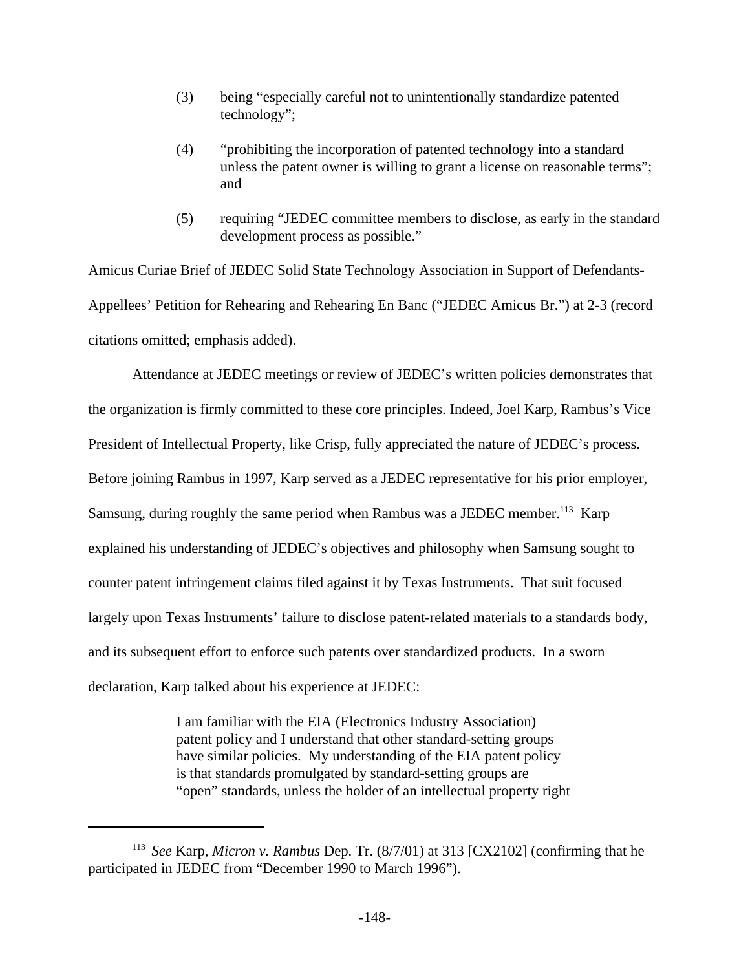- (3) being "especially careful not to unintentionally standardize patented technology";
- (4) "prohibiting the incorporation of patented technology into a standard unless the patent owner is willing to grant a license on reasonable terms"; and
- (5) requiring "JEDEC committee members to disclose, as early in the standard development process as possible."

Amicus Curiae Brief of JEDEC Solid State Technology Association in Support of Defendants-Appellees' Petition for Rehearing and Rehearing En Banc ("JEDEC Amicus Br.") at 2-3 (record citations omitted; emphasis added).

Attendance at JEDEC meetings or review of JEDEC's written policies demonstrates that the organization is firmly committed to these core principles. Indeed, Joel Karp, Rambus's Vice President of Intellectual Property, like Crisp, fully appreciated the nature of JEDEC's process. Before joining Rambus in 1997, Karp served as a JEDEC representative for his prior employer, Samsung, during roughly the same period when Rambus was a JEDEC member.<sup>113</sup> Karp explained his understanding of JEDEC's objectives and philosophy when Samsung sought to counter patent infringement claims filed against it by Texas Instruments. That suit focused largely upon Texas Instruments' failure to disclose patent-related materials to a standards body, and its subsequent effort to enforce such patents over standardized products. In a sworn declaration, Karp talked about his experience at JEDEC:

> I am familiar with the EIA (Electronics Industry Association) patent policy and I understand that other standard-setting groups have similar policies. My understanding of the EIA patent policy is that standards promulgated by standard-setting groups are "open" standards, unless the holder of an intellectual property right

<sup>113</sup> *See* Karp, *Micron v. Rambus* Dep. Tr. (8/7/01) at 313 [CX2102] (confirming that he participated in JEDEC from "December 1990 to March 1996").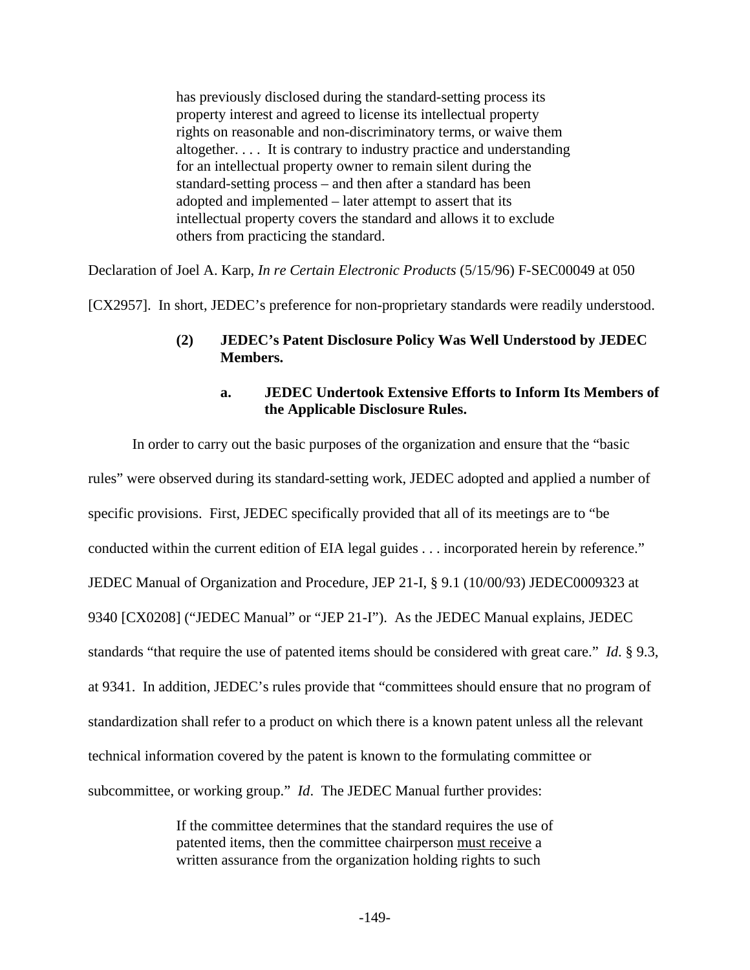has previously disclosed during the standard-setting process its property interest and agreed to license its intellectual property rights on reasonable and non-discriminatory terms, or waive them altogether. . . . It is contrary to industry practice and understanding for an intellectual property owner to remain silent during the standard-setting process – and then after a standard has been adopted and implemented – later attempt to assert that its intellectual property covers the standard and allows it to exclude others from practicing the standard.

Declaration of Joel A. Karp, *In re Certain Electronic Products* (5/15/96) F-SEC00049 at 050

[CX2957]. In short, JEDEC's preference for non-proprietary standards were readily understood.

## **(2) JEDEC's Patent Disclosure Policy Was Well Understood by JEDEC Members.**

## **a. JEDEC Undertook Extensive Efforts to Inform Its Members of the Applicable Disclosure Rules.**

In order to carry out the basic purposes of the organization and ensure that the "basic rules" were observed during its standard-setting work, JEDEC adopted and applied a number of specific provisions. First, JEDEC specifically provided that all of its meetings are to "be conducted within the current edition of EIA legal guides . . . incorporated herein by reference." JEDEC Manual of Organization and Procedure, JEP 21-I, § 9.1 (10/00/93) JEDEC0009323 at 9340 [CX0208] ("JEDEC Manual" or "JEP 21-I"). As the JEDEC Manual explains, JEDEC standards "that require the use of patented items should be considered with great care." *Id*. § 9.3, at 9341. In addition, JEDEC's rules provide that "committees should ensure that no program of standardization shall refer to a product on which there is a known patent unless all the relevant technical information covered by the patent is known to the formulating committee or subcommittee, or working group." *Id*. The JEDEC Manual further provides:

> If the committee determines that the standard requires the use of patented items, then the committee chairperson must receive a written assurance from the organization holding rights to such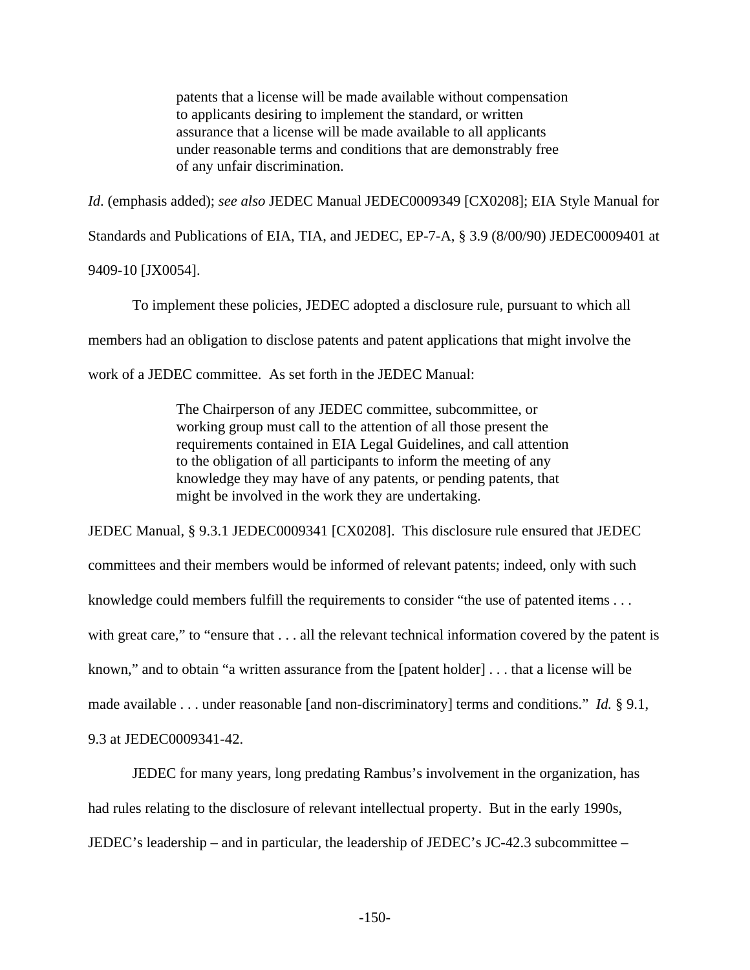patents that a license will be made available without compensation to applicants desiring to implement the standard, or written assurance that a license will be made available to all applicants under reasonable terms and conditions that are demonstrably free of any unfair discrimination.

*Id*. (emphasis added); *see also* JEDEC Manual JEDEC0009349 [CX0208]; EIA Style Manual for Standards and Publications of EIA, TIA, and JEDEC, EP-7-A, § 3.9 (8/00/90) JEDEC0009401 at 9409-10 [JX0054].

To implement these policies, JEDEC adopted a disclosure rule, pursuant to which all members had an obligation to disclose patents and patent applications that might involve the work of a JEDEC committee. As set forth in the JEDEC Manual:

> The Chairperson of any JEDEC committee, subcommittee, or working group must call to the attention of all those present the requirements contained in EIA Legal Guidelines, and call attention to the obligation of all participants to inform the meeting of any knowledge they may have of any patents, or pending patents, that might be involved in the work they are undertaking.

JEDEC Manual, § 9.3.1 JEDEC0009341 [CX0208]. This disclosure rule ensured that JEDEC committees and their members would be informed of relevant patents; indeed, only with such knowledge could members fulfill the requirements to consider "the use of patented items . . . with great care," to "ensure that . . . all the relevant technical information covered by the patent is known," and to obtain "a written assurance from the [patent holder] . . . that a license will be made available . . . under reasonable [and non-discriminatory] terms and conditions." *Id.* § 9.1, 9.3 at JEDEC0009341-42.

JEDEC for many years, long predating Rambus's involvement in the organization, has had rules relating to the disclosure of relevant intellectual property. But in the early 1990s, JEDEC's leadership – and in particular, the leadership of JEDEC's JC-42.3 subcommittee –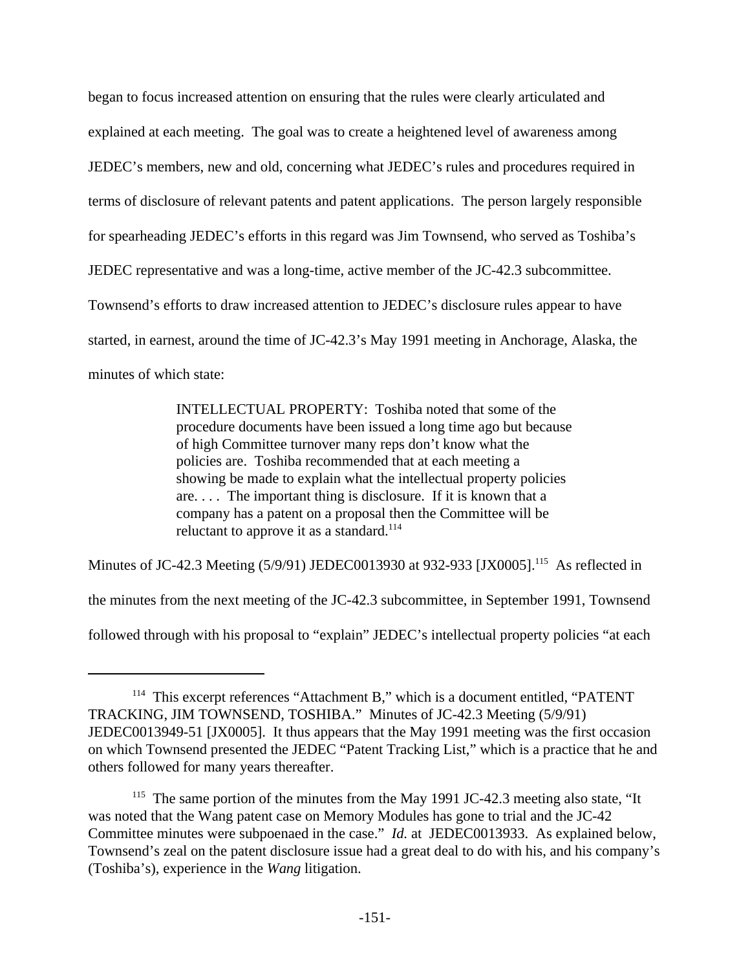began to focus increased attention on ensuring that the rules were clearly articulated and explained at each meeting. The goal was to create a heightened level of awareness among JEDEC's members, new and old, concerning what JEDEC's rules and procedures required in terms of disclosure of relevant patents and patent applications. The person largely responsible for spearheading JEDEC's efforts in this regard was Jim Townsend, who served as Toshiba's JEDEC representative and was a long-time, active member of the JC-42.3 subcommittee. Townsend's efforts to draw increased attention to JEDEC's disclosure rules appear to have started, in earnest, around the time of JC-42.3's May 1991 meeting in Anchorage, Alaska, the minutes of which state:

> INTELLECTUAL PROPERTY: Toshiba noted that some of the procedure documents have been issued a long time ago but because of high Committee turnover many reps don't know what the policies are. Toshiba recommended that at each meeting a showing be made to explain what the intellectual property policies are. . . . The important thing is disclosure. If it is known that a company has a patent on a proposal then the Committee will be reluctant to approve it as a standard.<sup>114</sup>

Minutes of JC-42.3 Meeting (5/9/91) JEDEC0013930 at 932-933 [JX0005].<sup>115</sup> As reflected in the minutes from the next meeting of the JC-42.3 subcommittee, in September 1991, Townsend followed through with his proposal to "explain" JEDEC's intellectual property policies "at each

<sup>&</sup>lt;sup>114</sup> This excerpt references "Attachment B," which is a document entitled, "PATENT TRACKING, JIM TOWNSEND, TOSHIBA." Minutes of JC-42.3 Meeting (5/9/91) JEDEC0013949-51 [JX0005]. It thus appears that the May 1991 meeting was the first occasion on which Townsend presented the JEDEC "Patent Tracking List," which is a practice that he and others followed for many years thereafter.

<sup>&</sup>lt;sup>115</sup> The same portion of the minutes from the May 1991 JC-42.3 meeting also state, "It was noted that the Wang patent case on Memory Modules has gone to trial and the JC-42 Committee minutes were subpoenaed in the case." *Id.* at JEDEC0013933. As explained below, Townsend's zeal on the patent disclosure issue had a great deal to do with his, and his company's (Toshiba's), experience in the *Wang* litigation.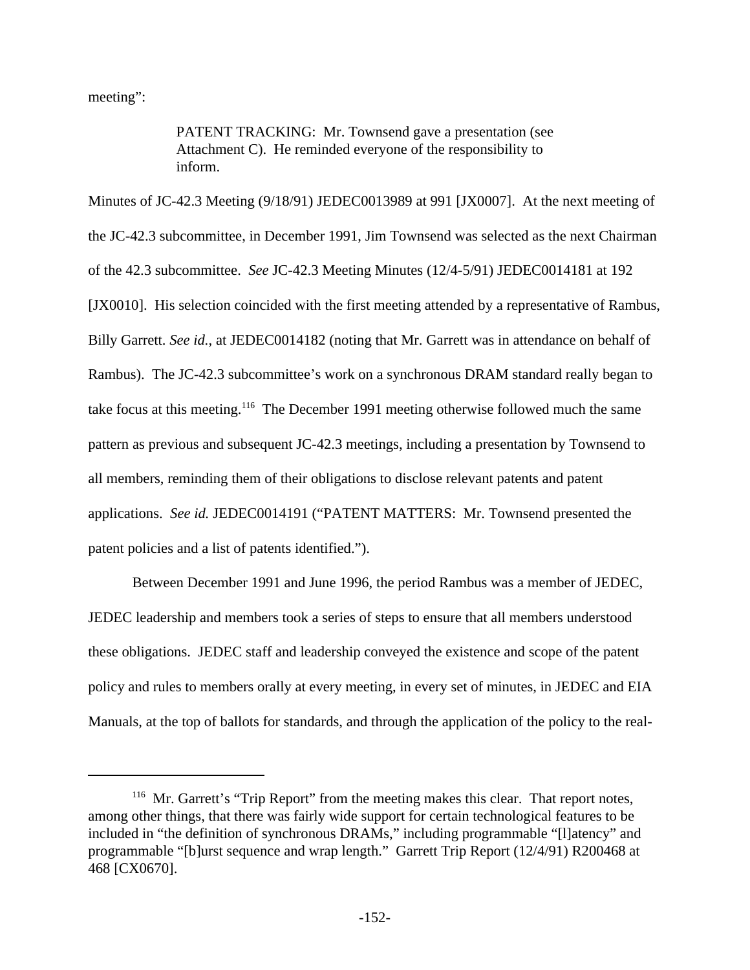meeting":

PATENT TRACKING: Mr. Townsend gave a presentation (see Attachment C). He reminded everyone of the responsibility to inform.

Minutes of JC-42.3 Meeting (9/18/91) JEDEC0013989 at 991 [JX0007]. At the next meeting of the JC-42.3 subcommittee, in December 1991, Jim Townsend was selected as the next Chairman of the 42.3 subcommittee. *See* JC-42.3 Meeting Minutes (12/4-5/91) JEDEC0014181 at 192 [JX0010]. His selection coincided with the first meeting attended by a representative of Rambus, Billy Garrett. *See id.*, at JEDEC0014182 (noting that Mr. Garrett was in attendance on behalf of Rambus). The JC-42.3 subcommittee's work on a synchronous DRAM standard really began to take focus at this meeting.<sup>116</sup> The December 1991 meeting otherwise followed much the same pattern as previous and subsequent JC-42.3 meetings, including a presentation by Townsend to all members, reminding them of their obligations to disclose relevant patents and patent applications. *See id.* JEDEC0014191 ("PATENT MATTERS: Mr. Townsend presented the patent policies and a list of patents identified.").

Between December 1991 and June 1996, the period Rambus was a member of JEDEC, JEDEC leadership and members took a series of steps to ensure that all members understood these obligations. JEDEC staff and leadership conveyed the existence and scope of the patent policy and rules to members orally at every meeting, in every set of minutes, in JEDEC and EIA Manuals, at the top of ballots for standards, and through the application of the policy to the real-

<sup>&</sup>lt;sup>116</sup> Mr. Garrett's "Trip Report" from the meeting makes this clear. That report notes, among other things, that there was fairly wide support for certain technological features to be included in "the definition of synchronous DRAMs," including programmable "[l]atency" and programmable "[b]urst sequence and wrap length." Garrett Trip Report (12/4/91) R200468 at 468 [CX0670].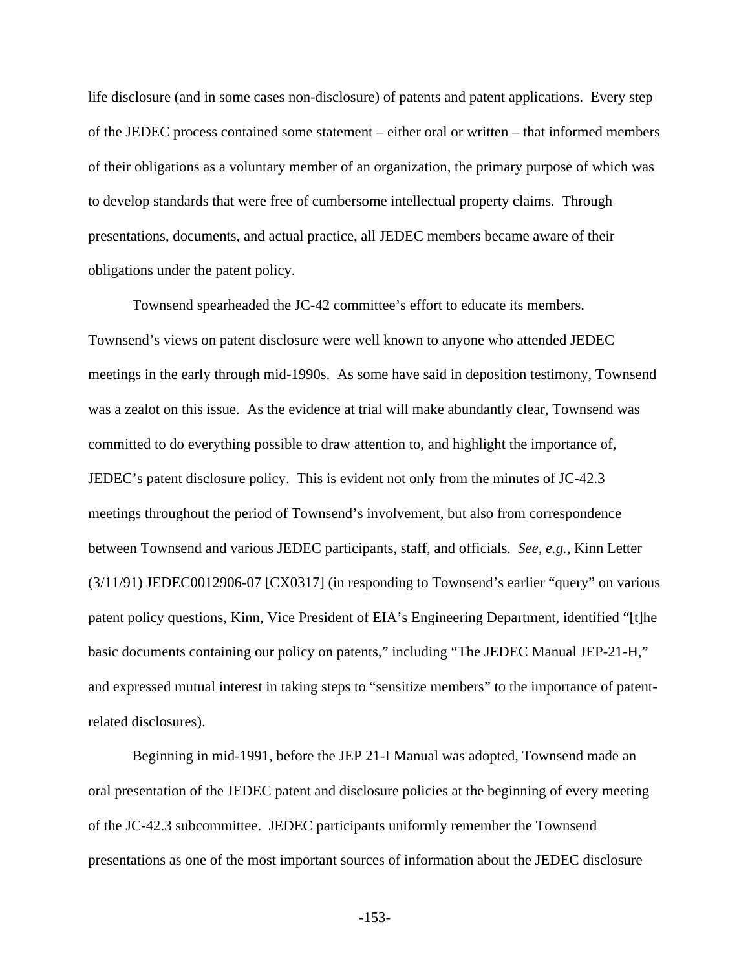life disclosure (and in some cases non-disclosure) of patents and patent applications. Every step of the JEDEC process contained some statement – either oral or written – that informed members of their obligations as a voluntary member of an organization, the primary purpose of which was to develop standards that were free of cumbersome intellectual property claims. Through presentations, documents, and actual practice, all JEDEC members became aware of their obligations under the patent policy.

Townsend spearheaded the JC-42 committee's effort to educate its members. Townsend's views on patent disclosure were well known to anyone who attended JEDEC meetings in the early through mid-1990s. As some have said in deposition testimony, Townsend was a zealot on this issue. As the evidence at trial will make abundantly clear, Townsend was committed to do everything possible to draw attention to, and highlight the importance of, JEDEC's patent disclosure policy. This is evident not only from the minutes of JC-42.3 meetings throughout the period of Townsend's involvement, but also from correspondence between Townsend and various JEDEC participants, staff, and officials. *See, e.g.*, Kinn Letter (3/11/91) JEDEC0012906-07 [CX0317] (in responding to Townsend's earlier "query" on various patent policy questions, Kinn, Vice President of EIA's Engineering Department, identified "[t]he basic documents containing our policy on patents," including "The JEDEC Manual JEP-21-H," and expressed mutual interest in taking steps to "sensitize members" to the importance of patentrelated disclosures).

Beginning in mid-1991, before the JEP 21-I Manual was adopted, Townsend made an oral presentation of the JEDEC patent and disclosure policies at the beginning of every meeting of the JC-42.3 subcommittee. JEDEC participants uniformly remember the Townsend presentations as one of the most important sources of information about the JEDEC disclosure

-153-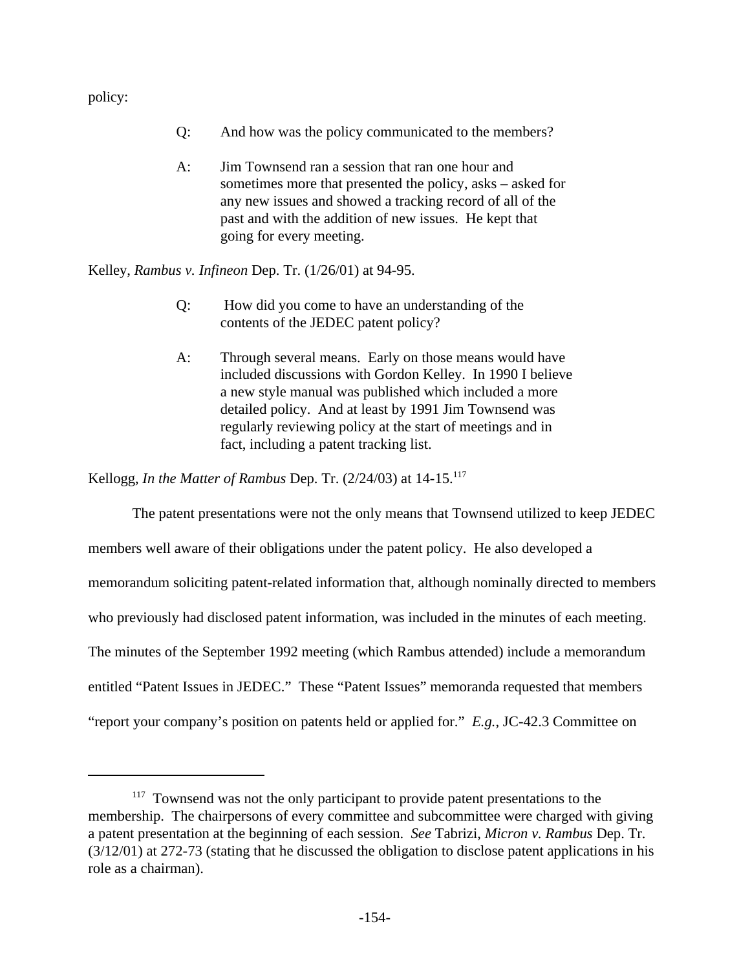policy:

- Q: And how was the policy communicated to the members?
- A: Jim Townsend ran a session that ran one hour and sometimes more that presented the policy, asks – asked for any new issues and showed a tracking record of all of the past and with the addition of new issues. He kept that going for every meeting.

Kelley, *Rambus v. Infineon* Dep. Tr. (1/26/01) at 94-95.

- Q: How did you come to have an understanding of the contents of the JEDEC patent policy?
- A: Through several means. Early on those means would have included discussions with Gordon Kelley. In 1990 I believe a new style manual was published which included a more detailed policy. And at least by 1991 Jim Townsend was regularly reviewing policy at the start of meetings and in fact, including a patent tracking list.

Kellogg, *In the Matter of Rambus* Dep. Tr. (2/24/03) at 14-15.<sup>117</sup>

The patent presentations were not the only means that Townsend utilized to keep JEDEC members well aware of their obligations under the patent policy. He also developed a memorandum soliciting patent-related information that, although nominally directed to members who previously had disclosed patent information, was included in the minutes of each meeting. The minutes of the September 1992 meeting (which Rambus attended) include a memorandum entitled "Patent Issues in JEDEC." These "Patent Issues" memoranda requested that members "report your company's position on patents held or applied for." *E.g.*, JC-42.3 Committee on

<sup>&</sup>lt;sup>117</sup> Townsend was not the only participant to provide patent presentations to the membership. The chairpersons of every committee and subcommittee were charged with giving a patent presentation at the beginning of each session. *See* Tabrizi, *Micron v. Rambus* Dep. Tr. (3/12/01) at 272-73 (stating that he discussed the obligation to disclose patent applications in his role as a chairman).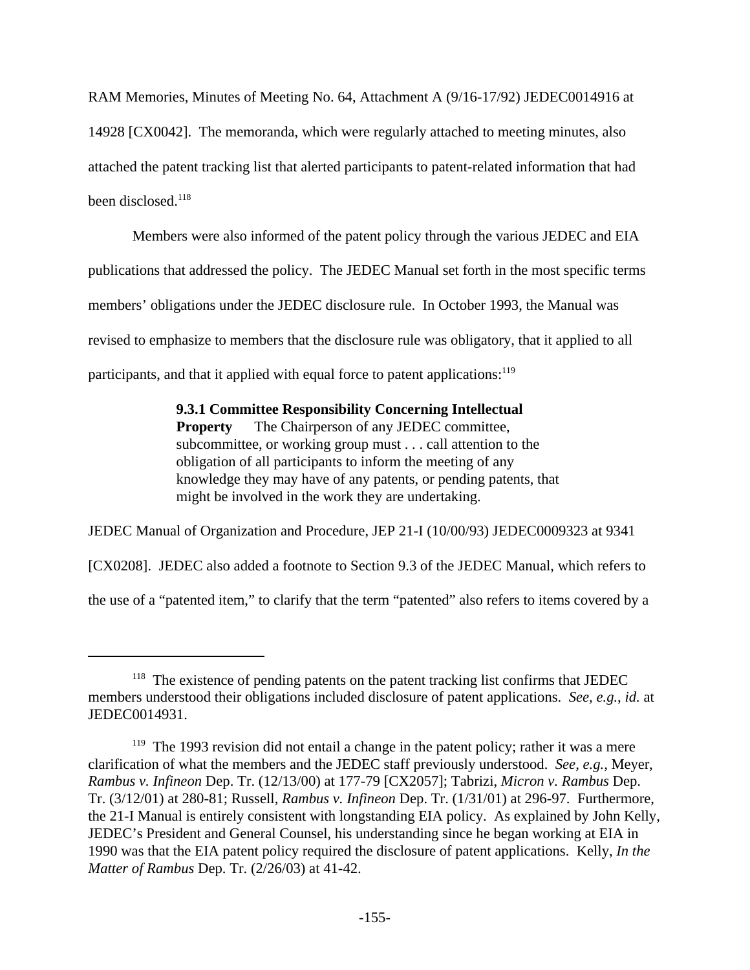RAM Memories, Minutes of Meeting No. 64, Attachment A (9/16-17/92) JEDEC0014916 at 14928 [CX0042]. The memoranda, which were regularly attached to meeting minutes, also attached the patent tracking list that alerted participants to patent-related information that had been disclosed.<sup>118</sup>

Members were also informed of the patent policy through the various JEDEC and EIA publications that addressed the policy. The JEDEC Manual set forth in the most specific terms members' obligations under the JEDEC disclosure rule. In October 1993, the Manual was revised to emphasize to members that the disclosure rule was obligatory, that it applied to all participants, and that it applied with equal force to patent applications:<sup>119</sup>

> **9.3.1 Committee Responsibility Concerning Intellectual Property** The Chairperson of any JEDEC committee, subcommittee, or working group must . . . call attention to the obligation of all participants to inform the meeting of any knowledge they may have of any patents, or pending patents, that might be involved in the work they are undertaking.

JEDEC Manual of Organization and Procedure, JEP 21-I (10/00/93) JEDEC0009323 at 9341

[CX0208]. JEDEC also added a footnote to Section 9.3 of the JEDEC Manual, which refers to

the use of a "patented item," to clarify that the term "patented" also refers to items covered by a

<sup>&</sup>lt;sup>118</sup> The existence of pending patents on the patent tracking list confirms that JEDEC members understood their obligations included disclosure of patent applications. *See, e.g.*, *id.* at JEDEC0014931.

<sup>&</sup>lt;sup>119</sup> The 1993 revision did not entail a change in the patent policy; rather it was a mere clarification of what the members and the JEDEC staff previously understood. *See, e.g.*, Meyer, *Rambus v. Infineon* Dep. Tr. (12/13/00) at 177-79 [CX2057]; Tabrizi, *Micron v. Rambus* Dep. Tr. (3/12/01) at 280-81; Russell, *Rambus v. Infineon* Dep. Tr. (1/31/01) at 296-97. Furthermore, the 21-I Manual is entirely consistent with longstanding EIA policy. As explained by John Kelly, JEDEC's President and General Counsel, his understanding since he began working at EIA in 1990 was that the EIA patent policy required the disclosure of patent applications. Kelly, *In the Matter of Rambus* Dep. Tr. (2/26/03) at 41-42.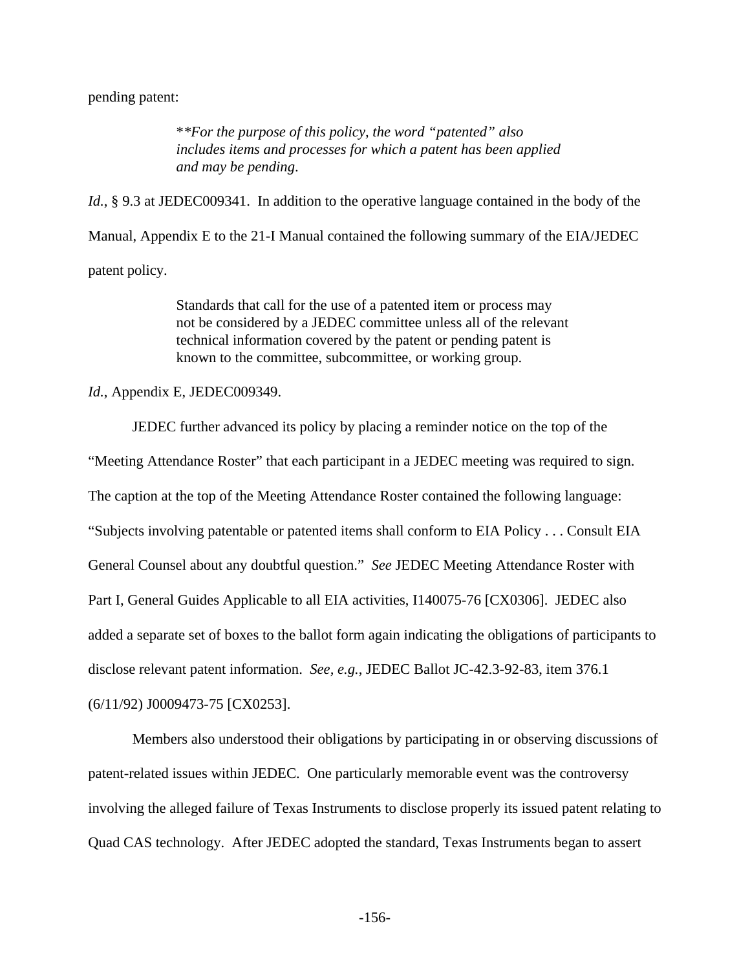pending patent:

\**\*For the purpose of this policy, the word "patented" also includes items and processes for which a patent has been applied and may be pending*.

*Id.*, § 9.3 at JEDEC009341. In addition to the operative language contained in the body of the Manual, Appendix E to the 21-I Manual contained the following summary of the EIA/JEDEC patent policy.

> Standards that call for the use of a patented item or process may not be considered by a JEDEC committee unless all of the relevant technical information covered by the patent or pending patent is known to the committee, subcommittee, or working group.

*Id.*, Appendix E, JEDEC009349.

JEDEC further advanced its policy by placing a reminder notice on the top of the

"Meeting Attendance Roster" that each participant in a JEDEC meeting was required to sign. The caption at the top of the Meeting Attendance Roster contained the following language: "Subjects involving patentable or patented items shall conform to EIA Policy . . . Consult EIA General Counsel about any doubtful question." *See* JEDEC Meeting Attendance Roster with Part I, General Guides Applicable to all EIA activities, I140075-76 [CX0306]. JEDEC also added a separate set of boxes to the ballot form again indicating the obligations of participants to disclose relevant patent information. *See, e.g.*, JEDEC Ballot JC-42.3-92-83, item 376.1 (6/11/92) J0009473-75 [CX0253].

Members also understood their obligations by participating in or observing discussions of patent-related issues within JEDEC. One particularly memorable event was the controversy involving the alleged failure of Texas Instruments to disclose properly its issued patent relating to Quad CAS technology. After JEDEC adopted the standard, Texas Instruments began to assert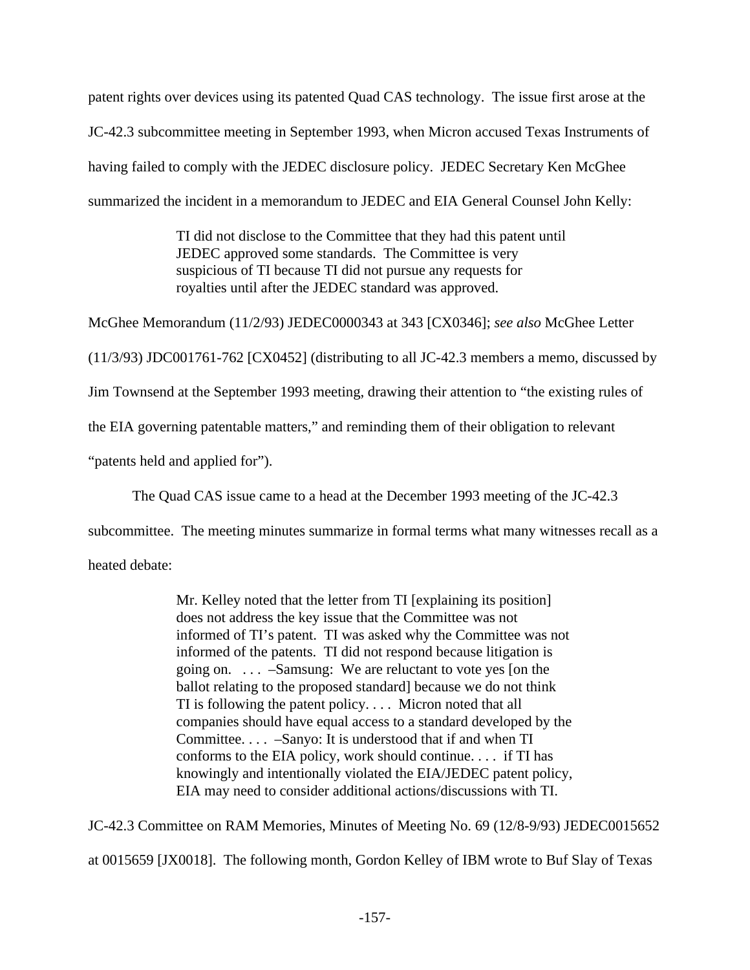patent rights over devices using its patented Quad CAS technology. The issue first arose at the JC-42.3 subcommittee meeting in September 1993, when Micron accused Texas Instruments of having failed to comply with the JEDEC disclosure policy. JEDEC Secretary Ken McGhee summarized the incident in a memorandum to JEDEC and EIA General Counsel John Kelly:

> TI did not disclose to the Committee that they had this patent until JEDEC approved some standards. The Committee is very suspicious of TI because TI did not pursue any requests for royalties until after the JEDEC standard was approved.

McGhee Memorandum (11/2/93) JEDEC0000343 at 343 [CX0346]; *see also* McGhee Letter

(11/3/93) JDC001761-762 [CX0452] (distributing to all JC-42.3 members a memo, discussed by

Jim Townsend at the September 1993 meeting, drawing their attention to "the existing rules of

the EIA governing patentable matters," and reminding them of their obligation to relevant

"patents held and applied for").

The Quad CAS issue came to a head at the December 1993 meeting of the JC-42.3

subcommittee. The meeting minutes summarize in formal terms what many witnesses recall as a

heated debate:

Mr. Kelley noted that the letter from TI [explaining its position] does not address the key issue that the Committee was not informed of TI's patent. TI was asked why the Committee was not informed of the patents. TI did not respond because litigation is going on. . . . –Samsung: We are reluctant to vote yes [on the ballot relating to the proposed standard] because we do not think TI is following the patent policy. . . . Micron noted that all companies should have equal access to a standard developed by the Committee. . . . –Sanyo: It is understood that if and when TI conforms to the EIA policy, work should continue. . . . if TI has knowingly and intentionally violated the EIA/JEDEC patent policy, EIA may need to consider additional actions/discussions with TI.

JC-42.3 Committee on RAM Memories, Minutes of Meeting No. 69 (12/8-9/93) JEDEC0015652

at 0015659 [JX0018]. The following month, Gordon Kelley of IBM wrote to Buf Slay of Texas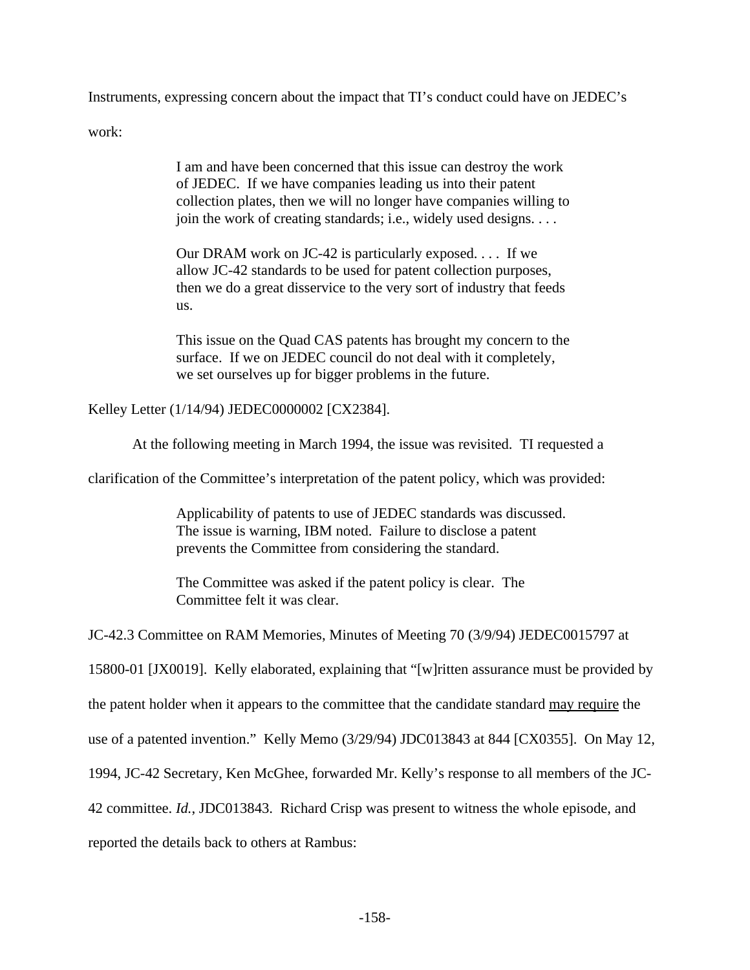Instruments, expressing concern about the impact that TI's conduct could have on JEDEC's

work:

I am and have been concerned that this issue can destroy the work of JEDEC. If we have companies leading us into their patent collection plates, then we will no longer have companies willing to join the work of creating standards; i.e., widely used designs. . . .

Our DRAM work on JC-42 is particularly exposed. . . . If we allow JC-42 standards to be used for patent collection purposes, then we do a great disservice to the very sort of industry that feeds us.

This issue on the Quad CAS patents has brought my concern to the surface. If we on JEDEC council do not deal with it completely, we set ourselves up for bigger problems in the future.

Kelley Letter (1/14/94) JEDEC0000002 [CX2384].

At the following meeting in March 1994, the issue was revisited. TI requested a

clarification of the Committee's interpretation of the patent policy, which was provided:

Applicability of patents to use of JEDEC standards was discussed. The issue is warning, IBM noted. Failure to disclose a patent prevents the Committee from considering the standard.

The Committee was asked if the patent policy is clear. The Committee felt it was clear.

JC-42.3 Committee on RAM Memories, Minutes of Meeting 70 (3/9/94) JEDEC0015797 at

15800-01 [JX0019]. Kelly elaborated, explaining that "[w]ritten assurance must be provided by

the patent holder when it appears to the committee that the candidate standard may require the

use of a patented invention." Kelly Memo (3/29/94) JDC013843 at 844 [CX0355]. On May 12,

1994, JC-42 Secretary, Ken McGhee, forwarded Mr. Kelly's response to all members of the JC-

42 committee. *Id.*, JDC013843. Richard Crisp was present to witness the whole episode, and

reported the details back to others at Rambus: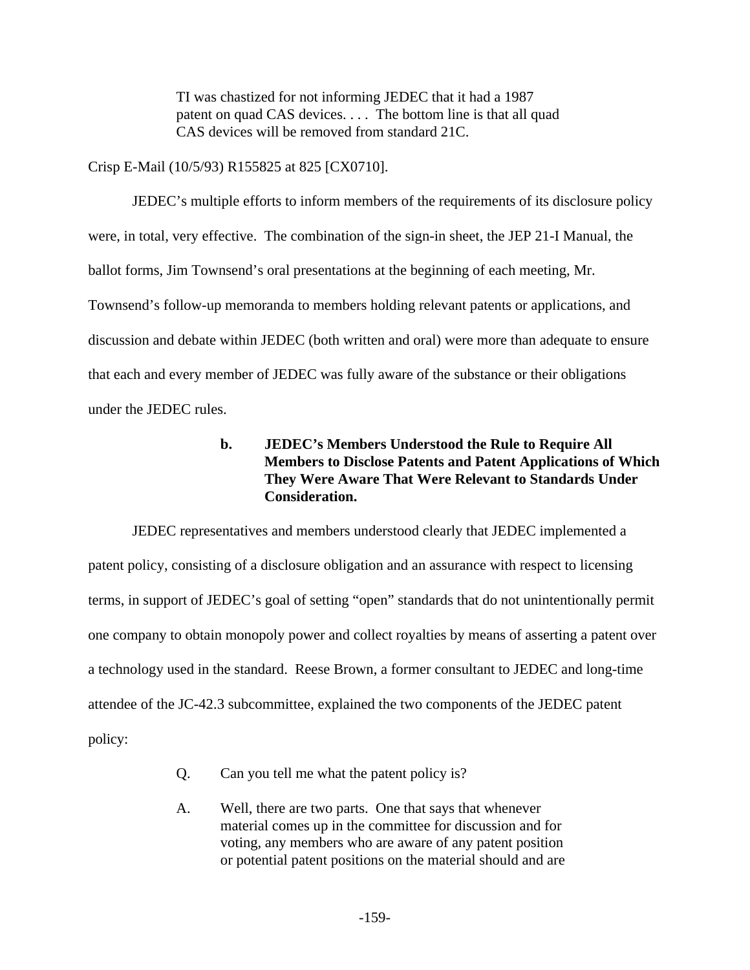TI was chastized for not informing JEDEC that it had a 1987 patent on quad CAS devices. . . . The bottom line is that all quad CAS devices will be removed from standard 21C.

Crisp E-Mail (10/5/93) R155825 at 825 [CX0710].

JEDEC's multiple efforts to inform members of the requirements of its disclosure policy were, in total, very effective. The combination of the sign-in sheet, the JEP 21-I Manual, the ballot forms, Jim Townsend's oral presentations at the beginning of each meeting, Mr. Townsend's follow-up memoranda to members holding relevant patents or applications, and discussion and debate within JEDEC (both written and oral) were more than adequate to ensure that each and every member of JEDEC was fully aware of the substance or their obligations under the JEDEC rules.

# **b. JEDEC's Members Understood the Rule to Require All Members to Disclose Patents and Patent Applications of Which They Were Aware That Were Relevant to Standards Under Consideration.**

JEDEC representatives and members understood clearly that JEDEC implemented a patent policy, consisting of a disclosure obligation and an assurance with respect to licensing terms, in support of JEDEC's goal of setting "open" standards that do not unintentionally permit one company to obtain monopoly power and collect royalties by means of asserting a patent over a technology used in the standard. Reese Brown, a former consultant to JEDEC and long-time attendee of the JC-42.3 subcommittee, explained the two components of the JEDEC patent policy:

- Q. Can you tell me what the patent policy is?
- A. Well, there are two parts. One that says that whenever material comes up in the committee for discussion and for voting, any members who are aware of any patent position or potential patent positions on the material should and are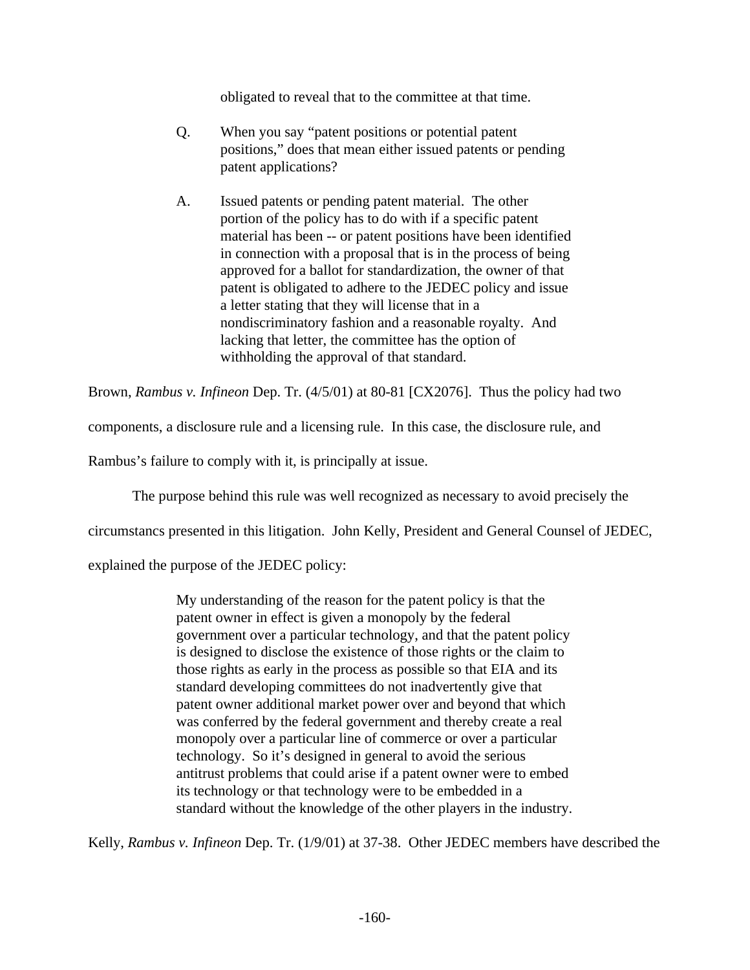obligated to reveal that to the committee at that time.

- Q. When you say "patent positions or potential patent positions," does that mean either issued patents or pending patent applications?
- A. Issued patents or pending patent material. The other portion of the policy has to do with if a specific patent material has been -- or patent positions have been identified in connection with a proposal that is in the process of being approved for a ballot for standardization, the owner of that patent is obligated to adhere to the JEDEC policy and issue a letter stating that they will license that in a nondiscriminatory fashion and a reasonable royalty. And lacking that letter, the committee has the option of withholding the approval of that standard.

Brown, *Rambus v. Infineon* Dep. Tr. (4/5/01) at 80-81 [CX2076]. Thus the policy had two

components, a disclosure rule and a licensing rule. In this case, the disclosure rule, and

Rambus's failure to comply with it, is principally at issue.

The purpose behind this rule was well recognized as necessary to avoid precisely the

circumstancs presented in this litigation. John Kelly, President and General Counsel of JEDEC,

explained the purpose of the JEDEC policy:

My understanding of the reason for the patent policy is that the patent owner in effect is given a monopoly by the federal government over a particular technology, and that the patent policy is designed to disclose the existence of those rights or the claim to those rights as early in the process as possible so that EIA and its standard developing committees do not inadvertently give that patent owner additional market power over and beyond that which was conferred by the federal government and thereby create a real monopoly over a particular line of commerce or over a particular technology. So it's designed in general to avoid the serious antitrust problems that could arise if a patent owner were to embed its technology or that technology were to be embedded in a standard without the knowledge of the other players in the industry.

Kelly, *Rambus v. Infineon* Dep. Tr. (1/9/01) at 37-38. Other JEDEC members have described the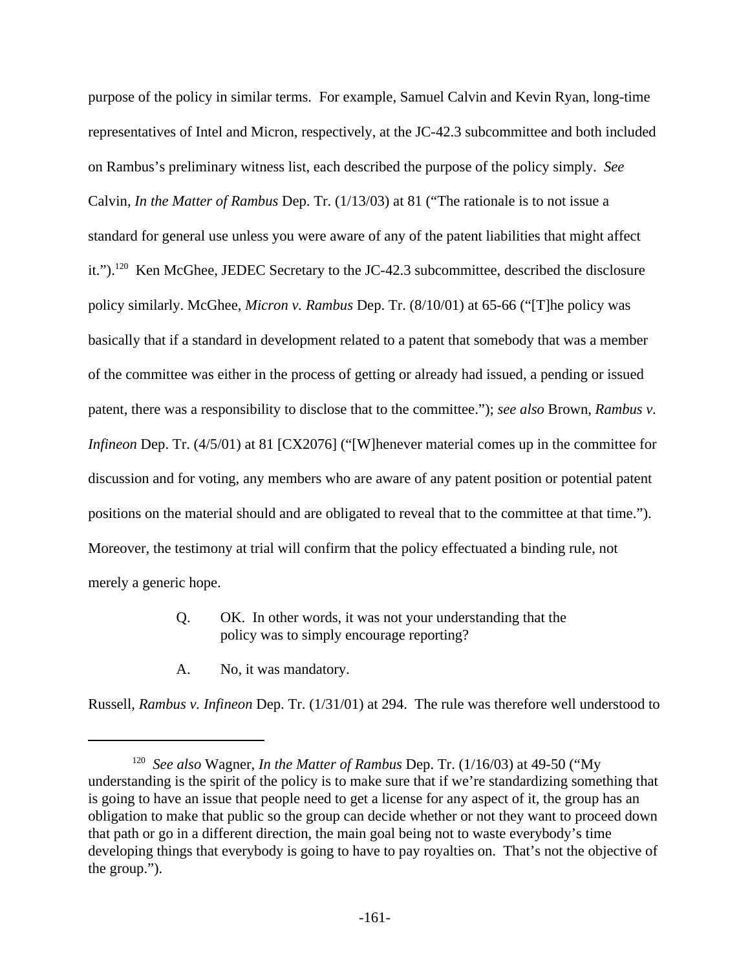purpose of the policy in similar terms. For example, Samuel Calvin and Kevin Ryan, long-time representatives of Intel and Micron, respectively, at the JC-42.3 subcommittee and both included on Rambus's preliminary witness list, each described the purpose of the policy simply. *See* Calvin, *In the Matter of Rambus* Dep. Tr. (1/13/03) at 81 ("The rationale is to not issue a standard for general use unless you were aware of any of the patent liabilities that might affect it.").<sup>120</sup> Ken McGhee, JEDEC Secretary to the JC-42.3 subcommittee, described the disclosure policy similarly. McGhee, *Micron v. Rambus* Dep. Tr. (8/10/01) at 65-66 ("[T]he policy was basically that if a standard in development related to a patent that somebody that was a member of the committee was either in the process of getting or already had issued, a pending or issued patent, there was a responsibility to disclose that to the committee."); *see also* Brown, *Rambus v. Infineon* Dep. Tr. (4/5/01) at 81 [CX2076] ("[W]henever material comes up in the committee for discussion and for voting, any members who are aware of any patent position or potential patent positions on the material should and are obligated to reveal that to the committee at that time."). Moreover, the testimony at trial will confirm that the policy effectuated a binding rule, not merely a generic hope.

- Q. OK. In other words, it was not your understanding that the policy was to simply encourage reporting?
- A. No, it was mandatory.

Russell, *Rambus v. Infineon* Dep. Tr. (1/31/01) at 294. The rule was therefore well understood to

<sup>&</sup>lt;sup>120</sup> See also Wagner, *In the Matter of Rambus* Dep. Tr. (1/16/03) at 49-50 ("My understanding is the spirit of the policy is to make sure that if we're standardizing something that is going to have an issue that people need to get a license for any aspect of it, the group has an obligation to make that public so the group can decide whether or not they want to proceed down that path or go in a different direction, the main goal being not to waste everybody's time developing things that everybody is going to have to pay royalties on. That's not the objective of the group.").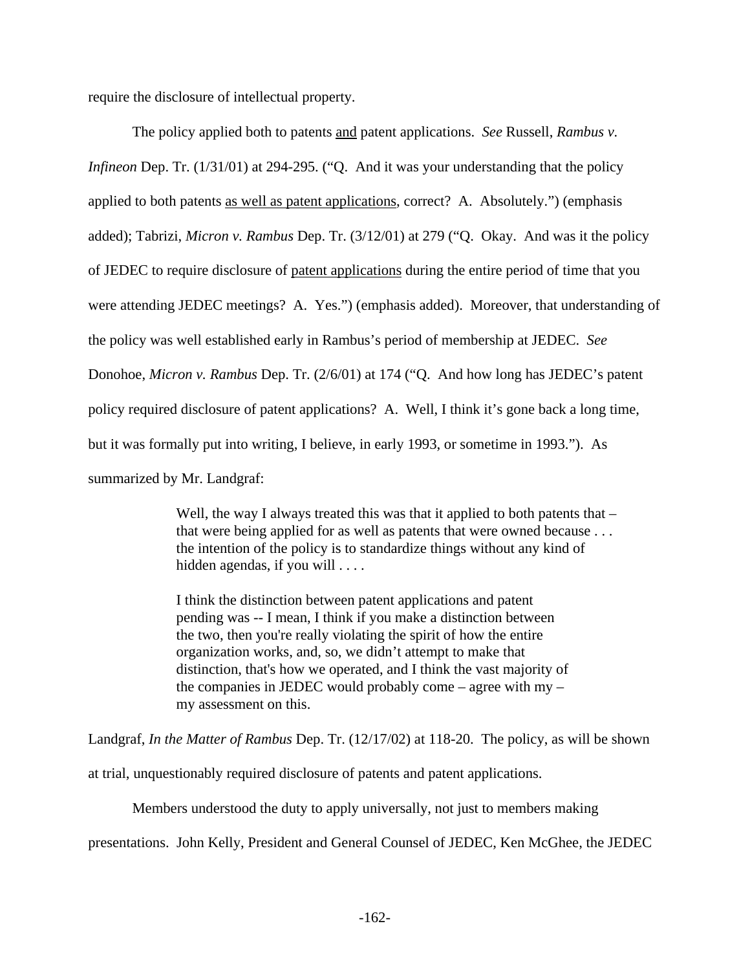require the disclosure of intellectual property.

The policy applied both to patents and patent applications. *See* Russell, *Rambus v. Infineon* Dep. Tr. (1/31/01) at 294-295. ("Q. And it was your understanding that the policy applied to both patents as well as patent applications, correct? A. Absolutely.") (emphasis added); Tabrizi, *Micron v. Rambus* Dep. Tr. (3/12/01) at 279 ("Q. Okay. And was it the policy of JEDEC to require disclosure of patent applications during the entire period of time that you were attending JEDEC meetings? A. Yes.") (emphasis added). Moreover, that understanding of the policy was well established early in Rambus's period of membership at JEDEC. *See* Donohoe, *Micron v. Rambus* Dep. Tr. (2/6/01) at 174 ("Q. And how long has JEDEC's patent policy required disclosure of patent applications? A. Well, I think it's gone back a long time, but it was formally put into writing, I believe, in early 1993, or sometime in 1993."). As summarized by Mr. Landgraf:

> Well, the way I always treated this was that it applied to both patents that – that were being applied for as well as patents that were owned because . . . the intention of the policy is to standardize things without any kind of hidden agendas, if you will . . . .

I think the distinction between patent applications and patent pending was -- I mean, I think if you make a distinction between the two, then you're really violating the spirit of how the entire organization works, and, so, we didn't attempt to make that distinction, that's how we operated, and I think the vast majority of the companies in JEDEC would probably come – agree with  $my$ my assessment on this.

Landgraf, *In the Matter of Rambus* Dep. Tr. (12/17/02) at 118-20. The policy, as will be shown

at trial, unquestionably required disclosure of patents and patent applications.

Members understood the duty to apply universally, not just to members making

presentations. John Kelly, President and General Counsel of JEDEC, Ken McGhee, the JEDEC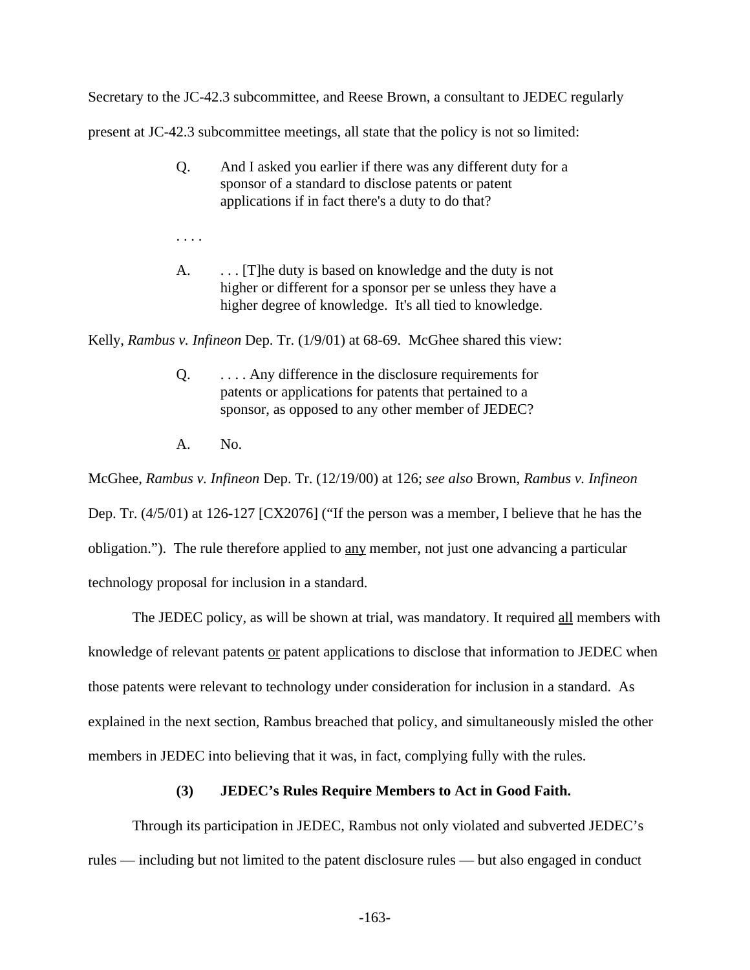Secretary to the JC-42.3 subcommittee, and Reese Brown, a consultant to JEDEC regularly

present at JC-42.3 subcommittee meetings, all state that the policy is not so limited:

- Q. And I asked you earlier if there was any different duty for a sponsor of a standard to disclose patents or patent applications if in fact there's a duty to do that?
- . . . .
- A.  $\ldots$  [T]he duty is based on knowledge and the duty is not higher or different for a sponsor per se unless they have a higher degree of knowledge. It's all tied to knowledge.

Kelly, *Rambus v. Infineon* Dep. Tr. (1/9/01) at 68-69. McGhee shared this view:

- Q. . . . . Any difference in the disclosure requirements for patents or applications for patents that pertained to a sponsor, as opposed to any other member of JEDEC?
- A. No.

McGhee, *Rambus v. Infineon* Dep. Tr. (12/19/00) at 126; *see also* Brown, *Rambus v. Infineon* Dep. Tr. (4/5/01) at 126-127 [CX2076] ("If the person was a member, I believe that he has the obligation."). The rule therefore applied to any member, not just one advancing a particular technology proposal for inclusion in a standard.

The JEDEC policy, as will be shown at trial, was mandatory. It required all members with knowledge of relevant patents or patent applications to disclose that information to JEDEC when those patents were relevant to technology under consideration for inclusion in a standard. As explained in the next section, Rambus breached that policy, and simultaneously misled the other members in JEDEC into believing that it was, in fact, complying fully with the rules.

#### **(3) JEDEC's Rules Require Members to Act in Good Faith.**

Through its participation in JEDEC, Rambus not only violated and subverted JEDEC's rules — including but not limited to the patent disclosure rules — but also engaged in conduct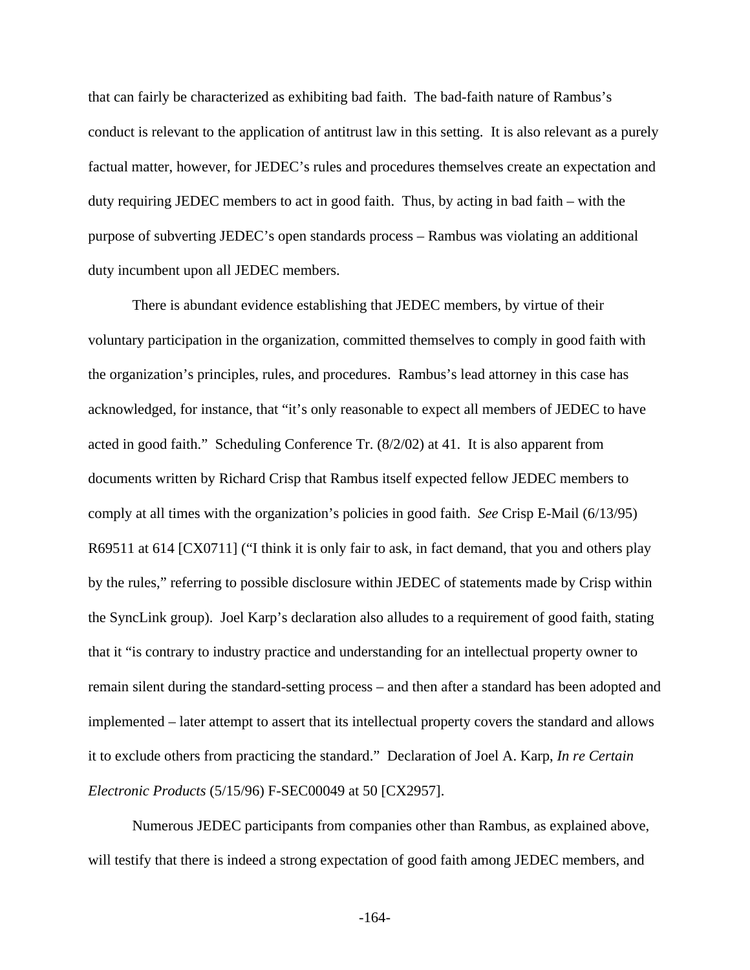that can fairly be characterized as exhibiting bad faith. The bad-faith nature of Rambus's conduct is relevant to the application of antitrust law in this setting. It is also relevant as a purely factual matter, however, for JEDEC's rules and procedures themselves create an expectation and duty requiring JEDEC members to act in good faith. Thus, by acting in bad faith – with the purpose of subverting JEDEC's open standards process – Rambus was violating an additional duty incumbent upon all JEDEC members.

There is abundant evidence establishing that JEDEC members, by virtue of their voluntary participation in the organization, committed themselves to comply in good faith with the organization's principles, rules, and procedures. Rambus's lead attorney in this case has acknowledged, for instance, that "it's only reasonable to expect all members of JEDEC to have acted in good faith." Scheduling Conference Tr. (8/2/02) at 41. It is also apparent from documents written by Richard Crisp that Rambus itself expected fellow JEDEC members to comply at all times with the organization's policies in good faith. *See* Crisp E-Mail (6/13/95) R69511 at 614 [CX0711] ("I think it is only fair to ask, in fact demand, that you and others play by the rules," referring to possible disclosure within JEDEC of statements made by Crisp within the SyncLink group). Joel Karp's declaration also alludes to a requirement of good faith, stating that it "is contrary to industry practice and understanding for an intellectual property owner to remain silent during the standard-setting process – and then after a standard has been adopted and implemented – later attempt to assert that its intellectual property covers the standard and allows it to exclude others from practicing the standard." Declaration of Joel A. Karp, *In re Certain Electronic Products* (5/15/96) F-SEC00049 at 50 [CX2957].

Numerous JEDEC participants from companies other than Rambus, as explained above, will testify that there is indeed a strong expectation of good faith among JEDEC members, and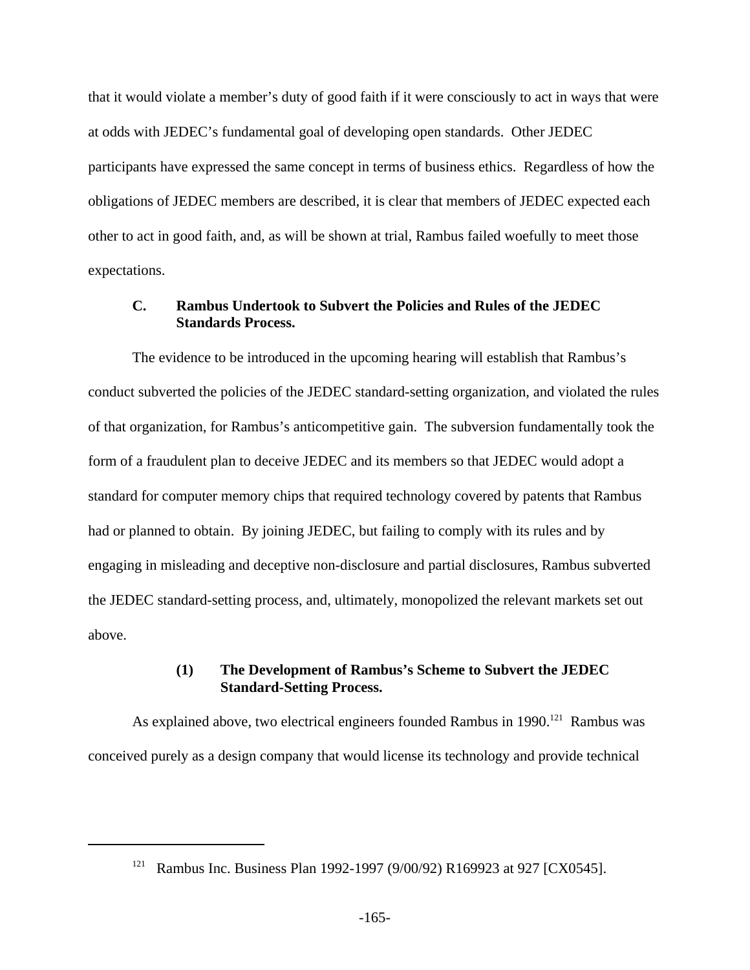that it would violate a member's duty of good faith if it were consciously to act in ways that were at odds with JEDEC's fundamental goal of developing open standards. Other JEDEC participants have expressed the same concept in terms of business ethics. Regardless of how the obligations of JEDEC members are described, it is clear that members of JEDEC expected each other to act in good faith, and, as will be shown at trial, Rambus failed woefully to meet those expectations.

# **C. Rambus Undertook to Subvert the Policies and Rules of the JEDEC Standards Process.**

The evidence to be introduced in the upcoming hearing will establish that Rambus's conduct subverted the policies of the JEDEC standard-setting organization, and violated the rules of that organization, for Rambus's anticompetitive gain. The subversion fundamentally took the form of a fraudulent plan to deceive JEDEC and its members so that JEDEC would adopt a standard for computer memory chips that required technology covered by patents that Rambus had or planned to obtain. By joining JEDEC, but failing to comply with its rules and by engaging in misleading and deceptive non-disclosure and partial disclosures, Rambus subverted the JEDEC standard-setting process, and, ultimately, monopolized the relevant markets set out above.

#### **(1) The Development of Rambus's Scheme to Subvert the JEDEC Standard-Setting Process.**

As explained above, two electrical engineers founded Rambus in 1990.<sup>121</sup> Rambus was conceived purely as a design company that would license its technology and provide technical

<sup>&</sup>lt;sup>121</sup> Rambus Inc. Business Plan 1992-1997 (9/00/92) R169923 at 927 [CX0545].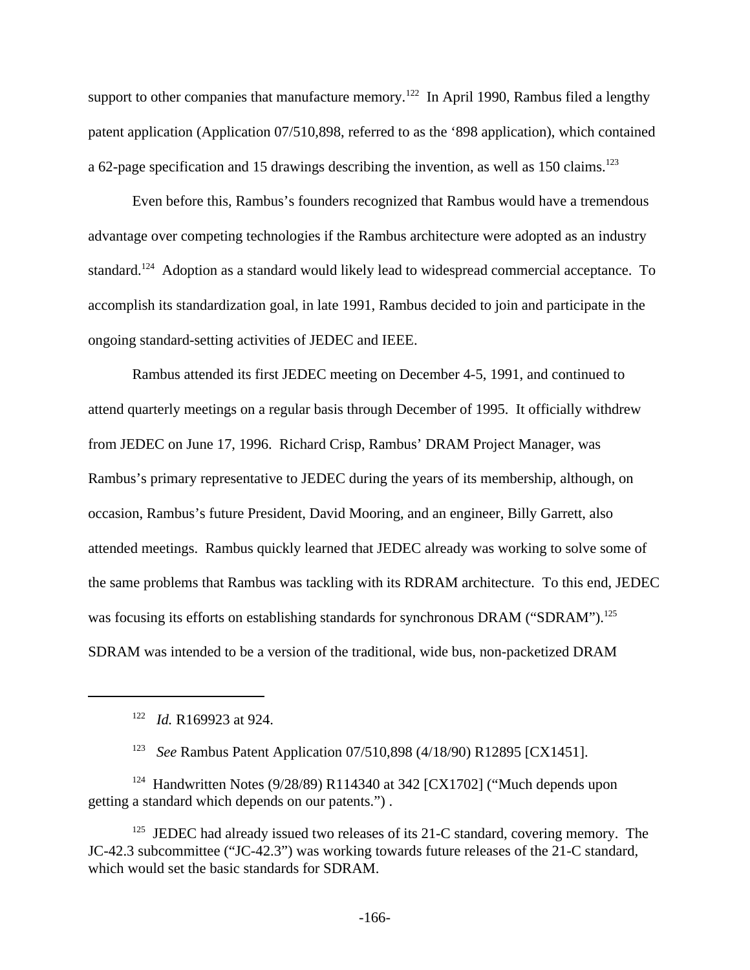support to other companies that manufacture memory.<sup>122</sup> In April 1990, Rambus filed a lengthy patent application (Application 07/510,898, referred to as the '898 application), which contained a 62-page specification and 15 drawings describing the invention, as well as 150 claims.<sup>123</sup>

Even before this, Rambus's founders recognized that Rambus would have a tremendous advantage over competing technologies if the Rambus architecture were adopted as an industry standard.<sup>124</sup> Adoption as a standard would likely lead to widespread commercial acceptance. To accomplish its standardization goal, in late 1991, Rambus decided to join and participate in the ongoing standard-setting activities of JEDEC and IEEE.

Rambus attended its first JEDEC meeting on December 4-5, 1991, and continued to attend quarterly meetings on a regular basis through December of 1995. It officially withdrew from JEDEC on June 17, 1996. Richard Crisp, Rambus' DRAM Project Manager, was Rambus's primary representative to JEDEC during the years of its membership, although, on occasion, Rambus's future President, David Mooring, and an engineer, Billy Garrett, also attended meetings. Rambus quickly learned that JEDEC already was working to solve some of the same problems that Rambus was tackling with its RDRAM architecture. To this end, JEDEC was focusing its efforts on establishing standards for synchronous DRAM ("SDRAM").<sup>125</sup> SDRAM was intended to be a version of the traditional, wide bus, non-packetized DRAM

<sup>123</sup> *See* Rambus Patent Application 07/510,898 (4/18/90) R12895 [CX1451].

<sup>124</sup> Handwritten Notes (9/28/89) R114340 at 342 [CX1702] ("Much depends upon getting a standard which depends on our patents.") .

 $125$  JEDEC had already issued two releases of its 21-C standard, covering memory. The JC-42.3 subcommittee ("JC-42.3") was working towards future releases of the 21-C standard, which would set the basic standards for SDRAM.

<sup>122</sup> *Id.* R169923 at 924.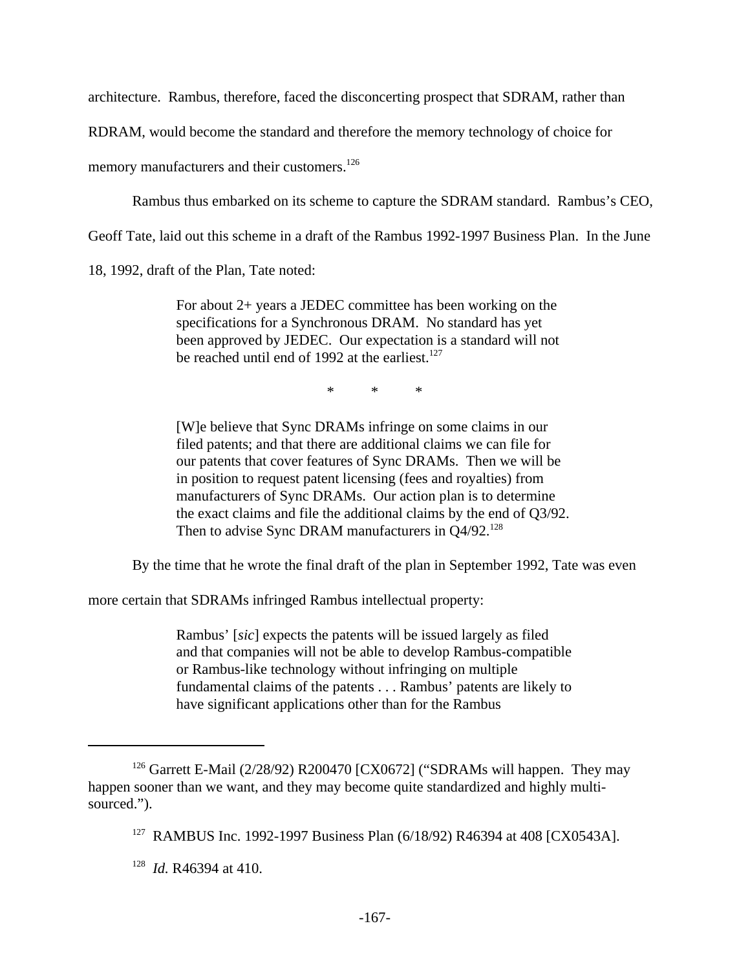architecture. Rambus, therefore, faced the disconcerting prospect that SDRAM, rather than

RDRAM, would become the standard and therefore the memory technology of choice for

memory manufacturers and their customers.<sup>126</sup>

Rambus thus embarked on its scheme to capture the SDRAM standard. Rambus's CEO,

Geoff Tate, laid out this scheme in a draft of the Rambus 1992-1997 Business Plan. In the June

18, 1992, draft of the Plan, Tate noted:

For about 2+ years a JEDEC committee has been working on the specifications for a Synchronous DRAM. No standard has yet been approved by JEDEC. Our expectation is a standard will not be reached until end of 1992 at the earliest.<sup>127</sup>

\* \* \*

[W]e believe that Sync DRAMs infringe on some claims in our filed patents; and that there are additional claims we can file for our patents that cover features of Sync DRAMs. Then we will be in position to request patent licensing (fees and royalties) from manufacturers of Sync DRAMs. Our action plan is to determine the exact claims and file the additional claims by the end of Q3/92. Then to advise Sync DRAM manufacturers in  $Q4/92$ .<sup>128</sup>

By the time that he wrote the final draft of the plan in September 1992, Tate was even

more certain that SDRAMs infringed Rambus intellectual property:

Rambus' [*sic*] expects the patents will be issued largely as filed and that companies will not be able to develop Rambus-compatible or Rambus-like technology without infringing on multiple fundamental claims of the patents . . . Rambus' patents are likely to have significant applications other than for the Rambus

<sup>&</sup>lt;sup>126</sup> Garrett E-Mail (2/28/92) R200470 [CX0672] ("SDRAMs will happen. They may happen sooner than we want, and they may become quite standardized and highly multisourced.").

<sup>&</sup>lt;sup>127</sup> RAMBUS Inc. 1992-1997 Business Plan (6/18/92) R46394 at 408 [CX0543A].

<sup>128</sup> *Id.* R46394 at 410.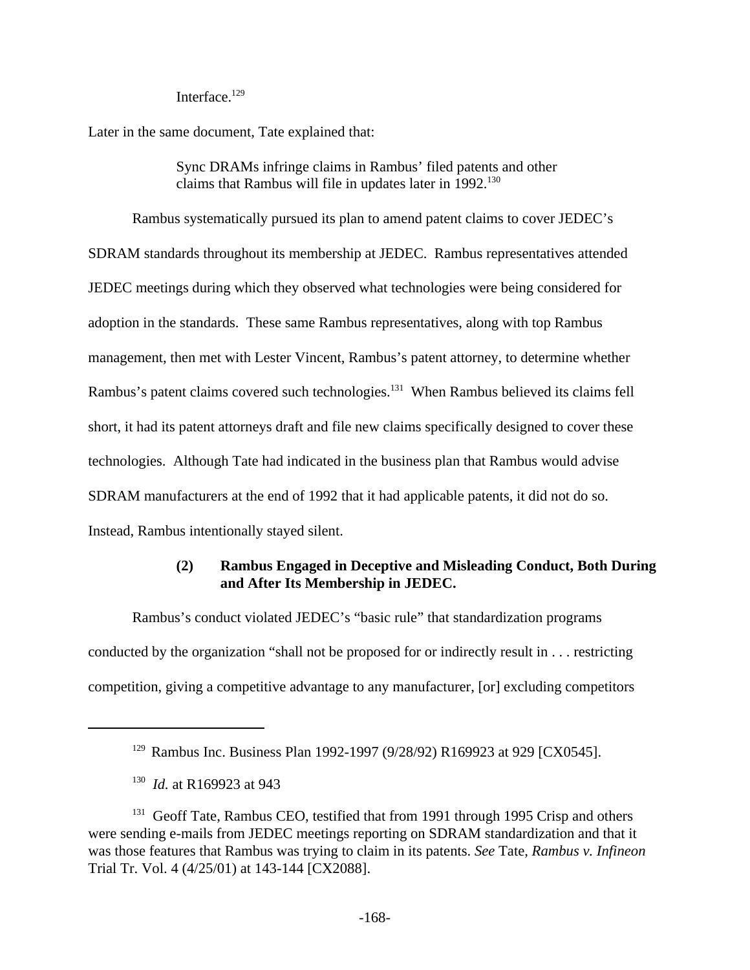Interface.<sup>129</sup>

Later in the same document, Tate explained that:

Sync DRAMs infringe claims in Rambus' filed patents and other claims that Rambus will file in updates later in  $1992$ <sup>130</sup>

Rambus systematically pursued its plan to amend patent claims to cover JEDEC's SDRAM standards throughout its membership at JEDEC. Rambus representatives attended JEDEC meetings during which they observed what technologies were being considered for adoption in the standards. These same Rambus representatives, along with top Rambus management, then met with Lester Vincent, Rambus's patent attorney, to determine whether Rambus's patent claims covered such technologies.<sup>131</sup> When Rambus believed its claims fell short, it had its patent attorneys draft and file new claims specifically designed to cover these technologies. Although Tate had indicated in the business plan that Rambus would advise SDRAM manufacturers at the end of 1992 that it had applicable patents, it did not do so. Instead, Rambus intentionally stayed silent.

# **(2) Rambus Engaged in Deceptive and Misleading Conduct, Both During and After Its Membership in JEDEC.**

Rambus's conduct violated JEDEC's "basic rule" that standardization programs conducted by the organization "shall not be proposed for or indirectly result in . . . restricting competition, giving a competitive advantage to any manufacturer, [or] excluding competitors

<sup>&</sup>lt;sup>129</sup> Rambus Inc. Business Plan 1992-1997 (9/28/92) R169923 at 929 [CX0545].

<sup>130</sup> *Id.* at R169923 at 943

<sup>&</sup>lt;sup>131</sup> Geoff Tate, Rambus CEO, testified that from 1991 through 1995 Crisp and others were sending e-mails from JEDEC meetings reporting on SDRAM standardization and that it was those features that Rambus was trying to claim in its patents. *See* Tate, *Rambus v. Infineon* Trial Tr. Vol. 4 (4/25/01) at 143-144 [CX2088].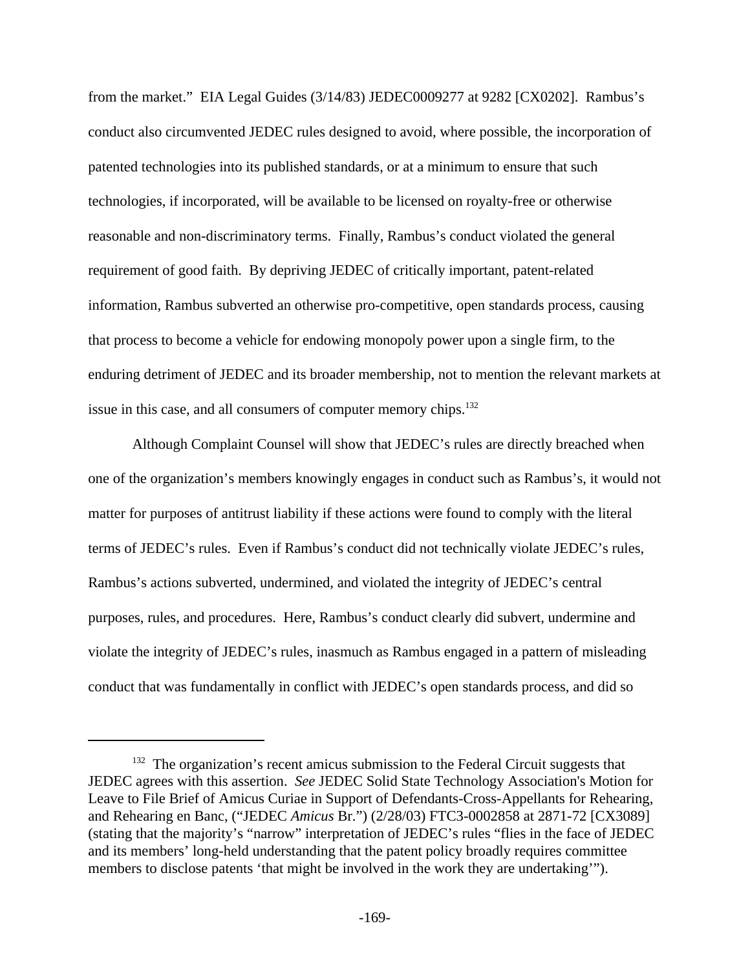from the market." EIA Legal Guides (3/14/83) JEDEC0009277 at 9282 [CX0202]. Rambus's conduct also circumvented JEDEC rules designed to avoid, where possible, the incorporation of patented technologies into its published standards, or at a minimum to ensure that such technologies, if incorporated, will be available to be licensed on royalty-free or otherwise reasonable and non-discriminatory terms. Finally, Rambus's conduct violated the general requirement of good faith. By depriving JEDEC of critically important, patent-related information, Rambus subverted an otherwise pro-competitive, open standards process, causing that process to become a vehicle for endowing monopoly power upon a single firm, to the enduring detriment of JEDEC and its broader membership, not to mention the relevant markets at issue in this case, and all consumers of computer memory chips.<sup>132</sup>

Although Complaint Counsel will show that JEDEC's rules are directly breached when one of the organization's members knowingly engages in conduct such as Rambus's, it would not matter for purposes of antitrust liability if these actions were found to comply with the literal terms of JEDEC's rules. Even if Rambus's conduct did not technically violate JEDEC's rules, Rambus's actions subverted, undermined, and violated the integrity of JEDEC's central purposes, rules, and procedures. Here, Rambus's conduct clearly did subvert, undermine and violate the integrity of JEDEC's rules, inasmuch as Rambus engaged in a pattern of misleading conduct that was fundamentally in conflict with JEDEC's open standards process, and did so

 $132$  The organization's recent amicus submission to the Federal Circuit suggests that JEDEC agrees with this assertion. *See* JEDEC Solid State Technology Association's Motion for Leave to File Brief of Amicus Curiae in Support of Defendants-Cross-Appellants for Rehearing, and Rehearing en Banc, ("JEDEC *Amicus* Br.") (2/28/03) FTC3-0002858 at 2871-72 [CX3089] (stating that the majority's "narrow" interpretation of JEDEC's rules "flies in the face of JEDEC and its members' long-held understanding that the patent policy broadly requires committee members to disclose patents 'that might be involved in the work they are undertaking'").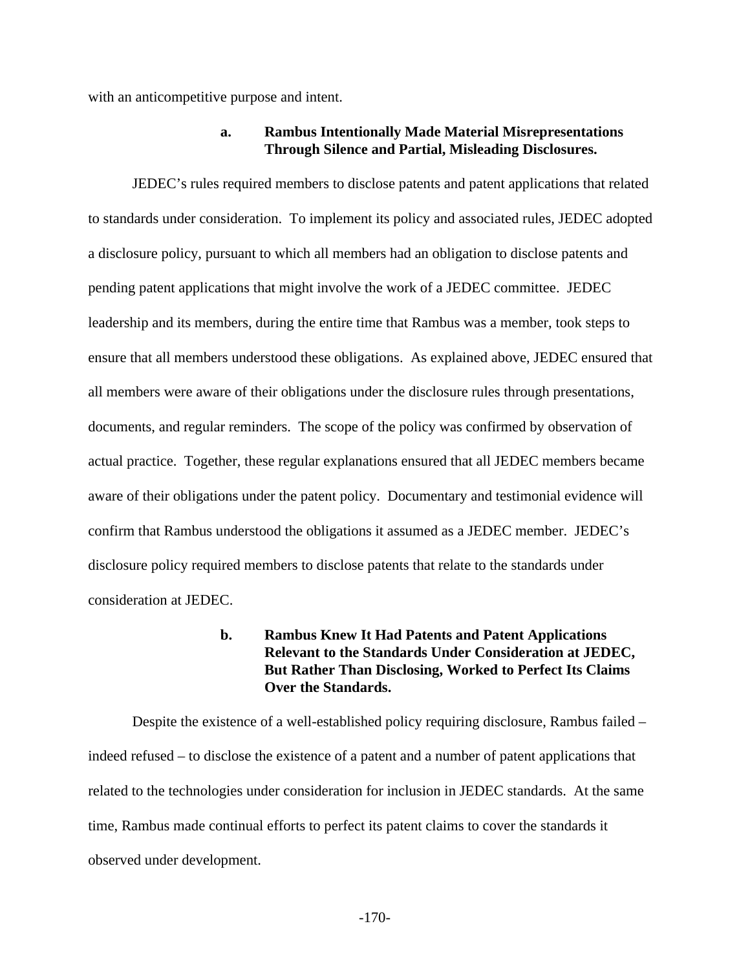with an anticompetitive purpose and intent.

## **a. Rambus Intentionally Made Material Misrepresentations Through Silence and Partial, Misleading Disclosures.**

JEDEC's rules required members to disclose patents and patent applications that related to standards under consideration. To implement its policy and associated rules, JEDEC adopted a disclosure policy, pursuant to which all members had an obligation to disclose patents and pending patent applications that might involve the work of a JEDEC committee. JEDEC leadership and its members, during the entire time that Rambus was a member, took steps to ensure that all members understood these obligations. As explained above, JEDEC ensured that all members were aware of their obligations under the disclosure rules through presentations, documents, and regular reminders. The scope of the policy was confirmed by observation of actual practice. Together, these regular explanations ensured that all JEDEC members became aware of their obligations under the patent policy. Documentary and testimonial evidence will confirm that Rambus understood the obligations it assumed as a JEDEC member. JEDEC's disclosure policy required members to disclose patents that relate to the standards under consideration at JEDEC.

# **b. Rambus Knew It Had Patents and Patent Applications Relevant to the Standards Under Consideration at JEDEC, But Rather Than Disclosing, Worked to Perfect Its Claims Over the Standards.**

Despite the existence of a well-established policy requiring disclosure, Rambus failed – indeed refused – to disclose the existence of a patent and a number of patent applications that related to the technologies under consideration for inclusion in JEDEC standards. At the same time, Rambus made continual efforts to perfect its patent claims to cover the standards it observed under development.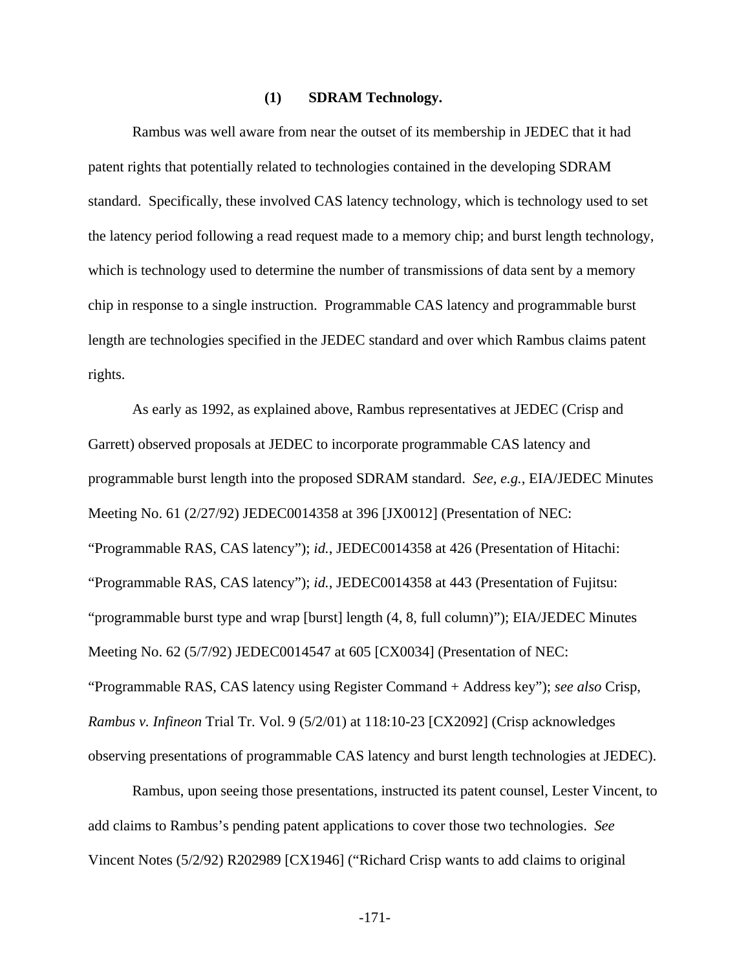### **(1) SDRAM Technology.**

Rambus was well aware from near the outset of its membership in JEDEC that it had patent rights that potentially related to technologies contained in the developing SDRAM standard. Specifically, these involved CAS latency technology, which is technology used to set the latency period following a read request made to a memory chip; and burst length technology, which is technology used to determine the number of transmissions of data sent by a memory chip in response to a single instruction. Programmable CAS latency and programmable burst length are technologies specified in the JEDEC standard and over which Rambus claims patent rights.

As early as 1992, as explained above, Rambus representatives at JEDEC (Crisp and Garrett) observed proposals at JEDEC to incorporate programmable CAS latency and programmable burst length into the proposed SDRAM standard. *See, e.g.*, EIA/JEDEC Minutes Meeting No. 61 (2/27/92) JEDEC0014358 at 396 [JX0012] (Presentation of NEC: "Programmable RAS, CAS latency"); *id.*, JEDEC0014358 at 426 (Presentation of Hitachi: "Programmable RAS, CAS latency"); *id.*, JEDEC0014358 at 443 (Presentation of Fujitsu: "programmable burst type and wrap [burst] length (4, 8, full column)"); EIA/JEDEC Minutes Meeting No. 62 (5/7/92) JEDEC0014547 at 605 [CX0034] (Presentation of NEC: "Programmable RAS, CAS latency using Register Command + Address key"); *see also* Crisp, *Rambus v. Infineon* Trial Tr. Vol. 9 (5/2/01) at 118:10-23 [CX2092] (Crisp acknowledges observing presentations of programmable CAS latency and burst length technologies at JEDEC).

Rambus, upon seeing those presentations, instructed its patent counsel, Lester Vincent, to add claims to Rambus's pending patent applications to cover those two technologies. *See* Vincent Notes (5/2/92) R202989 [CX1946] ("Richard Crisp wants to add claims to original

-171-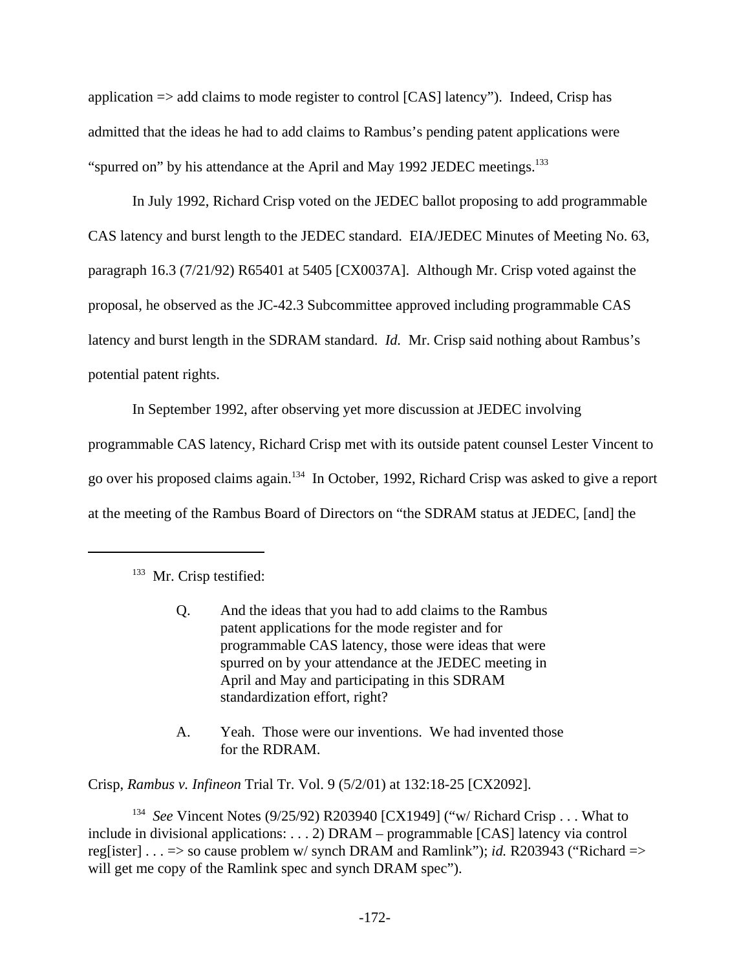application => add claims to mode register to control [CAS] latency"). Indeed, Crisp has admitted that the ideas he had to add claims to Rambus's pending patent applications were "spurred on" by his attendance at the April and May 1992 JEDEC meetings.<sup>133</sup>

In July 1992, Richard Crisp voted on the JEDEC ballot proposing to add programmable CAS latency and burst length to the JEDEC standard. EIA/JEDEC Minutes of Meeting No. 63, paragraph 16.3 (7/21/92) R65401 at 5405 [CX0037A]. Although Mr. Crisp voted against the proposal, he observed as the JC-42.3 Subcommittee approved including programmable CAS latency and burst length in the SDRAM standard. *Id.* Mr. Crisp said nothing about Rambus's potential patent rights.

In September 1992, after observing yet more discussion at JEDEC involving programmable CAS latency, Richard Crisp met with its outside patent counsel Lester Vincent to go over his proposed claims again.<sup>134</sup> In October, 1992, Richard Crisp was asked to give a report at the meeting of the Rambus Board of Directors on "the SDRAM status at JEDEC, [and] the

- Q. And the ideas that you had to add claims to the Rambus patent applications for the mode register and for programmable CAS latency, those were ideas that were spurred on by your attendance at the JEDEC meeting in April and May and participating in this SDRAM standardization effort, right?
- A. Yeah. Those were our inventions. We had invented those for the RDRAM.

Crisp, *Rambus v. Infineon* Trial Tr. Vol. 9 (5/2/01) at 132:18-25 [CX2092].

<sup>134</sup> See Vincent Notes (9/25/92) R203940 [CX1949] ("w/ Richard Crisp . . . What to include in divisional applications: . . . 2) DRAM – programmable [CAS] latency via control reg[ister] . . . => so cause problem w/ synch DRAM and Ramlink"); *id.* R203943 ("Richard => will get me copy of the Ramlink spec and synch DRAM spec").

<sup>&</sup>lt;sup>133</sup> Mr. Crisp testified: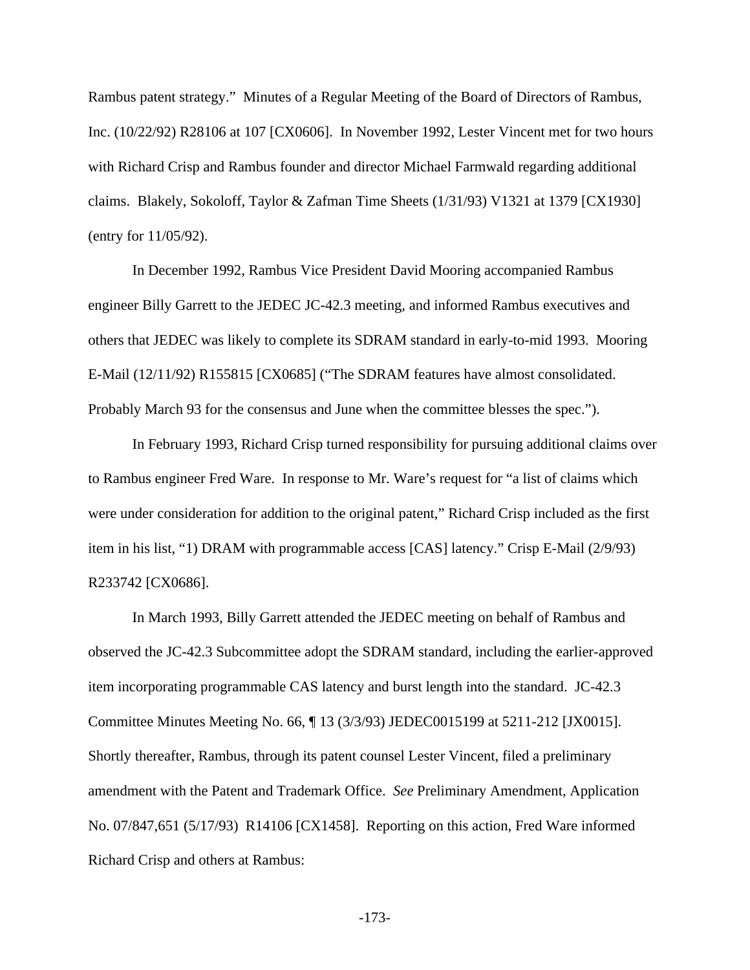Rambus patent strategy." Minutes of a Regular Meeting of the Board of Directors of Rambus, Inc. (10/22/92) R28106 at 107 [CX0606]. In November 1992, Lester Vincent met for two hours with Richard Crisp and Rambus founder and director Michael Farmwald regarding additional claims. Blakely, Sokoloff, Taylor & Zafman Time Sheets (1/31/93) V1321 at 1379 [CX1930] (entry for 11/05/92).

In December 1992, Rambus Vice President David Mooring accompanied Rambus engineer Billy Garrett to the JEDEC JC-42.3 meeting, and informed Rambus executives and others that JEDEC was likely to complete its SDRAM standard in early-to-mid 1993. Mooring E-Mail (12/11/92) R155815 [CX0685] ("The SDRAM features have almost consolidated. Probably March 93 for the consensus and June when the committee blesses the spec.").

In February 1993, Richard Crisp turned responsibility for pursuing additional claims over to Rambus engineer Fred Ware. In response to Mr. Ware's request for "a list of claims which were under consideration for addition to the original patent," Richard Crisp included as the first item in his list, "1) DRAM with programmable access [CAS] latency." Crisp E-Mail (2/9/93) R233742 [CX0686].

In March 1993, Billy Garrett attended the JEDEC meeting on behalf of Rambus and observed the JC-42.3 Subcommittee adopt the SDRAM standard, including the earlier-approved item incorporating programmable CAS latency and burst length into the standard. JC-42.3 Committee Minutes Meeting No. 66, ¶ 13 (3/3/93) JEDEC0015199 at 5211-212 [JX0015]. Shortly thereafter, Rambus, through its patent counsel Lester Vincent, filed a preliminary amendment with the Patent and Trademark Office. *See* Preliminary Amendment, Application No. 07/847,651 (5/17/93) R14106 [CX1458]. Reporting on this action, Fred Ware informed Richard Crisp and others at Rambus: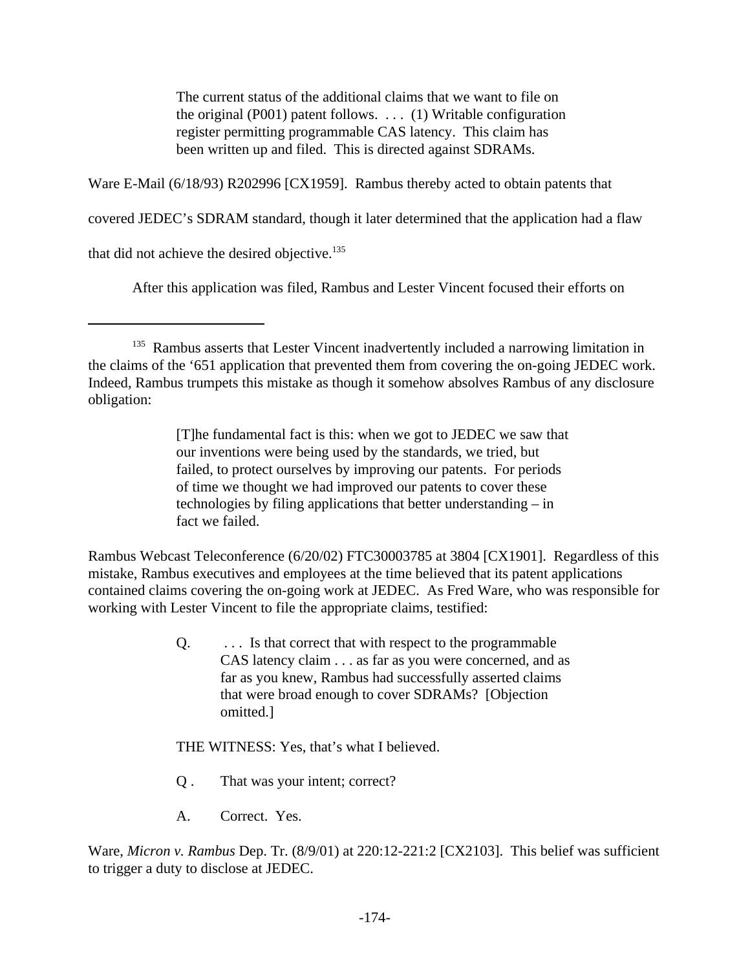The current status of the additional claims that we want to file on the original (P001) patent follows. . . . (1) Writable configuration register permitting programmable CAS latency. This claim has been written up and filed. This is directed against SDRAMs.

Ware E-Mail (6/18/93) R202996 [CX1959]. Rambus thereby acted to obtain patents that

covered JEDEC's SDRAM standard, though it later determined that the application had a flaw

that did not achieve the desired objective.<sup>135</sup>

After this application was filed, Rambus and Lester Vincent focused their efforts on

[T]he fundamental fact is this: when we got to JEDEC we saw that our inventions were being used by the standards, we tried, but failed, to protect ourselves by improving our patents. For periods of time we thought we had improved our patents to cover these technologies by filing applications that better understanding – in fact we failed.

Rambus Webcast Teleconference (6/20/02) FTC30003785 at 3804 [CX1901]. Regardless of this mistake, Rambus executives and employees at the time believed that its patent applications contained claims covering the on-going work at JEDEC. As Fred Ware, who was responsible for working with Lester Vincent to file the appropriate claims, testified:

> Q. . . . Is that correct that with respect to the programmable CAS latency claim . . . as far as you were concerned, and as far as you knew, Rambus had successfully asserted claims that were broad enough to cover SDRAMs? [Objection omitted.]

THE WITNESS: Yes, that's what I believed.

- Q . That was your intent; correct?
- A. Correct. Yes.

Ware, *Micron v. Rambus* Dep. Tr. (8/9/01) at 220:12-221:2 [CX2103]. This belief was sufficient to trigger a duty to disclose at JEDEC.

<sup>&</sup>lt;sup>135</sup> Rambus asserts that Lester Vincent inadvertently included a narrowing limitation in the claims of the '651 application that prevented them from covering the on-going JEDEC work. Indeed, Rambus trumpets this mistake as though it somehow absolves Rambus of any disclosure obligation: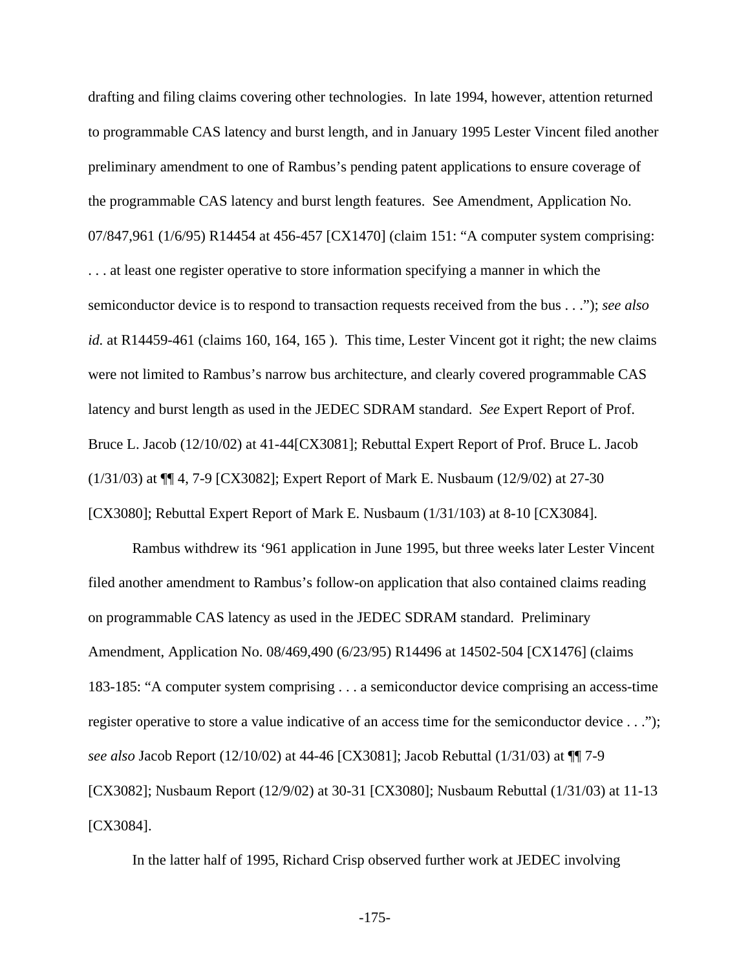drafting and filing claims covering other technologies. In late 1994, however, attention returned to programmable CAS latency and burst length, and in January 1995 Lester Vincent filed another preliminary amendment to one of Rambus's pending patent applications to ensure coverage of the programmable CAS latency and burst length features. See Amendment, Application No. 07/847,961 (1/6/95) R14454 at 456-457 [CX1470] (claim 151: "A computer system comprising: . . . at least one register operative to store information specifying a manner in which the semiconductor device is to respond to transaction requests received from the bus . . ."); *see also id.* at R14459-461 (claims 160, 164, 165). This time, Lester Vincent got it right; the new claims were not limited to Rambus's narrow bus architecture, and clearly covered programmable CAS latency and burst length as used in the JEDEC SDRAM standard. *See* Expert Report of Prof. Bruce L. Jacob (12/10/02) at 41-44[CX3081]; Rebuttal Expert Report of Prof. Bruce L. Jacob (1/31/03) at ¶¶ 4, 7-9 [CX3082]; Expert Report of Mark E. Nusbaum (12/9/02) at 27-30 [CX3080]; Rebuttal Expert Report of Mark E. Nusbaum (1/31/103) at 8-10 [CX3084].

Rambus withdrew its '961 application in June 1995, but three weeks later Lester Vincent filed another amendment to Rambus's follow-on application that also contained claims reading on programmable CAS latency as used in the JEDEC SDRAM standard. Preliminary Amendment, Application No. 08/469,490 (6/23/95) R14496 at 14502-504 [CX1476] (claims 183-185: "A computer system comprising . . . a semiconductor device comprising an access-time register operative to store a value indicative of an access time for the semiconductor device . . ."); *see also* Jacob Report (12/10/02) at 44-46 [CX3081]; Jacob Rebuttal (1/31/03) at ¶¶ 7-9 [CX3082]; Nusbaum Report (12/9/02) at 30-31 [CX3080]; Nusbaum Rebuttal (1/31/03) at 11-13 [CX3084].

In the latter half of 1995, Richard Crisp observed further work at JEDEC involving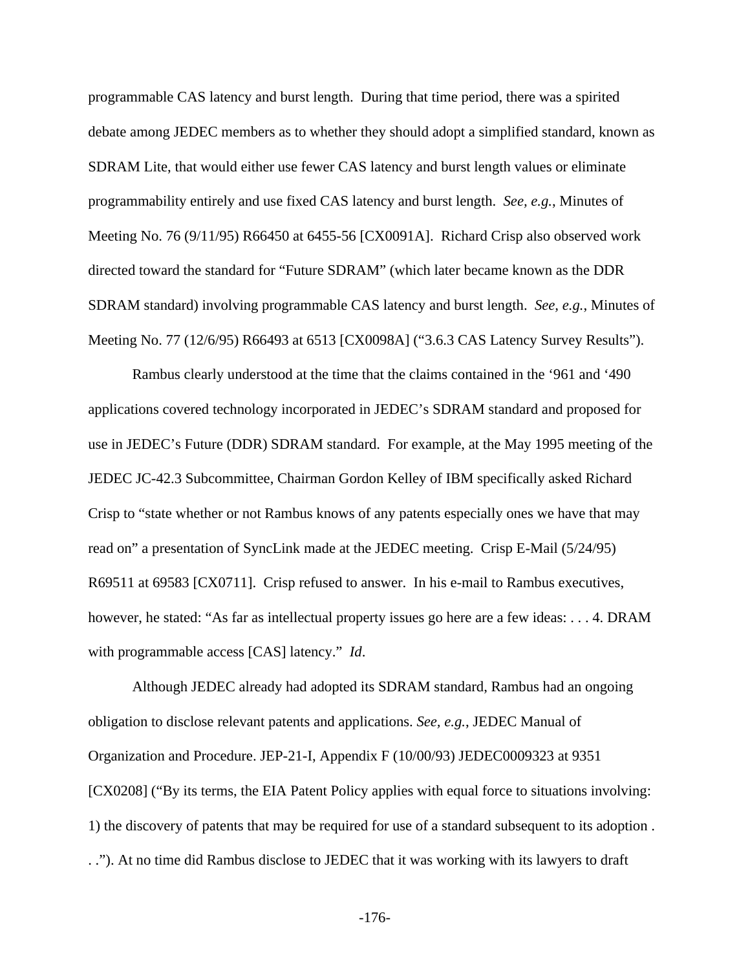programmable CAS latency and burst length. During that time period, there was a spirited debate among JEDEC members as to whether they should adopt a simplified standard, known as SDRAM Lite, that would either use fewer CAS latency and burst length values or eliminate programmability entirely and use fixed CAS latency and burst length. *See, e.g.*, Minutes of Meeting No. 76 (9/11/95) R66450 at 6455-56 [CX0091A]. Richard Crisp also observed work directed toward the standard for "Future SDRAM" (which later became known as the DDR SDRAM standard) involving programmable CAS latency and burst length. *See, e.g.*, Minutes of Meeting No. 77 (12/6/95) R66493 at 6513 [CX0098A] ("3.6.3 CAS Latency Survey Results").

Rambus clearly understood at the time that the claims contained in the '961 and '490 applications covered technology incorporated in JEDEC's SDRAM standard and proposed for use in JEDEC's Future (DDR) SDRAM standard. For example, at the May 1995 meeting of the JEDEC JC-42.3 Subcommittee, Chairman Gordon Kelley of IBM specifically asked Richard Crisp to "state whether or not Rambus knows of any patents especially ones we have that may read on" a presentation of SyncLink made at the JEDEC meeting. Crisp E-Mail (5/24/95) R69511 at 69583 [CX0711]. Crisp refused to answer. In his e-mail to Rambus executives, however, he stated: "As far as intellectual property issues go here are a few ideas: . . . 4. DRAM with programmable access [CAS] latency." *Id*.

Although JEDEC already had adopted its SDRAM standard, Rambus had an ongoing obligation to disclose relevant patents and applications. *See, e.g.*, JEDEC Manual of Organization and Procedure. JEP-21-I, Appendix F (10/00/93) JEDEC0009323 at 9351 [CX0208] ("By its terms, the EIA Patent Policy applies with equal force to situations involving: 1) the discovery of patents that may be required for use of a standard subsequent to its adoption . . ."). At no time did Rambus disclose to JEDEC that it was working with its lawyers to draft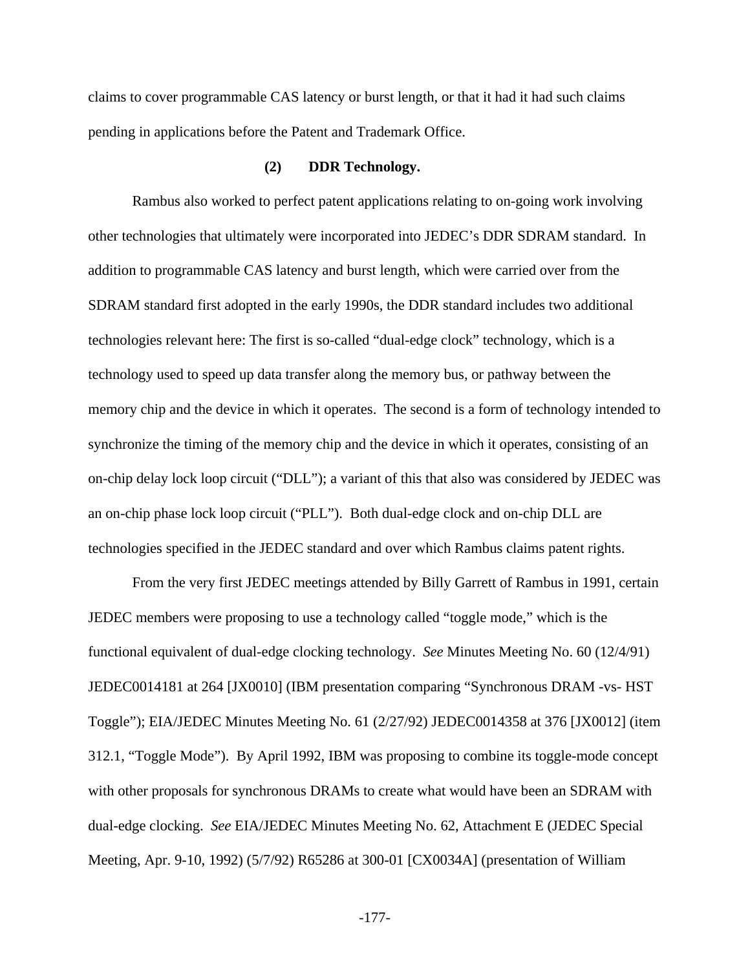claims to cover programmable CAS latency or burst length, or that it had it had such claims pending in applications before the Patent and Trademark Office.

### **(2) DDR Technology.**

Rambus also worked to perfect patent applications relating to on-going work involving other technologies that ultimately were incorporated into JEDEC's DDR SDRAM standard. In addition to programmable CAS latency and burst length, which were carried over from the SDRAM standard first adopted in the early 1990s, the DDR standard includes two additional technologies relevant here: The first is so-called "dual-edge clock" technology, which is a technology used to speed up data transfer along the memory bus, or pathway between the memory chip and the device in which it operates. The second is a form of technology intended to synchronize the timing of the memory chip and the device in which it operates, consisting of an on-chip delay lock loop circuit ("DLL"); a variant of this that also was considered by JEDEC was an on-chip phase lock loop circuit ("PLL"). Both dual-edge clock and on-chip DLL are technologies specified in the JEDEC standard and over which Rambus claims patent rights.

From the very first JEDEC meetings attended by Billy Garrett of Rambus in 1991, certain JEDEC members were proposing to use a technology called "toggle mode," which is the functional equivalent of dual-edge clocking technology. *See* Minutes Meeting No. 60 (12/4/91) JEDEC0014181 at 264 [JX0010] (IBM presentation comparing "Synchronous DRAM -vs- HST Toggle"); EIA/JEDEC Minutes Meeting No. 61 (2/27/92) JEDEC0014358 at 376 [JX0012] (item 312.1, "Toggle Mode"). By April 1992, IBM was proposing to combine its toggle-mode concept with other proposals for synchronous DRAMs to create what would have been an SDRAM with dual-edge clocking. *See* EIA/JEDEC Minutes Meeting No. 62, Attachment E (JEDEC Special Meeting, Apr. 9-10, 1992) (5/7/92) R65286 at 300-01 [CX0034A] (presentation of William

-177-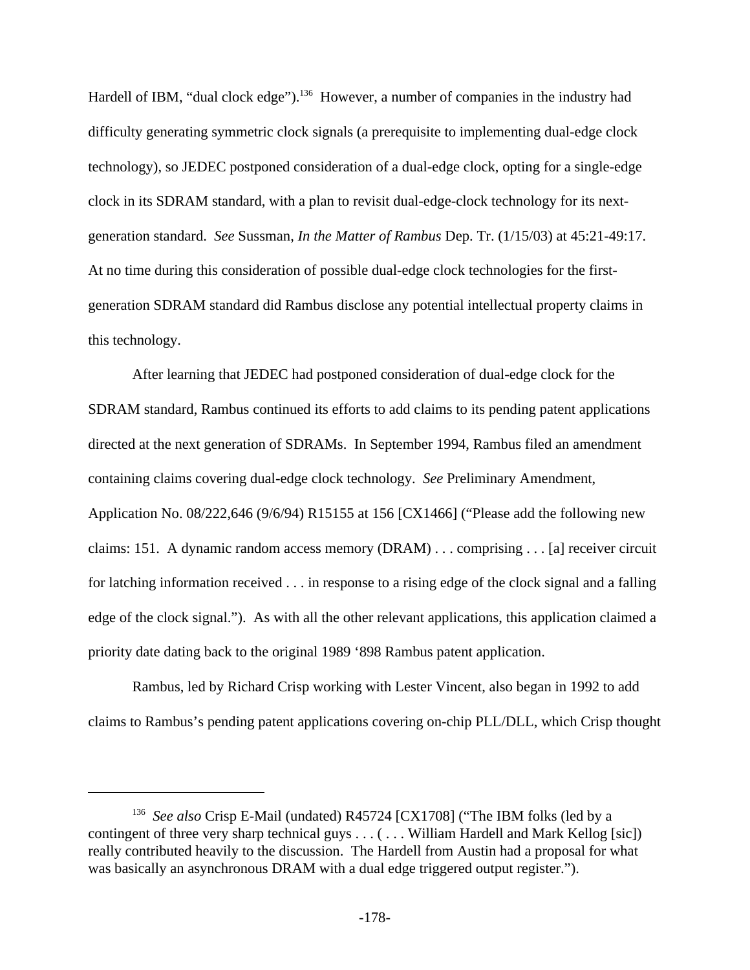Hardell of IBM, "dual clock edge").<sup>136</sup> However, a number of companies in the industry had difficulty generating symmetric clock signals (a prerequisite to implementing dual-edge clock technology), so JEDEC postponed consideration of a dual-edge clock, opting for a single-edge clock in its SDRAM standard, with a plan to revisit dual-edge-clock technology for its nextgeneration standard. *See* Sussman, *In the Matter of Rambus* Dep. Tr. (1/15/03) at 45:21-49:17. At no time during this consideration of possible dual-edge clock technologies for the firstgeneration SDRAM standard did Rambus disclose any potential intellectual property claims in this technology.

After learning that JEDEC had postponed consideration of dual-edge clock for the SDRAM standard, Rambus continued its efforts to add claims to its pending patent applications directed at the next generation of SDRAMs. In September 1994, Rambus filed an amendment containing claims covering dual-edge clock technology. *See* Preliminary Amendment, Application No. 08/222,646 (9/6/94) R15155 at 156 [CX1466] ("Please add the following new claims: 151. A dynamic random access memory (DRAM) . . . comprising . . . [a] receiver circuit for latching information received . . . in response to a rising edge of the clock signal and a falling edge of the clock signal."). As with all the other relevant applications, this application claimed a priority date dating back to the original 1989 '898 Rambus patent application.

Rambus, led by Richard Crisp working with Lester Vincent, also began in 1992 to add claims to Rambus's pending patent applications covering on-chip PLL/DLL, which Crisp thought

<sup>&</sup>lt;sup>136</sup> See also Crisp E-Mail (undated) R45724 [CX1708] ("The IBM folks (led by a contingent of three very sharp technical guys . . . ( . . . William Hardell and Mark Kellog [sic]) really contributed heavily to the discussion. The Hardell from Austin had a proposal for what was basically an asynchronous DRAM with a dual edge triggered output register.").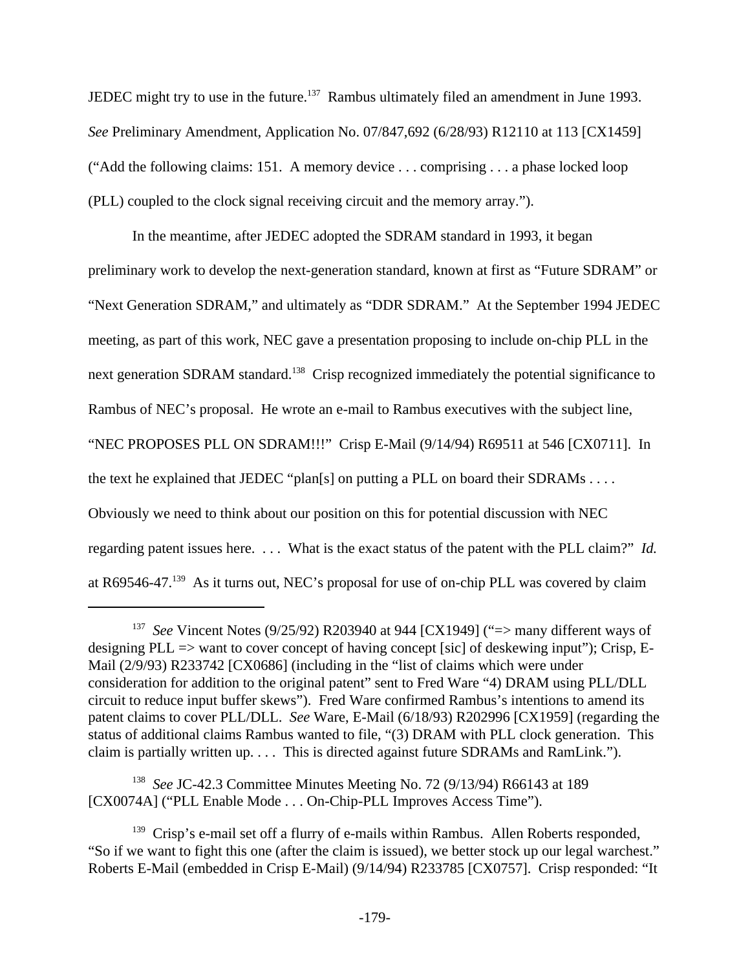JEDEC might try to use in the future.<sup>137</sup> Rambus ultimately filed an amendment in June 1993. *See* Preliminary Amendment, Application No. 07/847,692 (6/28/93) R12110 at 113 [CX1459] ("Add the following claims: 151. A memory device . . . comprising . . . a phase locked loop (PLL) coupled to the clock signal receiving circuit and the memory array.").

In the meantime, after JEDEC adopted the SDRAM standard in 1993, it began preliminary work to develop the next-generation standard, known at first as "Future SDRAM" or "Next Generation SDRAM," and ultimately as "DDR SDRAM." At the September 1994 JEDEC meeting, as part of this work, NEC gave a presentation proposing to include on-chip PLL in the next generation SDRAM standard.<sup>138</sup> Crisp recognized immediately the potential significance to Rambus of NEC's proposal. He wrote an e-mail to Rambus executives with the subject line, "NEC PROPOSES PLL ON SDRAM!!!" Crisp E-Mail (9/14/94) R69511 at 546 [CX0711]. In the text he explained that JEDEC "plan[s] on putting a PLL on board their SDRAMs . . . . Obviously we need to think about our position on this for potential discussion with NEC regarding patent issues here. . . . What is the exact status of the patent with the PLL claim?" *Id.* at R69546-47.139 As it turns out, NEC's proposal for use of on-chip PLL was covered by claim

<sup>&</sup>lt;sup>137</sup> See Vincent Notes (9/25/92) R203940 at 944 [CX1949] ("=> many different ways of designing PLL => want to cover concept of having concept [sic] of deskewing input"); Crisp, E-Mail (2/9/93) R233742 [CX0686] (including in the "list of claims which were under consideration for addition to the original patent" sent to Fred Ware "4) DRAM using PLL/DLL circuit to reduce input buffer skews"). Fred Ware confirmed Rambus's intentions to amend its patent claims to cover PLL/DLL. *See* Ware, E-Mail (6/18/93) R202996 [CX1959] (regarding the status of additional claims Rambus wanted to file, "(3) DRAM with PLL clock generation. This claim is partially written up. . . . This is directed against future SDRAMs and RamLink.").

<sup>138</sup> *See* JC-42.3 Committee Minutes Meeting No. 72 (9/13/94) R66143 at 189 [CX0074A] ("PLL Enable Mode . . . On-Chip-PLL Improves Access Time").

<sup>&</sup>lt;sup>139</sup> Crisp's e-mail set off a flurry of e-mails within Rambus. Allen Roberts responded, "So if we want to fight this one (after the claim is issued), we better stock up our legal warchest." Roberts E-Mail (embedded in Crisp E-Mail) (9/14/94) R233785 [CX0757]. Crisp responded: "It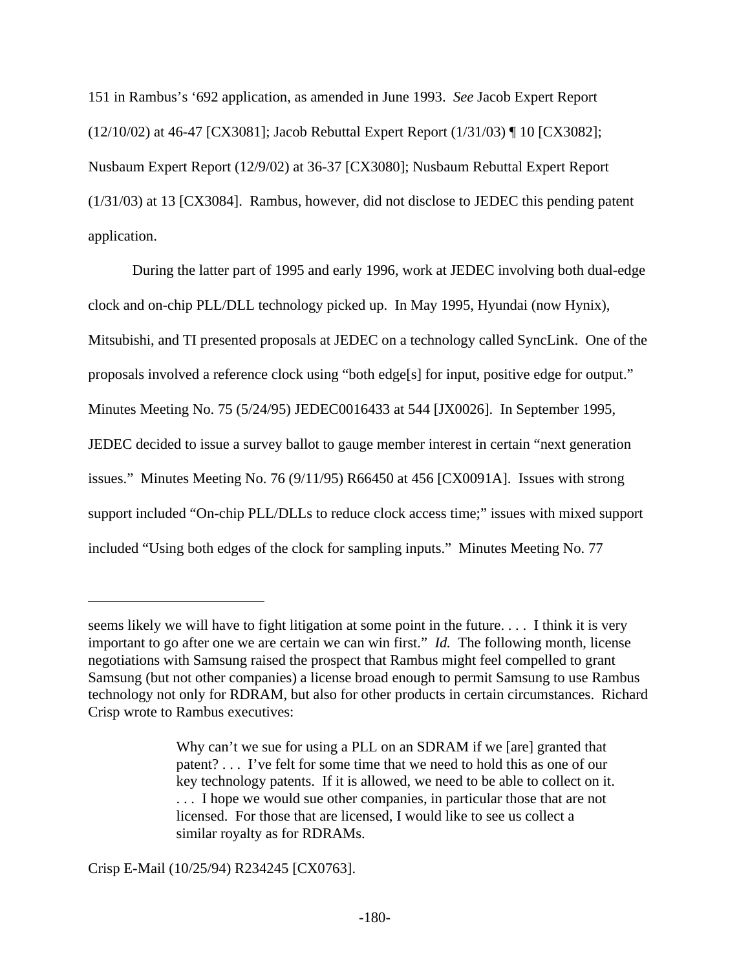151 in Rambus's '692 application, as amended in June 1993. *See* Jacob Expert Report (12/10/02) at 46-47 [CX3081]; Jacob Rebuttal Expert Report (1/31/03) ¶ 10 [CX3082]; Nusbaum Expert Report (12/9/02) at 36-37 [CX3080]; Nusbaum Rebuttal Expert Report (1/31/03) at 13 [CX3084]. Rambus, however, did not disclose to JEDEC this pending patent application.

During the latter part of 1995 and early 1996, work at JEDEC involving both dual-edge clock and on-chip PLL/DLL technology picked up. In May 1995, Hyundai (now Hynix), Mitsubishi, and TI presented proposals at JEDEC on a technology called SyncLink. One of the proposals involved a reference clock using "both edge[s] for input, positive edge for output." Minutes Meeting No. 75 (5/24/95) JEDEC0016433 at 544 [JX0026]. In September 1995, JEDEC decided to issue a survey ballot to gauge member interest in certain "next generation issues." Minutes Meeting No. 76 (9/11/95) R66450 at 456 [CX0091A]. Issues with strong support included "On-chip PLL/DLLs to reduce clock access time;" issues with mixed support included "Using both edges of the clock for sampling inputs." Minutes Meeting No. 77

Crisp E-Mail (10/25/94) R234245 [CX0763].

seems likely we will have to fight litigation at some point in the future. . . . I think it is very important to go after one we are certain we can win first." *Id.* The following month, license negotiations with Samsung raised the prospect that Rambus might feel compelled to grant Samsung (but not other companies) a license broad enough to permit Samsung to use Rambus technology not only for RDRAM, but also for other products in certain circumstances. Richard Crisp wrote to Rambus executives:

Why can't we sue for using a PLL on an SDRAM if we [are] granted that patent? . . . I've felt for some time that we need to hold this as one of our key technology patents. If it is allowed, we need to be able to collect on it. . . . I hope we would sue other companies, in particular those that are not licensed. For those that are licensed, I would like to see us collect a similar royalty as for RDRAMs.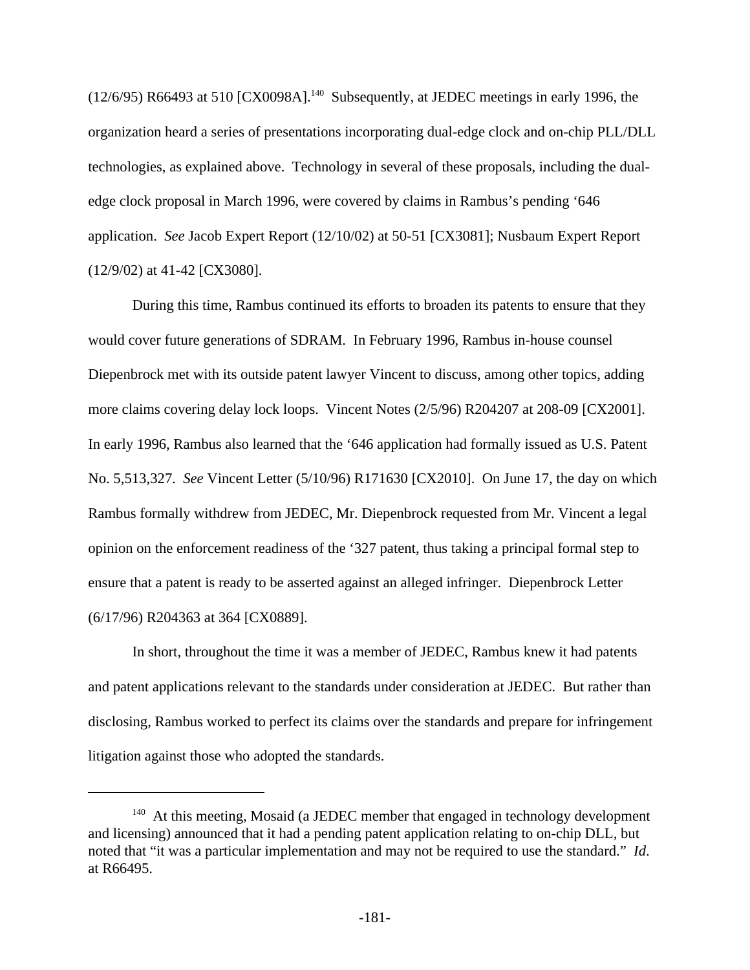$(12/6/95)$  R66493 at 510 [CX0098A].<sup>140</sup> Subsequently, at JEDEC meetings in early 1996, the organization heard a series of presentations incorporating dual-edge clock and on-chip PLL/DLL technologies, as explained above. Technology in several of these proposals, including the dualedge clock proposal in March 1996, were covered by claims in Rambus's pending '646 application. *See* Jacob Expert Report (12/10/02) at 50-51 [CX3081]; Nusbaum Expert Report (12/9/02) at 41-42 [CX3080].

During this time, Rambus continued its efforts to broaden its patents to ensure that they would cover future generations of SDRAM. In February 1996, Rambus in-house counsel Diepenbrock met with its outside patent lawyer Vincent to discuss, among other topics, adding more claims covering delay lock loops. Vincent Notes (2/5/96) R204207 at 208-09 [CX2001]. In early 1996, Rambus also learned that the '646 application had formally issued as U.S. Patent No. 5,513,327. *See* Vincent Letter (5/10/96) R171630 [CX2010]. On June 17, the day on which Rambus formally withdrew from JEDEC, Mr. Diepenbrock requested from Mr. Vincent a legal opinion on the enforcement readiness of the '327 patent, thus taking a principal formal step to ensure that a patent is ready to be asserted against an alleged infringer. Diepenbrock Letter (6/17/96) R204363 at 364 [CX0889].

In short, throughout the time it was a member of JEDEC, Rambus knew it had patents and patent applications relevant to the standards under consideration at JEDEC. But rather than disclosing, Rambus worked to perfect its claims over the standards and prepare for infringement litigation against those who adopted the standards.

<sup>&</sup>lt;sup>140</sup> At this meeting, Mosaid (a JEDEC member that engaged in technology development and licensing) announced that it had a pending patent application relating to on-chip DLL, but noted that "it was a particular implementation and may not be required to use the standard." *Id*. at R66495.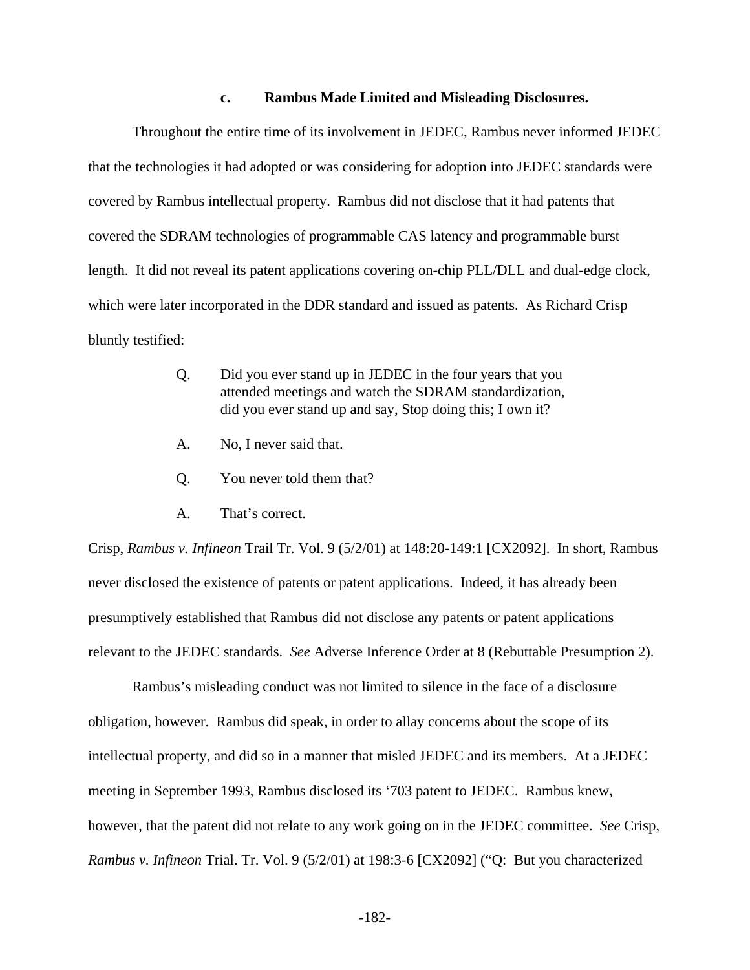### **c. Rambus Made Limited and Misleading Disclosures.**

Throughout the entire time of its involvement in JEDEC, Rambus never informed JEDEC that the technologies it had adopted or was considering for adoption into JEDEC standards were covered by Rambus intellectual property. Rambus did not disclose that it had patents that covered the SDRAM technologies of programmable CAS latency and programmable burst length. It did not reveal its patent applications covering on-chip PLL/DLL and dual-edge clock, which were later incorporated in the DDR standard and issued as patents. As Richard Crisp bluntly testified:

- Q. Did you ever stand up in JEDEC in the four years that you attended meetings and watch the SDRAM standardization, did you ever stand up and say, Stop doing this; I own it?
- A. No, I never said that.
- Q. You never told them that?
- A. That's correct.

Crisp, *Rambus v. Infineon* Trail Tr. Vol. 9 (5/2/01) at 148:20-149:1 [CX2092]. In short, Rambus never disclosed the existence of patents or patent applications. Indeed, it has already been presumptively established that Rambus did not disclose any patents or patent applications relevant to the JEDEC standards. *See* Adverse Inference Order at 8 (Rebuttable Presumption 2).

Rambus's misleading conduct was not limited to silence in the face of a disclosure obligation, however. Rambus did speak, in order to allay concerns about the scope of its intellectual property, and did so in a manner that misled JEDEC and its members. At a JEDEC meeting in September 1993, Rambus disclosed its '703 patent to JEDEC. Rambus knew, however, that the patent did not relate to any work going on in the JEDEC committee. *See* Crisp, *Rambus v. Infineon* Trial. Tr. Vol. 9 (5/2/01) at 198:3-6 [CX2092] ("Q: But you characterized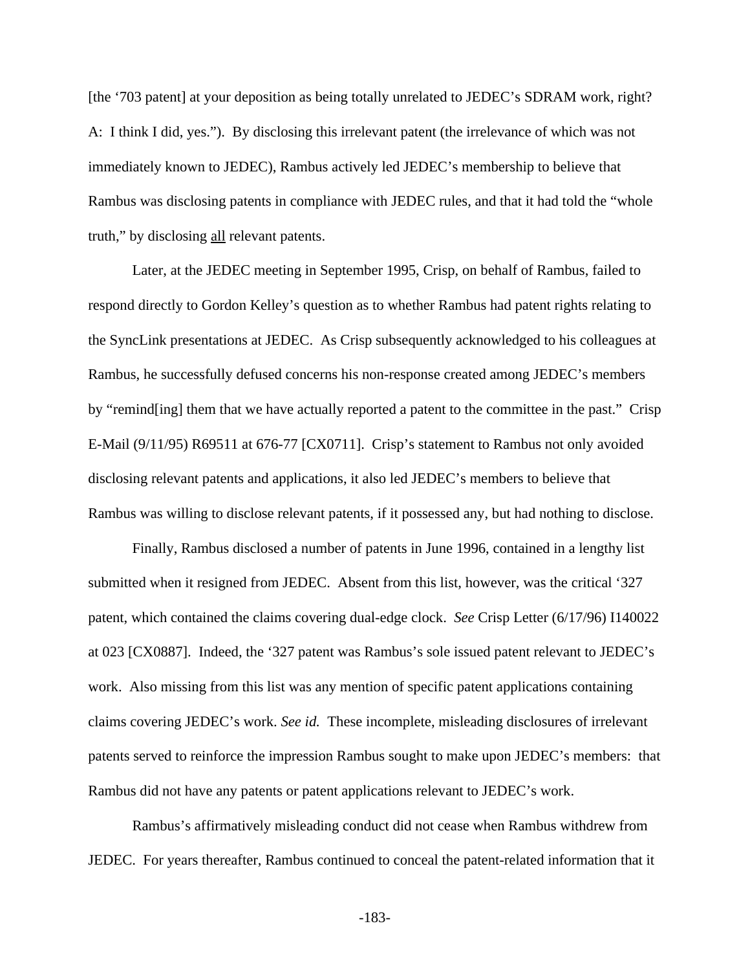[the '703 patent] at your deposition as being totally unrelated to JEDEC's SDRAM work, right? A: I think I did, yes."). By disclosing this irrelevant patent (the irrelevance of which was not immediately known to JEDEC), Rambus actively led JEDEC's membership to believe that Rambus was disclosing patents in compliance with JEDEC rules, and that it had told the "whole truth," by disclosing all relevant patents.

Later, at the JEDEC meeting in September 1995, Crisp, on behalf of Rambus, failed to respond directly to Gordon Kelley's question as to whether Rambus had patent rights relating to the SyncLink presentations at JEDEC. As Crisp subsequently acknowledged to his colleagues at Rambus, he successfully defused concerns his non-response created among JEDEC's members by "remind[ing] them that we have actually reported a patent to the committee in the past." Crisp E-Mail (9/11/95) R69511 at 676-77 [CX0711]. Crisp's statement to Rambus not only avoided disclosing relevant patents and applications, it also led JEDEC's members to believe that Rambus was willing to disclose relevant patents, if it possessed any, but had nothing to disclose.

Finally, Rambus disclosed a number of patents in June 1996, contained in a lengthy list submitted when it resigned from JEDEC. Absent from this list, however, was the critical '327 patent, which contained the claims covering dual-edge clock. *See* Crisp Letter (6/17/96) I140022 at 023 [CX0887]. Indeed, the '327 patent was Rambus's sole issued patent relevant to JEDEC's work. Also missing from this list was any mention of specific patent applications containing claims covering JEDEC's work. *See id.* These incomplete, misleading disclosures of irrelevant patents served to reinforce the impression Rambus sought to make upon JEDEC's members: that Rambus did not have any patents or patent applications relevant to JEDEC's work.

Rambus's affirmatively misleading conduct did not cease when Rambus withdrew from JEDEC. For years thereafter, Rambus continued to conceal the patent-related information that it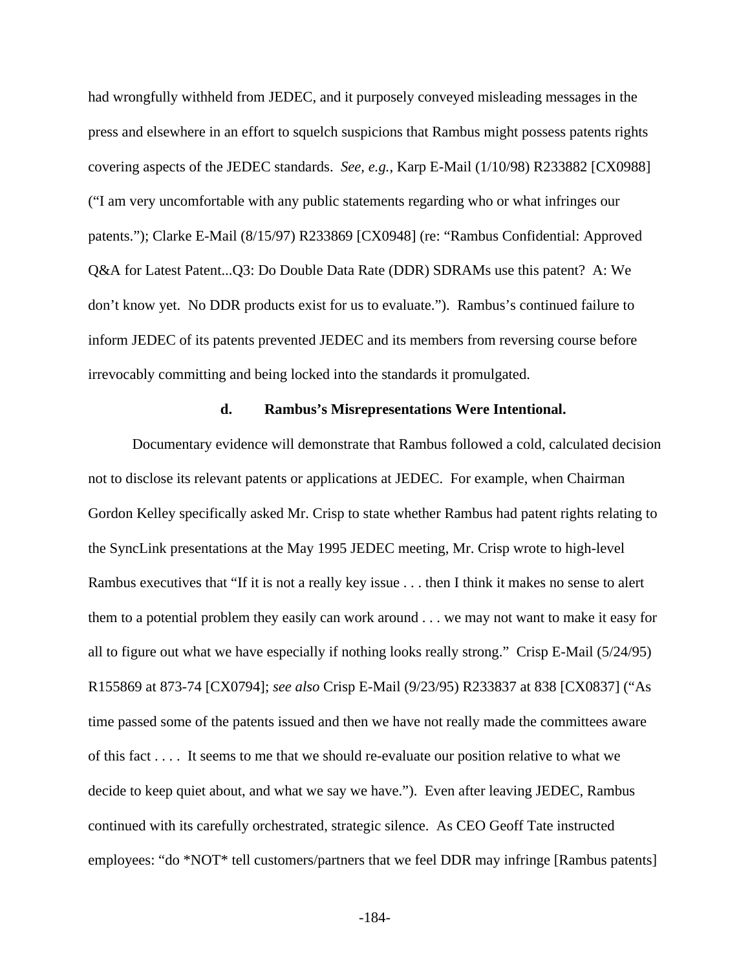had wrongfully withheld from JEDEC, and it purposely conveyed misleading messages in the press and elsewhere in an effort to squelch suspicions that Rambus might possess patents rights covering aspects of the JEDEC standards. *See, e.g.*, Karp E-Mail (1/10/98) R233882 [CX0988] ("I am very uncomfortable with any public statements regarding who or what infringes our patents."); Clarke E-Mail (8/15/97) R233869 [CX0948] (re: "Rambus Confidential: Approved Q&A for Latest Patent...Q3: Do Double Data Rate (DDR) SDRAMs use this patent? A: We don't know yet. No DDR products exist for us to evaluate."). Rambus's continued failure to inform JEDEC of its patents prevented JEDEC and its members from reversing course before irrevocably committing and being locked into the standards it promulgated.

### **d. Rambus's Misrepresentations Were Intentional.**

Documentary evidence will demonstrate that Rambus followed a cold, calculated decision not to disclose its relevant patents or applications at JEDEC. For example, when Chairman Gordon Kelley specifically asked Mr. Crisp to state whether Rambus had patent rights relating to the SyncLink presentations at the May 1995 JEDEC meeting, Mr. Crisp wrote to high-level Rambus executives that "If it is not a really key issue . . . then I think it makes no sense to alert them to a potential problem they easily can work around . . . we may not want to make it easy for all to figure out what we have especially if nothing looks really strong." Crisp E-Mail (5/24/95) R155869 at 873-74 [CX0794]; *see also* Crisp E-Mail (9/23/95) R233837 at 838 [CX0837] ("As time passed some of the patents issued and then we have not really made the committees aware of this fact . . . . It seems to me that we should re-evaluate our position relative to what we decide to keep quiet about, and what we say we have."). Even after leaving JEDEC, Rambus continued with its carefully orchestrated, strategic silence. As CEO Geoff Tate instructed employees: "do \*NOT\* tell customers/partners that we feel DDR may infringe [Rambus patents]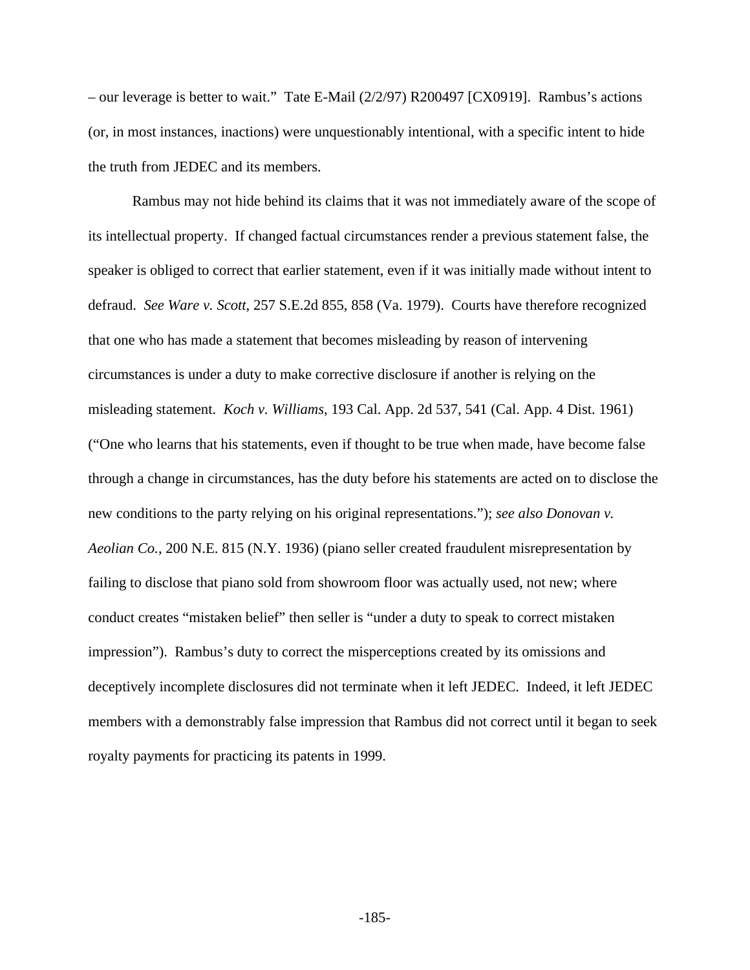– our leverage is better to wait." Tate E-Mail (2/2/97) R200497 [CX0919]. Rambus's actions (or, in most instances, inactions) were unquestionably intentional, with a specific intent to hide the truth from JEDEC and its members.

Rambus may not hide behind its claims that it was not immediately aware of the scope of its intellectual property. If changed factual circumstances render a previous statement false, the speaker is obliged to correct that earlier statement, even if it was initially made without intent to defraud. *See Ware v. Scott*, 257 S.E.2d 855, 858 (Va. 1979). Courts have therefore recognized that one who has made a statement that becomes misleading by reason of intervening circumstances is under a duty to make corrective disclosure if another is relying on the misleading statement. *Koch v. Williams*, 193 Cal. App. 2d 537, 541 (Cal. App. 4 Dist. 1961) ("One who learns that his statements, even if thought to be true when made, have become false through a change in circumstances, has the duty before his statements are acted on to disclose the new conditions to the party relying on his original representations."); *see also Donovan v. Aeolian Co.*, 200 N.E. 815 (N.Y. 1936) (piano seller created fraudulent misrepresentation by failing to disclose that piano sold from showroom floor was actually used, not new; where conduct creates "mistaken belief" then seller is "under a duty to speak to correct mistaken impression"). Rambus's duty to correct the misperceptions created by its omissions and deceptively incomplete disclosures did not terminate when it left JEDEC. Indeed, it left JEDEC members with a demonstrably false impression that Rambus did not correct until it began to seek royalty payments for practicing its patents in 1999.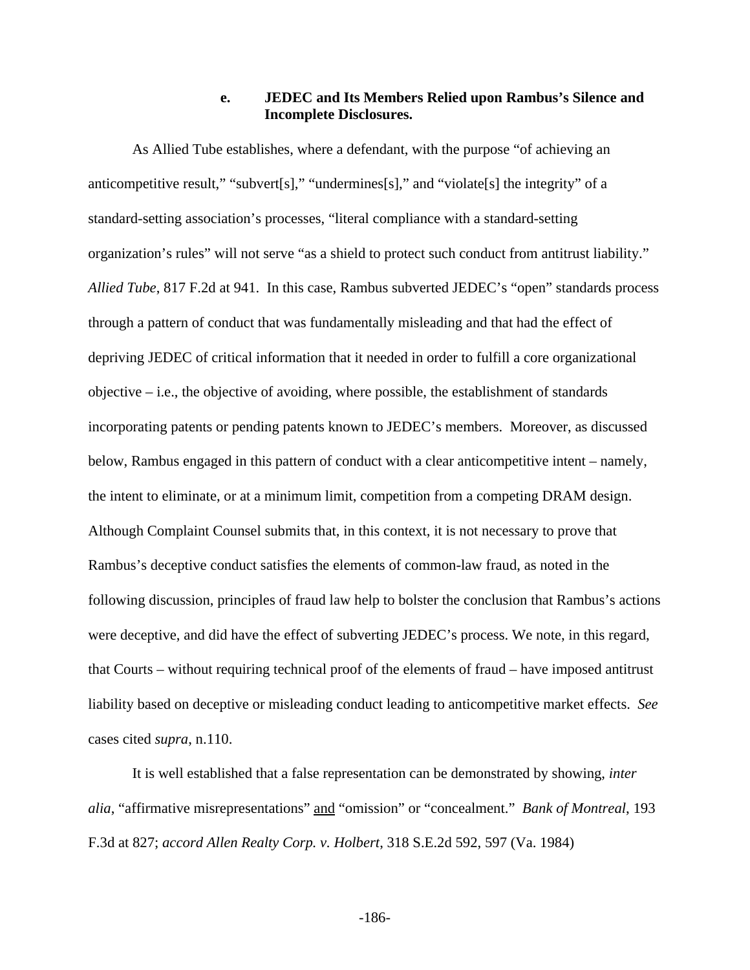## **e. JEDEC and Its Members Relied upon Rambus's Silence and Incomplete Disclosures.**

As Allied Tube establishes, where a defendant, with the purpose "of achieving an anticompetitive result," "subvert[s]," "undermines[s]," and "violate[s] the integrity" of a standard-setting association's processes, "literal compliance with a standard-setting organization's rules" will not serve "as a shield to protect such conduct from antitrust liability." *Allied Tube*, 817 F.2d at 941. In this case, Rambus subverted JEDEC's "open" standards process through a pattern of conduct that was fundamentally misleading and that had the effect of depriving JEDEC of critical information that it needed in order to fulfill a core organizational objective  $-$  i.e., the objective of avoiding, where possible, the establishment of standards incorporating patents or pending patents known to JEDEC's members. Moreover, as discussed below, Rambus engaged in this pattern of conduct with a clear anticompetitive intent – namely, the intent to eliminate, or at a minimum limit, competition from a competing DRAM design. Although Complaint Counsel submits that, in this context, it is not necessary to prove that Rambus's deceptive conduct satisfies the elements of common-law fraud, as noted in the following discussion, principles of fraud law help to bolster the conclusion that Rambus's actions were deceptive, and did have the effect of subverting JEDEC's process. We note, in this regard, that Courts – without requiring technical proof of the elements of fraud – have imposed antitrust liability based on deceptive or misleading conduct leading to anticompetitive market effects. *See* cases cited *supra*, n.110.

It is well established that a false representation can be demonstrated by showing, *inter alia*, "affirmative misrepresentations" and "omission" or "concealment." *Bank of Montreal*, 193 F.3d at 827; *accord Allen Realty Corp. v. Holbert*, 318 S.E.2d 592, 597 (Va. 1984)

-186-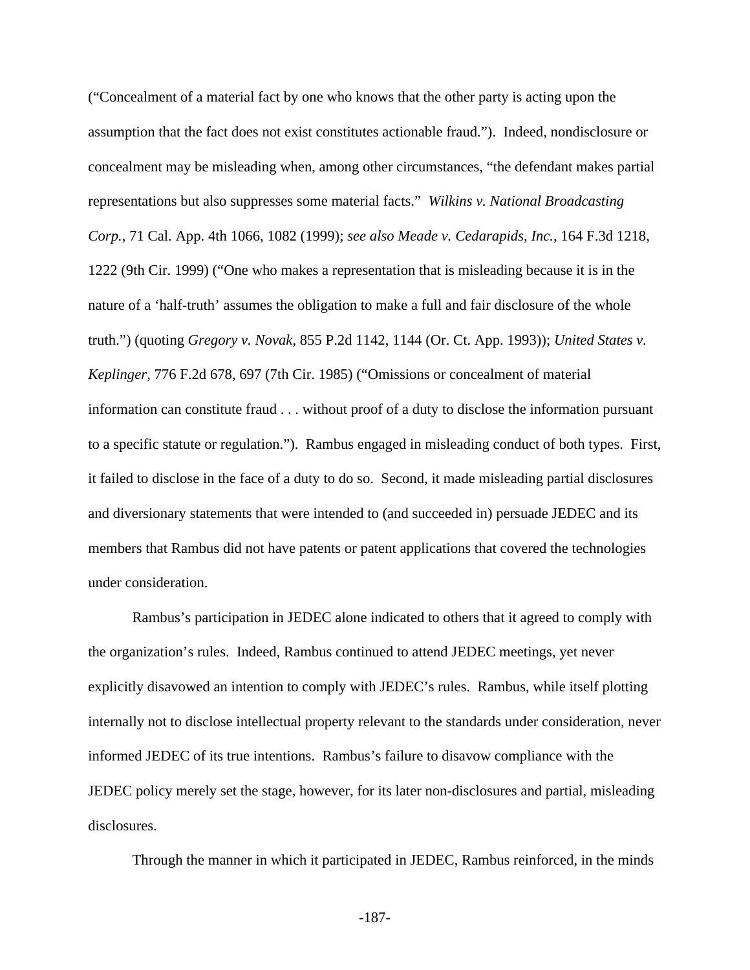("Concealment of a material fact by one who knows that the other party is acting upon the assumption that the fact does not exist constitutes actionable fraud."). Indeed, nondisclosure or concealment may be misleading when, among other circumstances, "the defendant makes partial representations but also suppresses some material facts." *Wilkins v. National Broadcasting Corp.*, 71 Cal. App. 4th 1066, 1082 (1999); *see also Meade v. Cedarapids, Inc.*, 164 F.3d 1218, 1222 (9th Cir. 1999) ("One who makes a representation that is misleading because it is in the nature of a 'half-truth' assumes the obligation to make a full and fair disclosure of the whole truth.") (quoting *Gregory v. Novak*, 855 P.2d 1142, 1144 (Or. Ct. App. 1993)); *United States v. Keplinger*, 776 F.2d 678, 697 (7th Cir. 1985) ("Omissions or concealment of material information can constitute fraud . . . without proof of a duty to disclose the information pursuant to a specific statute or regulation."). Rambus engaged in misleading conduct of both types. First, it failed to disclose in the face of a duty to do so. Second, it made misleading partial disclosures and diversionary statements that were intended to (and succeeded in) persuade JEDEC and its members that Rambus did not have patents or patent applications that covered the technologies under consideration.

Rambus's participation in JEDEC alone indicated to others that it agreed to comply with the organization's rules. Indeed, Rambus continued to attend JEDEC meetings, yet never explicitly disavowed an intention to comply with JEDEC's rules. Rambus, while itself plotting internally not to disclose intellectual property relevant to the standards under consideration, never informed JEDEC of its true intentions. Rambus's failure to disavow compliance with the JEDEC policy merely set the stage, however, for its later non-disclosures and partial, misleading disclosures.

Through the manner in which it participated in JEDEC, Rambus reinforced, in the minds

-187-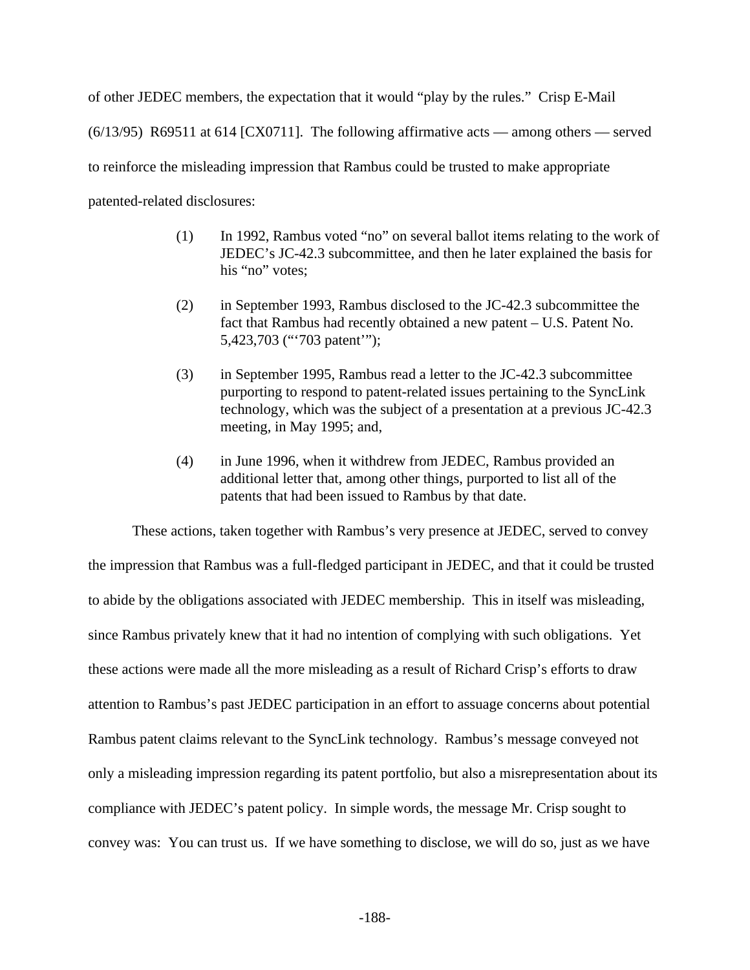of other JEDEC members, the expectation that it would "play by the rules." Crisp E-Mail  $(6/13/95)$  R69511 at 614 [CX0711]. The following affirmative acts — among others — served to reinforce the misleading impression that Rambus could be trusted to make appropriate patented-related disclosures:

- (1) In 1992, Rambus voted "no" on several ballot items relating to the work of JEDEC's JC-42.3 subcommittee, and then he later explained the basis for his "no" votes:
- (2) in September 1993, Rambus disclosed to the JC-42.3 subcommittee the fact that Rambus had recently obtained a new patent – U.S. Patent No. 5,423,703 ("'703 patent'");
- (3) in September 1995, Rambus read a letter to the JC-42.3 subcommittee purporting to respond to patent-related issues pertaining to the SyncLink technology, which was the subject of a presentation at a previous JC-42.3 meeting, in May 1995; and,
- (4) in June 1996, when it withdrew from JEDEC, Rambus provided an additional letter that, among other things, purported to list all of the patents that had been issued to Rambus by that date.

These actions, taken together with Rambus's very presence at JEDEC, served to convey the impression that Rambus was a full-fledged participant in JEDEC, and that it could be trusted to abide by the obligations associated with JEDEC membership. This in itself was misleading, since Rambus privately knew that it had no intention of complying with such obligations. Yet these actions were made all the more misleading as a result of Richard Crisp's efforts to draw attention to Rambus's past JEDEC participation in an effort to assuage concerns about potential Rambus patent claims relevant to the SyncLink technology. Rambus's message conveyed not only a misleading impression regarding its patent portfolio, but also a misrepresentation about its compliance with JEDEC's patent policy. In simple words, the message Mr. Crisp sought to convey was: You can trust us. If we have something to disclose, we will do so, just as we have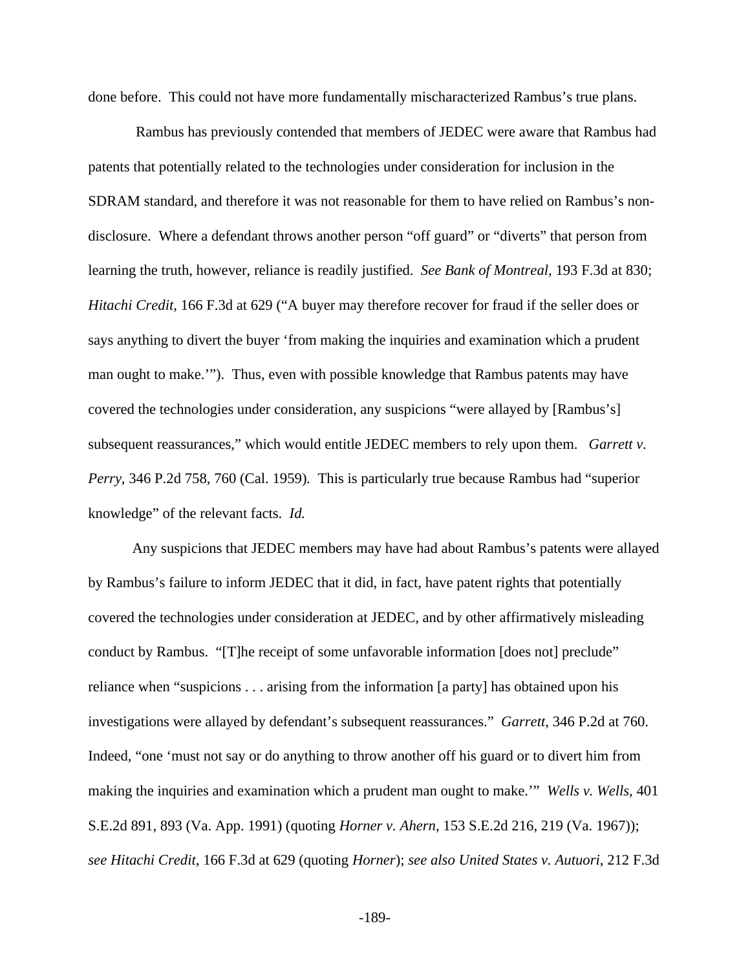done before. This could not have more fundamentally mischaracterized Rambus's true plans.

 Rambus has previously contended that members of JEDEC were aware that Rambus had patents that potentially related to the technologies under consideration for inclusion in the SDRAM standard, and therefore it was not reasonable for them to have relied on Rambus's nondisclosure. Where a defendant throws another person "off guard" or "diverts" that person from learning the truth, however, reliance is readily justified. *See Bank of Montreal*, 193 F.3d at 830; *Hitachi Credit*, 166 F.3d at 629 ("A buyer may therefore recover for fraud if the seller does or says anything to divert the buyer 'from making the inquiries and examination which a prudent man ought to make.'"). Thus, even with possible knowledge that Rambus patents may have covered the technologies under consideration, any suspicions "were allayed by [Rambus's] subsequent reassurances," which would entitle JEDEC members to rely upon them. *Garrett v. Perry*, 346 P.2d 758, 760 (Cal. 1959)*.* This is particularly true because Rambus had "superior knowledge" of the relevant facts. *Id.*

Any suspicions that JEDEC members may have had about Rambus's patents were allayed by Rambus's failure to inform JEDEC that it did, in fact, have patent rights that potentially covered the technologies under consideration at JEDEC, and by other affirmatively misleading conduct by Rambus. "[T]he receipt of some unfavorable information [does not] preclude" reliance when "suspicions . . . arising from the information [a party] has obtained upon his investigations were allayed by defendant's subsequent reassurances." *Garrett*, 346 P.2d at 760. Indeed, "one 'must not say or do anything to throw another off his guard or to divert him from making the inquiries and examination which a prudent man ought to make.'" *Wells v. Wells*, 401 S.E.2d 891, 893 (Va. App. 1991) (quoting *Horner v. Ahern*, 153 S.E.2d 216, 219 (Va. 1967)); *see Hitachi Credit*, 166 F.3d at 629 (quoting *Horner*); *see also United States v. Autuori*, 212 F.3d

-189-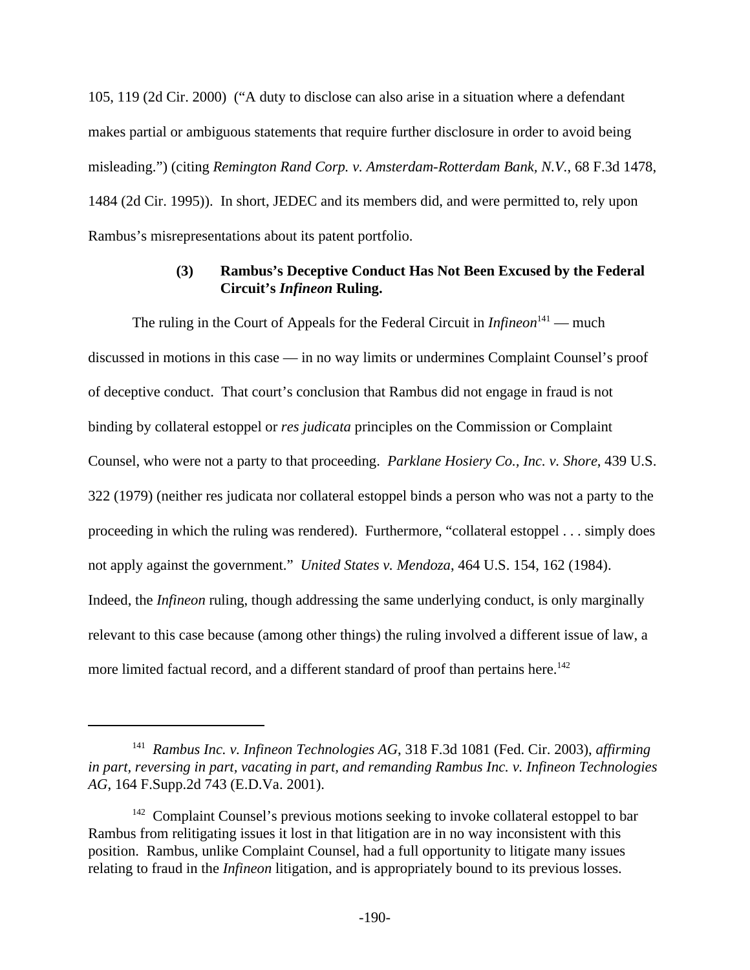105, 119 (2d Cir. 2000) ("A duty to disclose can also arise in a situation where a defendant makes partial or ambiguous statements that require further disclosure in order to avoid being misleading.") (citing *Remington Rand Corp. v. Amsterdam-Rotterdam Bank, N.V.*, 68 F.3d 1478, 1484 (2d Cir. 1995)). In short, JEDEC and its members did, and were permitted to, rely upon Rambus's misrepresentations about its patent portfolio.

# **(3) Rambus's Deceptive Conduct Has Not Been Excused by the Federal Circuit's** *Infineon* **Ruling.**

The ruling in the Court of Appeals for the Federal Circuit in *Infineon*<sup>141</sup> — much discussed in motions in this case — in no way limits or undermines Complaint Counsel's proof of deceptive conduct. That court's conclusion that Rambus did not engage in fraud is not binding by collateral estoppel or *res judicata* principles on the Commission or Complaint Counsel, who were not a party to that proceeding. *Parklane Hosiery Co., Inc. v. Shore*, 439 U.S. 322 (1979) (neither res judicata nor collateral estoppel binds a person who was not a party to the proceeding in which the ruling was rendered). Furthermore, "collateral estoppel . . . simply does not apply against the government." *United States v. Mendoza*, 464 U.S. 154, 162 (1984). Indeed, the *Infineon* ruling, though addressing the same underlying conduct, is only marginally relevant to this case because (among other things) the ruling involved a different issue of law, a more limited factual record, and a different standard of proof than pertains here.<sup>142</sup>

<sup>141</sup> *Rambus Inc. v. Infineon Technologies AG*, 318 F.3d 1081 (Fed. Cir. 2003), *affirming in part, reversing in part, vacating in part, and remanding Rambus Inc. v. Infineon Technologies AG*, 164 F.Supp.2d 743 (E.D.Va. 2001).

<sup>&</sup>lt;sup>142</sup> Complaint Counsel's previous motions seeking to invoke collateral estoppel to bar Rambus from relitigating issues it lost in that litigation are in no way inconsistent with this position. Rambus, unlike Complaint Counsel, had a full opportunity to litigate many issues relating to fraud in the *Infineon* litigation, and is appropriately bound to its previous losses.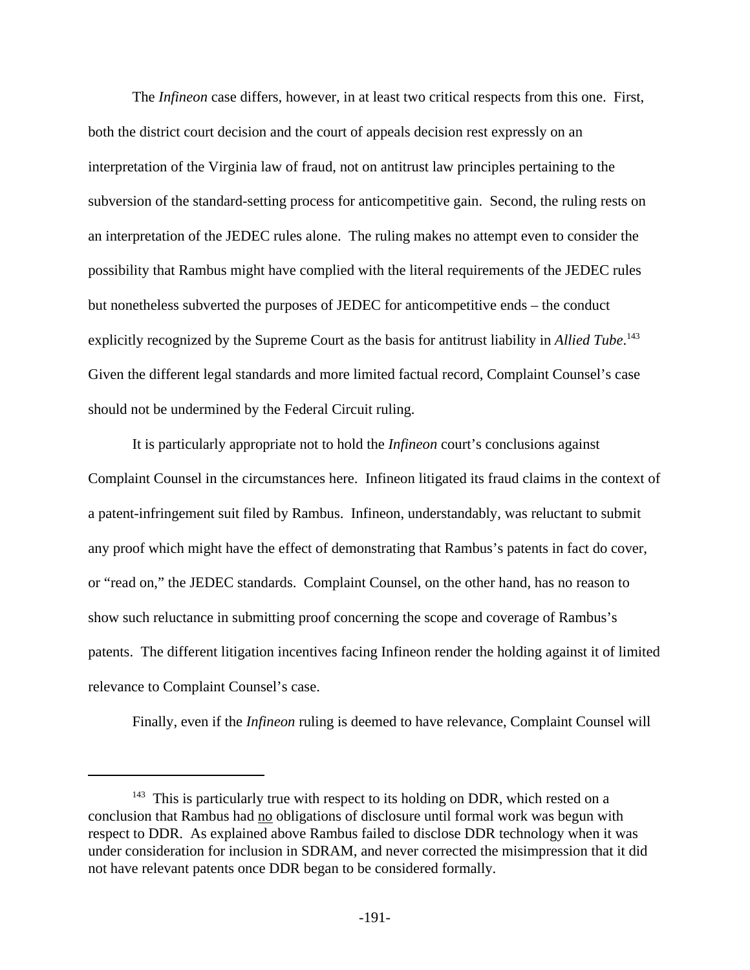The *Infineon* case differs, however, in at least two critical respects from this one. First, both the district court decision and the court of appeals decision rest expressly on an interpretation of the Virginia law of fraud, not on antitrust law principles pertaining to the subversion of the standard-setting process for anticompetitive gain. Second, the ruling rests on an interpretation of the JEDEC rules alone. The ruling makes no attempt even to consider the possibility that Rambus might have complied with the literal requirements of the JEDEC rules but nonetheless subverted the purposes of JEDEC for anticompetitive ends – the conduct explicitly recognized by the Supreme Court as the basis for antitrust liability in *Allied Tube*. 143 Given the different legal standards and more limited factual record, Complaint Counsel's case should not be undermined by the Federal Circuit ruling.

It is particularly appropriate not to hold the *Infineon* court's conclusions against Complaint Counsel in the circumstances here. Infineon litigated its fraud claims in the context of a patent-infringement suit filed by Rambus. Infineon, understandably, was reluctant to submit any proof which might have the effect of demonstrating that Rambus's patents in fact do cover, or "read on," the JEDEC standards. Complaint Counsel, on the other hand, has no reason to show such reluctance in submitting proof concerning the scope and coverage of Rambus's patents. The different litigation incentives facing Infineon render the holding against it of limited relevance to Complaint Counsel's case.

Finally, even if the *Infineon* ruling is deemed to have relevance, Complaint Counsel will

<sup>&</sup>lt;sup>143</sup> This is particularly true with respect to its holding on DDR, which rested on a conclusion that Rambus had no obligations of disclosure until formal work was begun with respect to DDR. As explained above Rambus failed to disclose DDR technology when it was under consideration for inclusion in SDRAM, and never corrected the misimpression that it did not have relevant patents once DDR began to be considered formally.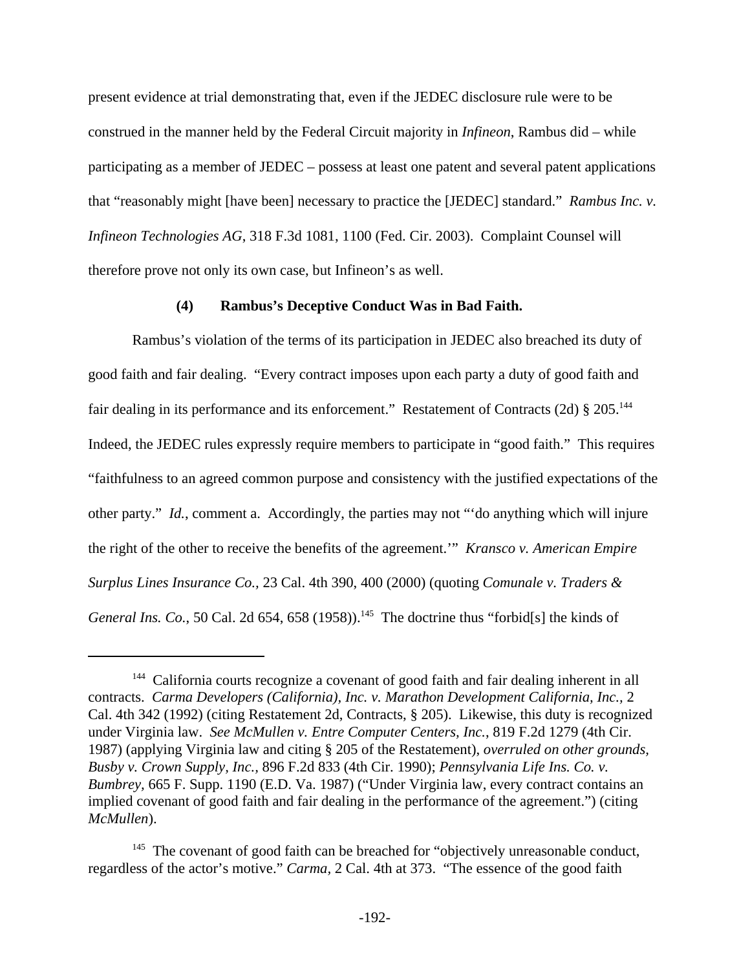present evidence at trial demonstrating that, even if the JEDEC disclosure rule were to be construed in the manner held by the Federal Circuit majority in *Infineon*, Rambus did – while participating as a member of JEDEC – possess at least one patent and several patent applications that "reasonably might [have been] necessary to practice the [JEDEC] standard." *Rambus Inc. v. Infineon Technologies AG*, 318 F.3d 1081, 1100 (Fed. Cir. 2003). Complaint Counsel will therefore prove not only its own case, but Infineon's as well.

## **(4) Rambus's Deceptive Conduct Was in Bad Faith.**

Rambus's violation of the terms of its participation in JEDEC also breached its duty of good faith and fair dealing. "Every contract imposes upon each party a duty of good faith and fair dealing in its performance and its enforcement." Restatement of Contracts (2d) § 205.<sup>144</sup> Indeed, the JEDEC rules expressly require members to participate in "good faith." This requires "faithfulness to an agreed common purpose and consistency with the justified expectations of the other party." *Id.*, comment a. Accordingly, the parties may not "'do anything which will injure the right of the other to receive the benefits of the agreement.'" *Kransco v. American Empire Surplus Lines Insurance Co.,* 23 Cal. 4th 390, 400 (2000) (quoting *Comunale v. Traders & General Ins. Co.*, 50 Cal. 2d 654, 658 (1958)).<sup>145</sup> The doctrine thus "forbid[s] the kinds of

<sup>&</sup>lt;sup>144</sup> California courts recognize a covenant of good faith and fair dealing inherent in all contracts. *Carma Developers (California), Inc. v. Marathon Development California, Inc.,* 2 Cal. 4th 342 (1992) (citing Restatement 2d, Contracts, § 205). Likewise, this duty is recognized under Virginia law. *See McMullen v. Entre Computer Centers, Inc.*, 819 F.2d 1279 (4th Cir. 1987) (applying Virginia law and citing § 205 of the Restatement), *overruled on other grounds, Busby v. Crown Supply, Inc.,* 896 F.2d 833 (4th Cir. 1990); *Pennsylvania Life Ins. Co. v. Bumbrey,* 665 F. Supp. 1190 (E.D. Va. 1987) ("Under Virginia law, every contract contains an implied covenant of good faith and fair dealing in the performance of the agreement.") (citing *McMullen*).

<sup>&</sup>lt;sup>145</sup> The covenant of good faith can be breached for "objectively unreasonable conduct, regardless of the actor's motive." *Carma,* 2 Cal. 4th at 373. "The essence of the good faith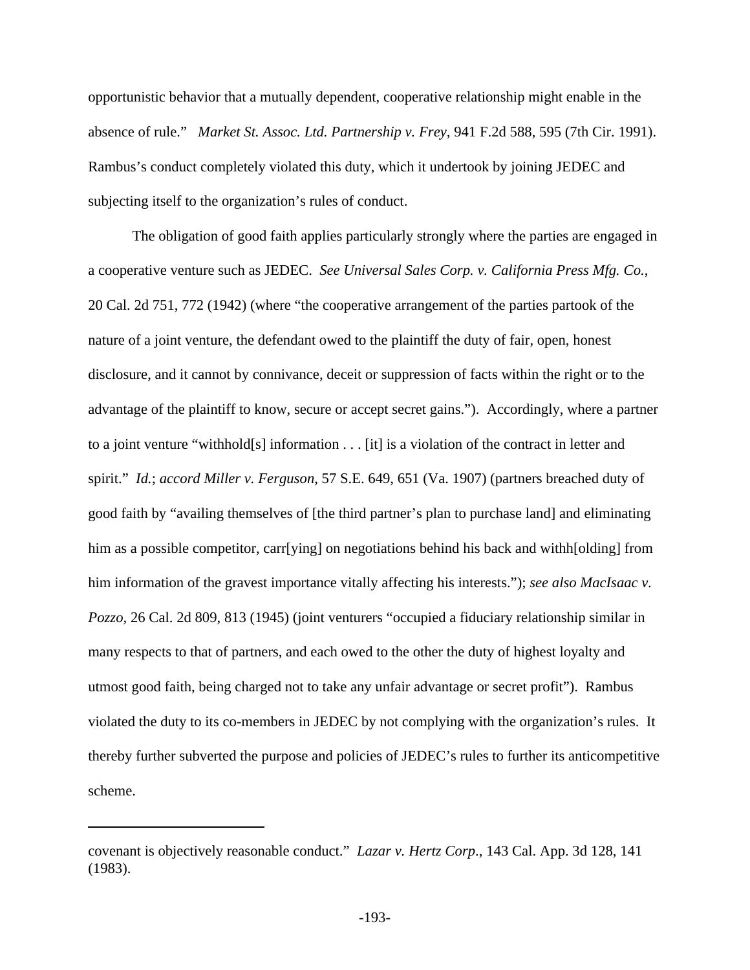opportunistic behavior that a mutually dependent, cooperative relationship might enable in the absence of rule." *Market St. Assoc. Ltd. Partnership v. Frey,* 941 F.2d 588, 595 (7th Cir. 1991). Rambus's conduct completely violated this duty, which it undertook by joining JEDEC and subjecting itself to the organization's rules of conduct.

The obligation of good faith applies particularly strongly where the parties are engaged in a cooperative venture such as JEDEC. *See Universal Sales Corp. v. California Press Mfg. Co.*, 20 Cal. 2d 751, 772 (1942) (where "the cooperative arrangement of the parties partook of the nature of a joint venture, the defendant owed to the plaintiff the duty of fair, open, honest disclosure, and it cannot by connivance, deceit or suppression of facts within the right or to the advantage of the plaintiff to know, secure or accept secret gains."). Accordingly, where a partner to a joint venture "withhold[s] information . . . [it] is a violation of the contract in letter and spirit." *Id.*; *accord Miller v. Ferguson*, 57 S.E. 649, 651 (Va. 1907) (partners breached duty of good faith by "availing themselves of [the third partner's plan to purchase land] and eliminating him as a possible competitor, carr[ying] on negotiations behind his back and withh[olding] from him information of the gravest importance vitally affecting his interests."); *see also MacIsaac v. Pozzo,* 26 Cal. 2d 809, 813 (1945) (joint venturers "occupied a fiduciary relationship similar in many respects to that of partners, and each owed to the other the duty of highest loyalty and utmost good faith, being charged not to take any unfair advantage or secret profit"). Rambus violated the duty to its co-members in JEDEC by not complying with the organization's rules. It thereby further subverted the purpose and policies of JEDEC's rules to further its anticompetitive scheme.

covenant is objectively reasonable conduct." *Lazar v. Hertz Corp*., 143 Cal. App. 3d 128, 141 (1983).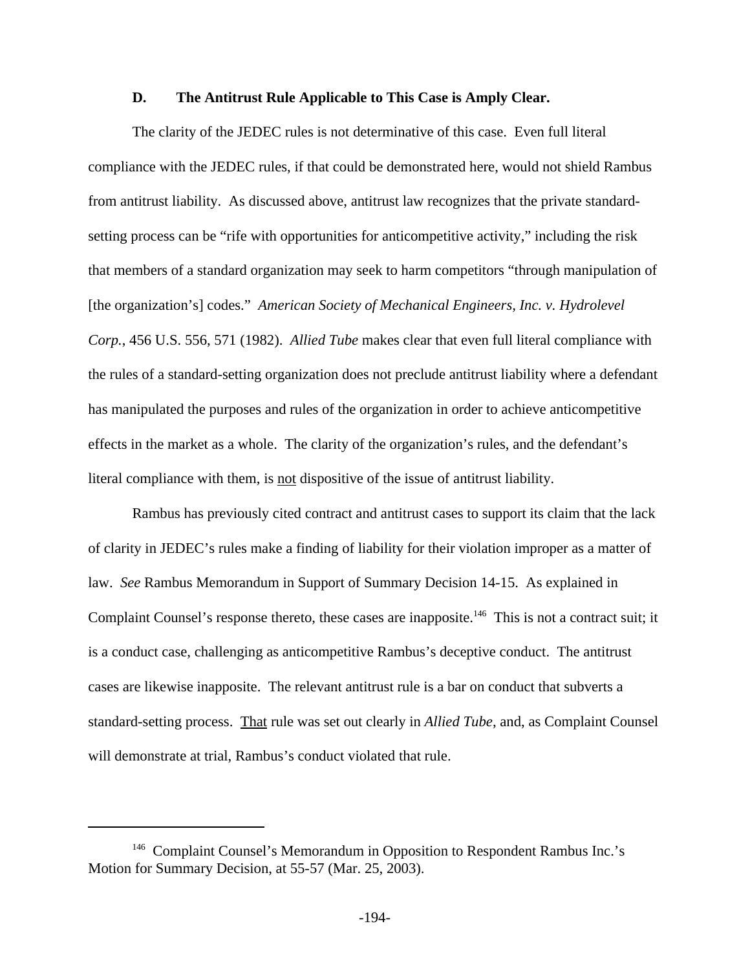### **D. The Antitrust Rule Applicable to This Case is Amply Clear.**

The clarity of the JEDEC rules is not determinative of this case. Even full literal compliance with the JEDEC rules, if that could be demonstrated here, would not shield Rambus from antitrust liability. As discussed above, antitrust law recognizes that the private standardsetting process can be "rife with opportunities for anticompetitive activity," including the risk that members of a standard organization may seek to harm competitors "through manipulation of [the organization's] codes." *American Society of Mechanical Engineers, Inc. v. Hydrolevel Corp.*, 456 U.S. 556, 571 (1982). *Allied Tube* makes clear that even full literal compliance with the rules of a standard-setting organization does not preclude antitrust liability where a defendant has manipulated the purposes and rules of the organization in order to achieve anticompetitive effects in the market as a whole. The clarity of the organization's rules, and the defendant's literal compliance with them, is not dispositive of the issue of antitrust liability.

Rambus has previously cited contract and antitrust cases to support its claim that the lack of clarity in JEDEC's rules make a finding of liability for their violation improper as a matter of law. *See* Rambus Memorandum in Support of Summary Decision 14-15. As explained in Complaint Counsel's response thereto, these cases are inapposite.<sup>146</sup> This is not a contract suit; it is a conduct case, challenging as anticompetitive Rambus's deceptive conduct. The antitrust cases are likewise inapposite. The relevant antitrust rule is a bar on conduct that subverts a standard-setting process. That rule was set out clearly in *Allied Tube*, and, as Complaint Counsel will demonstrate at trial, Rambus's conduct violated that rule.

<sup>&</sup>lt;sup>146</sup> Complaint Counsel's Memorandum in Opposition to Respondent Rambus Inc.'s Motion for Summary Decision, at 55-57 (Mar. 25, 2003).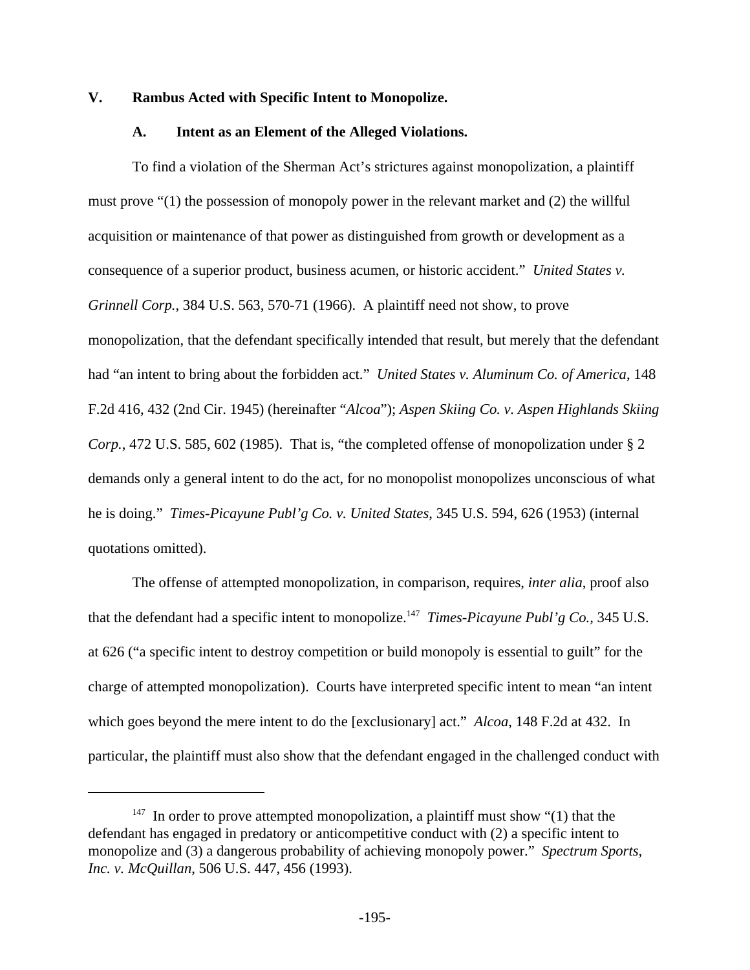### **V. Rambus Acted with Specific Intent to Monopolize.**

#### **A. Intent as an Element of the Alleged Violations.**

To find a violation of the Sherman Act's strictures against monopolization, a plaintiff must prove "(1) the possession of monopoly power in the relevant market and (2) the willful acquisition or maintenance of that power as distinguished from growth or development as a consequence of a superior product, business acumen, or historic accident." *United States v. Grinnell Corp.*, 384 U.S. 563, 570-71 (1966). A plaintiff need not show, to prove monopolization, that the defendant specifically intended that result, but merely that the defendant had "an intent to bring about the forbidden act." *United States v. Aluminum Co. of America*, 148 F.2d 416, 432 (2nd Cir. 1945) (hereinafter "*Alcoa*"); *Aspen Skiing Co. v. Aspen Highlands Skiing Corp.*, 472 U.S. 585, 602 (1985). That is, "the completed offense of monopolization under § 2 demands only a general intent to do the act, for no monopolist monopolizes unconscious of what he is doing." *Times-Picayune Publ'g Co. v. United States*, 345 U.S. 594, 626 (1953) (internal quotations omitted).

The offense of attempted monopolization, in comparison, requires, *inter alia*, proof also that the defendant had a specific intent to monopolize.<sup>147</sup> *Times-Picayune Publ'g Co.*, 345 U.S. at 626 ("a specific intent to destroy competition or build monopoly is essential to guilt" for the charge of attempted monopolization). Courts have interpreted specific intent to mean "an intent which goes beyond the mere intent to do the [exclusionary] act." *Alcoa*, 148 F.2d at 432. In particular, the plaintiff must also show that the defendant engaged in the challenged conduct with

 $147$  In order to prove attempted monopolization, a plaintiff must show "(1) that the defendant has engaged in predatory or anticompetitive conduct with (2) a specific intent to monopolize and (3) a dangerous probability of achieving monopoly power." *Spectrum Sports, Inc. v. McQuillan*, 506 U.S. 447, 456 (1993).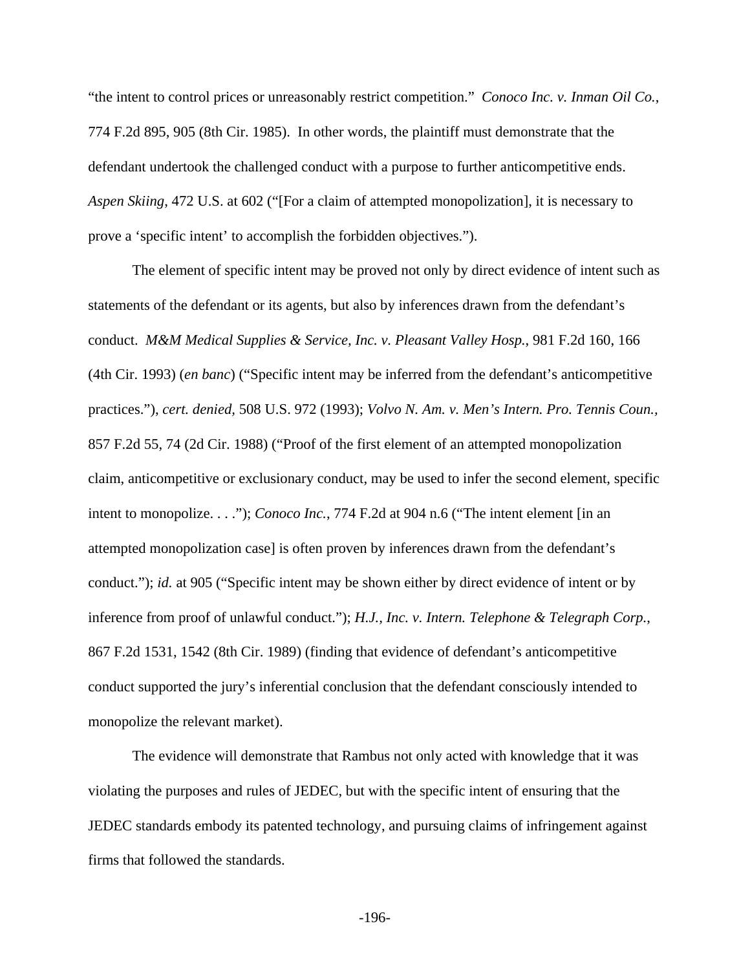"the intent to control prices or unreasonably restrict competition." *Conoco Inc. v. Inman Oil Co.*, 774 F.2d 895, 905 (8th Cir. 1985). In other words, the plaintiff must demonstrate that the defendant undertook the challenged conduct with a purpose to further anticompetitive ends. *Aspen Skiing*, 472 U.S. at 602 ("[For a claim of attempted monopolization], it is necessary to prove a 'specific intent' to accomplish the forbidden objectives.").

The element of specific intent may be proved not only by direct evidence of intent such as statements of the defendant or its agents, but also by inferences drawn from the defendant's conduct. *M&M Medical Supplies & Service, Inc. v. Pleasant Valley Hosp.*, 981 F.2d 160, 166 (4th Cir. 1993) (*en banc*) ("Specific intent may be inferred from the defendant's anticompetitive practices."), *cert. denied,* 508 U.S. 972 (1993); *Volvo N. Am. v. Men's Intern. Pro. Tennis Coun.,* 857 F.2d 55, 74 (2d Cir. 1988) ("Proof of the first element of an attempted monopolization claim, anticompetitive or exclusionary conduct, may be used to infer the second element, specific intent to monopolize. . . ."); *Conoco Inc.*, 774 F.2d at 904 n.6 ("The intent element [in an attempted monopolization case] is often proven by inferences drawn from the defendant's conduct."); *id.* at 905 ("Specific intent may be shown either by direct evidence of intent or by inference from proof of unlawful conduct."); *H.J., Inc. v. Intern. Telephone & Telegraph Corp.*, 867 F.2d 1531, 1542 (8th Cir. 1989) (finding that evidence of defendant's anticompetitive conduct supported the jury's inferential conclusion that the defendant consciously intended to monopolize the relevant market).

The evidence will demonstrate that Rambus not only acted with knowledge that it was violating the purposes and rules of JEDEC, but with the specific intent of ensuring that the JEDEC standards embody its patented technology, and pursuing claims of infringement against firms that followed the standards.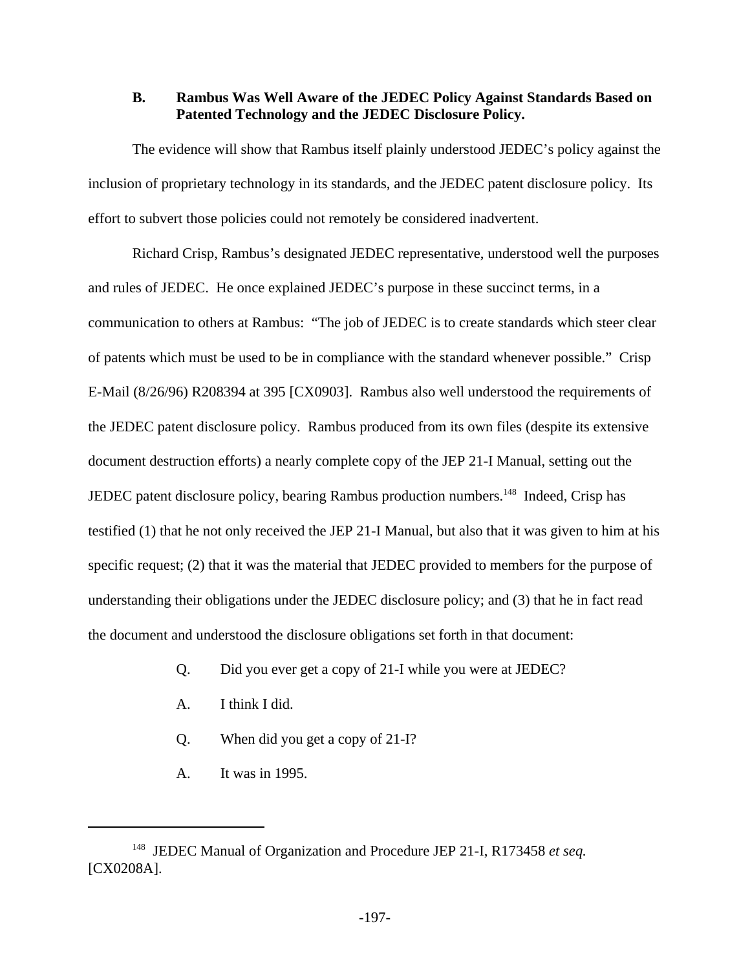## **B. Rambus Was Well Aware of the JEDEC Policy Against Standards Based on Patented Technology and the JEDEC Disclosure Policy.**

The evidence will show that Rambus itself plainly understood JEDEC's policy against the inclusion of proprietary technology in its standards, and the JEDEC patent disclosure policy. Its effort to subvert those policies could not remotely be considered inadvertent.

Richard Crisp, Rambus's designated JEDEC representative, understood well the purposes and rules of JEDEC. He once explained JEDEC's purpose in these succinct terms, in a communication to others at Rambus: "The job of JEDEC is to create standards which steer clear of patents which must be used to be in compliance with the standard whenever possible." Crisp E-Mail (8/26/96) R208394 at 395 [CX0903]. Rambus also well understood the requirements of the JEDEC patent disclosure policy. Rambus produced from its own files (despite its extensive document destruction efforts) a nearly complete copy of the JEP 21-I Manual, setting out the JEDEC patent disclosure policy, bearing Rambus production numbers.<sup>148</sup> Indeed, Crisp has testified (1) that he not only received the JEP 21-I Manual, but also that it was given to him at his specific request; (2) that it was the material that JEDEC provided to members for the purpose of understanding their obligations under the JEDEC disclosure policy; and (3) that he in fact read the document and understood the disclosure obligations set forth in that document:

- Q. Did you ever get a copy of 21-I while you were at JEDEC?
- A. I think I did.
- Q. When did you get a copy of 21-I?
- A. It was in 1995.

<sup>148</sup> JEDEC Manual of Organization and Procedure JEP 21-I, R173458 *et seq.* [CX0208A].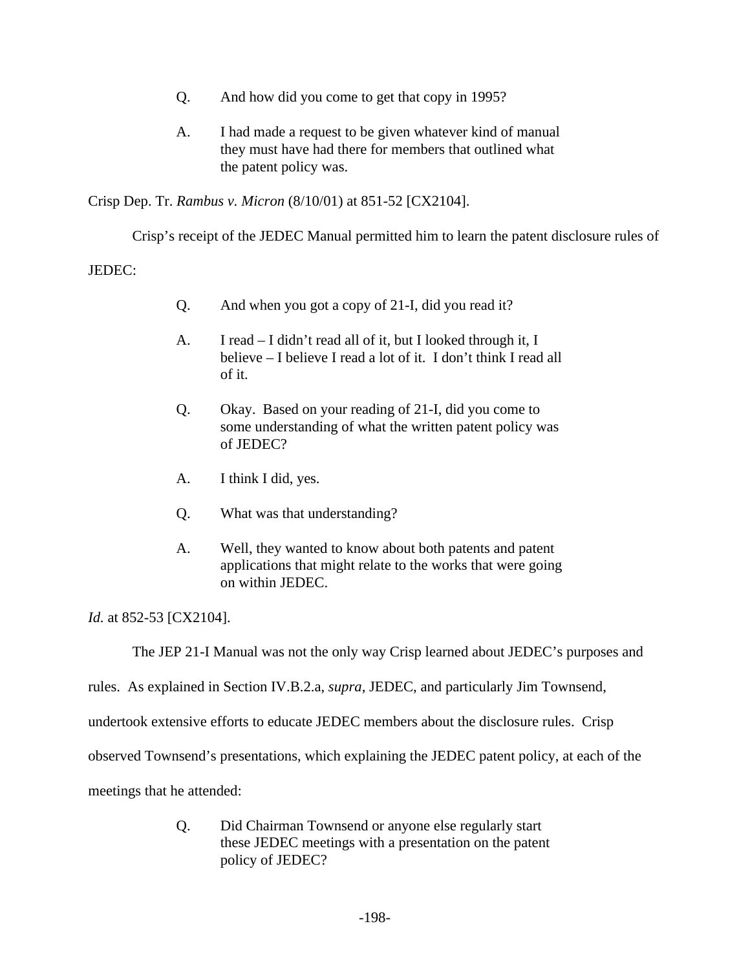- Q. And how did you come to get that copy in 1995?
- A. I had made a request to be given whatever kind of manual they must have had there for members that outlined what the patent policy was.

Crisp Dep. Tr. *Rambus v. Micron* (8/10/01) at 851-52 [CX2104].

Crisp's receipt of the JEDEC Manual permitted him to learn the patent disclosure rules of

JEDEC:

- Q. And when you got a copy of 21-I, did you read it?
- A. I read I didn't read all of it, but I looked through it, I believe – I believe I read a lot of it. I don't think I read all of it.
- Q. Okay. Based on your reading of 21-I, did you come to some understanding of what the written patent policy was of JEDEC?
- A. I think I did, yes.
- Q. What was that understanding?
- A. Well, they wanted to know about both patents and patent applications that might relate to the works that were going on within JEDEC.

*Id.* at 852-53 [CX2104].

The JEP 21-I Manual was not the only way Crisp learned about JEDEC's purposes and

rules. As explained in Section IV.B.2.a, *supra*, JEDEC, and particularly Jim Townsend,

undertook extensive efforts to educate JEDEC members about the disclosure rules. Crisp

observed Townsend's presentations, which explaining the JEDEC patent policy, at each of the

meetings that he attended:

Q. Did Chairman Townsend or anyone else regularly start these JEDEC meetings with a presentation on the patent policy of JEDEC?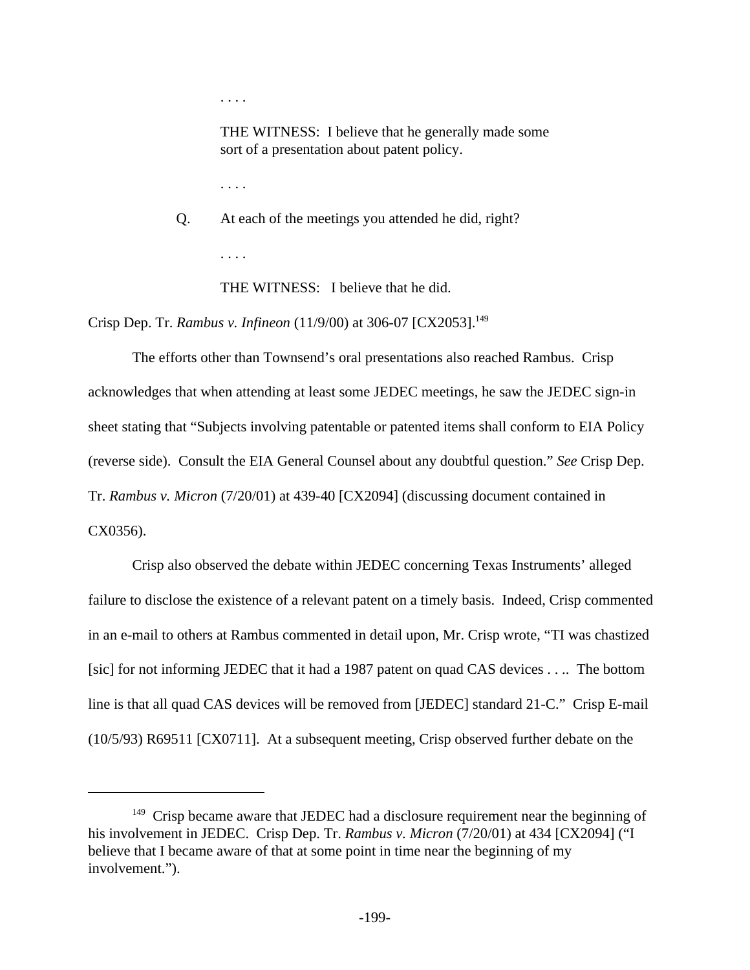. . . .

THE WITNESS: I believe that he generally made some sort of a presentation about patent policy.

. . . .

Q. At each of the meetings you attended he did, right? . . . .

THE WITNESS: I believe that he did.

Crisp Dep. Tr. *Rambus v. Infineon* (11/9/00) at 306-07 [CX2053].<sup>149</sup>

The efforts other than Townsend's oral presentations also reached Rambus. Crisp acknowledges that when attending at least some JEDEC meetings, he saw the JEDEC sign-in sheet stating that "Subjects involving patentable or patented items shall conform to EIA Policy (reverse side). Consult the EIA General Counsel about any doubtful question." *See* Crisp Dep. Tr. *Rambus v. Micron* (7/20/01) at 439-40 [CX2094] (discussing document contained in CX0356).

Crisp also observed the debate within JEDEC concerning Texas Instruments' alleged failure to disclose the existence of a relevant patent on a timely basis. Indeed, Crisp commented in an e-mail to others at Rambus commented in detail upon, Mr. Crisp wrote, "TI was chastized [sic] for not informing JEDEC that it had a 1987 patent on quad CAS devices . . .. The bottom line is that all quad CAS devices will be removed from [JEDEC] standard 21-C." Crisp E-mail (10/5/93) R69511 [CX0711]. At a subsequent meeting, Crisp observed further debate on the

<sup>&</sup>lt;sup>149</sup> Crisp became aware that JEDEC had a disclosure requirement near the beginning of his involvement in JEDEC. Crisp Dep. Tr. *Rambus v. Micron* (7/20/01) at 434 [CX2094] ("I believe that I became aware of that at some point in time near the beginning of my involvement.").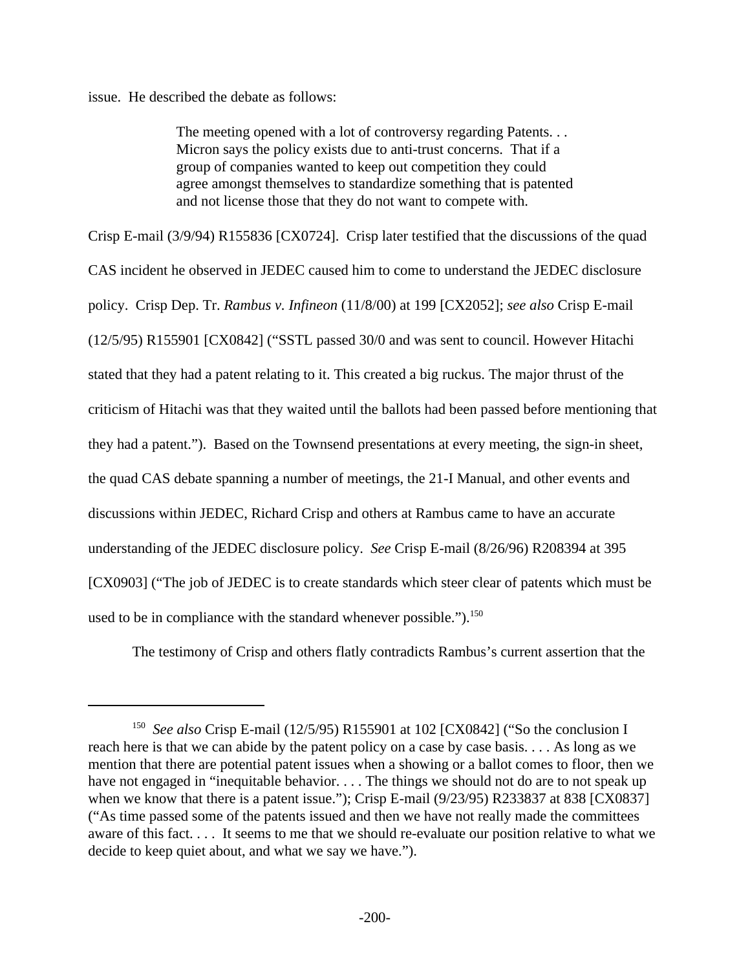issue. He described the debate as follows:

The meeting opened with a lot of controversy regarding Patents... Micron says the policy exists due to anti-trust concerns. That if a group of companies wanted to keep out competition they could agree amongst themselves to standardize something that is patented and not license those that they do not want to compete with.

Crisp E-mail (3/9/94) R155836 [CX0724]. Crisp later testified that the discussions of the quad CAS incident he observed in JEDEC caused him to come to understand the JEDEC disclosure policy. Crisp Dep. Tr. *Rambus v. Infineon* (11/8/00) at 199 [CX2052]; *see also* Crisp E-mail (12/5/95) R155901 [CX0842] ("SSTL passed 30/0 and was sent to council. However Hitachi stated that they had a patent relating to it. This created a big ruckus. The major thrust of the criticism of Hitachi was that they waited until the ballots had been passed before mentioning that they had a patent."). Based on the Townsend presentations at every meeting, the sign-in sheet, the quad CAS debate spanning a number of meetings, the 21-I Manual, and other events and discussions within JEDEC, Richard Crisp and others at Rambus came to have an accurate understanding of the JEDEC disclosure policy. *See* Crisp E-mail (8/26/96) R208394 at 395 [CX0903] ("The job of JEDEC is to create standards which steer clear of patents which must be used to be in compliance with the standard whenever possible.").<sup>150</sup>

The testimony of Crisp and others flatly contradicts Rambus's current assertion that the

<sup>&</sup>lt;sup>150</sup> See also Crisp E-mail (12/5/95) R155901 at 102 [CX0842] ("So the conclusion I reach here is that we can abide by the patent policy on a case by case basis. . . . As long as we mention that there are potential patent issues when a showing or a ballot comes to floor, then we have not engaged in "inequitable behavior. . . . The things we should not do are to not speak up when we know that there is a patent issue."); Crisp E-mail (9/23/95) R233837 at 838 [CX0837] ("As time passed some of the patents issued and then we have not really made the committees aware of this fact. . . . It seems to me that we should re-evaluate our position relative to what we decide to keep quiet about, and what we say we have.").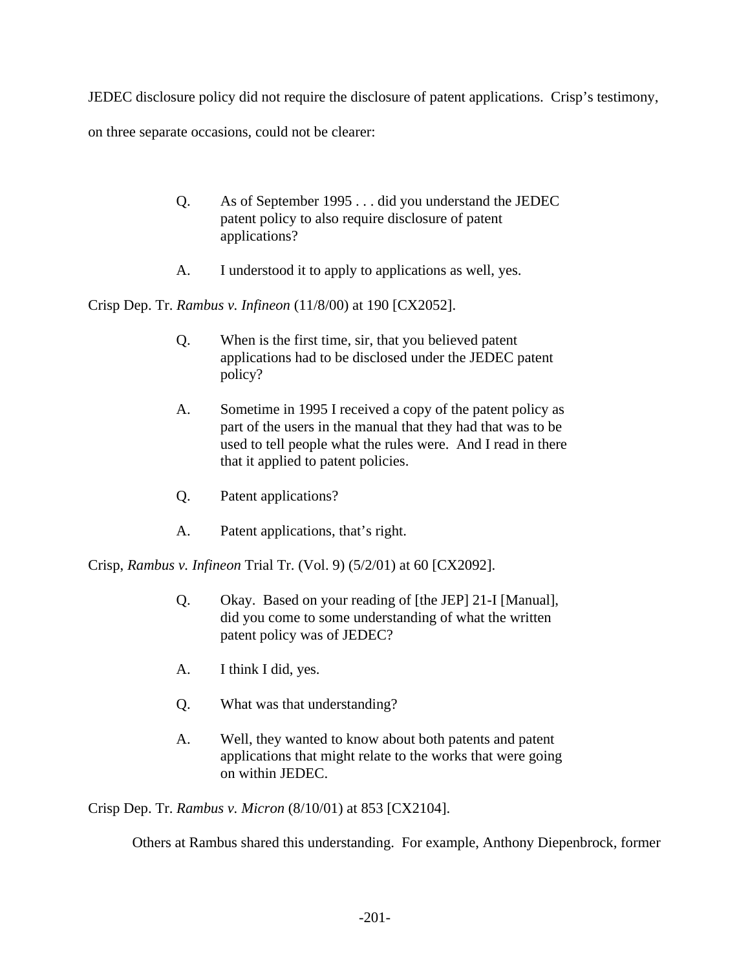JEDEC disclosure policy did not require the disclosure of patent applications. Crisp's testimony,

on three separate occasions, could not be clearer:

- Q. As of September 1995 . . . did you understand the JEDEC patent policy to also require disclosure of patent applications?
- A. I understood it to apply to applications as well, yes.

Crisp Dep. Tr. *Rambus v. Infineon* (11/8/00) at 190 [CX2052].

- Q. When is the first time, sir, that you believed patent applications had to be disclosed under the JEDEC patent policy?
- A. Sometime in 1995 I received a copy of the patent policy as part of the users in the manual that they had that was to be used to tell people what the rules were. And I read in there that it applied to patent policies.
- Q. Patent applications?
- A. Patent applications, that's right.

Crisp, *Rambus v. Infineon* Trial Tr. (Vol. 9) (5/2/01) at 60 [CX2092].

- Q. Okay. Based on your reading of [the JEP] 21-I [Manual], did you come to some understanding of what the written patent policy was of JEDEC?
- A. I think I did, yes.
- Q. What was that understanding?
- A. Well, they wanted to know about both patents and patent applications that might relate to the works that were going on within JEDEC.

Crisp Dep. Tr. *Rambus v. Micron* (8/10/01) at 853 [CX2104].

Others at Rambus shared this understanding. For example, Anthony Diepenbrock, former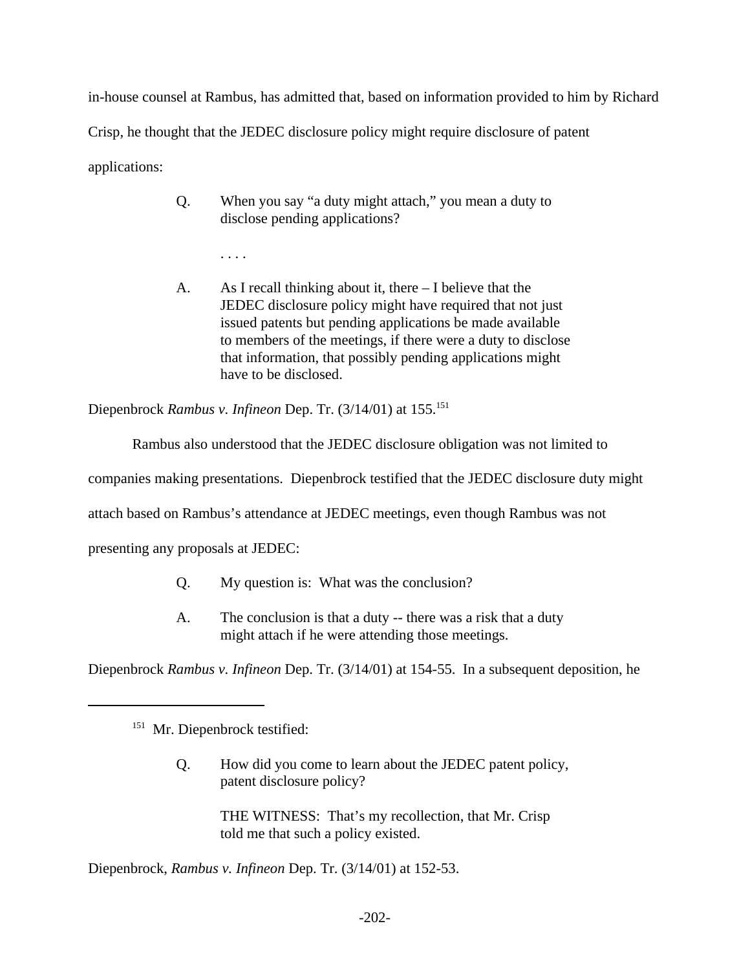in-house counsel at Rambus, has admitted that, based on information provided to him by Richard Crisp, he thought that the JEDEC disclosure policy might require disclosure of patent applications:

- Q. When you say "a duty might attach," you mean a duty to disclose pending applications?
	- . . . .
- A. As I recall thinking about it, there I believe that the JEDEC disclosure policy might have required that not just issued patents but pending applications be made available to members of the meetings, if there were a duty to disclose that information, that possibly pending applications might have to be disclosed.

Diepenbrock *Rambus v. Infineon* Dep. Tr. (3/14/01) at 155.<sup>151</sup>

Rambus also understood that the JEDEC disclosure obligation was not limited to

companies making presentations. Diepenbrock testified that the JEDEC disclosure duty might

attach based on Rambus's attendance at JEDEC meetings, even though Rambus was not

presenting any proposals at JEDEC:

- Q. My question is: What was the conclusion?
- A. The conclusion is that a duty -- there was a risk that a duty might attach if he were attending those meetings.

Diepenbrock *Rambus v. Infineon* Dep. Tr. (3/14/01) at 154-55. In a subsequent deposition, he

Q. How did you come to learn about the JEDEC patent policy, patent disclosure policy?

> THE WITNESS: That's my recollection, that Mr. Crisp told me that such a policy existed.

Diepenbrock, *Rambus v. Infineon* Dep. Tr. (3/14/01) at 152-53.

<sup>&</sup>lt;sup>151</sup> Mr. Diepenbrock testified: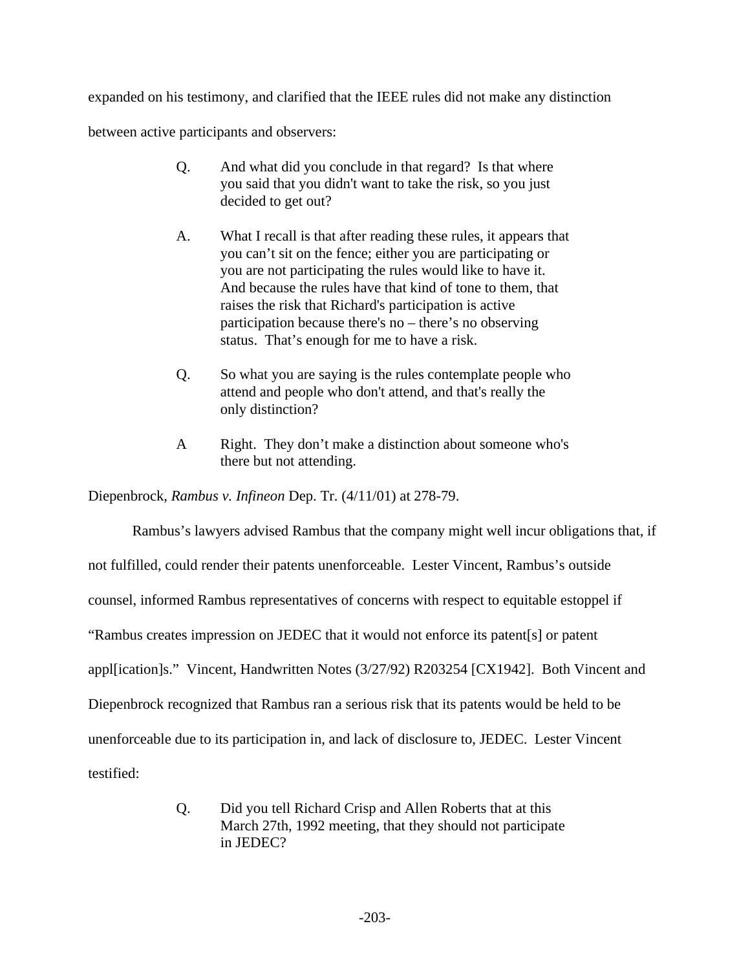expanded on his testimony, and clarified that the IEEE rules did not make any distinction between active participants and observers:

- Q. And what did you conclude in that regard? Is that where you said that you didn't want to take the risk, so you just decided to get out?
- A. What I recall is that after reading these rules, it appears that you can't sit on the fence; either you are participating or you are not participating the rules would like to have it. And because the rules have that kind of tone to them, that raises the risk that Richard's participation is active participation because there's no – there's no observing status. That's enough for me to have a risk.
- Q. So what you are saying is the rules contemplate people who attend and people who don't attend, and that's really the only distinction?
- A Right. They don't make a distinction about someone who's there but not attending.

Diepenbrock, *Rambus v. Infineon* Dep. Tr. (4/11/01) at 278-79.

Rambus's lawyers advised Rambus that the company might well incur obligations that, if not fulfilled, could render their patents unenforceable. Lester Vincent, Rambus's outside counsel, informed Rambus representatives of concerns with respect to equitable estoppel if "Rambus creates impression on JEDEC that it would not enforce its patent[s] or patent appl[ication]s." Vincent, Handwritten Notes (3/27/92) R203254 [CX1942]. Both Vincent and Diepenbrock recognized that Rambus ran a serious risk that its patents would be held to be unenforceable due to its participation in, and lack of disclosure to, JEDEC. Lester Vincent testified:

> Q. Did you tell Richard Crisp and Allen Roberts that at this March 27th, 1992 meeting, that they should not participate in JEDEC?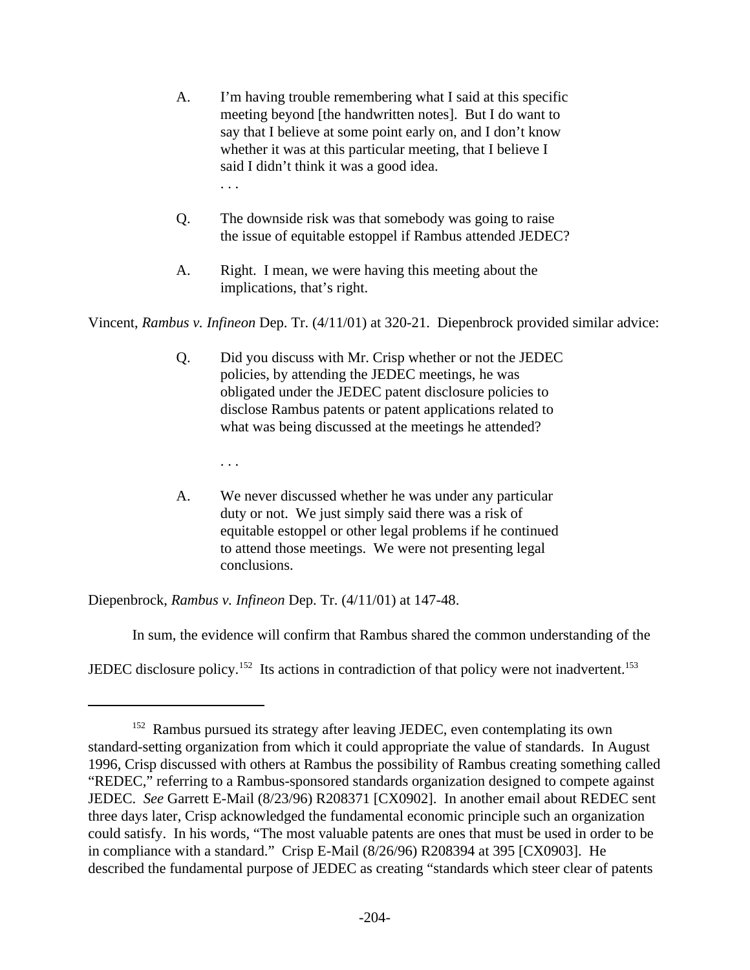- A. I'm having trouble remembering what I said at this specific meeting beyond [the handwritten notes]. But I do want to say that I believe at some point early on, and I don't know whether it was at this particular meeting, that I believe I said I didn't think it was a good idea. . . .
- Q. The downside risk was that somebody was going to raise the issue of equitable estoppel if Rambus attended JEDEC?
- A. Right. I mean, we were having this meeting about the implications, that's right.

Vincent, *Rambus v. Infineon* Dep. Tr. (4/11/01) at 320-21. Diepenbrock provided similar advice:

- Q. Did you discuss with Mr. Crisp whether or not the JEDEC policies, by attending the JEDEC meetings, he was obligated under the JEDEC patent disclosure policies to disclose Rambus patents or patent applications related to what was being discussed at the meetings he attended?
	- . . .
- A. We never discussed whether he was under any particular duty or not. We just simply said there was a risk of equitable estoppel or other legal problems if he continued to attend those meetings. We were not presenting legal conclusions.

Diepenbrock, *Rambus v. Infineon* Dep. Tr. (4/11/01) at 147-48.

In sum, the evidence will confirm that Rambus shared the common understanding of the

JEDEC disclosure policy.<sup>152</sup> Its actions in contradiction of that policy were not inadvertent.<sup>153</sup>

<sup>&</sup>lt;sup>152</sup> Rambus pursued its strategy after leaving JEDEC, even contemplating its own standard-setting organization from which it could appropriate the value of standards. In August 1996, Crisp discussed with others at Rambus the possibility of Rambus creating something called "REDEC," referring to a Rambus-sponsored standards organization designed to compete against JEDEC. *See* Garrett E-Mail (8/23/96) R208371 [CX0902]. In another email about REDEC sent three days later, Crisp acknowledged the fundamental economic principle such an organization could satisfy. In his words, "The most valuable patents are ones that must be used in order to be in compliance with a standard." Crisp E-Mail (8/26/96) R208394 at 395 [CX0903]. He described the fundamental purpose of JEDEC as creating "standards which steer clear of patents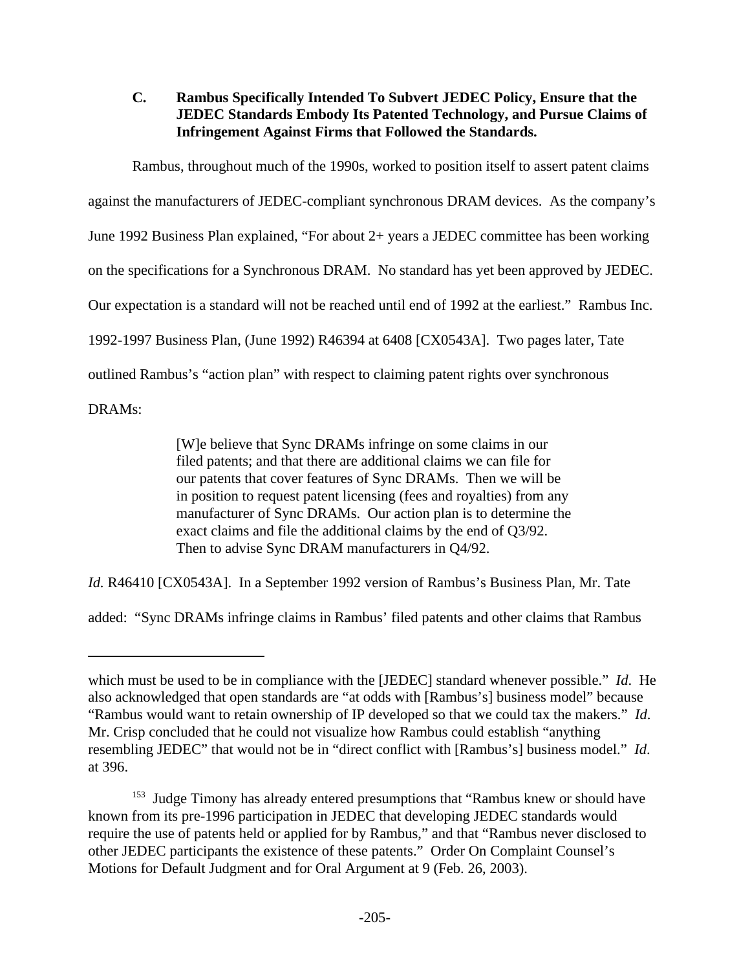# **C. Rambus Specifically Intended To Subvert JEDEC Policy, Ensure that the JEDEC Standards Embody Its Patented Technology, and Pursue Claims of Infringement Against Firms that Followed the Standards.**

Rambus, throughout much of the 1990s, worked to position itself to assert patent claims against the manufacturers of JEDEC-compliant synchronous DRAM devices. As the company's June 1992 Business Plan explained, "For about 2+ years a JEDEC committee has been working on the specifications for a Synchronous DRAM. No standard has yet been approved by JEDEC. Our expectation is a standard will not be reached until end of 1992 at the earliest." Rambus Inc. 1992-1997 Business Plan, (June 1992) R46394 at 6408 [CX0543A]. Two pages later, Tate outlined Rambus's "action plan" with respect to claiming patent rights over synchronous

DRAMs:

[W]e believe that Sync DRAMs infringe on some claims in our filed patents; and that there are additional claims we can file for our patents that cover features of Sync DRAMs. Then we will be in position to request patent licensing (fees and royalties) from any manufacturer of Sync DRAMs. Our action plan is to determine the exact claims and file the additional claims by the end of Q3/92. Then to advise Sync DRAM manufacturers in Q4/92.

*Id.* R46410 [CX0543A]. In a September 1992 version of Rambus's Business Plan, Mr. Tate

added: "Sync DRAMs infringe claims in Rambus' filed patents and other claims that Rambus

which must be used to be in compliance with the [JEDEC] standard whenever possible." *Id*. He also acknowledged that open standards are "at odds with [Rambus's] business model" because "Rambus would want to retain ownership of IP developed so that we could tax the makers." *Id*. Mr. Crisp concluded that he could not visualize how Rambus could establish "anything resembling JEDEC" that would not be in "direct conflict with [Rambus's] business model." *Id*. at 396.

<sup>&</sup>lt;sup>153</sup> Judge Timony has already entered presumptions that "Rambus knew or should have known from its pre-1996 participation in JEDEC that developing JEDEC standards would require the use of patents held or applied for by Rambus," and that "Rambus never disclosed to other JEDEC participants the existence of these patents." Order On Complaint Counsel's Motions for Default Judgment and for Oral Argument at 9 (Feb. 26, 2003).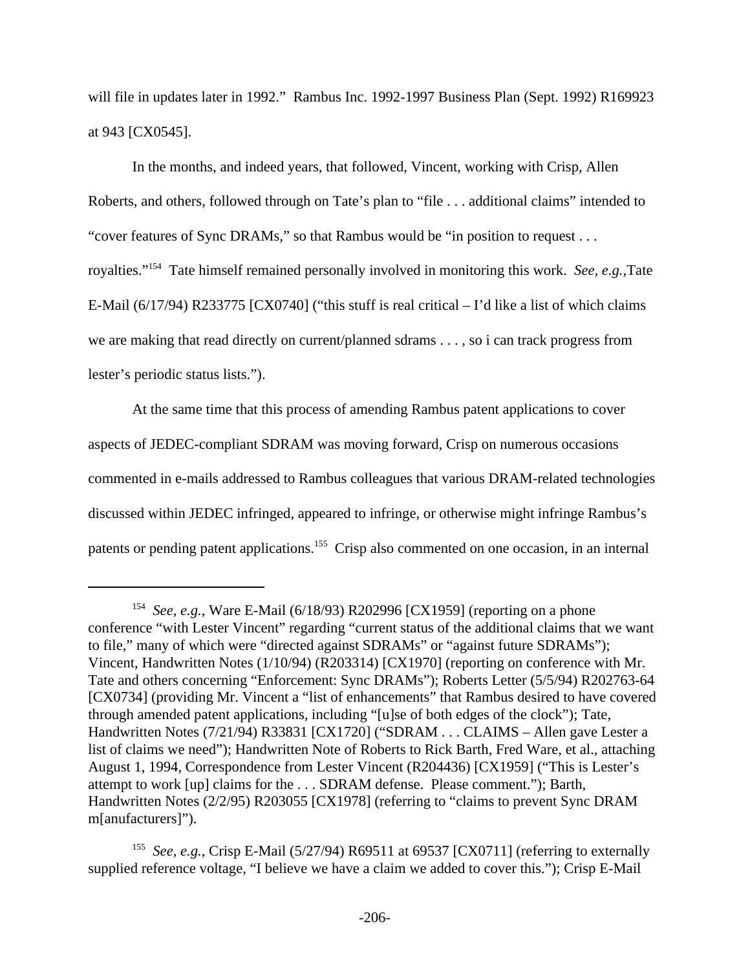will file in updates later in 1992." Rambus Inc. 1992-1997 Business Plan (Sept. 1992) R169923 at 943 [CX0545].

In the months, and indeed years, that followed, Vincent, working with Crisp, Allen Roberts, and others, followed through on Tate's plan to "file . . . additional claims" intended to "cover features of Sync DRAMs," so that Rambus would be "in position to request . . . royalties."<sup>154</sup> Tate himself remained personally involved in monitoring this work. *See, e.g.*,Tate E-Mail (6/17/94) R233775 [CX0740] ("this stuff is real critical – I'd like a list of which claims we are making that read directly on current/planned sdrams . . . , so i can track progress from lester's periodic status lists.").

At the same time that this process of amending Rambus patent applications to cover aspects of JEDEC-compliant SDRAM was moving forward, Crisp on numerous occasions commented in e-mails addressed to Rambus colleagues that various DRAM-related technologies discussed within JEDEC infringed, appeared to infringe, or otherwise might infringe Rambus's patents or pending patent applications.<sup>155</sup> Crisp also commented on one occasion, in an internal

<sup>&</sup>lt;sup>154</sup> See, e.g., Ware E-Mail (6/18/93) R202996 [CX1959] (reporting on a phone conference "with Lester Vincent" regarding "current status of the additional claims that we want to file," many of which were "directed against SDRAMs" or "against future SDRAMs"); Vincent, Handwritten Notes (1/10/94) (R203314) [CX1970] (reporting on conference with Mr. Tate and others concerning "Enforcement: Sync DRAMs"); Roberts Letter (5/5/94) R202763-64 [CX0734] (providing Mr. Vincent a "list of enhancements" that Rambus desired to have covered through amended patent applications, including "[u]se of both edges of the clock"); Tate, Handwritten Notes (7/21/94) R33831 [CX1720] ("SDRAM . . . CLAIMS – Allen gave Lester a list of claims we need"); Handwritten Note of Roberts to Rick Barth, Fred Ware, et al., attaching August 1, 1994, Correspondence from Lester Vincent (R204436) [CX1959] ("This is Lester's attempt to work [up] claims for the . . . SDRAM defense. Please comment."); Barth, Handwritten Notes (2/2/95) R203055 [CX1978] (referring to "claims to prevent Sync DRAM m[anufacturers]").

<sup>&</sup>lt;sup>155</sup> See, e.g., Crisp E-Mail (5/27/94) R69511 at 69537 [CX0711] (referring to externally supplied reference voltage, "I believe we have a claim we added to cover this."); Crisp E-Mail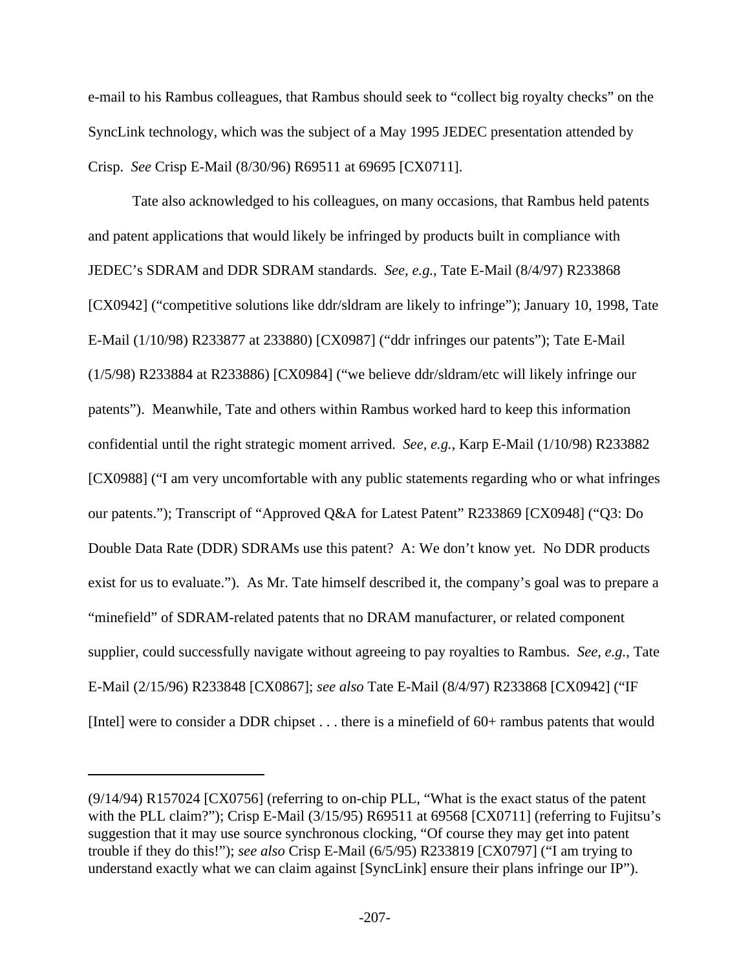e-mail to his Rambus colleagues, that Rambus should seek to "collect big royalty checks" on the SyncLink technology, which was the subject of a May 1995 JEDEC presentation attended by Crisp. *See* Crisp E-Mail (8/30/96) R69511 at 69695 [CX0711].

Tate also acknowledged to his colleagues, on many occasions, that Rambus held patents and patent applications that would likely be infringed by products built in compliance with JEDEC's SDRAM and DDR SDRAM standards. *See, e.g.*, Tate E-Mail (8/4/97) R233868 [CX0942] ("competitive solutions like ddr/sldram are likely to infringe"); January 10, 1998, Tate E-Mail (1/10/98) R233877 at 233880) [CX0987] ("ddr infringes our patents"); Tate E-Mail (1/5/98) R233884 at R233886) [CX0984] ("we believe ddr/sldram/etc will likely infringe our patents"). Meanwhile, Tate and others within Rambus worked hard to keep this information confidential until the right strategic moment arrived. *See, e.g.*, Karp E-Mail (1/10/98) R233882 [CX0988] ("I am very uncomfortable with any public statements regarding who or what infringes our patents."); Transcript of "Approved Q&A for Latest Patent" R233869 [CX0948] ("Q3: Do Double Data Rate (DDR) SDRAMs use this patent? A: We don't know yet. No DDR products exist for us to evaluate."). As Mr. Tate himself described it, the company's goal was to prepare a "minefield" of SDRAM-related patents that no DRAM manufacturer, or related component supplier, could successfully navigate without agreeing to pay royalties to Rambus. *See, e.g.*, Tate E-Mail (2/15/96) R233848 [CX0867]; *see also* Tate E-Mail (8/4/97) R233868 [CX0942] ("IF [Intel] were to consider a DDR chipset . . . there is a minefield of 60+ rambus patents that would

<sup>(9/14/94)</sup> R157024 [CX0756] (referring to on-chip PLL, "What is the exact status of the patent with the PLL claim?"); Crisp E-Mail (3/15/95) R69511 at 69568 [CX0711] (referring to Fujitsu's suggestion that it may use source synchronous clocking, "Of course they may get into patent trouble if they do this!"); *see also* Crisp E-Mail (6/5/95) R233819 [CX0797] ("I am trying to understand exactly what we can claim against [SyncLink] ensure their plans infringe our IP").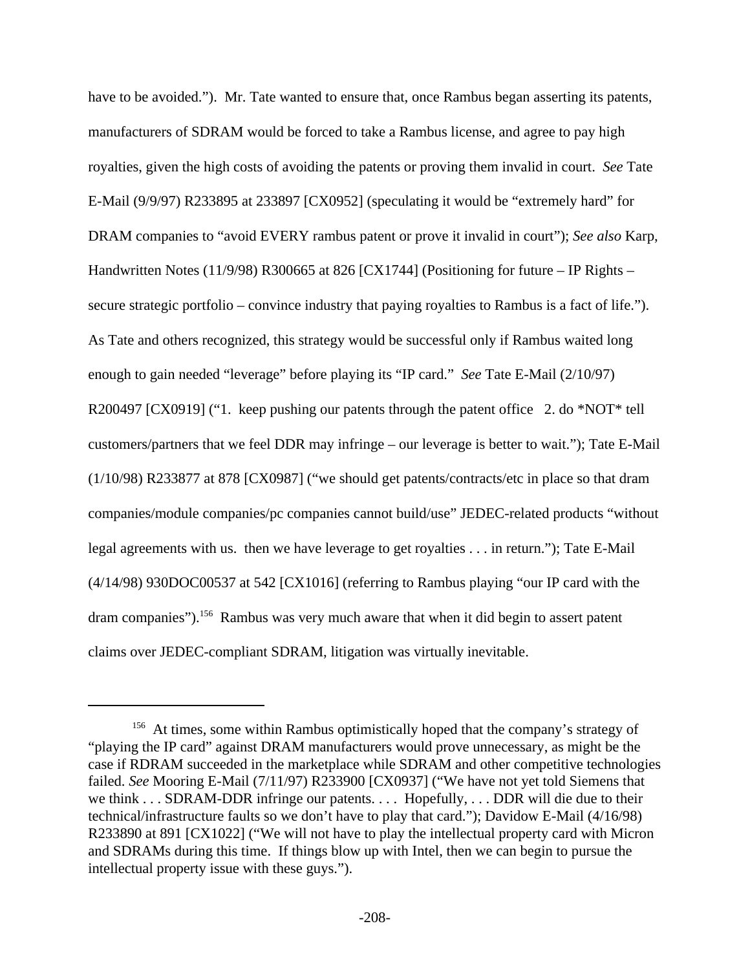have to be avoided."). Mr. Tate wanted to ensure that, once Rambus began asserting its patents, manufacturers of SDRAM would be forced to take a Rambus license, and agree to pay high royalties, given the high costs of avoiding the patents or proving them invalid in court. *See* Tate E-Mail (9/9/97) R233895 at 233897 [CX0952] (speculating it would be "extremely hard" for DRAM companies to "avoid EVERY rambus patent or prove it invalid in court"); *See also* Karp, Handwritten Notes (11/9/98) R300665 at 826 [CX1744] (Positioning for future – IP Rights – secure strategic portfolio – convince industry that paying royalties to Rambus is a fact of life."). As Tate and others recognized, this strategy would be successful only if Rambus waited long enough to gain needed "leverage" before playing its "IP card." *See* Tate E-Mail (2/10/97) R200497 [CX0919] ("1. keep pushing our patents through the patent office 2. do \*NOT\* tell customers/partners that we feel DDR may infringe – our leverage is better to wait."); Tate E-Mail (1/10/98) R233877 at 878 [CX0987] ("we should get patents/contracts/etc in place so that dram companies/module companies/pc companies cannot build/use" JEDEC-related products "without legal agreements with us. then we have leverage to get royalties . . . in return."); Tate E-Mail (4/14/98) 930DOC00537 at 542 [CX1016] (referring to Rambus playing "our IP card with the dram companies").<sup>156</sup> Rambus was very much aware that when it did begin to assert patent claims over JEDEC-compliant SDRAM, litigation was virtually inevitable.

<sup>&</sup>lt;sup>156</sup> At times, some within Rambus optimistically hoped that the company's strategy of "playing the IP card" against DRAM manufacturers would prove unnecessary, as might be the case if RDRAM succeeded in the marketplace while SDRAM and other competitive technologies failed. *See* Mooring E-Mail (7/11/97) R233900 [CX0937] ("We have not yet told Siemens that we think . . . SDRAM-DDR infringe our patents. . . . Hopefully, . . . DDR will die due to their technical/infrastructure faults so we don't have to play that card."); Davidow E-Mail (4/16/98) R233890 at 891 [CX1022] ("We will not have to play the intellectual property card with Micron and SDRAMs during this time. If things blow up with Intel, then we can begin to pursue the intellectual property issue with these guys.").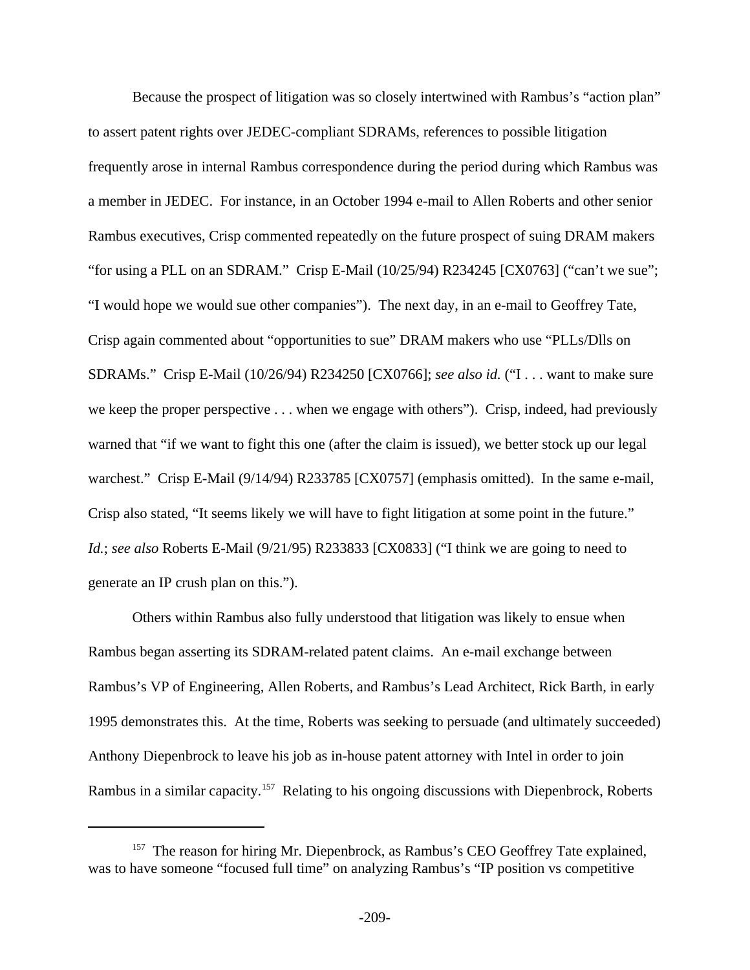Because the prospect of litigation was so closely intertwined with Rambus's "action plan" to assert patent rights over JEDEC-compliant SDRAMs, references to possible litigation frequently arose in internal Rambus correspondence during the period during which Rambus was a member in JEDEC. For instance, in an October 1994 e-mail to Allen Roberts and other senior Rambus executives, Crisp commented repeatedly on the future prospect of suing DRAM makers "for using a PLL on an SDRAM." Crisp E-Mail (10/25/94) R234245 [CX0763] ("can't we sue"; "I would hope we would sue other companies"). The next day, in an e-mail to Geoffrey Tate, Crisp again commented about "opportunities to sue" DRAM makers who use "PLLs/Dlls on SDRAMs." Crisp E-Mail (10/26/94) R234250 [CX0766]; *see also id.* ("I . . . want to make sure we keep the proper perspective . . . when we engage with others"). Crisp, indeed, had previously warned that "if we want to fight this one (after the claim is issued), we better stock up our legal warchest." Crisp E-Mail (9/14/94) R233785 [CX0757] (emphasis omitted). In the same e-mail, Crisp also stated, "It seems likely we will have to fight litigation at some point in the future." *Id.*; *see also* Roberts E-Mail (9/21/95) R233833 [CX0833] ("I think we are going to need to generate an IP crush plan on this.").

Others within Rambus also fully understood that litigation was likely to ensue when Rambus began asserting its SDRAM-related patent claims. An e-mail exchange between Rambus's VP of Engineering, Allen Roberts, and Rambus's Lead Architect, Rick Barth, in early 1995 demonstrates this. At the time, Roberts was seeking to persuade (and ultimately succeeded) Anthony Diepenbrock to leave his job as in-house patent attorney with Intel in order to join Rambus in a similar capacity.<sup>157</sup> Relating to his ongoing discussions with Diepenbrock, Roberts

<sup>&</sup>lt;sup>157</sup> The reason for hiring Mr. Diepenbrock, as Rambus's CEO Geoffrey Tate explained, was to have someone "focused full time" on analyzing Rambus's "IP position vs competitive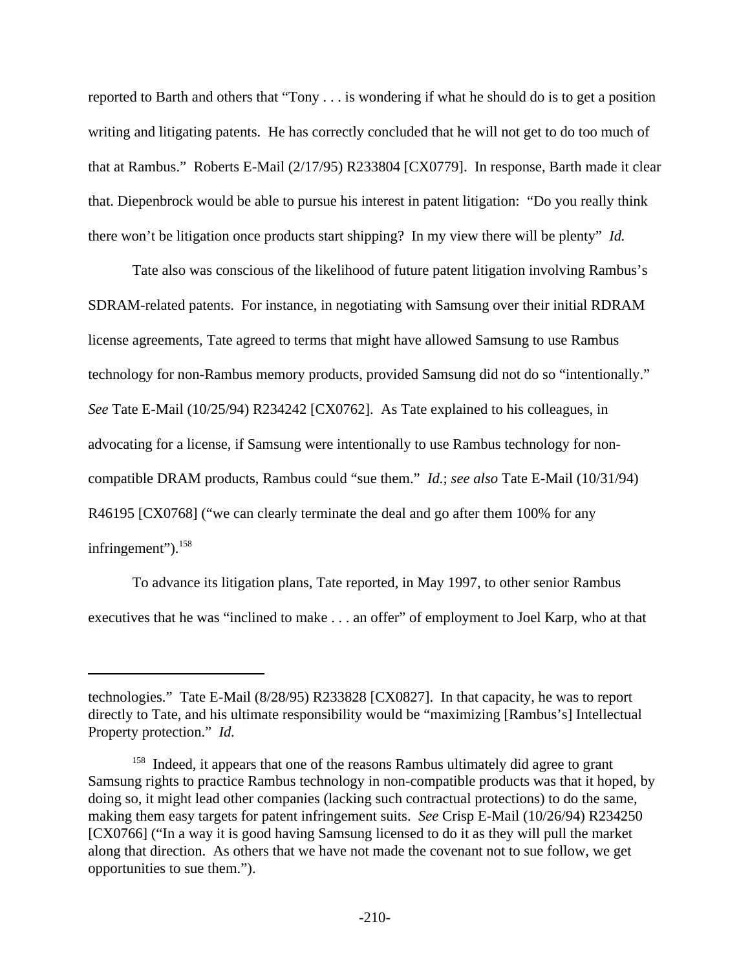reported to Barth and others that "Tony . . . is wondering if what he should do is to get a position writing and litigating patents. He has correctly concluded that he will not get to do too much of that at Rambus." Roberts E-Mail (2/17/95) R233804 [CX0779]. In response, Barth made it clear that. Diepenbrock would be able to pursue his interest in patent litigation: "Do you really think there won't be litigation once products start shipping? In my view there will be plenty" *Id.*

Tate also was conscious of the likelihood of future patent litigation involving Rambus's SDRAM-related patents. For instance, in negotiating with Samsung over their initial RDRAM license agreements, Tate agreed to terms that might have allowed Samsung to use Rambus technology for non-Rambus memory products, provided Samsung did not do so "intentionally." *See* Tate E-Mail (10/25/94) R234242 [CX0762]. As Tate explained to his colleagues, in advocating for a license, if Samsung were intentionally to use Rambus technology for noncompatible DRAM products, Rambus could "sue them." *Id.*; *see also* Tate E-Mail (10/31/94) R46195 [CX0768] ("we can clearly terminate the deal and go after them 100% for any infringement").<sup>158</sup>

To advance its litigation plans, Tate reported, in May 1997, to other senior Rambus executives that he was "inclined to make . . . an offer" of employment to Joel Karp, who at that

technologies." Tate E-Mail (8/28/95) R233828 [CX0827]. In that capacity, he was to report directly to Tate, and his ultimate responsibility would be "maximizing [Rambus's] Intellectual Property protection." *Id.*

<sup>&</sup>lt;sup>158</sup> Indeed, it appears that one of the reasons Rambus ultimately did agree to grant Samsung rights to practice Rambus technology in non-compatible products was that it hoped, by doing so, it might lead other companies (lacking such contractual protections) to do the same, making them easy targets for patent infringement suits. *See* Crisp E-Mail (10/26/94) R234250 [CX0766] ("In a way it is good having Samsung licensed to do it as they will pull the market along that direction. As others that we have not made the covenant not to sue follow, we get opportunities to sue them.").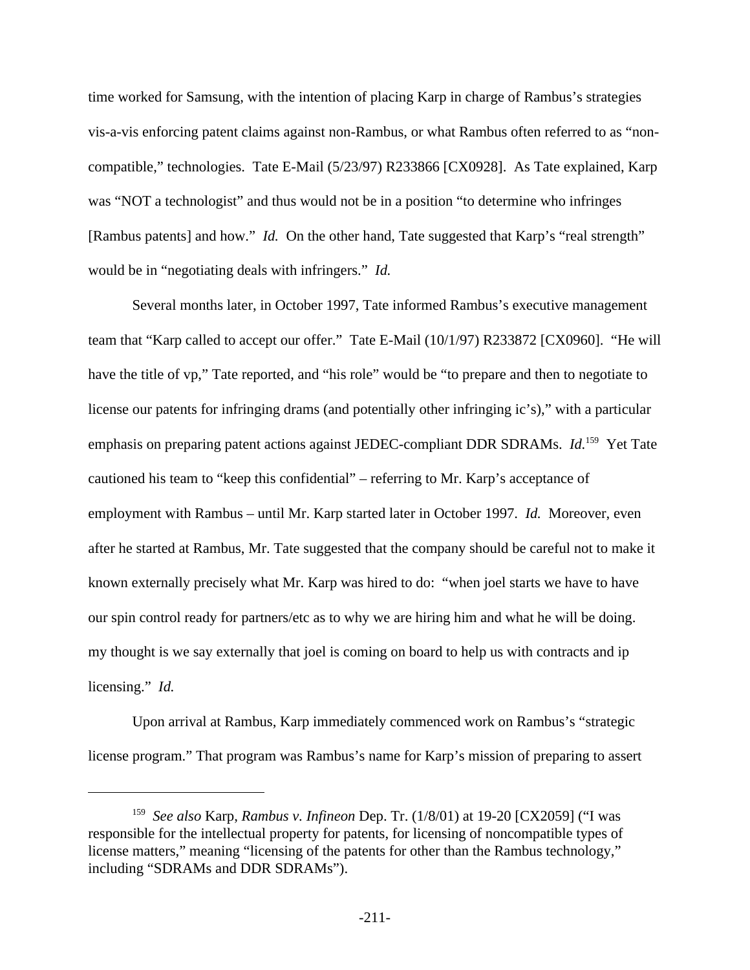time worked for Samsung, with the intention of placing Karp in charge of Rambus's strategies vis-a-vis enforcing patent claims against non-Rambus, or what Rambus often referred to as "noncompatible," technologies. Tate E-Mail (5/23/97) R233866 [CX0928]. As Tate explained, Karp was "NOT a technologist" and thus would not be in a position "to determine who infringes [Rambus patents] and how." *Id.* On the other hand, Tate suggested that Karp's "real strength" would be in "negotiating deals with infringers." *Id.*

Several months later, in October 1997, Tate informed Rambus's executive management team that "Karp called to accept our offer." Tate E-Mail (10/1/97) R233872 [CX0960]. "He will have the title of vp," Tate reported, and "his role" would be "to prepare and then to negotiate to license our patents for infringing drams (and potentially other infringing ic's)," with a particular emphasis on preparing patent actions against JEDEC-compliant DDR SDRAMs. *Id.*<sup>159</sup> Yet Tate cautioned his team to "keep this confidential" – referring to Mr. Karp's acceptance of employment with Rambus – until Mr. Karp started later in October 1997. *Id.* Moreover, even after he started at Rambus, Mr. Tate suggested that the company should be careful not to make it known externally precisely what Mr. Karp was hired to do: "when joel starts we have to have our spin control ready for partners/etc as to why we are hiring him and what he will be doing. my thought is we say externally that joel is coming on board to help us with contracts and ip licensing." *Id.*

Upon arrival at Rambus, Karp immediately commenced work on Rambus's "strategic license program." That program was Rambus's name for Karp's mission of preparing to assert

<sup>159</sup> *See also* Karp, *Rambus v. Infineon* Dep. Tr. (1/8/01) at 19-20 [CX2059] ("I was responsible for the intellectual property for patents, for licensing of noncompatible types of license matters," meaning "licensing of the patents for other than the Rambus technology," including "SDRAMs and DDR SDRAMs").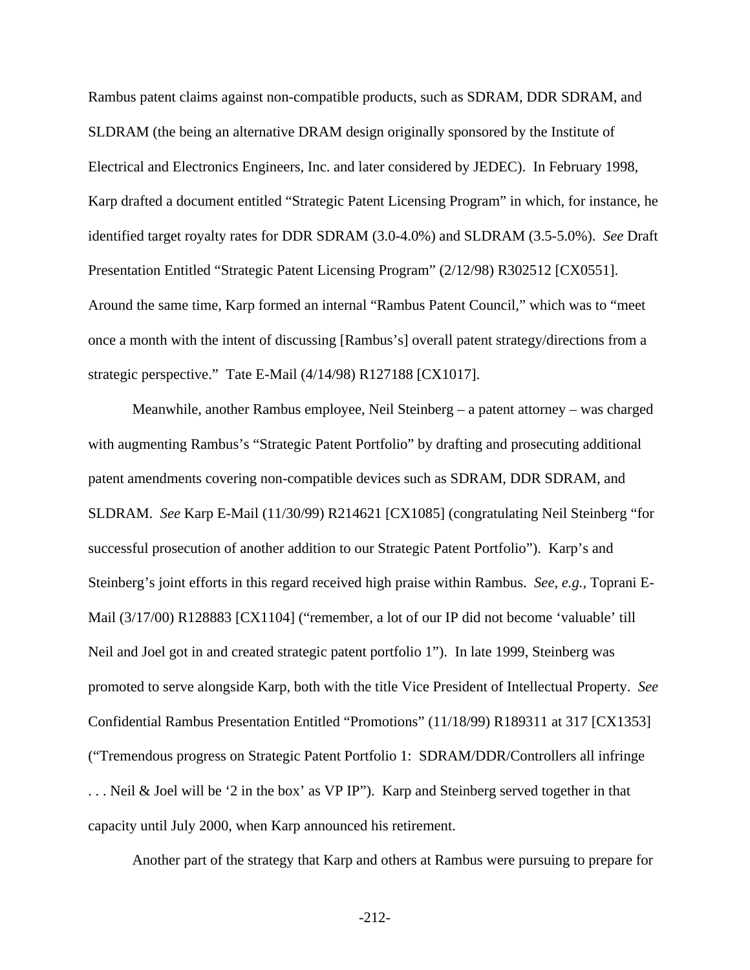Rambus patent claims against non-compatible products, such as SDRAM, DDR SDRAM, and SLDRAM (the being an alternative DRAM design originally sponsored by the Institute of Electrical and Electronics Engineers, Inc. and later considered by JEDEC). In February 1998, Karp drafted a document entitled "Strategic Patent Licensing Program" in which, for instance, he identified target royalty rates for DDR SDRAM (3.0-4.0%) and SLDRAM (3.5-5.0%). *See* Draft Presentation Entitled "Strategic Patent Licensing Program" (2/12/98) R302512 [CX0551]. Around the same time, Karp formed an internal "Rambus Patent Council," which was to "meet once a month with the intent of discussing [Rambus's] overall patent strategy/directions from a strategic perspective." Tate E-Mail (4/14/98) R127188 [CX1017].

Meanwhile, another Rambus employee, Neil Steinberg – a patent attorney – was charged with augmenting Rambus's "Strategic Patent Portfolio" by drafting and prosecuting additional patent amendments covering non-compatible devices such as SDRAM, DDR SDRAM, and SLDRAM. *See* Karp E-Mail (11/30/99) R214621 [CX1085] (congratulating Neil Steinberg "for successful prosecution of another addition to our Strategic Patent Portfolio"). Karp's and Steinberg's joint efforts in this regard received high praise within Rambus. *See, e.g.*, Toprani E-Mail (3/17/00) R128883 [CX1104] ("remember, a lot of our IP did not become 'valuable' till Neil and Joel got in and created strategic patent portfolio 1"). In late 1999, Steinberg was promoted to serve alongside Karp, both with the title Vice President of Intellectual Property. *See* Confidential Rambus Presentation Entitled "Promotions" (11/18/99) R189311 at 317 [CX1353] ("Tremendous progress on Strategic Patent Portfolio 1: SDRAM/DDR/Controllers all infringe . . . Neil & Joel will be '2 in the box' as VP IP"). Karp and Steinberg served together in that capacity until July 2000, when Karp announced his retirement.

Another part of the strategy that Karp and others at Rambus were pursuing to prepare for

-212-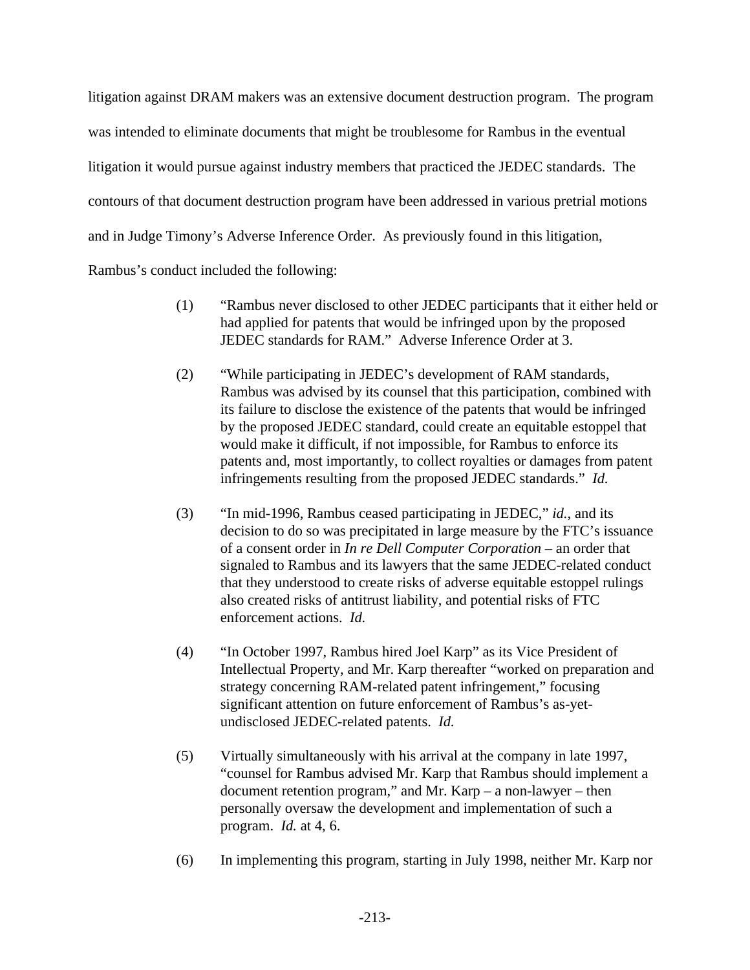litigation against DRAM makers was an extensive document destruction program. The program was intended to eliminate documents that might be troublesome for Rambus in the eventual litigation it would pursue against industry members that practiced the JEDEC standards. The contours of that document destruction program have been addressed in various pretrial motions and in Judge Timony's Adverse Inference Order. As previously found in this litigation, Rambus's conduct included the following:

- (1) "Rambus never disclosed to other JEDEC participants that it either held or had applied for patents that would be infringed upon by the proposed JEDEC standards for RAM." Adverse Inference Order at 3.
- (2) "While participating in JEDEC's development of RAM standards, Rambus was advised by its counsel that this participation, combined with its failure to disclose the existence of the patents that would be infringed by the proposed JEDEC standard, could create an equitable estoppel that would make it difficult, if not impossible, for Rambus to enforce its patents and, most importantly, to collect royalties or damages from patent infringements resulting from the proposed JEDEC standards." *Id.*
- (3) "In mid-1996, Rambus ceased participating in JEDEC," *id.*, and its decision to do so was precipitated in large measure by the FTC's issuance of a consent order in *In re Dell Computer Corporation* – an order that signaled to Rambus and its lawyers that the same JEDEC-related conduct that they understood to create risks of adverse equitable estoppel rulings also created risks of antitrust liability, and potential risks of FTC enforcement actions. *Id.*
- (4) "In October 1997, Rambus hired Joel Karp" as its Vice President of Intellectual Property, and Mr. Karp thereafter "worked on preparation and strategy concerning RAM-related patent infringement," focusing significant attention on future enforcement of Rambus's as-yetundisclosed JEDEC-related patents. *Id.*
- (5) Virtually simultaneously with his arrival at the company in late 1997, "counsel for Rambus advised Mr. Karp that Rambus should implement a document retention program," and Mr. Karp – a non-lawyer – then personally oversaw the development and implementation of such a program. *Id.* at 4, 6.
- (6) In implementing this program, starting in July 1998, neither Mr. Karp nor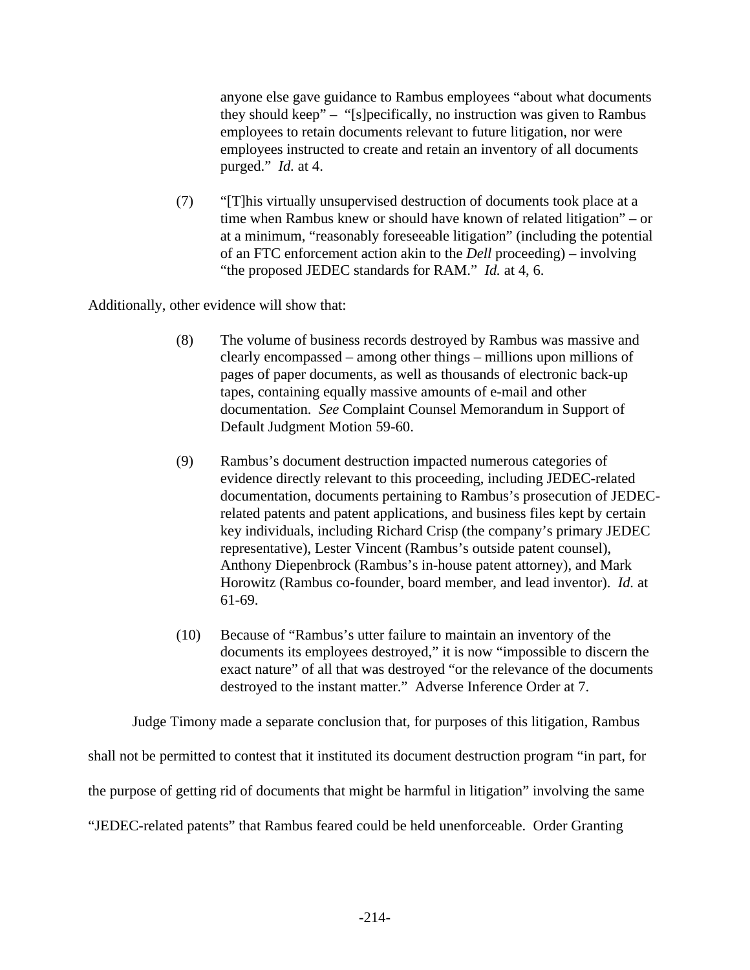anyone else gave guidance to Rambus employees "about what documents they should keep" – "[s]pecifically, no instruction was given to Rambus employees to retain documents relevant to future litigation, nor were employees instructed to create and retain an inventory of all documents purged." *Id.* at 4.

(7) "[T]his virtually unsupervised destruction of documents took place at a time when Rambus knew or should have known of related litigation" – or at a minimum, "reasonably foreseeable litigation" (including the potential of an FTC enforcement action akin to the *Dell* proceeding) – involving "the proposed JEDEC standards for RAM." *Id.* at 4, 6.

Additionally, other evidence will show that:

- (8) The volume of business records destroyed by Rambus was massive and clearly encompassed – among other things – millions upon millions of pages of paper documents, as well as thousands of electronic back-up tapes, containing equally massive amounts of e-mail and other documentation. *See* Complaint Counsel Memorandum in Support of Default Judgment Motion 59-60.
- (9) Rambus's document destruction impacted numerous categories of evidence directly relevant to this proceeding, including JEDEC-related documentation, documents pertaining to Rambus's prosecution of JEDECrelated patents and patent applications, and business files kept by certain key individuals, including Richard Crisp (the company's primary JEDEC representative), Lester Vincent (Rambus's outside patent counsel), Anthony Diepenbrock (Rambus's in-house patent attorney), and Mark Horowitz (Rambus co-founder, board member, and lead inventor). *Id.* at 61-69.
- (10) Because of "Rambus's utter failure to maintain an inventory of the documents its employees destroyed," it is now "impossible to discern the exact nature" of all that was destroyed "or the relevance of the documents destroyed to the instant matter." Adverse Inference Order at 7.

Judge Timony made a separate conclusion that, for purposes of this litigation, Rambus

shall not be permitted to contest that it instituted its document destruction program "in part, for

the purpose of getting rid of documents that might be harmful in litigation" involving the same

"JEDEC-related patents" that Rambus feared could be held unenforceable. Order Granting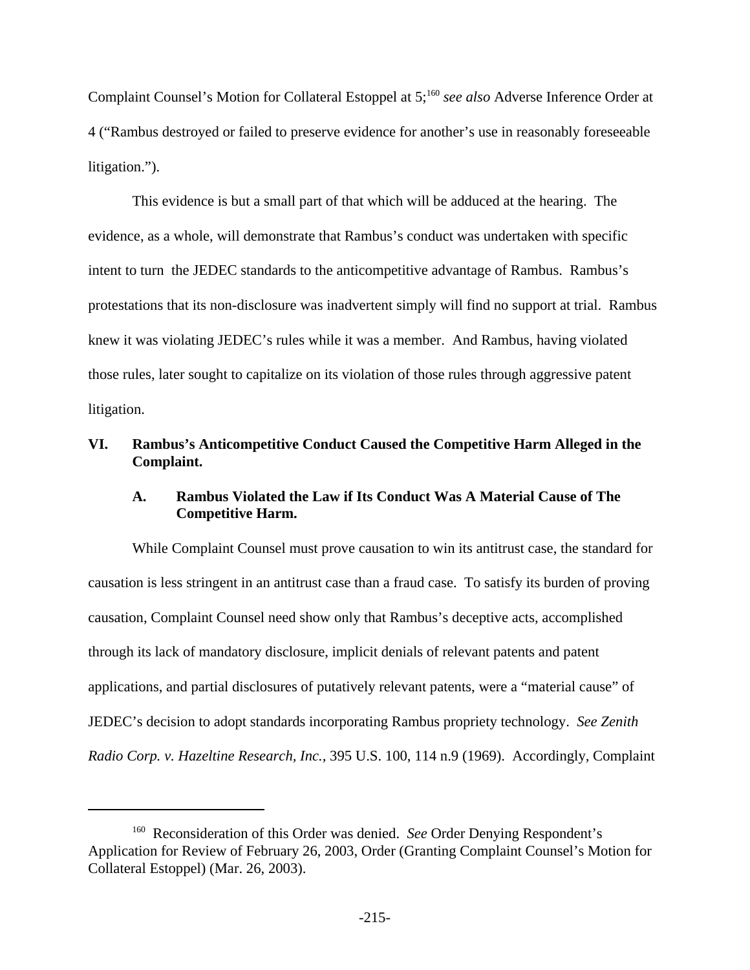Complaint Counsel's Motion for Collateral Estoppel at 5;<sup>160</sup> see also Adverse Inference Order at 4 ("Rambus destroyed or failed to preserve evidence for another's use in reasonably foreseeable litigation.").

This evidence is but a small part of that which will be adduced at the hearing. The evidence, as a whole, will demonstrate that Rambus's conduct was undertaken with specific intent to turn the JEDEC standards to the anticompetitive advantage of Rambus. Rambus's protestations that its non-disclosure was inadvertent simply will find no support at trial. Rambus knew it was violating JEDEC's rules while it was a member. And Rambus, having violated those rules, later sought to capitalize on its violation of those rules through aggressive patent litigation.

## **VI. Rambus's Anticompetitive Conduct Caused the Competitive Harm Alleged in the Complaint.**

### **A. Rambus Violated the Law if Its Conduct Was A Material Cause of The Competitive Harm.**

While Complaint Counsel must prove causation to win its antitrust case, the standard for causation is less stringent in an antitrust case than a fraud case. To satisfy its burden of proving causation, Complaint Counsel need show only that Rambus's deceptive acts, accomplished through its lack of mandatory disclosure, implicit denials of relevant patents and patent applications, and partial disclosures of putatively relevant patents, were a "material cause" of JEDEC's decision to adopt standards incorporating Rambus propriety technology. *See Zenith Radio Corp. v. Hazeltine Research, Inc.*, 395 U.S. 100, 114 n.9 (1969). Accordingly, Complaint

<sup>160</sup> Reconsideration of this Order was denied. *See* Order Denying Respondent's Application for Review of February 26, 2003, Order (Granting Complaint Counsel's Motion for Collateral Estoppel) (Mar. 26, 2003).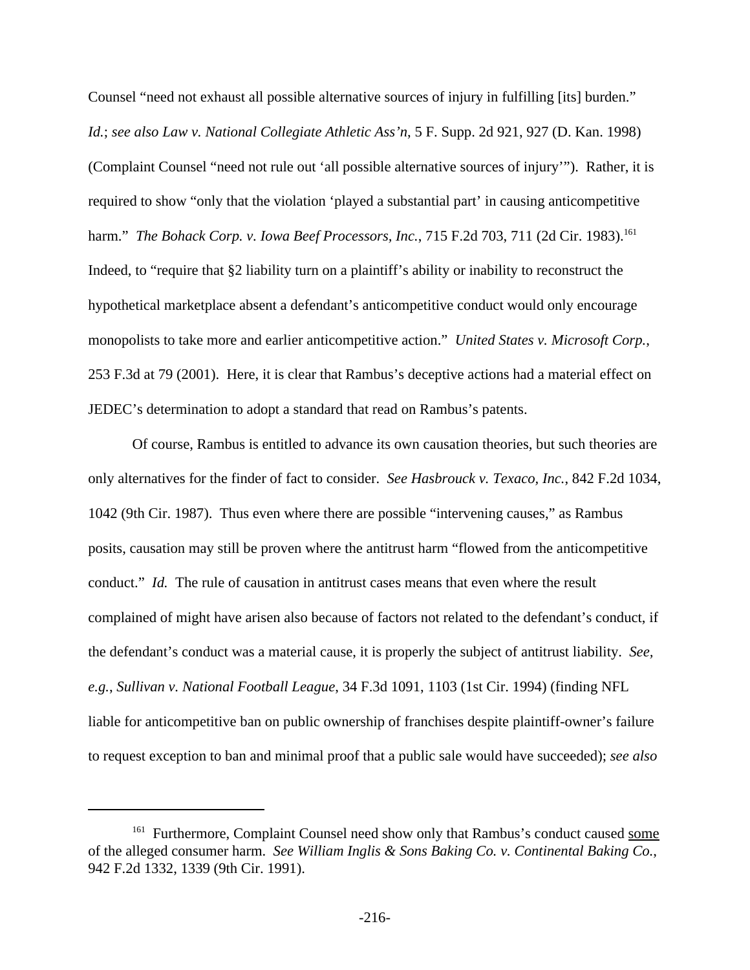Counsel "need not exhaust all possible alternative sources of injury in fulfilling [its] burden." *Id.*; *see also Law v. National Collegiate Athletic Ass'n*, 5 F. Supp. 2d 921, 927 (D. Kan. 1998) (Complaint Counsel "need not rule out 'all possible alternative sources of injury'"). Rather, it is required to show "only that the violation 'played a substantial part' in causing anticompetitive harm." *The Bohack Corp. v. Iowa Beef Processors, Inc., 715 F.2d 703, 711 (2d Cir. 1983).*<sup>161</sup> Indeed, to "require that §2 liability turn on a plaintiff's ability or inability to reconstruct the hypothetical marketplace absent a defendant's anticompetitive conduct would only encourage monopolists to take more and earlier anticompetitive action." *United States v. Microsoft Corp.*, 253 F.3d at 79 (2001). Here, it is clear that Rambus's deceptive actions had a material effect on JEDEC's determination to adopt a standard that read on Rambus's patents.

Of course, Rambus is entitled to advance its own causation theories, but such theories are only alternatives for the finder of fact to consider. *See Hasbrouck v. Texaco, Inc.*, 842 F.2d 1034, 1042 (9th Cir. 1987). Thus even where there are possible "intervening causes," as Rambus posits, causation may still be proven where the antitrust harm "flowed from the anticompetitive conduct." *Id.* The rule of causation in antitrust cases means that even where the result complained of might have arisen also because of factors not related to the defendant's conduct, if the defendant's conduct was a material cause, it is properly the subject of antitrust liability. *See, e.g.*, *Sullivan v. National Football League*, 34 F.3d 1091, 1103 (1st Cir. 1994) (finding NFL liable for anticompetitive ban on public ownership of franchises despite plaintiff-owner's failure to request exception to ban and minimal proof that a public sale would have succeeded); *see also*

<sup>&</sup>lt;sup>161</sup> Furthermore, Complaint Counsel need show only that Rambus's conduct caused some of the alleged consumer harm. *See William Inglis & Sons Baking Co. v. Continental Baking Co.*, 942 F.2d 1332, 1339 (9th Cir. 1991).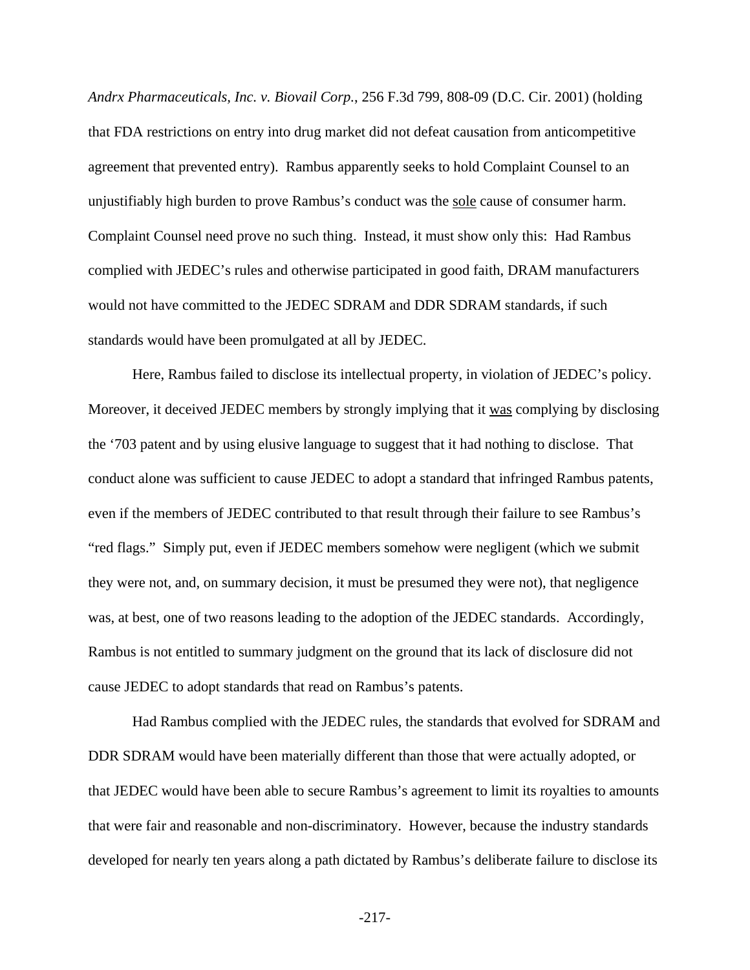*Andrx Pharmaceuticals, Inc. v. Biovail Corp.*, 256 F.3d 799, 808-09 (D.C. Cir. 2001) (holding that FDA restrictions on entry into drug market did not defeat causation from anticompetitive agreement that prevented entry). Rambus apparently seeks to hold Complaint Counsel to an unjustifiably high burden to prove Rambus's conduct was the sole cause of consumer harm. Complaint Counsel need prove no such thing. Instead, it must show only this: Had Rambus complied with JEDEC's rules and otherwise participated in good faith, DRAM manufacturers would not have committed to the JEDEC SDRAM and DDR SDRAM standards, if such standards would have been promulgated at all by JEDEC.

Here, Rambus failed to disclose its intellectual property, in violation of JEDEC's policy. Moreover, it deceived JEDEC members by strongly implying that it was complying by disclosing the '703 patent and by using elusive language to suggest that it had nothing to disclose. That conduct alone was sufficient to cause JEDEC to adopt a standard that infringed Rambus patents, even if the members of JEDEC contributed to that result through their failure to see Rambus's "red flags." Simply put, even if JEDEC members somehow were negligent (which we submit they were not, and, on summary decision, it must be presumed they were not), that negligence was, at best, one of two reasons leading to the adoption of the JEDEC standards. Accordingly, Rambus is not entitled to summary judgment on the ground that its lack of disclosure did not cause JEDEC to adopt standards that read on Rambus's patents.

Had Rambus complied with the JEDEC rules, the standards that evolved for SDRAM and DDR SDRAM would have been materially different than those that were actually adopted, or that JEDEC would have been able to secure Rambus's agreement to limit its royalties to amounts that were fair and reasonable and non-discriminatory. However, because the industry standards developed for nearly ten years along a path dictated by Rambus's deliberate failure to disclose its

-217-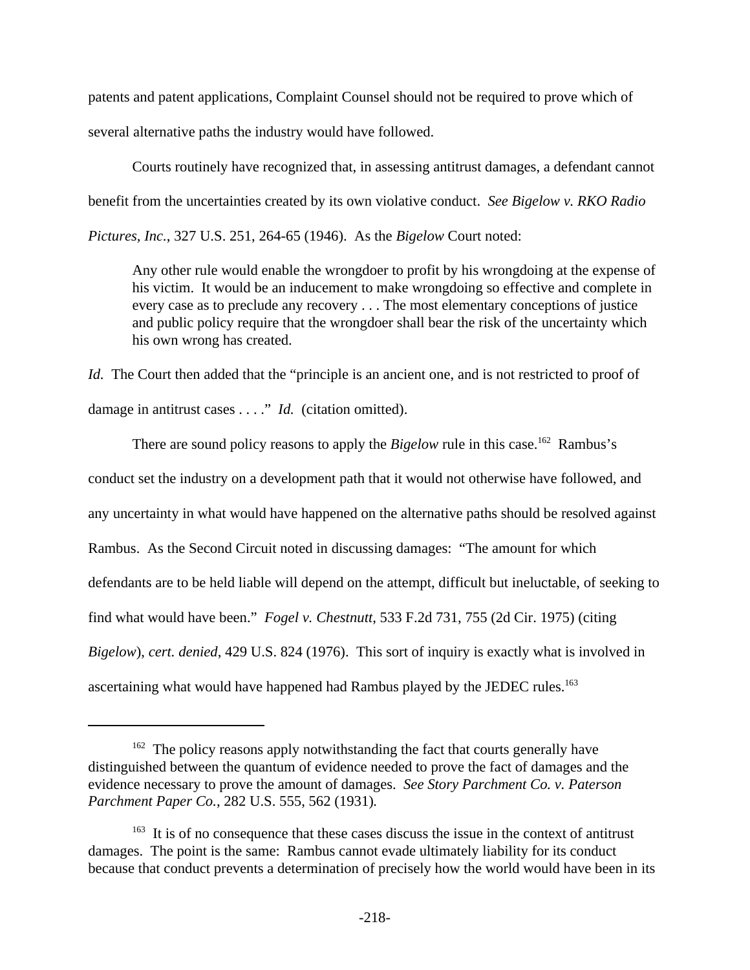patents and patent applications, Complaint Counsel should not be required to prove which of several alternative paths the industry would have followed.

Courts routinely have recognized that, in assessing antitrust damages, a defendant cannot benefit from the uncertainties created by its own violative conduct. *See Bigelow v. RKO Radio Pictures, Inc.*, 327 U.S. 251, 264-65 (1946). As the *Bigelow* Court noted:

Any other rule would enable the wrongdoer to profit by his wrongdoing at the expense of his victim. It would be an inducement to make wrongdoing so effective and complete in every case as to preclude any recovery . . . The most elementary conceptions of justice and public policy require that the wrongdoer shall bear the risk of the uncertainty which his own wrong has created.

*Id.* The Court then added that the "principle is an ancient one, and is not restricted to proof of damage in antitrust cases . . . ." *Id.* (citation omitted).

There are sound policy reasons to apply the *Bigelow* rule in this case.<sup>162</sup> Rambus's conduct set the industry on a development path that it would not otherwise have followed, and any uncertainty in what would have happened on the alternative paths should be resolved against Rambus. As the Second Circuit noted in discussing damages: "The amount for which defendants are to be held liable will depend on the attempt, difficult but ineluctable, of seeking to find what would have been." *Fogel v. Chestnutt*, 533 F.2d 731, 755 (2d Cir. 1975) (citing *Bigelow*), *cert. denied*, 429 U.S. 824 (1976). This sort of inquiry is exactly what is involved in ascertaining what would have happened had Rambus played by the JEDEC rules.<sup>163</sup>

<sup>&</sup>lt;sup>162</sup> The policy reasons apply notwithstanding the fact that courts generally have distinguished between the quantum of evidence needed to prove the fact of damages and the evidence necessary to prove the amount of damages. *See Story Parchment Co. v. Paterson Parchment Paper Co.*, 282 U.S. 555, 562 (1931)*.*

<sup>&</sup>lt;sup>163</sup> It is of no consequence that these cases discuss the issue in the context of antitrust damages. The point is the same: Rambus cannot evade ultimately liability for its conduct because that conduct prevents a determination of precisely how the world would have been in its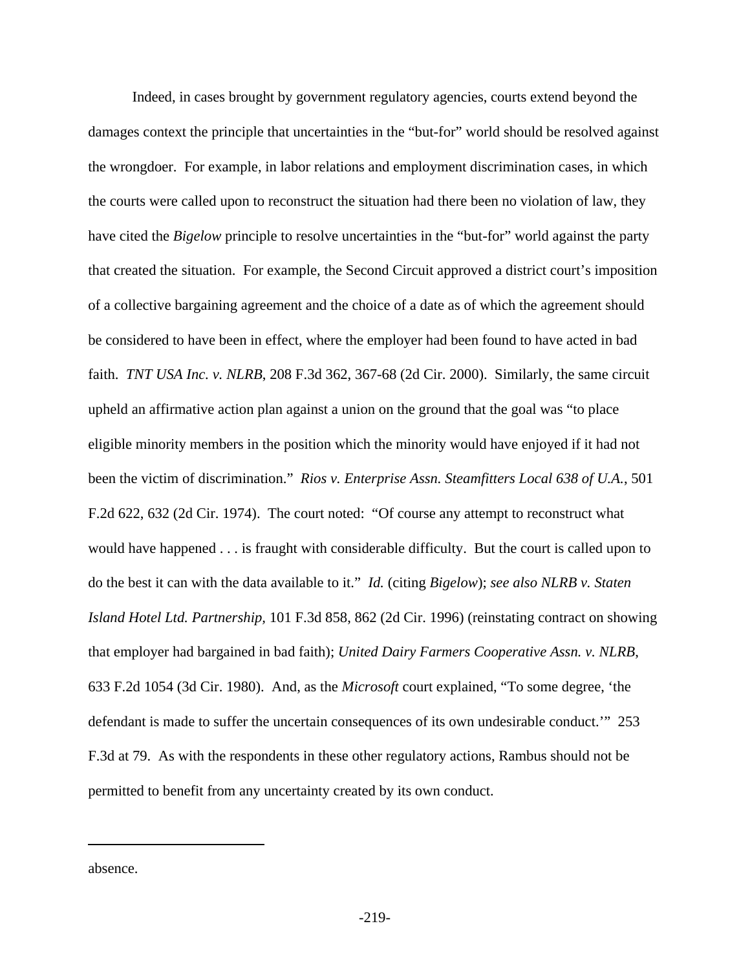Indeed, in cases brought by government regulatory agencies, courts extend beyond the damages context the principle that uncertainties in the "but-for" world should be resolved against the wrongdoer. For example, in labor relations and employment discrimination cases, in which the courts were called upon to reconstruct the situation had there been no violation of law, they have cited the *Bigelow* principle to resolve uncertainties in the "but-for" world against the party that created the situation. For example, the Second Circuit approved a district court's imposition of a collective bargaining agreement and the choice of a date as of which the agreement should be considered to have been in effect, where the employer had been found to have acted in bad faith. *TNT USA Inc. v. NLRB*, 208 F.3d 362, 367-68 (2d Cir. 2000). Similarly, the same circuit upheld an affirmative action plan against a union on the ground that the goal was "to place eligible minority members in the position which the minority would have enjoyed if it had not been the victim of discrimination." *Rios v. Enterprise Assn. Steamfitters Local 638 of U.A.*, 501 F.2d 622, 632 (2d Cir. 1974). The court noted: "Of course any attempt to reconstruct what would have happened . . . is fraught with considerable difficulty. But the court is called upon to do the best it can with the data available to it." *Id.* (citing *Bigelow*); *see also NLRB v. Staten Island Hotel Ltd. Partnership,* 101 F.3d 858, 862 (2d Cir. 1996) (reinstating contract on showing that employer had bargained in bad faith); *United Dairy Farmers Cooperative Assn. v. NLRB*, 633 F.2d 1054 (3d Cir. 1980). And, as the *Microsoft* court explained, "To some degree, 'the defendant is made to suffer the uncertain consequences of its own undesirable conduct.'" 253 F.3d at 79. As with the respondents in these other regulatory actions, Rambus should not be permitted to benefit from any uncertainty created by its own conduct.

absence.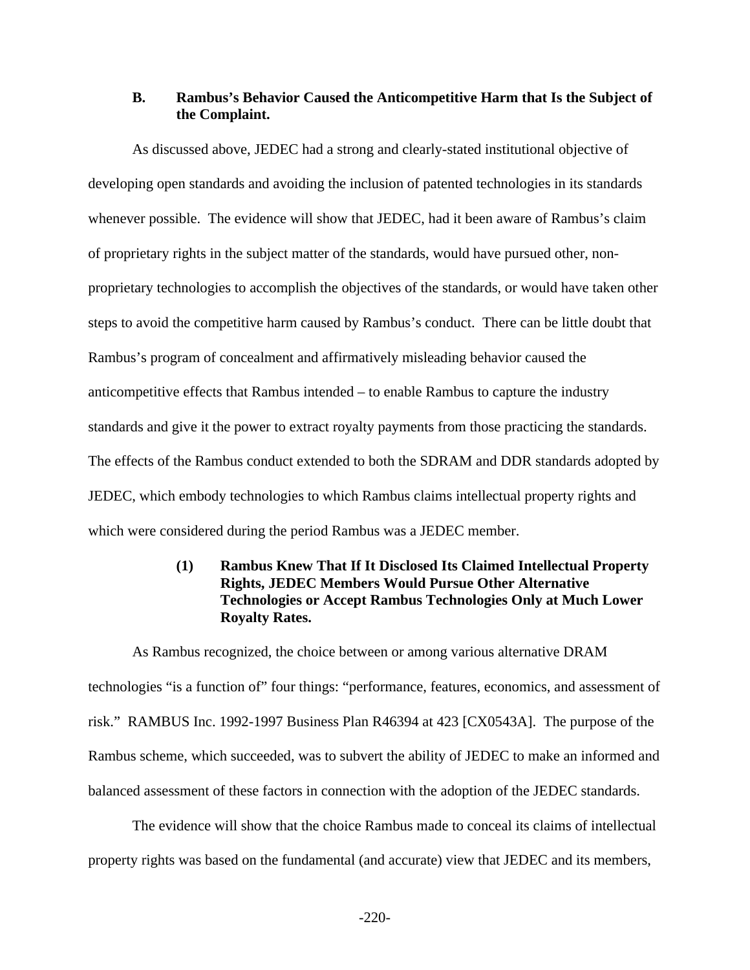### **B. Rambus's Behavior Caused the Anticompetitive Harm that Is the Subject of the Complaint.**

As discussed above, JEDEC had a strong and clearly-stated institutional objective of developing open standards and avoiding the inclusion of patented technologies in its standards whenever possible. The evidence will show that JEDEC, had it been aware of Rambus's claim of proprietary rights in the subject matter of the standards, would have pursued other, nonproprietary technologies to accomplish the objectives of the standards, or would have taken other steps to avoid the competitive harm caused by Rambus's conduct. There can be little doubt that Rambus's program of concealment and affirmatively misleading behavior caused the anticompetitive effects that Rambus intended – to enable Rambus to capture the industry standards and give it the power to extract royalty payments from those practicing the standards. The effects of the Rambus conduct extended to both the SDRAM and DDR standards adopted by JEDEC, which embody technologies to which Rambus claims intellectual property rights and which were considered during the period Rambus was a JEDEC member.

## **(1) Rambus Knew That If It Disclosed Its Claimed Intellectual Property Rights, JEDEC Members Would Pursue Other Alternative Technologies or Accept Rambus Technologies Only at Much Lower Royalty Rates.**

As Rambus recognized, the choice between or among various alternative DRAM technologies "is a function of" four things: "performance, features, economics, and assessment of risk." RAMBUS Inc. 1992-1997 Business Plan R46394 at 423 [CX0543A]. The purpose of the Rambus scheme, which succeeded, was to subvert the ability of JEDEC to make an informed and balanced assessment of these factors in connection with the adoption of the JEDEC standards.

The evidence will show that the choice Rambus made to conceal its claims of intellectual property rights was based on the fundamental (and accurate) view that JEDEC and its members,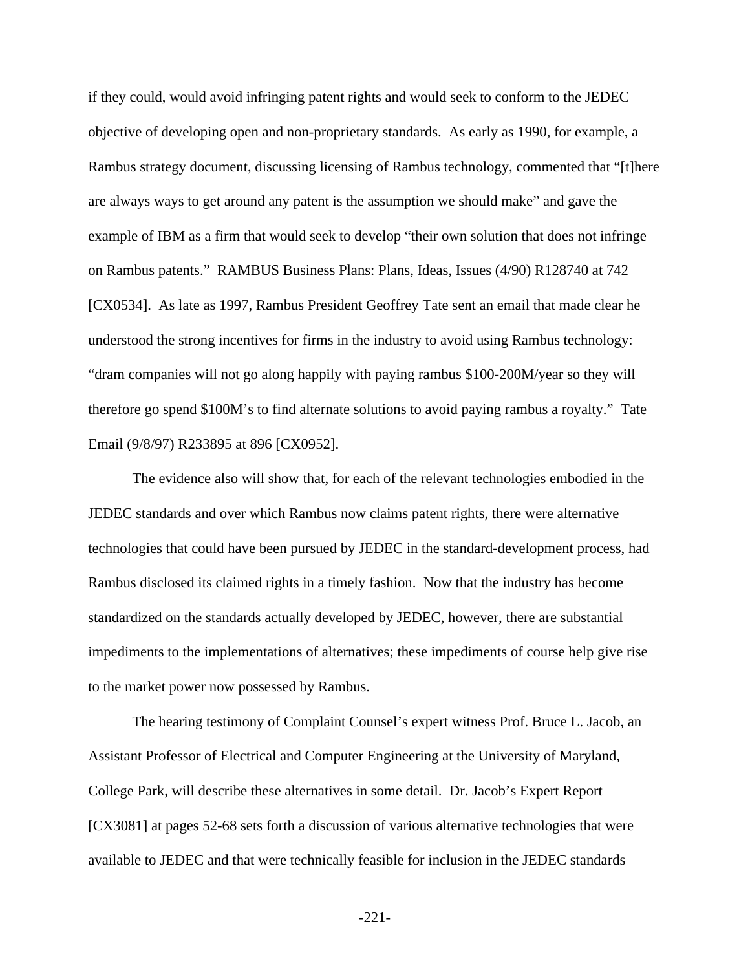if they could, would avoid infringing patent rights and would seek to conform to the JEDEC objective of developing open and non-proprietary standards. As early as 1990, for example, a Rambus strategy document, discussing licensing of Rambus technology, commented that "[t]here are always ways to get around any patent is the assumption we should make" and gave the example of IBM as a firm that would seek to develop "their own solution that does not infringe on Rambus patents." RAMBUS Business Plans: Plans, Ideas, Issues (4/90) R128740 at 742 [CX0534]. As late as 1997, Rambus President Geoffrey Tate sent an email that made clear he understood the strong incentives for firms in the industry to avoid using Rambus technology: "dram companies will not go along happily with paying rambus \$100-200M/year so they will therefore go spend \$100M's to find alternate solutions to avoid paying rambus a royalty." Tate Email (9/8/97) R233895 at 896 [CX0952].

The evidence also will show that, for each of the relevant technologies embodied in the JEDEC standards and over which Rambus now claims patent rights, there were alternative technologies that could have been pursued by JEDEC in the standard-development process, had Rambus disclosed its claimed rights in a timely fashion. Now that the industry has become standardized on the standards actually developed by JEDEC, however, there are substantial impediments to the implementations of alternatives; these impediments of course help give rise to the market power now possessed by Rambus.

The hearing testimony of Complaint Counsel's expert witness Prof. Bruce L. Jacob, an Assistant Professor of Electrical and Computer Engineering at the University of Maryland, College Park, will describe these alternatives in some detail. Dr. Jacob's Expert Report [CX3081] at pages 52-68 sets forth a discussion of various alternative technologies that were available to JEDEC and that were technically feasible for inclusion in the JEDEC standards

-221-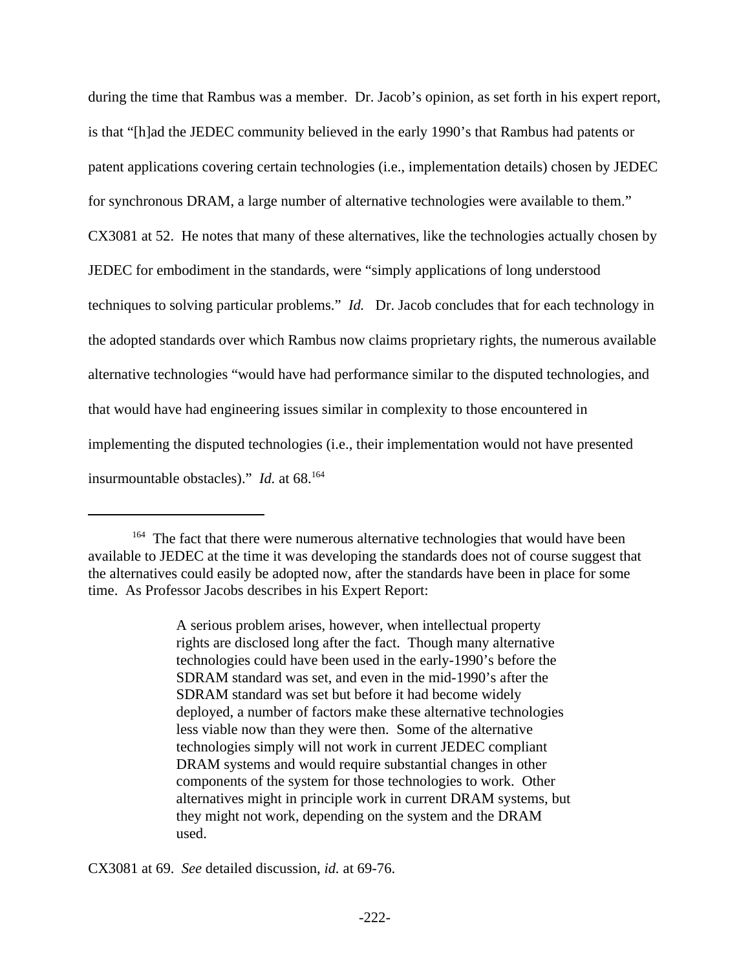during the time that Rambus was a member. Dr. Jacob's opinion, as set forth in his expert report, is that "[h]ad the JEDEC community believed in the early 1990's that Rambus had patents or patent applications covering certain technologies (i.e., implementation details) chosen by JEDEC for synchronous DRAM, a large number of alternative technologies were available to them." CX3081 at 52. He notes that many of these alternatives, like the technologies actually chosen by JEDEC for embodiment in the standards, were "simply applications of long understood techniques to solving particular problems." *Id.* Dr. Jacob concludes that for each technology in the adopted standards over which Rambus now claims proprietary rights, the numerous available alternative technologies "would have had performance similar to the disputed technologies, and that would have had engineering issues similar in complexity to those encountered in implementing the disputed technologies (i.e., their implementation would not have presented insurmountable obstacles)." *Id.* at 68.<sup>164</sup>

A serious problem arises, however, when intellectual property rights are disclosed long after the fact. Though many alternative technologies could have been used in the early-1990's before the SDRAM standard was set, and even in the mid-1990's after the SDRAM standard was set but before it had become widely deployed, a number of factors make these alternative technologies less viable now than they were then. Some of the alternative technologies simply will not work in current JEDEC compliant DRAM systems and would require substantial changes in other components of the system for those technologies to work. Other alternatives might in principle work in current DRAM systems, but they might not work, depending on the system and the DRAM used.

CX3081 at 69. *See* detailed discussion, *id.* at 69-76.

<sup>&</sup>lt;sup>164</sup> The fact that there were numerous alternative technologies that would have been available to JEDEC at the time it was developing the standards does not of course suggest that the alternatives could easily be adopted now, after the standards have been in place for some time. As Professor Jacobs describes in his Expert Report: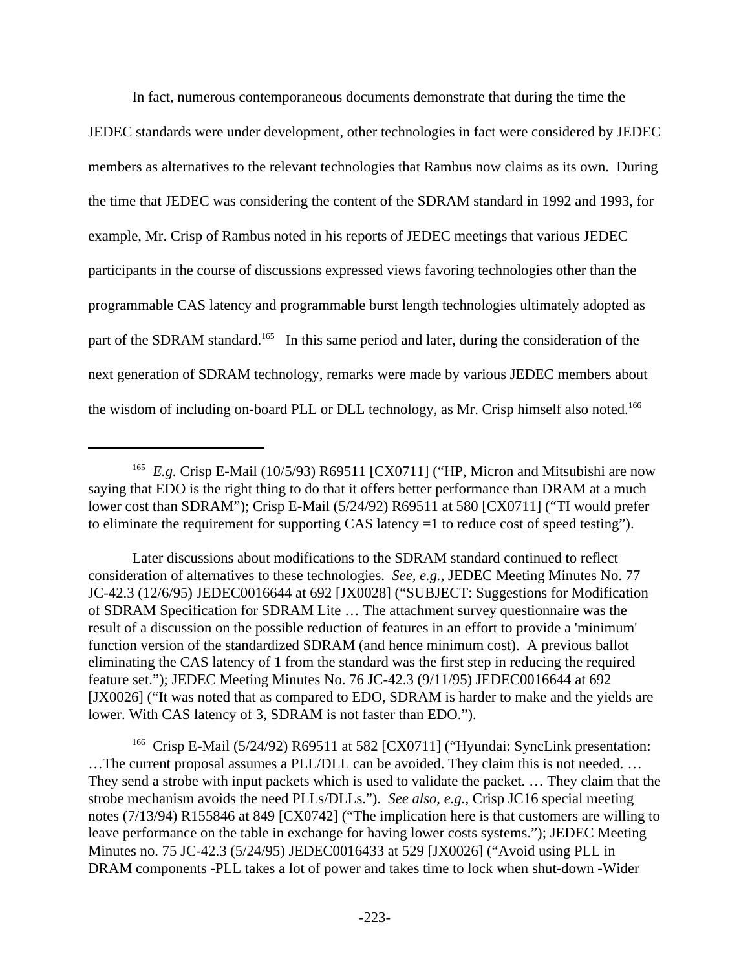In fact, numerous contemporaneous documents demonstrate that during the time the

JEDEC standards were under development, other technologies in fact were considered by JEDEC members as alternatives to the relevant technologies that Rambus now claims as its own. During the time that JEDEC was considering the content of the SDRAM standard in 1992 and 1993, for example, Mr. Crisp of Rambus noted in his reports of JEDEC meetings that various JEDEC participants in the course of discussions expressed views favoring technologies other than the programmable CAS latency and programmable burst length technologies ultimately adopted as part of the SDRAM standard.<sup>165</sup> In this same period and later, during the consideration of the next generation of SDRAM technology, remarks were made by various JEDEC members about the wisdom of including on-board PLL or DLL technology, as Mr. Crisp himself also noted.<sup>166</sup>

<sup>&</sup>lt;sup>165</sup> E.g. Crisp E-Mail (10/5/93) R69511 [CX0711] ("HP, Micron and Mitsubishi are now saying that EDO is the right thing to do that it offers better performance than DRAM at a much lower cost than SDRAM"); Crisp E-Mail (5/24/92) R69511 at 580 [CX0711] ("TI would prefer to eliminate the requirement for supporting CAS latency =1 to reduce cost of speed testing").

Later discussions about modifications to the SDRAM standard continued to reflect consideration of alternatives to these technologies. *See, e.g.,* JEDEC Meeting Minutes No. 77 JC-42.3 (12/6/95) JEDEC0016644 at 692 [JX0028] ("SUBJECT: Suggestions for Modification of SDRAM Specification for SDRAM Lite … The attachment survey questionnaire was the result of a discussion on the possible reduction of features in an effort to provide a 'minimum' function version of the standardized SDRAM (and hence minimum cost). A previous ballot eliminating the CAS latency of 1 from the standard was the first step in reducing the required feature set."); JEDEC Meeting Minutes No. 76 JC-42.3 (9/11/95) JEDEC0016644 at 692 [JX0026] ("It was noted that as compared to EDO, SDRAM is harder to make and the yields are lower. With CAS latency of 3, SDRAM is not faster than EDO.").

<sup>&</sup>lt;sup>166</sup> Crisp E-Mail (5/24/92) R69511 at 582 [CX0711] ("Hyundai: SyncLink presentation: …The current proposal assumes a PLL/DLL can be avoided. They claim this is not needed. … They send a strobe with input packets which is used to validate the packet. … They claim that the strobe mechanism avoids the need PLLs/DLLs."). *See also, e.g.,* Crisp JC16 special meeting notes (7/13/94) R155846 at 849 [CX0742] ("The implication here is that customers are willing to leave performance on the table in exchange for having lower costs systems."); JEDEC Meeting Minutes no. 75 JC-42.3 (5/24/95) JEDEC0016433 at 529 [JX0026] ("Avoid using PLL in DRAM components -PLL takes a lot of power and takes time to lock when shut-down -Wider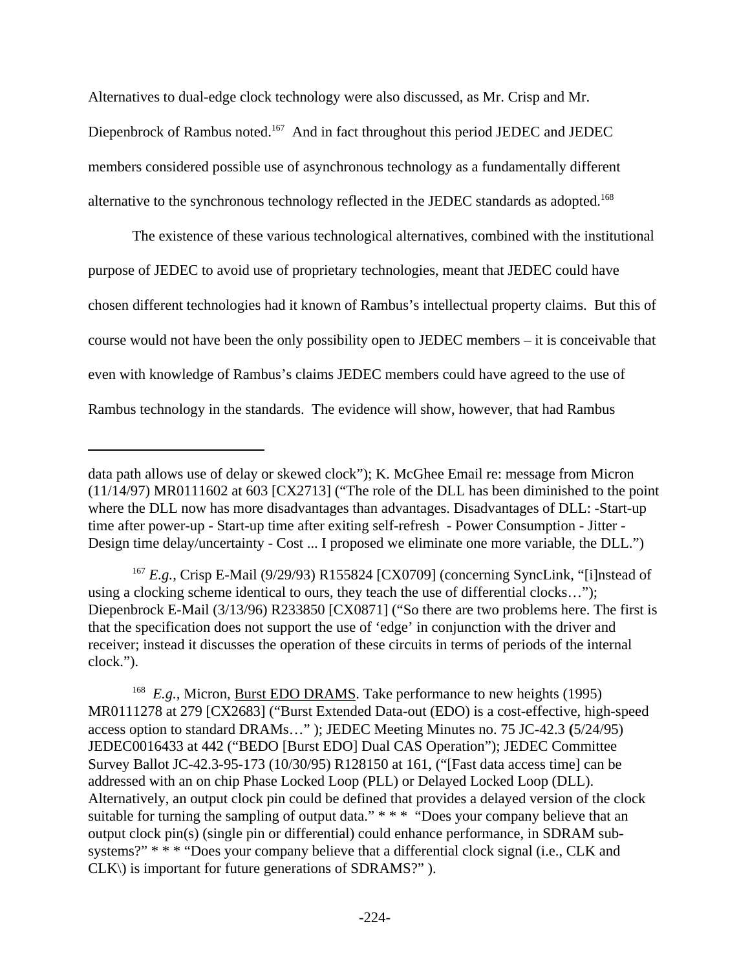Alternatives to dual-edge clock technology were also discussed, as Mr. Crisp and Mr. Diepenbrock of Rambus noted.<sup>167</sup> And in fact throughout this period JEDEC and JEDEC members considered possible use of asynchronous technology as a fundamentally different alternative to the synchronous technology reflected in the JEDEC standards as adopted.<sup>168</sup>

The existence of these various technological alternatives, combined with the institutional purpose of JEDEC to avoid use of proprietary technologies, meant that JEDEC could have chosen different technologies had it known of Rambus's intellectual property claims. But this of course would not have been the only possibility open to JEDEC members – it is conceivable that even with knowledge of Rambus's claims JEDEC members could have agreed to the use of Rambus technology in the standards. The evidence will show, however, that had Rambus

data path allows use of delay or skewed clock"); K. McGhee Email re: message from Micron (11/14/97) MR0111602 at 603 [CX2713] ("The role of the DLL has been diminished to the point where the DLL now has more disadvantages than advantages. Disadvantages of DLL: -Start-up time after power-up - Start-up time after exiting self-refresh - Power Consumption - Jitter - Design time delay/uncertainty - Cost ... I proposed we eliminate one more variable, the DLL.")

<sup>167</sup> *E.g.,* Crisp E-Mail (9/29/93) R155824 [CX0709] (concerning SyncLink, "[i]nstead of using a clocking scheme identical to ours, they teach the use of differential clocks…"); Diepenbrock E-Mail (3/13/96) R233850 [CX0871] ("So there are two problems here. The first is that the specification does not support the use of 'edge' in conjunction with the driver and receiver; instead it discusses the operation of these circuits in terms of periods of the internal clock.").

<sup>&</sup>lt;sup>168</sup> *E.g.*, Micron, **Burst EDO DRAMS**. Take performance to new heights (1995) MR0111278 at 279 [CX2683] ("Burst Extended Data-out (EDO) is a cost-effective, high-speed access option to standard DRAMs…" ); JEDEC Meeting Minutes no. 75 JC-42.3 **(**5/24/95) JEDEC0016433 at 442 ("BEDO [Burst EDO] Dual CAS Operation"); JEDEC Committee Survey Ballot JC-42.3-95-173 (10/30/95) R128150 at 161, ("[Fast data access time] can be addressed with an on chip Phase Locked Loop (PLL) or Delayed Locked Loop (DLL). Alternatively, an output clock pin could be defined that provides a delayed version of the clock suitable for turning the sampling of output data." \* \* \* "Does your company believe that an output clock pin(s) (single pin or differential) could enhance performance, in SDRAM subsystems?" \* \* \* "Does your company believe that a differential clock signal (i.e., CLK and CLK\) is important for future generations of SDRAMS?" ).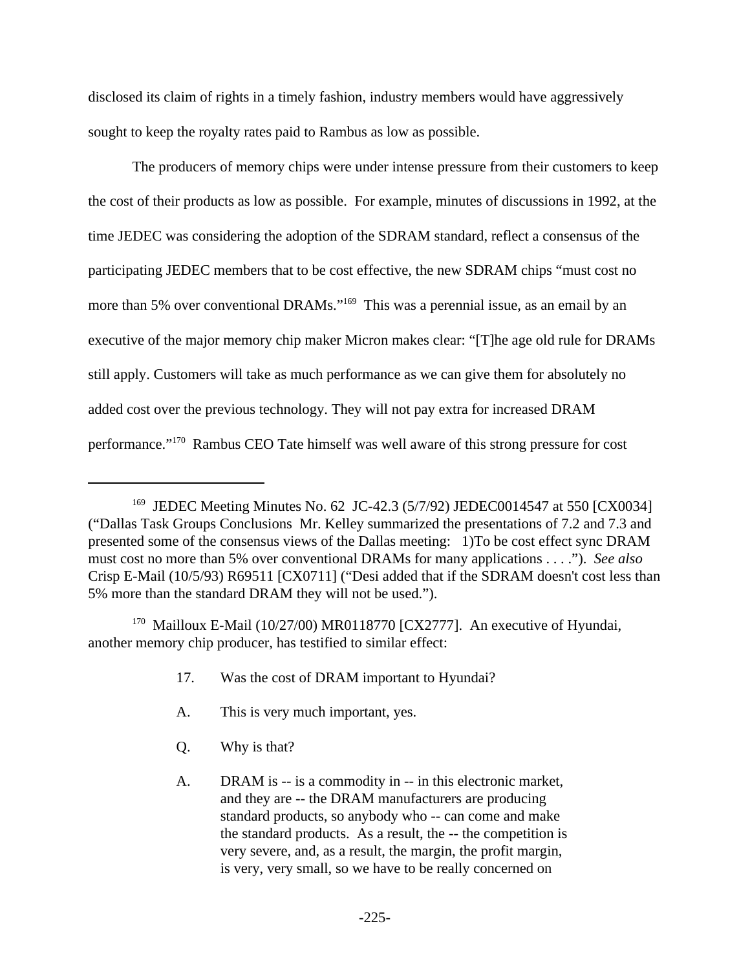disclosed its claim of rights in a timely fashion, industry members would have aggressively sought to keep the royalty rates paid to Rambus as low as possible.

The producers of memory chips were under intense pressure from their customers to keep the cost of their products as low as possible. For example, minutes of discussions in 1992, at the time JEDEC was considering the adoption of the SDRAM standard, reflect a consensus of the participating JEDEC members that to be cost effective, the new SDRAM chips "must cost no more than 5% over conventional DRAMs."<sup>169</sup> This was a perennial issue, as an email by an executive of the major memory chip maker Micron makes clear: "[T]he age old rule for DRAMs still apply. Customers will take as much performance as we can give them for absolutely no added cost over the previous technology. They will not pay extra for increased DRAM performance."170 Rambus CEO Tate himself was well aware of this strong pressure for cost

<sup>170</sup> Mailloux E-Mail (10/27/00) MR0118770 [CX2777]. An executive of Hyundai, another memory chip producer, has testified to similar effect:

- 17. Was the cost of DRAM important to Hyundai?
- A. This is very much important, yes.
- Q. Why is that?
- A. DRAM is -- is a commodity in -- in this electronic market, and they are -- the DRAM manufacturers are producing standard products, so anybody who -- can come and make the standard products. As a result, the -- the competition is very severe, and, as a result, the margin, the profit margin, is very, very small, so we have to be really concerned on

<sup>&</sup>lt;sup>169</sup> JEDEC Meeting Minutes No. 62 JC-42.3 (5/7/92) JEDEC0014547 at 550 [CX0034] ("Dallas Task Groups Conclusions Mr. Kelley summarized the presentations of 7.2 and 7.3 and presented some of the consensus views of the Dallas meeting: 1)To be cost effect sync DRAM must cost no more than 5% over conventional DRAMs for many applications . . . ."). *See also* Crisp E-Mail (10/5/93) R69511 [CX0711] ("Desi added that if the SDRAM doesn't cost less than 5% more than the standard DRAM they will not be used.").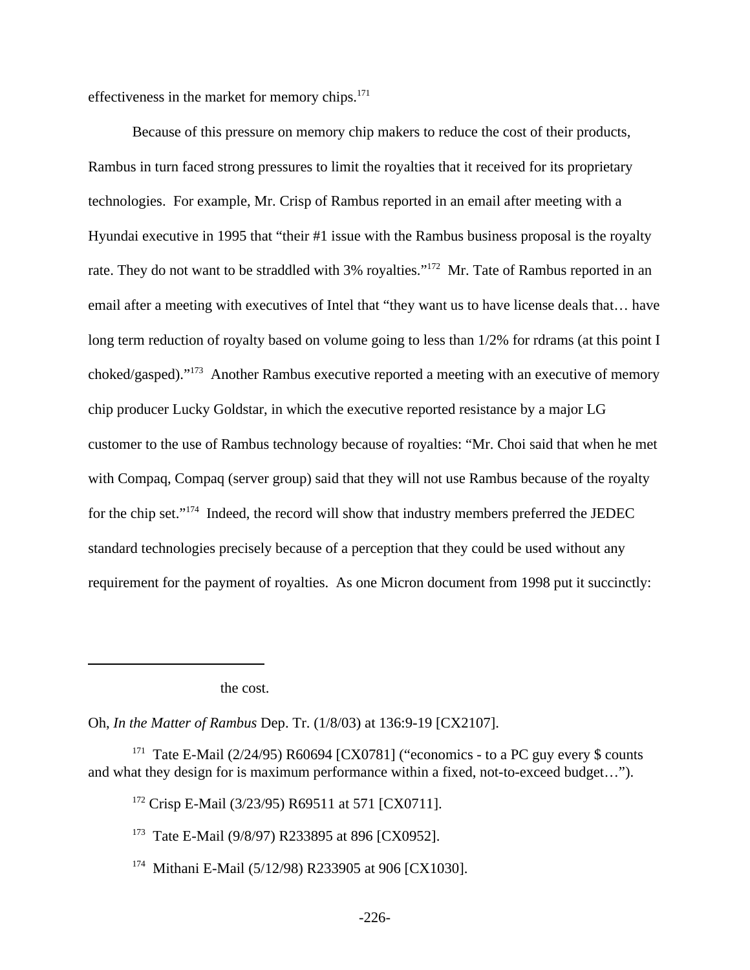effectiveness in the market for memory chips. $171$ 

Because of this pressure on memory chip makers to reduce the cost of their products, Rambus in turn faced strong pressures to limit the royalties that it received for its proprietary technologies. For example, Mr. Crisp of Rambus reported in an email after meeting with a Hyundai executive in 1995 that "their #1 issue with the Rambus business proposal is the royalty rate. They do not want to be straddled with 3% royalties."<sup>172</sup> Mr. Tate of Rambus reported in an email after a meeting with executives of Intel that "they want us to have license deals that… have long term reduction of royalty based on volume going to less than  $1/2\%$  for rdrams (at this point I choked/gasped)."<sup>173</sup> Another Rambus executive reported a meeting with an executive of memory chip producer Lucky Goldstar, in which the executive reported resistance by a major LG customer to the use of Rambus technology because of royalties: "Mr. Choi said that when he met with Compaq, Compaq (server group) said that they will not use Rambus because of the royalty for the chip set."<sup>174</sup> Indeed, the record will show that industry members preferred the JEDEC standard technologies precisely because of a perception that they could be used without any requirement for the payment of royalties. As one Micron document from 1998 put it succinctly:

the cost.

Oh, *In the Matter of Rambus* Dep. Tr. (1/8/03) at 136:9-19 [CX2107].

<sup>171</sup> Tate E-Mail (2/24/95) R60694 [CX0781] ("economics - to a PC guy every \$ counts and what they design for is maximum performance within a fixed, not-to-exceed budget…").

<sup>172</sup> Crisp E-Mail (3/23/95) R69511 at 571 [CX0711].

<sup>173</sup> Tate E-Mail (9/8/97) R233895 at 896 [CX0952].

<sup>174</sup> Mithani E-Mail (5/12/98) R233905 at 906 [CX1030].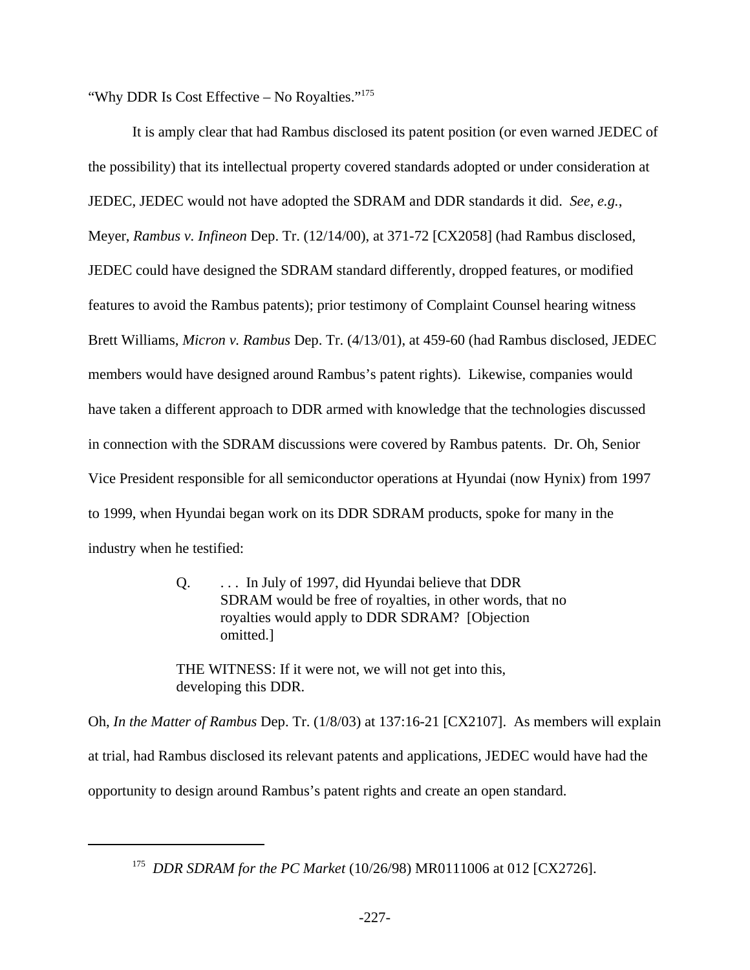"Why DDR Is Cost Effective – No Royalties."<sup>175</sup>

It is amply clear that had Rambus disclosed its patent position (or even warned JEDEC of the possibility) that its intellectual property covered standards adopted or under consideration at JEDEC, JEDEC would not have adopted the SDRAM and DDR standards it did. *See, e.g.*, Meyer, *Rambus v. Infineon* Dep. Tr. (12/14/00), at 371-72 [CX2058] (had Rambus disclosed, JEDEC could have designed the SDRAM standard differently, dropped features, or modified features to avoid the Rambus patents); prior testimony of Complaint Counsel hearing witness Brett Williams, *Micron v. Rambus* Dep. Tr. (4/13/01), at 459-60 (had Rambus disclosed, JEDEC members would have designed around Rambus's patent rights). Likewise, companies would have taken a different approach to DDR armed with knowledge that the technologies discussed in connection with the SDRAM discussions were covered by Rambus patents. Dr. Oh, Senior Vice President responsible for all semiconductor operations at Hyundai (now Hynix) from 1997 to 1999, when Hyundai began work on its DDR SDRAM products, spoke for many in the industry when he testified:

> Q. . . . In July of 1997, did Hyundai believe that DDR SDRAM would be free of royalties, in other words, that no royalties would apply to DDR SDRAM? [Objection omitted.]

THE WITNESS: If it were not, we will not get into this, developing this DDR.

Oh, *In the Matter of Rambus* Dep. Tr. (1/8/03) at 137:16-21 [CX2107]. As members will explain at trial, had Rambus disclosed its relevant patents and applications, JEDEC would have had the opportunity to design around Rambus's patent rights and create an open standard.

<sup>175</sup> *DDR SDRAM for the PC Market* (10/26/98) MR0111006 at 012 [CX2726].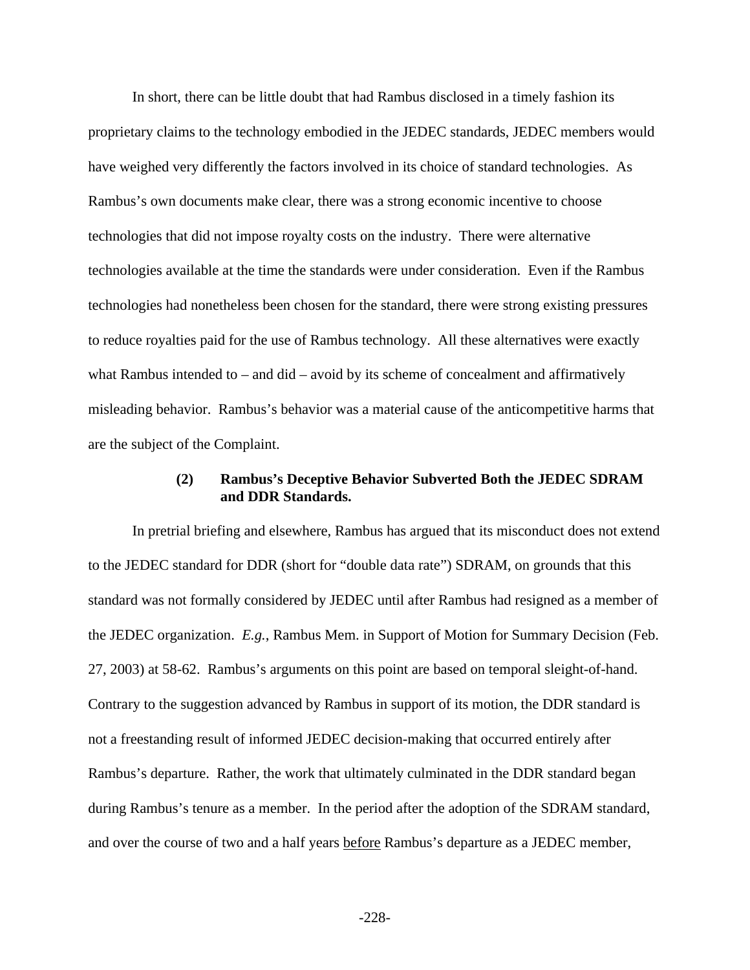In short, there can be little doubt that had Rambus disclosed in a timely fashion its proprietary claims to the technology embodied in the JEDEC standards, JEDEC members would have weighed very differently the factors involved in its choice of standard technologies. As Rambus's own documents make clear, there was a strong economic incentive to choose technologies that did not impose royalty costs on the industry. There were alternative technologies available at the time the standards were under consideration. Even if the Rambus technologies had nonetheless been chosen for the standard, there were strong existing pressures to reduce royalties paid for the use of Rambus technology. All these alternatives were exactly what Rambus intended to  $-$  and did  $-$  avoid by its scheme of concealment and affirmatively misleading behavior. Rambus's behavior was a material cause of the anticompetitive harms that are the subject of the Complaint.

## **(2) Rambus's Deceptive Behavior Subverted Both the JEDEC SDRAM and DDR Standards.**

In pretrial briefing and elsewhere, Rambus has argued that its misconduct does not extend to the JEDEC standard for DDR (short for "double data rate") SDRAM, on grounds that this standard was not formally considered by JEDEC until after Rambus had resigned as a member of the JEDEC organization. *E.g.*, Rambus Mem. in Support of Motion for Summary Decision (Feb. 27, 2003) at 58-62. Rambus's arguments on this point are based on temporal sleight-of-hand. Contrary to the suggestion advanced by Rambus in support of its motion, the DDR standard is not a freestanding result of informed JEDEC decision-making that occurred entirely after Rambus's departure. Rather, the work that ultimately culminated in the DDR standard began during Rambus's tenure as a member. In the period after the adoption of the SDRAM standard, and over the course of two and a half years before Rambus's departure as a JEDEC member,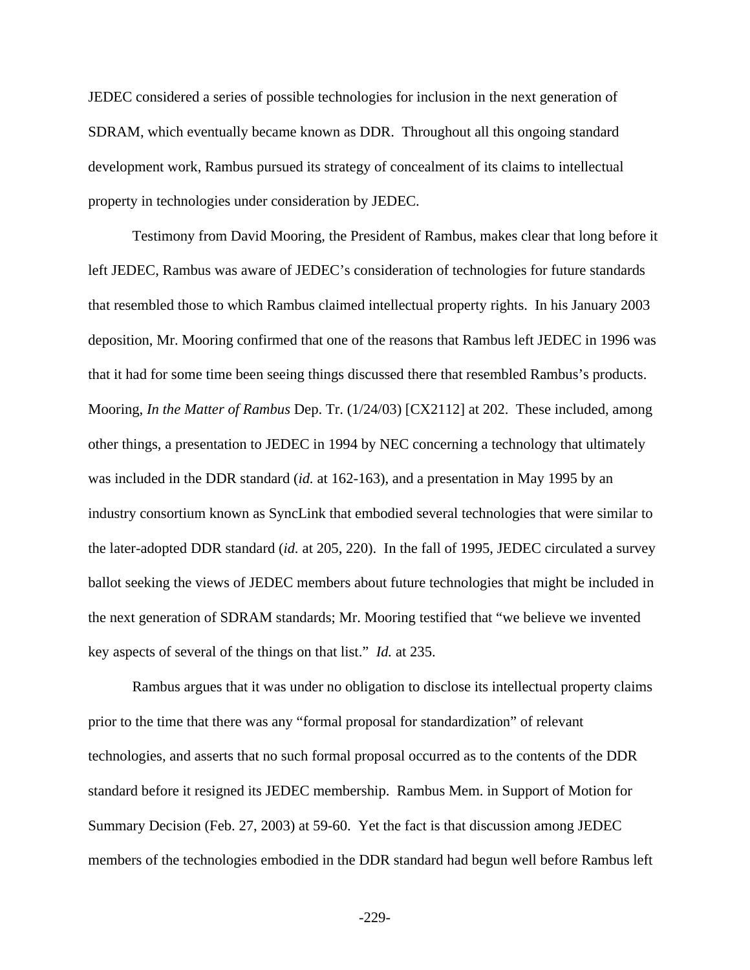JEDEC considered a series of possible technologies for inclusion in the next generation of SDRAM, which eventually became known as DDR. Throughout all this ongoing standard development work, Rambus pursued its strategy of concealment of its claims to intellectual property in technologies under consideration by JEDEC.

Testimony from David Mooring, the President of Rambus, makes clear that long before it left JEDEC, Rambus was aware of JEDEC's consideration of technologies for future standards that resembled those to which Rambus claimed intellectual property rights. In his January 2003 deposition, Mr. Mooring confirmed that one of the reasons that Rambus left JEDEC in 1996 was that it had for some time been seeing things discussed there that resembled Rambus's products. Mooring, *In the Matter of Rambus* Dep. Tr. (1/24/03) [CX2112] at 202. These included, among other things, a presentation to JEDEC in 1994 by NEC concerning a technology that ultimately was included in the DDR standard (*id.* at 162-163), and a presentation in May 1995 by an industry consortium known as SyncLink that embodied several technologies that were similar to the later-adopted DDR standard (*id.* at 205, 220). In the fall of 1995, JEDEC circulated a survey ballot seeking the views of JEDEC members about future technologies that might be included in the next generation of SDRAM standards; Mr. Mooring testified that "we believe we invented key aspects of several of the things on that list." *Id.* at 235.

Rambus argues that it was under no obligation to disclose its intellectual property claims prior to the time that there was any "formal proposal for standardization" of relevant technologies, and asserts that no such formal proposal occurred as to the contents of the DDR standard before it resigned its JEDEC membership. Rambus Mem. in Support of Motion for Summary Decision (Feb. 27, 2003) at 59-60. Yet the fact is that discussion among JEDEC members of the technologies embodied in the DDR standard had begun well before Rambus left

-229-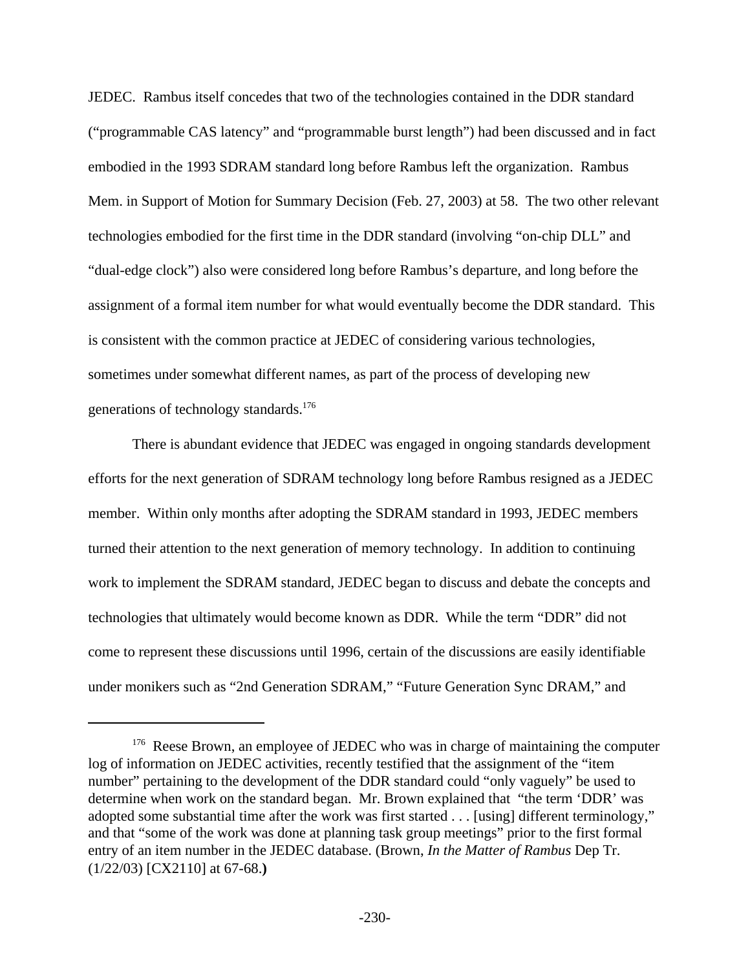JEDEC. Rambus itself concedes that two of the technologies contained in the DDR standard ("programmable CAS latency" and "programmable burst length") had been discussed and in fact embodied in the 1993 SDRAM standard long before Rambus left the organization. Rambus Mem. in Support of Motion for Summary Decision (Feb. 27, 2003) at 58. The two other relevant technologies embodied for the first time in the DDR standard (involving "on-chip DLL" and "dual-edge clock") also were considered long before Rambus's departure, and long before the assignment of a formal item number for what would eventually become the DDR standard. This is consistent with the common practice at JEDEC of considering various technologies, sometimes under somewhat different names, as part of the process of developing new generations of technology standards.<sup>176</sup>

There is abundant evidence that JEDEC was engaged in ongoing standards development efforts for the next generation of SDRAM technology long before Rambus resigned as a JEDEC member. Within only months after adopting the SDRAM standard in 1993, JEDEC members turned their attention to the next generation of memory technology. In addition to continuing work to implement the SDRAM standard, JEDEC began to discuss and debate the concepts and technologies that ultimately would become known as DDR. While the term "DDR" did not come to represent these discussions until 1996, certain of the discussions are easily identifiable under monikers such as "2nd Generation SDRAM," "Future Generation Sync DRAM," and

<sup>&</sup>lt;sup>176</sup> Reese Brown, an employee of JEDEC who was in charge of maintaining the computer log of information on JEDEC activities, recently testified that the assignment of the "item number" pertaining to the development of the DDR standard could "only vaguely" be used to determine when work on the standard began. Mr. Brown explained that "the term 'DDR' was adopted some substantial time after the work was first started . . . [using] different terminology," and that "some of the work was done at planning task group meetings" prior to the first formal entry of an item number in the JEDEC database. (Brown, *In the Matter of Rambus* Dep Tr. (1/22/03) [CX2110] at 67-68.**)**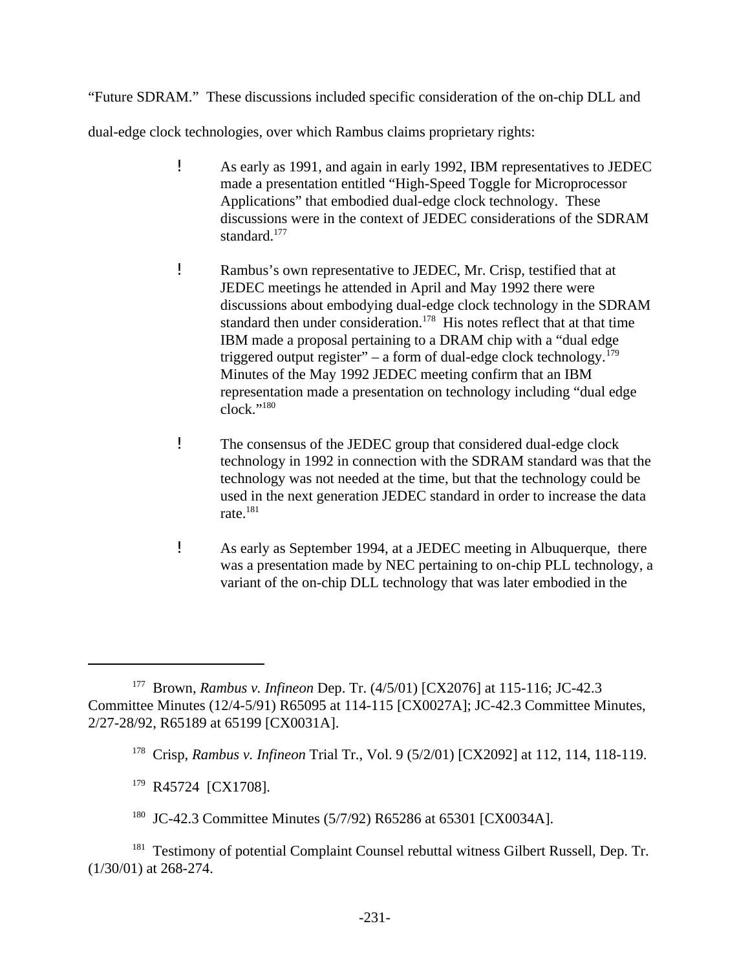"Future SDRAM." These discussions included specific consideration of the on-chip DLL and

dual-edge clock technologies, over which Rambus claims proprietary rights:

- ! As early as 1991, and again in early 1992, IBM representatives to JEDEC made a presentation entitled "High-Speed Toggle for Microprocessor Applications" that embodied dual-edge clock technology. These discussions were in the context of JEDEC considerations of the SDRAM standard.<sup>177</sup>
- ! Rambus's own representative to JEDEC, Mr. Crisp, testified that at JEDEC meetings he attended in April and May 1992 there were discussions about embodying dual-edge clock technology in the SDRAM standard then under consideration.<sup>178</sup> His notes reflect that at that time IBM made a proposal pertaining to a DRAM chip with a "dual edge triggered output register" – a form of dual-edge clock technology.<sup>179</sup> Minutes of the May 1992 JEDEC meeting confirm that an IBM representation made a presentation on technology including "dual edge  $clock.$ "<sup>180</sup>
- ! The consensus of the JEDEC group that considered dual-edge clock technology in 1992 in connection with the SDRAM standard was that the technology was not needed at the time, but that the technology could be used in the next generation JEDEC standard in order to increase the data rate.<sup>181</sup>
- ! As early as September 1994, at a JEDEC meeting in Albuquerque, there was a presentation made by NEC pertaining to on-chip PLL technology, a variant of the on-chip DLL technology that was later embodied in the

- <sup>179</sup> R45724 [CX1708].
- <sup>180</sup> JC-42.3 Committee Minutes (5/7/92) R65286 at 65301 [CX0034A].

<sup>177</sup> Brown, *Rambus v. Infineon* Dep. Tr. (4/5/01) [CX2076] at 115-116; JC-42.3 Committee Minutes (12/4-5/91) R65095 at 114-115 [CX0027A]; JC-42.3 Committee Minutes, 2/27-28/92, R65189 at 65199 [CX0031A].

<sup>178</sup> Crisp, *Rambus v. Infineon* Trial Tr., Vol. 9 (5/2/01) [CX2092] at 112, 114, 118-119.

<sup>&</sup>lt;sup>181</sup> Testimony of potential Complaint Counsel rebuttal witness Gilbert Russell, Dep. Tr. (1/30/01) at 268-274.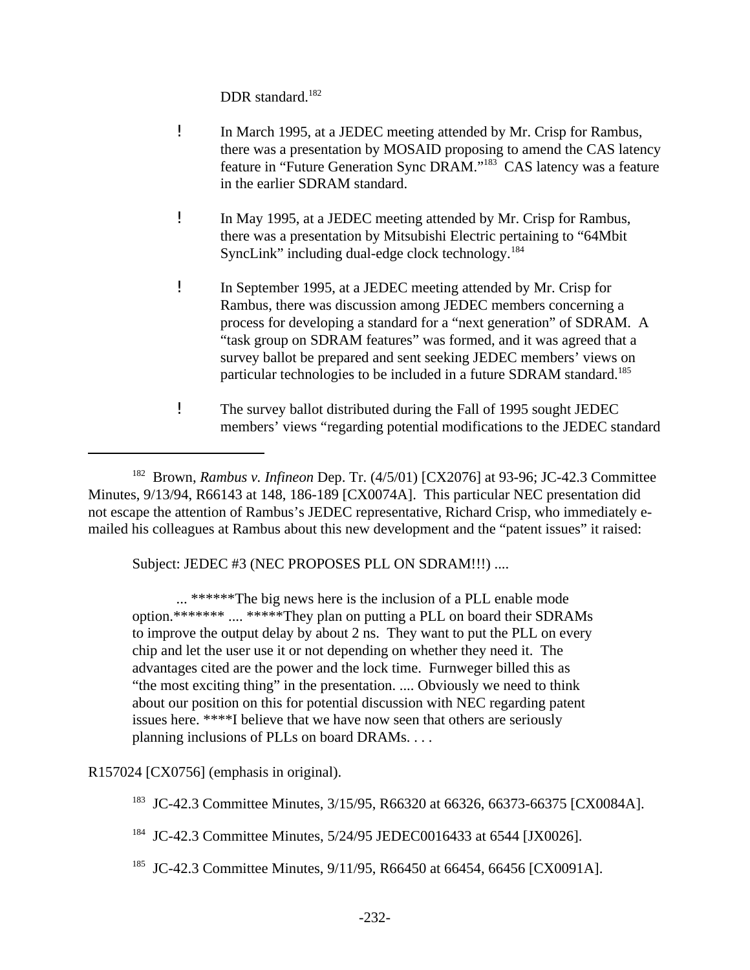DDR standard.<sup>182</sup>

- ! In March 1995, at a JEDEC meeting attended by Mr. Crisp for Rambus, there was a presentation by MOSAID proposing to amend the CAS latency feature in "Future Generation Sync DRAM."<sup>183</sup> CAS latency was a feature in the earlier SDRAM standard.
- ! In May 1995, at a JEDEC meeting attended by Mr. Crisp for Rambus, there was a presentation by Mitsubishi Electric pertaining to "64Mbit SyncLink" including dual-edge clock technology.<sup>184</sup>
- ! In September 1995, at a JEDEC meeting attended by Mr. Crisp for Rambus, there was discussion among JEDEC members concerning a process for developing a standard for a "next generation" of SDRAM. A "task group on SDRAM features" was formed, and it was agreed that a survey ballot be prepared and sent seeking JEDEC members' views on particular technologies to be included in a future SDRAM standard.<sup>185</sup>
- ! The survey ballot distributed during the Fall of 1995 sought JEDEC members' views "regarding potential modifications to the JEDEC standard

<sup>182</sup> Brown, *Rambus v. Infineon* Dep. Tr. (4/5/01) [CX2076] at 93-96; JC-42.3 Committee Minutes, 9/13/94, R66143 at 148, 186-189 [CX0074A]. This particular NEC presentation did not escape the attention of Rambus's JEDEC representative, Richard Crisp, who immediately emailed his colleagues at Rambus about this new development and the "patent issues" it raised:

Subject: JEDEC #3 (NEC PROPOSES PLL ON SDRAM!!!) ....

... \*\*\*\*\*\*The big news here is the inclusion of a PLL enable mode option.\*\*\*\*\*\*\* .... \*\*\*\*\*They plan on putting a PLL on board their SDRAMs to improve the output delay by about 2 ns. They want to put the PLL on every chip and let the user use it or not depending on whether they need it. The advantages cited are the power and the lock time. Furnweger billed this as "the most exciting thing" in the presentation. .... Obviously we need to think about our position on this for potential discussion with NEC regarding patent issues here. \*\*\*\*I believe that we have now seen that others are seriously planning inclusions of PLLs on board DRAMs. . . .

R157024 [CX0756] (emphasis in original).

<sup>183</sup> JC-42.3 Committee Minutes, 3/15/95, R66320 at 66326, 66373-66375 [CX0084A].

<sup>184</sup> JC-42.3 Committee Minutes, 5/24/95 JEDEC0016433 at 6544 [JX0026].

<sup>185</sup> JC-42.3 Committee Minutes, 9/11/95, R66450 at 66454, 66456 [CX0091A].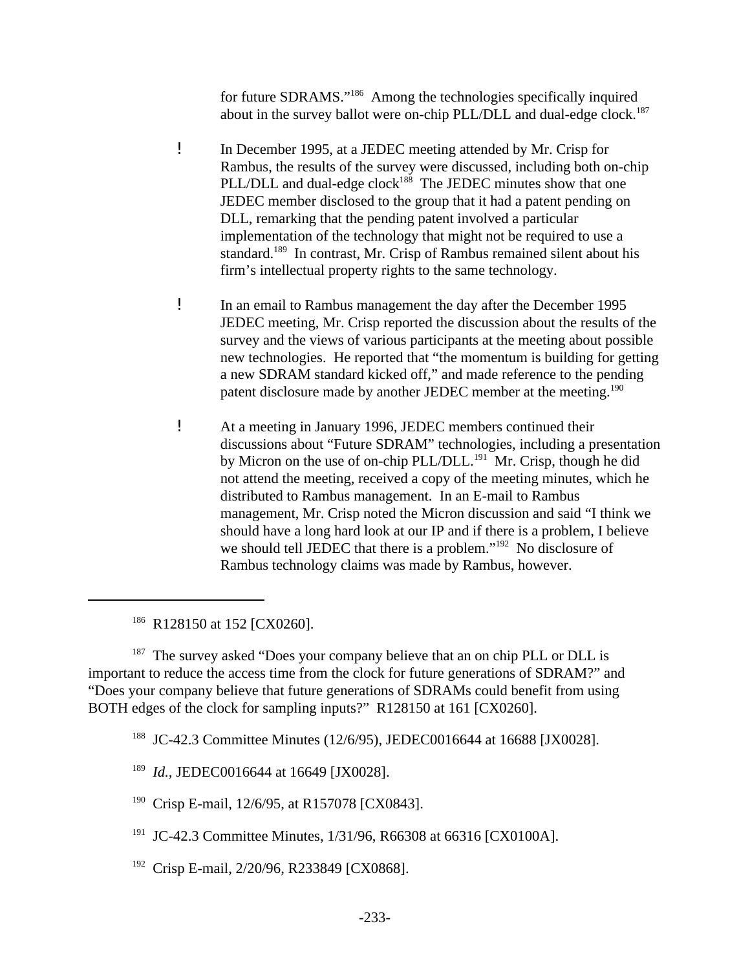for future SDRAMS."<sup>186</sup> Among the technologies specifically inquired about in the survey ballot were on-chip PLL/DLL and dual-edge clock.<sup>187</sup>

- ! In December 1995, at a JEDEC meeting attended by Mr. Crisp for Rambus, the results of the survey were discussed, including both on-chip PLL/DLL and dual-edge clock<sup>188</sup> The JEDEC minutes show that one JEDEC member disclosed to the group that it had a patent pending on DLL, remarking that the pending patent involved a particular implementation of the technology that might not be required to use a standard.<sup>189</sup> In contrast, Mr. Crisp of Rambus remained silent about his firm's intellectual property rights to the same technology.
- ! In an email to Rambus management the day after the December 1995 JEDEC meeting, Mr. Crisp reported the discussion about the results of the survey and the views of various participants at the meeting about possible new technologies. He reported that "the momentum is building for getting a new SDRAM standard kicked off," and made reference to the pending patent disclosure made by another JEDEC member at the meeting.<sup>190</sup>
- ! At a meeting in January 1996, JEDEC members continued their discussions about "Future SDRAM" technologies, including a presentation by Micron on the use of on-chip PLL/DLL.<sup>191</sup> Mr. Crisp, though he did not attend the meeting, received a copy of the meeting minutes, which he distributed to Rambus management. In an E-mail to Rambus management, Mr. Crisp noted the Micron discussion and said "I think we should have a long hard look at our IP and if there is a problem, I believe we should tell JEDEC that there is a problem."<sup>192</sup> No disclosure of Rambus technology claims was made by Rambus, however.

<sup>186</sup> R128150 at 152 [CX0260].

<sup>187</sup> The survey asked "Does your company believe that an on chip PLL or DLL is important to reduce the access time from the clock for future generations of SDRAM?" and "Does your company believe that future generations of SDRAMs could benefit from using BOTH edges of the clock for sampling inputs?" R128150 at 161 [CX0260].

- <sup>190</sup> Crisp E-mail, 12/6/95, at R157078 [CX0843].
- <sup>191</sup> JC-42.3 Committee Minutes, 1/31/96, R66308 at 66316 [CX0100A].
- <sup>192</sup> Crisp E-mail, 2/20/96, R233849 [CX0868].

<sup>&</sup>lt;sup>188</sup> JC-42.3 Committee Minutes (12/6/95), JEDEC0016644 at 16688 [JX0028].

<sup>189</sup> *Id.,* JEDEC0016644 at 16649 [JX0028].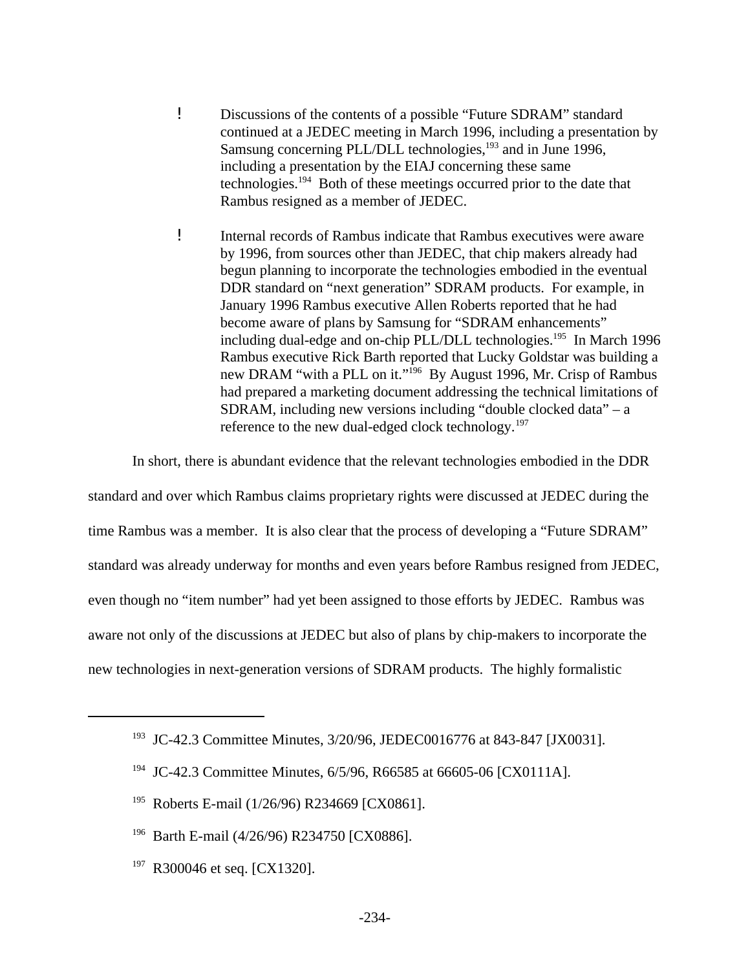- ! Discussions of the contents of a possible "Future SDRAM" standard continued at a JEDEC meeting in March 1996, including a presentation by Samsung concerning PLL/DLL technologies,<sup>193</sup> and in June 1996, including a presentation by the EIAJ concerning these same technologies.<sup>194</sup> Both of these meetings occurred prior to the date that Rambus resigned as a member of JEDEC.
- ! Internal records of Rambus indicate that Rambus executives were aware by 1996, from sources other than JEDEC, that chip makers already had begun planning to incorporate the technologies embodied in the eventual DDR standard on "next generation" SDRAM products. For example, in January 1996 Rambus executive Allen Roberts reported that he had become aware of plans by Samsung for "SDRAM enhancements" including dual-edge and on-chip PLL/DLL technologies.<sup>195</sup> In March 1996 Rambus executive Rick Barth reported that Lucky Goldstar was building a new DRAM "with a PLL on it."<sup>196</sup> By August 1996, Mr. Crisp of Rambus had prepared a marketing document addressing the technical limitations of SDRAM, including new versions including "double clocked data" – a reference to the new dual-edged clock technology.<sup>197</sup>

In short, there is abundant evidence that the relevant technologies embodied in the DDR

standard and over which Rambus claims proprietary rights were discussed at JEDEC during the time Rambus was a member. It is also clear that the process of developing a "Future SDRAM" standard was already underway for months and even years before Rambus resigned from JEDEC, even though no "item number" had yet been assigned to those efforts by JEDEC. Rambus was aware not only of the discussions at JEDEC but also of plans by chip-makers to incorporate the new technologies in next-generation versions of SDRAM products. The highly formalistic

- <sup>195</sup> Roberts E-mail (1/26/96) R234669 [CX0861].
- <sup>196</sup> Barth E-mail (4/26/96) R234750 [CX0886].
- <sup>197</sup> R300046 et seq. [CX1320].

<sup>&</sup>lt;sup>193</sup> JC-42.3 Committee Minutes, 3/20/96, JEDEC0016776 at 843-847 [JX0031].

<sup>&</sup>lt;sup>194</sup> JC-42.3 Committee Minutes, 6/5/96, R66585 at 66605-06 [CX0111A].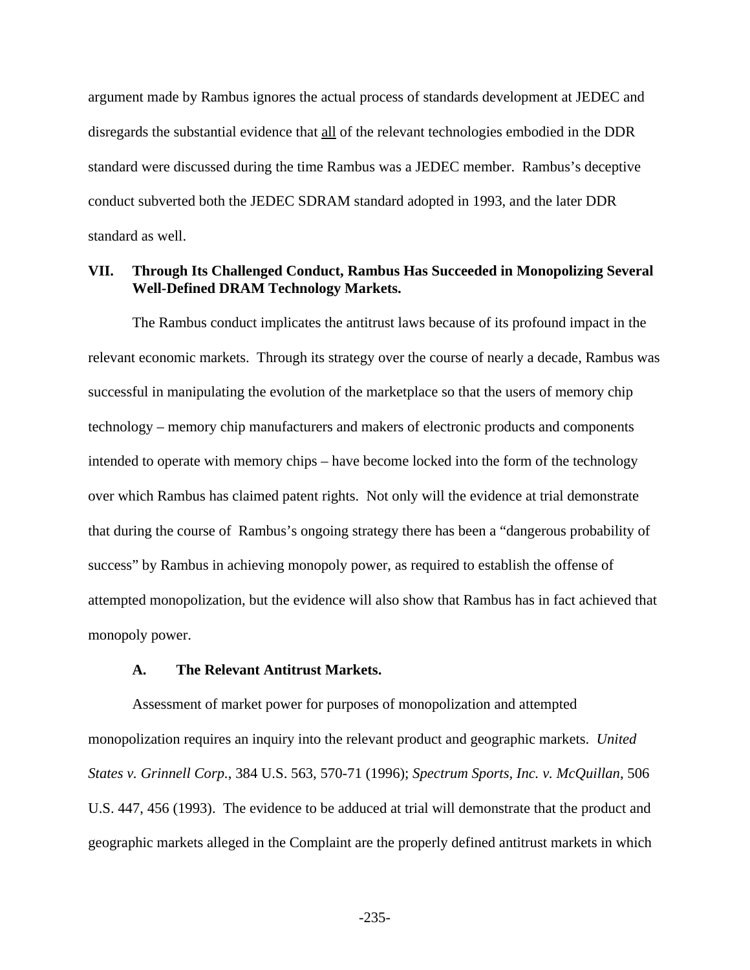argument made by Rambus ignores the actual process of standards development at JEDEC and disregards the substantial evidence that all of the relevant technologies embodied in the DDR standard were discussed during the time Rambus was a JEDEC member. Rambus's deceptive conduct subverted both the JEDEC SDRAM standard adopted in 1993, and the later DDR standard as well.

### **VII. Through Its Challenged Conduct, Rambus Has Succeeded in Monopolizing Several Well-Defined DRAM Technology Markets.**

The Rambus conduct implicates the antitrust laws because of its profound impact in the relevant economic markets. Through its strategy over the course of nearly a decade, Rambus was successful in manipulating the evolution of the marketplace so that the users of memory chip technology – memory chip manufacturers and makers of electronic products and components intended to operate with memory chips – have become locked into the form of the technology over which Rambus has claimed patent rights. Not only will the evidence at trial demonstrate that during the course of Rambus's ongoing strategy there has been a "dangerous probability of success" by Rambus in achieving monopoly power, as required to establish the offense of attempted monopolization, but the evidence will also show that Rambus has in fact achieved that monopoly power.

#### **A. The Relevant Antitrust Markets.**

Assessment of market power for purposes of monopolization and attempted monopolization requires an inquiry into the relevant product and geographic markets. *United States v. Grinnell Corp.*, 384 U.S. 563, 570-71 (1996); *Spectrum Sports, Inc. v. McQuillan*, 506 U.S. 447, 456 (1993). The evidence to be adduced at trial will demonstrate that the product and geographic markets alleged in the Complaint are the properly defined antitrust markets in which

-235-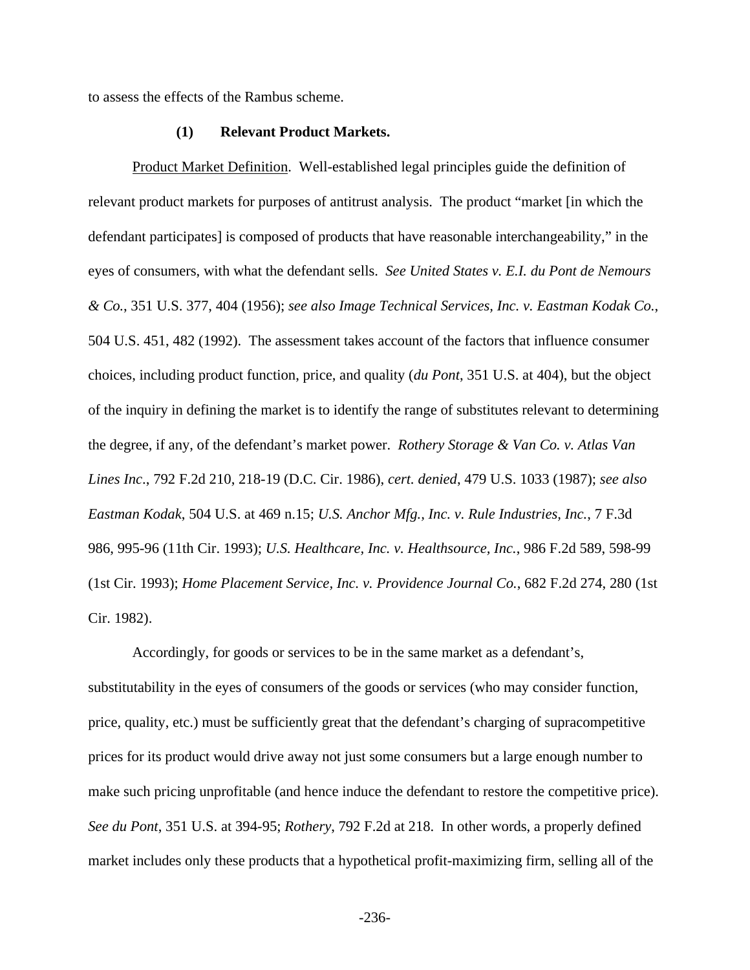to assess the effects of the Rambus scheme.

#### **(1) Relevant Product Markets.**

Product Market Definition. Well-established legal principles guide the definition of relevant product markets for purposes of antitrust analysis. The product "market [in which the defendant participates] is composed of products that have reasonable interchangeability," in the eyes of consumers, with what the defendant sells. *See United States v. E.I. du Pont de Nemours & Co.*, 351 U.S. 377, 404 (1956); *see also Image Technical Services, Inc. v. Eastman Kodak Co.*, 504 U.S. 451, 482 (1992). The assessment takes account of the factors that influence consumer choices, including product function, price, and quality (*du Pont*, 351 U.S. at 404), but the object of the inquiry in defining the market is to identify the range of substitutes relevant to determining the degree, if any, of the defendant's market power. *Rothery Storage & Van Co. v. Atlas Van Lines Inc*., 792 F.2d 210, 218-19 (D.C. Cir. 1986), *cert. denied*, 479 U.S. 1033 (1987); *see also Eastman Kodak*, 504 U.S. at 469 n.15; *U.S. Anchor Mfg., Inc. v. Rule Industries, Inc.*, 7 F.3d 986, 995-96 (11th Cir. 1993); *U.S. Healthcare, Inc. v. Healthsource, Inc.*, 986 F.2d 589, 598-99 (1st Cir. 1993); *Home Placement Service, Inc. v. Providence Journal Co.*, 682 F.2d 274, 280 (1st Cir. 1982).

Accordingly, for goods or services to be in the same market as a defendant's, substitutability in the eyes of consumers of the goods or services (who may consider function, price, quality, etc.) must be sufficiently great that the defendant's charging of supracompetitive prices for its product would drive away not just some consumers but a large enough number to make such pricing unprofitable (and hence induce the defendant to restore the competitive price). *See du Pont*, 351 U.S. at 394-95; *Rothery*, 792 F.2d at 218. In other words, a properly defined market includes only these products that a hypothetical profit-maximizing firm, selling all of the

-236-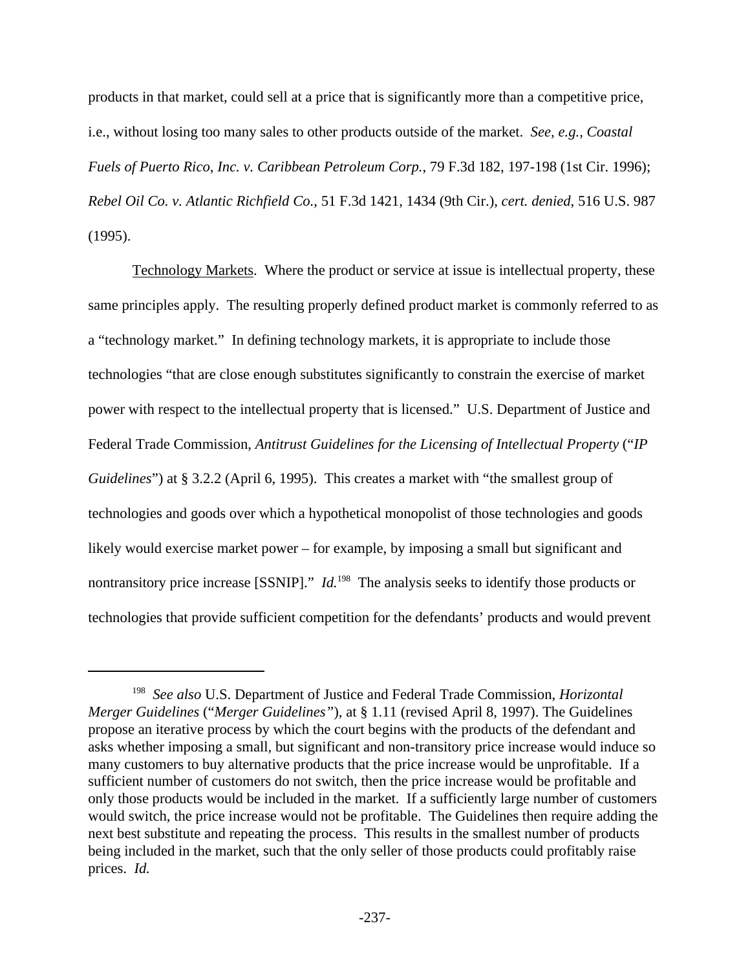products in that market, could sell at a price that is significantly more than a competitive price, i.e., without losing too many sales to other products outside of the market. *See, e.g., Coastal Fuels of Puerto Rico, Inc. v. Caribbean Petroleum Corp.*, 79 F.3d 182, 197-198 (1st Cir. 1996); *Rebel Oil Co. v. Atlantic Richfield Co.*, 51 F.3d 1421, 1434 (9th Cir.), *cert. denied*, 516 U.S. 987 (1995).

Technology Markets. Where the product or service at issue is intellectual property, these same principles apply. The resulting properly defined product market is commonly referred to as a "technology market." In defining technology markets, it is appropriate to include those technologies "that are close enough substitutes significantly to constrain the exercise of market power with respect to the intellectual property that is licensed." U.S. Department of Justice and Federal Trade Commission, *Antitrust Guidelines for the Licensing of Intellectual Property* ("*IP Guidelines*") at § 3.2.2 (April 6, 1995). This creates a market with "the smallest group of technologies and goods over which a hypothetical monopolist of those technologies and goods likely would exercise market power – for example, by imposing a small but significant and nontransitory price increase [SSNIP]." *Id.*<sup>198</sup> The analysis seeks to identify those products or technologies that provide sufficient competition for the defendants' products and would prevent

<sup>198</sup> *See also* U.S. Department of Justice and Federal Trade Commission, *Horizontal Merger Guidelines* ("*Merger Guidelines"*), at § 1.11 (revised April 8, 1997). The Guidelines propose an iterative process by which the court begins with the products of the defendant and asks whether imposing a small, but significant and non-transitory price increase would induce so many customers to buy alternative products that the price increase would be unprofitable. If a sufficient number of customers do not switch, then the price increase would be profitable and only those products would be included in the market. If a sufficiently large number of customers would switch, the price increase would not be profitable. The Guidelines then require adding the next best substitute and repeating the process. This results in the smallest number of products being included in the market, such that the only seller of those products could profitably raise prices. *Id.*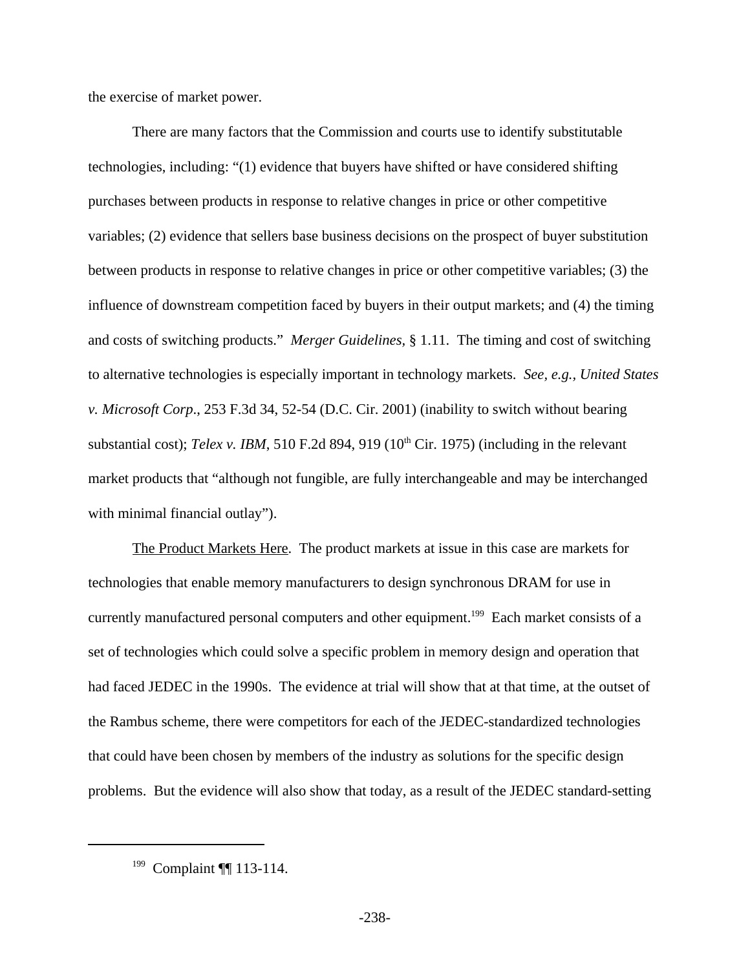the exercise of market power.

There are many factors that the Commission and courts use to identify substitutable technologies, including: "(1) evidence that buyers have shifted or have considered shifting purchases between products in response to relative changes in price or other competitive variables; (2) evidence that sellers base business decisions on the prospect of buyer substitution between products in response to relative changes in price or other competitive variables; (3) the influence of downstream competition faced by buyers in their output markets; and (4) the timing and costs of switching products." *Merger Guidelines,* § 1.11. The timing and cost of switching to alternative technologies is especially important in technology markets. *See, e.g., United States v. Microsoft Corp*., 253 F.3d 34, 52-54 (D.C. Cir. 2001) (inability to switch without bearing substantial cost); *Telex v. IBM*, 510 F.2d 894, 919 (10<sup>th</sup> Cir. 1975) (including in the relevant market products that "although not fungible, are fully interchangeable and may be interchanged with minimal financial outlay").

The Product Markets Here. The product markets at issue in this case are markets for technologies that enable memory manufacturers to design synchronous DRAM for use in currently manufactured personal computers and other equipment.<sup>199</sup> Each market consists of a set of technologies which could solve a specific problem in memory design and operation that had faced JEDEC in the 1990s. The evidence at trial will show that at that time, at the outset of the Rambus scheme, there were competitors for each of the JEDEC-standardized technologies that could have been chosen by members of the industry as solutions for the specific design problems. But the evidence will also show that today, as a result of the JEDEC standard-setting

<sup>199</sup> Complaint ¶¶ 113-114.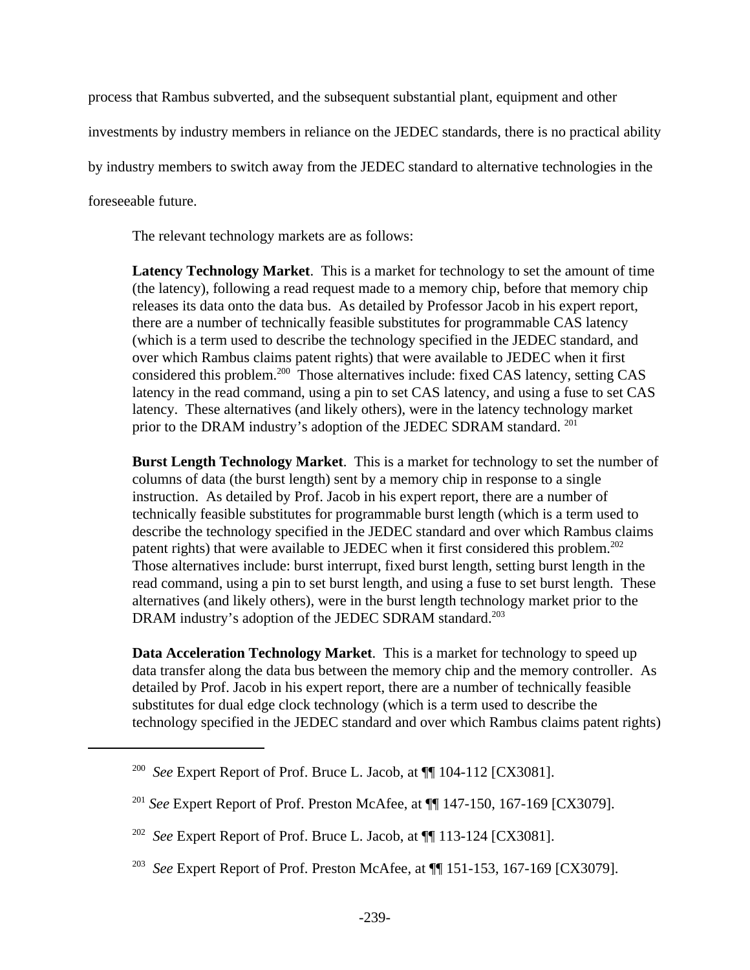process that Rambus subverted, and the subsequent substantial plant, equipment and other investments by industry members in reliance on the JEDEC standards, there is no practical ability by industry members to switch away from the JEDEC standard to alternative technologies in the foreseeable future.

The relevant technology markets are as follows:

**Latency Technology Market**. This is a market for technology to set the amount of time (the latency), following a read request made to a memory chip, before that memory chip releases its data onto the data bus. As detailed by Professor Jacob in his expert report, there are a number of technically feasible substitutes for programmable CAS latency (which is a term used to describe the technology specified in the JEDEC standard, and over which Rambus claims patent rights) that were available to JEDEC when it first considered this problem.<sup>200</sup> Those alternatives include: fixed CAS latency, setting CAS latency in the read command, using a pin to set CAS latency, and using a fuse to set CAS latency. These alternatives (and likely others), were in the latency technology market prior to the DRAM industry's adoption of the JEDEC SDRAM standard. <sup>201</sup>

**Burst Length Technology Market**. This is a market for technology to set the number of columns of data (the burst length) sent by a memory chip in response to a single instruction. As detailed by Prof. Jacob in his expert report, there are a number of technically feasible substitutes for programmable burst length (which is a term used to describe the technology specified in the JEDEC standard and over which Rambus claims patent rights) that were available to JEDEC when it first considered this problem.<sup>202</sup> Those alternatives include: burst interrupt, fixed burst length, setting burst length in the read command, using a pin to set burst length, and using a fuse to set burst length. These alternatives (and likely others), were in the burst length technology market prior to the DRAM industry's adoption of the JEDEC SDRAM standard.<sup>203</sup>

**Data Acceleration Technology Market**. This is a market for technology to speed up data transfer along the data bus between the memory chip and the memory controller. As detailed by Prof. Jacob in his expert report, there are a number of technically feasible substitutes for dual edge clock technology (which is a term used to describe the technology specified in the JEDEC standard and over which Rambus claims patent rights)

<sup>200</sup> *See* Expert Report of Prof. Bruce L. Jacob, at ¶¶ 104-112 [CX3081].

<sup>201</sup> *See* Expert Report of Prof. Preston McAfee, at ¶¶ 147-150, 167-169 [CX3079].

<sup>202</sup> *See* Expert Report of Prof. Bruce L. Jacob, at ¶¶ 113-124 [CX3081].

<sup>203</sup> *See* Expert Report of Prof. Preston McAfee, at ¶¶ 151-153, 167-169 [CX3079].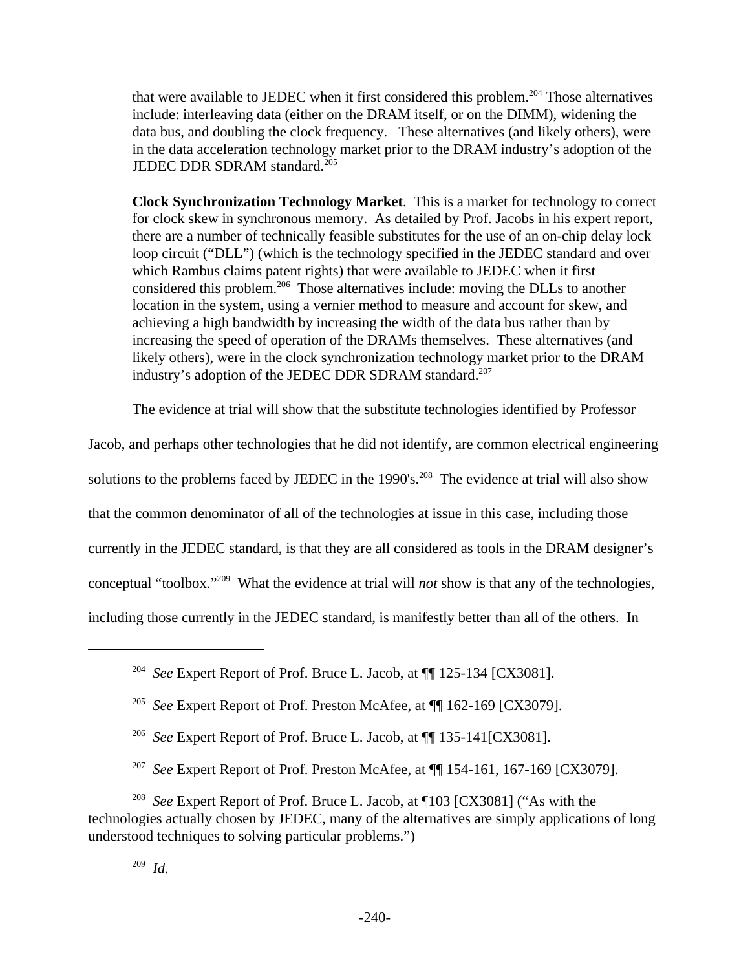that were available to JEDEC when it first considered this problem.<sup>204</sup> Those alternatives include: interleaving data (either on the DRAM itself, or on the DIMM), widening the data bus, and doubling the clock frequency. These alternatives (and likely others), were in the data acceleration technology market prior to the DRAM industry's adoption of the JEDEC DDR SDRAM standard.<sup>205</sup>

**Clock Synchronization Technology Market**. This is a market for technology to correct for clock skew in synchronous memory. As detailed by Prof. Jacobs in his expert report, there are a number of technically feasible substitutes for the use of an on-chip delay lock loop circuit ("DLL") (which is the technology specified in the JEDEC standard and over which Rambus claims patent rights) that were available to JEDEC when it first considered this problem.<sup>206</sup> Those alternatives include: moving the DLLs to another location in the system, using a vernier method to measure and account for skew, and achieving a high bandwidth by increasing the width of the data bus rather than by increasing the speed of operation of the DRAMs themselves. These alternatives (and likely others), were in the clock synchronization technology market prior to the DRAM industry's adoption of the JEDEC DDR SDRAM standard.<sup>207</sup>

The evidence at trial will show that the substitute technologies identified by Professor

Jacob, and perhaps other technologies that he did not identify, are common electrical engineering solutions to the problems faced by JEDEC in the 1990's.<sup>208</sup> The evidence at trial will also show that the common denominator of all of the technologies at issue in this case, including those currently in the JEDEC standard, is that they are all considered as tools in the DRAM designer's conceptual "toolbox."<sup>209</sup> What the evidence at trial will *not* show is that any of the technologies, including those currently in the JEDEC standard, is manifestly better than all of the others. In

<sup>204</sup> *See* Expert Report of Prof. Bruce L. Jacob, at ¶¶ 125-134 [CX3081].

<sup>205</sup> *See* Expert Report of Prof. Preston McAfee, at ¶¶ 162-169 [CX3079].

<sup>206</sup> *See* Expert Report of Prof. Bruce L. Jacob, at ¶¶ 135-141[CX3081].

<sup>207</sup> *See* Expert Report of Prof. Preston McAfee, at ¶¶ 154-161, 167-169 [CX3079].

<sup>208</sup> *See* Expert Report of Prof. Bruce L. Jacob, at ¶103 [CX3081] ("As with the technologies actually chosen by JEDEC, many of the alternatives are simply applications of long understood techniques to solving particular problems.")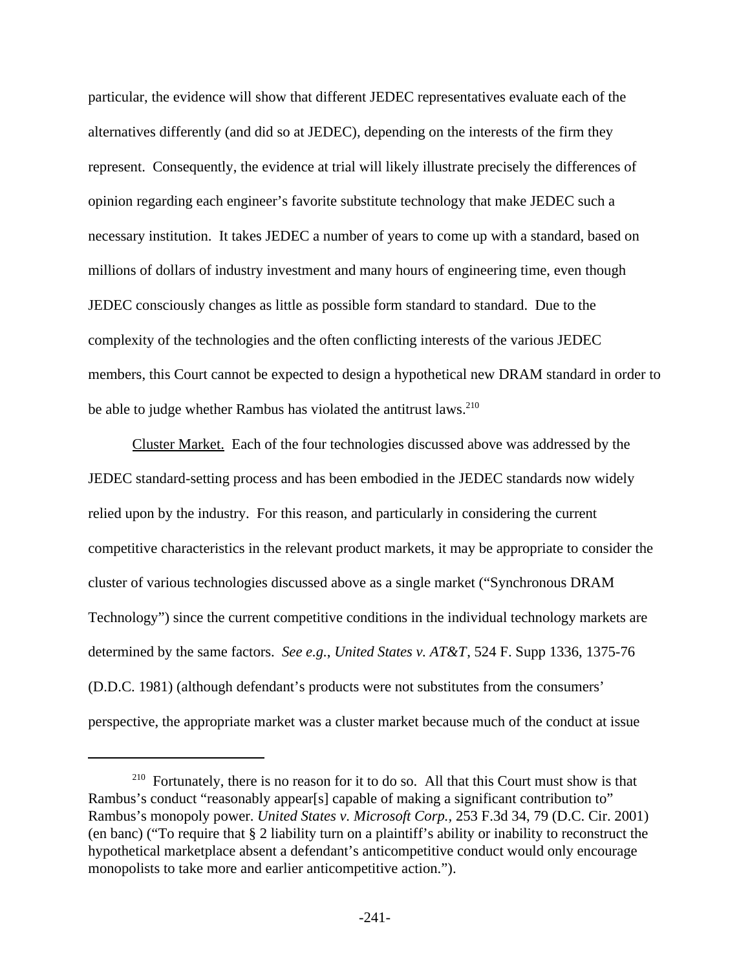particular, the evidence will show that different JEDEC representatives evaluate each of the alternatives differently (and did so at JEDEC), depending on the interests of the firm they represent. Consequently, the evidence at trial will likely illustrate precisely the differences of opinion regarding each engineer's favorite substitute technology that make JEDEC such a necessary institution. It takes JEDEC a number of years to come up with a standard, based on millions of dollars of industry investment and many hours of engineering time, even though JEDEC consciously changes as little as possible form standard to standard. Due to the complexity of the technologies and the often conflicting interests of the various JEDEC members, this Court cannot be expected to design a hypothetical new DRAM standard in order to be able to judge whether Rambus has violated the antitrust laws.<sup>210</sup>

Cluster Market. Each of the four technologies discussed above was addressed by the JEDEC standard-setting process and has been embodied in the JEDEC standards now widely relied upon by the industry. For this reason, and particularly in considering the current competitive characteristics in the relevant product markets, it may be appropriate to consider the cluster of various technologies discussed above as a single market ("Synchronous DRAM Technology") since the current competitive conditions in the individual technology markets are determined by the same factors. *See e.g.*, *United States v. AT&T*, 524 F. Supp 1336, 1375-76 (D.D.C. 1981) (although defendant's products were not substitutes from the consumers' perspective, the appropriate market was a cluster market because much of the conduct at issue

<sup>&</sup>lt;sup>210</sup> Fortunately, there is no reason for it to do so. All that this Court must show is that Rambus's conduct "reasonably appear[s] capable of making a significant contribution to" Rambus's monopoly power. *United States v. Microsoft Corp.,* 253 F.3d 34, 79 (D.C. Cir. 2001) (en banc) ("To require that § 2 liability turn on a plaintiff's ability or inability to reconstruct the hypothetical marketplace absent a defendant's anticompetitive conduct would only encourage monopolists to take more and earlier anticompetitive action.").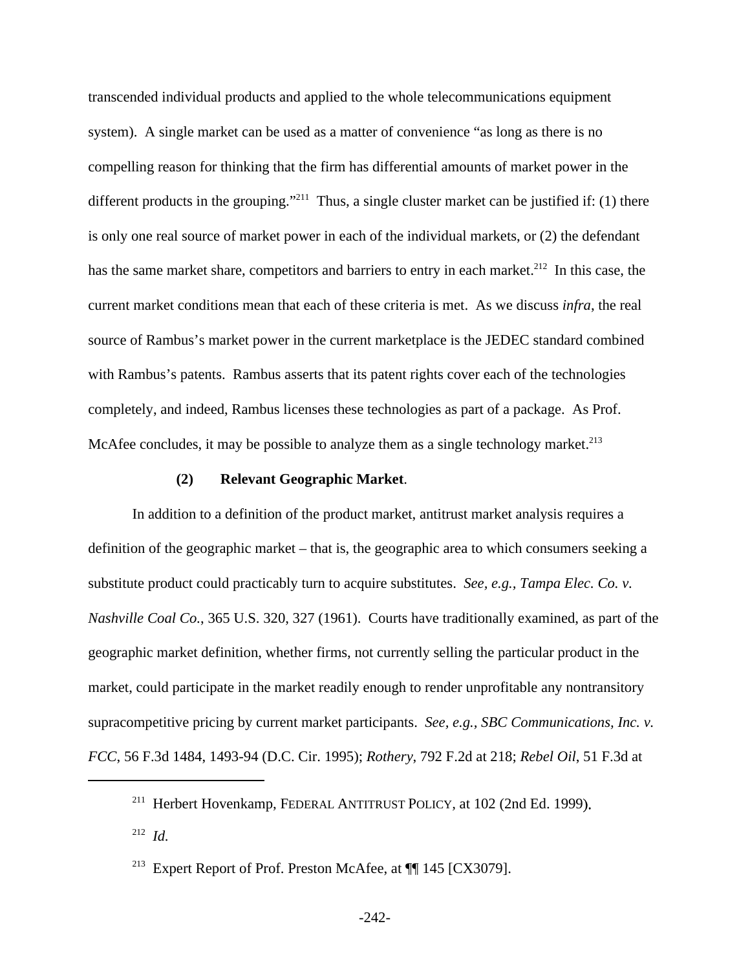transcended individual products and applied to the whole telecommunications equipment system). A single market can be used as a matter of convenience "as long as there is no compelling reason for thinking that the firm has differential amounts of market power in the different products in the grouping."<sup>211</sup> Thus, a single cluster market can be justified if: (1) there is only one real source of market power in each of the individual markets, or (2) the defendant has the same market share, competitors and barriers to entry in each market.<sup>212</sup> In this case, the current market conditions mean that each of these criteria is met. As we discuss *infra*, the real source of Rambus's market power in the current marketplace is the JEDEC standard combined with Rambus's patents. Rambus asserts that its patent rights cover each of the technologies completely, and indeed, Rambus licenses these technologies as part of a package. As Prof. McAfee concludes, it may be possible to analyze them as a single technology market.<sup>213</sup>

#### **(2) Relevant Geographic Market**.

In addition to a definition of the product market, antitrust market analysis requires a definition of the geographic market – that is, the geographic area to which consumers seeking a substitute product could practicably turn to acquire substitutes. *See, e.g., Tampa Elec. Co. v. Nashville Coal Co.*, 365 U.S. 320, 327 (1961). Courts have traditionally examined, as part of the geographic market definition, whether firms, not currently selling the particular product in the market, could participate in the market readily enough to render unprofitable any nontransitory supracompetitive pricing by current market participants. *See, e.g., SBC Communications, Inc. v. FCC*, 56 F.3d 1484, 1493-94 (D.C. Cir. 1995); *Rothery*, 792 F.2d at 218; *Rebel Oil*, 51 F.3d at

<sup>&</sup>lt;sup>211</sup> Herbert Hovenkamp, FEDERAL ANTITRUST POLICY, at 102 (2nd Ed. 1999).

<sup>212</sup> *Id.* 

<sup>&</sup>lt;sup>213</sup> Expert Report of Prof. Preston McAfee, at  $\P$  145 [CX3079].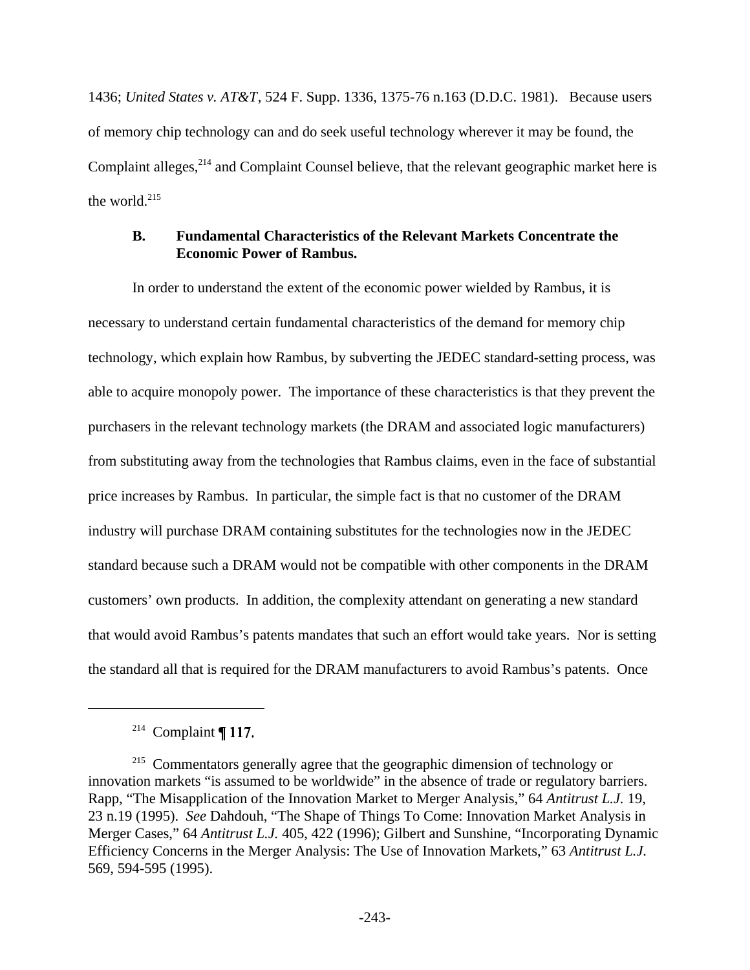1436; *United States v. AT&T*, 524 F. Supp. 1336, 1375-76 n.163 (D.D.C. 1981). Because users of memory chip technology can and do seek useful technology wherever it may be found, the Complaint alleges,<sup>214</sup> and Complaint Counsel believe, that the relevant geographic market here is the world. $215$ 

## **B. Fundamental Characteristics of the Relevant Markets Concentrate the Economic Power of Rambus.**

In order to understand the extent of the economic power wielded by Rambus, it is necessary to understand certain fundamental characteristics of the demand for memory chip technology, which explain how Rambus, by subverting the JEDEC standard-setting process, was able to acquire monopoly power. The importance of these characteristics is that they prevent the purchasers in the relevant technology markets (the DRAM and associated logic manufacturers) from substituting away from the technologies that Rambus claims, even in the face of substantial price increases by Rambus. In particular, the simple fact is that no customer of the DRAM industry will purchase DRAM containing substitutes for the technologies now in the JEDEC standard because such a DRAM would not be compatible with other components in the DRAM customers' own products. In addition, the complexity attendant on generating a new standard that would avoid Rambus's patents mandates that such an effort would take years. Nor is setting the standard all that is required for the DRAM manufacturers to avoid Rambus's patents. Once

 $214$  Complaint ¶ 117.

<sup>&</sup>lt;sup>215</sup> Commentators generally agree that the geographic dimension of technology or innovation markets "is assumed to be worldwide" in the absence of trade or regulatory barriers. Rapp, "The Misapplication of the Innovation Market to Merger Analysis," 64 *Antitrust L.J.* 19, 23 n.19 (1995). *See* Dahdouh, "The Shape of Things To Come: Innovation Market Analysis in Merger Cases," 64 *Antitrust L.J.* 405, 422 (1996); Gilbert and Sunshine, "Incorporating Dynamic Efficiency Concerns in the Merger Analysis: The Use of Innovation Markets," 63 *Antitrust L.J.* 569, 594-595 (1995).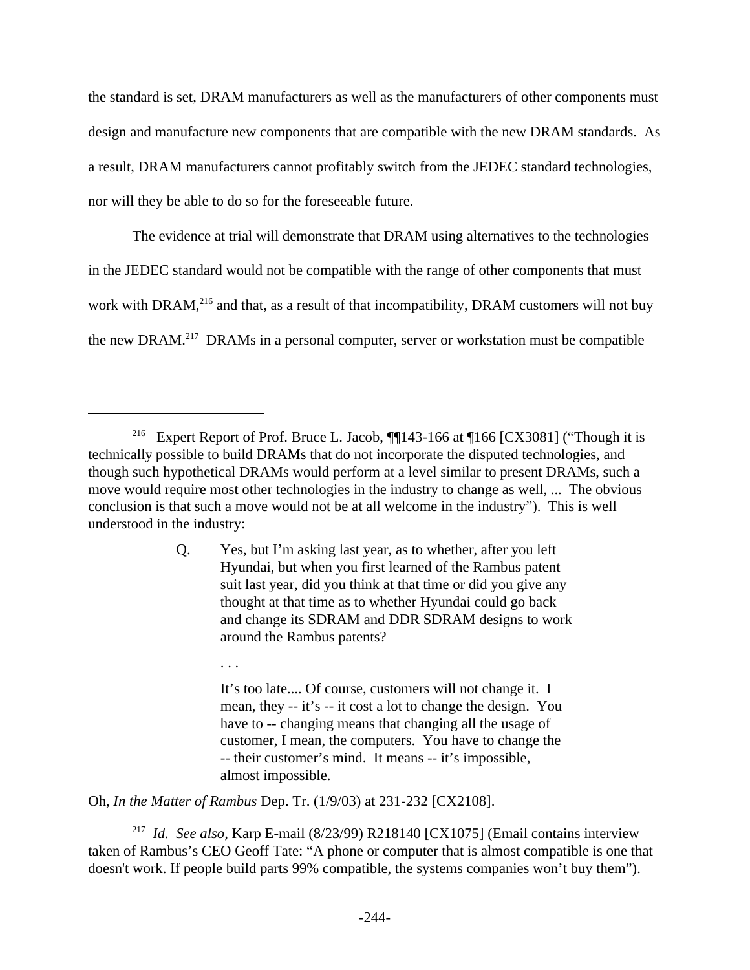the standard is set, DRAM manufacturers as well as the manufacturers of other components must design and manufacture new components that are compatible with the new DRAM standards. As a result, DRAM manufacturers cannot profitably switch from the JEDEC standard technologies, nor will they be able to do so for the foreseeable future.

The evidence at trial will demonstrate that DRAM using alternatives to the technologies in the JEDEC standard would not be compatible with the range of other components that must work with DRAM,<sup>216</sup> and that, as a result of that incompatibility, DRAM customers will not buy the new DRAM.217 DRAMs in a personal computer, server or workstation must be compatible

It's too late.... Of course, customers will not change it. I mean, they -- it's -- it cost a lot to change the design. You have to -- changing means that changing all the usage of customer, I mean, the computers. You have to change the -- their customer's mind. It means -- it's impossible, almost impossible.

Oh, *In the Matter of Rambus* Dep. Tr. (1/9/03) at 231-232 [CX2108].

. . .

217 *Id. See also,* Karp E-mail (8/23/99) R218140 [CX1075] (Email contains interview taken of Rambus's CEO Geoff Tate: "A phone or computer that is almost compatible is one that doesn't work. If people build parts 99% compatible, the systems companies won't buy them").

<sup>&</sup>lt;sup>216</sup> Expert Report of Prof. Bruce L. Jacob, **[143-166** at 166 [CX3081] ("Though it is technically possible to build DRAMs that do not incorporate the disputed technologies, and though such hypothetical DRAMs would perform at a level similar to present DRAMs, such a move would require most other technologies in the industry to change as well, ... The obvious conclusion is that such a move would not be at all welcome in the industry"). This is well understood in the industry:

Q. Yes, but I'm asking last year, as to whether, after you left Hyundai, but when you first learned of the Rambus patent suit last year, did you think at that time or did you give any thought at that time as to whether Hyundai could go back and change its SDRAM and DDR SDRAM designs to work around the Rambus patents?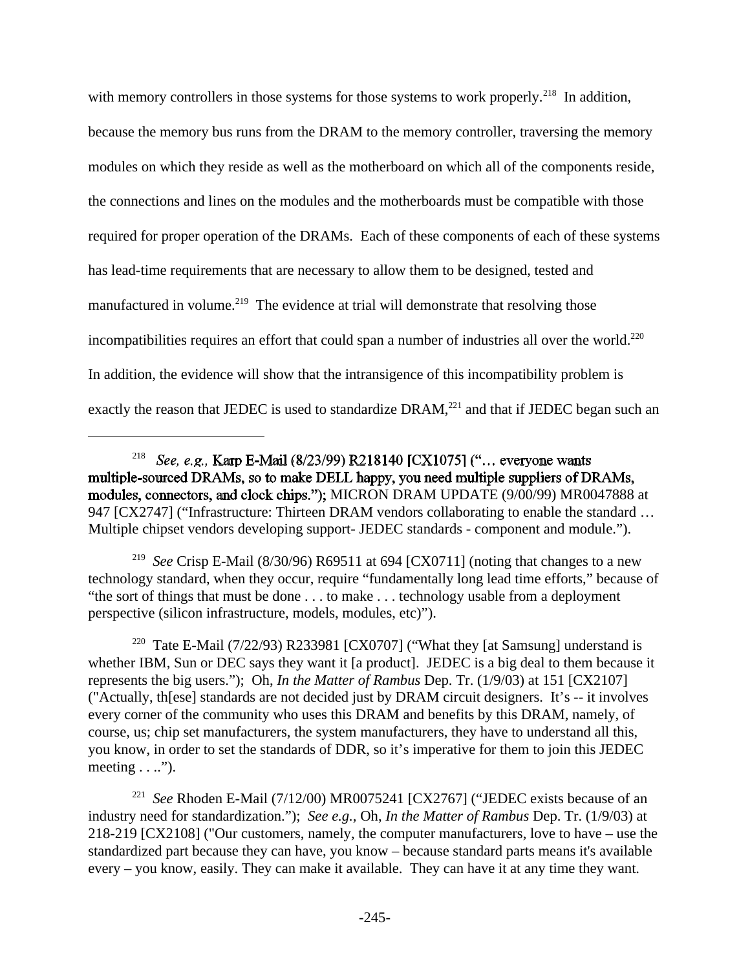with memory controllers in those systems for those systems to work properly.<sup>218</sup> In addition, because the memory bus runs from the DRAM to the memory controller, traversing the memory modules on which they reside as well as the motherboard on which all of the components reside, the connections and lines on the modules and the motherboards must be compatible with those required for proper operation of the DRAMs. Each of these components of each of these systems has lead-time requirements that are necessary to allow them to be designed, tested and manufactured in volume.<sup>219</sup> The evidence at trial will demonstrate that resolving those incompatibilities requires an effort that could span a number of industries all over the world.<sup>220</sup> In addition, the evidence will show that the intransigence of this incompatibility problem is exactly the reason that JEDEC is used to standardize  $DRAM<sub>1</sub><sup>221</sup>$  and that if JEDEC began such an

219 *See* Crisp E-Mail (8/30/96) R69511 at 694 [CX0711] (noting that changes to a new technology standard, when they occur, require "fundamentally long lead time efforts," because of "the sort of things that must be done . . . to make . . . technology usable from a deployment perspective (silicon infrastructure, models, modules, etc)").

<sup>220</sup> Tate E-Mail (7/22/93) R233981 [CX0707] ("What they [at Samsung] understand is whether IBM, Sun or DEC says they want it [a product]. JEDEC is a big deal to them because it represents the big users."); Oh, *In the Matter of Rambus* Dep. Tr. (1/9/03) at 151 [CX2107] ("Actually, th[ese] standards are not decided just by DRAM circuit designers. It's -- it involves every corner of the community who uses this DRAM and benefits by this DRAM, namely, of course, us; chip set manufacturers, the system manufacturers, they have to understand all this, you know, in order to set the standards of DDR, so it's imperative for them to join this JEDEC meeting  $\dots$ ").

221 *See* Rhoden E-Mail (7/12/00) MR0075241 [CX2767] ("JEDEC exists because of an industry need for standardization."); *See e.g.,* Oh, *In the Matter of Rambus* Dep. Tr. (1/9/03) at 218-219 [CX2108] ("Our customers, namely, the computer manufacturers, love to have – use the standardized part because they can have, you know – because standard parts means it's available every – you know, easily. They can make it available. They can have it at any time they want.

<sup>&</sup>lt;sup>218</sup> See, e.g., Karp E-Mail (8/23/99) R218140 [CX1075] ("... everyone wants multiple-sourced DRAMs, so to make DELL happy, you need multiple suppliers of DRAMs, modules, connectors, and clock chips."); MICRON DRAM UPDATE (9/00/99) MR0047888 at 947 [CX2747] ("Infrastructure: Thirteen DRAM vendors collaborating to enable the standard ... Multiple chipset vendors developing support- JEDEC standards - component and module.").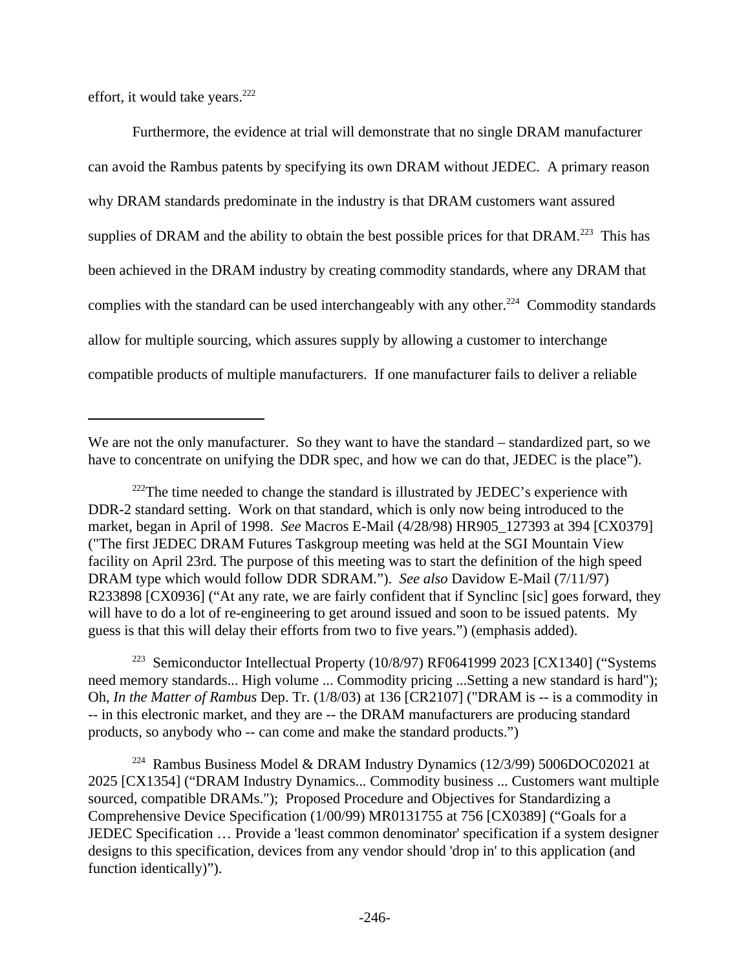effort, it would take years.<sup>222</sup>

Furthermore, the evidence at trial will demonstrate that no single DRAM manufacturer can avoid the Rambus patents by specifying its own DRAM without JEDEC. A primary reason why DRAM standards predominate in the industry is that DRAM customers want assured supplies of DRAM and the ability to obtain the best possible prices for that DRAM.<sup>223</sup> This has been achieved in the DRAM industry by creating commodity standards, where any DRAM that complies with the standard can be used interchangeably with any other.<sup>224</sup> Commodity standards allow for multiple sourcing, which assures supply by allowing a customer to interchange compatible products of multiple manufacturers. If one manufacturer fails to deliver a reliable

<sup>223</sup> Semiconductor Intellectual Property (10/8/97) RF0641999 2023 [CX1340] ("Systems need memory standards... High volume ... Commodity pricing ...Setting a new standard is hard"); Oh, *In the Matter of Rambus* Dep. Tr. (1/8/03) at 136 [CR2107] ("DRAM is -- is a commodity in -- in this electronic market, and they are -- the DRAM manufacturers are producing standard products, so anybody who -- can come and make the standard products.")

<sup>224</sup> Rambus Business Model & DRAM Industry Dynamics (12/3/99) 5006DOC02021 at 2025 [CX1354] ("DRAM Industry Dynamics... Commodity business ... Customers want multiple sourced, compatible DRAMs."); Proposed Procedure and Objectives for Standardizing a Comprehensive Device Specification (1/00/99) MR0131755 at 756 [CX0389] ("Goals for a JEDEC Specification … Provide a 'least common denominator' specification if a system designer designs to this specification, devices from any vendor should 'drop in' to this application (and function identically)").

We are not the only manufacturer. So they want to have the standard – standardized part, so we have to concentrate on unifying the DDR spec, and how we can do that, JEDEC is the place").

 $222$ The time needed to change the standard is illustrated by JEDEC's experience with DDR-2 standard setting. Work on that standard, which is only now being introduced to the market, began in April of 1998. *See* Macros E-Mail (4/28/98) HR905\_127393 at 394 [CX0379] ("The first JEDEC DRAM Futures Taskgroup meeting was held at the SGI Mountain View facility on April 23rd. The purpose of this meeting was to start the definition of the high speed DRAM type which would follow DDR SDRAM."). *See also* Davidow E-Mail (7/11/97) R233898 [CX0936] ("At any rate, we are fairly confident that if Synclinc [sic] goes forward, they will have to do a lot of re-engineering to get around issued and soon to be issued patents. My guess is that this will delay their efforts from two to five years.") (emphasis added).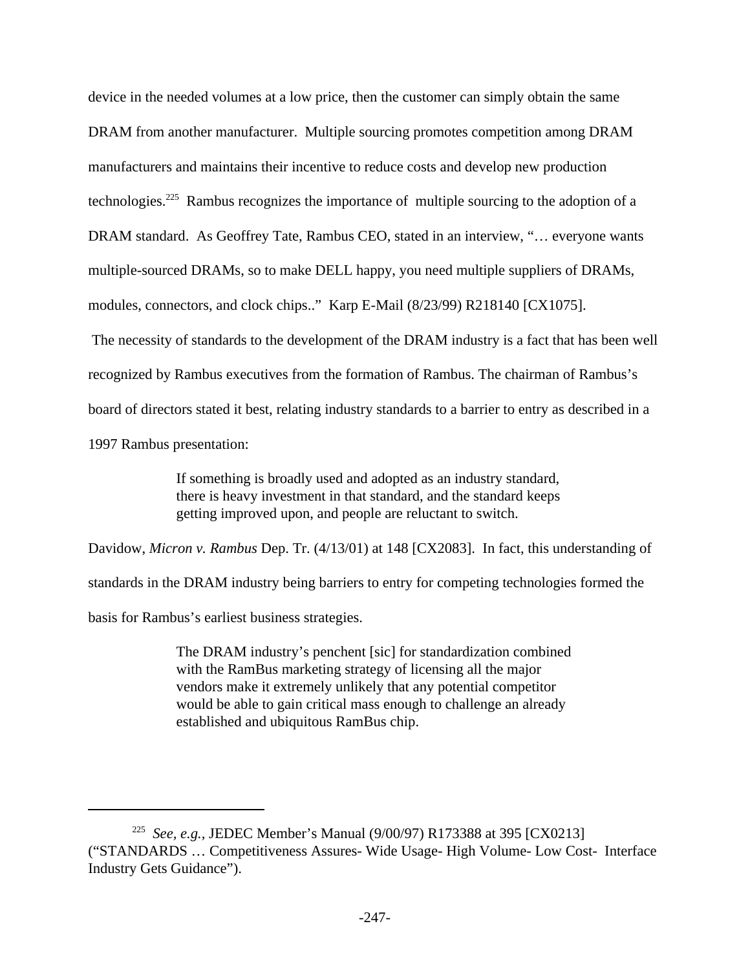device in the needed volumes at a low price, then the customer can simply obtain the same DRAM from another manufacturer. Multiple sourcing promotes competition among DRAM manufacturers and maintains their incentive to reduce costs and develop new production technologies.<sup>225</sup> Rambus recognizes the importance of multiple sourcing to the adoption of a DRAM standard. As Geoffrey Tate, Rambus CEO, stated in an interview, "… everyone wants multiple-sourced DRAMs, so to make DELL happy, you need multiple suppliers of DRAMs, modules, connectors, and clock chips.." Karp E-Mail (8/23/99) R218140 [CX1075]. The necessity of standards to the development of the DRAM industry is a fact that has been well recognized by Rambus executives from the formation of Rambus. The chairman of Rambus's board of directors stated it best, relating industry standards to a barrier to entry as described in a 1997 Rambus presentation:

> If something is broadly used and adopted as an industry standard, there is heavy investment in that standard, and the standard keeps getting improved upon, and people are reluctant to switch.

Davidow, *Micron v. Rambus* Dep. Tr. (4/13/01) at 148 [CX2083]. In fact, this understanding of standards in the DRAM industry being barriers to entry for competing technologies formed the basis for Rambus's earliest business strategies.

> The DRAM industry's penchent [sic] for standardization combined with the RamBus marketing strategy of licensing all the major vendors make it extremely unlikely that any potential competitor would be able to gain critical mass enough to challenge an already established and ubiquitous RamBus chip.

<sup>225</sup> *See, e.g.*, JEDEC Member's Manual (9/00/97) R173388 at 395 [CX0213] ("STANDARDS … Competitiveness Assures- Wide Usage- High Volume- Low Cost- Interface Industry Gets Guidance").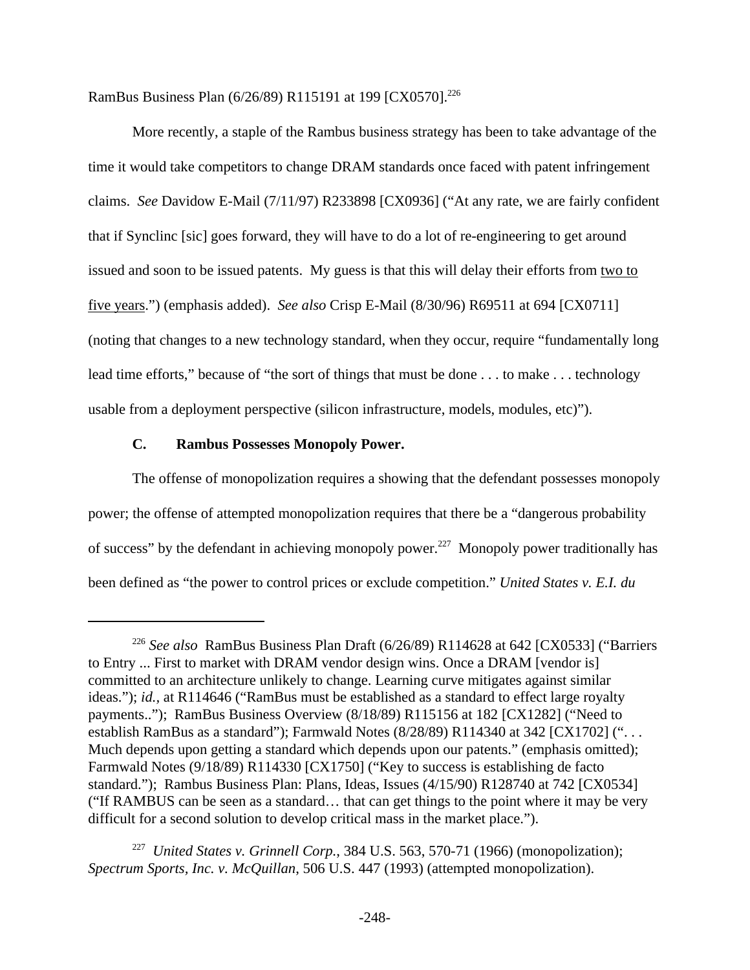RamBus Business Plan (6/26/89) R115191 at 199 [CX0570].<sup>226</sup>

More recently, a staple of the Rambus business strategy has been to take advantage of the time it would take competitors to change DRAM standards once faced with patent infringement claims. *See* Davidow E-Mail (7/11/97) R233898 [CX0936] ("At any rate, we are fairly confident that if Synclinc [sic] goes forward, they will have to do a lot of re-engineering to get around issued and soon to be issued patents. My guess is that this will delay their efforts from two to five years.") (emphasis added). *See also* Crisp E-Mail (8/30/96) R69511 at 694 [CX0711] (noting that changes to a new technology standard, when they occur, require "fundamentally long lead time efforts," because of "the sort of things that must be done . . . to make . . . technology usable from a deployment perspective (silicon infrastructure, models, modules, etc)").

## **C. Rambus Possesses Monopoly Power.**

The offense of monopolization requires a showing that the defendant possesses monopoly power; the offense of attempted monopolization requires that there be a "dangerous probability of success" by the defendant in achieving monopoly power.<sup>227</sup> Monopoly power traditionally has been defined as "the power to control prices or exclude competition." *United States v. E.I. du*

<sup>226</sup> *See also* RamBus Business Plan Draft (6/26/89) R114628 at 642 [CX0533] ("Barriers to Entry ... First to market with DRAM vendor design wins. Once a DRAM [vendor is] committed to an architecture unlikely to change. Learning curve mitigates against similar ideas."); *id.*, at R114646 ("RamBus must be established as a standard to effect large royalty payments.."); RamBus Business Overview (8/18/89) R115156 at 182 [CX1282] ("Need to establish RamBus as a standard"); Farmwald Notes (8/28/89) R114340 at 342 [CX1702] ("... Much depends upon getting a standard which depends upon our patents." (emphasis omitted); Farmwald Notes (9/18/89) R114330 [CX1750] ("Key to success is establishing de facto standard."); Rambus Business Plan: Plans, Ideas, Issues (4/15/90) R128740 at 742 [CX0534] ("If RAMBUS can be seen as a standard… that can get things to the point where it may be very difficult for a second solution to develop critical mass in the market place.").

<sup>227</sup> *United States v. Grinnell Corp.*, 384 U.S. 563, 570-71 (1966) (monopolization); *Spectrum Sports, Inc. v. McQuillan*, 506 U.S. 447 (1993) (attempted monopolization).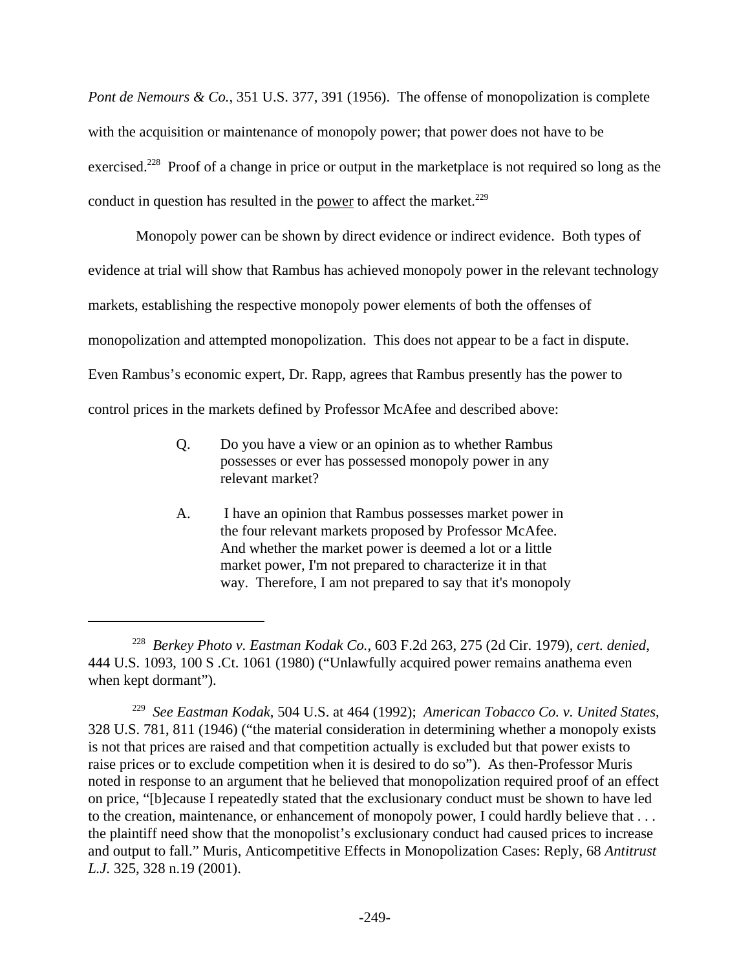*Pont de Nemours & Co.*, 351 U.S. 377, 391 (1956). The offense of monopolization is complete with the acquisition or maintenance of monopoly power; that power does not have to be exercised.<sup>228</sup> Proof of a change in price or output in the marketplace is not required so long as the conduct in question has resulted in the <u>power</u> to affect the market.<sup>229</sup>

 Monopoly power can be shown by direct evidence or indirect evidence. Both types of evidence at trial will show that Rambus has achieved monopoly power in the relevant technology markets, establishing the respective monopoly power elements of both the offenses of monopolization and attempted monopolization. This does not appear to be a fact in dispute. Even Rambus's economic expert, Dr. Rapp, agrees that Rambus presently has the power to control prices in the markets defined by Professor McAfee and described above:

- Q. Do you have a view or an opinion as to whether Rambus possesses or ever has possessed monopoly power in any relevant market?
- A. I have an opinion that Rambus possesses market power in the four relevant markets proposed by Professor McAfee. And whether the market power is deemed a lot or a little market power, I'm not prepared to characterize it in that way. Therefore, I am not prepared to say that it's monopoly

<sup>228</sup> *Berkey Photo v. Eastman Kodak Co.*, 603 F.2d 263, 275 (2d Cir. 1979), *cert. denied*, 444 U.S. 1093, 100 S .Ct. 1061 (1980) ("Unlawfully acquired power remains anathema even when kept dormant").

<sup>229</sup> *See Eastman Kodak*, 504 U.S. at 464 (1992); *American Tobacco Co. v. United States*, 328 U.S. 781, 811 (1946) ("the material consideration in determining whether a monopoly exists is not that prices are raised and that competition actually is excluded but that power exists to raise prices or to exclude competition when it is desired to do so"). As then-Professor Muris noted in response to an argument that he believed that monopolization required proof of an effect on price, "[b]ecause I repeatedly stated that the exclusionary conduct must be shown to have led to the creation, maintenance, or enhancement of monopoly power, I could hardly believe that . . . the plaintiff need show that the monopolist's exclusionary conduct had caused prices to increase and output to fall." Muris, Anticompetitive Effects in Monopolization Cases: Reply, 68 *Antitrust L.J.* 325, 328 n.19 (2001).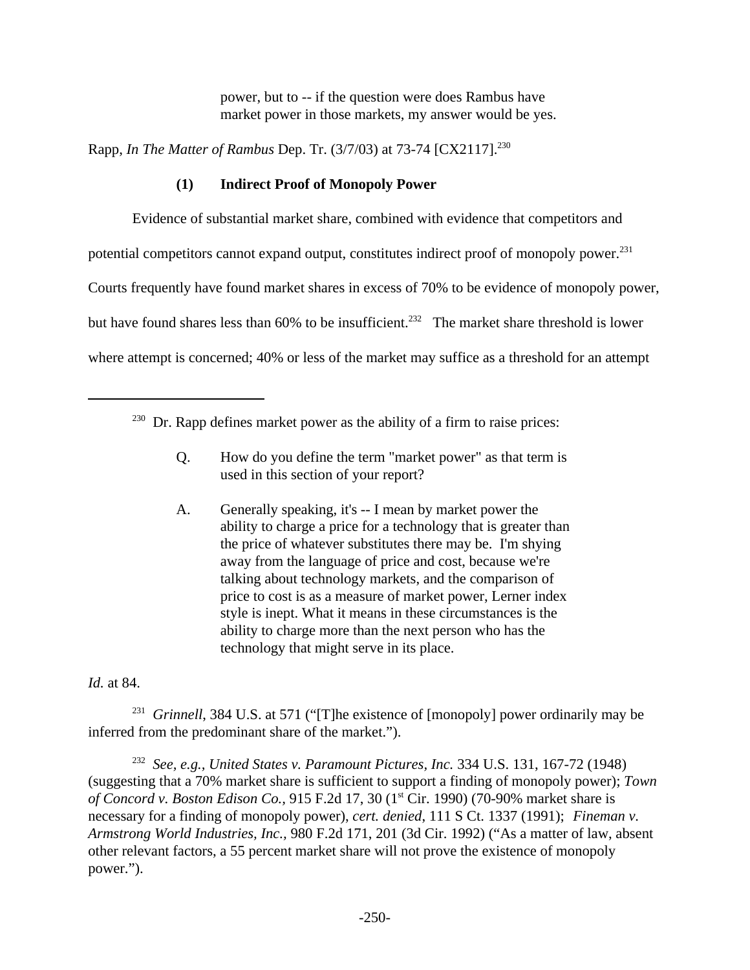power, but to -- if the question were does Rambus have market power in those markets, my answer would be yes.

Rapp, *In The Matter of Rambus* Dep. Tr. (3/7/03) at 73-74 [CX2117].<sup>230</sup>

# **(1) Indirect Proof of Monopoly Power**

Evidence of substantial market share, combined with evidence that competitors and

potential competitors cannot expand output, constitutes indirect proof of monopoly power.<sup>231</sup>

Courts frequently have found market shares in excess of 70% to be evidence of monopoly power,

but have found shares less than  $60\%$  to be insufficient.<sup>232</sup> The market share threshold is lower

where attempt is concerned; 40% or less of the market may suffice as a threshold for an attempt

- Q. How do you define the term "market power" as that term is used in this section of your report?
- A. Generally speaking, it's -- I mean by market power the ability to charge a price for a technology that is greater than the price of whatever substitutes there may be. I'm shying away from the language of price and cost, because we're talking about technology markets, and the comparison of price to cost is as a measure of market power, Lerner index style is inept. What it means in these circumstances is the ability to charge more than the next person who has the technology that might serve in its place.

## *Id.* at 84.

<sup>231</sup> Grinnell, 384 U.S. at 571 ("[T]he existence of [monopoly] power ordinarily may be inferred from the predominant share of the market.").

232 *See, e.g., United States v. Paramount Pictures, Inc.* 334 U.S. 131, 167-72 (1948) (suggesting that a 70% market share is sufficient to support a finding of monopoly power); *Town of Concord v. Boston Edison Co., 915 F.2d 17, 30 (1<sup>st</sup> Cir. 1990) (70-90% market share is* necessary for a finding of monopoly power), *cert. denied*, 111 S Ct. 1337 (1991); *Fineman v. Armstrong World Industries, Inc.,* 980 F.2d 171, 201 (3d Cir. 1992) ("As a matter of law, absent other relevant factors, a 55 percent market share will not prove the existence of monopoly power.").

 $230$  Dr. Rapp defines market power as the ability of a firm to raise prices: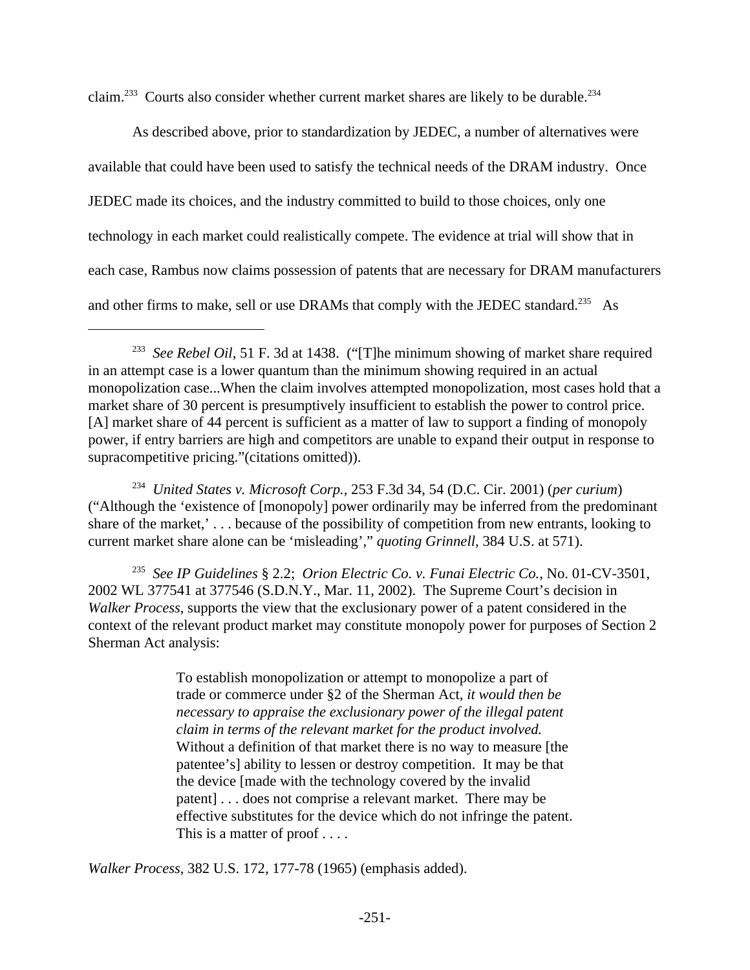claim.<sup>233</sup> Courts also consider whether current market shares are likely to be durable.<sup>234</sup>

As described above, prior to standardization by JEDEC, a number of alternatives were available that could have been used to satisfy the technical needs of the DRAM industry. Once JEDEC made its choices, and the industry committed to build to those choices, only one technology in each market could realistically compete. The evidence at trial will show that in each case, Rambus now claims possession of patents that are necessary for DRAM manufacturers and other firms to make, sell or use DRAMs that comply with the JEDEC standard.<sup>235</sup> As

234 *United States v. Microsoft Corp.,* 253 F.3d 34, 54 (D.C. Cir. 2001) (*per curium*) ("Although the 'existence of [monopoly] power ordinarily may be inferred from the predominant share of the market,' . . . because of the possibility of competition from new entrants, looking to current market share alone can be 'misleading'," *quoting Grinnell,* 384 U.S. at 571).

235 *See IP Guidelines* § 2.2; *Orion Electric Co. v. Funai Electric Co.*, No. 01-CV-3501, 2002 WL 377541 at 377546 (S.D.N.Y., Mar. 11, 2002). The Supreme Court's decision in *Walker Process*, supports the view that the exclusionary power of a patent considered in the context of the relevant product market may constitute monopoly power for purposes of Section 2 Sherman Act analysis:

> To establish monopolization or attempt to monopolize a part of trade or commerce under §2 of the Sherman Act, *it would then be necessary to appraise the exclusionary power of the illegal patent claim in terms of the relevant market for the product involved.* Without a definition of that market there is no way to measure [the patentee's] ability to lessen or destroy competition. It may be that the device [made with the technology covered by the invalid patent] . . . does not comprise a relevant market. There may be effective substitutes for the device which do not infringe the patent. This is a matter of proof . . . .

*Walker Process*, 382 U.S. 172, 177-78 (1965) (emphasis added).

<sup>&</sup>lt;sup>233</sup> See Rebel Oil, 51 F. 3d at 1438. ("[T]he minimum showing of market share required in an attempt case is a lower quantum than the minimum showing required in an actual monopolization case...When the claim involves attempted monopolization, most cases hold that a market share of 30 percent is presumptively insufficient to establish the power to control price. [A] market share of 44 percent is sufficient as a matter of law to support a finding of monopoly power, if entry barriers are high and competitors are unable to expand their output in response to supracompetitive pricing."(citations omitted)).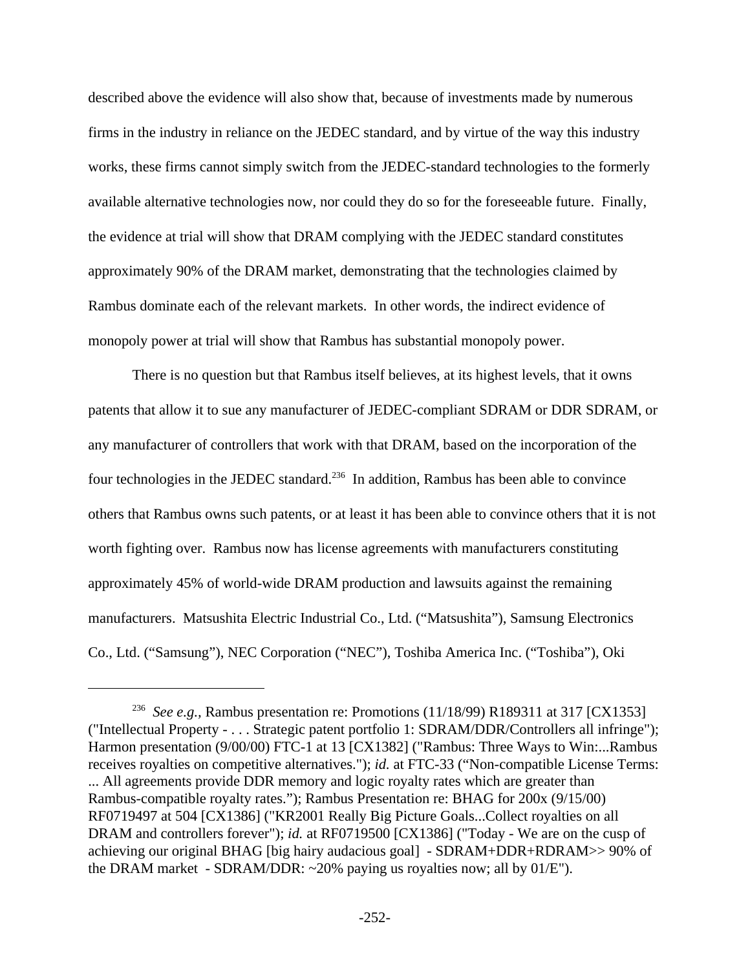described above the evidence will also show that, because of investments made by numerous firms in the industry in reliance on the JEDEC standard, and by virtue of the way this industry works, these firms cannot simply switch from the JEDEC-standard technologies to the formerly available alternative technologies now, nor could they do so for the foreseeable future. Finally, the evidence at trial will show that DRAM complying with the JEDEC standard constitutes approximately 90% of the DRAM market, demonstrating that the technologies claimed by Rambus dominate each of the relevant markets. In other words, the indirect evidence of monopoly power at trial will show that Rambus has substantial monopoly power.

There is no question but that Rambus itself believes, at its highest levels, that it owns patents that allow it to sue any manufacturer of JEDEC-compliant SDRAM or DDR SDRAM, or any manufacturer of controllers that work with that DRAM, based on the incorporation of the four technologies in the JEDEC standard.<sup>236</sup> In addition, Rambus has been able to convince others that Rambus owns such patents, or at least it has been able to convince others that it is not worth fighting over. Rambus now has license agreements with manufacturers constituting approximately 45% of world-wide DRAM production and lawsuits against the remaining manufacturers. Matsushita Electric Industrial Co., Ltd. ("Matsushita"), Samsung Electronics Co., Ltd. ("Samsung"), NEC Corporation ("NEC"), Toshiba America Inc. ("Toshiba"), Oki

<sup>236</sup> *See e.g.,* Rambus presentation re: Promotions (11/18/99) R189311 at 317 [CX1353] ("Intellectual Property - . . . Strategic patent portfolio 1: SDRAM/DDR/Controllers all infringe"); Harmon presentation (9/00/00) FTC-1 at 13 [CX1382] ("Rambus: Three Ways to Win:...Rambus receives royalties on competitive alternatives."); *id.* at FTC-33 ("Non-compatible License Terms: ... All agreements provide DDR memory and logic royalty rates which are greater than Rambus-compatible royalty rates."); Rambus Presentation re: BHAG for 200x (9/15/00) RF0719497 at 504 [CX1386] ("KR2001 Really Big Picture Goals...Collect royalties on all DRAM and controllers forever"); *id.* at RF0719500 [CX1386] ("Today - We are on the cusp of achieving our original BHAG [big hairy audacious goal] - SDRAM+DDR+RDRAM>> 90% of the DRAM market - SDRAM/DDR:  $\sim$ 20% paying us royalties now; all by 01/E").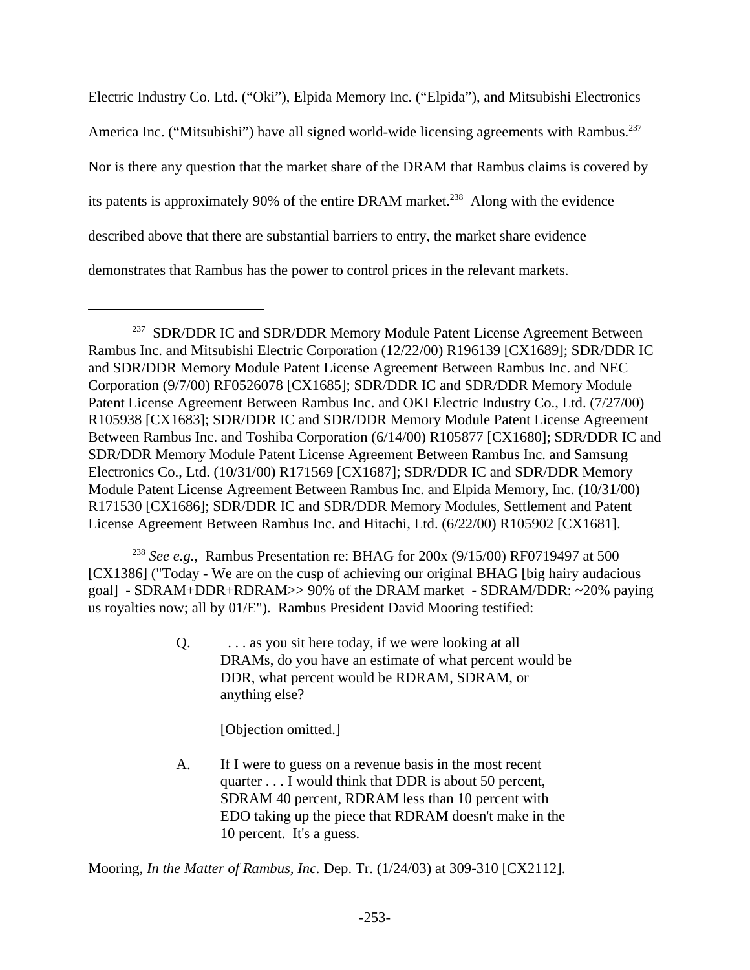Electric Industry Co. Ltd. ("Oki"), Elpida Memory Inc. ("Elpida"), and Mitsubishi Electronics America Inc. ("Mitsubishi") have all signed world-wide licensing agreements with Rambus.<sup>237</sup> Nor is there any question that the market share of the DRAM that Rambus claims is covered by its patents is approximately 90% of the entire DRAM market.<sup>238</sup> Along with the evidence described above that there are substantial barriers to entry, the market share evidence demonstrates that Rambus has the power to control prices in the relevant markets.

<sup>238</sup> *See e.g.,* Rambus Presentation re: BHAG for 200x (9/15/00) RF0719497 at 500 [CX1386] ("Today - We are on the cusp of achieving our original BHAG [big hairy audacious goal] - SDRAM+DDR+RDRAM>> 90% of the DRAM market - SDRAM/DDR: ~20% paying us royalties now; all by 01/E"). Rambus President David Mooring testified:

> $Q.$  ... as you sit here today, if we were looking at all DRAMs, do you have an estimate of what percent would be DDR, what percent would be RDRAM, SDRAM, or anything else?

> > [Objection omitted.]

A. If I were to guess on a revenue basis in the most recent quarter . . . I would think that DDR is about 50 percent, SDRAM 40 percent, RDRAM less than 10 percent with EDO taking up the piece that RDRAM doesn't make in the 10 percent. It's a guess.

Mooring, *In the Matter of Rambus, Inc.* Dep. Tr. (1/24/03) at 309-310 [CX2112].

<sup>&</sup>lt;sup>237</sup> SDR/DDR IC and SDR/DDR Memory Module Patent License Agreement Between Rambus Inc. and Mitsubishi Electric Corporation (12/22/00) R196139 [CX1689]; SDR/DDR IC and SDR/DDR Memory Module Patent License Agreement Between Rambus Inc. and NEC Corporation (9/7/00) RF0526078 [CX1685]; SDR/DDR IC and SDR/DDR Memory Module Patent License Agreement Between Rambus Inc. and OKI Electric Industry Co., Ltd. (7/27/00) R105938 [CX1683]; SDR/DDR IC and SDR/DDR Memory Module Patent License Agreement Between Rambus Inc. and Toshiba Corporation (6/14/00) R105877 [CX1680]; SDR/DDR IC and SDR/DDR Memory Module Patent License Agreement Between Rambus Inc. and Samsung Electronics Co., Ltd. (10/31/00) R171569 [CX1687]; SDR/DDR IC and SDR/DDR Memory Module Patent License Agreement Between Rambus Inc. and Elpida Memory, Inc. (10/31/00) R171530 [CX1686]; SDR/DDR IC and SDR/DDR Memory Modules, Settlement and Patent License Agreement Between Rambus Inc. and Hitachi, Ltd. (6/22/00) R105902 [CX1681].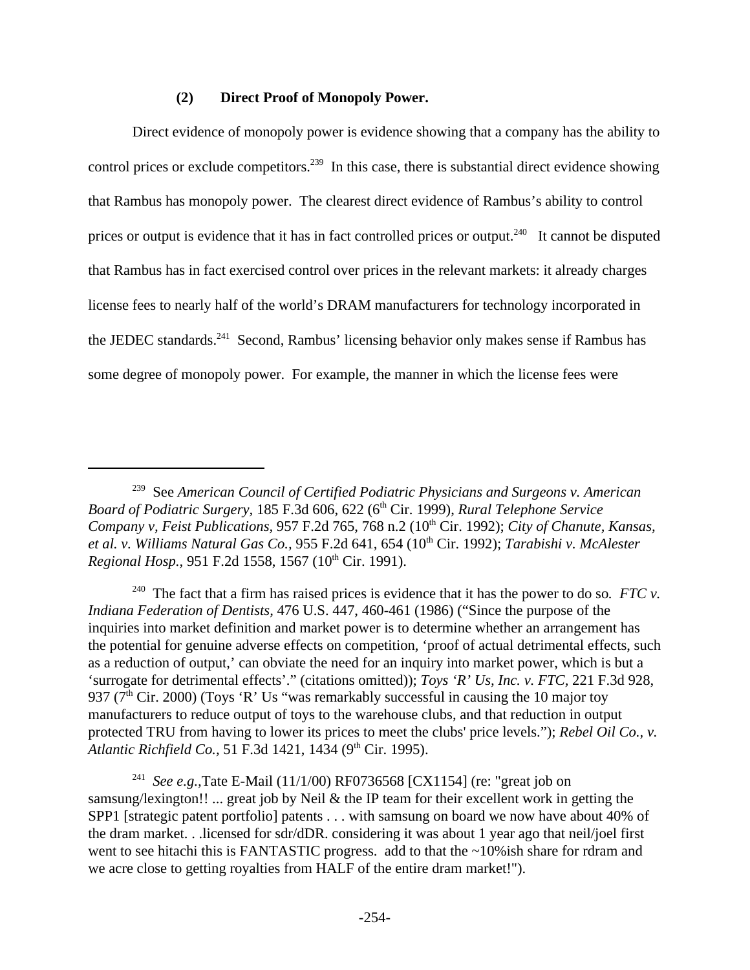#### **(2) Direct Proof of Monopoly Power.**

Direct evidence of monopoly power is evidence showing that a company has the ability to control prices or exclude competitors.<sup>239</sup> In this case, there is substantial direct evidence showing that Rambus has monopoly power. The clearest direct evidence of Rambus's ability to control prices or output is evidence that it has in fact controlled prices or output.<sup>240</sup> It cannot be disputed that Rambus has in fact exercised control over prices in the relevant markets: it already charges license fees to nearly half of the world's DRAM manufacturers for technology incorporated in the JEDEC standards.<sup>241</sup> Second, Rambus' licensing behavior only makes sense if Rambus has some degree of monopoly power. For example, the manner in which the license fees were

<sup>240</sup> The fact that a firm has raised prices is evidence that it has the power to do so.  $FTC v$ . *Indiana Federation of Dentists,* 476 U.S. 447, 460-461 (1986) ("Since the purpose of the inquiries into market definition and market power is to determine whether an arrangement has the potential for genuine adverse effects on competition, 'proof of actual detrimental effects, such as a reduction of output,' can obviate the need for an inquiry into market power, which is but a 'surrogate for detrimental effects'." (citations omitted)); *Toys 'R' Us, Inc. v. FTC,* 221 F.3d 928, 937 ( $7<sup>th</sup>$  Cir. 2000) (Toys 'R' Us "was remarkably successful in causing the 10 major toy manufacturers to reduce output of toys to the warehouse clubs, and that reduction in output protected TRU from having to lower its prices to meet the clubs' price levels."); *Rebel Oil Co., v. Atlantic Richfield Co., 51 F.3d 1421, 1434 (9<sup>th</sup> Cir. 1995).* 

<sup>239</sup> See *American Council of Certified Podiatric Physicians and Surgeons v. American Board of Podiatric Surgery, 185 F.3d 606, 622 (6<sup>th</sup> Cir. 1999), <i>Rural Telephone Service Company v, Feist Publications, 957 F.2d 765, 768 n.2 (10<sup>th</sup> Cir. 1992); <i>City of Chanute, Kansas, et al. v. Williams Natural Gas Co.,* 955 F.2d 641, 654 (10th Cir. 1992); *Tarabishi v. McAlester Regional Hosp.,* 951 F.2d 1558, 1567 (10<sup>th</sup> Cir. 1991).

<sup>241</sup> *See e.g.,*Tate E-Mail (11/1/00) RF0736568 [CX1154] (re: "great job on samsung/lexington!! ... great job by Neil & the IP team for their excellent work in getting the SPP1 [strategic patent portfolio] patents . . . with samsung on board we now have about 40% of the dram market. . .licensed for sdr/dDR. considering it was about 1 year ago that neil/joel first went to see hitachi this is FANTASTIC progress. add to that the ~10% ish share for rdram and we acre close to getting royalties from HALF of the entire dram market!").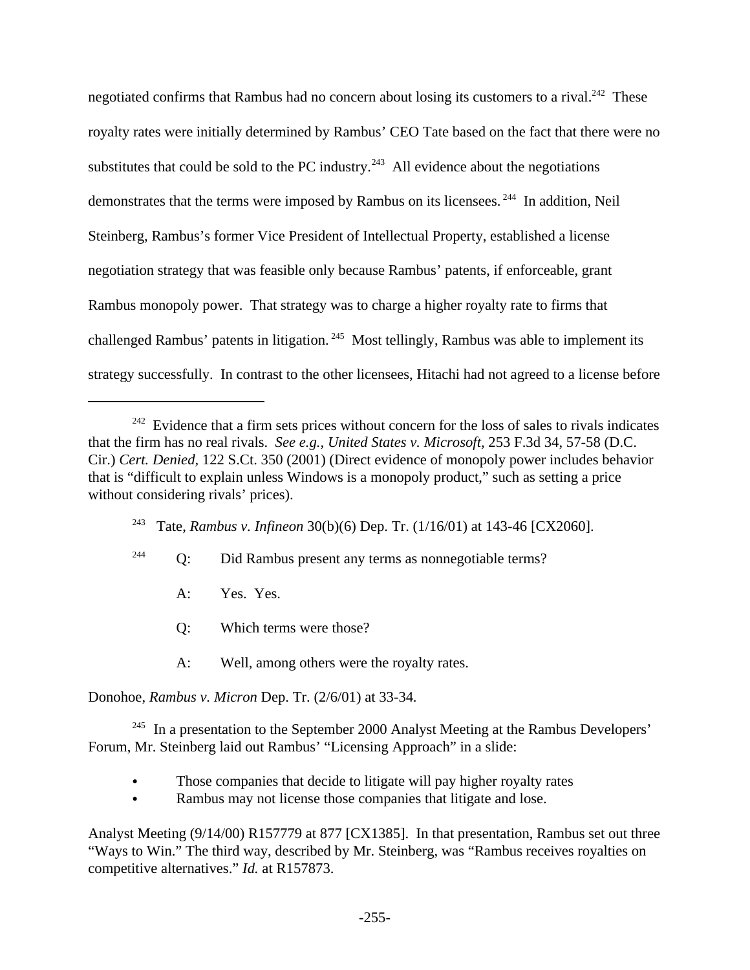negotiated confirms that Rambus had no concern about losing its customers to a rival.<sup>242</sup> These royalty rates were initially determined by Rambus' CEO Tate based on the fact that there were no substitutes that could be sold to the PC industry.<sup>243</sup> All evidence about the negotiations demonstrates that the terms were imposed by Rambus on its licensees.<sup>244</sup> In addition, Neil Steinberg, Rambus's former Vice President of Intellectual Property, established a license negotiation strategy that was feasible only because Rambus' patents, if enforceable, grant Rambus monopoly power. That strategy was to charge a higher royalty rate to firms that challenged Rambus' patents in litigation.<sup>245</sup> Most tellingly, Rambus was able to implement its strategy successfully. In contrast to the other licensees, Hitachi had not agreed to a license before

- <sup>244</sup> Q: Did Rambus present any terms as nonnegotiable terms?
	- A: Yes. Yes.
	- Q: Which terms were those?
	- A: Well, among others were the royalty rates.

Donohoe, *Rambus v. Micron* Dep. Tr. (2/6/01) at 33-34*.*

<sup>245</sup> In a presentation to the September 2000 Analyst Meeting at the Rambus Developers' Forum, Mr. Steinberg laid out Rambus' "Licensing Approach" in a slide:

- Those companies that decide to litigate will pay higher royalty rates
- Rambus may not license those companies that litigate and lose.

Analyst Meeting (9/14/00) R157779 at 877 [CX1385]. In that presentation, Rambus set out three "Ways to Win." The third way, described by Mr. Steinberg, was "Rambus receives royalties on competitive alternatives." *Id.* at R157873.

 $242$  Evidence that a firm sets prices without concern for the loss of sales to rivals indicates that the firm has no real rivals. *See e.g., United States v. Microsoft,* 253 F.3d 34, 57-58 (D.C. Cir.) *Cert. Denied,* 122 S.Ct. 350 (2001) (Direct evidence of monopoly power includes behavior that is "difficult to explain unless Windows is a monopoly product," such as setting a price without considering rivals' prices).

<sup>243</sup> Tate, *Rambus v. Infineon* 30(b)(6) Dep. Tr. (1/16/01) at 143-46 [CX2060].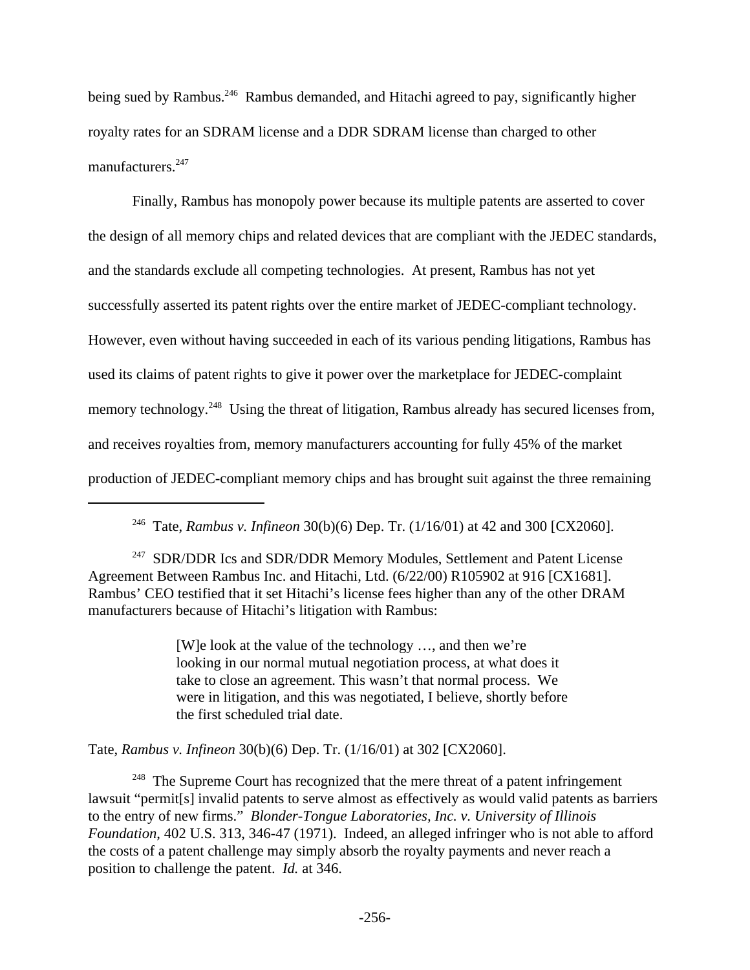being sued by Rambus.<sup>246</sup> Rambus demanded, and Hitachi agreed to pay, significantly higher royalty rates for an SDRAM license and a DDR SDRAM license than charged to other manufacturers.<sup>247</sup>

Finally, Rambus has monopoly power because its multiple patents are asserted to cover the design of all memory chips and related devices that are compliant with the JEDEC standards, and the standards exclude all competing technologies. At present, Rambus has not yet successfully asserted its patent rights over the entire market of JEDEC-compliant technology. However, even without having succeeded in each of its various pending litigations, Rambus has used its claims of patent rights to give it power over the marketplace for JEDEC-complaint memory technology.<sup>248</sup> Using the threat of litigation, Rambus already has secured licenses from, and receives royalties from, memory manufacturers accounting for fully 45% of the market production of JEDEC-compliant memory chips and has brought suit against the three remaining

<sup>247</sup> SDR/DDR Ics and SDR/DDR Memory Modules, Settlement and Patent License Agreement Between Rambus Inc. and Hitachi, Ltd. (6/22/00) R105902 at 916 [CX1681]. Rambus' CEO testified that it set Hitachi's license fees higher than any of the other DRAM manufacturers because of Hitachi's litigation with Rambus:

> [W]e look at the value of the technology …, and then we're looking in our normal mutual negotiation process, at what does it take to close an agreement. This wasn't that normal process. We were in litigation, and this was negotiated, I believe, shortly before the first scheduled trial date.

Tate, *Rambus v. Infineon* 30(b)(6) Dep. Tr. (1/16/01) at 302 [CX2060].

 $248$  The Supreme Court has recognized that the mere threat of a patent infringement lawsuit "permit[s] invalid patents to serve almost as effectively as would valid patents as barriers to the entry of new firms." *Blonder-Tongue Laboratories, Inc. v. University of Illinois Foundation*, 402 U.S. 313, 346-47 (1971). Indeed, an alleged infringer who is not able to afford the costs of a patent challenge may simply absorb the royalty payments and never reach a position to challenge the patent. *Id.* at 346.

<sup>246</sup> Tate, *Rambus v. Infineon* 30(b)(6) Dep. Tr. (1/16/01) at 42 and 300 [CX2060].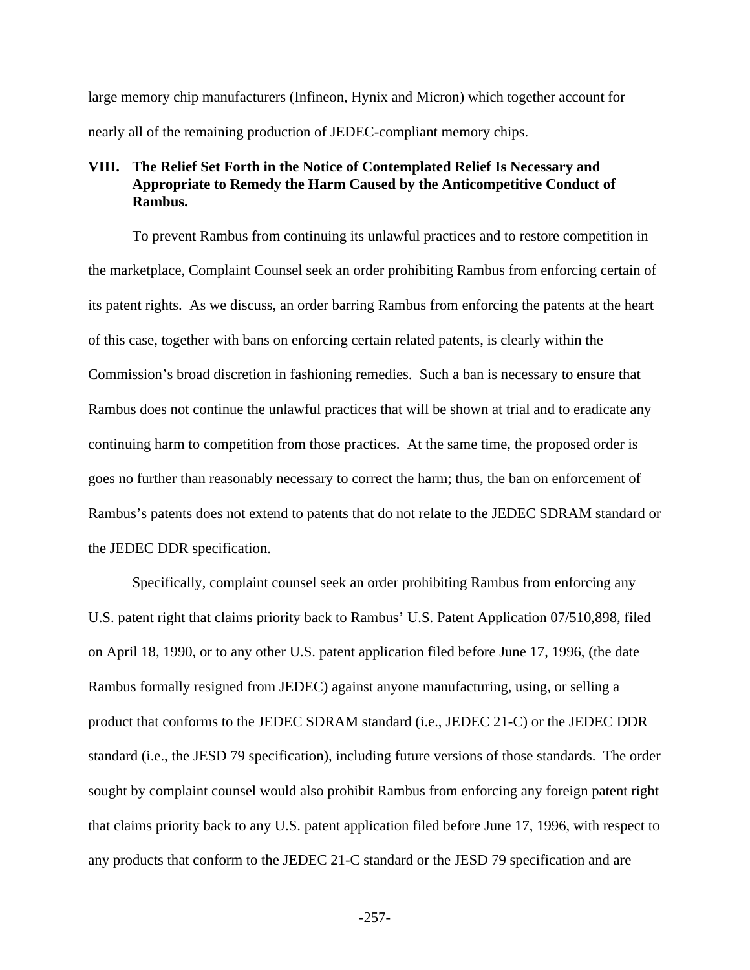large memory chip manufacturers (Infineon, Hynix and Micron) which together account for nearly all of the remaining production of JEDEC-compliant memory chips.

## **VIII. The Relief Set Forth in the Notice of Contemplated Relief Is Necessary and Appropriate to Remedy the Harm Caused by the Anticompetitive Conduct of Rambus.**

To prevent Rambus from continuing its unlawful practices and to restore competition in the marketplace, Complaint Counsel seek an order prohibiting Rambus from enforcing certain of its patent rights. As we discuss, an order barring Rambus from enforcing the patents at the heart of this case, together with bans on enforcing certain related patents, is clearly within the Commission's broad discretion in fashioning remedies. Such a ban is necessary to ensure that Rambus does not continue the unlawful practices that will be shown at trial and to eradicate any continuing harm to competition from those practices. At the same time, the proposed order is goes no further than reasonably necessary to correct the harm; thus, the ban on enforcement of Rambus's patents does not extend to patents that do not relate to the JEDEC SDRAM standard or the JEDEC DDR specification.

Specifically, complaint counsel seek an order prohibiting Rambus from enforcing any U.S. patent right that claims priority back to Rambus' U.S. Patent Application 07/510,898, filed on April 18, 1990, or to any other U.S. patent application filed before June 17, 1996, (the date Rambus formally resigned from JEDEC) against anyone manufacturing, using, or selling a product that conforms to the JEDEC SDRAM standard (i.e., JEDEC 21-C) or the JEDEC DDR standard (i.e., the JESD 79 specification), including future versions of those standards. The order sought by complaint counsel would also prohibit Rambus from enforcing any foreign patent right that claims priority back to any U.S. patent application filed before June 17, 1996, with respect to any products that conform to the JEDEC 21-C standard or the JESD 79 specification and are

-257-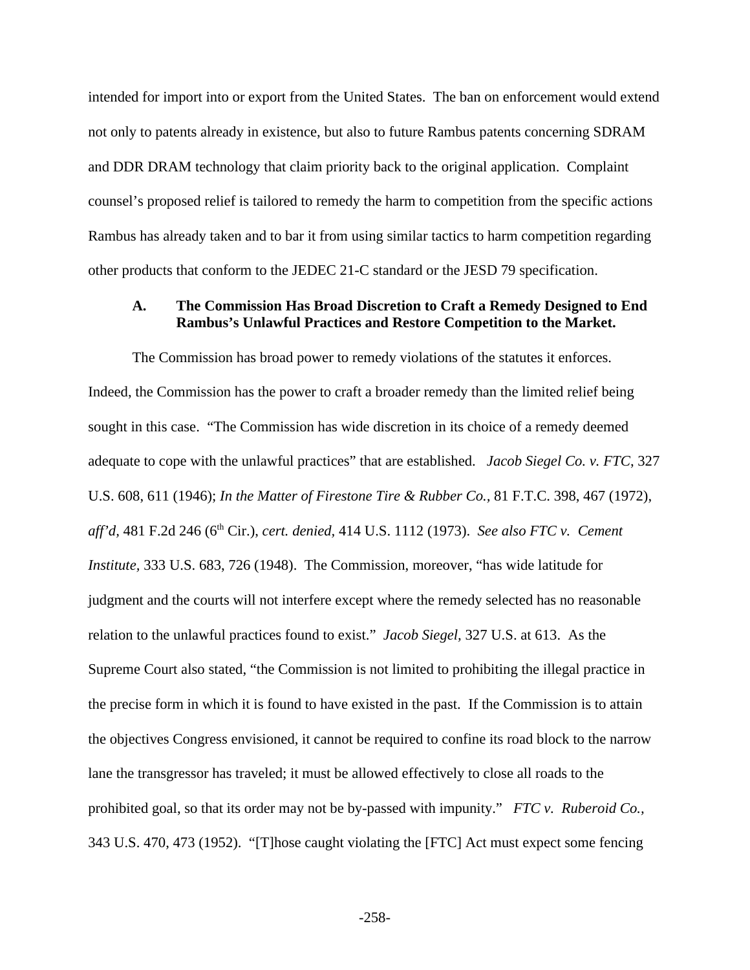intended for import into or export from the United States. The ban on enforcement would extend not only to patents already in existence, but also to future Rambus patents concerning SDRAM and DDR DRAM technology that claim priority back to the original application. Complaint counsel's proposed relief is tailored to remedy the harm to competition from the specific actions Rambus has already taken and to bar it from using similar tactics to harm competition regarding other products that conform to the JEDEC 21-C standard or the JESD 79 specification.

#### **A. The Commission Has Broad Discretion to Craft a Remedy Designed to End Rambus's Unlawful Practices and Restore Competition to the Market.**

The Commission has broad power to remedy violations of the statutes it enforces. Indeed, the Commission has the power to craft a broader remedy than the limited relief being sought in this case. "The Commission has wide discretion in its choice of a remedy deemed adequate to cope with the unlawful practices" that are established. *Jacob Siegel Co. v. FTC*, 327 U.S. 608, 611 (1946); *In the Matter of Firestone Tire & Rubber Co.,* 81 F.T.C. 398, 467 (1972), *aff'd,* 481 F.2d 246 (6th Cir.), *cert. denied,* 414 U.S. 1112 (1973). *See also FTC v. Cement Institute,* 333 U.S. 683, 726 (1948). The Commission, moreover, "has wide latitude for judgment and the courts will not interfere except where the remedy selected has no reasonable relation to the unlawful practices found to exist." *Jacob Siegel,* 327 U.S. at 613. As the Supreme Court also stated, "the Commission is not limited to prohibiting the illegal practice in the precise form in which it is found to have existed in the past. If the Commission is to attain the objectives Congress envisioned, it cannot be required to confine its road block to the narrow lane the transgressor has traveled; it must be allowed effectively to close all roads to the prohibited goal, so that its order may not be by-passed with impunity." *FTC v. Ruberoid Co.,* 343 U.S. 470, 473 (1952). "[T]hose caught violating the [FTC] Act must expect some fencing

-258-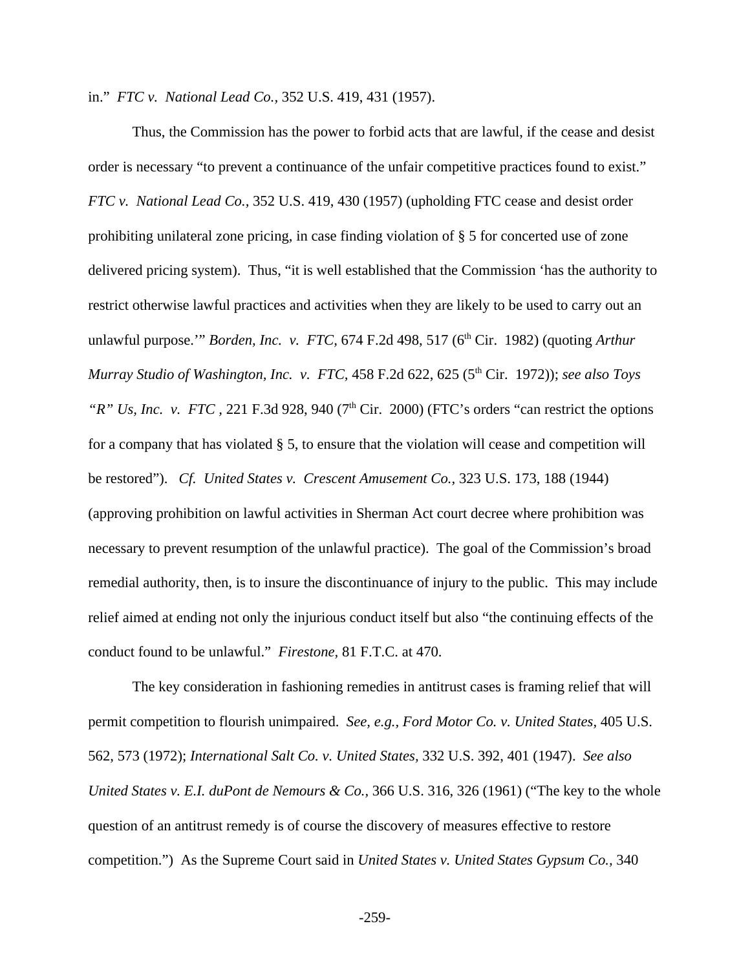in." *FTC v. National Lead Co.,* 352 U.S. 419, 431 (1957).

Thus, the Commission has the power to forbid acts that are lawful, if the cease and desist order is necessary "to prevent a continuance of the unfair competitive practices found to exist." *FTC v. National Lead Co.,* 352 U.S. 419, 430 (1957) (upholding FTC cease and desist order prohibiting unilateral zone pricing, in case finding violation of § 5 for concerted use of zone delivered pricing system). Thus, "it is well established that the Commission 'has the authority to restrict otherwise lawful practices and activities when they are likely to be used to carry out an unlawful purpose." *Borden, Inc. v. FTC, 674 F.2d 498, 517 (6<sup>th</sup> Cir. 1982) (quoting <i>Arthur Murray Studio of Washington, Inc. v. FTC, 458 F.2d 622, 625 (5<sup>th</sup> Cir. 1972)); <i>see also Toys "R" Us, Inc. v. FTC, 221 F.3d 928, 940 (7<sup>th</sup> Cir. 2000) (FTC's orders "can restrict the options*" for a company that has violated § 5, to ensure that the violation will cease and competition will be restored"). *Cf. United States v. Crescent Amusement Co.,* 323 U.S. 173, 188 (1944) (approving prohibition on lawful activities in Sherman Act court decree where prohibition was necessary to prevent resumption of the unlawful practice). The goal of the Commission's broad remedial authority, then, is to insure the discontinuance of injury to the public. This may include relief aimed at ending not only the injurious conduct itself but also "the continuing effects of the conduct found to be unlawful." *Firestone,* 81 F.T.C. at 470.

The key consideration in fashioning remedies in antitrust cases is framing relief that will permit competition to flourish unimpaired. *See, e.g., Ford Motor Co. v. United States,* 405 U.S. 562, 573 (1972); *International Salt Co. v. United States,* 332 U.S. 392, 401 (1947). *See also United States v. E.I. duPont de Nemours & Co.,* 366 U.S. 316, 326 (1961) ("The key to the whole question of an antitrust remedy is of course the discovery of measures effective to restore competition.") As the Supreme Court said in *United States v. United States Gypsum Co.,* 340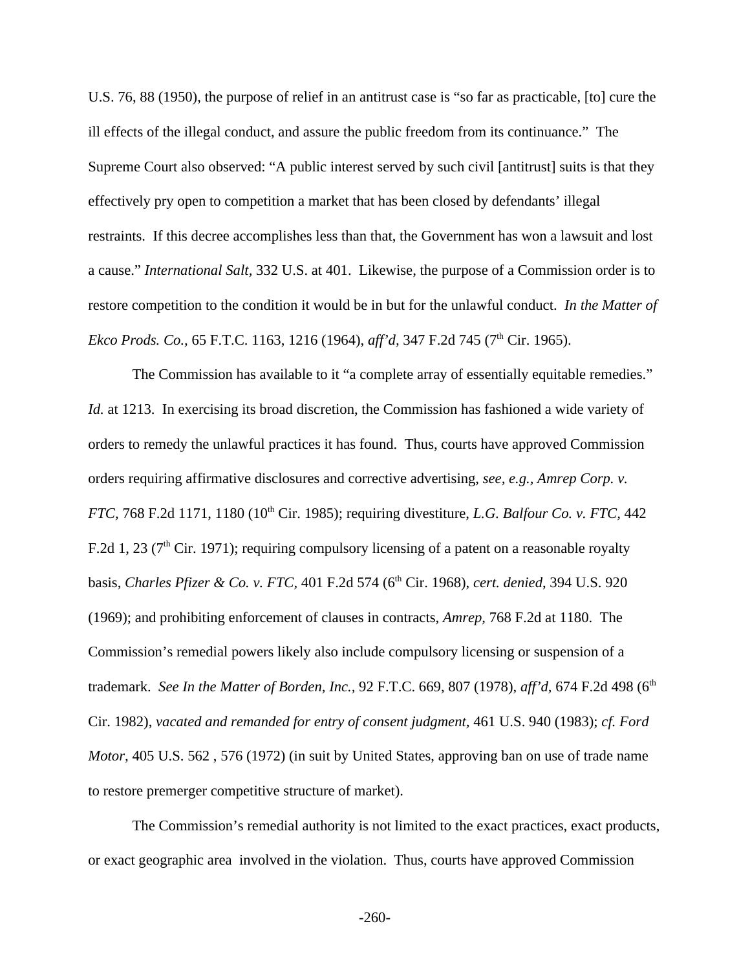U.S. 76, 88 (1950), the purpose of relief in an antitrust case is "so far as practicable, [to] cure the ill effects of the illegal conduct, and assure the public freedom from its continuance." The Supreme Court also observed: "A public interest served by such civil [antitrust] suits is that they effectively pry open to competition a market that has been closed by defendants' illegal restraints. If this decree accomplishes less than that, the Government has won a lawsuit and lost a cause." *International Salt,* 332 U.S. at 401. Likewise, the purpose of a Commission order is to restore competition to the condition it would be in but for the unlawful conduct. *In the Matter of Ekco Prods. Co.,* 65 F.T.C. 1163, 1216 (1964), *aff'd*, 347 F.2d 745 (7<sup>th</sup> Cir. 1965).

The Commission has available to it "a complete array of essentially equitable remedies." *Id.* at 1213. In exercising its broad discretion, the Commission has fashioned a wide variety of orders to remedy the unlawful practices it has found. Thus, courts have approved Commission orders requiring affirmative disclosures and corrective advertising, *see, e.g., Amrep Corp. v. FTC, 768 F.2d 1171, 1180 (10<sup>th</sup> Cir. 1985); requiring divestiture, <i>L.G. Balfour Co. v. FTC, 442* F.2d 1, 23 ( $7<sup>th</sup>$  Cir. 1971); requiring compulsory licensing of a patent on a reasonable royalty basis, *Charles Pfizer & Co. v. FTC,* 401 F.2d 574 (6th Cir. 1968), *cert. denied*, 394 U.S. 920 (1969); and prohibiting enforcement of clauses in contracts, *Amrep,* 768 F.2d at 1180. The Commission's remedial powers likely also include compulsory licensing or suspension of a trademark. *See In the Matter of Borden, Inc., 92 F.T.C. 669, 807 (1978), aff'd, 674 F.2d 498* (6<sup>th</sup> Cir. 1982), *vacated and remanded for entry of consent judgment,* 461 U.S. 940 (1983); *cf. Ford Motor,* 405 U.S. 562 , 576 (1972) (in suit by United States, approving ban on use of trade name to restore premerger competitive structure of market).

The Commission's remedial authority is not limited to the exact practices, exact products, or exact geographic area involved in the violation. Thus, courts have approved Commission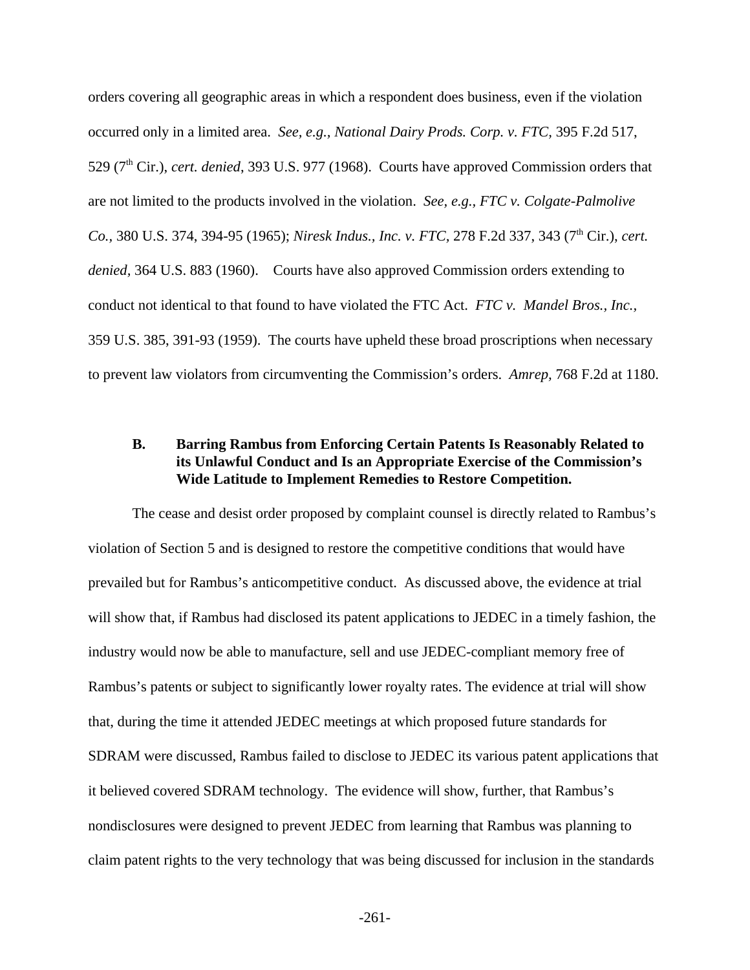orders covering all geographic areas in which a respondent does business, even if the violation occurred only in a limited area. *See, e.g., National Dairy Prods. Corp. v. FTC,* 395 F.2d 517, 529 (7th Cir.), *cert. denied*, 393 U.S. 977 (1968). Courts have approved Commission orders that are not limited to the products involved in the violation. *See, e.g., FTC v. Colgate-Palmolive Co., 380 U.S. 374, 394-95 (1965); Niresk Indus., Inc. v. FTC, 278 F.2d 337, 343 (7<sup>th</sup> Cir.), <i>cert. denied,* 364 U.S. 883 (1960). Courts have also approved Commission orders extending to conduct not identical to that found to have violated the FTC Act. *FTC v. Mandel Bros., Inc.,* 359 U.S. 385, 391-93 (1959). The courts have upheld these broad proscriptions when necessary to prevent law violators from circumventing the Commission's orders. *Amrep,* 768 F.2d at 1180.

## **B. Barring Rambus from Enforcing Certain Patents Is Reasonably Related to its Unlawful Conduct and Is an Appropriate Exercise of the Commission's Wide Latitude to Implement Remedies to Restore Competition.**

The cease and desist order proposed by complaint counsel is directly related to Rambus's violation of Section 5 and is designed to restore the competitive conditions that would have prevailed but for Rambus's anticompetitive conduct. As discussed above, the evidence at trial will show that, if Rambus had disclosed its patent applications to JEDEC in a timely fashion, the industry would now be able to manufacture, sell and use JEDEC-compliant memory free of Rambus's patents or subject to significantly lower royalty rates. The evidence at trial will show that, during the time it attended JEDEC meetings at which proposed future standards for SDRAM were discussed, Rambus failed to disclose to JEDEC its various patent applications that it believed covered SDRAM technology. The evidence will show, further, that Rambus's nondisclosures were designed to prevent JEDEC from learning that Rambus was planning to claim patent rights to the very technology that was being discussed for inclusion in the standards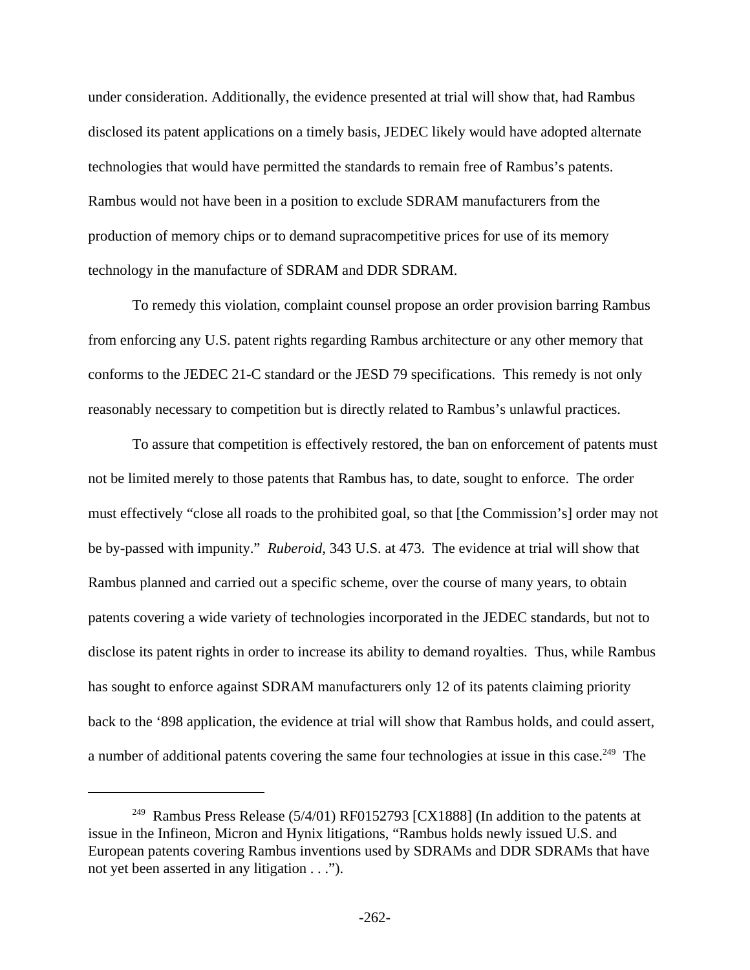under consideration. Additionally, the evidence presented at trial will show that, had Rambus disclosed its patent applications on a timely basis, JEDEC likely would have adopted alternate technologies that would have permitted the standards to remain free of Rambus's patents. Rambus would not have been in a position to exclude SDRAM manufacturers from the production of memory chips or to demand supracompetitive prices for use of its memory technology in the manufacture of SDRAM and DDR SDRAM.

To remedy this violation, complaint counsel propose an order provision barring Rambus from enforcing any U.S. patent rights regarding Rambus architecture or any other memory that conforms to the JEDEC 21-C standard or the JESD 79 specifications. This remedy is not only reasonably necessary to competition but is directly related to Rambus's unlawful practices.

To assure that competition is effectively restored, the ban on enforcement of patents must not be limited merely to those patents that Rambus has, to date, sought to enforce. The order must effectively "close all roads to the prohibited goal, so that [the Commission's] order may not be by-passed with impunity." *Ruberoid,* 343 U.S. at 473. The evidence at trial will show that Rambus planned and carried out a specific scheme, over the course of many years, to obtain patents covering a wide variety of technologies incorporated in the JEDEC standards, but not to disclose its patent rights in order to increase its ability to demand royalties. Thus, while Rambus has sought to enforce against SDRAM manufacturers only 12 of its patents claiming priority back to the '898 application, the evidence at trial will show that Rambus holds, and could assert, a number of additional patents covering the same four technologies at issue in this case.<sup>249</sup> The

<sup>&</sup>lt;sup>249</sup> Rambus Press Release (5/4/01) RF0152793 [CX1888] (In addition to the patents at issue in the Infineon, Micron and Hynix litigations, "Rambus holds newly issued U.S. and European patents covering Rambus inventions used by SDRAMs and DDR SDRAMs that have not yet been asserted in any litigation . . .").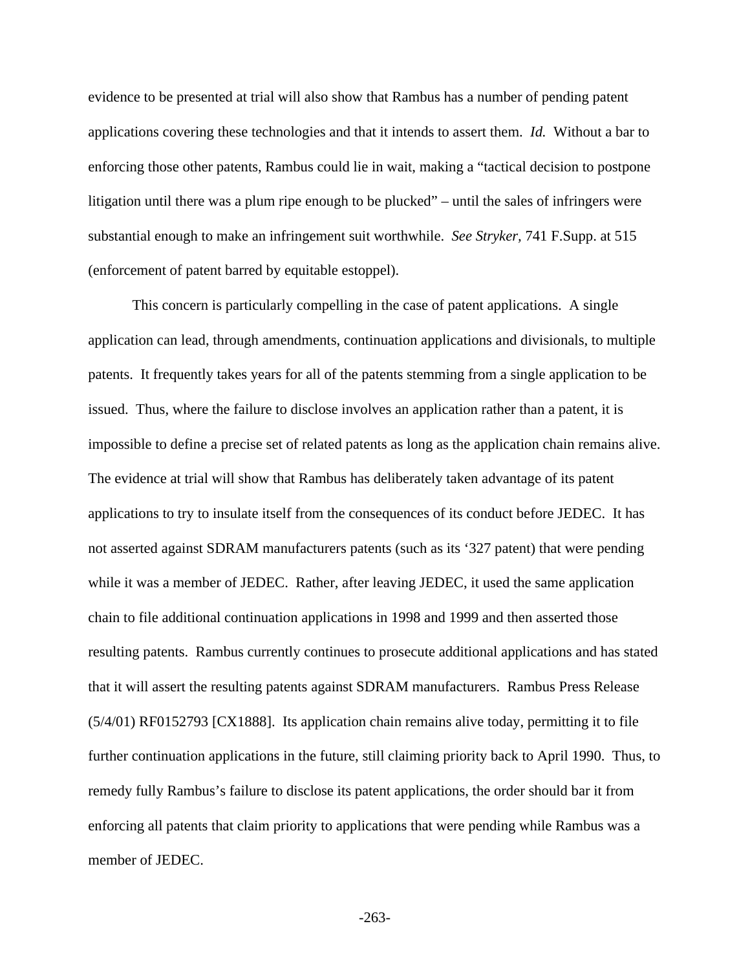evidence to be presented at trial will also show that Rambus has a number of pending patent applications covering these technologies and that it intends to assert them. *Id.* Without a bar to enforcing those other patents, Rambus could lie in wait, making a "tactical decision to postpone litigation until there was a plum ripe enough to be plucked" – until the sales of infringers were substantial enough to make an infringement suit worthwhile. *See Stryker,* 741 F.Supp. at 515 (enforcement of patent barred by equitable estoppel).

This concern is particularly compelling in the case of patent applications. A single application can lead, through amendments, continuation applications and divisionals, to multiple patents. It frequently takes years for all of the patents stemming from a single application to be issued. Thus, where the failure to disclose involves an application rather than a patent, it is impossible to define a precise set of related patents as long as the application chain remains alive. The evidence at trial will show that Rambus has deliberately taken advantage of its patent applications to try to insulate itself from the consequences of its conduct before JEDEC. It has not asserted against SDRAM manufacturers patents (such as its '327 patent) that were pending while it was a member of JEDEC. Rather, after leaving JEDEC, it used the same application chain to file additional continuation applications in 1998 and 1999 and then asserted those resulting patents. Rambus currently continues to prosecute additional applications and has stated that it will assert the resulting patents against SDRAM manufacturers. Rambus Press Release (5/4/01) RF0152793 [CX1888]. Its application chain remains alive today, permitting it to file further continuation applications in the future, still claiming priority back to April 1990. Thus, to remedy fully Rambus's failure to disclose its patent applications, the order should bar it from enforcing all patents that claim priority to applications that were pending while Rambus was a member of JEDEC.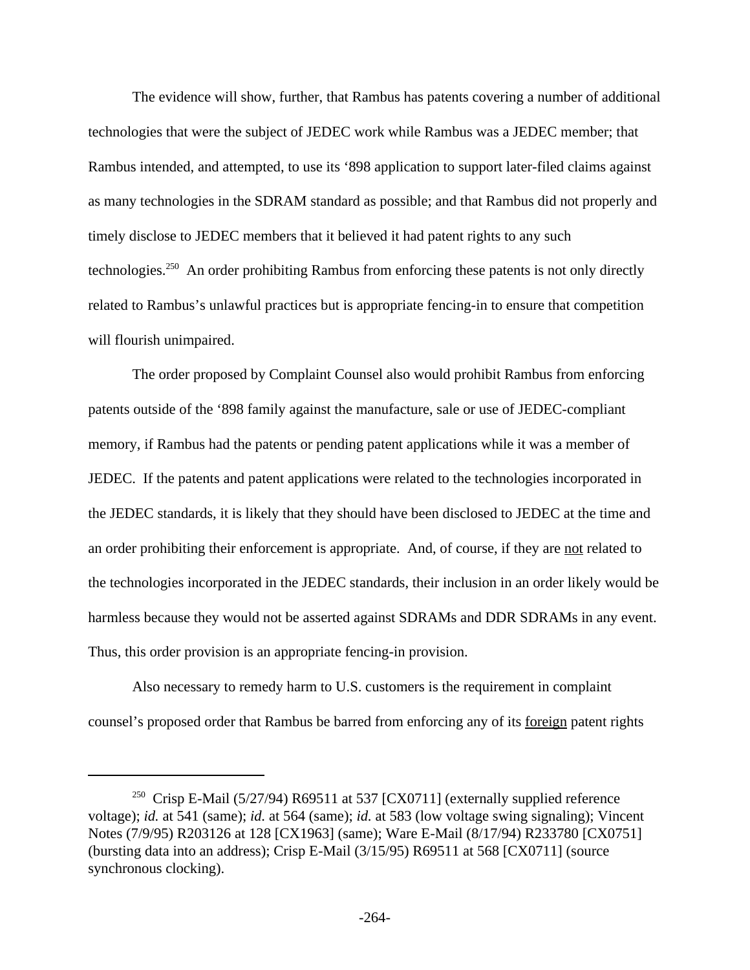The evidence will show, further, that Rambus has patents covering a number of additional technologies that were the subject of JEDEC work while Rambus was a JEDEC member; that Rambus intended, and attempted, to use its '898 application to support later-filed claims against as many technologies in the SDRAM standard as possible; and that Rambus did not properly and timely disclose to JEDEC members that it believed it had patent rights to any such technologies.<sup>250</sup> An order prohibiting Rambus from enforcing these patents is not only directly related to Rambus's unlawful practices but is appropriate fencing-in to ensure that competition will flourish unimpaired.

The order proposed by Complaint Counsel also would prohibit Rambus from enforcing patents outside of the '898 family against the manufacture, sale or use of JEDEC-compliant memory, if Rambus had the patents or pending patent applications while it was a member of JEDEC. If the patents and patent applications were related to the technologies incorporated in the JEDEC standards, it is likely that they should have been disclosed to JEDEC at the time and an order prohibiting their enforcement is appropriate. And, of course, if they are not related to the technologies incorporated in the JEDEC standards, their inclusion in an order likely would be harmless because they would not be asserted against SDRAMs and DDR SDRAMs in any event. Thus, this order provision is an appropriate fencing-in provision.

Also necessary to remedy harm to U.S. customers is the requirement in complaint counsel's proposed order that Rambus be barred from enforcing any of its foreign patent rights

<sup>&</sup>lt;sup>250</sup> Crisp E-Mail (5/27/94) R69511 at 537 [CX0711] (externally supplied reference voltage); *id.* at 541 (same); *id.* at 564 (same); *id.* at 583 (low voltage swing signaling); Vincent Notes (7/9/95) R203126 at 128 [CX1963] (same); Ware E-Mail (8/17/94) R233780 [CX0751] (bursting data into an address); Crisp E-Mail (3/15/95) R69511 at 568 [CX0711] (source synchronous clocking).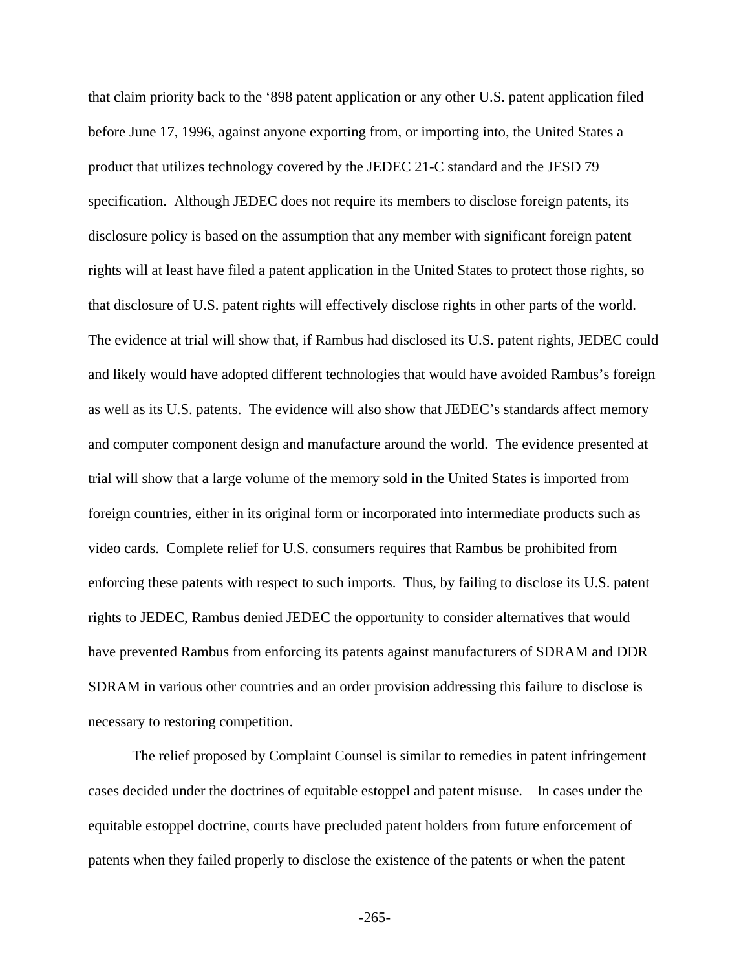that claim priority back to the '898 patent application or any other U.S. patent application filed before June 17, 1996, against anyone exporting from, or importing into, the United States a product that utilizes technology covered by the JEDEC 21-C standard and the JESD 79 specification. Although JEDEC does not require its members to disclose foreign patents, its disclosure policy is based on the assumption that any member with significant foreign patent rights will at least have filed a patent application in the United States to protect those rights, so that disclosure of U.S. patent rights will effectively disclose rights in other parts of the world. The evidence at trial will show that, if Rambus had disclosed its U.S. patent rights, JEDEC could and likely would have adopted different technologies that would have avoided Rambus's foreign as well as its U.S. patents. The evidence will also show that JEDEC's standards affect memory and computer component design and manufacture around the world. The evidence presented at trial will show that a large volume of the memory sold in the United States is imported from foreign countries, either in its original form or incorporated into intermediate products such as video cards. Complete relief for U.S. consumers requires that Rambus be prohibited from enforcing these patents with respect to such imports. Thus, by failing to disclose its U.S. patent rights to JEDEC, Rambus denied JEDEC the opportunity to consider alternatives that would have prevented Rambus from enforcing its patents against manufacturers of SDRAM and DDR SDRAM in various other countries and an order provision addressing this failure to disclose is necessary to restoring competition.

The relief proposed by Complaint Counsel is similar to remedies in patent infringement cases decided under the doctrines of equitable estoppel and patent misuse. In cases under the equitable estoppel doctrine, courts have precluded patent holders from future enforcement of patents when they failed properly to disclose the existence of the patents or when the patent

-265-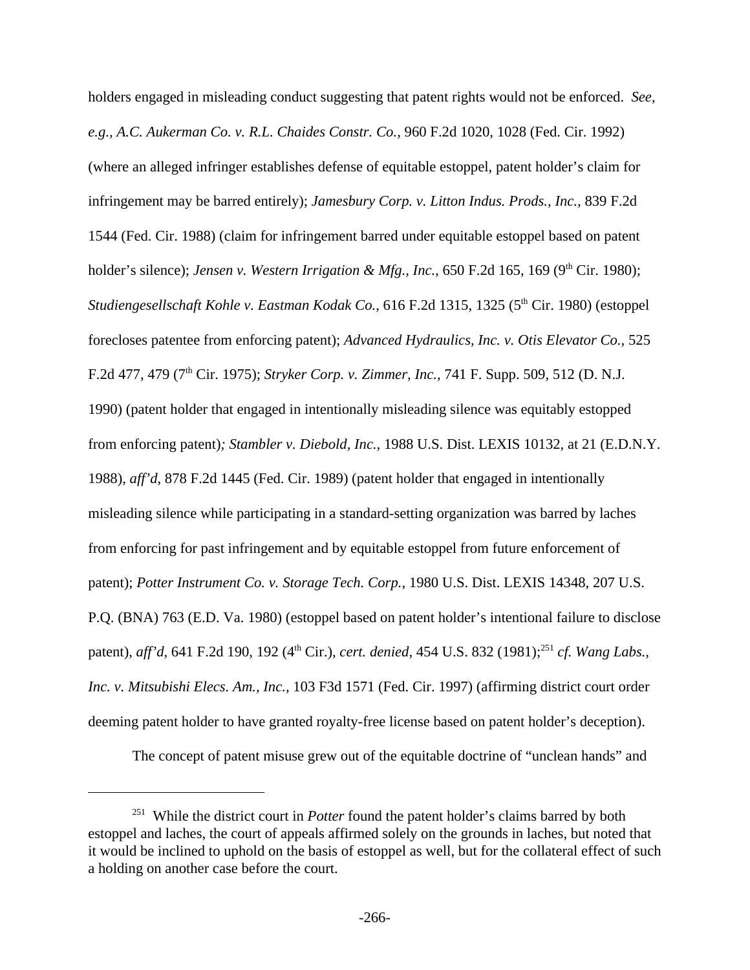holders engaged in misleading conduct suggesting that patent rights would not be enforced. *See, e.g., A.C. Aukerman Co. v. R.L. Chaides Constr. Co.,* 960 F.2d 1020, 1028 (Fed. Cir. 1992) (where an alleged infringer establishes defense of equitable estoppel, patent holder's claim for infringement may be barred entirely); *Jamesbury Corp. v. Litton Indus. Prods., Inc.,* 839 F.2d 1544 (Fed. Cir. 1988) (claim for infringement barred under equitable estoppel based on patent holder's silence); *Jensen v. Western Irrigation & Mfg., Inc.*, 650 F.2d 165, 169 (9<sup>th</sup> Cir. 1980); *Studiengesellschaft Kohle v. Eastman Kodak Co.,* 616 F.2d 1315, 1325 (5<sup>th</sup> Cir. 1980) (estoppel forecloses patentee from enforcing patent); *Advanced Hydraulics, Inc. v. Otis Elevator Co.,* 525 F.2d 477, 479 (7th Cir. 1975); *Stryker Corp. v. Zimmer, Inc.,* 741 F. Supp. 509, 512 (D. N.J. 1990) (patent holder that engaged in intentionally misleading silence was equitably estopped from enforcing patent)*; Stambler v. Diebold, Inc.,* 1988 U.S. Dist. LEXIS 10132, at 21 (E.D.N.Y. 1988), *aff'd*, 878 F.2d 1445 (Fed. Cir. 1989) (patent holder that engaged in intentionally misleading silence while participating in a standard-setting organization was barred by laches from enforcing for past infringement and by equitable estoppel from future enforcement of patent); *Potter Instrument Co. v. Storage Tech. Corp.,* 1980 U.S. Dist. LEXIS 14348, 207 U.S. P.Q. (BNA) 763 (E.D. Va. 1980) (estoppel based on patent holder's intentional failure to disclose patent), *aff'd*, 641 F.2d 190, 192 (4<sup>th</sup> Cir.), *cert. denied*, 454 U.S. 832 (1981);<sup>251</sup> *cf. Wang Labs.*, *Inc. v. Mitsubishi Elecs. Am., Inc.,* 103 F3d 1571 (Fed. Cir. 1997) (affirming district court order deeming patent holder to have granted royalty-free license based on patent holder's deception).

The concept of patent misuse grew out of the equitable doctrine of "unclean hands" and

<sup>&</sup>lt;sup>251</sup> While the district court in *Potter* found the patent holder's claims barred by both estoppel and laches, the court of appeals affirmed solely on the grounds in laches, but noted that it would be inclined to uphold on the basis of estoppel as well, but for the collateral effect of such a holding on another case before the court.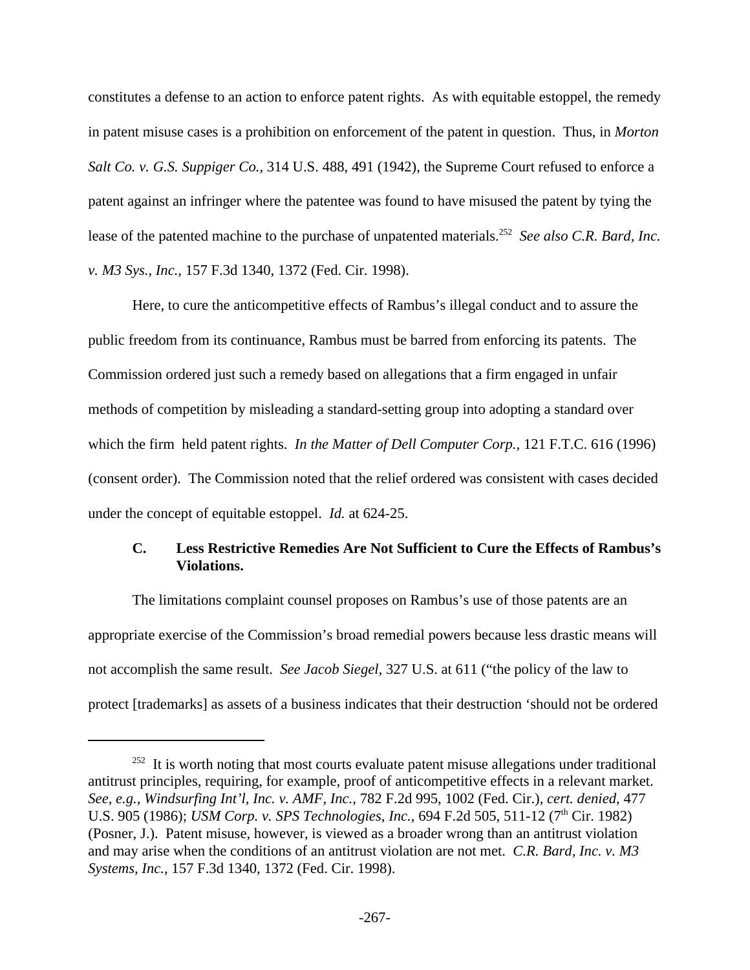constitutes a defense to an action to enforce patent rights. As with equitable estoppel, the remedy in patent misuse cases is a prohibition on enforcement of the patent in question. Thus, in *Morton Salt Co. v. G.S. Suppiger Co.,* 314 U.S. 488, 491 (1942), the Supreme Court refused to enforce a patent against an infringer where the patentee was found to have misused the patent by tying the lease of the patented machine to the purchase of unpatented materials.<sup>252</sup> See also C.R. Bard, Inc. *v. M3 Sys., Inc.,* 157 F.3d 1340, 1372 (Fed. Cir. 1998).

Here, to cure the anticompetitive effects of Rambus's illegal conduct and to assure the public freedom from its continuance, Rambus must be barred from enforcing its patents. The Commission ordered just such a remedy based on allegations that a firm engaged in unfair methods of competition by misleading a standard-setting group into adopting a standard over which the firm held patent rights. *In the Matter of Dell Computer Corp.,* 121 F.T.C. 616 (1996) (consent order). The Commission noted that the relief ordered was consistent with cases decided under the concept of equitable estoppel. *Id.* at 624-25.

## **C. Less Restrictive Remedies Are Not Sufficient to Cure the Effects of Rambus's Violations.**

The limitations complaint counsel proposes on Rambus's use of those patents are an appropriate exercise of the Commission's broad remedial powers because less drastic means will not accomplish the same result. *See Jacob Siegel,* 327 U.S. at 611 ("the policy of the law to protect [trademarks] as assets of a business indicates that their destruction 'should not be ordered

 $252$  It is worth noting that most courts evaluate patent misuse allegations under traditional antitrust principles, requiring, for example, proof of anticompetitive effects in a relevant market. *See, e.g., Windsurfing Int'l, Inc. v. AMF, Inc.*, 782 F.2d 995, 1002 (Fed. Cir.), *cert. denied*, 477 U.S. 905 (1986); *USM Corp. v. SPS Technologies, Inc.*, 694 F.2d 505, 511-12 (7<sup>th</sup> Cir. 1982) (Posner, J.). Patent misuse, however, is viewed as a broader wrong than an antitrust violation and may arise when the conditions of an antitrust violation are not met. *C.R. Bard, Inc. v. M3 Systems, Inc.*, 157 F.3d 1340, 1372 (Fed. Cir. 1998).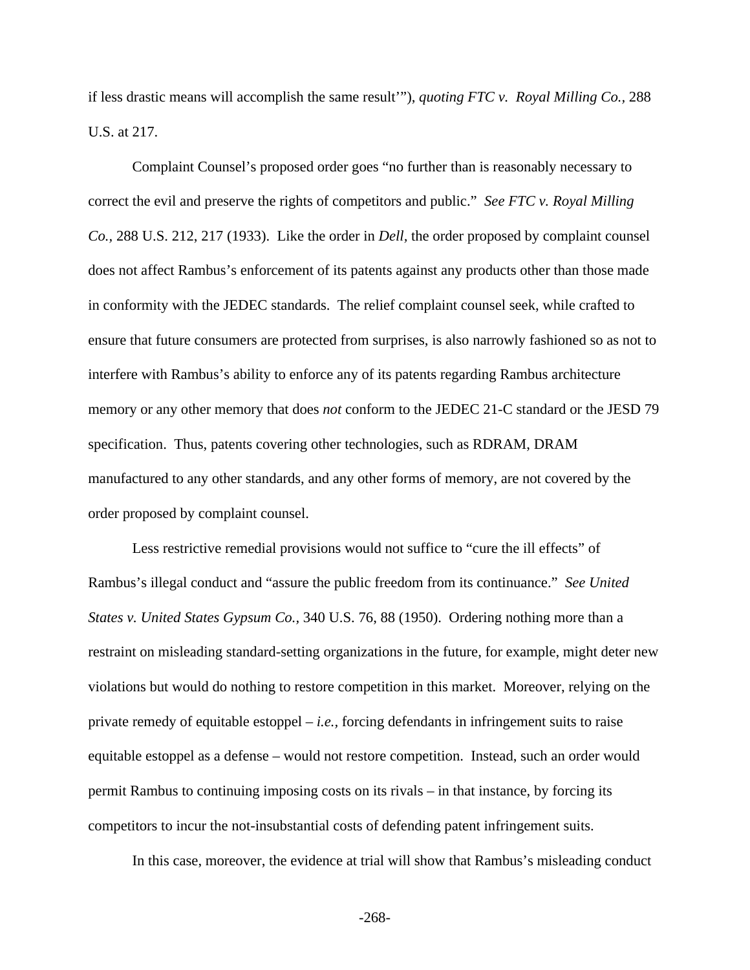if less drastic means will accomplish the same result'"), *quoting FTC v. Royal Milling Co.,* 288 U.S. at 217.

Complaint Counsel's proposed order goes "no further than is reasonably necessary to correct the evil and preserve the rights of competitors and public." *See FTC v. Royal Milling Co.,* 288 U.S. 212, 217 (1933). Like the order in *Dell,* the order proposed by complaint counsel does not affect Rambus's enforcement of its patents against any products other than those made in conformity with the JEDEC standards. The relief complaint counsel seek, while crafted to ensure that future consumers are protected from surprises, is also narrowly fashioned so as not to interfere with Rambus's ability to enforce any of its patents regarding Rambus architecture memory or any other memory that does *not* conform to the JEDEC 21-C standard or the JESD 79 specification. Thus, patents covering other technologies, such as RDRAM, DRAM manufactured to any other standards, and any other forms of memory, are not covered by the order proposed by complaint counsel.

Less restrictive remedial provisions would not suffice to "cure the ill effects" of Rambus's illegal conduct and "assure the public freedom from its continuance." *See United States v. United States Gypsum Co.,* 340 U.S. 76, 88 (1950). Ordering nothing more than a restraint on misleading standard-setting organizations in the future, for example, might deter new violations but would do nothing to restore competition in this market. Moreover, relying on the private remedy of equitable estoppel – *i.e.,* forcing defendants in infringement suits to raise equitable estoppel as a defense – would not restore competition. Instead, such an order would permit Rambus to continuing imposing costs on its rivals – in that instance, by forcing its competitors to incur the not-insubstantial costs of defending patent infringement suits.

In this case, moreover, the evidence at trial will show that Rambus's misleading conduct

-268-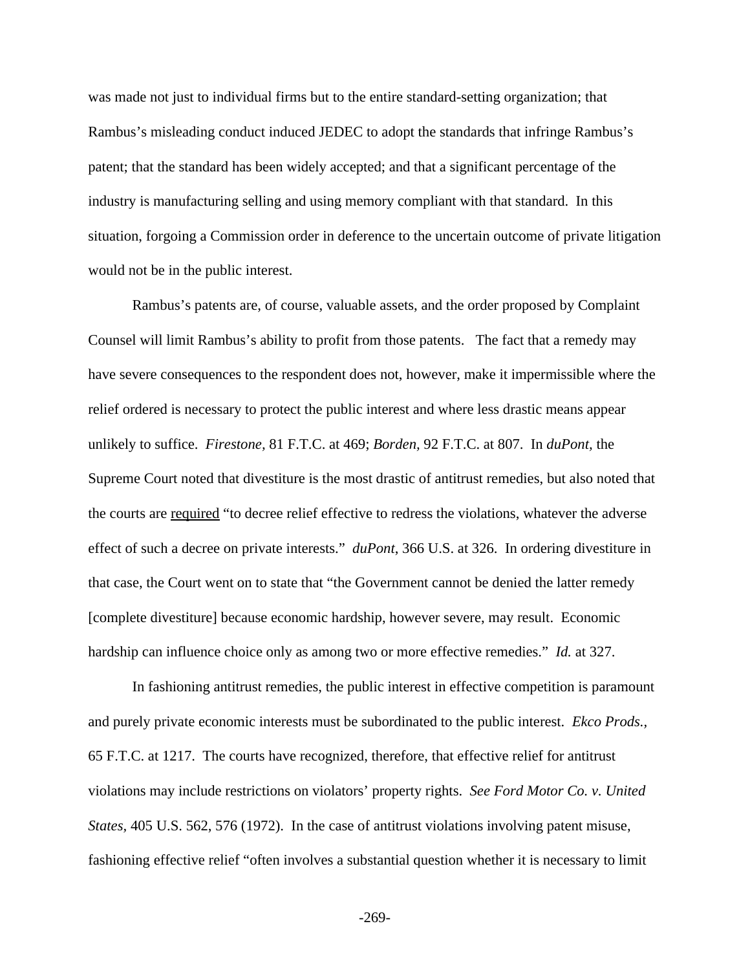was made not just to individual firms but to the entire standard-setting organization; that Rambus's misleading conduct induced JEDEC to adopt the standards that infringe Rambus's patent; that the standard has been widely accepted; and that a significant percentage of the industry is manufacturing selling and using memory compliant with that standard. In this situation, forgoing a Commission order in deference to the uncertain outcome of private litigation would not be in the public interest.

Rambus's patents are, of course, valuable assets, and the order proposed by Complaint Counsel will limit Rambus's ability to profit from those patents. The fact that a remedy may have severe consequences to the respondent does not, however, make it impermissible where the relief ordered is necessary to protect the public interest and where less drastic means appear unlikely to suffice. *Firestone,* 81 F.T.C. at 469; *Borden,* 92 F.T.C. at 807. In *duPont,* the Supreme Court noted that divestiture is the most drastic of antitrust remedies, but also noted that the courts are required "to decree relief effective to redress the violations, whatever the adverse effect of such a decree on private interests." *duPont*, 366 U.S. at 326. In ordering divestiture in that case, the Court went on to state that "the Government cannot be denied the latter remedy [complete divestiture] because economic hardship, however severe, may result. Economic hardship can influence choice only as among two or more effective remedies." *Id.* at 327.

In fashioning antitrust remedies, the public interest in effective competition is paramount and purely private economic interests must be subordinated to the public interest. *Ekco Prods.,*  65 F.T.C. at 1217. The courts have recognized, therefore, that effective relief for antitrust violations may include restrictions on violators' property rights. *See Ford Motor Co. v. United States,* 405 U.S. 562, 576 (1972). In the case of antitrust violations involving patent misuse, fashioning effective relief "often involves a substantial question whether it is necessary to limit

-269-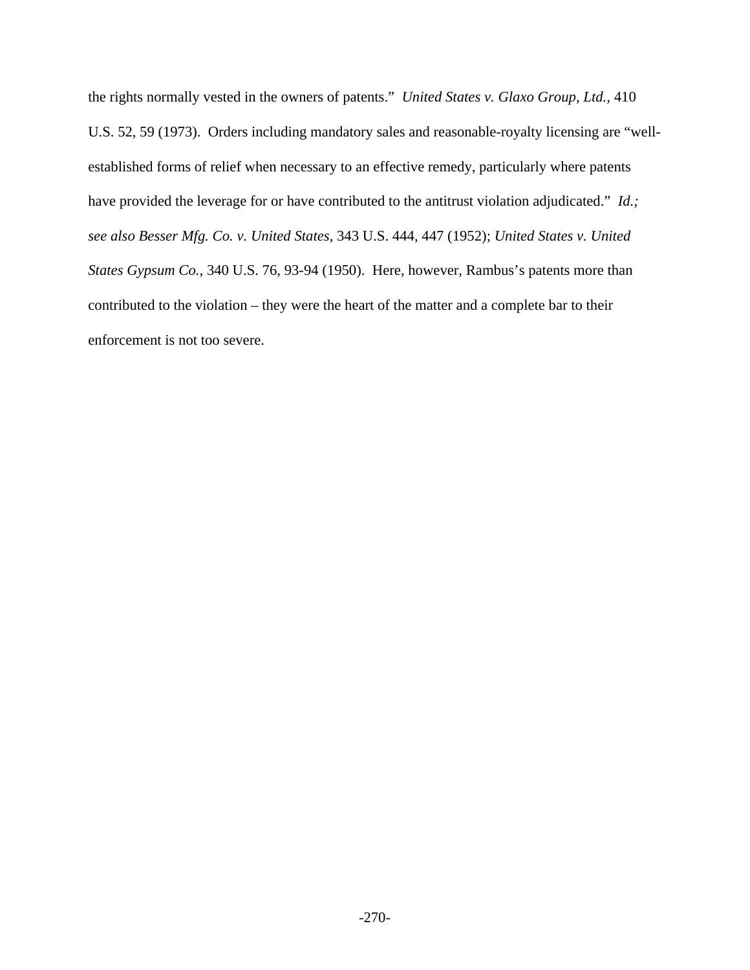the rights normally vested in the owners of patents." *United States v. Glaxo Group, Ltd.,* 410 U.S. 52, 59 (1973). Orders including mandatory sales and reasonable-royalty licensing are "wellestablished forms of relief when necessary to an effective remedy, particularly where patents have provided the leverage for or have contributed to the antitrust violation adjudicated." *Id.; see also Besser Mfg. Co. v. United States,* 343 U.S. 444, 447 (1952); *United States v. United States Gypsum Co.,* 340 U.S. 76, 93-94 (1950). Here, however, Rambus's patents more than contributed to the violation – they were the heart of the matter and a complete bar to their enforcement is not too severe.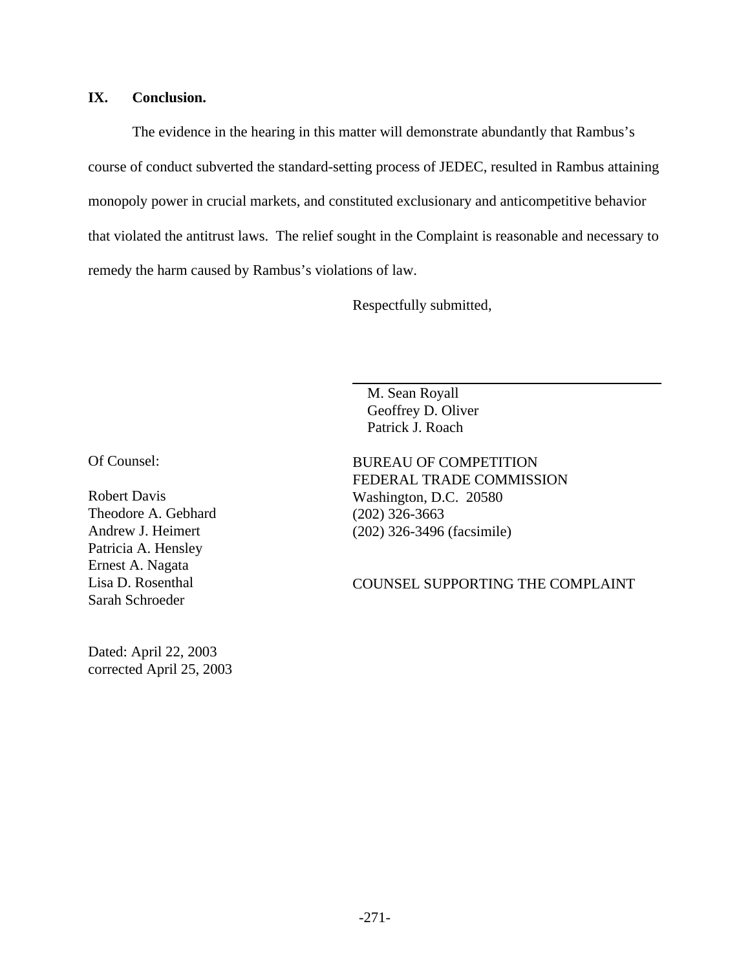## **IX. Conclusion.**

The evidence in the hearing in this matter will demonstrate abundantly that Rambus's course of conduct subverted the standard-setting process of JEDEC, resulted in Rambus attaining monopoly power in crucial markets, and constituted exclusionary and anticompetitive behavior that violated the antitrust laws. The relief sought in the Complaint is reasonable and necessary to remedy the harm caused by Rambus's violations of law.

Respectfully submitted,

 M. Sean Royall Geoffrey D. Oliver Patrick J. Roach

Of Counsel:

Robert Davis Theodore A. Gebhard Andrew J. Heimert Patricia A. Hensley Ernest A. Nagata Lisa D. Rosenthal Sarah Schroeder

Dated: April 22, 2003 corrected April 25, 2003 BUREAU OF COMPETITION FEDERAL TRADE COMMISSION Washington, D.C. 20580 (202) 326-3663 (202) 326-3496 (facsimile)

COUNSEL SUPPORTING THE COMPLAINT